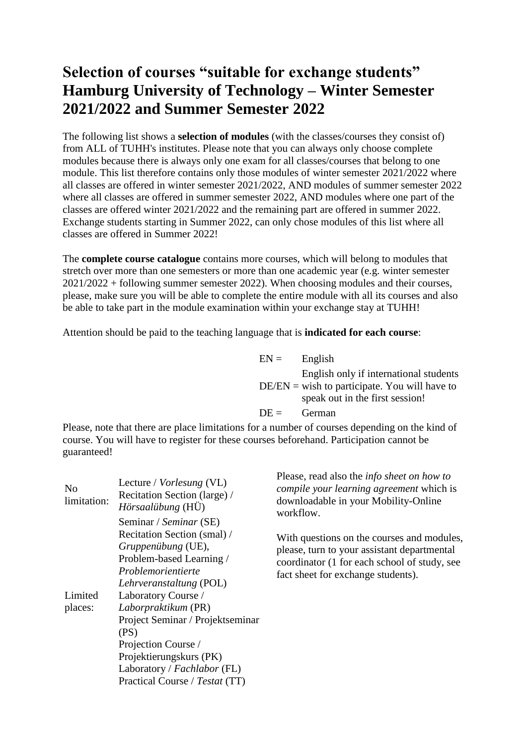## **Selection of courses "suitable for exchange students" Hamburg University of Technology – Winter Semester 2021/2022 and Summer Semester 2022**

The following list shows a **selection of modules** (with the classes/courses they consist of) from ALL of TUHH's institutes. Please note that you can always only choose complete modules because there is always only one exam for all classes/courses that belong to one module. This list therefore contains only those modules of winter semester 2021/2022 where all classes are offered in winter semester 2021/2022, AND modules of summer semester 2022 where all classes are offered in summer semester 2022, AND modules where one part of the classes are offered winter 2021/2022 and the remaining part are offered in summer 2022. Exchange students starting in Summer 2022, can only chose modules of this list where all classes are offered in Summer 2022!

The **complete course catalogue** contains more courses, which will belong to modules that stretch over more than one semesters or more than one academic year (e.g. winter semester 2021/2022 + following summer semester 2022). When choosing modules and their courses, please, make sure you will be able to complete the entire module with all its courses and also be able to take part in the module examination within your exchange stay at TUHH!

Attention should be paid to the teaching language that is **indicated for each course**:

 $EN =$  English  $DE/EN =$  wish to participate. You will have to English only if international students speak out in the first session!  $DE =$  German

Please, note that there are place limitations for a number of courses depending on the kind of course. You will have to register for these courses beforehand. Participation cannot be guaranteed!

| N <sub>o</sub><br>limitation: | Lecture / <i>Vorlesung</i> (VL)<br>Recitation Section (large) /<br>Hörsaalübung (HÜ)<br>Seminar / Seminar (SE)                 | Please, read also the <i>info sheet on how to</i><br>compile your learning agreement which is<br>downloadable in your Mobility-Online<br>workflow.                              |
|-------------------------------|--------------------------------------------------------------------------------------------------------------------------------|---------------------------------------------------------------------------------------------------------------------------------------------------------------------------------|
|                               | Recitation Section (smal) /<br>Gruppenübung (UE),<br>Problem-based Learning /<br>Problemorientierte<br>Lehrveranstaltung (POL) | With questions on the courses and modules,<br>please, turn to your assistant departmental<br>coordinator (1 for each school of study, see<br>fact sheet for exchange students). |
| Limited                       | Laboratory Course /                                                                                                            |                                                                                                                                                                                 |
| places:                       | Laborpraktikum (PR)                                                                                                            |                                                                                                                                                                                 |
|                               | Project Seminar / Projektseminar                                                                                               |                                                                                                                                                                                 |
|                               | (PS)                                                                                                                           |                                                                                                                                                                                 |
|                               | Projection Course /                                                                                                            |                                                                                                                                                                                 |
|                               | Projektierungskurs (PK)                                                                                                        |                                                                                                                                                                                 |
|                               | Laboratory / Fachlabor (FL)                                                                                                    |                                                                                                                                                                                 |
|                               | Practical Course / Testat (TT)                                                                                                 |                                                                                                                                                                                 |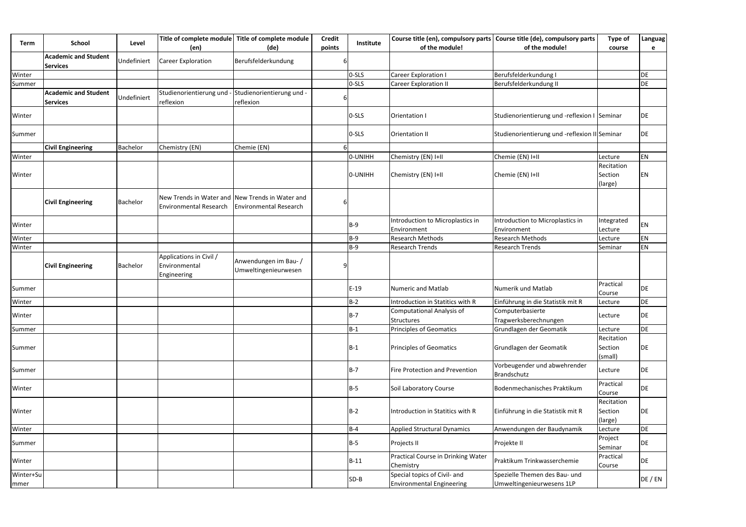| <b>Term</b>       | <b>School</b>                                  | Level           | Title of complete module<br>(en)                                          | Title of complete module<br>(de)              | <b>Credit</b><br>points | Institute  | Course title (en), compulsory parts<br>of the module!            | Course title (de), compulsory parts<br>of the module!      | <b>Type of</b><br>course         | Languag<br>e |
|-------------------|------------------------------------------------|-----------------|---------------------------------------------------------------------------|-----------------------------------------------|-------------------------|------------|------------------------------------------------------------------|------------------------------------------------------------|----------------------------------|--------------|
|                   | <b>Academic and Student</b><br><b>Services</b> | Undefiniert     | <b>Career Exploration</b>                                                 | Berufsfelderkundung                           |                         |            |                                                                  |                                                            |                                  |              |
| Winter            |                                                |                 |                                                                           |                                               |                         | 0-SLS      | <b>Career Exploration I</b>                                      | Berufsfelderkundung I                                      |                                  | DE           |
| Summer            |                                                |                 |                                                                           |                                               |                         | 0-SLS      | <b>Career Exploration II</b>                                     | Berufsfelderkundung II                                     |                                  | DE           |
|                   | <b>Academic and Student</b><br><b>Services</b> | Undefiniert     | Studienorientierung und<br>reflexion                                      | Studienorientierung und -<br>reflexion        |                         |            |                                                                  |                                                            |                                  |              |
| Winter            |                                                |                 |                                                                           |                                               |                         | $0-SLS$    | Orientation I                                                    | Studienorientierung und -reflexion I Seminar               |                                  | DE           |
| Summer            |                                                |                 |                                                                           |                                               |                         | $0-SLS$    | <b>Orientation II</b>                                            | Studienorientierung und -reflexion II Seminar              |                                  | DE           |
|                   | <b>Civil Engineering</b>                       | <b>Bachelor</b> | Chemistry (EN)                                                            | Chemie (EN)                                   |                         |            |                                                                  |                                                            |                                  |              |
| Winter            |                                                |                 |                                                                           |                                               |                         | 0-UNIHH    | Chemistry (EN) I+II                                              | Chemie (EN) I+II                                           | Lecture                          | <b>EN</b>    |
| Winter            |                                                |                 |                                                                           |                                               |                         | 0-UNIHH    | Chemistry (EN) I+II                                              | Chemie (EN) I+II                                           | Recitation<br>Section<br>(large) | EN           |
|                   | <b>Civil Engineering</b>                       | Bachelor        | New Trends in Water and New Trends in Water and<br>Environmental Research | <b>Environmental Research</b>                 |                         |            |                                                                  |                                                            |                                  |              |
| Winter            |                                                |                 |                                                                           |                                               |                         | $B-9$      | Introduction to Microplastics in<br>Environment                  | Introduction to Microplastics in<br>Environment            | Integrated<br>Lecture            | <b>EN</b>    |
| Winter            |                                                |                 |                                                                           |                                               |                         | B-9        | <b>Research Methods</b>                                          | <b>Research Methods</b>                                    | Lecture                          | EN           |
| Winter            |                                                |                 |                                                                           |                                               |                         | $B-9$      | <b>Research Trends</b>                                           | <b>Research Trends</b>                                     | Seminar                          | EN           |
|                   | <b>Civil Engineering</b>                       | Bachelor        | Applications in Civil /<br>Environmental<br>Engineering                   | Anwendungen im Bau- /<br>Umweltingenieurwesen |                         |            |                                                                  |                                                            |                                  |              |
| Summer            |                                                |                 |                                                                           |                                               |                         | $E-19$     | Numeric and Matlab                                               | Numerik und Matlab                                         | Practical<br>Course              | DE           |
| Winter            |                                                |                 |                                                                           |                                               |                         | <b>B-2</b> | Introduction in Statitics with R                                 | Einführung in die Statistik mit R                          | Lecture                          | DE           |
| Winter            |                                                |                 |                                                                           |                                               |                         | $B-7$      | <b>Computational Analysis of</b><br><b>Structures</b>            | Computerbasierte<br>Tragwerksberechnungen                  | Lecture                          | DE           |
| Summer            |                                                |                 |                                                                           |                                               |                         | $B-1$      | Principles of Geomatics                                          | Grundlagen der Geomatik                                    | Lecture                          | DE           |
| Summer            |                                                |                 |                                                                           |                                               |                         | $B-1$      | Principles of Geomatics                                          | Grundlagen der Geomatik                                    | Recitation<br>Section<br>(small) | DE           |
| Summer            |                                                |                 |                                                                           |                                               |                         | B-7        | <b>Fire Protection and Prevention</b>                            | Vorbeugender und abwehrender<br>Brandschutz                | Lecture                          | DE           |
| Winter            |                                                |                 |                                                                           |                                               |                         | B-5        | Soil Laboratory Course                                           | Bodenmechanisches Praktikum                                | Practical<br>Course              | DE           |
| Winter            |                                                |                 |                                                                           |                                               |                         | <b>B-2</b> | Introduction in Statitics with R                                 | Einführung in die Statistik mit R                          | Recitation<br>Section<br>(large) | DE           |
| Winter            |                                                |                 |                                                                           |                                               |                         | <b>B-4</b> | <b>Applied Structural Dynamics</b>                               | Anwendungen der Baudynamik                                 | Lecture                          | DE           |
| Summer            |                                                |                 |                                                                           |                                               |                         | $B-5$      | Projects II                                                      | Projekte II                                                | Project<br>Seminar               | DE           |
| Winter            |                                                |                 |                                                                           |                                               |                         | $B-11$     | Practical Course in Drinking Water<br>Chemistry                  | Praktikum Trinkwasserchemie                                | Practical<br>Course              | DE           |
| Winter+Su<br>mmer |                                                |                 |                                                                           |                                               |                         | $SD-B$     | Special topics of Civil- and<br><b>Environmental Engineering</b> | Spezielle Themen des Bau- und<br>Umweltingenieurwesens 1LP |                                  | DE / EN      |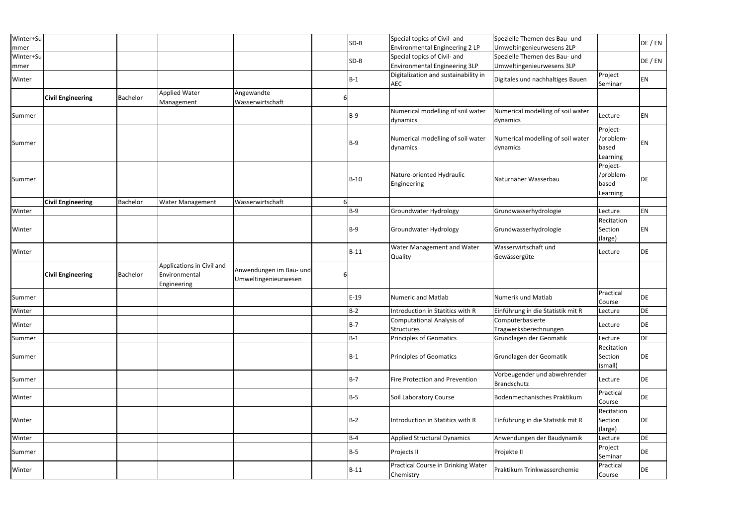| Winter+Su<br>mmer |                          |                 |                                                           |                                                 |    | $SD-B$     | Special topics of Civil- and<br>Environmental Engineering 2 LP       | Spezielle Themen des Bau- und<br>Umweltingenieurwesens 2LP |                                            | DE / EN   |
|-------------------|--------------------------|-----------------|-----------------------------------------------------------|-------------------------------------------------|----|------------|----------------------------------------------------------------------|------------------------------------------------------------|--------------------------------------------|-----------|
| Winter+Su<br>mmer |                          |                 |                                                           |                                                 |    | SD-B       | Special topics of Civil- and<br><b>Environmental Engineering 3LP</b> | Spezielle Themen des Bau- und<br>Umweltingenieurwesens 3LP |                                            | DE / EN   |
| Winter            |                          |                 |                                                           |                                                 |    | $B-1$      | Digitalization and sustainability in<br>AEC                          | Digitales und nachhaltiges Bauen                           | Project<br>Seminar                         | EN        |
|                   | <b>Civil Engineering</b> | <b>Bachelor</b> | <b>Applied Water</b><br>Management                        | Angewandte<br>Wasserwirtschaft                  |    |            |                                                                      |                                                            |                                            |           |
| Summer            |                          |                 |                                                           |                                                 |    | B-9        | Numerical modelling of soil water<br>dynamics                        | Numerical modelling of soil water<br>dynamics              | Lecture                                    | EN        |
| Summer            |                          |                 |                                                           |                                                 |    | B-9        | Numerical modelling of soil water<br>dynamics                        | Numerical modelling of soil water<br>dynamics              | Project-<br>/problem-<br>based<br>Learning | EN        |
| Summer            |                          |                 |                                                           |                                                 |    | $B-10$     | Nature-oriented Hydraulic<br>Engineering                             | Naturnaher Wasserbau                                       | Project-<br>/problem-<br>based<br>Learning | <b>DE</b> |
|                   | <b>Civil Engineering</b> | <b>Bachelor</b> | <b>Water Management</b>                                   | Wasserwirtschaft                                | 61 |            |                                                                      |                                                            |                                            |           |
| Winter            |                          |                 |                                                           |                                                 |    | B-9        | Groundwater Hydrology                                                | Grundwasserhydrologie                                      | Lecture                                    | EN        |
| Winter            |                          |                 |                                                           |                                                 |    | $B-9$      | <b>Groundwater Hydrology</b>                                         | Grundwasserhydrologie                                      | Recitation<br>Section<br>(large)           | EN        |
| Winter            |                          |                 |                                                           |                                                 |    | $B-11$     | Water Management and Water<br>Quality                                | Wasserwirtschaft und<br>Gewässergüte                       | Lecture                                    | DE        |
|                   | <b>Civil Engineering</b> | Bachelor        | Applications in Civil and<br>Environmental<br>Engineering | Anwendungen im Bau- und<br>Umweltingenieurwesen | h  |            |                                                                      |                                                            |                                            |           |
| Summer            |                          |                 |                                                           |                                                 |    | $E-19$     | <b>Numeric and Matlab</b>                                            | Numerik und Matlab                                         | Practical<br>Course                        | DE        |
| Winter            |                          |                 |                                                           |                                                 |    | $B-2$      | Introduction in Statitics with R                                     | Einführung in die Statistik mit R                          | Lecture                                    | DE        |
| Winter            |                          |                 |                                                           |                                                 |    | B-7        | <b>Computational Analysis of</b><br><b>Structures</b>                | Computerbasierte<br>Tragwerksberechnungen                  | Lecture                                    | DE        |
| Summer            |                          |                 |                                                           |                                                 |    | $B-1$      | Principles of Geomatics                                              | Grundlagen der Geomatik                                    | Lecture                                    | DE        |
| Summer            |                          |                 |                                                           |                                                 |    | B-1        | Principles of Geomatics                                              | Grundlagen der Geomatik                                    | Recitation<br>Section<br>(small)           | DE        |
| Summer            |                          |                 |                                                           |                                                 |    | B-7        | Fire Protection and Prevention                                       | Vorbeugender und abwehrender<br>Brandschutz                | Lecture                                    | DE        |
| Winter            |                          |                 |                                                           |                                                 |    | B-5        | Soil Laboratory Course                                               | Bodenmechanisches Praktikum                                | Practical<br>Course                        | DE        |
| Winter            |                          |                 |                                                           |                                                 |    | <b>B-2</b> | Introduction in Statitics with R                                     | Einführung in die Statistik mit R                          | Recitation<br>Section<br>(large)           | DE        |
| Winter            |                          |                 |                                                           |                                                 |    | <b>B-4</b> | <b>Applied Structural Dynamics</b>                                   | Anwendungen der Baudynamik                                 | Lecture                                    | DE        |
| Summer            |                          |                 |                                                           |                                                 |    | B-5        | Projects II                                                          | Projekte II                                                | Project<br>Seminar                         | DE        |
| Winter            |                          |                 |                                                           |                                                 |    | $B-11$     | Practical Course in Drinking Water<br>Chemistry                      | Praktikum Trinkwasserchemie                                | Practical<br>Course                        | DE        |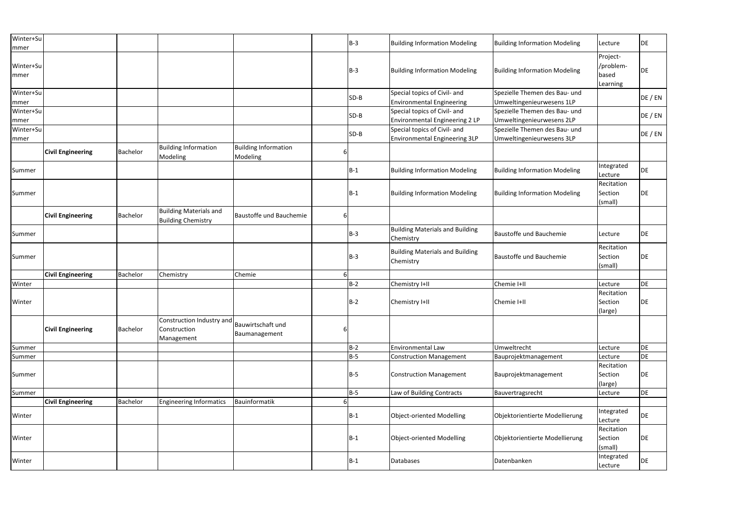| Winter+Su<br>mmer |                          |                 |                                                            |                                         |   | $B-3$  | <b>Building Information Modeling</b>                                 | <b>Building Information Modeling</b>                       | Lecture                                    | DE      |
|-------------------|--------------------------|-----------------|------------------------------------------------------------|-----------------------------------------|---|--------|----------------------------------------------------------------------|------------------------------------------------------------|--------------------------------------------|---------|
| Winter+Su<br>mmer |                          |                 |                                                            |                                         |   | B-3    | <b>Building Information Modeling</b>                                 | <b>Building Information Modeling</b>                       | Project-<br>/problem-<br>based<br>Learning | DE      |
| Winter+Su<br>mmer |                          |                 |                                                            |                                         |   | $SD-B$ | Special topics of Civil- and<br><b>Environmental Engineering</b>     | Spezielle Themen des Bau- und<br>Umweltingenieurwesens 1LP |                                            | DE / EN |
| Winter+Su<br>mmer |                          |                 |                                                            |                                         |   | $SD-B$ | Special topics of Civil- and<br>Environmental Engineering 2 LP       | Spezielle Themen des Bau- und<br>Umweltingenieurwesens 2LP |                                            | DE / EN |
| Winter+Su<br>mmer |                          |                 |                                                            |                                         |   | $SD-B$ | Special topics of Civil- and<br><b>Environmental Engineering 3LP</b> | Spezielle Themen des Bau- und<br>Umweltingenieurwesens 3LP |                                            | DE / EN |
|                   | <b>Civil Engineering</b> | Bachelor        | <b>Building Information</b><br>Modeling                    | <b>Building Information</b><br>Modeling | b |        |                                                                      |                                                            |                                            |         |
| Summer            |                          |                 |                                                            |                                         |   | $B-1$  | <b>Building Information Modeling</b>                                 | <b>Building Information Modeling</b>                       | Integrated<br>Lecture                      | DE      |
| Summer            |                          |                 |                                                            |                                         |   | $B-1$  | <b>Building Information Modeling</b>                                 | <b>Building Information Modeling</b>                       | Recitation<br>Section<br>(small)           | DE      |
|                   | <b>Civil Engineering</b> | <b>Bachelor</b> | <b>Building Materials and</b><br><b>Building Chemistry</b> | Baustoffe und Bauchemie                 | 6 |        |                                                                      |                                                            |                                            |         |
| Summer            |                          |                 |                                                            |                                         |   | $B-3$  | <b>Building Materials and Building</b><br>Chemistry                  | Baustoffe und Bauchemie                                    | Lecture                                    | DE      |
| Summer            |                          |                 |                                                            |                                         |   | $B-3$  | <b>Building Materials and Building</b><br>Chemistry                  | Baustoffe und Bauchemie                                    | Recitation<br>Section<br>(small)           | DE      |
|                   | <b>Civil Engineering</b> | <b>Bachelor</b> | Chemistry                                                  | Chemie                                  | 6 |        |                                                                      |                                                            |                                            |         |
| Winter            |                          |                 |                                                            |                                         |   | $B-2$  | Chemistry I+II                                                       | Chemie I+II                                                | Lecture                                    | DE      |
| Winter            |                          |                 |                                                            |                                         |   | $B-2$  | Chemistry I+II                                                       | Chemie I+II                                                | Recitation<br>Section<br>(large)           | DE      |
|                   | <b>Civil Engineering</b> | Bachelor        | Construction Industry and<br>Construction<br>Management    | Bauwirtschaft und<br>Baumanagement      | ь |        |                                                                      |                                                            |                                            |         |
| Summer            |                          |                 |                                                            |                                         |   | $B-2$  | Environmental Law                                                    | Umweltrecht                                                | Lecture                                    | DE      |
| Summer            |                          |                 |                                                            |                                         |   | $B-5$  | <b>Construction Management</b>                                       | Bauprojektmanagement                                       | Lecture                                    | DE      |
| Summer            |                          |                 |                                                            |                                         |   | $B-5$  | <b>Construction Management</b>                                       | Bauprojektmanagement                                       | Recitation<br>Section<br>(large)           | DE      |
| Summer            |                          |                 |                                                            |                                         |   | $B-5$  | Law of Building Contracts                                            | Bauvertragsrecht                                           | Lecture                                    | DE      |
|                   | <b>Civil Engineering</b> | <b>Bachelor</b> | <b>Engineering Informatics</b>                             | Bauinformatik                           |   |        |                                                                      |                                                            |                                            |         |
| Winter            |                          |                 |                                                            |                                         |   | $B-1$  | <b>Object-oriented Modelling</b>                                     | Objektorientierte Modellierung                             | Integrated<br>Lecture                      | DE      |
| Winter            |                          |                 |                                                            |                                         |   | $B-1$  | <b>Object-oriented Modelling</b>                                     | Objektorientierte Modellierung                             | Recitation<br>Section<br>(small)           | DE      |
| Winter            |                          |                 |                                                            |                                         |   | $B-1$  | Databases                                                            | Datenbanken                                                | Integrated<br>Lecture                      | DE      |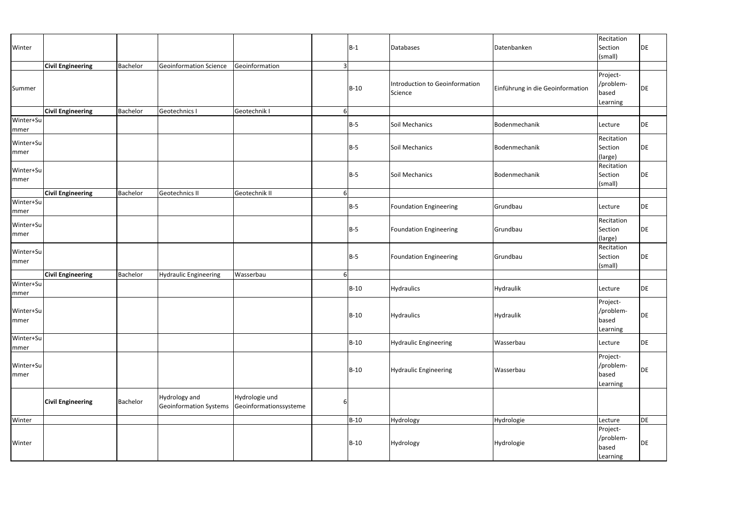| Winter                   |                          |                 |                                                |                                          |                | $ B-1 $ | Databases                                 | Datenbanken                      | Recitation<br>Section<br>(small)           | DE        |
|--------------------------|--------------------------|-----------------|------------------------------------------------|------------------------------------------|----------------|---------|-------------------------------------------|----------------------------------|--------------------------------------------|-----------|
| Summer                   | <b>Civil Engineering</b> | Bachelor        | Geoinformation Science                         | Geoinformation                           | $\overline{3}$ | $B-10$  | Introduction to Geoinformation<br>Science | Einführung in die Geoinformation | Project-<br>/problem-<br>based<br>Learning | DE        |
|                          | <b>Civil Engineering</b> | Bachelor        | Geotechnics I                                  | Geotechnik I                             | $6 \mid$       |         |                                           |                                  |                                            |           |
| Winter+Su<br>mmer        |                          |                 |                                                |                                          |                | $ B-5 $ | Soil Mechanics                            | Bodenmechanik                    | Lecture                                    | <b>DE</b> |
| Winter+Su<br>mmer        |                          |                 |                                                |                                          |                | $B-5$   | Soil Mechanics                            | Bodenmechanik                    | Recitation<br>Section<br>(large)           | DE        |
| Winter+Su<br><b>mmer</b> |                          |                 |                                                |                                          |                | $ B-5 $ | Soil Mechanics                            | Bodenmechanik                    | Recitation<br>Section<br>(small)           | DE        |
|                          | <b>Civil Engineering</b> | Bachelor        | Geotechnics II                                 | Geotechnik II                            | $6 \mid$       |         |                                           |                                  |                                            |           |
| Winter+Su<br>mmer        |                          |                 |                                                |                                          |                | $ B-5 $ | Foundation Engineering                    | Grundbau                         | Lecture                                    | DE        |
| Winter+Su<br>mmer        |                          |                 |                                                |                                          |                | $ B-5 $ | <b>Foundation Engineering</b>             | Grundbau                         | Recitation<br>Section<br>(large)           | <b>DE</b> |
| Winter+Su<br>mmer        |                          |                 |                                                |                                          |                | $B-5$   | <b>Foundation Engineering</b>             | Grundbau                         | Recitation<br>Section<br>(small)           | DE        |
|                          | <b>Civil Engineering</b> | Bachelor        | <b>Hydraulic Engineering</b>                   | Wasserbau                                | <sup>6</sup>   |         |                                           |                                  |                                            |           |
| Winter+Su<br> mmer       |                          |                 |                                                |                                          |                | $B-10$  | Hydraulics                                | Hydraulik                        | Lecture                                    | DE        |
| Winter+Su<br>mmer        |                          |                 |                                                |                                          |                | $B-10$  | Hydraulics                                | Hydraulik                        | Project-<br>/problem-<br>based<br>Learning | DE        |
| Winter+Su<br> mmer       |                          |                 |                                                |                                          |                | $B-10$  | Hydraulic Engineering                     | Wasserbau                        | Lecture                                    | DE        |
| Winter+Su<br>mmer        |                          |                 |                                                |                                          |                | $B-10$  | Hydraulic Engineering                     | Wasserbau                        | Project-<br>/problem-<br>based<br>Learning | DE        |
|                          | <b>Civil Engineering</b> | <b>Bachelor</b> | <b>Hydrology</b> and<br>Geoinformation Systems | Hydrologie und<br>Geoinformationssysteme | 6              |         |                                           |                                  |                                            |           |
| Winter                   |                          |                 |                                                |                                          |                | $B-10$  | Hydrology                                 | Hydrologie                       | Lecture                                    | DE        |
| Winter                   |                          |                 |                                                |                                          |                | $B-10$  | Hydrology                                 | Hydrologie                       | Project-<br>/problem-<br>based<br>Learning | DE        |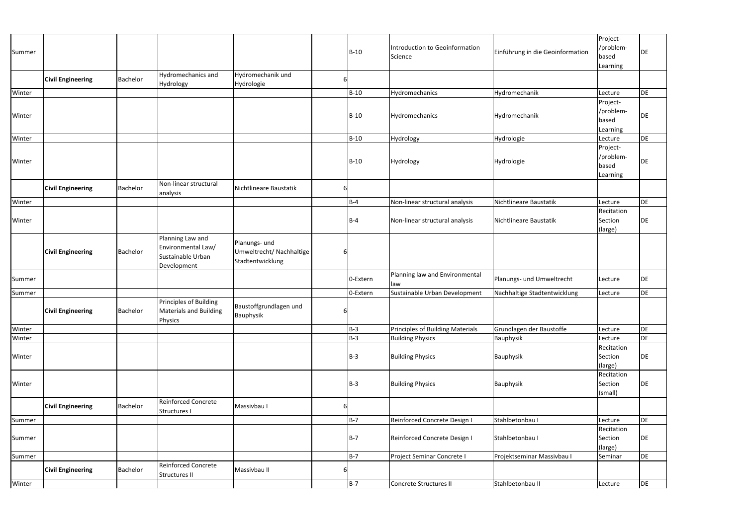| Summer |                          |          |                                                                            |                                                               |   | B-10       | Introduction to Geoinformation<br>Science | Einführung in die Geoinformation | Project-<br>/problem-<br>based<br>Learning | DE |
|--------|--------------------------|----------|----------------------------------------------------------------------------|---------------------------------------------------------------|---|------------|-------------------------------------------|----------------------------------|--------------------------------------------|----|
|        | <b>Civil Engineering</b> | Bachelor | Hydromechanics and<br>Hydrology                                            | Hydromechanik und<br>Hydrologie                               | 6 |            |                                           |                                  |                                            |    |
| Winter |                          |          |                                                                            |                                                               |   | B-10       | Hydromechanics                            | Hydromechanik                    | Lecture                                    | DE |
| Winter |                          |          |                                                                            |                                                               |   | B-10       | Hydromechanics                            | Hydromechanik                    | Project-<br>/problem-<br>based<br>Learning | DE |
| Winter |                          |          |                                                                            |                                                               |   | B-10       | Hydrology                                 | Hydrologie                       | Lecture                                    | DE |
| Winter |                          |          |                                                                            |                                                               |   | B-10       | Hydrology                                 | Hydrologie                       | Project-<br>/problem-<br>based<br>Learning | DE |
|        | <b>Civil Engineering</b> | Bachelor | Non-linear structural<br>analysis                                          | Nichtlineare Baustatik                                        | 6 |            |                                           |                                  |                                            |    |
| Winter |                          |          |                                                                            |                                                               |   | <b>B-4</b> | Non-linear structural analysis            | Nichtlineare Baustatik           | Lecture                                    | DE |
| Winter |                          |          |                                                                            |                                                               |   | B-4        | Non-linear structural analysis            | Nichtlineare Baustatik           | Recitation<br>Section<br>(large)           | DE |
|        | <b>Civil Engineering</b> | Bachelor | Planning Law and<br>Environmental Law/<br>Sustainable Urban<br>Development | Planungs- und<br>Umweltrecht/ Nachhaltige<br>Stadtentwicklung | 6 |            |                                           |                                  |                                            |    |
| Summer |                          |          |                                                                            |                                                               |   | 0-Extern   | Planning law and Environmental<br>law     | Planungs- und Umweltrecht        | Lecture                                    | DE |
| Summer |                          |          |                                                                            |                                                               |   | 0-Extern   | Sustainable Urban Development             | Nachhaltige Stadtentwicklung     | Lecture                                    | DE |
|        | <b>Civil Engineering</b> | Bachelor | <b>Principles of Building</b><br>Materials and Building<br>Physics         | Baustoffgrundlagen und<br>Bauphysik                           |   | $6 \mid$   |                                           |                                  |                                            |    |
| Winter |                          |          |                                                                            |                                                               |   | <b>B-3</b> | Principles of Building Materials          | Grundlagen der Baustoffe         | Lecture                                    | DE |
| Winter |                          |          |                                                                            |                                                               |   | $B-3$      | <b>Building Physics</b>                   | Bauphysik                        | Lecture                                    | DE |
| Winter |                          |          |                                                                            |                                                               |   | $B-3$      | <b>Building Physics</b>                   | Bauphysik                        | Recitation<br>Section<br>(large)           | DE |
| Winter |                          |          |                                                                            |                                                               |   | B-3        | <b>Building Physics</b>                   | Bauphysik                        | Recitation<br>Section<br>(small)           | DE |
|        | <b>Civil Engineering</b> | Bachelor | <b>Reinforced Concrete</b><br>Structures I                                 | Massivbau I                                                   | 6 |            |                                           |                                  |                                            |    |
| Summer |                          |          |                                                                            |                                                               |   | $B-7$      | Reinforced Concrete Design I              | Stahlbetonbau I                  | Lecture                                    | DE |
| Summer |                          |          |                                                                            |                                                               |   | B-7        | Reinforced Concrete Design I              | Stahlbetonbau I                  | Recitation<br>Section<br>(large)           | DE |
| Summer |                          |          |                                                                            |                                                               |   | $B-7$      | Project Seminar Concrete I                | Projektseminar Massivbau I       | Seminar                                    | DE |
|        | <b>Civil Engineering</b> | Bachelor | <b>Reinforced Concrete</b><br>Structures II                                | Massivbau II                                                  | 6 |            |                                           |                                  |                                            |    |
| Winter |                          |          |                                                                            |                                                               |   | <b>B-7</b> | Concrete Structures II                    | Stahlbetonbau II                 | Lecture                                    | DE |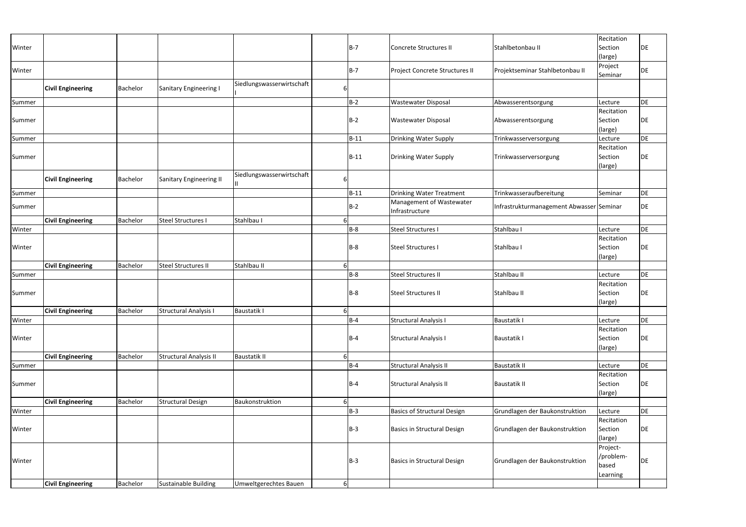| Winter |                          |          |                             |                           |          | $B-7$      | Concrete Structures II                     | Stahlbetonbau II                         | Recitation<br>Section<br>(large)           | DE |
|--------|--------------------------|----------|-----------------------------|---------------------------|----------|------------|--------------------------------------------|------------------------------------------|--------------------------------------------|----|
| Winter |                          |          |                             |                           |          | $B-7$      | Project Concrete Structures II             | Projektseminar Stahlbetonbau II          | Project<br>Seminar                         | DE |
|        | <b>Civil Engineering</b> | Bachelor | Sanitary Engineering I      | Siedlungswasserwirtschaft |          |            |                                            |                                          |                                            |    |
| Summer |                          |          |                             |                           |          | $B-2$      | <b>Wastewater Disposal</b>                 | Abwasserentsorgung                       | Lecture                                    | DE |
| Summer |                          |          |                             |                           |          | $B-2$      | <b>Wastewater Disposal</b>                 | Abwasserentsorgung                       | Recitation<br>Section<br>(large)           | DE |
| Summer |                          |          |                             |                           |          | $B-11$     | <b>Drinking Water Supply</b>               | Trinkwasserversorgung                    | Lecture                                    | DE |
| Summer |                          |          |                             |                           |          | $B-11$     | Drinking Water Supply                      | Trinkwasserversorgung                    | Recitation<br>Section<br>(large)           | DE |
|        | <b>Civil Engineering</b> | Bachelor | Sanitary Engineering II     | Siedlungswasserwirtschaft |          |            |                                            |                                          |                                            |    |
| Summer |                          |          |                             |                           |          | $B-11$     | <b>Drinking Water Treatment</b>            | Trinkwasseraufbereitung                  | Seminar                                    | DE |
| Summer |                          |          |                             |                           |          | <b>B-2</b> | Management of Wastewater<br>Infrastructure | Infrastrukturmanagement Abwasser Seminar |                                            | DE |
|        | <b>Civil Engineering</b> | Bachelor | <b>Steel Structures I</b>   | Stahlbau I                |          |            |                                            |                                          |                                            |    |
| Winter |                          |          |                             |                           |          | $B-8$      | <b>Steel Structures I</b>                  | Stahlbau I                               | Lecture                                    | DE |
| Winter |                          |          |                             |                           |          | $B-8$      | <b>Steel Structures I</b>                  | Stahlbau I                               | Recitation<br>Section<br>(large)           | DE |
|        | <b>Civil Engineering</b> | Bachelor | <b>Steel Structures II</b>  | Stahlbau II               | 6        |            |                                            |                                          |                                            |    |
| Summer |                          |          |                             |                           |          | $B-8$      | <b>Steel Structures II</b>                 | Stahlbau II                              | Lecture                                    | DE |
| Summer |                          |          |                             |                           |          | $B-8$      | Steel Structures II                        | Stahlbau II                              | Recitation<br>Section<br>(large)           | DE |
|        | <b>Civil Engineering</b> | Bachelor | Structural Analysis I       | <b>Baustatik I</b>        |          |            |                                            |                                          |                                            |    |
| Winter |                          |          |                             |                           |          | $B-4$      | <b>Structural Analysis I</b>               | <b>Baustatik I</b>                       | Lecture                                    | DE |
| Winter |                          |          |                             |                           |          | <b>B-4</b> | <b>Structural Analysis I</b>               | <b>Baustatik I</b>                       | Recitation<br>Section<br>(large)           | DE |
|        | <b>Civil Engineering</b> | Bachelor | Structural Analysis II      | <b>Baustatik II</b>       | 6        |            |                                            |                                          |                                            |    |
| Summer |                          |          |                             |                           |          | $B-4$      | <b>Structural Analysis II</b>              | <b>Baustatik II</b>                      | Lecture                                    | DE |
| Summer |                          |          |                             |                           |          | <b>B-4</b> | <b>Structural Analysis II</b>              | <b>Baustatik II</b>                      | Recitation<br>Section<br>(large)           | DE |
|        | <b>Civil Engineering</b> | Bachelor | <b>Structural Design</b>    | Baukonstruktion           |          |            |                                            |                                          |                                            |    |
| Winter |                          |          |                             |                           |          | <b>B-3</b> | <b>Basics of Structural Design</b>         | Grundlagen der Baukonstruktion           | Lecture                                    | DE |
| Winter |                          |          |                             |                           |          | $B-3$      | <b>Basics in Structural Design</b>         | Grundlagen der Baukonstruktion           | Recitation<br>Section<br>(large)           | DE |
| Winter |                          |          |                             |                           |          | $B-3$      | <b>Basics in Structural Design</b>         | Grundlagen der Baukonstruktion           | Project-<br>/problem-<br>based<br>Learning | DE |
|        | <b>Civil Engineering</b> | Bachelor | <b>Sustainable Building</b> | Umweltgerechtes Bauen     | $6 \mid$ |            |                                            |                                          |                                            |    |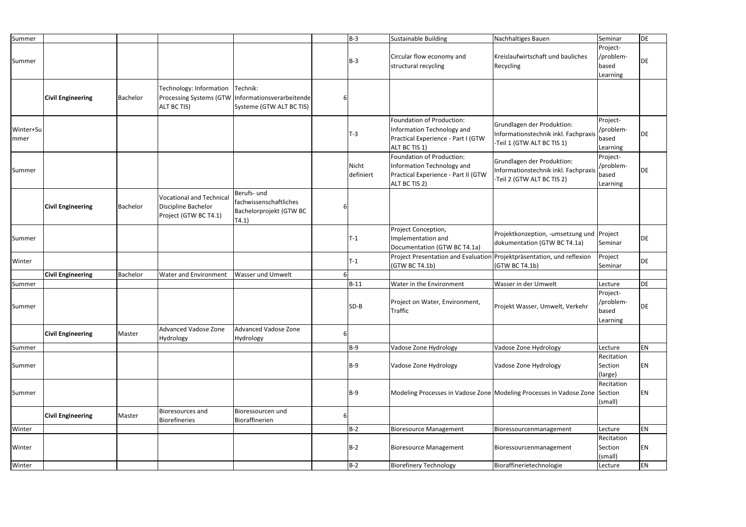| Summer             |                          |                 |                                                                                 |                                                                                   |   | $B-3$              | Sustainable Building                                                                                            | Nachhaltiges Bauen                                                                               | Seminar                                    | DE |
|--------------------|--------------------------|-----------------|---------------------------------------------------------------------------------|-----------------------------------------------------------------------------------|---|--------------------|-----------------------------------------------------------------------------------------------------------------|--------------------------------------------------------------------------------------------------|--------------------------------------------|----|
| Summer             |                          |                 |                                                                                 |                                                                                   |   | $B-3$              | Circular flow economy and<br>structural recycling                                                               | Kreislaufwirtschaft und bauliches<br>Recycling                                                   | Project-<br>/problem-<br>based<br>Learning | DE |
|                    | <b>Civil Engineering</b> | Bachelor        | Technology: Information<br><b>Processing Systems (GTW</b><br>ALT BC TIS)        | Technik:<br>Informationsverarbeitende<br>Systeme (GTW ALT BC TIS)                 |   |                    |                                                                                                                 |                                                                                                  |                                            |    |
| Winter+Su<br>Immer |                          |                 |                                                                                 |                                                                                   |   | T-3                | Foundation of Production:<br>Information Technology and<br>Practical Experience - Part I (GTW<br>ALT BC TIS 1)  | Grundlagen der Produktion:<br>Informationstechnik inkl. Fachpraxis<br>-Teil 1 (GTW ALT BC TIS 1) | Project-<br>/problem-<br>based<br>Learning | DE |
| Summer             |                          |                 |                                                                                 |                                                                                   |   | Nicht<br>definiert | Foundation of Production:<br>Information Technology and<br>Practical Experience - Part II (GTW<br>ALT BC TIS 2) | Grundlagen der Produktion:<br>Informationstechnik inkl. Fachpraxis<br>-Teil 2 (GTW ALT BC TIS 2) | Project-<br>/problem-<br>based<br>Learning | DE |
|                    | <b>Civil Engineering</b> | Bachelor        | <b>Vocational and Technical</b><br>Discipline Bachelor<br>Project (GTW BC T4.1) | Berufs- und<br>fachwissenschaftliches<br>Bachelorprojekt (GTW BC<br>$\vert$ T4.1) |   |                    |                                                                                                                 |                                                                                                  |                                            |    |
| Summer             |                          |                 |                                                                                 |                                                                                   |   | $T-1$              | Project Conception,<br>Implementation and<br>Documentation (GTW BC T4.1a)                                       | Projektkonzeption, -umsetzung und Project<br>dokumentation (GTW BC T4.1a)                        | Seminar                                    | DE |
| Winter             |                          |                 |                                                                                 |                                                                                   |   | $T-1$              | Project Presentation and Evaluation Projektpräsentation, und reflexion<br>(GTW BC T4.1b)                        | (GTW BC T4.1b)                                                                                   | Project<br>Seminar                         | DE |
|                    | <b>Civil Engineering</b> | <b>Bachelor</b> | Water and Environment                                                           | <b>Wasser und Umwelt</b>                                                          |   |                    |                                                                                                                 |                                                                                                  |                                            |    |
| Summer             |                          |                 |                                                                                 |                                                                                   |   | $B-11$             | Water in the Environment                                                                                        | <b>Wasser in der Umwelt</b>                                                                      | Lecture                                    | DE |
| Summer             |                          |                 |                                                                                 |                                                                                   |   | SD-B               | Project on Water, Environment,<br><b>Traffic</b>                                                                | Projekt Wasser, Umwelt, Verkehr                                                                  | Project-<br>/problem-<br>based<br>Learning | DE |
|                    | <b>Civil Engineering</b> | Master          | <b>Advanced Vadose Zone</b><br>Hydrology                                        | Advanced Vadose Zone<br>Hydrology                                                 | 6 |                    |                                                                                                                 |                                                                                                  |                                            |    |
| Summer             |                          |                 |                                                                                 |                                                                                   |   | $B-9$              | Vadose Zone Hydrology                                                                                           | Vadose Zone Hydrology                                                                            | Lecture                                    | EN |
| Summer             |                          |                 |                                                                                 |                                                                                   |   | $B-9$              | Vadose Zone Hydrology                                                                                           | Vadose Zone Hydrology                                                                            | Recitation<br>Section<br>(large)           | ΕN |
| Summer             |                          |                 |                                                                                 |                                                                                   |   | $B-9$              |                                                                                                                 | Modeling Processes in Vadose Zone Modeling Processes in Vadose Zone Section                      | Recitation<br>(small)                      | ΕN |
|                    | <b>Civil Engineering</b> | Master          | <b>Bioresources and</b><br><b>Biorefineries</b>                                 | Bioressourcen und<br>Bioraffinerien                                               | 6 |                    |                                                                                                                 |                                                                                                  |                                            |    |
| Winter             |                          |                 |                                                                                 |                                                                                   |   | $B-2$              | <b>Bioresource Management</b>                                                                                   | Bioressourcenmanagement                                                                          | Lecture                                    | EN |
| Winter             |                          |                 |                                                                                 |                                                                                   |   | $B-2$              | <b>Bioresource Management</b>                                                                                   | Bioressourcenmanagement                                                                          | Recitation<br>Section<br>(small)           | ΕN |
| Winter             |                          |                 |                                                                                 |                                                                                   |   | $B-2$              | <b>Biorefinery Technology</b>                                                                                   | Bioraffinerietechnologie                                                                         | Lecture                                    | EN |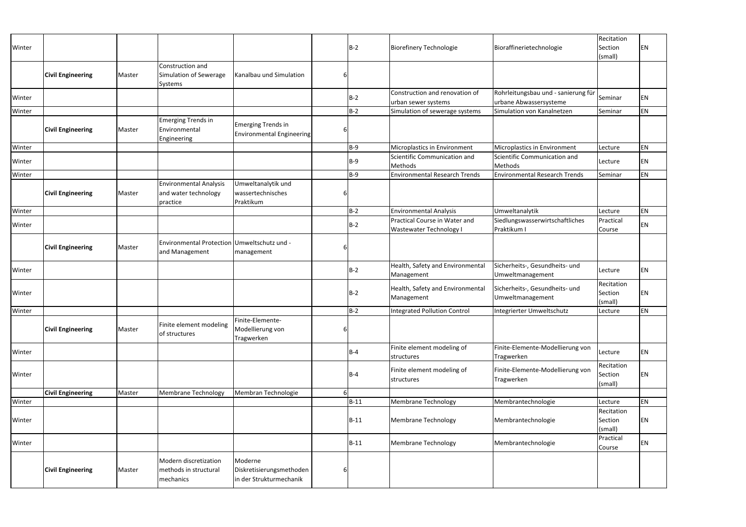| Winter |                          |        |                                                                   |                                                                |   | B-2        | <b>Biorefinery Technologie</b>                                  | Bioraffinerietechnologie                                      | Recitation<br>Section<br>(small) | EN        |
|--------|--------------------------|--------|-------------------------------------------------------------------|----------------------------------------------------------------|---|------------|-----------------------------------------------------------------|---------------------------------------------------------------|----------------------------------|-----------|
|        | <b>Civil Engineering</b> | Master | Construction and<br>Simulation of Sewerage<br>Systems             | Kanalbau und Simulation                                        |   |            |                                                                 |                                                               |                                  |           |
| Winter |                          |        |                                                                   |                                                                |   | $B-2$      | Construction and renovation of<br>urban sewer systems           | Rohrleitungsbau und - sanierung für<br>urbane Abwassersysteme | Seminar                          | EN        |
| Winter |                          |        |                                                                   |                                                                |   | B-2        | Simulation of sewerage systems                                  | Simulation von Kanalnetzen                                    | Seminar                          | EN        |
|        | <b>Civil Engineering</b> | Master | <b>Emerging Trends in</b><br>Environmental<br>Engineering         | <b>Emerging Trends in</b><br><b>Environmental Engineering</b>  |   |            |                                                                 |                                                               |                                  |           |
| Winter |                          |        |                                                                   |                                                                |   | $B-9$      | Microplastics in Environment                                    | Microplastics in Environment                                  | Lecture                          | EN        |
| Winter |                          |        |                                                                   |                                                                |   | $B-9$      | Scientific Communication and<br>Methods                         | Scientific Communication and<br>Methods                       | Lecture                          | EN        |
| Winter |                          |        |                                                                   |                                                                |   | B-9        | <b>Environmental Research Trends</b>                            | <b>Environmental Research Trends</b>                          | Seminar                          | <b>EN</b> |
|        | <b>Civil Engineering</b> | Master | <b>Environmental Analysis</b><br>and water technology<br>practice | Umweltanalytik und<br>wassertechnisches<br>Praktikum           |   |            |                                                                 |                                                               |                                  |           |
| Winter |                          |        |                                                                   |                                                                |   | $B-2$      | <b>Environmental Analysis</b>                                   | Umweltanalytik                                                | Lecture                          | EN        |
| Winter |                          |        |                                                                   |                                                                |   | $B-2$      | Practical Course in Water and<br><b>Wastewater Technology I</b> | Siedlungswasserwirtschaftliches<br>Praktikum I                | Practical<br>Course              | EN        |
|        | <b>Civil Engineering</b> | Master | Environmental Protection Umweltschutz und -<br>and Management     | management                                                     |   |            |                                                                 |                                                               |                                  |           |
| Winter |                          |        |                                                                   |                                                                |   | $B-2$      | Health, Safety and Environmental<br>Management                  | Sicherheits-, Gesundheits- und<br>Umweltmanagement            | Lecture                          | <b>EN</b> |
| Winter |                          |        |                                                                   |                                                                |   | <b>B-2</b> | Health, Safety and Environmental<br>Management                  | Sicherheits-, Gesundheits- und<br>Umweltmanagement            | Recitation<br>Section<br>(small) | <b>EN</b> |
| Winter |                          |        |                                                                   |                                                                |   | B-2        | <b>Integrated Pollution Control</b>                             | Integrierter Umweltschutz                                     | Lecture                          | EN        |
|        | <b>Civil Engineering</b> | Master | Finite element modeling<br>of structures                          | Finite-Elemente-<br>Modellierung von<br>Tragwerken             |   |            |                                                                 |                                                               |                                  |           |
| Winter |                          |        |                                                                   |                                                                |   | $B-4$      | Finite element modeling of<br>structures                        | Finite-Elemente-Modellierung von<br>Tragwerken                | Lecture                          | EN        |
| Winter |                          |        |                                                                   |                                                                |   | $B-4$      | Finite element modeling of<br>structures                        | Finite-Elemente-Modellierung von<br>Tragwerken                | Recitation<br>Section<br>(small) | <b>EN</b> |
|        | <b>Civil Engineering</b> | Master | <b>Membrane Technology</b>                                        | Membran Technologie                                            |   |            |                                                                 |                                                               |                                  |           |
| Winter |                          |        |                                                                   |                                                                |   | $B-11$     | <b>Membrane Technology</b>                                      | Membrantechnologie                                            | Lecture                          | EN        |
| Winter |                          |        |                                                                   |                                                                |   | $B-11$     | <b>Membrane Technology</b>                                      | Membrantechnologie                                            | Recitation<br>Section<br>(small) | EN        |
| Winter |                          |        |                                                                   |                                                                |   | $B-11$     | <b>Membrane Technology</b>                                      | Membrantechnologie                                            | Practical<br>Course              | <b>EN</b> |
|        | <b>Civil Engineering</b> | Master | Modern discretization<br>methods in structural<br>mechanics       | Moderne<br>Diskretisierungsmethoden<br>in der Strukturmechanik | 6 |            |                                                                 |                                                               |                                  |           |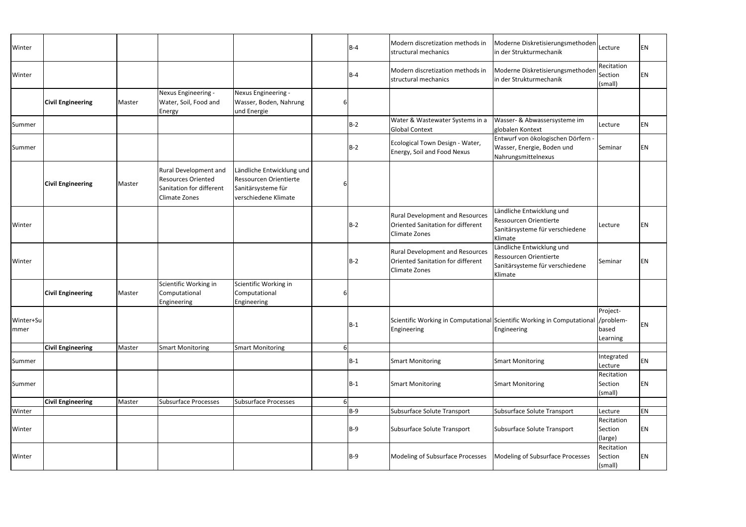| Winter            |                          |        |                                                                                                               |                                                                                                   |   | $B-4$   | Modern discretization methods in<br>structural mechanics                                            | Moderne Diskretisierungsmethoden<br>in der Strukturmechanik                                              | Lecture                          | <b>EN</b> |
|-------------------|--------------------------|--------|---------------------------------------------------------------------------------------------------------------|---------------------------------------------------------------------------------------------------|---|---------|-----------------------------------------------------------------------------------------------------|----------------------------------------------------------------------------------------------------------|----------------------------------|-----------|
| Winter            |                          |        |                                                                                                               |                                                                                                   |   | $B-4$   | Modern discretization methods in<br>structural mechanics                                            | Moderne Diskretisierungsmethoden<br>in der Strukturmechanik                                              | Recitation<br>Section<br>(small) | <b>EN</b> |
|                   | <b>Civil Engineering</b> | Master | Nexus Engineering -<br>Water, Soil, Food and<br>Energy                                                        | Nexus Engineering -<br>Wasser, Boden, Nahrung<br>und Energie                                      | 6 |         |                                                                                                     |                                                                                                          |                                  |           |
| Summer            |                          |        |                                                                                                               |                                                                                                   |   | $B-2$   | Water & Wastewater Systems in a<br><b>Global Context</b>                                            | Wasser- & Abwassersysteme im<br>globalen Kontext                                                         | Lecture                          | <b>EN</b> |
| Summer            |                          |        |                                                                                                               |                                                                                                   |   | $B-2$   | Ecological Town Design - Water,<br>Energy, Soil and Food Nexus                                      | Entwurf von ökologischen Dörfern -<br>Wasser, Energie, Boden und<br>Nahrungsmittelnexus                  | Seminar                          | <b>EN</b> |
|                   | <b>Civil Engineering</b> | Master | <b>Rural Development and</b><br><b>Resources Oriented</b><br>Sanitation for different<br><b>Climate Zones</b> | Ländliche Entwicklung und<br>Ressourcen Orientierte<br>Sanitärsysteme für<br>verschiedene Klimate | 6 |         |                                                                                                     |                                                                                                          |                                  |           |
| Winter            |                          |        |                                                                                                               |                                                                                                   |   | $ B-2 $ | <b>Rural Development and Resources</b><br>Oriented Sanitation for different<br><b>Climate Zones</b> | Ländliche Entwicklung und<br><b>Ressourcen Orientierte</b><br>Sanitärsysteme für verschiedene<br>Klimate | Lecture                          | EN        |
| Winter            |                          |        |                                                                                                               |                                                                                                   |   | $ B-2 $ | <b>Rural Development and Resources</b><br>Oriented Sanitation for different<br><b>Climate Zones</b> | Ländliche Entwicklung und<br>Ressourcen Orientierte<br>Sanitärsysteme für verschiedene<br>Klimate        | Seminar                          | EN        |
|                   | <b>Civil Engineering</b> | Master | Scientific Working in<br>Computational<br>Engineering                                                         | Scientific Working in<br>Computational<br>Engineering                                             | 6 |         |                                                                                                     |                                                                                                          |                                  |           |
| Winter+Su<br>mmer |                          |        |                                                                                                               |                                                                                                   |   | $B-1$   | Engineering                                                                                         | Scientific Working in Computational Scientific Working in Computational //problem-<br>Engineering        | Project-<br>based<br>Learning    | <b>EN</b> |
|                   | <b>Civil Engineering</b> | Master | <b>Smart Monitoring</b>                                                                                       | <b>Smart Monitoring</b>                                                                           | 6 |         |                                                                                                     |                                                                                                          |                                  |           |
| Summer            |                          |        |                                                                                                               |                                                                                                   |   | $B-1$   | <b>Smart Monitoring</b>                                                                             | <b>Smart Monitoring</b>                                                                                  | Integrated<br>Lecture            | <b>EN</b> |
| Summer            |                          |        |                                                                                                               |                                                                                                   |   | $ B-1 $ | <b>Smart Monitoring</b>                                                                             | <b>Smart Monitoring</b>                                                                                  | Recitation<br>Section<br>(small) | <b>EN</b> |
|                   | <b>Civil Engineering</b> | Master | <b>Subsurface Processes</b>                                                                                   | Subsurface Processes                                                                              | 6 |         |                                                                                                     |                                                                                                          |                                  |           |
| Winter            |                          |        |                                                                                                               |                                                                                                   |   | $B-9$   | Subsurface Solute Transport                                                                         | Subsurface Solute Transport                                                                              | Lecture                          | <b>EN</b> |
| Winter            |                          |        |                                                                                                               |                                                                                                   |   | $ B-9 $ | Subsurface Solute Transport                                                                         | Subsurface Solute Transport                                                                              | Recitation<br>Section<br>(large) | <b>EN</b> |
| Winter            |                          |        |                                                                                                               |                                                                                                   |   | $ B-9 $ | Modeling of Subsurface Processes                                                                    | Modeling of Subsurface Processes                                                                         | Recitation<br>Section<br>(small) | EN        |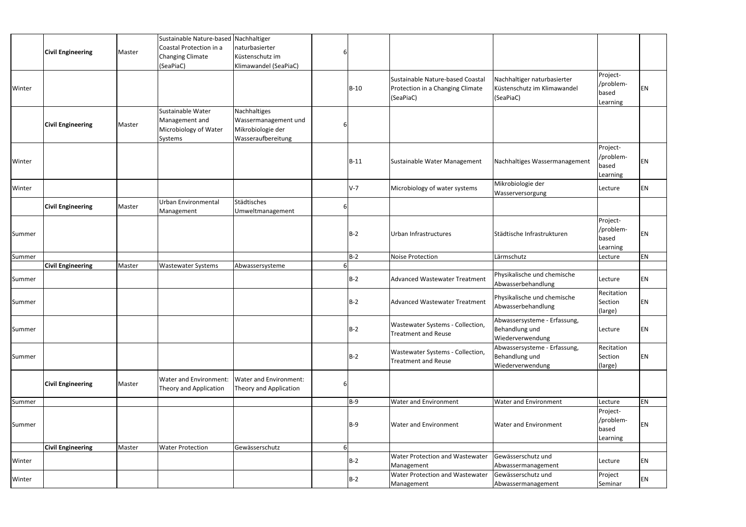|        | <b>Civil Engineering</b> | Master | Sustainable Nature-based Nachhaltiger<br>Coastal Protection in a<br><b>Changing Climate</b><br>(SeaPiaC) | Inaturbasierter<br>Küstenschutz im<br>Klimawandel (SeaPiaC)                     |   |             |                                                                                   |                                                                         |                                            |    |
|--------|--------------------------|--------|----------------------------------------------------------------------------------------------------------|---------------------------------------------------------------------------------|---|-------------|-----------------------------------------------------------------------------------|-------------------------------------------------------------------------|--------------------------------------------|----|
| Winter |                          |        |                                                                                                          |                                                                                 |   | $B-10$      | Sustainable Nature-based Coastal<br>Protection in a Changing Climate<br>(SeaPiaC) | Nachhaltiger naturbasierter<br>Küstenschutz im Klimawandel<br>(SeaPiaC) | Project-<br>/problem-<br>based<br>Learning | EN |
|        | <b>Civil Engineering</b> | Master | Sustainable Water<br>Management and<br>Microbiology of Water<br>Systems                                  | Nachhaltiges<br>Wassermanagement und<br>Mikrobiologie der<br>Wasseraufbereitung | b |             |                                                                                   |                                                                         |                                            |    |
| Winter |                          |        |                                                                                                          |                                                                                 |   | <b>B-11</b> | Sustainable Water Management                                                      | Nachhaltiges Wassermanagement                                           | Project-<br>/problem-<br>based<br>Learning | ΕN |
| Winter |                          |        |                                                                                                          |                                                                                 |   | $V-7$       | Microbiology of water systems                                                     | Mikrobiologie der<br>Wasserversorgung                                   | Lecture                                    | ΕN |
|        | <b>Civil Engineering</b> | Master | Urban Environmental<br>Management                                                                        | Städtisches<br>Umweltmanagement                                                 | 6 |             |                                                                                   |                                                                         |                                            |    |
| Summer |                          |        |                                                                                                          |                                                                                 |   | $B-2$       | Urban Infrastructures                                                             | Städtische Infrastrukturen                                              | Project-<br>/problem-<br>based<br>Learning | ΕN |
| Summer |                          |        |                                                                                                          |                                                                                 |   | $B-2$       | Noise Protection                                                                  | Lärmschutz                                                              | Lecture                                    | ΕN |
|        | <b>Civil Engineering</b> | Master | <b>Wastewater Systems</b>                                                                                | Abwassersysteme                                                                 | 6 |             |                                                                                   |                                                                         |                                            |    |
| Summer |                          |        |                                                                                                          |                                                                                 |   | $B-2$       | <b>Advanced Wastewater Treatment</b>                                              | Physikalische und chemische<br>Abwasserbehandlung                       | Lecture                                    | EN |
| Summer |                          |        |                                                                                                          |                                                                                 |   | $B-2$       | <b>Advanced Wastewater Treatment</b>                                              | Physikalische und chemische<br>Abwasserbehandlung                       | Recitation<br>Section<br>(large)           | ΕN |
| Summer |                          |        |                                                                                                          |                                                                                 |   | $B-2$       | Wastewater Systems - Collection,<br><b>Treatment and Reuse</b>                    | Abwassersysteme - Erfassung,<br>Behandlung und<br>Wiederverwendung      | Lecture                                    | ΕN |
| Summer |                          |        |                                                                                                          |                                                                                 |   | $B-2$       | Wastewater Systems - Collection,<br><b>Treatment and Reuse</b>                    | Abwassersysteme - Erfassung,<br>Behandlung und<br>Wiederverwendung      | Recitation<br>Section<br>(large)           | ΕN |
|        | <b>Civil Engineering</b> | Master | Water and Environment:<br>Theory and Application                                                         | Water and Environment:<br>Theory and Application                                | 6 |             |                                                                                   |                                                                         |                                            |    |
| Summer |                          |        |                                                                                                          |                                                                                 |   | $B-9$       | Water and Environment                                                             | <b>Water and Environment</b>                                            | Lecture                                    | EN |
| Summer |                          |        |                                                                                                          |                                                                                 |   | $B-9$       | <b>Water and Environment</b>                                                      | <b>Water and Environment</b>                                            | Project-<br>/problem-<br>based<br>Learning | ΕN |
|        | <b>Civil Engineering</b> | Master | <b>Water Protection</b>                                                                                  | Gewässerschutz                                                                  | 6 |             |                                                                                   |                                                                         |                                            |    |
| Winter |                          |        |                                                                                                          |                                                                                 |   | $B-2$       | Water Protection and Wastewater<br>Management                                     | Gewässerschutz und<br>Abwassermanagement                                | Lecture                                    | ΕN |
| Winter |                          |        |                                                                                                          |                                                                                 |   | $B-2$       | Water Protection and Wastewater<br>Management                                     | Gewässerschutz und<br>Abwassermanagement                                | Project<br>Seminar                         | ΕN |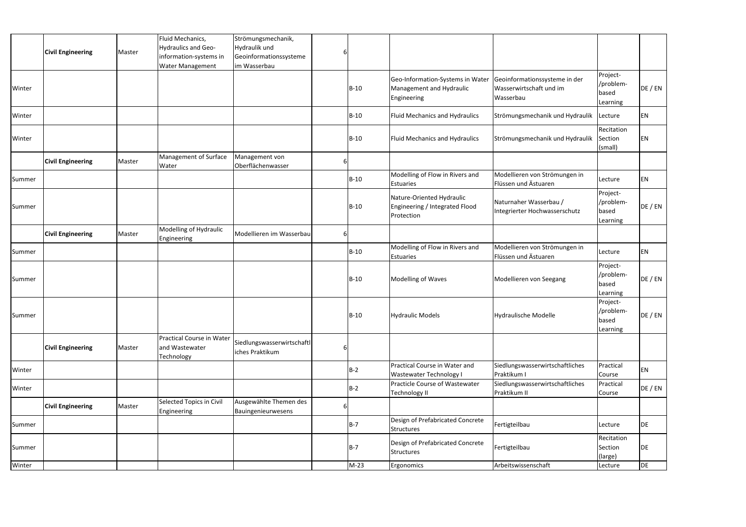|        |                          |        | Fluid Mechanics,                                          | Strömungsmechanik,                            |   |            |                                                                             |                                                                       |                                            |           |
|--------|--------------------------|--------|-----------------------------------------------------------|-----------------------------------------------|---|------------|-----------------------------------------------------------------------------|-----------------------------------------------------------------------|--------------------------------------------|-----------|
|        | <b>Civil Engineering</b> | Master | Hydraulics and Geo-                                       | Hydraulik und                                 |   |            |                                                                             |                                                                       |                                            |           |
|        |                          |        | information-systems in                                    | Geoinformationssysteme                        |   |            |                                                                             |                                                                       |                                            |           |
|        |                          |        | Water Management                                          | im Wasserbau                                  |   |            |                                                                             |                                                                       |                                            |           |
| Winter |                          |        |                                                           |                                               |   | B-10       | Geo-Information-Systems in Water<br>Management and Hydraulic<br>Engineering | Geoinformationssysteme in der<br>Wasserwirtschaft und im<br>Wasserbau | Project-<br>/problem-<br>based<br>Learning | DE / EN   |
| Winter |                          |        |                                                           |                                               |   | B-10       | <b>Fluid Mechanics and Hydraulics</b>                                       | Strömungsmechanik und Hydraulik                                       | Lecture                                    | EN        |
| Winter |                          |        |                                                           |                                               |   | B-10       | <b>Fluid Mechanics and Hydraulics</b>                                       | Strömungsmechanik und Hydraulik                                       | Recitation<br>Section<br>(small)           | EN        |
|        | <b>Civil Engineering</b> | Master | Management of Surface<br>Water                            | Management von<br>Oberflächenwasser           | h |            |                                                                             |                                                                       |                                            |           |
| Summer |                          |        |                                                           |                                               |   | B-10       | Modelling of Flow in Rivers and<br><b>Estuaries</b>                         | Modellieren von Strömungen in<br>Flüssen und Ästuaren                 | Lecture                                    | ΕN        |
| Summer |                          |        |                                                           |                                               |   | $B-10$     | Nature-Oriented Hydraulic<br>Engineering / Integrated Flood<br>Protection   | Naturnaher Wasserbau /<br>Integrierter Hochwasserschutz               | Project-<br>/problem-<br>based<br>Learning | DE / EN   |
|        | <b>Civil Engineering</b> | Master | Modelling of Hydraulic<br><b>Engineering</b>              | Modellieren im Wasserbau                      | ы |            |                                                                             |                                                                       |                                            |           |
| Summer |                          |        |                                                           |                                               |   | B-10       | Modelling of Flow in Rivers and<br>Estuaries                                | Modellieren von Strömungen in<br>Flüssen und Ästuaren                 | Lecture                                    | ΕN        |
| Summer |                          |        |                                                           |                                               |   | B-10       | <b>Modelling of Waves</b>                                                   | Modellieren von Seegang                                               | Project-<br>/problem-<br>based<br>Learning | DE / EN   |
| Summer |                          |        |                                                           |                                               |   | B-10       | <b>Hydraulic Models</b>                                                     | Hydraulische Modelle                                                  | Project-<br>/problem-<br>based<br>Learning | DE / EN   |
|        | <b>Civil Engineering</b> | Master | Practical Course in Water<br>and Wastewater<br>Technology | Siedlungswasserwirtschaftl<br>iches Praktikum |   |            |                                                                             |                                                                       |                                            |           |
| Winter |                          |        |                                                           |                                               |   | $B-2$      | Practical Course in Water and<br><b>Wastewater Technology I</b>             | Siedlungswasserwirtschaftliches<br>Praktikum I                        | Practical<br>Course                        | EN        |
| Winter |                          |        |                                                           |                                               |   | <b>B-2</b> | Practicle Course of Wastewater<br>Technology II                             | Siedlungswasserwirtschaftliches<br>Praktikum II                       | Practical<br>Course                        | DE / EN   |
|        | <b>Civil Engineering</b> | Master | Selected Topics in Civil<br>Engineering                   | Ausgewählte Themen des<br>Bauingenieurwesens  |   |            |                                                                             |                                                                       |                                            |           |
| Summer |                          |        |                                                           |                                               |   | B-7        | Design of Prefabricated Concrete<br>Structures                              | Fertigteilbau                                                         | Lecture                                    | DE        |
| Summer |                          |        |                                                           |                                               |   | $B-7$      | Design of Prefabricated Concrete<br>Structures                              | Fertigteilbau                                                         | Recitation<br>Section<br>(large)           | DE        |
| Winter |                          |        |                                                           |                                               |   | $M-23$     | Ergonomics                                                                  | Arbeitswissenschaft                                                   | Lecture                                    | <b>DE</b> |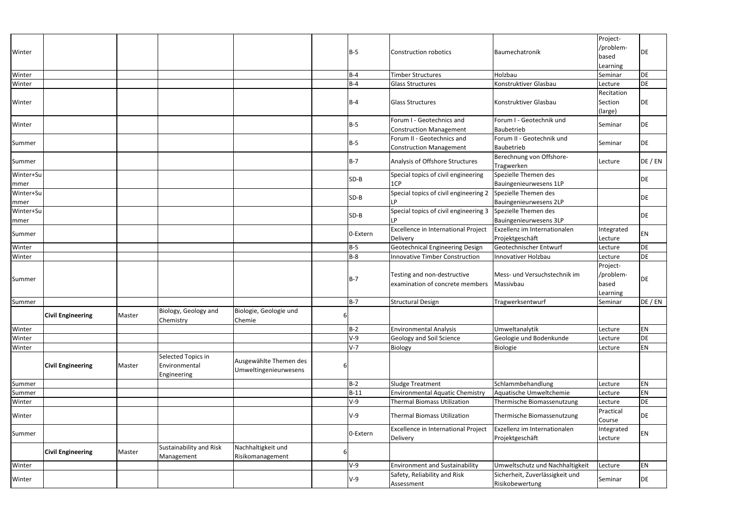| Winter            |                          |        |                                                    |                                                 |   | $B-5$    | <b>Construction robotics</b>                                   | Baumechatronik                                     | Project-<br>/problem-<br>based<br>Learning | DE        |
|-------------------|--------------------------|--------|----------------------------------------------------|-------------------------------------------------|---|----------|----------------------------------------------------------------|----------------------------------------------------|--------------------------------------------|-----------|
| Winter            |                          |        |                                                    |                                                 |   | $B-4$    | <b>Timber Structures</b>                                       | Holzbau                                            | Seminar                                    | DE        |
| Winter            |                          |        |                                                    |                                                 |   | $B-4$    | <b>Glass Structures</b>                                        | Konstruktiver Glasbau                              | Lecture                                    | DE        |
| Winter            |                          |        |                                                    |                                                 |   | $B-4$    | <b>Glass Structures</b>                                        | Konstruktiver Glasbau                              | Recitation<br>Section<br>(large)           | DE        |
| Winter            |                          |        |                                                    |                                                 |   | $B-5$    | Forum I - Geotechnics and<br><b>Construction Management</b>    | Forum I - Geotechnik und<br>Baubetrieb             | Seminar                                    | DE        |
| Summer            |                          |        |                                                    |                                                 |   | $B-5$    | Forum II - Geotechnics and<br><b>Construction Management</b>   | Forum II - Geotechnik und<br>Baubetrieb            | Seminar                                    | DE        |
| Summer            |                          |        |                                                    |                                                 |   | $B-7$    | Analysis of Offshore Structures                                | Berechnung von Offshore-<br>Tragwerken             | Lecture                                    | DE / EN   |
| Winter+Su<br>mmer |                          |        |                                                    |                                                 |   | $SD-B$   | Special topics of civil engineering<br>1CP                     | Spezielle Themen des<br>Bauingenieurwesens 1LP     |                                            | DE        |
| Winter+Su<br>mmer |                          |        |                                                    |                                                 |   | $SD-B$   | Special topics of civil engineering 2                          | Spezielle Themen des<br>Bauingenieurwesens 2LP     |                                            | DE        |
| Winter+Su<br>mmer |                          |        |                                                    |                                                 |   | SD-B     | Special topics of civil engineering 3                          | Spezielle Themen des<br>Bauingenieurwesens 3LP     |                                            | DE        |
| Summer            |                          |        |                                                    |                                                 |   | 0-Extern | <b>Excellence in International Project</b><br>Delivery         | Exzellenz im Internationalen<br>Projektgeschäft    | Integrated<br>Lecture                      | ΕN        |
| Winter            |                          |        |                                                    |                                                 |   | $B-5$    | <b>Geotechnical Engineering Design</b>                         | Geotechnischer Entwurf                             | Lecture                                    | DE        |
| Winter            |                          |        |                                                    |                                                 |   | $B-8$    | <b>Innovative Timber Construction</b>                          | Innovativer Holzbau                                | Lecture                                    | DE        |
| Summer            |                          |        |                                                    |                                                 |   | $B-7$    | Testing and non-destructive<br>examination of concrete members | Mess- und Versuchstechnik im<br>Massivbau          | Project-<br>/problem-<br>based<br>Learning | DE        |
| Summer            |                          |        |                                                    |                                                 |   | $B-7$    | <b>Structural Design</b>                                       | Tragwerksentwurf                                   | Seminar                                    | DE / EN   |
|                   | <b>Civil Engineering</b> | Master | Biology, Geology and<br>Chemistry                  | Biologie, Geologie und<br>Chemie                | 6 |          |                                                                |                                                    |                                            |           |
| Winter            |                          |        |                                                    |                                                 |   | $B-2$    | <b>Environmental Analysis</b>                                  | Umweltanalytik                                     | Lecture                                    | ΕN        |
| Winter            |                          |        |                                                    |                                                 |   | $V-9$    | Geology and Soil Science                                       | Geologie und Bodenkunde                            | Lecture                                    | DE        |
| Winter            |                          |        |                                                    |                                                 |   | $V-7$    | Biology                                                        | Biologie                                           | Lecture                                    | EN        |
|                   | <b>Civil Engineering</b> | Master | Selected Topics in<br>Environmental<br>Engineering | Ausgewählte Themen des<br>Umweltingenieurwesens | b |          |                                                                |                                                    |                                            |           |
| Summer            |                          |        |                                                    |                                                 |   | $B-2$    | Sludge Treatment                                               | Schlammbehandlung                                  | Lecture                                    | ΕN        |
| Summer            |                          |        |                                                    |                                                 |   | $B-11$   | <b>Environmental Aquatic Chemistry</b>                         | Aquatische Umweltchemie                            | Lecture                                    | EN        |
| Winter            |                          |        |                                                    |                                                 |   | $V-9$    | <b>Thermal Biomass Utilization</b>                             | Thermische Biomassenutzung                         | Lecture                                    | <b>DE</b> |
| Winter            |                          |        |                                                    |                                                 |   | $V-9$    | <b>Thermal Biomass Utilization</b>                             | Thermische Biomassenutzung                         | Practical<br>Course                        | DE        |
| Summer            |                          |        |                                                    |                                                 |   | 0-Extern | <b>Excellence in International Project</b><br>Delivery         | Exzellenz im Internationalen<br>Projektgeschäft    | Integrated<br>Lecture                      | ΕN        |
|                   | <b>Civil Engineering</b> | Master | Sustainability and Risk<br>Management              | Nachhaltigkeit und<br>Risikomanagement          | b |          |                                                                |                                                    |                                            |           |
| Winter            |                          |        |                                                    |                                                 |   | $V-9$    | <b>Environment and Sustainability</b>                          | Umweltschutz und Nachhaltigkeit                    | Lecture                                    | ΕN        |
| Winter            |                          |        |                                                    |                                                 |   | V-9      | Safety, Reliability and Risk<br>Assessment                     | Sicherheit, Zuverlässigkeit und<br>Risikobewertung | Seminar                                    | DE        |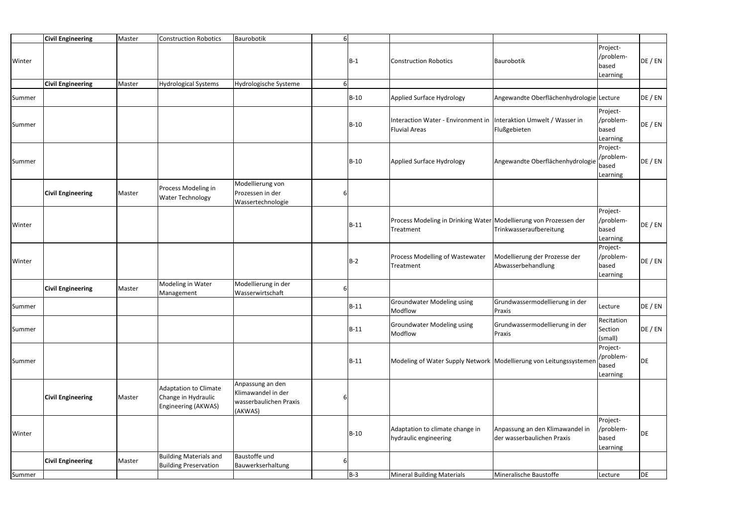| Summer |                          |        |                                                                     |                                                                             |   | $B-3$  | <b>Mineral Building Materials</b>                                                         | Mineralische Baustoffe                                        | Lecture                                    | DE      |
|--------|--------------------------|--------|---------------------------------------------------------------------|-----------------------------------------------------------------------------|---|--------|-------------------------------------------------------------------------------------------|---------------------------------------------------------------|--------------------------------------------|---------|
|        |                          |        |                                                                     |                                                                             |   |        |                                                                                           |                                                               |                                            |         |
|        | <b>Civil Engineering</b> | Master | <b>Building Materials and</b><br><b>Building Preservation</b>       | Baustoffe und<br>Bauwerkserhaltung                                          |   |        |                                                                                           |                                                               |                                            |         |
| Winter |                          |        |                                                                     |                                                                             |   | $B-10$ | Adaptation to climate change in<br>hydraulic engineering                                  | Anpassung an den Klimawandel in<br>der wasserbaulichen Praxis | Project-<br>/problem-<br>based<br>Learning | DE      |
|        | <b>Civil Engineering</b> | Master | Adaptation to Climate<br>Change in Hydraulic<br>Engineering (AKWAS) | Anpassung an den<br>Klimawandel in der<br>wasserbaulichen Praxis<br>(AKWAS) | 6 |        |                                                                                           |                                                               |                                            |         |
| Summer |                          |        |                                                                     |                                                                             |   | $B-11$ | Modeling of Water Supply Network   Modellierung von Leitungssystemer                      |                                                               | Project-<br>/problem-<br>based<br>Learning | DE      |
| Summer |                          |        |                                                                     |                                                                             |   | $B-11$ | <b>Groundwater Modeling using</b><br>Modflow                                              | Grundwassermodellierung in der<br>Praxis                      | Recitation<br>Section<br>(small)           | DE / EN |
| Summer |                          |        |                                                                     |                                                                             |   | $B-11$ | <b>Groundwater Modeling using</b><br>Modflow                                              | Grundwassermodellierung in der<br>Praxis                      | Lecture                                    | DE / EN |
|        | <b>Civil Engineering</b> | Master | Modeling in Water<br>Management                                     | Modellierung in der<br>Wasserwirtschaft                                     | 6 |        |                                                                                           |                                                               |                                            |         |
| Winter |                          |        |                                                                     |                                                                             |   | $B-2$  | Process Modelling of Wastewater<br>Treatment                                              | Modellierung der Prozesse der<br>Abwasserbehandlung           | Project-<br>/problem-<br>based<br>Learning | DE / EN |
| Winter |                          |        |                                                                     |                                                                             |   | $B-11$ | Process Modeling in Drinking Water Modellierung von Prozessen der<br>Treatment            | Trinkwasseraufbereitung                                       | Project-<br>/problem-<br>based<br>Learning | DE / EN |
|        | <b>Civil Engineering</b> | Master | Process Modeling in<br><b>Water Technology</b>                      | Modellierung von<br>Prozessen in der<br>Wassertechnologie                   | 6 |        |                                                                                           |                                                               |                                            |         |
| Summer |                          |        |                                                                     |                                                                             |   | $B-10$ | Applied Surface Hydrology                                                                 | Angewandte Oberflächenhydrologie                              | Project-<br>/problem-<br>based<br>Learning | DE / EN |
| Summer |                          |        |                                                                     |                                                                             |   | $B-10$ | Interaction Water - Environment in Interaktion Umwelt / Wasser in<br><b>Fluvial Areas</b> | Flußgebieten                                                  | Project-<br>/problem-<br>based<br>Learning | DE / EN |
| Summer |                          |        |                                                                     |                                                                             |   | $B-10$ | Applied Surface Hydrology                                                                 | Angewandte Oberflächenhydrologie Lecture                      |                                            | DE / EN |
|        | <b>Civil Engineering</b> | Master | <b>Hydrological Systems</b>                                         | Hydrologische Systeme                                                       | 6 |        |                                                                                           |                                                               | Learning                                   |         |
| Winter |                          |        |                                                                     |                                                                             |   | $B-1$  | <b>Construction Robotics</b>                                                              | Baurobotik                                                    | Project-<br>/problem-<br>based             | DE / EN |
|        | <b>Civil Engineering</b> | Master | <b>Construction Robotics</b>                                        | Baurobotik                                                                  | 6 |        |                                                                                           |                                                               |                                            |         |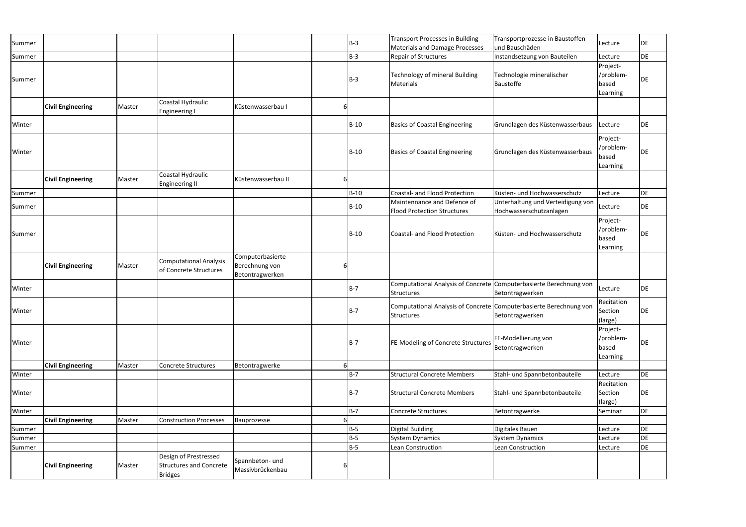| Summer |                          |        |                                                                           |                                                       |    | $B-3$      | <b>Transport Processes in Building</b><br><b>Materials and Damage Processes</b>         | Transportprozesse in Baustoffen<br>und Bauschäden            | Lecture                                    | DE |
|--------|--------------------------|--------|---------------------------------------------------------------------------|-------------------------------------------------------|----|------------|-----------------------------------------------------------------------------------------|--------------------------------------------------------------|--------------------------------------------|----|
| Summer |                          |        |                                                                           |                                                       |    | $B-3$      | Repair of Structures                                                                    | Instandsetzung von Bauteilen                                 | Lecture                                    | DE |
| Summer |                          |        |                                                                           |                                                       |    | $B-3$      | Technology of mineral Building<br>Materials                                             | Technologie mineralischer<br>Baustoffe                       | Project-<br>/problem-<br>based<br>Learning | DE |
|        | <b>Civil Engineering</b> | Master | Coastal Hydraulic<br><b>Engineering I</b>                                 | Küstenwasserbau I                                     | b  |            |                                                                                         |                                                              |                                            |    |
| Winter |                          |        |                                                                           |                                                       |    | $B-10$     | <b>Basics of Coastal Engineering</b>                                                    | Grundlagen des Küstenwasserbaus                              | Lecture                                    | DE |
| Winter |                          |        |                                                                           |                                                       |    | $B-10$     | <b>Basics of Coastal Engineering</b>                                                    | Grundlagen des Küstenwasserbaus                              | Project-<br>/problem-<br>based<br>Learning | DE |
|        | <b>Civil Engineering</b> | Master | Coastal Hydraulic<br><b>Engineering II</b>                                | Küstenwasserbau II                                    | 6  |            |                                                                                         |                                                              |                                            |    |
| Summer |                          |        |                                                                           |                                                       |    | $B-10$     | Coastal- and Flood Protection                                                           | Küsten- und Hochwasserschutz                                 | Lecture                                    | DE |
| Summer |                          |        |                                                                           |                                                       |    | $B-10$     | Maintennance and Defence of<br><b>Flood Protection Structures</b>                       | Unterhaltung und Verteidigung von<br>Hochwasserschutzanlagen | Lecture                                    | DE |
| Summer |                          |        |                                                                           |                                                       |    | $B-10$     | <b>Coastal- and Flood Protection</b>                                                    | Küsten- und Hochwasserschutz                                 | Project-<br>/problem-<br>based<br>Learning | DE |
|        | <b>Civil Engineering</b> | Master | <b>Computational Analysis</b><br>of Concrete Structures                   | Computerbasierte<br>Berechnung von<br>Betontragwerken | b  |            |                                                                                         |                                                              |                                            |    |
| Winter |                          |        |                                                                           |                                                       |    | $B-7$      | Computational Analysis of Concrete Computerbasierte Berechnung von<br><b>Structures</b> | Betontragwerken                                              | Lecture                                    | DE |
| Winter |                          |        |                                                                           |                                                       |    | <b>B-7</b> | Computational Analysis of Concrete Computerbasierte Berechnung von<br><b>Structures</b> | Betontragwerken                                              | Recitation<br>Section<br>(large)           | DE |
| Winter |                          |        |                                                                           |                                                       |    | <b>B-7</b> | FE-Modeling of Concrete Structures                                                      | FE-Modellierung von<br>Betontragwerken                       | Project-<br>/problem-<br>based<br>Learning | DE |
|        | <b>Civil Engineering</b> | Master | <b>Concrete Structures</b>                                                | Betontragwerke                                        | 6I |            |                                                                                         |                                                              |                                            |    |
| Winter |                          |        |                                                                           |                                                       |    | $B-7$      | <b>Structural Concrete Members</b>                                                      | Stahl- und Spannbetonbauteile                                | Lecture                                    | DE |
| Winter |                          |        |                                                                           |                                                       |    | $B-7$      | <b>Structural Concrete Members</b>                                                      | Stahl- und Spannbetonbauteile                                | Recitation<br>Section<br>(large)           | DE |
| Winter |                          |        |                                                                           |                                                       |    | $B-7$      | Concrete Structures                                                                     | Betontragwerke                                               | Seminar                                    | DE |
|        | <b>Civil Engineering</b> | Master | <b>Construction Processes</b>                                             | Bauprozesse                                           | 6I |            |                                                                                         |                                                              |                                            |    |
| Summer |                          |        |                                                                           |                                                       |    | <b>B-5</b> | <b>Digital Building</b>                                                                 | Digitales Bauen                                              | Lecture                                    | DE |
| Summer |                          |        |                                                                           |                                                       |    | $B-5$      | <b>System Dynamics</b>                                                                  | <b>System Dynamics</b>                                       | Lecture                                    | DE |
| Summer |                          |        |                                                                           |                                                       |    | $B-5$      | Lean Construction                                                                       | Lean Construction                                            | Lecture                                    | DE |
|        | <b>Civil Engineering</b> | Master | Design of Prestressed<br><b>Structures and Concrete</b><br><b>Bridges</b> | Spannbeton- und<br>Massivbrückenbau                   | b  |            |                                                                                         |                                                              |                                            |    |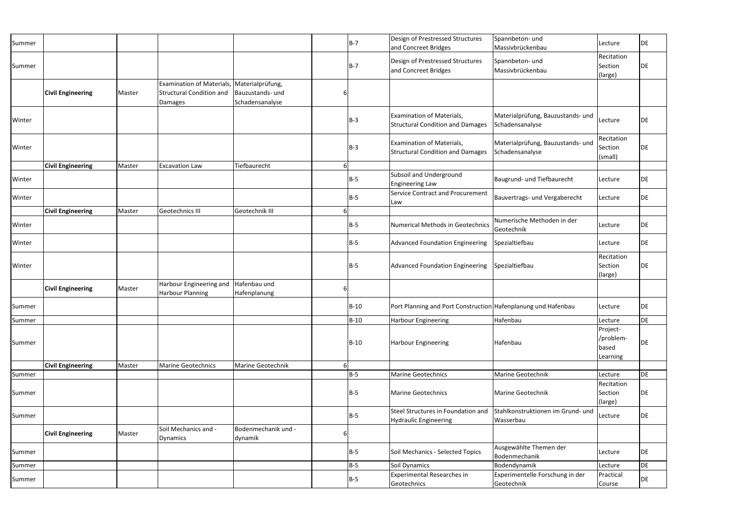| Summer |                          |        |                                                                                |                                                         |    | B-7         | Design of Prestressed Structures<br>and Concreet Bridges             | Spannbeton- und<br>Massivbrückenbau                  | Lecture                                    | DE |
|--------|--------------------------|--------|--------------------------------------------------------------------------------|---------------------------------------------------------|----|-------------|----------------------------------------------------------------------|------------------------------------------------------|--------------------------------------------|----|
| Summer |                          |        |                                                                                |                                                         |    | B-7         | Design of Prestressed Structures<br>and Concreet Bridges             | Spannbeton- und<br>Massivbrückenbau                  | Recitation<br>Section<br>(large)           | DE |
|        | <b>Civil Engineering</b> | Master | <b>Examination of Materials,</b><br><b>Structural Condition and</b><br>Damages | Materialprüfung,<br>Bauzustands- und<br>Schadensanalyse |    |             |                                                                      |                                                      |                                            |    |
| Winter |                          |        |                                                                                |                                                         |    | $B-3$       | Examination of Materials,<br><b>Structural Condition and Damages</b> | Materialprüfung, Bauzustands- und<br>Schadensanalyse | Lecture                                    | DE |
| Winter |                          |        |                                                                                |                                                         |    | $B-3$       | Examination of Materials,<br><b>Structural Condition and Damages</b> | Materialprüfung, Bauzustands- und<br>Schadensanalyse | Recitation<br>Section<br>(small)           | DE |
|        | <b>Civil Engineering</b> | Master | <b>Excavation Law</b>                                                          | Tiefbaurecht                                            |    |             |                                                                      |                                                      |                                            |    |
| Winter |                          |        |                                                                                |                                                         |    | $B-5$       | Subsoil and Underground<br><b>Engineering Law</b>                    | Baugrund- und Tiefbaurecht                           | Lecture                                    | DE |
| Winter |                          |        |                                                                                |                                                         |    | B-5         | Service Contract and Procurement<br>Law                              | Bauvertrags- und Vergaberecht                        | Lecture                                    | DE |
|        | <b>Civil Engineering</b> | Master | <b>Geotechnics III</b>                                                         | Geotechnik III                                          |    |             |                                                                      |                                                      |                                            |    |
| Winter |                          |        |                                                                                |                                                         |    | $B-5$       | <b>Numerical Methods in Geotechnics</b>                              | Numerische Methoden in der<br>Geotechnik             | Lecture                                    | DE |
| Winter |                          |        |                                                                                |                                                         |    | $B-5$       | Advanced Foundation Engineering                                      | Spezialtiefbau                                       | Lecture                                    | DE |
| Winter |                          |        |                                                                                |                                                         |    | $B-5$       | <b>Advanced Foundation Engineering</b>                               | Spezialtiefbau                                       | Recitation<br>Section<br>(large)           | DE |
|        | <b>Civil Engineering</b> | Master | Harbour Engineering and<br><b>Harbour Planning</b>                             | Hafenbau und<br>Hafenplanung                            |    |             |                                                                      |                                                      |                                            |    |
| Summer |                          |        |                                                                                |                                                         |    | <b>B-10</b> | Port Planning and Port Construction Hafenplanung und Hafenbau        |                                                      | Lecture                                    | DE |
| Summer |                          |        |                                                                                |                                                         |    | B-10        | <b>Harbour Engineering</b>                                           | Hafenbau                                             | Lecture                                    | DE |
| Summer |                          |        |                                                                                |                                                         |    | B-10        | <b>Harbour Engineering</b>                                           | Hafenbau                                             | Project-<br>/problem-<br>based<br>Learning | DE |
|        | <b>Civil Engineering</b> | Master | <b>Marine Geotechnics</b>                                                      | Marine Geotechnik                                       | 6I |             |                                                                      |                                                      |                                            |    |
| Summer |                          |        |                                                                                |                                                         |    | $B-5$       | <b>Marine Geotechnics</b>                                            | Marine Geotechnik                                    | Lecture                                    | DE |
| Summer |                          |        |                                                                                |                                                         |    | B-5         | <b>Marine Geotechnics</b>                                            | Marine Geotechnik                                    | Recitation<br>Section<br>(large)           | DE |
| Summer |                          |        |                                                                                |                                                         |    | $B-5$       | Steel Structures in Foundation and<br><b>Hydraulic Engineering</b>   | Stahlkonstruktionen im Grund- und<br>Wasserbau       | Lecture                                    | DE |
|        | <b>Civil Engineering</b> | Master | Soil Mechanics and -<br>Dynamics                                               | Bodenmechanik und -<br>dynamik                          |    |             |                                                                      |                                                      |                                            |    |
| Summer |                          |        |                                                                                |                                                         |    | $B-5$       | Soil Mechanics - Selected Topics                                     | Ausgewählte Themen der<br>Bodenmechanik              | Lecture                                    | DE |
| Summer |                          |        |                                                                                |                                                         |    | $B-5$       | Soil Dynamics                                                        | Bodendynamik                                         | Lecture                                    | DE |
| Summer |                          |        |                                                                                |                                                         |    | $B-5$       | <b>Experimental Researches in</b><br>Geotechnics                     | Experimentelle Forschung in der<br>Geotechnik        | Practical<br>Course                        | DE |
|        |                          |        |                                                                                |                                                         |    |             |                                                                      |                                                      |                                            |    |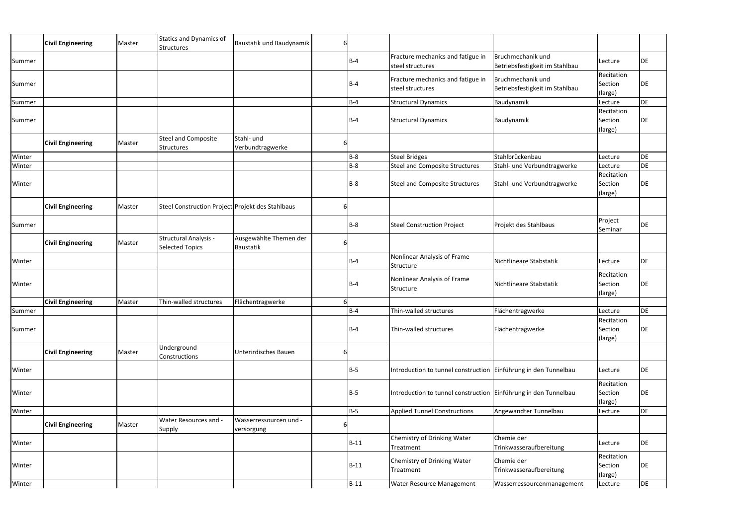|        | <b>Civil Engineering</b> | Master | <b>Statics and Dynamics of</b><br><b>Structures</b>    | Baustatik und Baudynamik             | 61 |            |                                                                   |                                                     |                                  |           |
|--------|--------------------------|--------|--------------------------------------------------------|--------------------------------------|----|------------|-------------------------------------------------------------------|-----------------------------------------------------|----------------------------------|-----------|
| Summer |                          |        |                                                        |                                      |    | $B-4$      | Fracture mechanics and fatigue in<br>steel structures             | Bruchmechanik und<br>Betriebsfestigkeit im Stahlbau | Lecture                          | DE        |
| Summer |                          |        |                                                        |                                      |    | $B-4$      | Fracture mechanics and fatigue in<br>steel structures             | Bruchmechanik und<br>Betriebsfestigkeit im Stahlbau | Recitation<br>Section<br>(large) | DE        |
| Summer |                          |        |                                                        |                                      |    | $B-4$      | <b>Structural Dynamics</b>                                        | Baudynamik                                          | Lecture                          | DE        |
| Summer |                          |        |                                                        |                                      |    | $B-4$      | <b>Structural Dynamics</b>                                        | Baudynamik                                          | Recitation<br>Section<br>(large) | DE        |
|        | <b>Civil Engineering</b> | Master | <b>Steel and Composite</b><br><b>Structures</b>        | Stahl- und<br>Verbundtragwerke       | 6  |            |                                                                   |                                                     |                                  |           |
| Winter |                          |        |                                                        |                                      |    | $B-8$      | <b>Steel Bridges</b>                                              | Stahlbrückenbau                                     | Lecture                          | DE        |
| Winter |                          |        |                                                        |                                      |    | $B-8$      | <b>Steel and Composite Structures</b>                             | Stahl- und Verbundtragwerke                         | Lecture                          | DE        |
| Winter |                          |        |                                                        |                                      |    | $B-8$      | <b>Steel and Composite Structures</b>                             | Stahl- und Verbundtragwerke                         | Recitation<br>Section<br>(large) | DE        |
|        | <b>Civil Engineering</b> | Master | Steel Construction Project Projekt des Stahlbaus       |                                      | 6  |            |                                                                   |                                                     |                                  |           |
| Summer |                          |        |                                                        |                                      |    | $B-8$      | <b>Steel Construction Project</b>                                 | Projekt des Stahlbaus                               | Project<br>Seminar               | DE        |
|        | <b>Civil Engineering</b> | Master | <b>Structural Analysis -</b><br><b>Selected Topics</b> | Ausgewählte Themen der<br>Baustatik  | 6  |            |                                                                   |                                                     |                                  |           |
| Winter |                          |        |                                                        |                                      |    | $B-4$      | Nonlinear Analysis of Frame<br>Structure                          | Nichtlineare Stabstatik                             | Lecture                          | DE        |
| Winter |                          |        |                                                        |                                      |    | $B-4$      | Nonlinear Analysis of Frame<br>Structure                          | Nichtlineare Stabstatik                             | Recitation<br>Section<br>(large) | DE        |
|        | <b>Civil Engineering</b> | Master | Thin-walled structures                                 | Flächentragwerke                     | 61 |            |                                                                   |                                                     |                                  |           |
| Summer |                          |        |                                                        |                                      |    | B-4        | Thin-walled structures                                            | Flächentragwerke                                    | Lecture                          | <b>DE</b> |
| Summer |                          |        |                                                        |                                      |    | $B-4$      | Thin-walled structures                                            | Flächentragwerke                                    | Recitation<br>Section<br>(large) | DE        |
|        | <b>Civil Engineering</b> | Master | Underground<br>Constructions                           | Unterirdisches Bauen                 | 6  |            |                                                                   |                                                     |                                  |           |
| Winter |                          |        |                                                        |                                      |    | <b>B-5</b> | Introduction to tunnel construction   Einführung in den Tunnelbau |                                                     | Lecture                          | DE        |
| Winter |                          |        |                                                        |                                      |    | $B-5$      | Introduction to tunnel construction Einführung in den Tunnelbau   |                                                     | Recitation<br>Section<br>(large) | DE        |
| Winter |                          |        |                                                        |                                      |    | <b>B-5</b> | <b>Applied Tunnel Constructions</b>                               | Angewandter Tunnelbau                               | Lecture                          | DE        |
|        | <b>Civil Engineering</b> | Master | Water Resources and -<br>Supply                        | Wasserressourcen und -<br>versorgung | b  |            |                                                                   |                                                     |                                  |           |
| Winter |                          |        |                                                        |                                      |    | $B-11$     | <b>Chemistry of Drinking Water</b><br>Treatment                   | Chemie der<br>Trinkwasseraufbereitung               | Lecture                          | DE        |
| Winter |                          |        |                                                        |                                      |    | $B-11$     | Chemistry of Drinking Water<br>Treatment                          | Chemie der<br>Trinkwasseraufbereitung               | Recitation<br>Section<br>(large) | DE        |
| Winter |                          |        |                                                        |                                      |    | $B-11$     | Water Resource Management                                         | Wasserressourcenmanagement                          | Lecture                          | <b>DE</b> |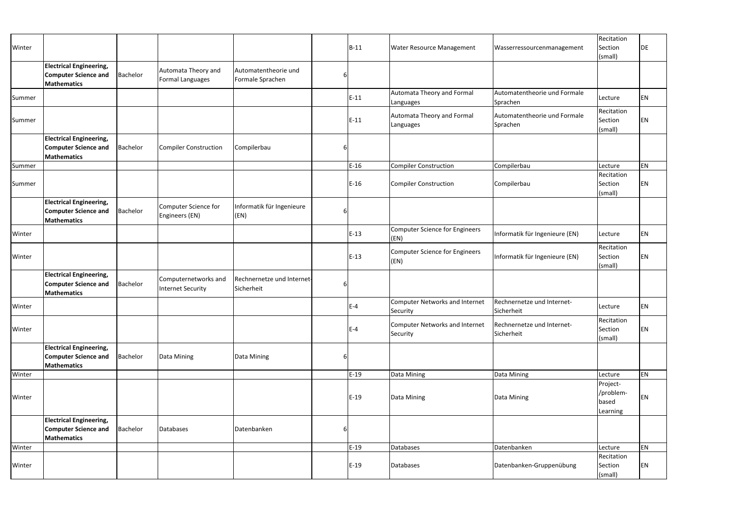| Winter |                                                                                     |          |                                                  |                                          |   | $B-11$ | <b>Water Resource Management</b>                  | Wasserressourcenmanagement               | Recitation<br>Section<br>(small)           | DE |
|--------|-------------------------------------------------------------------------------------|----------|--------------------------------------------------|------------------------------------------|---|--------|---------------------------------------------------|------------------------------------------|--------------------------------------------|----|
|        | <b>Electrical Engineering,</b><br><b>Computer Science and</b><br><b>Mathematics</b> | Bachelor | Automata Theory and<br><b>Formal Languages</b>   | Automatentheorie und<br>Formale Sprachen | 6 |        |                                                   |                                          |                                            |    |
| Summer |                                                                                     |          |                                                  |                                          |   | $E-11$ | Automata Theory and Formal<br>Languages           | Automatentheorie und Formale<br>Sprachen | Lecture                                    | EN |
| Summer |                                                                                     |          |                                                  |                                          |   | $E-11$ | Automata Theory and Formal<br>Languages           | Automatentheorie und Formale<br>Sprachen | Recitation<br>Section<br>(small)           | EN |
|        | <b>Electrical Engineering,</b><br><b>Computer Science and</b><br><b>Mathematics</b> | Bachelor | Compiler Construction                            | Compilerbau                              | 6 |        |                                                   |                                          |                                            |    |
| Summer |                                                                                     |          |                                                  |                                          |   | $E-16$ | <b>Compiler Construction</b>                      | Compilerbau                              | Lecture                                    | EN |
| Summer |                                                                                     |          |                                                  |                                          |   | $E-16$ | Compiler Construction                             | Compilerbau                              | Recitation<br>Section<br>(small)           | EN |
|        | <b>Electrical Engineering,</b><br><b>Computer Science and</b><br><b>Mathematics</b> | Bachelor | Computer Science for<br>Engineers (EN)           | Informatik für Ingenieure<br>(EN)        | 6 |        |                                                   |                                          |                                            |    |
| Winter |                                                                                     |          |                                                  |                                          |   | $E-13$ | <b>Computer Science for Engineers</b><br>(EN)     | Informatik für Ingenieure (EN)           | Lecture                                    | EN |
| Winter |                                                                                     |          |                                                  |                                          |   | $E-13$ | Computer Science for Engineers<br>(EN)            | Informatik für Ingenieure (EN)           | Recitation<br>Section<br>(small)           | EN |
|        | <b>Electrical Engineering,</b><br><b>Computer Science and</b><br><b>Mathematics</b> | Bachelor | Computernetworks and<br><b>Internet Security</b> | Rechnernetze und Internet-<br>Sicherheit | 6 |        |                                                   |                                          |                                            |    |
| Winter |                                                                                     |          |                                                  |                                          |   | $E-4$  | <b>Computer Networks and Internet</b><br>Security | Rechnernetze und Internet-<br>Sicherheit | Lecture                                    | EN |
| Winter |                                                                                     |          |                                                  |                                          |   | $E-4$  | Computer Networks and Internet<br>Security        | Rechnernetze und Internet-<br>Sicherheit | Recitation<br>Section<br>(small)           | EN |
|        | <b>Electrical Engineering,</b><br><b>Computer Science and</b><br><b>Mathematics</b> | Bachelor | Data Mining                                      | Data Mining                              | 6 |        |                                                   |                                          |                                            |    |
| Winter |                                                                                     |          |                                                  |                                          |   | $E-19$ | Data Mining                                       | Data Mining                              | Lecture                                    | EN |
| Winter |                                                                                     |          |                                                  |                                          |   | $E-19$ | Data Mining                                       | Data Mining                              | Project-<br>/problem-<br>based<br>Learning | EN |
|        | <b>Electrical Engineering,</b><br><b>Computer Science and</b><br><b>Mathematics</b> | Bachelor | Databases                                        | Datenbanken                              | 6 |        |                                                   |                                          |                                            |    |
| Winter |                                                                                     |          |                                                  |                                          |   | $E-19$ | Databases                                         | Datenbanken                              | Lecture                                    | EN |
| Winter |                                                                                     |          |                                                  |                                          |   | $E-19$ | Databases                                         | Datenbanken-Gruppenübung                 | Recitation<br>Section<br>(small)           | EN |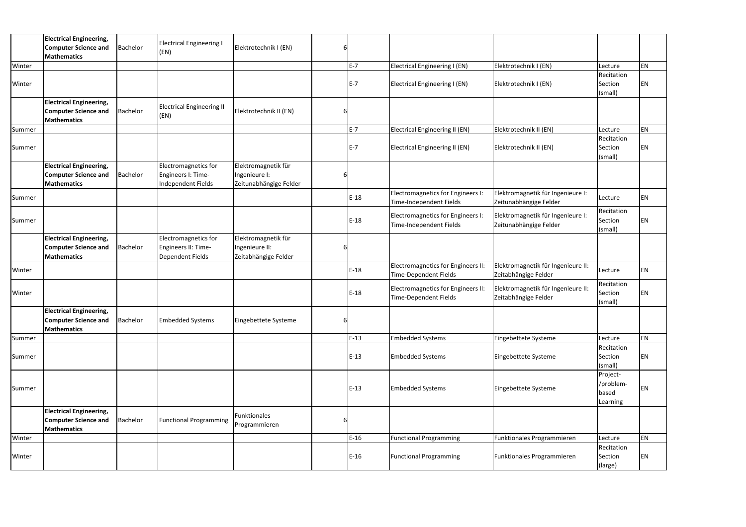|        | <b>Electrical Engineering,</b><br><b>Computer Science and</b><br><b>Mathematics</b> | Bachelor        | <b>Electrical Engineering I</b><br>(EN)                                | Elektrotechnik I (EN)                                          |          |         |                                                                    |                                                             |                                            |    |
|--------|-------------------------------------------------------------------------------------|-----------------|------------------------------------------------------------------------|----------------------------------------------------------------|----------|---------|--------------------------------------------------------------------|-------------------------------------------------------------|--------------------------------------------|----|
| Winter |                                                                                     |                 |                                                                        |                                                                |          | $E - 7$ | Electrical Engineering I (EN)                                      | Elektrotechnik I (EN)                                       | Lecture                                    | EN |
| Winter |                                                                                     |                 |                                                                        |                                                                |          | $E - 7$ | Electrical Engineering I (EN)                                      | Elektrotechnik I (EN)                                       | Recitation<br>Section<br>(small)           | ΕN |
|        | <b>Electrical Engineering,</b><br><b>Computer Science and</b><br><b>Mathematics</b> | <b>Bachelor</b> | <b>Electrical Engineering II</b><br>(EN)                               | Elektrotechnik II (EN)                                         |          |         |                                                                    |                                                             |                                            |    |
| Summer |                                                                                     |                 |                                                                        |                                                                |          | $E - 7$ | Electrical Engineering II (EN)                                     | Elektrotechnik II (EN)                                      | Lecture                                    | EN |
| Summer |                                                                                     |                 |                                                                        |                                                                |          | $E-7$   | <b>Electrical Engineering II (EN)</b>                              | Elektrotechnik II (EN)                                      | Recitation<br>Section<br>(small)           | EN |
|        | <b>Electrical Engineering,</b><br><b>Computer Science and</b><br><b>Mathematics</b> | Bachelor        | Electromagnetics for<br>Engineers I: Time-<br>Independent Fields       | Elektromagnetik für<br>Ingenieure I:<br>Zeitunabhängige Felder |          |         |                                                                    |                                                             |                                            |    |
| Summer |                                                                                     |                 |                                                                        |                                                                |          | $E-18$  | Electromagnetics for Engineers I:<br>Time-Independent Fields       | Elektromagnetik für Ingenieure I:<br>Zeitunabhängige Felder | Lecture                                    | EN |
| Summer |                                                                                     |                 |                                                                        |                                                                |          | $E-18$  | Electromagnetics for Engineers I:<br>Time-Independent Fields       | Elektromagnetik für Ingenieure I:<br>Zeitunabhängige Felder | Recitation<br>Section<br>(small)           | ΕN |
|        | <b>Electrical Engineering,</b><br><b>Computer Science and</b><br><b>Mathematics</b> | Bachelor        | Electromagnetics for<br>Engineers II: Time-<br><b>Dependent Fields</b> | Elektromagnetik für<br>Ingenieure II:<br>Zeitabhängige Felder  |          |         |                                                                    |                                                             |                                            |    |
| Winter |                                                                                     |                 |                                                                        |                                                                |          | $E-18$  | Electromagnetics for Engineers II:<br><b>Time-Dependent Fields</b> | Elektromagnetik für Ingenieure II:<br>Zeitabhängige Felder  | Lecture                                    | EN |
| Winter |                                                                                     |                 |                                                                        |                                                                |          | $E-18$  | Electromagnetics for Engineers II:<br>Time-Dependent Fields        | Elektromagnetik für Ingenieure II:<br>Zeitabhängige Felder  | Recitation<br>Section<br>(small)           | ΕN |
|        | <b>Electrical Engineering,</b><br><b>Computer Science and</b><br>Mathematics        | <b>Bachelor</b> | <b>Embedded Systems</b>                                                | Eingebettete Systeme                                           | $6 \mid$ |         |                                                                    |                                                             |                                            |    |
| Summer |                                                                                     |                 |                                                                        |                                                                |          | $E-13$  | <b>Embedded Systems</b>                                            | Eingebettete Systeme                                        | Lecture                                    | EN |
| Summer |                                                                                     |                 |                                                                        |                                                                |          | $E-13$  | <b>Embedded Systems</b>                                            | Eingebettete Systeme                                        | Recitation<br>Section<br>(small)           | ΕN |
| Summer |                                                                                     |                 |                                                                        |                                                                |          | $E-13$  | <b>Embedded Systems</b>                                            | Eingebettete Systeme                                        | Project-<br>/problem-<br>based<br>Learning | ΕN |
|        | <b>Electrical Engineering,</b><br><b>Computer Science and</b><br><b>Mathematics</b> | Bachelor        | <b>Functional Programming</b>                                          | Funktionales<br>Programmieren                                  |          |         |                                                                    |                                                             |                                            |    |
| Winter |                                                                                     |                 |                                                                        |                                                                |          | $E-16$  | <b>Functional Programming</b>                                      | Funktionales Programmieren                                  | Lecture                                    | EN |
| Winter |                                                                                     |                 |                                                                        |                                                                |          | $E-16$  | <b>Functional Programming</b>                                      | Funktionales Programmieren                                  | Recitation<br>Section<br>(large)           | EN |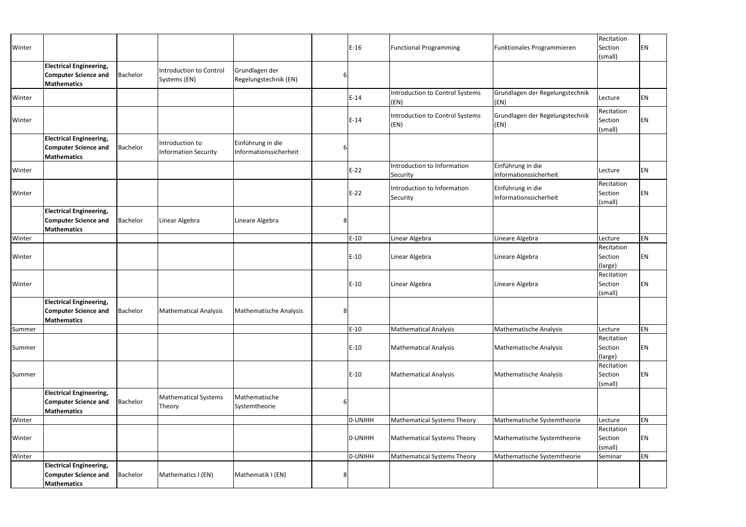| Winter |                                                                                     |          |                                                |                                             |   | $E-16$  | <b>Functional Programming</b>                  | Funktionales Programmieren                  | Recitation<br>Section<br>(small) | <b>EN</b> |
|--------|-------------------------------------------------------------------------------------|----------|------------------------------------------------|---------------------------------------------|---|---------|------------------------------------------------|---------------------------------------------|----------------------------------|-----------|
|        | <b>Electrical Engineering,</b><br><b>Computer Science and</b><br><b>Mathematics</b> | Bachelor | <b>Introduction to Control</b><br>Systems (EN) | Grundlagen der<br>Regelungstechnik (EN)     | 6 |         |                                                |                                             |                                  |           |
| Winter |                                                                                     |          |                                                |                                             |   | $E-14$  | <b>Introduction to Control Systems</b><br>(EN) | Grundlagen der Regelungstechnik<br>(EN)     | Lecture                          | <b>EN</b> |
| Winter |                                                                                     |          |                                                |                                             |   | $E-14$  | <b>Introduction to Control Systems</b><br>(EN) | Grundlagen der Regelungstechnik<br>(EN)     | Recitation<br>Section<br>(small) | <b>EN</b> |
|        | <b>Electrical Engineering,</b><br><b>Computer Science and</b><br><b>Mathematics</b> | Bachelor | Introduction to<br><b>Information Security</b> | Einführung in die<br>Informationssicherheit | 6 |         |                                                |                                             |                                  |           |
| Winter |                                                                                     |          |                                                |                                             |   | $E-22$  | Introduction to Information<br>Security        | Einführung in die<br>Informationssicherheit | Lecture                          | <b>EN</b> |
| Winter |                                                                                     |          |                                                |                                             |   | $E-22$  | Introduction to Information<br>Security        | Einführung in die<br>Informationssicherheit | Recitation<br>Section<br>(small) | <b>EN</b> |
|        | <b>Electrical Engineering,</b><br><b>Computer Science and</b><br><b>Mathematics</b> | Bachelor | Linear Algebra                                 | Lineare Algebra                             | 8 |         |                                                |                                             |                                  |           |
| Winter |                                                                                     |          |                                                |                                             |   | $E-10$  | Linear Algebra                                 | Lineare Algebra                             | Lecture                          | <b>EN</b> |
| Winter |                                                                                     |          |                                                |                                             |   | $E-10$  | Linear Algebra                                 | Lineare Algebra                             | Recitation<br>Section<br>(large) | <b>EN</b> |
| Winter |                                                                                     |          |                                                |                                             |   | $E-10$  | Linear Algebra                                 | Lineare Algebra                             | Recitation<br>Section<br>(small) | <b>EN</b> |
|        | <b>Electrical Engineering,</b><br><b>Computer Science and</b><br><b>Mathematics</b> | Bachelor | <b>Mathematical Analysis</b>                   | Mathematische Analysis                      | 8 |         |                                                |                                             |                                  |           |
| Summer |                                                                                     |          |                                                |                                             |   | $E-10$  | <b>Mathematical Analysis</b>                   | <b>Mathematische Analysis</b>               | Lecture                          | EN        |
| Summer |                                                                                     |          |                                                |                                             |   | $E-10$  | <b>Mathematical Analysis</b>                   | Mathematische Analysis                      | Recitation<br>Section<br>(large) | <b>EN</b> |
| Summer |                                                                                     |          |                                                |                                             |   | $E-10$  | <b>Mathematical Analysis</b>                   | Mathematische Analysis                      | Recitation<br>Section<br>(small) | <b>EN</b> |
|        | <b>Electrical Engineering,</b><br><b>Computer Science and</b><br><b>Mathematics</b> | Bachelor | <b>Mathematical Systems</b><br>Theory          | Mathematische<br>Systemtheorie              | 6 |         |                                                |                                             |                                  |           |
| Winter |                                                                                     |          |                                                |                                             |   | 0-UNIHH | <b>Mathematical Systems Theory</b>             | Mathematische Systemtheorie                 | Lecture                          | EN        |
| Winter |                                                                                     |          |                                                |                                             |   | 0-UNIHH | <b>Mathematical Systems Theory</b>             | Mathematische Systemtheorie                 | Recitation<br>Section<br>(small) | EN        |
| Winter |                                                                                     |          |                                                |                                             |   | 0-UNIHH | Mathematical Systems Theory                    | Mathematische Systemtheorie                 | Seminar                          | EN        |
|        | <b>Electrical Engineering,</b><br><b>Computer Science and</b><br><b>Mathematics</b> | Bachelor | Mathematics I (EN)                             | Mathematik I (EN)                           | 8 |         |                                                |                                             |                                  |           |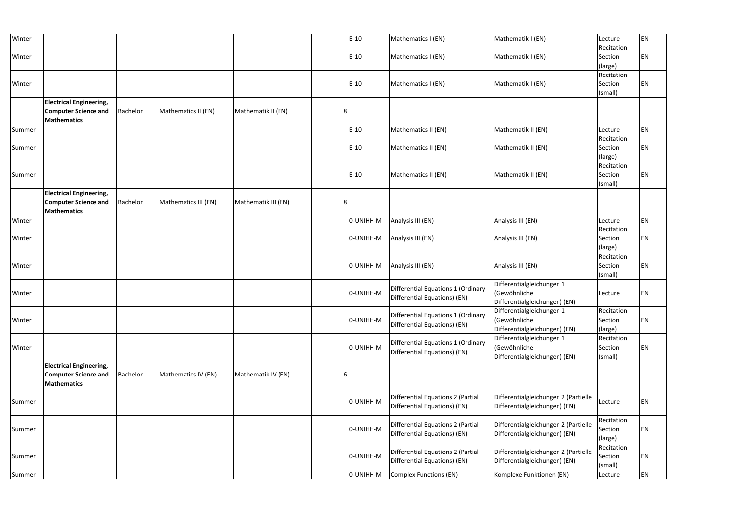| Winter |                                                                                     |          |                      |                     |   | $E-10$    | Mathematics I (EN)                                                 | Mathematik I (EN)                                                          | Lecture                          | EN |
|--------|-------------------------------------------------------------------------------------|----------|----------------------|---------------------|---|-----------|--------------------------------------------------------------------|----------------------------------------------------------------------------|----------------------------------|----|
| Winter |                                                                                     |          |                      |                     |   | $E-10$    | Mathematics I (EN)                                                 | Mathematik I (EN)                                                          | Recitation<br>Section<br>(large) | EN |
| Winter |                                                                                     |          |                      |                     |   | $E-10$    | Mathematics I (EN)                                                 | Mathematik I (EN)                                                          | Recitation<br>Section<br>(small) | EN |
|        | <b>Electrical Engineering,</b><br><b>Computer Science and</b><br><b>Mathematics</b> | Bachelor | Mathematics II (EN)  | Mathematik II (EN)  | 8 |           |                                                                    |                                                                            |                                  |    |
| Summer |                                                                                     |          |                      |                     |   | $E-10$    | Mathematics II (EN)                                                | Mathematik II (EN)                                                         | Lecture                          | EN |
| Summer |                                                                                     |          |                      |                     |   | $E-10$    | Mathematics II (EN)                                                | Mathematik II (EN)                                                         | Recitation<br>Section<br>(large) | ΕN |
| Summer |                                                                                     |          |                      |                     |   | $E-10$    | Mathematics II (EN)                                                | Mathematik II (EN)                                                         | Recitation<br>Section<br>(small) | EN |
|        | <b>Electrical Engineering,</b><br><b>Computer Science and</b><br><b>Mathematics</b> | Bachelor | Mathematics III (EN) | Mathematik III (EN) | 8 |           |                                                                    |                                                                            |                                  |    |
| Winter |                                                                                     |          |                      |                     |   | 0-UNIHH-M | Analysis III (EN)                                                  | Analysis III (EN)                                                          | Lecture                          | EN |
| Winter |                                                                                     |          |                      |                     |   | 0-UNIHH-M | Analysis III (EN)                                                  | Analysis III (EN)                                                          | Recitation<br>Section<br>(large) | ΕN |
| Winter |                                                                                     |          |                      |                     |   | 0-UNIHH-M | Analysis III (EN)                                                  | Analysis III (EN)                                                          | Recitation<br>Section<br>(small) | ΕN |
| Winter |                                                                                     |          |                      |                     |   | 0-UNIHH-M | Differential Equations 1 (Ordinary<br>Differential Equations) (EN) | Differentialgleichungen 1<br>(Gewöhnliche<br>Differentialgleichungen) (EN) | Lecture                          | EN |
| Winter |                                                                                     |          |                      |                     |   | 0-UNIHH-M | Differential Equations 1 (Ordinary<br>Differential Equations) (EN) | Differentialgleichungen 1<br>(Gewöhnliche<br>Differentialgleichungen) (EN) | Recitation<br>Section<br>(large) | EN |
| Winter |                                                                                     |          |                      |                     |   | 0-UNIHH-M | Differential Equations 1 (Ordinary<br>Differential Equations) (EN) | Differentialgleichungen 1<br>(Gewöhnliche<br>Differentialgleichungen) (EN) | Recitation<br>Section<br>(small) | EN |
|        | <b>Electrical Engineering,</b><br><b>Computer Science and</b><br><b>Mathematics</b> | Bachelor | Mathematics IV (EN)  | Mathematik IV (EN)  |   |           |                                                                    |                                                                            |                                  |    |
| Summer |                                                                                     |          |                      |                     |   | 0-UNIHH-M | Differential Equations 2 (Partial<br>Differential Equations) (EN)  | Differentialgleichungen 2 (Partielle<br>Differentialgleichungen) (EN)      | Lecture                          | EN |
| Summer |                                                                                     |          |                      |                     |   | 0-UNIHH-M | Differential Equations 2 (Partial<br>Differential Equations) (EN)  | Differentialgleichungen 2 (Partielle<br>Differentialgleichungen) (EN)      | Recitation<br>Section<br>(large) | EN |
| Summer |                                                                                     |          |                      |                     |   | 0-UNIHH-M | Differential Equations 2 (Partial<br>Differential Equations) (EN)  | Differentialgleichungen 2 (Partielle<br>Differentialgleichungen) (EN)      | Recitation<br>Section<br>(small) | EN |
| Summer |                                                                                     |          |                      |                     |   | 0-UNIHH-M | Complex Functions (EN)                                             | Komplexe Funktionen (EN)                                                   | Lecture                          | EN |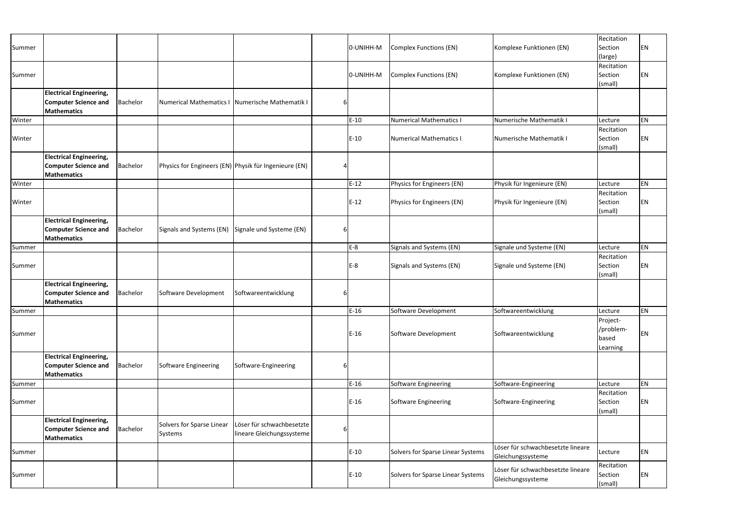| Summer |                                                                                     |          |                                                       |                                                        |   | 0-UNIHH-M | <b>Complex Functions (EN)</b>     | Komplexe Funktionen (EN)                               | Recitation<br>Section<br>(large)           | ΕN |
|--------|-------------------------------------------------------------------------------------|----------|-------------------------------------------------------|--------------------------------------------------------|---|-----------|-----------------------------------|--------------------------------------------------------|--------------------------------------------|----|
| Summer |                                                                                     |          |                                                       |                                                        |   | 0-UNIHH-M | <b>Complex Functions (EN)</b>     | Komplexe Funktionen (EN)                               | Recitation<br>Section<br>(small)           | ΕN |
|        | <b>Electrical Engineering,</b><br><b>Computer Science and</b><br><b>Mathematics</b> | Bachelor | Numerical Mathematics I                               | Numerische Mathematik I                                | 6 |           |                                   |                                                        |                                            |    |
| Winter |                                                                                     |          |                                                       |                                                        |   | $E-10$    | <b>Numerical Mathematics I</b>    | Numerische Mathematik I                                | Lecture                                    | EN |
| Winter |                                                                                     |          |                                                       |                                                        |   | $E-10$    | <b>Numerical Mathematics I</b>    | Numerische Mathematik I                                | Recitation<br>Section<br>(small)           | ΕN |
|        | <b>Electrical Engineering,</b><br><b>Computer Science and</b><br><b>Mathematics</b> | Bachelor | Physics for Engineers (EN) Physik für Ingenieure (EN) |                                                        |   |           |                                   |                                                        |                                            |    |
| Winter |                                                                                     |          |                                                       |                                                        |   | $E-12$    | Physics for Engineers (EN)        | Physik für Ingenieure (EN)                             | Lecture                                    | EN |
| Winter |                                                                                     |          |                                                       |                                                        |   | $E-12$    | Physics for Engineers (EN)        | Physik für Ingenieure (EN)                             | Recitation<br>Section<br>(small)           | ΕN |
|        | <b>Electrical Engineering,</b><br><b>Computer Science and</b><br><b>Mathematics</b> | Bachelor | Signals and Systems (EN)                              | Signale und Systeme (EN)                               | 6 |           |                                   |                                                        |                                            |    |
| Summer |                                                                                     |          |                                                       |                                                        |   | $E-8$     | Signals and Systems (EN)          | Signale und Systeme (EN)                               | Lecture                                    | EN |
| Summer |                                                                                     |          |                                                       |                                                        |   | $E-8$     | Signals and Systems (EN)          | Signale und Systeme (EN)                               | Recitation<br>Section<br>(small)           | ΕN |
|        | <b>Electrical Engineering,</b><br><b>Computer Science and</b><br><b>Mathematics</b> | Bachelor | Software Development                                  | Softwareentwicklung                                    | 6 |           |                                   |                                                        |                                            |    |
| Summer |                                                                                     |          |                                                       |                                                        |   | $E-16$    | Software Development              | Softwareentwicklung                                    | Lecture                                    | ΕN |
| Summer |                                                                                     |          |                                                       |                                                        |   | $E-16$    | Software Development              | Softwareentwicklung                                    | Project-<br>/problem-<br>based<br>Learning | ΕN |
|        | <b>Electrical Engineering,</b><br><b>Computer Science and</b><br><b>Mathematics</b> | Bachelor | Software Engineering                                  | Software-Engineering                                   | 6 |           |                                   |                                                        |                                            |    |
| Summer |                                                                                     |          |                                                       |                                                        |   | $E-16$    | Software Engineering              | Software-Engineering                                   | Lecture                                    | EN |
| Summer |                                                                                     |          |                                                       |                                                        |   | $E-16$    | <b>Software Engineering</b>       | Software-Engineering                                   | Recitation<br>Section<br>(small)           | EN |
|        | <b>Electrical Engineering,</b><br><b>Computer Science and</b><br><b>Mathematics</b> | Bachelor | Solvers for Sparse Linear<br>Systems                  | Löser für schwachbesetzte<br>lineare Gleichungssysteme | 6 |           |                                   |                                                        |                                            |    |
| Summer |                                                                                     |          |                                                       |                                                        |   | $E-10$    | Solvers for Sparse Linear Systems | Löser für schwachbesetzte lineare<br>Gleichungssysteme | Lecture                                    | EN |
| Summer |                                                                                     |          |                                                       |                                                        |   | $E-10$    | Solvers for Sparse Linear Systems | Löser für schwachbesetzte lineare<br>Gleichungssysteme | Recitation<br>Section<br>(small)           | EN |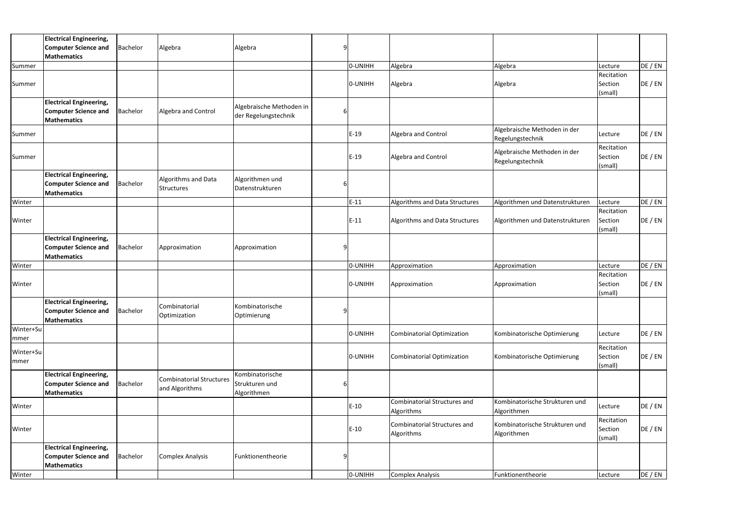|           | <b>Electrical Engineering,</b>       |                 |                                 |                          |   |         |                                     |                                 |            |         |
|-----------|--------------------------------------|-----------------|---------------------------------|--------------------------|---|---------|-------------------------------------|---------------------------------|------------|---------|
|           | <b>Computer Science and</b>          | <b>Bachelor</b> | Algebra                         | Algebra                  | 9 |         |                                     |                                 |            |         |
|           | Mathematics                          |                 |                                 |                          |   |         |                                     |                                 |            |         |
| Summer    |                                      |                 |                                 |                          |   | 0-UNIHH | Algebra                             | Algebra                         | Lecture    | DE / EN |
|           |                                      |                 |                                 |                          |   |         |                                     |                                 | Recitation |         |
| Summer    |                                      |                 |                                 |                          |   | 0-UNIHH | Algebra                             | Algebra                         | Section    | DE / EN |
|           |                                      |                 |                                 |                          |   |         |                                     |                                 |            |         |
|           |                                      |                 |                                 |                          |   |         |                                     |                                 | (small)    |         |
|           | <b>Electrical Engineering,</b>       |                 |                                 | Algebraische Methoden in |   |         |                                     |                                 |            |         |
|           | <b>Computer Science and</b>          | Bachelor        | Algebra and Control             | der Regelungstechnik     |   |         |                                     |                                 |            |         |
|           | Mathematics                          |                 |                                 |                          |   |         |                                     |                                 |            |         |
| Summer    |                                      |                 |                                 |                          |   | $E-19$  | Algebra and Control                 | Algebraische Methoden in der    | Lecture    | DE / EN |
|           |                                      |                 |                                 |                          |   |         |                                     | Regelungstechnik                |            |         |
|           |                                      |                 |                                 |                          |   |         |                                     |                                 | Recitation |         |
| Summer    |                                      |                 |                                 |                          |   | $E-19$  | Algebra and Control                 | Algebraische Methoden in der    | Section    | DE / EN |
|           |                                      |                 |                                 |                          |   |         |                                     | Regelungstechnik                | (small)    |         |
|           |                                      |                 |                                 |                          |   |         |                                     |                                 |            |         |
|           | <b>Electrical Engineering,</b>       |                 | Algorithms and Data             | Algorithmen und          |   |         |                                     |                                 |            |         |
|           | <b>Computer Science and</b>          | <b>Bachelor</b> | <b>Structures</b>               | Datenstrukturen          |   |         |                                     |                                 |            |         |
|           | <b>Mathematics</b>                   |                 |                                 |                          |   |         |                                     |                                 |            |         |
| Winter    |                                      |                 |                                 |                          |   | $E-11$  | Algorithms and Data Structures      | Algorithmen und Datenstrukturen | Lecture    | DE / EN |
|           |                                      |                 |                                 |                          |   |         |                                     |                                 | Recitation |         |
| Winter    |                                      |                 |                                 |                          |   | $E-11$  | Algorithms and Data Structures      | Algorithmen und Datenstrukturen | Section    | DE / EN |
|           |                                      |                 |                                 |                          |   |         |                                     |                                 | (small)    |         |
|           | <b>Electrical Engineering,</b>       |                 |                                 |                          |   |         |                                     |                                 |            |         |
|           | <b>Computer Science and</b>          | Bachelor        | Approximation                   | Approximation            | 9 |         |                                     |                                 |            |         |
|           |                                      |                 |                                 |                          |   |         |                                     |                                 |            |         |
|           | <b>Mathematics</b>                   |                 |                                 |                          |   |         |                                     |                                 |            |         |
| Winter    |                                      |                 |                                 |                          |   | 0-UNIHH | Approximation                       | Approximation                   | Lecture    | DE / EN |
|           |                                      |                 |                                 |                          |   |         |                                     |                                 | Recitation |         |
| Winter    |                                      |                 |                                 |                          |   | O-UNIHH | Approximation                       | Approximation                   | Section    | DE / EN |
|           |                                      |                 |                                 |                          |   |         |                                     |                                 | (small)    |         |
|           | <b>Electrical Engineering,</b>       |                 |                                 |                          |   |         |                                     |                                 |            |         |
|           | <b>Computer Science and</b> Bachelor |                 | Combinatorial                   | Kombinatorische          | 9 |         |                                     |                                 |            |         |
|           | Mathematics                          |                 | Optimization                    | Optimierung              |   |         |                                     |                                 |            |         |
| Winter+Su |                                      |                 |                                 |                          |   |         |                                     |                                 |            |         |
|           |                                      |                 |                                 |                          |   | 0-UNIHH | Combinatorial Optimization          | Kombinatorische Optimierung     | Lecture    | DE / EN |
| mmer      |                                      |                 |                                 |                          |   |         |                                     |                                 |            |         |
| Winter+Su |                                      |                 |                                 |                          |   |         |                                     |                                 | Recitation |         |
| mmer      |                                      |                 |                                 |                          |   | 0-UNIHH | Combinatorial Optimization          | Kombinatorische Optimierung     | Section    | DE / EN |
|           |                                      |                 |                                 |                          |   |         |                                     |                                 | (small)    |         |
|           | <b>Electrical Engineering,</b>       |                 | <b>Combinatorial Structures</b> | Kombinatorische          |   |         |                                     |                                 |            |         |
|           | <b>Computer Science and</b>          | Bachelor        |                                 | Strukturen und           | 6 |         |                                     |                                 |            |         |
|           | <b>Mathematics</b>                   |                 | and Algorithms                  | Algorithmen              |   |         |                                     |                                 |            |         |
|           |                                      |                 |                                 |                          |   |         | <b>Combinatorial Structures and</b> | Kombinatorische Strukturen und  |            |         |
| Winter    |                                      |                 |                                 |                          |   | $E-10$  | Algorithms                          | Algorithmen                     | Lecture    | DE / EN |
|           |                                      |                 |                                 |                          |   |         |                                     |                                 |            |         |
|           |                                      |                 |                                 |                          |   |         | Combinatorial Structures and        | Kombinatorische Strukturen und  | Recitation |         |
| Winter    |                                      |                 |                                 |                          |   | $E-10$  | Algorithms                          | Algorithmen                     | Section    | DE / EN |
|           |                                      |                 |                                 |                          |   |         |                                     |                                 | (small)    |         |
|           | <b>Electrical Engineering,</b>       |                 |                                 |                          |   |         |                                     |                                 |            |         |
|           | <b>Computer Science and</b>          | <b>Bachelor</b> | <b>Complex Analysis</b>         | Funktionentheorie        | 9 |         |                                     |                                 |            |         |
|           | Mathematics                          |                 |                                 |                          |   |         |                                     |                                 |            |         |
| Winter    |                                      |                 |                                 |                          |   | O-UNIHH | Complex Analysis                    | Funktionentheorie               | Lecture    | DE / EN |
|           |                                      |                 |                                 |                          |   |         |                                     |                                 |            |         |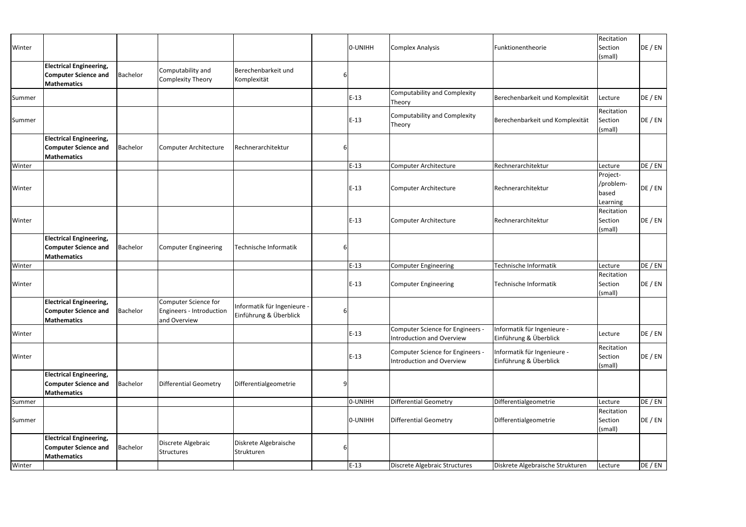| Winter |                                                                                              |                 |                                                                         |                                                       |   | 0-UNIHH | <b>Complex Analysis</b>                                              | Funktionentheorie                                     | Recitation<br>Section<br>(small)           | DE / EN |
|--------|----------------------------------------------------------------------------------------------|-----------------|-------------------------------------------------------------------------|-------------------------------------------------------|---|---------|----------------------------------------------------------------------|-------------------------------------------------------|--------------------------------------------|---------|
|        | <b>Electrical Engineering,</b><br><b>Computer Science and</b><br>Mathematics                 | Bachelor        | Computability and<br><b>Complexity Theory</b>                           | Berechenbarkeit und<br>Komplexität                    |   |         |                                                                      |                                                       |                                            |         |
| Summer |                                                                                              |                 |                                                                         |                                                       |   | $E-13$  | Computability and Complexity<br>Theory                               | Berechenbarkeit und Komplexität                       | Lecture                                    | DE / EN |
| Summer |                                                                                              |                 |                                                                         |                                                       |   | $E-13$  | Computability and Complexity<br>Theory                               | Berechenbarkeit und Komplexität                       | Recitation<br>Section<br>(small)           | DE / EN |
|        | <b>Electrical Engineering,</b><br><b>Computer Science and</b><br>Mathematics                 | Bachelor        | Computer Architecture                                                   | Rechnerarchitektur                                    | 6 |         |                                                                      |                                                       |                                            |         |
| Winter |                                                                                              |                 |                                                                         |                                                       |   | $E-13$  | Computer Architecture                                                | Rechnerarchitektur                                    | Lecture                                    | DE / EN |
| Winter |                                                                                              |                 |                                                                         |                                                       |   | $E-13$  | Computer Architecture                                                | Rechnerarchitektur                                    | Project-<br>/problem-<br>based<br>Learning | DE / EN |
| Winter |                                                                                              |                 |                                                                         |                                                       |   | $E-13$  | Computer Architecture                                                | Rechnerarchitektur                                    | Recitation<br>Section<br>(small)           | DE / EN |
|        | <b>Electrical Engineering,</b><br><b>Computer Science and</b><br>Mathematics                 | Bachelor        | <b>Computer Engineering</b>                                             | Technische Informatik                                 |   |         |                                                                      |                                                       |                                            |         |
| Winter |                                                                                              |                 |                                                                         |                                                       |   | $E-13$  | <b>Computer Engineering</b>                                          | Technische Informatik                                 | Lecture                                    | DE / EN |
| Winter |                                                                                              |                 |                                                                         |                                                       |   | $E-13$  | <b>Computer Engineering</b>                                          | Technische Informatik                                 | Recitation<br>Section<br>(small)           | DE / EN |
|        | <b>Electrical Engineering,</b><br><b>Computer Science and</b> Bachelor<br><b>Mathematics</b> |                 | <b>Computer Science for</b><br>Engineers - Introduction<br>and Overview | Informatik für Ingenieure -<br>Einführung & Überblick | 6 |         |                                                                      |                                                       |                                            |         |
| Winter |                                                                                              |                 |                                                                         |                                                       |   | $E-13$  | Computer Science for Engineers -<br><b>Introduction and Overview</b> | Informatik für Ingenieure -<br>Einführung & Überblick | Lecture                                    | DE / EN |
| Winter |                                                                                              |                 |                                                                         |                                                       |   | $E-13$  | Computer Science for Engineers -<br><b>Introduction and Overview</b> | Informatik für Ingenieure -<br>Einführung & Überblick | Recitation<br>Section<br>(small)           | DE / EN |
|        | <b>Electrical Engineering,</b><br><b>Computer Science and</b><br>Mathematics                 | Bachelor        | <b>Differential Geometry</b>                                            | Differentialgeometrie                                 | 9 |         |                                                                      |                                                       |                                            |         |
| Summer |                                                                                              |                 |                                                                         |                                                       |   | 0-UNIHH | <b>Differential Geometry</b>                                         | Differentialgeometrie                                 | Lecture                                    | DE / EN |
| Summer |                                                                                              |                 |                                                                         |                                                       |   | 0-UNIHH | Differential Geometry                                                | Differentialgeometrie                                 | Recitation<br>Section<br>(small)           | DE / EN |
|        | <b>Electrical Engineering,</b><br><b>Computer Science and</b><br><b>Mathematics</b>          | <b>Bachelor</b> | Discrete Algebraic<br>Structures                                        | Diskrete Algebraische<br>Strukturen                   | b |         |                                                                      |                                                       |                                            |         |
| Winter |                                                                                              |                 |                                                                         |                                                       |   | $E-13$  | Discrete Algebraic Structures                                        | Diskrete Algebraische Strukturen                      | Lecture                                    | DE / EN |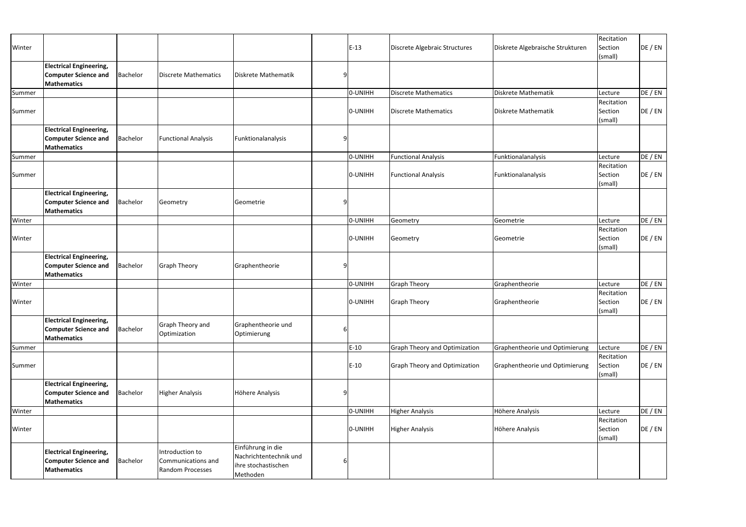| Winter |                                                                                     |          |                                                           |                                                                                |   | $E-13$  | Discrete Algebraic Structures        | Diskrete Algebraische Strukturen | Recitation<br>Section            | DE / EN |
|--------|-------------------------------------------------------------------------------------|----------|-----------------------------------------------------------|--------------------------------------------------------------------------------|---|---------|--------------------------------------|----------------------------------|----------------------------------|---------|
|        |                                                                                     |          |                                                           |                                                                                |   |         |                                      |                                  | (small)                          |         |
|        | <b>Electrical Engineering,</b><br><b>Computer Science and</b>                       | Bachelor | <b>Discrete Mathematics</b>                               | Diskrete Mathematik                                                            |   |         |                                      |                                  |                                  |         |
| Summer | <b>Mathematics</b>                                                                  |          |                                                           |                                                                                |   | 0-UNIHH | <b>Discrete Mathematics</b>          | Diskrete Mathematik              | Lecture                          | DE / EN |
|        |                                                                                     |          |                                                           |                                                                                |   |         |                                      |                                  | Recitation                       |         |
| Summer |                                                                                     |          |                                                           |                                                                                |   | O-UNIHH | <b>Discrete Mathematics</b>          | Diskrete Mathematik              | Section<br>(small)               | DE / EN |
|        | <b>Electrical Engineering,</b>                                                      |          |                                                           |                                                                                |   |         |                                      |                                  |                                  |         |
|        | <b>Computer Science and</b>                                                         | Bachelor | <b>Functional Analysis</b>                                | Funktionalanalysis                                                             |   |         |                                      |                                  |                                  |         |
|        | <b>Mathematics</b>                                                                  |          |                                                           |                                                                                |   |         |                                      |                                  |                                  |         |
| Summer |                                                                                     |          |                                                           |                                                                                |   | 0-UNIHH | <b>Functional Analysis</b>           | Funktionalanalysis               | Lecture<br>Recitation            | DE / EN |
| Summer |                                                                                     |          |                                                           |                                                                                |   | O-UNIHH | <b>Functional Analysis</b>           | Funktionalanalysis               | Section<br>(small)               | DE / EN |
|        | <b>Electrical Engineering,</b><br><b>Computer Science and</b><br><b>Mathematics</b> | Bachelor | Geometry                                                  | Geometrie                                                                      |   |         |                                      |                                  |                                  |         |
| Winter |                                                                                     |          |                                                           |                                                                                |   | O-UNIHH | Geometry                             | Geometrie                        | Lecture                          | DE / EN |
| Winter |                                                                                     |          |                                                           |                                                                                |   | O-UNIHH | Geometry                             | Geometrie                        | Recitation<br>Section<br>(small) | DE / EN |
|        | <b>Electrical Engineering,</b><br><b>Computer Science and</b><br><b>Mathematics</b> | Bachelor | <b>Graph Theory</b>                                       | Graphentheorie                                                                 | 9 |         |                                      |                                  |                                  |         |
| Winter |                                                                                     |          |                                                           |                                                                                |   | O-UNIHH | <b>Graph Theory</b>                  | Graphentheorie                   | Lecture                          | DE / EN |
| Winter |                                                                                     |          |                                                           |                                                                                |   | 0-UNIHH | <b>Graph Theory</b>                  | Graphentheorie                   | Recitation<br>Section<br>(small) | DE / EN |
|        | <b>Electrical Engineering,</b><br><b>Computer Science and</b><br><b>Mathematics</b> | Bachelor | Graph Theory and<br>Optimization                          | Graphentheorie und<br>Optimierung                                              | 6 |         |                                      |                                  |                                  |         |
| Summer |                                                                                     |          |                                                           |                                                                                |   | $E-10$  | <b>Graph Theory and Optimization</b> | Graphentheorie und Optimierung   | Lecture                          | DE / EN |
| Summer |                                                                                     |          |                                                           |                                                                                |   | $E-10$  | <b>Graph Theory and Optimization</b> | Graphentheorie und Optimierung   | Recitation<br>Section<br>(small) | DE / EN |
|        | <b>Electrical Engineering,</b><br><b>Computer Science and</b><br><b>Mathematics</b> | Bachelor | <b>Higher Analysis</b>                                    | Höhere Analysis                                                                | q |         |                                      |                                  |                                  |         |
| Winter |                                                                                     |          |                                                           |                                                                                |   | O-UNIHH | <b>Higher Analysis</b>               | Höhere Analysis                  | Lecture                          | DE / EN |
| Winter |                                                                                     |          |                                                           |                                                                                |   | O-UNIHH | <b>Higher Analysis</b>               | Höhere Analysis                  | Recitation<br>Section<br>(small) | DE / EN |
|        | <b>Electrical Engineering,</b><br><b>Computer Science and</b><br><b>Mathematics</b> | Bachelor | Introduction to<br>Communications and<br>Random Processes | Einführung in die<br>Nachrichtentechnik und<br>ihre stochastischen<br>Methoden |   |         |                                      |                                  |                                  |         |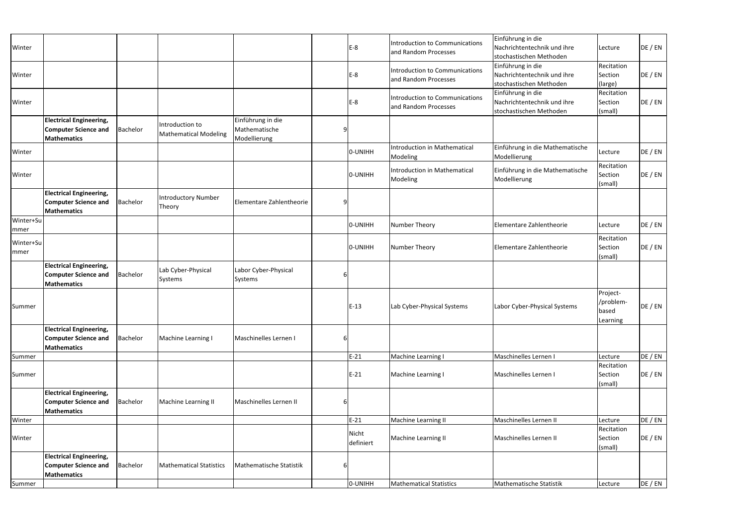| Winter             |                                                                                     |          |                                                 |                                                    |   | $E-8$              | <b>Introduction to Communications</b><br>and Random Processes | Einführung in die<br>Nachrichtentechnik und ihre<br>stochastischen Methoden | Lecture                                    | DE / EN |
|--------------------|-------------------------------------------------------------------------------------|----------|-------------------------------------------------|----------------------------------------------------|---|--------------------|---------------------------------------------------------------|-----------------------------------------------------------------------------|--------------------------------------------|---------|
| Winter             |                                                                                     |          |                                                 |                                                    |   | $E-8$              | <b>Introduction to Communications</b><br>and Random Processes | Einführung in die<br>Nachrichtentechnik und ihre<br>stochastischen Methoden | Recitation<br>Section<br>(large)           | DE / EN |
| Winter             |                                                                                     |          |                                                 |                                                    |   | $E-8$              | <b>Introduction to Communications</b><br>and Random Processes | Einführung in die<br>Nachrichtentechnik und ihre<br>stochastischen Methoden | Recitation<br>Section<br>(small)           | DE / EN |
|                    | <b>Electrical Engineering,</b><br><b>Computer Science and</b><br><b>Mathematics</b> | Bachelor | Introduction to<br><b>Mathematical Modeling</b> | Einführung in die<br>Mathematische<br>Modellierung |   |                    |                                                               |                                                                             |                                            |         |
| Winter             |                                                                                     |          |                                                 |                                                    |   | 0-UNIHH            | Introduction in Mathematical<br>Modeling                      | Einführung in die Mathematische<br>Modellierung                             | Lecture                                    | DE / EN |
| Winter             |                                                                                     |          |                                                 |                                                    |   | O-UNIHH            | <b>Introduction in Mathematical</b><br>Modeling               | Einführung in die Mathematische<br>Modellierung                             | Recitation<br>Section<br>(small)           | DE / EN |
|                    | <b>Electrical Engineering,</b><br><b>Computer Science and</b><br><b>Mathematics</b> | Bachelor | <b>Introductory Number</b><br>Theory            | Elementare Zahlentheorie                           | q |                    |                                                               |                                                                             |                                            |         |
| Winter+Su<br> mmer |                                                                                     |          |                                                 |                                                    |   | 0-UNIHH            | Number Theory                                                 | Elementare Zahlentheorie                                                    | Lecture                                    | DE / EN |
| Winter+Su<br>mmer  |                                                                                     |          |                                                 |                                                    |   | O-UNIHH            | <b>Number Theory</b>                                          | Elementare Zahlentheorie                                                    | Recitation<br>Section<br>(small)           | DE / EN |
|                    | <b>Electrical Engineering,</b><br><b>Computer Science and</b><br><b>Mathematics</b> | Bachelor | Lab Cyber-Physical<br>Systems                   | Labor Cyber-Physical<br>Systems                    |   |                    |                                                               |                                                                             |                                            |         |
| Summer             |                                                                                     |          |                                                 |                                                    |   | $E-13$             | Lab Cyber-Physical Systems                                    | Labor Cyber-Physical Systems                                                | Project-<br>/problem-<br>based<br>Learning | DE / EN |
|                    | <b>Electrical Engineering,</b><br><b>Computer Science and</b><br><b>Mathematics</b> | Bachelor | Machine Learning I                              | Maschinelles Lernen I                              | 6 |                    |                                                               |                                                                             |                                            |         |
| Summer             |                                                                                     |          |                                                 |                                                    |   | $E-21$             | Machine Learning I                                            | Maschinelles Lernen I                                                       | Lecture                                    | DE / EN |
| Summer             |                                                                                     |          |                                                 |                                                    |   | $E-21$             | Machine Learning I                                            | Maschinelles Lernen I                                                       | Recitation<br>Section<br>(small)           | DE / EN |
|                    | <b>Electrical Engineering,</b><br><b>Computer Science and</b><br><b>Mathematics</b> | Bachelor | Machine Learning II                             | <b>Maschinelles Lernen II</b>                      | 6 |                    |                                                               |                                                                             |                                            |         |
| Winter             |                                                                                     |          |                                                 |                                                    |   | $E-21$             | Machine Learning II                                           | Maschinelles Lernen II                                                      | Lecture                                    | DE / EN |
| Winter             |                                                                                     |          |                                                 |                                                    |   | Nicht<br>definiert | Machine Learning II                                           | Maschinelles Lernen II                                                      | Recitation<br>Section<br>(small)           | DE / EN |
|                    | <b>Electrical Engineering,</b><br><b>Computer Science and</b><br><b>Mathematics</b> | Bachelor | <b>Mathematical Statistics</b>                  | Mathematische Statistik                            | 6 |                    |                                                               |                                                                             |                                            |         |
| Summer             |                                                                                     |          |                                                 |                                                    |   | O-UNIHH            | <b>Mathematical Statistics</b>                                | Mathematische Statistik                                                     | Lecture                                    | DE / EN |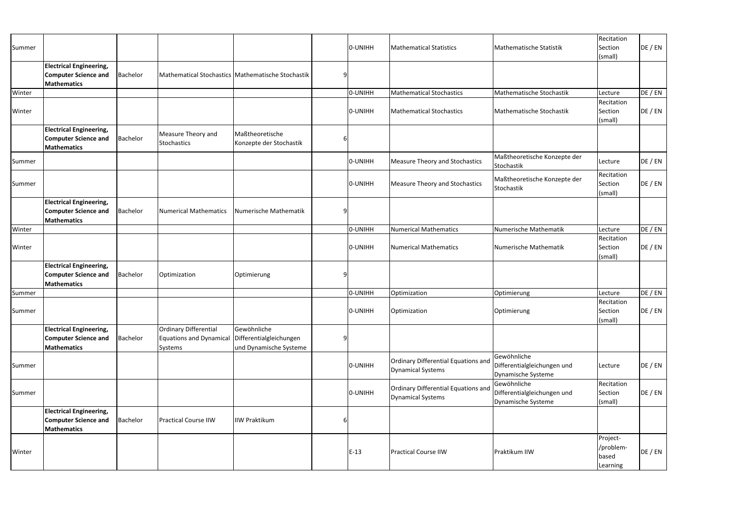| Summer |                                                                                     |                 |                                                             |                                                                  | O-UNIHH | <b>Mathematical Statistics</b>                           | Mathematische Statistik                                          | Recitation<br>Section<br>(small)           | DE / EN |
|--------|-------------------------------------------------------------------------------------|-----------------|-------------------------------------------------------------|------------------------------------------------------------------|---------|----------------------------------------------------------|------------------------------------------------------------------|--------------------------------------------|---------|
|        | <b>Electrical Engineering,</b><br><b>Computer Science and</b><br><b>Mathematics</b> | Bachelor        |                                                             | Mathematical Stochastics Mathematische Stochastik                |         |                                                          |                                                                  |                                            |         |
| Winter |                                                                                     |                 |                                                             |                                                                  | O-UNIHH | <b>Mathematical Stochastics</b>                          | Mathematische Stochastik                                         | Lecture                                    | DE / EN |
|        |                                                                                     |                 |                                                             |                                                                  |         |                                                          |                                                                  | Recitation                                 |         |
| Winter |                                                                                     |                 |                                                             |                                                                  | O-UNIHH | <b>Mathematical Stochastics</b>                          | Mathematische Stochastik                                         | Section<br>(small)                         | DE / EN |
|        | <b>Electrical Engineering,</b><br><b>Computer Science and</b><br><b>Mathematics</b> | Bachelor        | Measure Theory and<br>Stochastics                           | Maßtheoretische<br>Konzepte der Stochastik                       |         |                                                          |                                                                  |                                            |         |
| Summer |                                                                                     |                 |                                                             |                                                                  | O-UNIHH | Measure Theory and Stochastics                           | Maßtheoretische Konzepte der<br>Stochastik                       | Lecture                                    | DE / EN |
| Summer |                                                                                     |                 |                                                             |                                                                  | O-UNIHH | <b>Measure Theory and Stochastics</b>                    | Maßtheoretische Konzepte der<br>Stochastik                       | Recitation<br>Section<br>(small)           | DE / EN |
|        | <b>Electrical Engineering,</b><br><b>Computer Science and</b><br><b>Mathematics</b> | Bachelor        | Numerical Mathematics                                       | Numerische Mathematik                                            |         |                                                          |                                                                  |                                            |         |
| Winter |                                                                                     |                 |                                                             |                                                                  | 0-UNIHH | <b>Numerical Mathematics</b>                             | Numerische Mathematik                                            | Lecture                                    | DE / EN |
| Winter |                                                                                     |                 |                                                             |                                                                  | O-UNIHH | Numerical Mathematics                                    | Numerische Mathematik                                            | Recitation<br>Section<br>(small)           | DE / EN |
|        | <b>Electrical Engineering,</b><br><b>Computer Science and</b><br><b>Mathematics</b> | <b>Bachelor</b> | Optimization                                                | Optimierung                                                      |         |                                                          |                                                                  |                                            |         |
| Summer |                                                                                     |                 |                                                             |                                                                  | O-UNIHH | Optimization                                             | Optimierung                                                      | Lecture                                    | DE / EN |
| Summer |                                                                                     |                 |                                                             |                                                                  | O-UNIHH | Optimization                                             | Optimierung                                                      | Recitation<br>Section<br>(small)           | DE / EN |
|        | <b>Electrical Engineering,</b><br><b>Computer Science and</b><br><b>Mathematics</b> | Bachelor        | Ordinary Differential<br>Equations and Dynamical<br>Systems | Gewöhnliche<br>Differentialgleichungen<br>und Dynamische Systeme |         |                                                          |                                                                  |                                            |         |
| Summer |                                                                                     |                 |                                                             |                                                                  | O-UNIHH | Ordinary Differential Equations and<br>Dynamical Systems | Gewöhnliche<br>Differentialgleichungen und<br>Dynamische Systeme | Lecture                                    | DE / EN |
| Summer |                                                                                     |                 |                                                             |                                                                  | O-UNIHH | Ordinary Differential Equations and<br>Dynamical Systems | Gewöhnliche<br>Differentialgleichungen und<br>Dynamische Systeme | Recitation<br>Section<br>(small)           | DE / EN |
|        | <b>Electrical Engineering,</b><br><b>Computer Science and</b><br><b>Mathematics</b> | Bachelor        | <b>Practical Course IIW</b>                                 | <b>IIW Praktikum</b>                                             |         |                                                          |                                                                  |                                            |         |
| Winter |                                                                                     |                 |                                                             |                                                                  | $E-13$  | <b>Practical Course IIW</b>                              | Praktikum IIW                                                    | Project-<br>/problem-<br>based<br>Learning | DE / EN |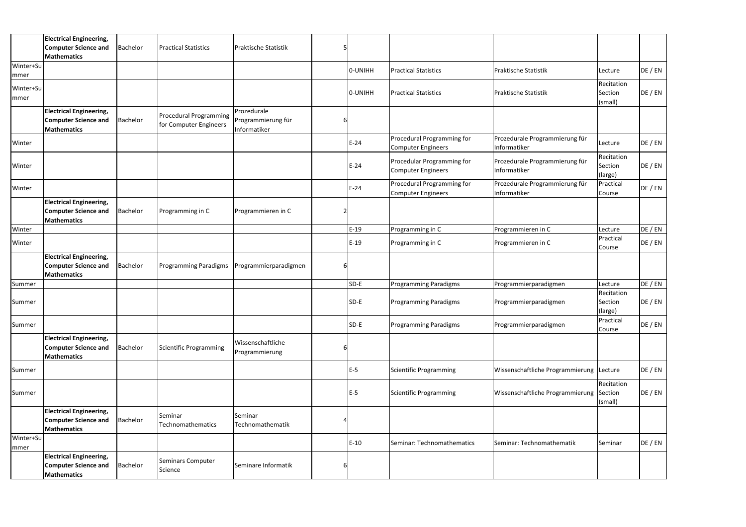|                   | <b>Electrical Engineering,</b><br><b>Computer Science and</b><br><b>Mathematics</b> | Bachelor | <b>Practical Statistics</b>                             | <b>Praktische Statistik</b>                       |   |         |                                                         |                                                |                                  |         |
|-------------------|-------------------------------------------------------------------------------------|----------|---------------------------------------------------------|---------------------------------------------------|---|---------|---------------------------------------------------------|------------------------------------------------|----------------------------------|---------|
| Winter+Su<br>mmer |                                                                                     |          |                                                         |                                                   |   | 0-UNIHH | <b>Practical Statistics</b>                             | <b>Praktische Statistik</b>                    | Lecture                          | DE / EN |
| Winter+Su<br>mmer |                                                                                     |          |                                                         |                                                   |   | 0-UNIHH | <b>Practical Statistics</b>                             | <b>Praktische Statistik</b>                    | Recitation<br>Section<br>(small) | DE / EN |
|                   | <b>Electrical Engineering,</b><br><b>Computer Science and</b><br><b>Mathematics</b> | Bachelor | <b>Procedural Programming</b><br>for Computer Engineers | Prozedurale<br>Programmierung für<br>Informatiker | 6 |         |                                                         |                                                |                                  |         |
| Winter            |                                                                                     |          |                                                         |                                                   |   | $E-24$  | Procedural Programming for<br><b>Computer Engineers</b> | Prozedurale Programmierung für<br>Informatiker | Lecture                          | DE / EN |
| Winter            |                                                                                     |          |                                                         |                                                   |   | $E-24$  | Procedular Programming for<br><b>Computer Engineers</b> | Prozedurale Programmierung für<br>Informatiker | Recitation<br>Section<br>(large) | DE / EN |
| Winter            |                                                                                     |          |                                                         |                                                   |   | $E-24$  | Procedural Programming for<br><b>Computer Engineers</b> | Prozedurale Programmierung für<br>Informatiker | Practical<br>Course              | DE / EN |
|                   | <b>Electrical Engineering,</b><br><b>Computer Science and</b><br><b>Mathematics</b> | Bachelor | Programming in C                                        | Programmieren in C                                |   |         |                                                         |                                                |                                  |         |
| Winter            |                                                                                     |          |                                                         |                                                   |   | $E-19$  | Programming in C                                        | Programmieren in C                             | Lecture                          | DE / EN |
| Winter            |                                                                                     |          |                                                         |                                                   |   | $E-19$  | Programming in C                                        | Programmieren in C                             | Practical<br>Course              | DE / EN |
|                   | <b>Electrical Engineering,</b><br><b>Computer Science and</b><br><b>Mathematics</b> | Bachelor | <b>Programming Paradigms</b>                            | Programmierparadigmen                             | b |         |                                                         |                                                |                                  |         |
| Summer            |                                                                                     |          |                                                         |                                                   |   | SD-E    | Programming Paradigms                                   | Programmierparadigmen                          | Lecture                          | DE / EN |
| Summer            |                                                                                     |          |                                                         |                                                   |   | SD-E    | <b>Programming Paradigms</b>                            | Programmierparadigmen                          | Recitation<br>Section<br>(large) | DE / EN |
| Summer            |                                                                                     |          |                                                         |                                                   |   | SD-E    | <b>Programming Paradigms</b>                            | Programmierparadigmen                          | Practical<br>Course              | DE / EN |
|                   | <b>Electrical Engineering,</b><br><b>Computer Science and</b><br><b>Mathematics</b> | Bachelor | <b>Scientific Programming</b>                           | Wissenschaftliche<br>Programmierung               | ь |         |                                                         |                                                |                                  |         |
| Summer            |                                                                                     |          |                                                         |                                                   |   | $E-5$   | <b>Scientific Programming</b>                           | Wissenschaftliche Programmierung Lecture       |                                  | DE / EN |
| Summer            |                                                                                     |          |                                                         |                                                   |   | $E-5$   | <b>Scientific Programming</b>                           | Wissenschaftliche Programmierung Section       | Recitation<br>(small)            | DE / EN |
|                   | <b>Electrical Engineering,</b><br><b>Computer Science and</b><br><b>Mathematics</b> | Bachelor | Seminar<br>Technomathematics                            | Seminar<br>Technomathematik                       |   |         |                                                         |                                                |                                  |         |
| Winter+Su<br>mmer |                                                                                     |          |                                                         |                                                   |   | $E-10$  | Seminar: Technomathematics                              | Seminar: Technomathematik                      | Seminar                          | DE / EN |
|                   | <b>Electrical Engineering,</b><br><b>Computer Science and</b><br><b>Mathematics</b> | Bachelor | Seminars Computer<br>Science                            | Seminare Informatik                               | 6 |         |                                                         |                                                |                                  |         |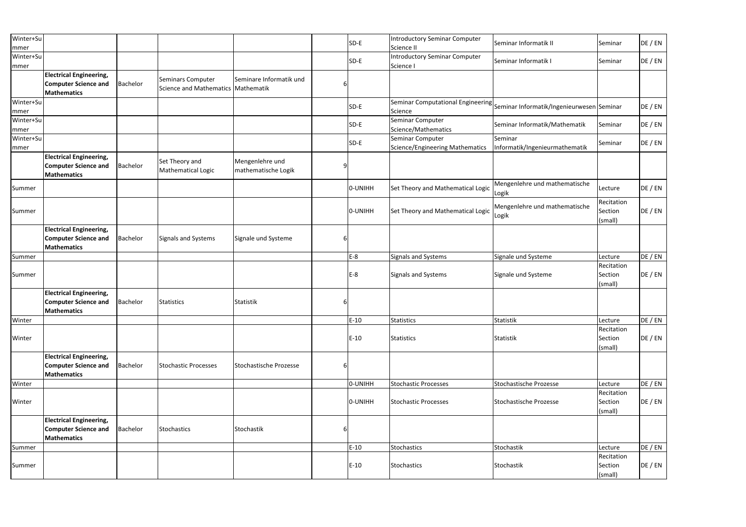| Winter+Su<br>mmer  |                                                                                     |          |                                              |                                        |   | SD-E    | <b>Introductory Seminar Computer</b><br>Science II  | Seminar Informatik II                                                       | Seminar                          | DE / EN |
|--------------------|-------------------------------------------------------------------------------------|----------|----------------------------------------------|----------------------------------------|---|---------|-----------------------------------------------------|-----------------------------------------------------------------------------|----------------------------------|---------|
| Winter+Su<br>mmer  |                                                                                     |          |                                              |                                        |   | SD-E    | <b>Introductory Seminar Computer</b><br>Science I   | Seminar Informatik I                                                        | Seminar                          | DE / EN |
|                    | <b>Electrical Engineering,</b><br><b>Computer Science and</b><br><b>Mathematics</b> | Bachelor | Seminars Computer<br>Science and Mathematics | Seminare Informatik und<br>Mathematik  |   |         |                                                     |                                                                             |                                  |         |
| Winter+Su<br>mmer  |                                                                                     |          |                                              |                                        |   | SD-E    | Science                                             | Seminar Computational Engineering Seminar Informatik/Ingenieurwesen Seminar |                                  | DE / EN |
| Winter+Su<br>mmer  |                                                                                     |          |                                              |                                        |   | SD-E    | Seminar Computer<br>Science/Mathematics             | Seminar Informatik/Mathematik                                               | Seminar                          | DE / EN |
| Winter+Su<br> mmer |                                                                                     |          |                                              |                                        |   | SD-E    | Seminar Computer<br>Science/Engineering Mathematics | Seminar<br>Informatik/Ingenieurmathematik                                   | Seminar                          | DE / EN |
|                    | <b>Electrical Engineering,</b><br><b>Computer Science and</b><br><b>Mathematics</b> | Bachelor | Set Theory and<br>Mathematical Logic         | Mengenlehre und<br>mathematische Logik | 9 |         |                                                     |                                                                             |                                  |         |
| Summer             |                                                                                     |          |                                              |                                        |   | 0-UNIHH | Set Theory and Mathematical Logic                   | Mengenlehre und mathematische<br>Logik                                      | Lecture                          | DE / EN |
| Summer             |                                                                                     |          |                                              |                                        |   | 0-UNIHH | Set Theory and Mathematical Logic                   | Mengenlehre und mathematische<br>Logik                                      | Recitation<br>Section<br>(small) | DE / EN |
|                    | <b>Electrical Engineering,</b><br><b>Computer Science and</b><br><b>Mathematics</b> | Bachelor | <b>Signals and Systems</b>                   | Signale und Systeme                    |   |         |                                                     |                                                                             |                                  |         |
| Summer             |                                                                                     |          |                                              |                                        |   | $E-8$   | Signals and Systems                                 | Signale und Systeme                                                         | Lecture                          | DE / EN |
| Summer             |                                                                                     |          |                                              |                                        |   | $E-8$   | <b>Signals and Systems</b>                          | Signale und Systeme                                                         | Recitation<br>Section<br>(small) | DE / EN |
|                    | <b>Electrical Engineering,</b><br><b>Computer Science and</b><br><b>Mathematics</b> | Bachelor | <b>Statistics</b>                            | Statistik                              |   |         |                                                     |                                                                             |                                  |         |
| Winter             |                                                                                     |          |                                              |                                        |   | $E-10$  | <b>Statistics</b>                                   | <b>Statistik</b>                                                            | Lecture                          | DE / EN |
| Winter             |                                                                                     |          |                                              |                                        |   | $E-10$  | <b>Statistics</b>                                   | Statistik                                                                   | Recitation<br>Section<br>(small) | DE / EN |
|                    | <b>Electrical Engineering,</b><br><b>Computer Science and</b><br><b>Mathematics</b> | Bachelor | <b>Stochastic Processes</b>                  | <b>Stochastische Prozesse</b>          | 6 |         |                                                     |                                                                             |                                  |         |
| Winter             |                                                                                     |          |                                              |                                        |   | 0-UNIHH | <b>Stochastic Processes</b>                         | Stochastische Prozesse                                                      | Lecture                          | DE / EN |
| Winter             |                                                                                     |          |                                              |                                        |   | 0-UNIHH | <b>Stochastic Processes</b>                         | Stochastische Prozesse                                                      | Recitation<br>Section<br>(small) | DE / EN |
|                    | <b>Electrical Engineering,</b><br><b>Computer Science and</b><br><b>Mathematics</b> | Bachelor | Stochastics                                  | Stochastik                             | 6 |         |                                                     |                                                                             |                                  |         |
| Summer             |                                                                                     |          |                                              |                                        |   | $E-10$  | Stochastics                                         | Stochastik                                                                  | Lecture                          | DE / EN |
| Summer             |                                                                                     |          |                                              |                                        |   | $E-10$  | <b>Stochastics</b>                                  | Stochastik                                                                  | Recitation<br>Section<br>(small) | DE / EN |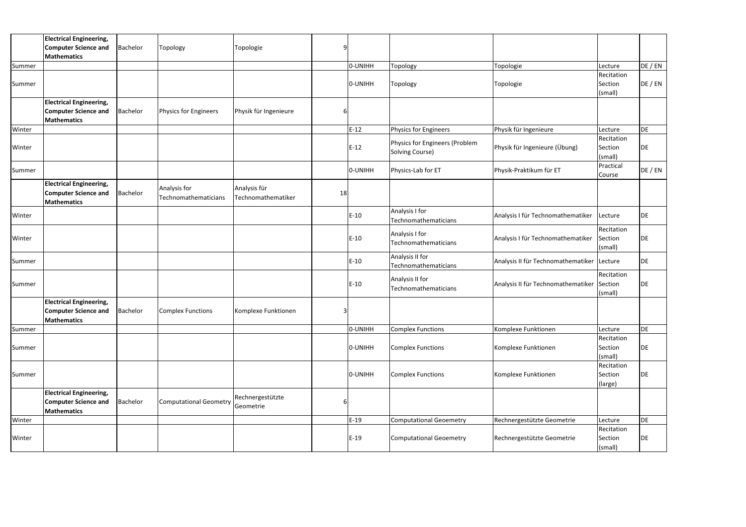|        | <b>Electrical Engineering,</b><br><b>Computer Science and</b><br>Mathematics        | Bachelor        | Topology                             | Topologie                          | 9  |         |                                                   |                                    |                                  |         |
|--------|-------------------------------------------------------------------------------------|-----------------|--------------------------------------|------------------------------------|----|---------|---------------------------------------------------|------------------------------------|----------------------------------|---------|
| Summer |                                                                                     |                 |                                      |                                    |    | 0-UNIHH | Topology                                          | Topologie                          | Lecture                          | DE / EN |
| Summer |                                                                                     |                 |                                      |                                    |    | 0-UNIHH | Topology                                          | Topologie                          | Recitation<br>Section<br>(small) | DE / EN |
|        | <b>Electrical Engineering,</b><br><b>Computer Science and</b><br>Mathematics        | Bachelor        | Physics for Engineers                | Physik für Ingenieure              | 6  |         |                                                   |                                    |                                  |         |
| Winter |                                                                                     |                 |                                      |                                    |    | $E-12$  | Physics for Engineers                             | Physik für Ingenieure              | Lecture                          | DE      |
| Winter |                                                                                     |                 |                                      |                                    |    | $E-12$  | Physics for Engineers (Problem<br>Solving Course) | Physik für Ingenieure (Übung)      | Recitation<br>Section<br>(small) | DE      |
| Summer |                                                                                     |                 |                                      |                                    |    | 0-UNIHH | Physics-Lab for ET                                | Physik-Praktikum für ET            | Practical<br>Course              | DE / EN |
|        | <b>Electrical Engineering,</b><br><b>Computer Science and</b><br>Mathematics        | <b>Bachelor</b> | Analysis for<br>Technomathematicians | Analysis für<br>Technomathematiker | 18 |         |                                                   |                                    |                                  |         |
| Winter |                                                                                     |                 |                                      |                                    |    | $E-10$  | Analysis I for<br>Technomathematicians            | Analysis I für Technomathematiker  | Lecture                          | DE      |
| Winter |                                                                                     |                 |                                      |                                    |    | $E-10$  | Analysis I for<br>Technomathematicians            | Analysis I für Technomathematiker  | Recitation<br>Section<br>(small) | DE      |
| Summer |                                                                                     |                 |                                      |                                    |    | $E-10$  | Analysis II for<br>Technomathematicians           | Analysis II für Technomathematiker | Lecture                          | DE      |
| Summer |                                                                                     |                 |                                      |                                    |    | $E-10$  | Analysis II for<br>Technomathematicians           | Analysis II für Technomathematiker | Recitation<br>Section<br>(small) | DE      |
|        | <b>Electrical Engineering,</b><br><b>Computer Science and</b><br><b>Mathematics</b> | Bachelor        | <b>Complex Functions</b>             | Komplexe Funktionen                | 3I |         |                                                   |                                    |                                  |         |
| Summer |                                                                                     |                 |                                      |                                    |    | 0-UNIHH | <b>Complex Functions</b>                          | Komplexe Funktionen                | Lecture                          | DE      |
| Summer |                                                                                     |                 |                                      |                                    |    | O-UNIHH | <b>Complex Functions</b>                          | Komplexe Funktionen                | Recitation<br>Section<br>(small) | DE      |
| Summer |                                                                                     |                 |                                      |                                    |    | O-UNIHH | <b>Complex Functions</b>                          | Komplexe Funktionen                | Recitation<br>Section<br>(large) | DE      |
|        | <b>Electrical Engineering,</b><br><b>Computer Science and</b><br><b>Mathematics</b> | Bachelor        | <b>Computational Geometry</b>        | Rechnergestützte<br>Geometrie      | 6  |         |                                                   |                                    |                                  |         |
| Winter |                                                                                     |                 |                                      |                                    |    | $E-19$  | <b>Computational Geoemetry</b>                    | Rechnergestützte Geometrie         | Lecture                          | DE      |
| Winter |                                                                                     |                 |                                      |                                    |    | $E-19$  | Computational Geoemetry                           | Rechnergestützte Geometrie         | Recitation<br>Section<br>(small) | DE      |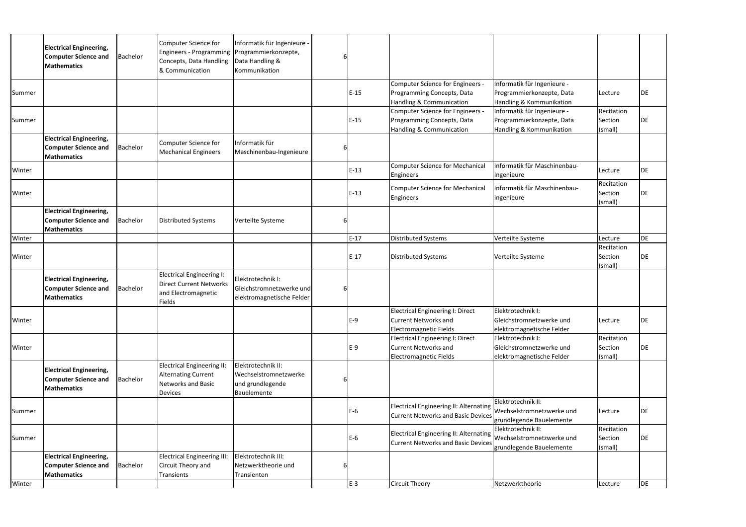|        | <b>Electrical Engineering,</b><br><b>Computer Science and</b><br><b>Mathematics</b> | <b>Bachelor</b> | Computer Science for<br><b>Engineers - Programming</b><br>Concepts, Data Handling<br>& Communication    | Informatik für Ingenieure -<br>Programmierkonzepte,<br>Data Handling &<br>Kommunikation |        |                                                                                                               |                                                                                      |                                  |           |
|--------|-------------------------------------------------------------------------------------|-----------------|---------------------------------------------------------------------------------------------------------|-----------------------------------------------------------------------------------------|--------|---------------------------------------------------------------------------------------------------------------|--------------------------------------------------------------------------------------|----------------------------------|-----------|
| Summer |                                                                                     |                 |                                                                                                         |                                                                                         | $E-15$ | Computer Science for Engineers -<br>Programming Concepts, Data<br>Handling & Communication                    | Informatik für Ingenieure -<br>Programmierkonzepte, Data<br>Handling & Kommunikation | Lecture                          | DE        |
| Summer |                                                                                     |                 |                                                                                                         |                                                                                         | $E-15$ | Computer Science for Engineers -<br>Programming Concepts, Data<br>Handling & Communication                    | Informatik für Ingenieure -<br>Programmierkonzepte, Data<br>Handling & Kommunikation | Recitation<br>Section<br>(small) | DE        |
|        | <b>Electrical Engineering,</b><br><b>Computer Science and</b><br>Mathematics        | Bachelor        | Computer Science for<br><b>Mechanical Engineers</b>                                                     | Informatik für<br>Maschinenbau-Ingenieure                                               |        |                                                                                                               |                                                                                      |                                  |           |
| Winter |                                                                                     |                 |                                                                                                         |                                                                                         | $E-13$ | <b>Computer Science for Mechanical</b><br>Engineers                                                           | Informatik für Maschinenbau-<br>Ingenieure                                           | Lecture                          | <b>DE</b> |
| Winter |                                                                                     |                 |                                                                                                         |                                                                                         | $E-13$ | <b>Computer Science for Mechanical</b><br>Engineers                                                           | Informatik für Maschinenbau-<br>Ingenieure                                           | Recitation<br>Section<br>(small) | DE        |
|        | <b>Electrical Engineering,</b><br><b>Computer Science and</b><br>Mathematics        | Bachelor        | <b>Distributed Systems</b>                                                                              | Verteilte Systeme                                                                       |        |                                                                                                               |                                                                                      |                                  |           |
| Winter |                                                                                     |                 |                                                                                                         |                                                                                         | $E-17$ | <b>Distributed Systems</b>                                                                                    | Verteilte Systeme                                                                    | Lecture                          | <b>DE</b> |
| Winter |                                                                                     |                 |                                                                                                         |                                                                                         | $E-17$ | <b>Distributed Systems</b>                                                                                    | Verteilte Systeme                                                                    | Recitation<br>Section<br>(small) | <b>DE</b> |
|        | <b>Electrical Engineering,</b><br><b>Computer Science and</b><br>Mathematics        | Bachelor        | Electrical Engineering I:<br><b>Direct Current Networks</b><br>and Electromagnetic<br><b>Fields</b>     | Elektrotechnik I:<br>Gleichstromnetzwerke und<br>elektromagnetische Felder              |        |                                                                                                               |                                                                                      |                                  |           |
| Winter |                                                                                     |                 |                                                                                                         |                                                                                         | $E-9$  | Electrical Engineering I: Direct<br><b>Current Networks and</b><br><b>Electromagnetic Fields</b>              | Elektrotechnik I:<br>Gleichstromnetzwerke und<br>elektromagnetische Felder           | Lecture                          | DE        |
| Winter |                                                                                     |                 |                                                                                                         |                                                                                         | $E-9$  | Electrical Engineering I: Direct<br><b>Current Networks and</b><br><b>Electromagnetic Fields</b>              | Elektrotechnik I:<br>Gleichstromnetzwerke und<br>elektromagnetische Felder           | Recitation<br>Section<br>(small) | DE        |
|        | <b>Electrical Engineering,</b><br><b>Computer Science and</b><br>Mathematics        | Bachelor        | <b>Electrical Engineering II:</b><br><b>Alternating Current</b><br><b>Networks and Basic</b><br>Devices | Elektrotechnik II:<br>Wechselstromnetzwerke<br>und grundlegende<br>Bauelemente          |        |                                                                                                               |                                                                                      |                                  |           |
| Summer |                                                                                     |                 |                                                                                                         |                                                                                         | $E-6$  | Electrical Engineering II: Alternating Wechselstromnetzwerke und<br><b>Current Networks and Basic Devices</b> | Elektrotechnik II:<br>grundlegende Bauelemente                                       | Lecture                          | <b>DE</b> |
| Summer |                                                                                     |                 |                                                                                                         |                                                                                         | $E-6$  | Electrical Engineering II: Alternating Wechselstromnetzwerke und<br><b>Current Networks and Basic Devices</b> | Elektrotechnik II:<br>grundlegende Bauelemente                                       | Recitation<br>Section<br>(small) | DE        |
|        | <b>Electrical Engineering,</b><br><b>Computer Science and</b><br>Mathematics        | <b>Bachelor</b> | <b>Electrical Engineering III:</b><br>Circuit Theory and<br>Transients                                  | Elektrotechnik III:<br>Netzwerktheorie und<br>Transienten                               |        |                                                                                                               |                                                                                      |                                  |           |
| Winter |                                                                                     |                 |                                                                                                         |                                                                                         | E-3    | <b>Circuit Theory</b>                                                                                         | Netzwerktheorie                                                                      | Lecture                          | DE        |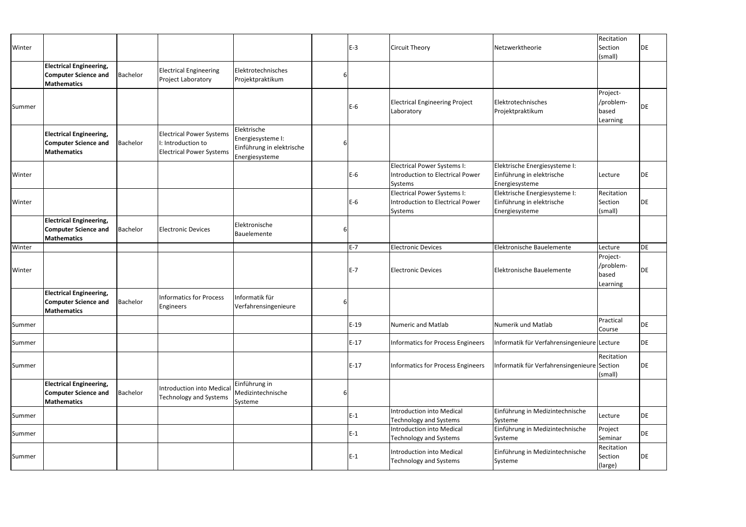| Winter |                                                                                     |          |                                                                                          |                                                                                 |   | $E-3$  | <b>Circuit Theory</b>                                                             | Netzwerktheorie                                                              | Recitation<br>Section<br>(small)           | DE        |
|--------|-------------------------------------------------------------------------------------|----------|------------------------------------------------------------------------------------------|---------------------------------------------------------------------------------|---|--------|-----------------------------------------------------------------------------------|------------------------------------------------------------------------------|--------------------------------------------|-----------|
|        | <b>Electrical Engineering,</b><br><b>Computer Science and</b><br><b>Mathematics</b> | Bachelor | <b>Electrical Engineering</b><br>Project Laboratory                                      | Elektrotechnisches<br>Projektpraktikum                                          |   |        |                                                                                   |                                                                              |                                            |           |
| Summer |                                                                                     |          |                                                                                          |                                                                                 |   | $E-6$  | <b>Electrical Engineering Project</b><br>Laboratory                               | Elektrotechnisches<br>Projektpraktikum                                       | Project-<br>/problem-<br>based<br>Learning | DE        |
|        | <b>Electrical Engineering,</b><br><b>Computer Science and</b><br><b>Mathematics</b> | Bachelor | <b>Electrical Power Systems</b><br>I: Introduction to<br><b>Electrical Power Systems</b> | Elektrische<br>Energiesysteme I:<br>Einführung in elektrische<br>Energiesysteme |   |        |                                                                                   |                                                                              |                                            |           |
| Winter |                                                                                     |          |                                                                                          |                                                                                 |   | $E-6$  | Electrical Power Systems I:<br><b>Introduction to Electrical Power</b><br>Systems | Elektrische Energiesysteme I:<br>Einführung in elektrische<br>Energiesysteme | Lecture                                    | DE        |
| Winter |                                                                                     |          |                                                                                          |                                                                                 |   | E-6    | Electrical Power Systems I:<br><b>Introduction to Electrical Power</b><br>Systems | Elektrische Energiesysteme I:<br>Einführung in elektrische<br>Energiesysteme | Recitation<br>Section<br>(small)           | DE        |
|        | <b>Electrical Engineering,</b><br><b>Computer Science and</b><br><b>Mathematics</b> | Bachelor | <b>Electronic Devices</b>                                                                | Elektronische<br>Bauelemente                                                    |   |        |                                                                                   |                                                                              |                                            |           |
| Winter |                                                                                     |          |                                                                                          |                                                                                 |   | E-7    | <b>Electronic Devices</b>                                                         | Elektronische Bauelemente                                                    | Lecture                                    | <b>DE</b> |
| Winter |                                                                                     |          |                                                                                          |                                                                                 |   | E-7    | <b>Electronic Devices</b>                                                         | Elektronische Bauelemente                                                    | Project-<br>/problem-<br>based<br>Learning | DE        |
|        | <b>Electrical Engineering,</b><br><b>Computer Science and</b><br><b>Mathematics</b> | Bachelor | <b>Informatics for Process</b><br>Engineers                                              | Informatik für<br>Verfahrensingenieure                                          |   |        |                                                                                   |                                                                              |                                            |           |
| Summer |                                                                                     |          |                                                                                          |                                                                                 |   | $E-19$ | <b>Numeric and Matlab</b>                                                         | Numerik und Matlab                                                           | Practical<br>Course                        | DE        |
| Summer |                                                                                     |          |                                                                                          |                                                                                 |   | $E-17$ | <b>Informatics for Process Engineers</b>                                          | Informatik für Verfahrensingenieure Lecture                                  |                                            | DE        |
| Summer |                                                                                     |          |                                                                                          |                                                                                 |   | $E-17$ | <b>Informatics for Process Engineers</b>                                          | Informatik für Verfahrensingenieure Section                                  | Recitation<br>(small)                      | DE        |
|        | <b>Electrical Engineering,</b><br><b>Computer Science and</b><br><b>Mathematics</b> | Bachelor | <b>Introduction into Medical</b><br><b>Technology and Systems</b>                        | Einführung in<br>Medizintechnische<br>Systeme                                   | 6 |        |                                                                                   |                                                                              |                                            |           |
| Summer |                                                                                     |          |                                                                                          |                                                                                 |   | $E-1$  | <b>Introduction into Medical</b><br><b>Technology and Systems</b>                 | Einführung in Medizintechnische<br>Systeme                                   | Lecture                                    | DE        |
| Summer |                                                                                     |          |                                                                                          |                                                                                 |   | E-1    | <b>Introduction into Medical</b><br><b>Technology and Systems</b>                 | Einführung in Medizintechnische<br>Systeme                                   | Project<br>Seminar                         | DE        |
| Summer |                                                                                     |          |                                                                                          |                                                                                 |   | $E-1$  | <b>Introduction into Medical</b><br><b>Technology and Systems</b>                 | Einführung in Medizintechnische<br>Systeme                                   | Recitation<br>Section<br>(large)           | DE        |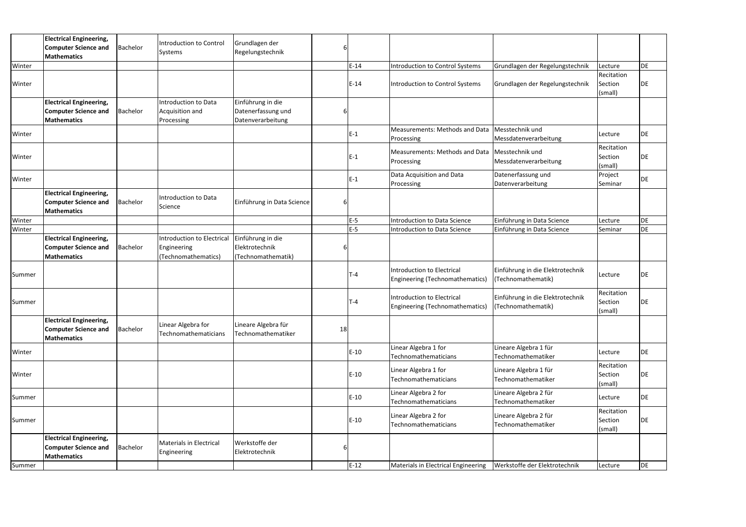|        | <b>Electrical Engineering,</b><br><b>Computer Science and</b><br><b>Mathematics</b> | Bachelor        | Introduction to Control<br>Systems                                      | Grundlagen der<br>Regelungstechnik                           |    |        |                                                                             |                                                        |                                  |           |
|--------|-------------------------------------------------------------------------------------|-----------------|-------------------------------------------------------------------------|--------------------------------------------------------------|----|--------|-----------------------------------------------------------------------------|--------------------------------------------------------|----------------------------------|-----------|
| Winter |                                                                                     |                 |                                                                         |                                                              |    | $E-14$ | <b>Introduction to Control Systems</b>                                      | Grundlagen der Regelungstechnik                        | Lecture                          | DE        |
| Winter |                                                                                     |                 |                                                                         |                                                              |    | $E-14$ | Introduction to Control Systems                                             | Grundlagen der Regelungstechnik                        | Recitation<br>Section<br>(small) | DE        |
|        | <b>Electrical Engineering,</b><br><b>Computer Science and</b><br>Mathematics        | Bachelor        | <b>Introduction to Data</b><br>Acquisition and<br>Processing            | Einführung in die<br>Datenerfassung und<br>Datenverarbeitung |    |        |                                                                             |                                                        |                                  |           |
| Winter |                                                                                     |                 |                                                                         |                                                              |    | $E-1$  | Measurements: Methods and Data<br>Processing                                | Messtechnik und<br>Messdatenverarbeitung               | Lecture                          | DE        |
| Winter |                                                                                     |                 |                                                                         |                                                              |    | $E-1$  | Measurements: Methods and Data Messtechnik und<br>Processing                | Messdatenverarbeitung                                  | Recitation<br>Section<br>(small) | DE        |
| Winter |                                                                                     |                 |                                                                         |                                                              |    | $E-1$  | Data Acquisition and Data<br>Processing                                     | Datenerfassung und<br>Datenverarbeitung                | Project<br>Seminar               | DE        |
|        | <b>Electrical Engineering,</b><br><b>Computer Science and</b><br><b>Mathematics</b> | Bachelor        | Introduction to Data<br>Science                                         | Einführung in Data Science                                   | 6  |        |                                                                             |                                                        |                                  |           |
| Winter |                                                                                     |                 |                                                                         |                                                              |    | E-5    | Introduction to Data Science                                                | Einführung in Data Science                             | Lecture                          | DE        |
| Winter |                                                                                     |                 |                                                                         |                                                              |    | $E-5$  | Introduction to Data Science                                                | Einführung in Data Science                             | Seminar                          | DE        |
|        | <b>Electrical Engineering,</b><br><b>Computer Science and</b><br><b>Mathematics</b> | Bachelor        | <b>Introduction to Electrical</b><br>Engineering<br>(Technomathematics) | Einführung in die<br>Elektrotechnik<br>(Technomathematik)    | 6  |        |                                                                             |                                                        |                                  |           |
| Summer |                                                                                     |                 |                                                                         |                                                              |    | $T-4$  | <b>Introduction to Electrical</b><br><b>Engineering (Technomathematics)</b> | Einführung in die Elektrotechnik<br>(Technomathematik) | Lecture                          | DE        |
| Summer |                                                                                     |                 |                                                                         |                                                              |    | Г-4    | <b>Introduction to Electrical</b><br><b>Engineering (Technomathematics)</b> | Einführung in die Elektrotechnik<br>(Technomathematik) | Recitation<br>Section<br>(small) | DE        |
|        | <b>Electrical Engineering,</b><br><b>Computer Science and</b><br><b>Mathematics</b> | <b>Bachelor</b> | Linear Algebra for<br>Technomathematicians                              | Lineare Algebra für<br>Technomathematiker                    | 18 |        |                                                                             |                                                        |                                  |           |
| Winter |                                                                                     |                 |                                                                         |                                                              |    | $E-10$ | Linear Algebra 1 for<br>Technomathematicians                                | Lineare Algebra 1 für<br>Technomathematiker            | Lecture                          | DE        |
| Winter |                                                                                     |                 |                                                                         |                                                              |    | $E-10$ | Linear Algebra 1 for<br>Technomathematicians                                | Lineare Algebra 1 für<br>Technomathematiker            | Recitation<br>Section<br>(small) | DE        |
| Summer |                                                                                     |                 |                                                                         |                                                              |    | $E-10$ | Linear Algebra 2 for<br>Technomathematicians                                | Lineare Algebra 2 für<br>Technomathematiker            | Lecture                          | <b>DE</b> |
| Summer |                                                                                     |                 |                                                                         |                                                              |    | $E-10$ | Linear Algebra 2 for<br>Technomathematicians                                | Lineare Algebra 2 für<br>Technomathematiker            | Recitation<br>Section<br>(small) | DE        |
|        | <b>Electrical Engineering,</b><br><b>Computer Science and</b><br><b>Mathematics</b> | <b>Bachelor</b> | Materials in Electrical<br>Engineering                                  | Werkstoffe der<br>Elektrotechnik                             | 6  |        |                                                                             |                                                        |                                  |           |
| Summer |                                                                                     |                 |                                                                         |                                                              |    | $E-12$ | Materials in Electrical Engineering                                         | Werkstoffe der Elektrotechnik                          | Lecture                          | DE        |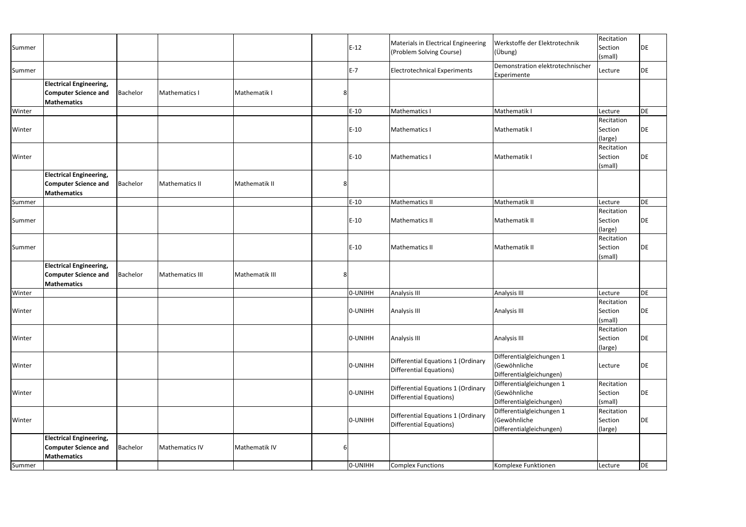| Summer |                                                                                     |          |                 |                |                | $E-12$  | Materials in Electrical Engineering<br>(Problem Solving Course) | Werkstoffe der Elektrotechnik<br>(Übung)                              | Recitation<br>Section<br>(small) | DE        |
|--------|-------------------------------------------------------------------------------------|----------|-----------------|----------------|----------------|---------|-----------------------------------------------------------------|-----------------------------------------------------------------------|----------------------------------|-----------|
| Summer |                                                                                     |          |                 |                |                | $E-7$   | <b>Electrotechnical Experiments</b>                             | Demonstration elektrotechnischer<br>Experimente                       | Lecture                          | DE        |
|        | <b>Electrical Engineering,</b><br><b>Computer Science and</b><br><b>Mathematics</b> | Bachelor | Mathematics I   | Mathematik I   | 8              |         |                                                                 |                                                                       |                                  |           |
| Winter |                                                                                     |          |                 |                |                | $E-10$  | Mathematics I                                                   | Mathematik I                                                          | Lecture                          | DE        |
| Winter |                                                                                     |          |                 |                |                | $E-10$  | <b>Mathematics I</b>                                            | Mathematik I                                                          | Recitation<br>Section<br>(large) | DE        |
| Winter |                                                                                     |          |                 |                |                | $E-10$  | Mathematics I                                                   | Mathematik I                                                          | Recitation<br>Section<br>(small) | DE        |
|        | <b>Electrical Engineering,</b><br><b>Computer Science and</b><br><b>Mathematics</b> | Bachelor | Mathematics II  | Mathematik II  | 8              |         |                                                                 |                                                                       |                                  |           |
| Summer |                                                                                     |          |                 |                |                | $E-10$  | Mathematics II                                                  | Mathematik II                                                         | Lecture                          | <b>DE</b> |
| Summer |                                                                                     |          |                 |                |                | $E-10$  | <b>Mathematics II</b>                                           | Mathematik II                                                         | Recitation<br>Section<br>(large) | DE        |
| Summer |                                                                                     |          |                 |                |                | $E-10$  | <b>Mathematics II</b>                                           | Mathematik II                                                         | Recitation<br>Section<br>(small) | DE        |
|        | <b>Electrical Engineering,</b><br><b>Computer Science and</b><br><b>Mathematics</b> | Bachelor | Mathematics III | Mathematik III | 8 <sup>1</sup> |         |                                                                 |                                                                       |                                  |           |
| Winter |                                                                                     |          |                 |                |                | 0-UNIHH | <b>Analysis III</b>                                             | Analysis III                                                          | Lecture                          | DE        |
| Winter |                                                                                     |          |                 |                |                | 0-UNIHH | Analysis III                                                    | Analysis III                                                          | Recitation<br>Section<br>(small) | DE        |
| Winter |                                                                                     |          |                 |                |                | O-UNIHH | Analysis III                                                    | Analysis III                                                          | Recitation<br>Section<br>(large) | DE        |
| Winter |                                                                                     |          |                 |                |                | O-UNIHH | Differential Equations 1 (Ordinary<br>Differential Equations)   | Differentialgleichungen 1<br>(Gewöhnliche<br>Differentialgleichungen) | Lecture                          | <b>DE</b> |
| Winter |                                                                                     |          |                 |                |                | O-UNIHH | Differential Equations 1 (Ordinary<br>Differential Equations)   | Differentialgleichungen 1<br>(Gewöhnliche<br>Differentialgleichungen) | Recitation<br>Section<br>(small) | <b>DE</b> |
| Winter |                                                                                     |          |                 |                |                | O-UNIHH | Differential Equations 1 (Ordinary<br>Differential Equations)   | Differentialgleichungen 1<br>(Gewöhnliche<br>Differentialgleichungen) | Recitation<br>Section<br>(large) | DE        |
|        | <b>Electrical Engineering,</b><br><b>Computer Science and</b><br><b>Mathematics</b> | Bachelor | Mathematics IV  | Mathematik IV  | 6              |         |                                                                 |                                                                       |                                  |           |
| Summer |                                                                                     |          |                 |                |                | O-UNIHH | <b>Complex Functions</b>                                        | Komplexe Funktionen                                                   | Lecture                          | DE        |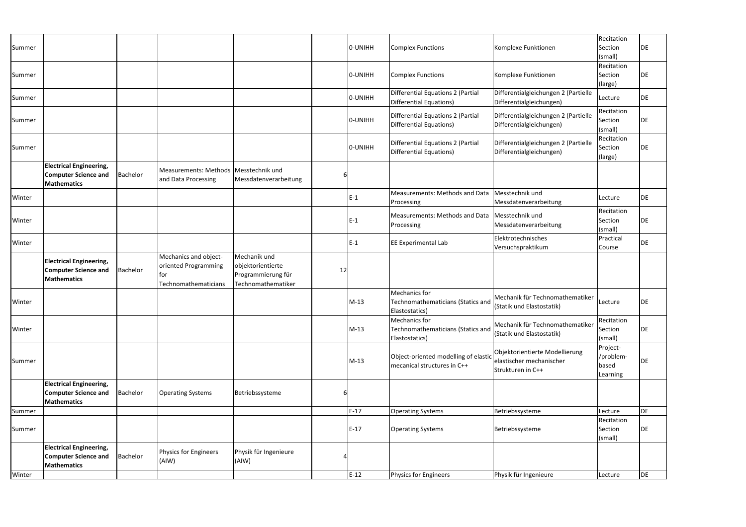| Summer |                                                                                     |                 |                                                                               |                                                                               |    | O-UNIHH | <b>Complex Functions</b>                                                   | Komplexe Funktionen                                                             | Recitation<br>Section<br>(small)           | DE |
|--------|-------------------------------------------------------------------------------------|-----------------|-------------------------------------------------------------------------------|-------------------------------------------------------------------------------|----|---------|----------------------------------------------------------------------------|---------------------------------------------------------------------------------|--------------------------------------------|----|
| Summer |                                                                                     |                 |                                                                               |                                                                               |    | 0-UNIHH | <b>Complex Functions</b>                                                   | Komplexe Funktionen                                                             | Recitation<br>Section<br>(large)           | DE |
| Summer |                                                                                     |                 |                                                                               |                                                                               |    | O-UNIHH | <b>Differential Equations 2 (Partial</b><br><b>Differential Equations)</b> | Differentialgleichungen 2 (Partielle<br>Differentialgleichungen)                | Lecture                                    | DE |
| Summer |                                                                                     |                 |                                                                               |                                                                               |    | O-UNIHH | <b>Differential Equations 2 (Partial</b><br><b>Differential Equations)</b> | Differentialgleichungen 2 (Partielle<br>Differentialgleichungen)                | Recitation<br>Section<br>(small)           | DE |
| Summer |                                                                                     |                 |                                                                               |                                                                               |    | 0-UNIHH | <b>Differential Equations 2 (Partial</b><br><b>Differential Equations)</b> | Differentialgleichungen 2 (Partielle<br>Differentialgleichungen)                | Recitation<br>Section<br>(large)           | DE |
|        | <b>Electrical Engineering,</b><br><b>Computer Science and</b><br><b>Mathematics</b> | Bachelor        | Measurements: Methods   Messtechnik und<br>and Data Processing                | Messdatenverarbeitung                                                         |    |         |                                                                            |                                                                                 |                                            |    |
| Winter |                                                                                     |                 |                                                                               |                                                                               |    | $E-1$   | Measurements: Methods and Data<br>Processing                               | Messtechnik und<br>Messdatenverarbeitung                                        | Lecture                                    | DE |
| Winter |                                                                                     |                 |                                                                               |                                                                               |    | $E-1$   | Measurements: Methods and Data   Messtechnik und<br>Processing             | Messdatenverarbeitung                                                           | Recitation<br>Section<br>(small)           | DE |
| Winter |                                                                                     |                 |                                                                               |                                                                               |    | $E-1$   | EE Experimental Lab                                                        | Elektrotechnisches<br>Versuchspraktikum                                         | Practical<br>Course                        | DE |
|        | <b>Electrical Engineering,</b><br><b>Computer Science and</b><br><b>Mathematics</b> | <b>Bachelor</b> | Mechanics and object-<br>oriented Programming<br>lfor<br>Technomathematicians | Mechanik und<br>objektorientierte<br>Programmierung für<br>Technomathematiker | 12 |         |                                                                            |                                                                                 |                                            |    |
| Winter |                                                                                     |                 |                                                                               |                                                                               |    | $M-13$  | Mechanics for<br>Technomathematicians (Statics and<br>Elastostatics)       | Mechanik für Technomathematiker<br>(Statik und Elastostatik)                    | Lecture                                    | DE |
| Winter |                                                                                     |                 |                                                                               |                                                                               |    | $M-13$  | Mechanics for<br>Technomathematicians (Statics and<br>Elastostatics)       | Mechanik für Technomathematiker<br>(Statik und Elastostatik)                    | Recitation<br>Section<br>(small)           | DE |
| Summer |                                                                                     |                 |                                                                               |                                                                               |    | $M-13$  | Object-oriented modelling of elastic<br>mecanical structures in C++        | Objektorientierte Modellierung<br>elastischer mechanischer<br>Strukturen in C++ | Project-<br>/problem-<br>based<br>Learning | DE |
|        | <b>Electrical Engineering,</b><br><b>Computer Science and</b><br><b>Mathematics</b> | Bachelor        | <b>Operating Systems</b>                                                      | Betriebssysteme                                                               |    |         |                                                                            |                                                                                 |                                            |    |
| Summer |                                                                                     |                 |                                                                               |                                                                               |    | $E-17$  | <b>Operating Systems</b>                                                   | Betriebssysteme                                                                 | Lecture                                    | DE |
| Summer |                                                                                     |                 |                                                                               |                                                                               |    | $E-17$  | <b>Operating Systems</b>                                                   | Betriebssysteme                                                                 | Recitation<br>Section<br>(small)           | DE |
|        | <b>Electrical Engineering,</b><br><b>Computer Science and</b><br><b>Mathematics</b> | Bachelor        | <b>Physics for Engineers</b><br>(AIW)                                         | Physik für Ingenieure<br>(AIW)                                                |    |         |                                                                            |                                                                                 |                                            |    |
| Winter |                                                                                     |                 |                                                                               |                                                                               |    | $E-12$  | Physics for Engineers                                                      | Physik für Ingenieure                                                           | Lecture                                    | DE |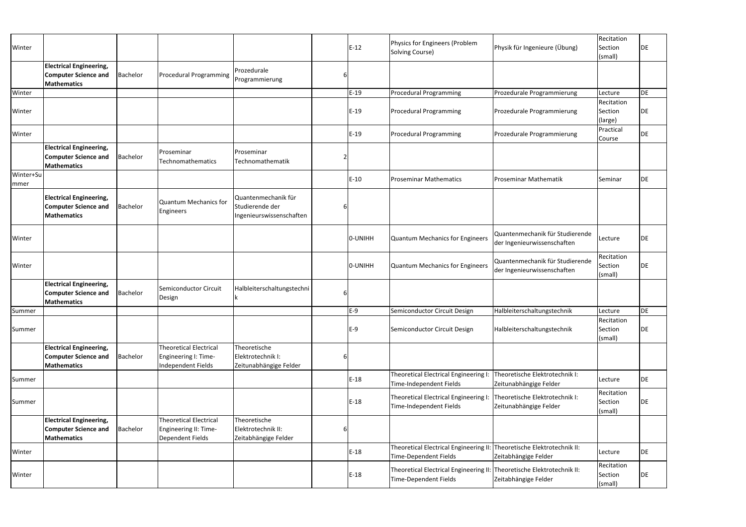| Winter            |                                                                                     |          |                                                                             |                                                                    |   | $E-12$  | Physics for Engineers (Problem<br>Solving Course)                                               | Physik für Ingenieure (Übung)                                  | Recitation<br>Section<br>(small) | DE  |
|-------------------|-------------------------------------------------------------------------------------|----------|-----------------------------------------------------------------------------|--------------------------------------------------------------------|---|---------|-------------------------------------------------------------------------------------------------|----------------------------------------------------------------|----------------------------------|-----|
|                   | <b>Electrical Engineering,</b><br><b>Computer Science and</b><br><b>Mathematics</b> | Bachelor | Procedural Programming                                                      | Prozedurale<br>Programmierung                                      |   |         |                                                                                                 |                                                                |                                  |     |
| Winter            |                                                                                     |          |                                                                             |                                                                    |   | $E-19$  | <b>Procedural Programming</b>                                                                   | Prozedurale Programmierung                                     | Lecture                          | DE  |
| Winter            |                                                                                     |          |                                                                             |                                                                    |   | $E-19$  | <b>Procedural Programming</b>                                                                   | Prozedurale Programmierung                                     | Recitation<br>Section<br>(large) | DE  |
| Winter            |                                                                                     |          |                                                                             |                                                                    |   | $E-19$  | <b>Procedural Programming</b>                                                                   | Prozedurale Programmierung                                     | Practical<br>Course              | DE  |
|                   | <b>Electrical Engineering,</b><br><b>Computer Science and</b><br><b>Mathematics</b> | Bachelor | Proseminar<br>Technomathematics                                             | Proseminar<br>Technomathematik                                     |   |         |                                                                                                 |                                                                |                                  |     |
| Winter+Su<br>mmer |                                                                                     |          |                                                                             |                                                                    |   | $E-10$  | <b>Proseminar Mathematics</b>                                                                   | Proseminar Mathematik                                          | Seminar                          | DE  |
|                   | <b>Electrical Engineering,</b><br><b>Computer Science and</b><br><b>Mathematics</b> | Bachelor | Quantum Mechanics for<br>Engineers                                          | Quantenmechanik für<br>Studierende der<br>Ingenieurswissenschaften |   |         |                                                                                                 |                                                                |                                  |     |
| Winter            |                                                                                     |          |                                                                             |                                                                    |   | 0-UNIHH | <b>Quantum Mechanics for Engineers</b>                                                          | Quantenmechanik für Studierende<br>der Ingenieurwissenschaften | Lecture                          | DE  |
| Winter            |                                                                                     |          |                                                                             |                                                                    |   | 0-UNIHH | <b>Quantum Mechanics for Engineers</b>                                                          | Quantenmechanik für Studierende<br>der Ingenieurwissenschaften | Recitation<br>Section<br>(small) | DE  |
|                   | <b>Electrical Engineering,</b><br><b>Computer Science and</b><br><b>Mathematics</b> | Bachelor | Semiconductor Circuit<br>Design                                             | Halbleiterschaltungstechni                                         | 6 |         |                                                                                                 |                                                                |                                  |     |
| Summer            |                                                                                     |          |                                                                             |                                                                    |   | F-9     | Semiconductor Circuit Design                                                                    | Halbleiterschaltungstechnik                                    | Lecture                          | DE. |
| Summer            |                                                                                     |          |                                                                             |                                                                    |   | $E-9$   | Semiconductor Circuit Design                                                                    | Halbleiterschaltungstechnik                                    | Recitation<br>Section<br>(small) | DE  |
|                   | <b>Electrical Engineering,</b><br><b>Computer Science and</b><br><b>Mathematics</b> | Bachelor | <b>Theoretical Electrical</b><br>Engineering I: Time-<br>Independent Fields | Theoretische<br>Elektrotechnik I:<br>Zeitunabhängige Felder        |   |         |                                                                                                 |                                                                |                                  |     |
| Summer            |                                                                                     |          |                                                                             |                                                                    |   | $E-18$  | Theoretical Electrical Engineering I:<br>Time-Independent Fields                                | Theoretische Elektrotechnik I:<br>Zeitunabhängige Felder       | Lecture                          | DE  |
| Summer            |                                                                                     |          |                                                                             |                                                                    |   | $E-18$  | Theoretical Electrical Engineering I: Theoretische Elektrotechnik I:<br>Time-Independent Fields | Zeitunabhängige Felder                                         | Recitation<br>Section<br>(small) | DE  |
|                   | <b>Electrical Engineering,</b><br><b>Computer Science and</b><br><b>Mathematics</b> | Bachelor | <b>Theoretical Electrical</b><br>Engineering II: Time-<br>Dependent Fields  | Theoretische<br>Elektrotechnik II:<br>Zeitabhängige Felder         |   |         |                                                                                                 |                                                                |                                  |     |
| Winter            |                                                                                     |          |                                                                             |                                                                    |   | $E-18$  | Theoretical Electrical Engineering II: Theoretische Elektrotechnik II:<br>Time-Dependent Fields | Zeitabhängige Felder                                           | Lecture                          | DE  |
| Winter            |                                                                                     |          |                                                                             |                                                                    |   | $E-18$  | Theoretical Electrical Engineering II: Theoretische Elektrotechnik II:<br>Time-Dependent Fields | Zeitabhängige Felder                                           | Recitation<br>Section<br>(small) | DE  |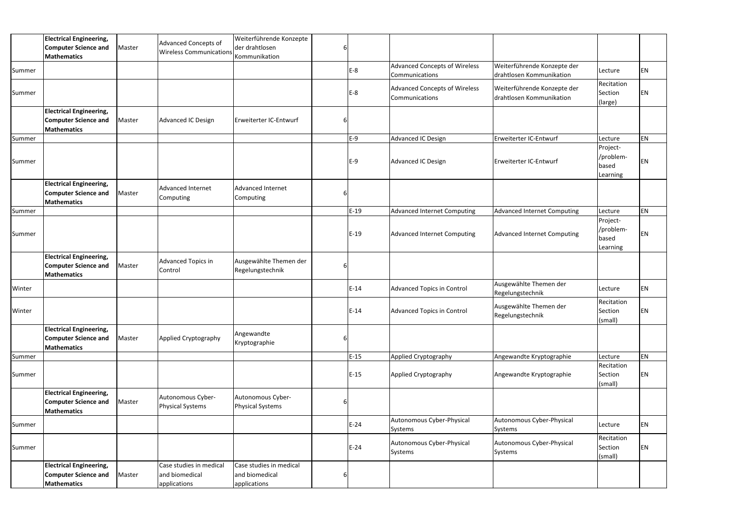|        | <b>Electrical Engineering,</b>                                                      |        | <b>Advanced Concepts of</b>                               | Weiterführende Konzepte                                   |   |        |                                                        |                                                         |                                            |           |
|--------|-------------------------------------------------------------------------------------|--------|-----------------------------------------------------------|-----------------------------------------------------------|---|--------|--------------------------------------------------------|---------------------------------------------------------|--------------------------------------------|-----------|
|        | <b>Computer Science and</b>                                                         | Master | <b>Wireless Communications</b>                            | der drahtlosen                                            |   |        |                                                        |                                                         |                                            |           |
|        | <b>Mathematics</b>                                                                  |        |                                                           | Kommunikation                                             |   |        |                                                        |                                                         |                                            |           |
| Summer |                                                                                     |        |                                                           |                                                           |   | $E-8$  | <b>Advanced Concepts of Wireless</b><br>Communications | Weiterführende Konzepte der<br>drahtlosen Kommunikation | Lecture                                    | EN        |
| Summer |                                                                                     |        |                                                           |                                                           |   | E-8    | <b>Advanced Concepts of Wireless</b><br>Communications | Weiterführende Konzepte der<br>drahtlosen Kommunikation | Recitation<br>Section<br>(large)           | ΕN        |
|        | <b>Electrical Engineering,</b><br><b>Computer Science and</b><br><b>Mathematics</b> | Master | Advanced IC Design                                        | Erweiterter IC-Entwurf                                    |   |        |                                                        |                                                         |                                            |           |
| Summer |                                                                                     |        |                                                           |                                                           |   | E-9    | Advanced IC Design                                     | Erweiterter IC-Entwurf                                  | Lecture                                    | <b>EN</b> |
| Summer |                                                                                     |        |                                                           |                                                           |   | E-9    | Advanced IC Design                                     | Erweiterter IC-Entwurf                                  | Project-<br>/problem-<br>based<br>Learning | ΕN        |
|        | <b>Electrical Engineering,</b><br><b>Computer Science and</b><br><b>Mathematics</b> | Master | Advanced Internet<br>Computing                            | <b>Advanced Internet</b><br>Computing                     |   |        |                                                        |                                                         |                                            |           |
| Summer |                                                                                     |        |                                                           |                                                           |   | $E-19$ | <b>Advanced Internet Computing</b>                     | Advanced Internet Computing                             | Lecture                                    | EN        |
| Summer |                                                                                     |        |                                                           |                                                           |   | $E-19$ | Advanced Internet Computing                            | Advanced Internet Computing                             | Project-<br>/problem-<br>based<br>Learning | ΕN        |
|        | <b>Electrical Engineering,</b><br><b>Computer Science and</b><br><b>Mathematics</b> | Master | Advanced Topics in<br>Control                             | Ausgewählte Themen der<br>Regelungstechnik                |   |        |                                                        |                                                         |                                            |           |
| Winter |                                                                                     |        |                                                           |                                                           |   | $E-14$ | <b>Advanced Topics in Control</b>                      | Ausgewählte Themen der<br>Regelungstechnik              | Lecture                                    | EN        |
| Winter |                                                                                     |        |                                                           |                                                           |   | $E-14$ | <b>Advanced Topics in Control</b>                      | Ausgewählte Themen der<br>Regelungstechnik              | Recitation<br>Section<br>(small)           | EN        |
|        | <b>Electrical Engineering,</b><br><b>Computer Science and</b><br><b>Mathematics</b> | Master | Applied Cryptography                                      | Angewandte<br>Kryptographie                               | 6 |        |                                                        |                                                         |                                            |           |
| Summer |                                                                                     |        |                                                           |                                                           |   | $E-15$ | Applied Cryptography                                   | Angewandte Kryptographie                                | Lecture                                    | EN        |
| Summer |                                                                                     |        |                                                           |                                                           |   | $E-15$ | Applied Cryptography                                   | Angewandte Kryptographie                                | Recitation<br>Section<br>(small)           | EN        |
|        | <b>Electrical Engineering,</b><br><b>Computer Science and</b><br><b>Mathematics</b> | Master | Autonomous Cyber-<br><b>Physical Systems</b>              | Autonomous Cyber-<br><b>Physical Systems</b>              |   |        |                                                        |                                                         |                                            |           |
| Summer |                                                                                     |        |                                                           |                                                           |   | $E-24$ | Autonomous Cyber-Physical<br>Systems                   | Autonomous Cyber-Physical<br>Systems                    | Lecture                                    | EN        |
| Summer |                                                                                     |        |                                                           |                                                           |   | $E-24$ | Autonomous Cyber-Physical<br>Systems                   | Autonomous Cyber-Physical<br>Systems                    | Recitation<br>Section<br>(small)           | EN        |
|        | <b>Electrical Engineering,</b><br><b>Computer Science and</b><br><b>Mathematics</b> | Master | Case studies in medical<br>and biomedical<br>applications | Case studies in medical<br>and biomedical<br>applications |   |        |                                                        |                                                         |                                            |           |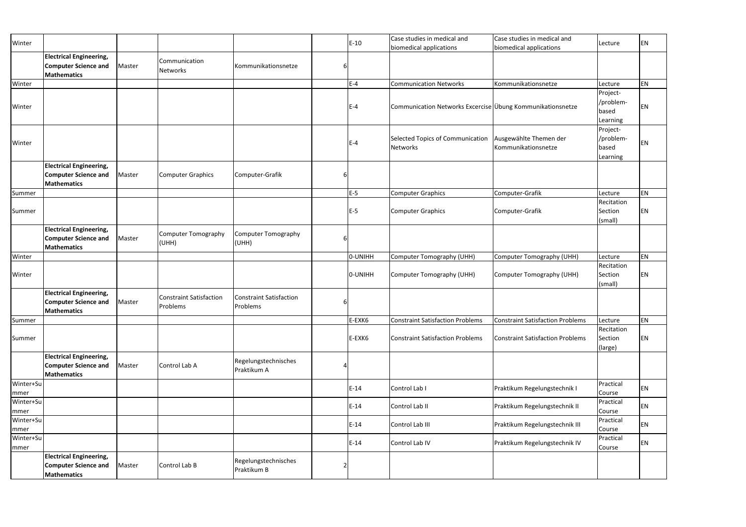| Winter            |                                                                                     |        |                                            |                                            | $E-10$  | Case studies in medical and                                | Case studies in medical and                   | Lecture                                    | <b>EN</b> |
|-------------------|-------------------------------------------------------------------------------------|--------|--------------------------------------------|--------------------------------------------|---------|------------------------------------------------------------|-----------------------------------------------|--------------------------------------------|-----------|
|                   | <b>Electrical Engineering,</b><br><b>Computer Science and</b><br><b>Mathematics</b> | Master | Communication<br>Networks                  | Kommunikationsnetze                        |         | biomedical applications                                    | biomedical applications                       |                                            |           |
| Winter            |                                                                                     |        |                                            |                                            | $E - 4$ | <b>Communication Networks</b>                              | Kommunikationsnetze                           | Lecture                                    | EN        |
| Winter            |                                                                                     |        |                                            |                                            | $E-4$   | Communication Networks Excercise Übung Kommunikationsnetze |                                               | Project-<br>/problem-<br>based<br>Learning | <b>EN</b> |
| Winter            |                                                                                     |        |                                            |                                            | $E-4$   | Selected Topics of Communication<br><b>Networks</b>        | Ausgewählte Themen der<br>Kommunikationsnetze | Project-<br>/problem-<br>based<br>Learning | <b>EN</b> |
|                   | <b>Electrical Engineering,</b><br><b>Computer Science and</b><br><b>Mathematics</b> | Master | <b>Computer Graphics</b>                   | Computer-Grafik                            |         |                                                            |                                               |                                            |           |
| Summer            |                                                                                     |        |                                            |                                            | $E-5$   | <b>Computer Graphics</b>                                   | Computer-Grafik                               | Lecture                                    | <b>EN</b> |
| Summer            |                                                                                     |        |                                            |                                            | $E-5$   | <b>Computer Graphics</b>                                   | Computer-Grafik                               | Recitation<br>Section<br>(small)           | EN        |
|                   | <b>Electrical Engineering,</b><br><b>Computer Science and</b><br><b>Mathematics</b> | Master | <b>Computer Tomography</b><br>(UHH)        | Computer Tomography<br>(UHH)               |         |                                                            |                                               |                                            |           |
| Winter            |                                                                                     |        |                                            |                                            | O-UNIHH | <b>Computer Tomography (UHH)</b>                           | Computer Tomography (UHH)                     | Lecture                                    | EN        |
| Winter            |                                                                                     |        |                                            |                                            | O-UNIHH | Computer Tomography (UHH)                                  | Computer Tomography (UHH)                     | Recitation<br>Section<br>(small)           | EN        |
|                   | <b>Electrical Engineering,</b><br><b>Computer Science and</b><br><b>Mathematics</b> | Master | <b>Constraint Satisfaction</b><br>Problems | <b>Constraint Satisfaction</b><br>Problems |         |                                                            |                                               |                                            |           |
| Summer            |                                                                                     |        |                                            |                                            | E-EXK6  | <b>Constraint Satisfaction Problems</b>                    | Constraint Satisfaction Problems              | Lecture                                    | <b>EN</b> |
| Summer            |                                                                                     |        |                                            |                                            | E-EXK6  | Constraint Satisfaction Problems                           | <b>Constraint Satisfaction Problems</b>       | Recitation<br>Section<br>(large)           | EN        |
|                   | <b>Electrical Engineering,</b><br><b>Computer Science and</b><br><b>Mathematics</b> | Master | Control Lab A                              | Regelungstechnisches<br>Praktikum A        |         |                                                            |                                               |                                            |           |
| Winter+Su<br>mmer |                                                                                     |        |                                            |                                            | $E-14$  | Control Lab I                                              | Praktikum Regelungstechnik I                  | Practical<br>Course                        | EN        |
| Winter+Su<br>mmer |                                                                                     |        |                                            |                                            | $E-14$  | Control Lab II                                             | Praktikum Regelungstechnik II                 | Practical<br>Course                        | EN        |
| Winter+Su<br>mmer |                                                                                     |        |                                            |                                            | $E-14$  | Control Lab III                                            | Praktikum Regelungstechnik III                | Practical<br>Course                        | EN        |
| Winter+Su<br>mmer |                                                                                     |        |                                            |                                            | $E-14$  | Control Lab IV                                             | Praktikum Regelungstechnik IV                 | Practical<br>Course                        | EN        |
|                   | <b>Electrical Engineering,</b><br><b>Computer Science and</b><br><b>Mathematics</b> | Master | Control Lab B                              | Regelungstechnisches<br>Praktikum B        |         |                                                            |                                               |                                            |           |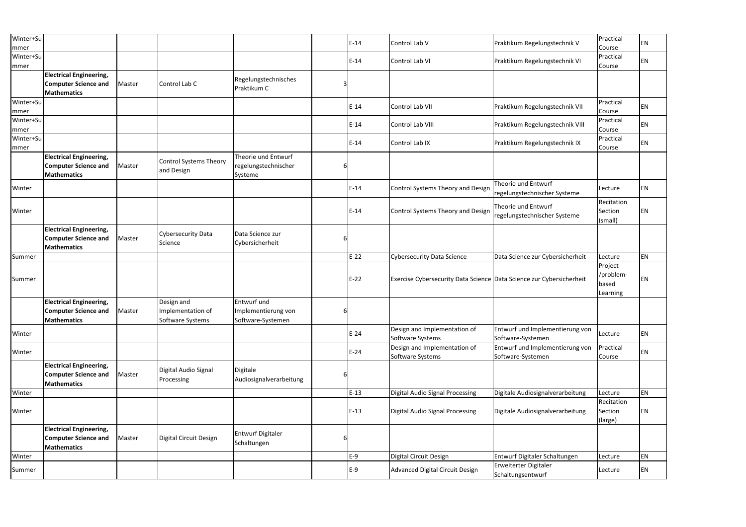| Winter+Su<br>mmer |                                                                                            |        |                                                     |                                                         |   | $E-14$ | Control Lab V                                                        | Praktikum Regelungstechnik V                         | Practical<br>Course                        | EN |
|-------------------|--------------------------------------------------------------------------------------------|--------|-----------------------------------------------------|---------------------------------------------------------|---|--------|----------------------------------------------------------------------|------------------------------------------------------|--------------------------------------------|----|
| Winter+Su<br>mmer |                                                                                            |        |                                                     |                                                         |   | $E-14$ | Control Lab VI                                                       | Praktikum Regelungstechnik VI                        | Practical<br>Course                        | EN |
|                   | <b>Electrical Engineering,</b><br><b>Computer Science and</b><br><b>Mathematics</b>        | Master | Control Lab C                                       | Regelungstechnisches<br>Praktikum C                     |   |        |                                                                      |                                                      |                                            |    |
| Winter+Su<br>mmer |                                                                                            |        |                                                     |                                                         |   | $E-14$ | Control Lab VII                                                      | Praktikum Regelungstechnik VII                       | Practical<br>Course                        | ΕN |
| Winter+Su<br>mmer |                                                                                            |        |                                                     |                                                         |   | $E-14$ | Control Lab VIII                                                     | Praktikum Regelungstechnik VIII                      | Practical<br>Course                        | ΕN |
| Winter+Su<br>mmer |                                                                                            |        |                                                     |                                                         |   | $E-14$ | Control Lab IX                                                       | Praktikum Regelungstechnik IX                        | Practical<br>Course                        | ΕN |
|                   | <b>Electrical Engineering,</b><br><b>Computer Science and</b><br><b>Mathematics</b>        | Master | <b>Control Systems Theory</b><br>and Design         | Theorie und Entwurf<br>regelungstechnischer<br>Systeme  | b |        |                                                                      |                                                      |                                            |    |
| Winter            |                                                                                            |        |                                                     |                                                         |   | $E-14$ | Control Systems Theory and Design                                    | Theorie und Entwurf<br>regelungstechnischer Systeme  | Lecture                                    | ΕN |
| Winter            |                                                                                            |        |                                                     |                                                         |   | $E-14$ | Control Systems Theory and Design                                    | Theorie und Entwurf<br>regelungstechnischer Systeme  | Recitation<br>Section<br>(small)           | ΕN |
|                   | <b>Electrical Engineering,</b><br><b>Computer Science and</b><br><b>Mathematics</b>        | Master | <b>Cybersecurity Data</b><br>Science                | Data Science zur<br>Cybersicherheit                     |   |        |                                                                      |                                                      |                                            |    |
| Summer            |                                                                                            |        |                                                     |                                                         |   | $E-22$ | <b>Cybersecurity Data Science</b>                                    | Data Science zur Cybersicherheit                     | Lecture                                    | EN |
| Summer            |                                                                                            |        |                                                     |                                                         |   | $E-22$ | Exercise Cybersecurity Data Science Data Science zur Cybersicherheit |                                                      | Project-<br>/problem-<br>based<br>Learning | ΕN |
|                   | <b>Electrical Engineering,</b><br><b>Computer Science and</b> Master<br><b>Mathematics</b> |        | Design and<br>Implementation of<br>Software Systems | Entwurf und<br>Implementierung von<br>Software-Systemen |   |        |                                                                      |                                                      |                                            |    |
| Winter            |                                                                                            |        |                                                     |                                                         |   | $E-24$ | Design and Implementation of<br>Software Systems                     | Entwurf und Implementierung von<br>Software-Systemen | Lecture                                    | EN |
| Winter            |                                                                                            |        |                                                     |                                                         |   | $E-24$ | Design and Implementation of<br>Software Systems                     | Entwurf und Implementierung von<br>Software-Systemen | Practical<br>Course                        | EN |
|                   | <b>Electrical Engineering,</b><br><b>Computer Science and</b><br><b>Mathematics</b>        | Master | Digital Audio Signal<br>Processing                  | Digitale<br>Audiosignalverarbeitung                     |   |        |                                                                      |                                                      |                                            |    |
| Winter            |                                                                                            |        |                                                     |                                                         |   | $E-13$ | <b>Digital Audio Signal Processing</b>                               | Digitale Audiosignalverarbeitung                     | Lecture                                    | EN |
| Winter            |                                                                                            |        |                                                     |                                                         |   | $E-13$ | <b>Digital Audio Signal Processing</b>                               | Digitale Audiosignalverarbeitung                     | Recitation<br>Section<br>(large)           | EN |
|                   | <b>Electrical Engineering,</b><br><b>Computer Science and</b><br><b>Mathematics</b>        | Master | Digital Circuit Design                              | <b>Entwurf Digitaler</b><br>Schaltungen                 |   |        |                                                                      |                                                      |                                            |    |
| Winter            |                                                                                            |        |                                                     |                                                         |   | $E-9$  | Digital Circuit Design                                               | Entwurf Digitaler Schaltungen                        | Lecture                                    | EN |
| Summer            |                                                                                            |        |                                                     |                                                         |   | $E-9$  | Advanced Digital Circuit Design                                      | Erweiterter Digitaler<br>Schaltungsentwurf           | Lecture                                    | EN |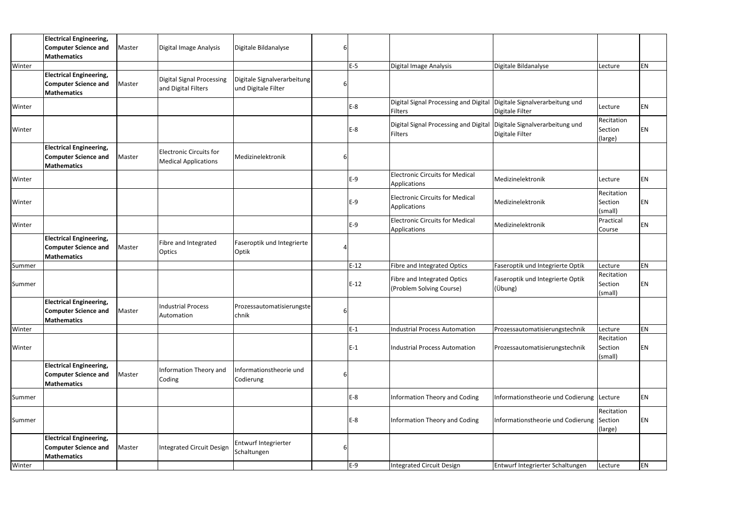|        | <b>Electrical Engineering,</b><br><b>Computer Science and</b><br>Mathematics               | Master | Digital Image Analysis                                        | Digitale Bildanalyse                               |              |        |                                                                                         |                                             |                                  |    |
|--------|--------------------------------------------------------------------------------------------|--------|---------------------------------------------------------------|----------------------------------------------------|--------------|--------|-----------------------------------------------------------------------------------------|---------------------------------------------|----------------------------------|----|
| Winter |                                                                                            |        |                                                               |                                                    |              | $E-5$  | Digital Image Analysis                                                                  | Digitale Bildanalyse                        | Lecture                          | ΕN |
|        | <b>Electrical Engineering,</b><br><b>Computer Science and</b><br><b>Mathematics</b>        | Master | <b>Digital Signal Processing</b><br>and Digital Filters       | Digitale Signalverarbeitung<br>und Digitale Filter |              |        |                                                                                         |                                             |                                  |    |
| Winter |                                                                                            |        |                                                               |                                                    |              | $E-8$  | Digital Signal Processing and Digital Digitale Signalverarbeitung und<br><b>Filters</b> | Digitale Filter                             | Lecture                          | EN |
| Winter |                                                                                            |        |                                                               |                                                    |              | E-8    | Digital Signal Processing and Digital Digitale Signalverarbeitung und<br><b>Filters</b> | Digitale Filter                             | Recitation<br>Section<br>(large) | ΕN |
|        | <b>Electrical Engineering,</b><br><b>Computer Science and</b><br><b>Mathematics</b>        | Master | <b>Electronic Circuits for</b><br><b>Medical Applications</b> | Medizinelektronik                                  | 6            |        |                                                                                         |                                             |                                  |    |
| Winter |                                                                                            |        |                                                               |                                                    |              | $E-9$  | <b>Electronic Circuits for Medical</b><br>Applications                                  | Medizinelektronik                           | Lecture                          | EN |
| Winter |                                                                                            |        |                                                               |                                                    |              | E-9    | <b>Electronic Circuits for Medical</b><br>Applications                                  | Medizinelektronik                           | Recitation<br>Section<br>(small) | ΕN |
| Winter |                                                                                            |        |                                                               |                                                    |              | $E-9$  | <b>Electronic Circuits for Medical</b><br>Applications                                  | Medizinelektronik                           | Practical<br>Course              | EN |
|        | <b>Electrical Engineering,</b><br><b>Computer Science and</b><br>Mathematics               | Master | Fibre and Integrated<br>Optics                                | Faseroptik und Integrierte<br>Optik                |              |        |                                                                                         |                                             |                                  |    |
| Summer |                                                                                            |        |                                                               |                                                    |              | $E-12$ | Fibre and Integrated Optics                                                             | Faseroptik und Integrierte Optik            | Lecture                          | EN |
| Summer |                                                                                            |        |                                                               |                                                    |              | $E-12$ | <b>Fibre and Integrated Optics</b><br>(Problem Solving Course)                          | Faseroptik und Integrierte Optik<br>(Übung) | Recitation<br>Section<br>(small) | EN |
|        | <b>Electrical Engineering,</b><br><b>Computer Science and</b> Master<br><b>Mathematics</b> |        | <b>Industrial Process</b><br>Automation                       | Prozessautomatisierungste<br>chnik                 | $\mathsf{G}$ |        |                                                                                         |                                             |                                  |    |
| Winter |                                                                                            |        |                                                               |                                                    |              | $E-1$  | <b>Industrial Process Automation</b>                                                    | Prozessautomatisierungstechnik              | Lecture                          | EN |
| Winter |                                                                                            |        |                                                               |                                                    |              | E-1    | <b>Industrial Process Automation</b>                                                    | Prozessautomatisierungstechnik              | Recitation<br>Section<br>(small) | ΕN |
|        | <b>Electrical Engineering,</b><br><b>Computer Science and</b><br>Mathematics               | Master | Information Theory and<br>Coding                              | Informationstheorie und<br>Codierung               | 6            |        |                                                                                         |                                             |                                  |    |
| Summer |                                                                                            |        |                                                               |                                                    |              | $E-8$  | <b>Information Theory and Coding</b>                                                    | Informationstheorie und Codierung Lecture   |                                  | ΕN |
| Summer |                                                                                            |        |                                                               |                                                    |              | E-8    | Information Theory and Coding                                                           | Informationstheorie und Codierung Section   | Recitation<br>(large)            | ΕN |
|        | <b>Electrical Engineering,</b><br><b>Computer Science and</b><br><b>Mathematics</b>        | Master | <b>Integrated Circuit Design</b>                              | Entwurf Integrierter<br>Schaltungen                | 6            |        |                                                                                         |                                             |                                  |    |
| Winter |                                                                                            |        |                                                               |                                                    |              | $E-9$  | <b>Integrated Circuit Design</b>                                                        | Entwurf Integrierter Schaltungen            | Lecture                          | EN |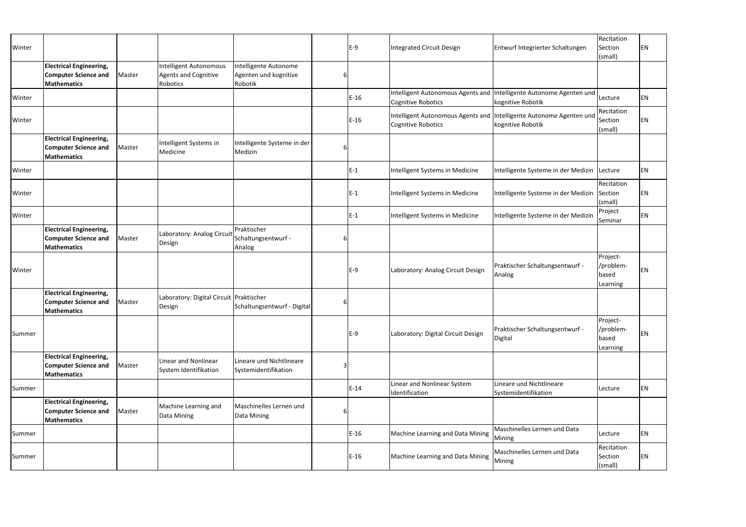| Winter |                                                                                     |        |                                                                   |                                                           |   | $E-9$  | <b>Integrated Circuit Design</b>                        | Entwurf Integrierter Schaltungen                                                         | Recitation<br>Section<br>(small)           | <b>EN</b> |
|--------|-------------------------------------------------------------------------------------|--------|-------------------------------------------------------------------|-----------------------------------------------------------|---|--------|---------------------------------------------------------|------------------------------------------------------------------------------------------|--------------------------------------------|-----------|
|        | <b>Electrical Engineering,</b><br><b>Computer Science and</b><br><b>Mathematics</b> | Master | Intelligent Autonomous<br><b>Agents and Cognitive</b><br>Robotics | Intelligente Autonome<br>Agenten und kognitive<br>Robotik | 6 |        |                                                         |                                                                                          |                                            |           |
| Winter |                                                                                     |        |                                                                   |                                                           |   | $E-16$ | Intelligent Autonomous Agents and<br>Cognitive Robotics | Intelligente Autonome Agenten und<br>kognitive Robotik                                   | Lecture                                    | <b>EN</b> |
| Winter |                                                                                     |        |                                                                   |                                                           |   | $E-16$ | <b>Cognitive Robotics</b>                               | Intelligent Autonomous Agents and Intelligente Autonome Agenten und<br>kognitive Robotik | Recitation<br>Section<br>(small)           | EN        |
|        | <b>Electrical Engineering,</b><br><b>Computer Science and</b><br><b>Mathematics</b> | Master | Intelligent Systems in<br>Medicine                                | Intelligente Systeme in der<br>Medizin                    | 6 |        |                                                         |                                                                                          |                                            |           |
| Winter |                                                                                     |        |                                                                   |                                                           |   | $E-1$  | Intelligent Systems in Medicine                         | Intelligente Systeme in der Medizin   Lecture                                            |                                            | <b>EN</b> |
| Winter |                                                                                     |        |                                                                   |                                                           |   | $E-1$  | Intelligent Systems in Medicine                         | Intelligente Systeme in der Medizin                                                      | Recitation<br>Section<br>(small)           | <b>EN</b> |
| Winter |                                                                                     |        |                                                                   |                                                           |   | $E-1$  | Intelligent Systems in Medicine                         | Intelligente Systeme in der Medizin                                                      | Project<br>Seminar                         | <b>EN</b> |
|        | <b>Electrical Engineering,</b><br><b>Computer Science and</b><br><b>Mathematics</b> | Master | Laboratory: Analog Circuit<br>Design                              | Praktischer<br>Schaltungsentwurf -<br>Analog              |   |        |                                                         |                                                                                          |                                            |           |
| Winter |                                                                                     |        |                                                                   |                                                           |   | $E-9$  | Laboratory: Analog Circuit Design                       | Praktischer Schaltungsentwurf -<br>Analog                                                | Project-<br>/problem-<br>based<br>Learning | EN        |
|        | <b>Electrical Engineering,</b><br><b>Computer Science and</b><br><b>Mathematics</b> | Master | Laboratory: Digital Circuit Praktischer<br>Design                 | Schaltungsentwurf - Digital                               | 6 |        |                                                         |                                                                                          |                                            |           |
| Summer |                                                                                     |        |                                                                   |                                                           |   | $E-9$  | Laboratory: Digital Circuit Design                      | Praktischer Schaltungsentwurf -<br>Digital                                               | Project-<br>/problem-<br>based<br>Learning | EN        |
|        | <b>Electrical Engineering,</b><br><b>Computer Science and</b><br><b>Mathematics</b> | Master | Linear and Nonlinear<br>System Identifikation                     | Lineare und Nichtlineare<br>Systemidentifikation          | 3 |        |                                                         |                                                                                          |                                            |           |
| Summer |                                                                                     |        |                                                                   |                                                           |   | $E-14$ | Linear and Nonlinear System<br>Identification           | Lineare und Nichtlineare<br>Systemidentifikation                                         | Lecture                                    | <b>EN</b> |
|        | <b>Electrical Engineering,</b><br><b>Computer Science and</b><br><b>Mathematics</b> | Master | Machine Learning and<br>Data Mining                               | Maschinelles Lernen und<br>Data Mining                    | 6 |        |                                                         |                                                                                          |                                            |           |
| Summer |                                                                                     |        |                                                                   |                                                           |   | $E-16$ | Machine Learning and Data Mining                        | Maschinelles Lernen und Data<br>Mining                                                   | Lecture                                    | <b>EN</b> |
| Summer |                                                                                     |        |                                                                   |                                                           |   | $E-16$ | Machine Learning and Data Mining                        | Maschinelles Lernen und Data<br>Mining                                                   | Recitation<br>Section<br>(small)           | EN        |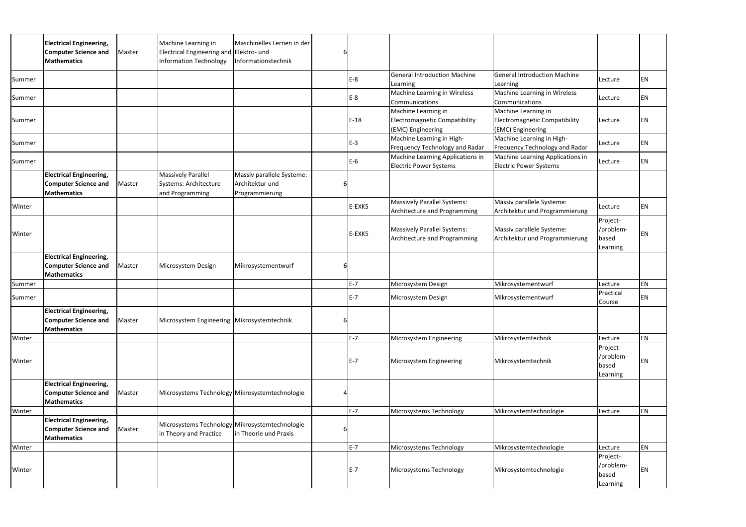|        | <b>Electrical Engineering,</b><br><b>Computer Science and</b><br><b>Mathematics</b> | Master | Machine Learning in<br>Electrical Engineering and Elektro- und<br>Information Technology | Maschinelles Lernen in der<br>Informationstechnik              |   |        |                                                                                  |                                                                           |                                            |    |
|--------|-------------------------------------------------------------------------------------|--------|------------------------------------------------------------------------------------------|----------------------------------------------------------------|---|--------|----------------------------------------------------------------------------------|---------------------------------------------------------------------------|--------------------------------------------|----|
| Summer |                                                                                     |        |                                                                                          |                                                                |   | $E-8$  | <b>General Introduction Machine</b><br>Learning                                  | <b>General Introduction Machine</b><br>Learning                           | Lecture                                    | ΕN |
| Summer |                                                                                     |        |                                                                                          |                                                                |   | $E-8$  | Machine Learning in Wireless<br>Communications                                   | Machine Learning in Wireless<br>Communications                            | Lecture                                    | ΕN |
| Summer |                                                                                     |        |                                                                                          |                                                                |   | $E-18$ | Machine Learning in<br><b>Electromagnetic Compatibility</b><br>(EMC) Engineering | Machine Learning in<br>Electromagnetic Compatibility<br>(EMC) Engineering | Lecture                                    | ΕN |
| Summer |                                                                                     |        |                                                                                          |                                                                |   | $E-3$  | Machine Learning in High-<br>Frequency Technology and Radar                      | Machine Learning in High-<br>Frequency Technology and Radar               | Lecture                                    | ΕN |
| Summer |                                                                                     |        |                                                                                          |                                                                |   | $E-6$  | Machine Learning Applications in<br><b>Electric Power Systems</b>                | Machine Learning Applications in<br><b>Electric Power Systems</b>         | Lecture                                    | EN |
|        | <b>Electrical Engineering,</b><br><b>Computer Science and</b><br><b>Mathematics</b> | Master | <b>Massively Parallel</b><br>Systems: Architecture<br>and Programming                    | Massiv parallele Systeme:<br>Architektur und<br>Programmierung | b |        |                                                                                  |                                                                           |                                            |    |
| Winter |                                                                                     |        |                                                                                          |                                                                |   | E-EXK5 | <b>Massively Parallel Systems:</b><br>Architecture and Programming               | Massiv parallele Systeme:<br>Architektur und Programmierung               | Lecture                                    | EN |
| Winter |                                                                                     |        |                                                                                          |                                                                |   | E-EXK5 | <b>Massively Parallel Systems:</b><br>Architecture and Programming               | Massiv parallele Systeme:<br>Architektur und Programmierung               | Project-<br>/problem-<br>based<br>Learning | ΕN |
|        | <b>Electrical Engineering,</b><br><b>Computer Science and</b><br><b>Mathematics</b> | Master | Microsystem Design                                                                       | Mikrosystementwurf                                             |   |        |                                                                                  |                                                                           |                                            |    |
| Summer |                                                                                     |        |                                                                                          |                                                                |   | $E-7$  | Microsystem Design                                                               | Mikrosystementwurf                                                        | Lecture                                    | EN |
| Summer |                                                                                     |        |                                                                                          |                                                                |   | $E-7$  | Microsystem Design                                                               | Mikrosystementwurf                                                        | Practical<br>Course                        | ΕN |
|        | <b>Electrical Engineering,</b><br><b>Computer Science and</b><br><b>Mathematics</b> | Master | Microsystem Engineering   Mikrosystemtechnik                                             |                                                                | 6 |        |                                                                                  |                                                                           |                                            |    |
| Winter |                                                                                     |        |                                                                                          |                                                                |   | $E-7$  | Microsystem Engineering                                                          | Mikrosystemtechnik                                                        | Lecture                                    | EN |
| Winter |                                                                                     |        |                                                                                          |                                                                |   | $E-7$  | Microsystem Engineering                                                          | Mikrosystemtechnik                                                        | Project-<br>/problem-<br>based<br>Learning | ΕN |
|        | <b>Electrical Engineering,</b><br><b>Computer Science and</b><br><b>Mathematics</b> | Master | Microsystems Technology Mikrosystemtechnologie                                           |                                                                |   |        |                                                                                  |                                                                           |                                            |    |
| Winter |                                                                                     |        |                                                                                          |                                                                |   | $E-7$  | Microsystems Technology                                                          | Mikrosystemtechnologie                                                    | Lecture                                    | EN |
|        | <b>Electrical Engineering,</b><br><b>Computer Science and</b><br><b>Mathematics</b> | Master | Microsystems Technology Mikrosystemtechnologie<br>in Theory and Practice                 | in Theorie und Praxis                                          | b |        |                                                                                  |                                                                           |                                            |    |
| Winter |                                                                                     |        |                                                                                          |                                                                |   | $E-7$  | Microsystems Technology                                                          | Mikrosystemtechnologie                                                    | Lecture                                    | EN |
| Winter |                                                                                     |        |                                                                                          |                                                                |   | $E-7$  | Microsystems Technology                                                          | Mikrosystemtechnologie                                                    | Project-<br>/problem-<br>based<br>Learning | ΕN |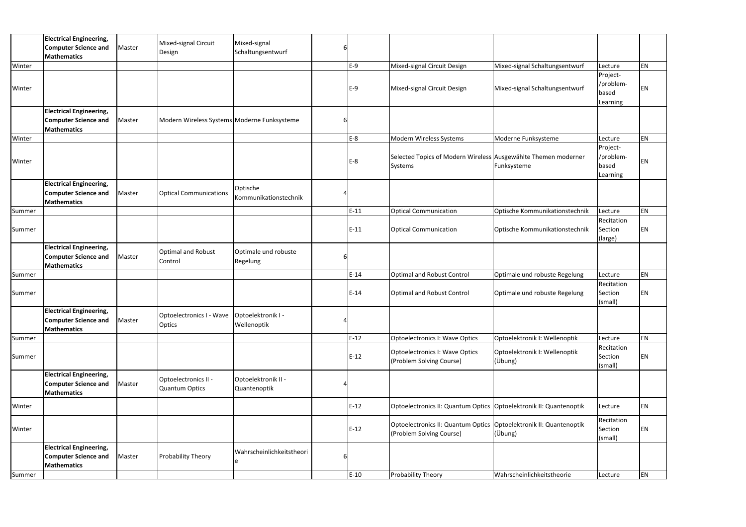|        | <b>Electrical Engineering,</b>                    |        | Mixed-signal Circuit                          | Mixed-signal              |   |        |                                                                      |                                |                     |           |
|--------|---------------------------------------------------|--------|-----------------------------------------------|---------------------------|---|--------|----------------------------------------------------------------------|--------------------------------|---------------------|-----------|
|        | <b>Computer Science and</b>                       | Master | Design                                        | Schaltungsentwurf         |   |        |                                                                      |                                |                     |           |
|        | <b>Mathematics</b>                                |        |                                               |                           |   |        |                                                                      |                                |                     | EN        |
| Winter |                                                   |        |                                               |                           |   | E-9    | Mixed-signal Circuit Design                                          | Mixed-signal Schaltungsentwurf | Lecture<br>Project- |           |
|        |                                                   |        |                                               |                           |   |        |                                                                      |                                | /problem-           |           |
| Winter |                                                   |        |                                               |                           |   | $E-9$  | Mixed-signal Circuit Design                                          | Mixed-signal Schaltungsentwurf | based               | EN        |
|        |                                                   |        |                                               |                           |   |        |                                                                      |                                | Learning            |           |
|        | <b>Electrical Engineering,</b>                    |        |                                               |                           |   |        |                                                                      |                                |                     |           |
|        | <b>Computer Science and</b>                       | Master | Modern Wireless Systems Moderne Funksysteme   |                           | 6 |        |                                                                      |                                |                     |           |
|        | <b>Mathematics</b>                                |        |                                               |                           |   |        |                                                                      |                                |                     |           |
| Winter |                                                   |        |                                               |                           |   | E-8    | Modern Wireless Systems                                              | Moderne Funksysteme            | Lecture             | EN        |
|        |                                                   |        |                                               |                           |   |        |                                                                      |                                | Project-            |           |
|        |                                                   |        |                                               |                           |   |        | Selected Topics of Modern Wireless Ausgewählte Themen moderner       |                                | /problem-           | EN        |
| Winter |                                                   |        |                                               |                           |   | $E-8$  | Systems                                                              | Funksysteme                    | based               |           |
|        |                                                   |        |                                               |                           |   |        |                                                                      |                                | Learning            |           |
|        | <b>Electrical Engineering,</b>                    |        |                                               | Optische                  |   |        |                                                                      |                                |                     |           |
|        | <b>Computer Science and</b>                       | Master | <b>Optical Communications</b>                 | Kommunikationstechnik     |   |        |                                                                      |                                |                     |           |
|        | <b>Mathematics</b>                                |        |                                               |                           |   |        |                                                                      |                                |                     |           |
| Summer |                                                   |        |                                               |                           |   | $E-11$ | <b>Optical Communication</b>                                         | Optische Kommunikationstechnik | Lecture             | EN        |
|        |                                                   |        |                                               |                           |   |        |                                                                      |                                | Recitation          |           |
| Summer |                                                   |        |                                               |                           |   | $E-11$ | <b>Optical Communication</b>                                         | Optische Kommunikationstechnik | Section             | EN        |
|        |                                                   |        |                                               |                           |   |        |                                                                      |                                | (large)             |           |
|        | <b>Electrical Engineering,</b>                    |        | <b>Optimal and Robust</b>                     | Optimale und robuste      |   |        |                                                                      |                                |                     |           |
|        | <b>Computer Science and</b>                       | Master | Control                                       | Regelung                  | 6 |        |                                                                      |                                |                     |           |
|        | <b>Mathematics</b>                                |        |                                               |                           |   |        |                                                                      |                                |                     |           |
| Summer |                                                   |        |                                               |                           |   | $E-14$ | <b>Optimal and Robust Control</b>                                    | Optimale und robuste Regelung  | Lecture             | EN        |
|        |                                                   |        |                                               |                           |   |        |                                                                      |                                | Recitation          |           |
| Summer |                                                   |        |                                               |                           |   | $E-14$ | Optimal and Robust Control                                           | Optimale und robuste Regelung  | Section             | EN        |
|        |                                                   |        |                                               |                           |   |        |                                                                      |                                | (small)             |           |
|        | <b>Electrical Engineering,</b>                    |        | Optoelectronics I - Wave   Optoelektronik I - |                           |   |        |                                                                      |                                |                     |           |
|        | <b>Computer Science and</b><br><b>Mathematics</b> | Master | <b>Optics</b>                                 | Wellenoptik               |   |        |                                                                      |                                |                     |           |
| Summer |                                                   |        |                                               |                           |   | $E-12$ | <b>Optoelectronics I: Wave Optics</b>                                | Optoelektronik I: Wellenoptik  | Lecture             | EN        |
|        |                                                   |        |                                               |                           |   |        |                                                                      |                                | Recitation          |           |
| Summer |                                                   |        |                                               |                           |   | $E-12$ | Optoelectronics I: Wave Optics                                       | Optoelektronik I: Wellenoptik  | Section             | EN        |
|        |                                                   |        |                                               |                           |   |        | (Problem Solving Course)                                             | (Übung)                        | (small)             |           |
|        | <b>Electrical Engineering,</b>                    |        |                                               |                           |   |        |                                                                      |                                |                     |           |
|        | <b>Computer Science and</b>                       | Master | Optoelectronics II -                          | Optoelektronik II -       |   |        |                                                                      |                                |                     |           |
|        | <b>Mathematics</b>                                |        | Quantum Optics                                | Quantenoptik              |   |        |                                                                      |                                |                     |           |
|        |                                                   |        |                                               |                           |   |        |                                                                      |                                |                     |           |
| Winter |                                                   |        |                                               |                           |   | $E-12$ | Optoelectronics II: Quantum Optics   Optoelektronik II: Quantenoptik |                                | Lecture             | EN        |
|        |                                                   |        |                                               |                           |   |        |                                                                      |                                | Recitation          |           |
| Winter |                                                   |        |                                               |                           |   | $E-12$ | Optoelectronics II: Quantum Optics   Optoelektronik II: Quantenoptik |                                | Section             | <b>EN</b> |
|        |                                                   |        |                                               |                           |   |        | (Problem Solving Course)                                             | (Übung)                        | (small)             |           |
|        | <b>Electrical Engineering,</b>                    |        |                                               |                           |   |        |                                                                      |                                |                     |           |
|        | <b>Computer Science and</b>                       | Master | <b>Probability Theory</b>                     | Wahrscheinlichkeitstheori | 6 |        |                                                                      |                                |                     |           |
|        | <b>Mathematics</b>                                |        |                                               |                           |   |        |                                                                      |                                |                     |           |
|        |                                                   |        |                                               |                           |   |        |                                                                      |                                |                     | EN        |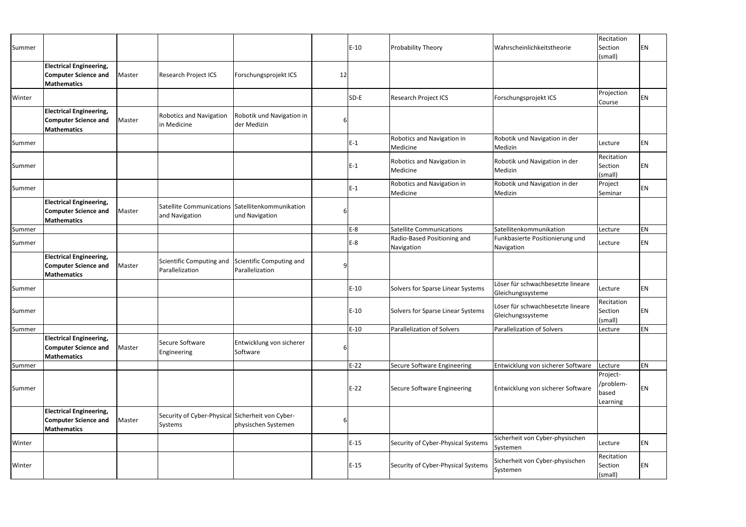| Summer |                                                                                     |        |                                                                    |                                             |    |        |                                           |                                                        | Recitation                                 |           |
|--------|-------------------------------------------------------------------------------------|--------|--------------------------------------------------------------------|---------------------------------------------|----|--------|-------------------------------------------|--------------------------------------------------------|--------------------------------------------|-----------|
|        |                                                                                     |        |                                                                    |                                             |    | $E-10$ | <b>Probability Theory</b>                 | Wahrscheinlichkeitstheorie                             | Section<br>(small)                         | EN        |
|        | <b>Electrical Engineering,</b><br><b>Computer Science and</b><br><b>Mathematics</b> | Master | <b>Research Project ICS</b>                                        | Forschungsprojekt ICS                       | 12 |        |                                           |                                                        |                                            |           |
| Winter |                                                                                     |        |                                                                    |                                             |    | SD-E   | <b>Research Project ICS</b>               | Forschungsprojekt ICS                                  | Projection<br>Course                       | EN        |
|        | <b>Electrical Engineering,</b><br><b>Computer Science and</b><br><b>Mathematics</b> | Master | <b>Robotics and Navigation</b><br>in Medicine                      | Robotik und Navigation in<br>der Medizin    |    |        |                                           |                                                        |                                            |           |
| Summer |                                                                                     |        |                                                                    |                                             |    | $E-1$  | Robotics and Navigation in<br>Medicine    | Robotik und Navigation in der<br>Medizin               | Lecture                                    | EN        |
| Summer |                                                                                     |        |                                                                    |                                             |    | $E-1$  | Robotics and Navigation in<br>Medicine    | Robotik und Navigation in der<br>Medizin               | Recitation<br>Section<br>(small)           | EN        |
| Summer |                                                                                     |        |                                                                    |                                             |    | $E-1$  | Robotics and Navigation in<br>Medicine    | Robotik und Navigation in der<br>Medizin               | Project<br>Seminar                         | EN        |
|        | <b>Electrical Engineering,</b><br><b>Computer Science and</b><br>Mathematics        | Master | Satellite Communications Satellitenkommunikation<br>and Navigation | und Navigation                              |    |        |                                           |                                                        |                                            |           |
| Summer |                                                                                     |        |                                                                    |                                             |    | $E-8$  | <b>Satellite Communications</b>           | Satellitenkommunikation                                | Lecture                                    | EN        |
| Summer |                                                                                     |        |                                                                    |                                             |    | E-8    | Radio-Based Positioning and<br>Navigation | Funkbasierte Positionierung und<br>Navigation          | Lecture                                    | <b>EN</b> |
|        | <b>Electrical Engineering,</b><br><b>Computer Science and</b><br>Mathematics        | Master | Scientific Computing and<br>Parallelization                        | Scientific Computing and<br>Parallelization |    |        |                                           |                                                        |                                            |           |
| Summer |                                                                                     |        |                                                                    |                                             |    | $E-10$ | Solvers for Sparse Linear Systems         | Löser für schwachbesetzte lineare<br>Gleichungssysteme | Lecture                                    | <b>EN</b> |
| Summer |                                                                                     |        |                                                                    |                                             |    | $E-10$ | Solvers for Sparse Linear Systems         | Löser für schwachbesetzte lineare<br>Gleichungssysteme | Recitation<br>Section<br>(small)           | <b>EN</b> |
| Summer |                                                                                     |        |                                                                    |                                             |    | $E-10$ | Parallelization of Solvers                | Parallelization of Solvers                             | Lecture                                    | EN        |
|        | <b>Electrical Engineering,</b><br><b>Computer Science and</b><br>Mathematics        | Master | Secure Software<br>Engineering                                     | Entwicklung von sicherer<br>Software        | 6  |        |                                           |                                                        |                                            |           |
| Summer |                                                                                     |        |                                                                    |                                             |    | $E-22$ | Secure Software Engineering               | Entwicklung von sicherer Software                      | Lecture                                    | EN        |
| Summer |                                                                                     |        |                                                                    |                                             |    | $E-22$ | Secure Software Engineering               | Entwicklung von sicherer Software                      | Project-<br>/problem-<br>based<br>Learning | EN        |
|        | <b>Electrical Engineering,</b><br><b>Computer Science and</b><br><b>Mathematics</b> | Master | Security of Cyber-Physical Sicherheit von Cyber-<br>Systems        | physischen Systemen                         |    |        |                                           |                                                        |                                            |           |
| Winter |                                                                                     |        |                                                                    |                                             |    | $E-15$ | Security of Cyber-Physical Systems        | Sicherheit von Cyber-physischen<br>Systemen            | Lecture                                    | EN        |
| Winter |                                                                                     |        |                                                                    |                                             |    | $E-15$ | Security of Cyber-Physical Systems        | Sicherheit von Cyber-physischen<br>Systemen            | Recitation<br>Section<br>(small)           | <b>EN</b> |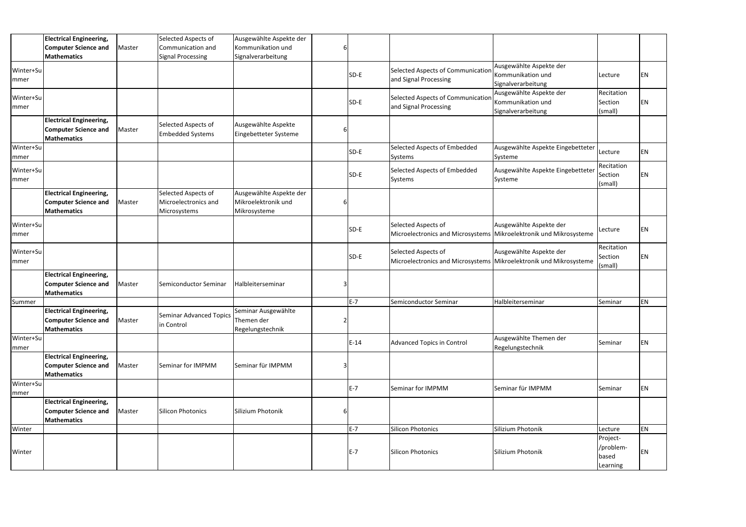|                          | <b>Electrical Engineering,</b><br><b>Computer Science and</b>                       | Master | Selected Aspects of<br>Communication and                    | Ausgewählte Aspekte der<br>Kommunikation und                   | 6              |        |                                                                                           |                                                                    |                                            |           |
|--------------------------|-------------------------------------------------------------------------------------|--------|-------------------------------------------------------------|----------------------------------------------------------------|----------------|--------|-------------------------------------------------------------------------------------------|--------------------------------------------------------------------|--------------------------------------------|-----------|
|                          | <b>Mathematics</b>                                                                  |        | <b>Signal Processing</b>                                    | Signalverarbeitung                                             |                |        |                                                                                           |                                                                    |                                            |           |
| Winter+Su<br>mmer        |                                                                                     |        |                                                             |                                                                |                | $SD-E$ | Selected Aspects of Communication<br>and Signal Processing                                | Ausgewählte Aspekte der<br>Kommunikation und<br>Signalverarbeitung | Lecture                                    | <b>EN</b> |
| Winter+Su<br><b>mmer</b> |                                                                                     |        |                                                             |                                                                |                | SD-E   | Selected Aspects of Communication<br>and Signal Processing                                | Ausgewählte Aspekte der<br>Kommunikation und<br>Signalverarbeitung | Recitation<br>Section<br>(small)           | EN        |
|                          | <b>Electrical Engineering,</b><br><b>Computer Science and</b><br><b>Mathematics</b> | Master | Selected Aspects of<br><b>Embedded Systems</b>              | Ausgewählte Aspekte<br>Eingebetteter Systeme                   | 6              |        |                                                                                           |                                                                    |                                            |           |
| Winter+Su<br> mmer       |                                                                                     |        |                                                             |                                                                |                | SD-E   | Selected Aspects of Embedded<br>Systems                                                   | Ausgewählte Aspekte Eingebetteter<br>Systeme                       | Lecture                                    | <b>EN</b> |
| Winter+Su<br>mmer        |                                                                                     |        |                                                             |                                                                |                | SD-E   | Selected Aspects of Embedded<br>Systems                                                   | Ausgewählte Aspekte Eingebetteter<br>Systeme                       | Recitation<br>Section<br>(small)           | <b>EN</b> |
|                          | <b>Electrical Engineering,</b><br><b>Computer Science and</b><br><b>Mathematics</b> | Master | Selected Aspects of<br>Microelectronics and<br>Microsystems | Ausgewählte Aspekte der<br>Mikroelektronik und<br>Mikrosysteme | 6              |        |                                                                                           |                                                                    |                                            |           |
| Winter+Su<br>mmer        |                                                                                     |        |                                                             |                                                                |                | SD-E   | Selected Aspects of<br>Microelectronics and Microsystems Mikroelektronik und Mikrosysteme | Ausgewählte Aspekte der                                            | Lecture                                    | <b>EN</b> |
| Winter+Su<br>mmer        |                                                                                     |        |                                                             |                                                                |                | SD-E   | Selected Aspects of<br>Microelectronics and Microsystems Mikroelektronik und Mikrosysteme | Ausgewählte Aspekte der                                            | Recitation<br>Section<br>(small)           | EN        |
|                          | <b>Electrical Engineering,</b><br><b>Computer Science and</b><br><b>Mathematics</b> | Master | Semiconductor Seminar                                       | Halbleiterseminar                                              | 3              |        |                                                                                           |                                                                    |                                            |           |
| Summer                   |                                                                                     |        |                                                             |                                                                |                | $E-7$  | Semiconductor Seminar                                                                     | Halbleiterseminar                                                  | Seminar                                    | <b>EN</b> |
|                          | <b>Electrical Engineering,</b><br><b>Computer Science and</b><br><b>Mathematics</b> | Master | Seminar Advanced Topics<br>in Control                       | Seminar Ausgewählte<br>Themen der<br>Regelungstechnik          | $\overline{2}$ |        |                                                                                           |                                                                    |                                            |           |
| Winter+Su<br>mmer        |                                                                                     |        |                                                             |                                                                |                | $E-14$ | Advanced Topics in Control                                                                | Ausgewählte Themen der<br>Regelungstechnik                         | Seminar                                    | EN        |
|                          | <b>Electrical Engineering,</b><br><b>Computer Science and</b><br><b>Mathematics</b> | Master | Seminar for IMPMM                                           | Seminar für IMPMM                                              | 3              |        |                                                                                           |                                                                    |                                            |           |
| Winter+Su<br>mmer        |                                                                                     |        |                                                             |                                                                |                | $E-7$  | Seminar for IMPMM                                                                         | Seminar für IMPMM                                                  | Seminar                                    | EN        |
|                          | <b>Electrical Engineering,</b><br><b>Computer Science and</b><br>Mathematics        | Master | <b>Silicon Photonics</b>                                    | Silizium Photonik                                              | 6              |        |                                                                                           |                                                                    |                                            |           |
| Winter                   |                                                                                     |        |                                                             |                                                                |                | $E-7$  | <b>Silicon Photonics</b>                                                                  | Silizium Photonik                                                  | Lecture                                    | EN        |
| Winter                   |                                                                                     |        |                                                             |                                                                |                | $E-7$  | <b>Silicon Photonics</b>                                                                  | Silizium Photonik                                                  | Project-<br>/problem-<br>based<br>Learning | <b>EN</b> |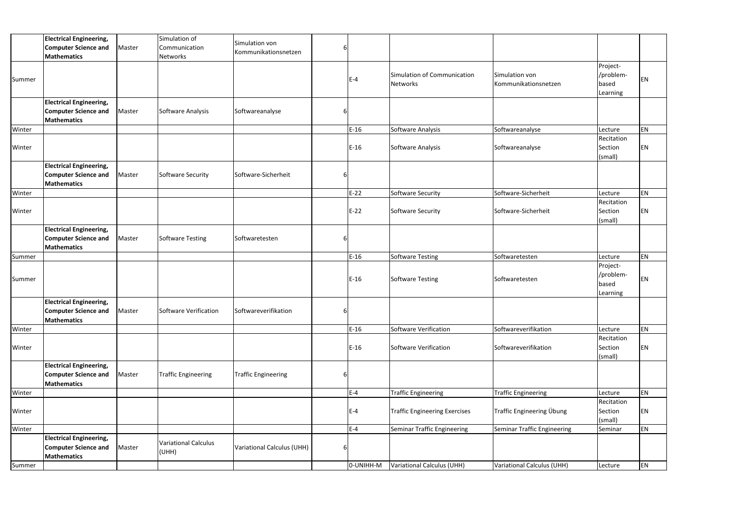|        | <b>Electrical Engineering,</b><br><b>Computer Science and</b><br><b>Mathematics</b>        | Master | Simulation of<br>Communication<br>Networks | Simulation von<br>Kommunikationsnetzen |    |           |                                         |                                               |                                            |    |
|--------|--------------------------------------------------------------------------------------------|--------|--------------------------------------------|----------------------------------------|----|-----------|-----------------------------------------|-----------------------------------------------|--------------------------------------------|----|
| Summer |                                                                                            |        |                                            |                                        |    | $E-4$     | Simulation of Communication<br>Networks | <b>Simulation von</b><br>Kommunikationsnetzen | Project-<br>/problem-<br>based<br>Learning | EN |
|        | <b>Electrical Engineering,</b><br><b>Computer Science and</b><br><b>Mathematics</b>        | Master | Software Analysis                          | Softwareanalyse                        |    |           |                                         |                                               |                                            |    |
| Winter |                                                                                            |        |                                            |                                        |    | $E-16$    | Software Analysis                       | Softwareanalyse                               | Lecture                                    | EN |
| Winter |                                                                                            |        |                                            |                                        |    | $E-16$    | Software Analysis                       | Softwareanalyse                               | Recitation<br>Section<br>(small)           | ΕN |
|        | <b>Electrical Engineering,</b><br><b>Computer Science and</b><br>Mathematics               | Master | Software Security                          | Software-Sicherheit                    |    |           |                                         |                                               |                                            |    |
| Winter |                                                                                            |        |                                            |                                        |    | $E-22$    | Software Security                       | Software-Sicherheit                           | Lecture                                    | EN |
| Winter |                                                                                            |        |                                            |                                        |    | $E-22$    | Software Security                       | Software-Sicherheit                           | Recitation<br>Section<br>(small)           | ΕN |
|        | <b>Electrical Engineering,</b><br><b>Computer Science and</b><br>Mathematics               | Master | Software Testing                           | Softwaretesten                         |    |           |                                         |                                               |                                            |    |
| Summer |                                                                                            |        |                                            |                                        |    | $E-16$    | <b>Software Testing</b>                 | Softwaretesten                                | Lecture                                    | EN |
| Summer |                                                                                            |        |                                            |                                        |    | $E-16$    | <b>Software Testing</b>                 | Softwaretesten                                | Project-<br>/problem-<br>based<br>Learning | EN |
|        | <b>Electrical Engineering,</b><br><b>Computer Science and</b> Master<br><b>Mathematics</b> |        | Software Verification                      | Softwareverifikation                   | 6I |           |                                         |                                               |                                            |    |
| Winter |                                                                                            |        |                                            |                                        |    | $E-16$    | Software Verification                   | Softwareverifikation                          | Lecture                                    | EN |
| Winter |                                                                                            |        |                                            |                                        |    | $E-16$    | Software Verification                   | Softwareverifikation                          | Recitation<br>Section<br>(small)           | EN |
|        | <b>Electrical Engineering,</b><br><b>Computer Science and</b><br><b>Mathematics</b>        | Master | <b>Traffic Engineering</b>                 | <b>Traffic Engineering</b>             | 6  |           |                                         |                                               |                                            |    |
| Winter |                                                                                            |        |                                            |                                        |    | $E-4$     | <b>Traffic Engineering</b>              | <b>Traffic Engineering</b>                    | Lecture                                    | EN |
| Winter |                                                                                            |        |                                            |                                        |    | $E-4$     | <b>Traffic Engineering Exercises</b>    | Traffic Engineering Übung                     | Recitation<br>Section<br>(small)           | ΕN |
| Winter |                                                                                            |        |                                            |                                        |    | $E-4$     | Seminar Traffic Engineering             | Seminar Traffic Engineering                   | Seminar                                    | ΕN |
|        | <b>Electrical Engineering,</b><br><b>Computer Science and</b><br><b>Mathematics</b>        | Master | <b>Variational Calculus</b><br>(UHH)       | <b>Variational Calculus (UHH)</b>      | 6  |           |                                         |                                               |                                            |    |
| Summer |                                                                                            |        |                                            |                                        |    | 0-UNIHH-M | Variational Calculus (UHH)              | Variational Calculus (UHH)                    | Lecture                                    | EN |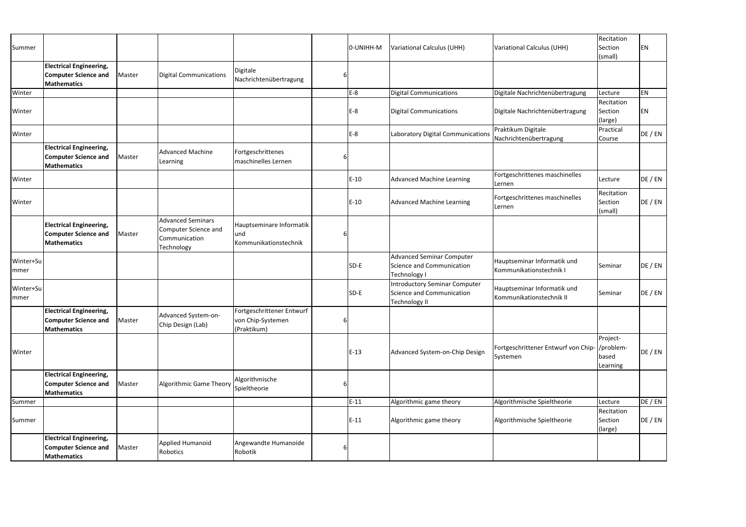| Summer            |                                                                                     |        |                                                                                 |                                                               |   | 0-UNIHH-M | Variational Calculus (UHH)                                                           | Variational Calculus (UHH)                                | Recitation<br>Section<br>(small) | ΕN      |
|-------------------|-------------------------------------------------------------------------------------|--------|---------------------------------------------------------------------------------|---------------------------------------------------------------|---|-----------|--------------------------------------------------------------------------------------|-----------------------------------------------------------|----------------------------------|---------|
|                   | <b>Electrical Engineering,</b><br><b>Computer Science and</b><br><b>Mathematics</b> | Master | <b>Digital Communications</b>                                                   | <b>Digitale</b><br>Nachrichtenübertragung                     | 6 |           |                                                                                      |                                                           |                                  |         |
| Winter            |                                                                                     |        |                                                                                 |                                                               |   | $E-8$     | <b>Digital Communications</b>                                                        | Digitale Nachrichtenübertragung                           | Lecture                          | ΕN      |
| Winter            |                                                                                     |        |                                                                                 |                                                               |   | $E-8$     | <b>Digital Communications</b>                                                        | Digitale Nachrichtenübertragung                           | Recitation<br>Section<br>(large) | ΕN      |
| Winter            |                                                                                     |        |                                                                                 |                                                               |   | $E-8$     | Laboratory Digital Communications                                                    | Praktikum Digitale<br>Nachrichtenübertragung              | Practical<br>Course              | DE / EN |
|                   | <b>Electrical Engineering,</b><br><b>Computer Science and</b><br><b>Mathematics</b> | Master | <b>Advanced Machine</b><br>Learning                                             | Fortgeschrittenes<br>maschinelles Lernen                      | b |           |                                                                                      |                                                           |                                  |         |
| Winter            |                                                                                     |        |                                                                                 |                                                               |   | $E-10$    | <b>Advanced Machine Learning</b>                                                     | Fortgeschrittenes maschinelles<br>Lernen                  | Lecture                          | DE / EN |
| Winter            |                                                                                     |        |                                                                                 |                                                               |   | $E-10$    | <b>Advanced Machine Learning</b>                                                     | Fortgeschrittenes maschinelles<br>Lernen                  | Recitation<br>Section<br>(small) | DE / EN |
|                   | <b>Electrical Engineering,</b><br><b>Computer Science and</b><br><b>Mathematics</b> | Master | <b>Advanced Seminars</b><br>Computer Science and<br>Communication<br>Technology | Hauptseminare Informatik<br>lund<br>Kommunikationstechnik     | b |           |                                                                                      |                                                           |                                  |         |
| Winter+Su<br>mmer |                                                                                     |        |                                                                                 |                                                               |   | SD-E      | <b>Advanced Seminar Computer</b><br><b>Science and Communication</b><br>Technology I | Hauptseminar Informatik und<br>Kommunikationstechnik I    | Seminar                          | DE / EN |
| Winter+Su<br>mmer |                                                                                     |        |                                                                                 |                                                               |   | SD-E      | <b>Introductory Seminar Computer</b><br>Science and Communication<br>Technology II   | Hauptseminar Informatik und<br>Kommunikationstechnik II   | Seminar                          | DE / EN |
|                   | <b>Electrical Engineering,</b><br><b>Computer Science and</b><br><b>Mathematics</b> | Master | Advanced System-on-<br>Chip Design (Lab)                                        | Fortgeschrittener Entwurf<br>von Chip-Systemen<br>(Praktikum) | 6 |           |                                                                                      |                                                           |                                  |         |
| Winter            |                                                                                     |        |                                                                                 |                                                               |   | $E-13$    | Advanced System-on-Chip Design                                                       | Fortgeschrittener Entwurf von Chip- /problem-<br>Systemen | Project-<br>based<br>Learning    | DE / EN |
|                   | <b>Electrical Engineering,</b><br><b>Computer Science and</b><br><b>Mathematics</b> | Master | Algorithmic Game Theory                                                         | Algorithmische<br>Spieltheorie                                | b |           |                                                                                      |                                                           |                                  |         |
| Summer            |                                                                                     |        |                                                                                 |                                                               |   | $E-11$    | Algorithmic game theory                                                              | Algorithmische Spieltheorie                               | Lecture                          | DE / EN |
| Summer            |                                                                                     |        |                                                                                 |                                                               |   | $E-11$    | Algorithmic game theory                                                              | Algorithmische Spieltheorie                               | Recitation<br>Section<br>(large) | DE / EN |
|                   | <b>Electrical Engineering,</b><br><b>Computer Science and</b><br><b>Mathematics</b> | Master | Applied Humanoid<br>Robotics                                                    | Angewandte Humanoide<br>Robotik                               | 6 |           |                                                                                      |                                                           |                                  |         |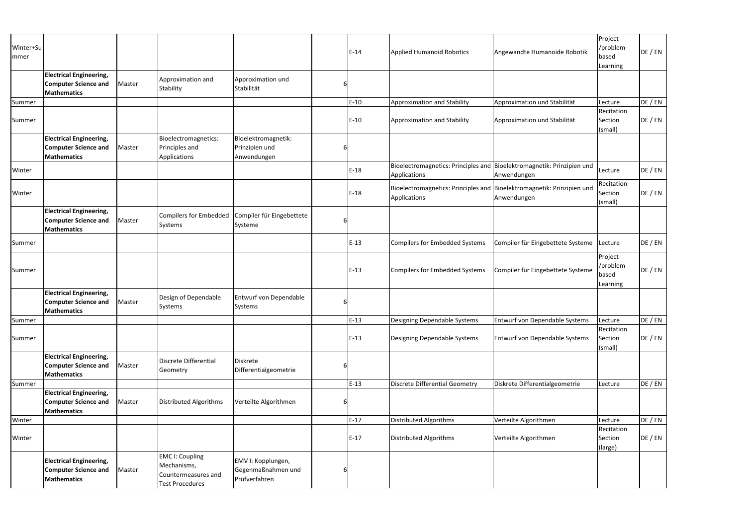| Winter+Su<br>mmer |                                                                                     |        |                                                                                        |                                                           |   | $E-14$ | <b>Applied Humanoid Robotics</b>                                                       | Angewandte Humanoide Robotik      | Project-<br>/problem-<br>based<br>Learning | DE / EN |
|-------------------|-------------------------------------------------------------------------------------|--------|----------------------------------------------------------------------------------------|-----------------------------------------------------------|---|--------|----------------------------------------------------------------------------------------|-----------------------------------|--------------------------------------------|---------|
|                   | <b>Electrical Engineering,</b><br><b>Computer Science and</b><br><b>Mathematics</b> | Master | Approximation and<br>Stability                                                         | Approximation und<br>Stabilität                           |   |        |                                                                                        |                                   |                                            |         |
| Summer            |                                                                                     |        |                                                                                        |                                                           |   | $E-10$ | Approximation and Stability                                                            | Approximation und Stabilität      | Lecture                                    | DE / EN |
| Summer            |                                                                                     |        |                                                                                        |                                                           |   | $E-10$ | Approximation and Stability                                                            | Approximation und Stabilität      | Recitation<br>Section<br>(small)           | DE / EN |
|                   | <b>Electrical Engineering,</b><br><b>Computer Science and</b><br><b>Mathematics</b> | Master | Bioelectromagnetics:<br>Principles and<br>Applications                                 | Bioelektromagnetik:<br>Prinzipien und<br>Anwendungen      | 6 |        |                                                                                        |                                   |                                            |         |
| Winter            |                                                                                     |        |                                                                                        |                                                           |   | $E-18$ | Bioelectromagnetics: Principles and Bioelektromagnetik: Prinzipien und<br>Applications | Anwendungen                       | Lecture                                    | DE / EN |
| Winter            |                                                                                     |        |                                                                                        |                                                           |   | $E-18$ | Bioelectromagnetics: Principles and Bioelektromagnetik: Prinzipien und<br>Applications | Anwendungen                       | Recitation<br>Section<br>(small)           | DE / EN |
|                   | <b>Electrical Engineering,</b><br><b>Computer Science and</b><br><b>Mathematics</b> | Master | <b>Compilers for Embedded</b><br>Systems                                               | Compiler für Eingebettete<br>Systeme                      |   |        |                                                                                        |                                   |                                            |         |
| Summer            |                                                                                     |        |                                                                                        |                                                           |   | $E-13$ | <b>Compilers for Embedded Systems</b>                                                  | Compiler für Eingebettete Systeme | Lecture                                    | DE / EN |
| Summer            |                                                                                     |        |                                                                                        |                                                           |   | $E-13$ | <b>Compilers for Embedded Systems</b>                                                  | Compiler für Eingebettete Systeme | Project-<br>/problem-<br>based<br>Learning | DE / EN |
|                   | <b>Electrical Engineering,</b><br><b>Computer Science and</b><br><b>Mathematics</b> | Master | Design of Dependable<br>Systems                                                        | Entwurf von Dependable<br>Systems                         |   |        |                                                                                        |                                   |                                            |         |
| Summer            |                                                                                     |        |                                                                                        |                                                           |   | $E-13$ | Designing Dependable Systems                                                           | Entwurf von Dependable Systems    | Lecture                                    | DE / EN |
| Summer            |                                                                                     |        |                                                                                        |                                                           |   | $E-13$ | Designing Dependable Systems                                                           | Entwurf von Dependable Systems    | Recitation<br>Section<br>(small)           | DE / EN |
|                   | <b>Electrical Engineering,</b><br><b>Computer Science and</b><br><b>Mathematics</b> | Master | Discrete Differential<br>Geometry                                                      | Diskrete<br>Differentialgeometrie                         |   |        |                                                                                        |                                   |                                            |         |
| Summer            |                                                                                     |        |                                                                                        |                                                           |   | $E-13$ | <b>Discrete Differential Geometry</b>                                                  | Diskrete Differentialgeometrie    | Lecture                                    | DE / EN |
|                   | <b>Electrical Engineering,</b><br><b>Computer Science and</b><br><b>Mathematics</b> | Master | Distributed Algorithms                                                                 | Verteilte Algorithmen                                     | b |        |                                                                                        |                                   |                                            |         |
| Winter            |                                                                                     |        |                                                                                        |                                                           |   | $E-17$ | <b>Distributed Algorithms</b>                                                          | Verteilte Algorithmen             | Lecture                                    | DE / EN |
| Winter            |                                                                                     |        |                                                                                        |                                                           |   | $E-17$ | <b>Distributed Algorithms</b>                                                          | Verteilte Algorithmen             | Recitation<br>Section<br>(large)           | DE / EN |
|                   | <b>Electrical Engineering,</b><br><b>Computer Science and</b><br><b>Mathematics</b> | Master | <b>EMC I: Coupling</b><br>Mechanisms,<br>Countermeasures and<br><b>Test Procedures</b> | EMV I: Kopplungen,<br>Gegenmaßnahmen und<br>Prüfverfahren | 6 |        |                                                                                        |                                   |                                            |         |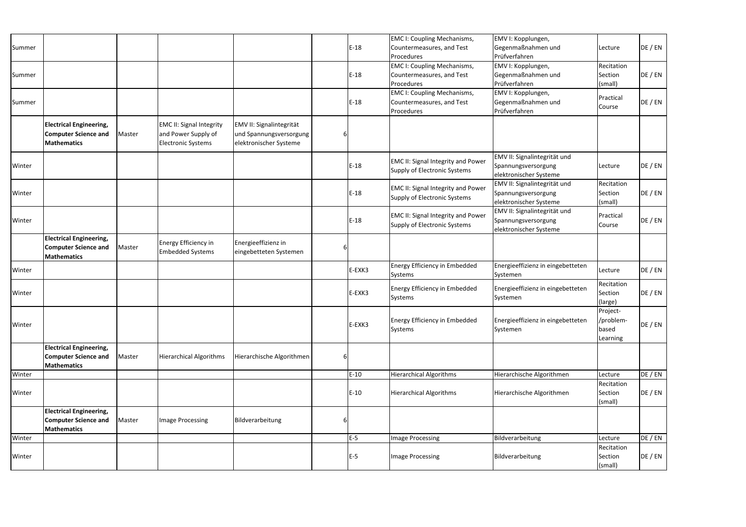| Summer |                                                                                     |        |                                                                                     |                                                                               |   | $E-18$ | <b>EMC I: Coupling Mechanisms,</b><br>Countermeasures, and Test               | EMV I: Kopplungen,<br>Gegenmaßnahmen und                                      | Lecture                                    | DE / EN |
|--------|-------------------------------------------------------------------------------------|--------|-------------------------------------------------------------------------------------|-------------------------------------------------------------------------------|---|--------|-------------------------------------------------------------------------------|-------------------------------------------------------------------------------|--------------------------------------------|---------|
|        |                                                                                     |        |                                                                                     |                                                                               |   |        | Procedures                                                                    | Prüfverfahren                                                                 |                                            |         |
| Summer |                                                                                     |        |                                                                                     |                                                                               |   | $E-18$ | <b>EMC I: Coupling Mechanisms,</b><br>Countermeasures, and Test<br>Procedures | EMV I: Kopplungen,<br>Gegenmaßnahmen und<br>Prüfverfahren                     | Recitation<br>Section<br>(small)           | DE / EN |
| Summer |                                                                                     |        |                                                                                     |                                                                               |   | $E-18$ | <b>EMC I: Coupling Mechanisms,</b><br>Countermeasures, and Test<br>Procedures | EMV I: Kopplungen,<br>Gegenmaßnahmen und<br>Prüfverfahren                     | Practical<br>Course                        | DE / EN |
|        | <b>Electrical Engineering,</b><br><b>Computer Science and</b><br><b>Mathematics</b> | Master | <b>EMC II: Signal Integrity</b><br>and Power Supply of<br><b>Electronic Systems</b> | EMV II: Signalintegrität<br>und Spannungsversorgung<br>elektronischer Systeme |   |        |                                                                               |                                                                               |                                            |         |
| Winter |                                                                                     |        |                                                                                     |                                                                               |   | $E-18$ | EMC II: Signal Integrity and Power<br>Supply of Electronic Systems            | EMV II: Signalintegrität und<br>Spannungsversorgung<br>elektronischer Systeme | Lecture                                    | DE / EN |
| Winter |                                                                                     |        |                                                                                     |                                                                               |   | $E-18$ | EMC II: Signal Integrity and Power<br>Supply of Electronic Systems            | EMV II: Signalintegrität und<br>Spannungsversorgung<br>elektronischer Systeme | Recitation<br>Section<br>(small)           | DE / EN |
| Winter |                                                                                     |        |                                                                                     |                                                                               |   | $E-18$ | EMC II: Signal Integrity and Power<br>Supply of Electronic Systems            | EMV II: Signalintegrität und<br>Spannungsversorgung<br>elektronischer Systeme | Practical<br>Course                        | DE / EN |
|        | <b>Electrical Engineering,</b><br><b>Computer Science and</b><br><b>Mathematics</b> | Master | Energy Efficiency in<br><b>Embedded Systems</b>                                     | Energieeffizienz in<br>eingebetteten Systemen                                 |   |        |                                                                               |                                                                               |                                            |         |
| Winter |                                                                                     |        |                                                                                     |                                                                               |   | E-EXK3 | Energy Efficiency in Embedded<br>Systems                                      | Energieeffizienz in eingebetteten<br>Systemen                                 | Lecture                                    | DE / EN |
| Winter |                                                                                     |        |                                                                                     |                                                                               |   | E-EXK3 | <b>Energy Efficiency in Embedded</b><br>Systems                               | Energieeffizienz in eingebetteten<br>Systemen                                 | Recitation<br>Section<br>(large)           | DE / EN |
| Winter |                                                                                     |        |                                                                                     |                                                                               |   | E-EXK3 | Energy Efficiency in Embedded<br>Systems                                      | Energieeffizienz in eingebetteten<br>Systemen                                 | Project-<br>/problem-<br>based<br>Learning | DE / EN |
|        | <b>Electrical Engineering,</b><br><b>Computer Science and</b><br><b>Mathematics</b> | Master | <b>Hierarchical Algorithms</b>                                                      | Hierarchische Algorithmen                                                     | 6 |        |                                                                               |                                                                               |                                            |         |
| Winter |                                                                                     |        |                                                                                     |                                                                               |   | $E-10$ | <b>Hierarchical Algorithms</b>                                                | Hierarchische Algorithmen                                                     | Lecture                                    | DE / EN |
| Winter |                                                                                     |        |                                                                                     |                                                                               |   | $E-10$ | <b>Hierarchical Algorithms</b>                                                | Hierarchische Algorithmen                                                     | Recitation<br>Section<br>(small)           | DE / EN |
|        | <b>Electrical Engineering,</b><br><b>Computer Science and</b><br><b>Mathematics</b> | Master | <b>Image Processing</b>                                                             | Bildverarbeitung                                                              | b |        |                                                                               |                                                                               |                                            |         |
| Winter |                                                                                     |        |                                                                                     |                                                                               |   | $E-5$  | Image Processing                                                              | Bildverarbeitung                                                              | Lecture                                    | DE / EN |
| Winter |                                                                                     |        |                                                                                     |                                                                               |   | $E-5$  | Image Processing                                                              | Bildverarbeitung                                                              | Recitation<br>Section<br>(small)           | DE / EN |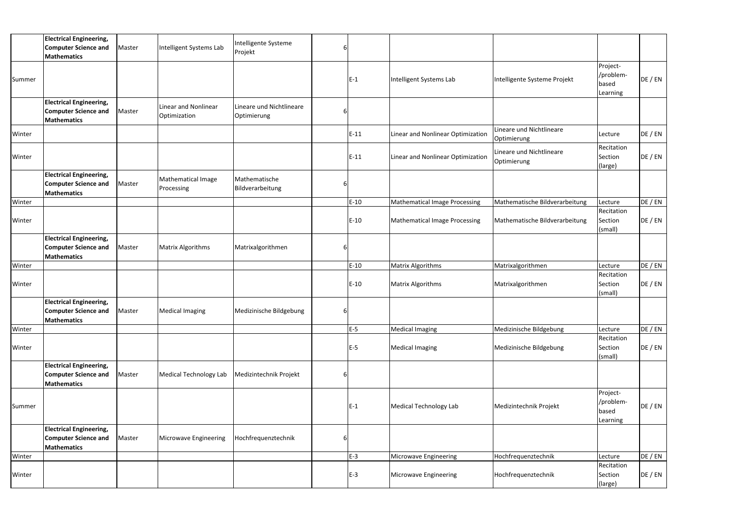|        | <b>Electrical Engineering,</b><br><b>Computer Science and</b><br><b>Mathematics</b>        | Master | Intelligent Systems Lab              | Intelligente Systeme<br>Projekt         |   |        |                                      |                                         |                                            |         |
|--------|--------------------------------------------------------------------------------------------|--------|--------------------------------------|-----------------------------------------|---|--------|--------------------------------------|-----------------------------------------|--------------------------------------------|---------|
| Summer |                                                                                            |        |                                      |                                         |   | $E-1$  | Intelligent Systems Lab              | Intelligente Systeme Projekt            | Project-<br>/problem-<br>based<br>Learning | DE / EN |
|        | <b>Electrical Engineering,</b><br><b>Computer Science and</b><br><b>Mathematics</b>        | Master | Linear and Nonlinear<br>Optimization | Lineare und Nichtlineare<br>Optimierung |   |        |                                      |                                         |                                            |         |
| Winter |                                                                                            |        |                                      |                                         |   | $E-11$ | Linear and Nonlinear Optimization    | Lineare und Nichtlineare<br>Optimierung | Lecture                                    | DE / EN |
| Winter |                                                                                            |        |                                      |                                         |   | $E-11$ | Linear and Nonlinear Optimization    | Lineare und Nichtlineare<br>Optimierung | Recitation<br>Section<br>(large)           | DE / EN |
|        | <b>Electrical Engineering,</b><br><b>Computer Science and</b><br><b>Mathematics</b>        | Master | Mathematical Image<br>Processing     | Mathematische<br>Bildverarbeitung       | b |        |                                      |                                         |                                            |         |
| Winter |                                                                                            |        |                                      |                                         |   | $E-10$ | <b>Mathematical Image Processing</b> | Mathematische Bildverarbeitung          | Lecture                                    | DE / EN |
| Winter |                                                                                            |        |                                      |                                         |   | $E-10$ | Mathematical Image Processing        | Mathematische Bildverarbeitung          | Recitation<br>Section<br>(small)           | DE / EN |
|        | <b>Electrical Engineering,</b><br><b>Computer Science and</b><br><b>Mathematics</b>        | Master | Matrix Algorithms                    | Matrixalgorithmen                       | 6 |        |                                      |                                         |                                            |         |
| Winter |                                                                                            |        |                                      |                                         |   | $E-10$ | <b>Matrix Algorithms</b>             | Matrixalgorithmen                       | Lecture                                    | DE / EN |
| Winter |                                                                                            |        |                                      |                                         |   | $E-10$ | <b>Matrix Algorithms</b>             | Matrixalgorithmen                       | Recitation<br>Section<br>(small)           | DE / EN |
|        | <b>Electrical Engineering,</b><br><b>Computer Science and</b> Master<br><b>Mathematics</b> |        | Medical Imaging                      | Medizinische Bildgebung                 |   |        |                                      |                                         |                                            |         |
| Winter |                                                                                            |        |                                      |                                         |   | $E-5$  | <b>Medical Imaging</b>               | Medizinische Bildgebung                 | Lecture                                    | DE / EN |
| Winter |                                                                                            |        |                                      |                                         |   | $E-5$  | <b>Medical Imaging</b>               | Medizinische Bildgebung                 | Recitation<br>Section<br>(small)           | DE / EN |
|        | <b>Electrical Engineering,</b><br><b>Computer Science and</b><br><b>Mathematics</b>        | Master | <b>Medical Technology Lab</b>        | Medizintechnik Projekt                  | b |        |                                      |                                         |                                            |         |
| Summer |                                                                                            |        |                                      |                                         |   | $E-1$  | <b>Medical Technology Lab</b>        | Medizintechnik Projekt                  | Project-<br>/problem-<br>based<br>Learning | DE / EN |
|        | <b>Electrical Engineering,</b><br><b>Computer Science and</b><br><b>Mathematics</b>        | Master | Microwave Engineering                | Hochfrequenztechnik                     |   |        |                                      |                                         |                                            |         |
| Winter |                                                                                            |        |                                      |                                         |   | $E-3$  | Microwave Engineering                | Hochfrequenztechnik                     | Lecture                                    | DE / EN |
| Winter |                                                                                            |        |                                      |                                         |   |        |                                      | Hochfrequenztechnik                     | Recitation                                 | DE / EN |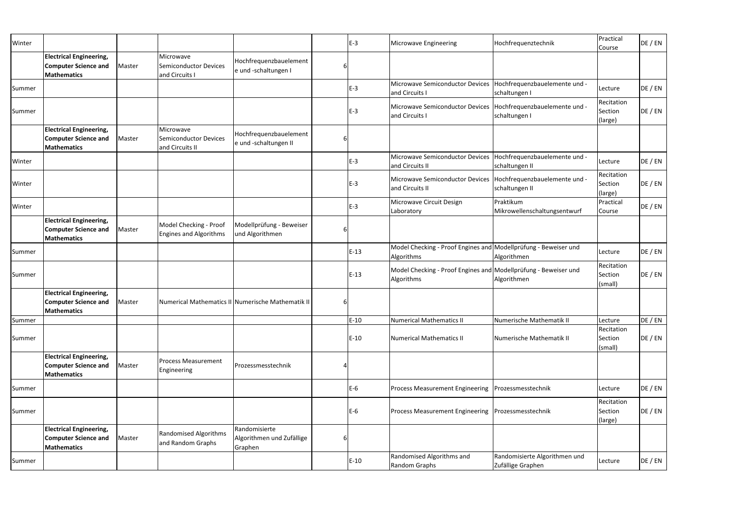| Winter |                                                                                     |        |                                                              |                                                       |   | $E-3$  | <b>Microwave Engineering</b>                                                       | Hochfrequenztechnik                                | Practical<br>Course              | DE / EN |
|--------|-------------------------------------------------------------------------------------|--------|--------------------------------------------------------------|-------------------------------------------------------|---|--------|------------------------------------------------------------------------------------|----------------------------------------------------|----------------------------------|---------|
|        | <b>Electrical Engineering,</b><br><b>Computer Science and</b><br>Mathematics        | Master | Microwave<br><b>Semiconductor Devices</b><br>and Circuits I  | Hochfrequenzbauelement<br>e und -schaltungen I        |   |        |                                                                                    |                                                    |                                  |         |
| Summer |                                                                                     |        |                                                              |                                                       |   | $E-3$  | Microwave Semiconductor Devices   Hochfrequenzbauelemente und -<br>and Circuits I  | schaltungen I                                      | Lecture                          | DE / EN |
| Summer |                                                                                     |        |                                                              |                                                       |   | $E-3$  | Microwave Semiconductor Devices   Hochfrequenzbauelemente und -<br>and Circuits I  | schaltungen I                                      | Recitation<br>Section<br>(large) | DE / EN |
|        | <b>Electrical Engineering,</b><br><b>Computer Science and</b><br>Mathematics        | Master | Microwave<br><b>Semiconductor Devices</b><br>and Circuits II | Hochfrequenzbauelement<br>e und -schaltungen II       |   |        |                                                                                    |                                                    |                                  |         |
| Winter |                                                                                     |        |                                                              |                                                       |   | $E-3$  | Microwave Semiconductor Devices   Hochfrequenzbauelemente und -<br>and Circuits II | schaltungen II                                     | Lecture                          | DE / EN |
| Winter |                                                                                     |        |                                                              |                                                       |   | $E-3$  | Microwave Semiconductor Devices   Hochfrequenzbauelemente und -<br>and Circuits II | schaltungen II                                     | Recitation<br>Section<br>(large) | DE / EN |
| Winter |                                                                                     |        |                                                              |                                                       |   | $E-3$  | Microwave Circuit Design<br>Laboratory                                             | Praktikum<br>Mikrowellenschaltungsentwurf          | Practical<br>Course              | DE / EN |
|        | <b>Electrical Engineering,</b><br><b>Computer Science and</b><br>Mathematics        | Master | Model Checking - Proof<br><b>Engines and Algorithms</b>      | Modellprüfung - Beweiser<br>und Algorithmen           |   |        |                                                                                    |                                                    |                                  |         |
| Summer |                                                                                     |        |                                                              |                                                       |   | $E-13$ | Model Checking - Proof Engines and Modellprüfung - Beweiser und<br>Algorithms      | Algorithmen                                        | Lecture                          | DE / EN |
| Summer |                                                                                     |        |                                                              |                                                       |   | $E-13$ | Model Checking - Proof Engines and Modellprüfung - Beweiser und<br>Algorithms      | Algorithmen                                        | Recitation<br>Section<br>(small) | DE / EN |
|        | <b>Electrical Engineering,</b><br><b>Computer Science and</b><br>Mathematics        | Master |                                                              | Numerical Mathematics II Numerische Mathematik II     |   |        |                                                                                    |                                                    |                                  |         |
| Summer |                                                                                     |        |                                                              |                                                       |   | $E-10$ | <b>Numerical Mathematics II</b>                                                    | Numerische Mathematik II                           | Lecture                          | DE / EN |
| Summer |                                                                                     |        |                                                              |                                                       |   | $E-10$ | Numerical Mathematics II                                                           | Numerische Mathematik II                           | Recitation<br>Section<br>(small) | DE / EN |
|        | <b>Electrical Engineering,</b><br><b>Computer Science and</b><br><b>Mathematics</b> | Master | <b>Process Measurement</b><br>Engineering                    | Prozessmesstechnik                                    |   |        |                                                                                    |                                                    |                                  |         |
| Summer |                                                                                     |        |                                                              |                                                       |   | $E-6$  | Process Measurement Engineering                                                    | Prozessmesstechnik                                 | Lecture                          | DE / EN |
| Summer |                                                                                     |        |                                                              |                                                       |   | $E-6$  | Process Measurement Engineering Prozessmesstechnik                                 |                                                    | Recitation<br>Section<br>(large) | DE / EN |
|        | <b>Electrical Engineering,</b><br><b>Computer Science and</b><br>Mathematics        | Master | <b>Randomised Algorithms</b><br>and Random Graphs            | Randomisierte<br>Algorithmen und Zufällige<br>Graphen | 6 |        |                                                                                    |                                                    |                                  |         |
| Summer |                                                                                     |        |                                                              |                                                       |   | $E-10$ | Randomised Algorithms and<br>Random Graphs                                         | Randomisierte Algorithmen und<br>Zufällige Graphen | Lecture                          | DE / EN |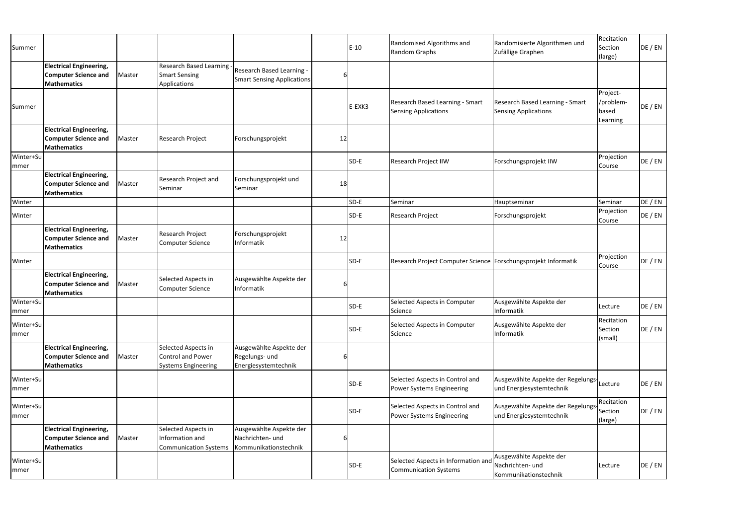| Summer             |                                                                                     |        |                                                                        |                                                                      |    | $E-10$ | Randomised Algorithms and<br>Random Graphs                          | Randomisierte Algorithmen und<br>Zufällige Graphen                     | Recitation<br>Section<br>(large)           | DE / EN |
|--------------------|-------------------------------------------------------------------------------------|--------|------------------------------------------------------------------------|----------------------------------------------------------------------|----|--------|---------------------------------------------------------------------|------------------------------------------------------------------------|--------------------------------------------|---------|
|                    | <b>Electrical Engineering,</b><br><b>Computer Science and</b><br><b>Mathematics</b> | Master | <b>Research Based Learning</b><br><b>Smart Sensing</b><br>Applications | Research Based Learning -<br><b>Smart Sensing Applications</b>       | 6  |        |                                                                     |                                                                        |                                            |         |
| Summer             |                                                                                     |        |                                                                        |                                                                      |    | E-EXK3 | Research Based Learning - Smart<br><b>Sensing Applications</b>      | Research Based Learning - Smart<br>Sensing Applications                | Project-<br>/problem-<br>based<br>Learning | DE / EN |
|                    | <b>Electrical Engineering,</b><br><b>Computer Science and</b><br>Mathematics        | Master | Research Project                                                       | Forschungsprojekt                                                    | 12 |        |                                                                     |                                                                        |                                            |         |
| Winter+Su<br>mmer  |                                                                                     |        |                                                                        |                                                                      |    | SD-E   | <b>Research Project IIW</b>                                         | Forschungsprojekt IIW                                                  | Projection<br>Course                       | DE / EN |
|                    | <b>Electrical Engineering,</b><br><b>Computer Science and</b><br><b>Mathematics</b> | Master | Research Project and<br>Seminar                                        | Forschungsprojekt und<br>Seminar                                     | 18 |        |                                                                     |                                                                        |                                            |         |
| Winter             |                                                                                     |        |                                                                        |                                                                      |    | SD-E   | Seminar                                                             | Hauptseminar                                                           | Seminar                                    | DE / EN |
| Winter             |                                                                                     |        |                                                                        |                                                                      |    | SD-E   | Research Project                                                    | Forschungsprojekt                                                      | Projection<br>Course                       | DE / EN |
|                    | <b>Electrical Engineering,</b><br><b>Computer Science and</b><br><b>Mathematics</b> | Master | Research Project<br>Computer Science                                   | Forschungsprojekt<br>Informatik                                      | 12 |        |                                                                     |                                                                        |                                            |         |
| Winter             |                                                                                     |        |                                                                        |                                                                      |    | SD-E   | Research Project Computer Science   Forschungsprojekt Informatik    |                                                                        | Projection<br>Course                       | DE / EN |
|                    | <b>Electrical Engineering,</b><br><b>Computer Science and</b><br><b>Mathematics</b> | Master | Selected Aspects in<br>Computer Science                                | Ausgewählte Aspekte der<br>Informatik                                | 6  |        |                                                                     |                                                                        |                                            |         |
| Winter+Su<br>Immer |                                                                                     |        |                                                                        |                                                                      |    | SD-E   | Selected Aspects in Computer<br>Science                             | Ausgewählte Aspekte der<br><b>Informatik</b>                           | Lecture                                    | DE / EN |
| Winter+Su<br>mmer  |                                                                                     |        |                                                                        |                                                                      |    | SD-E   | Selected Aspects in Computer<br>Science                             | Ausgewählte Aspekte der<br>Informatik                                  | Recitation<br>Section<br>(small)           | DE / EN |
|                    | <b>Electrical Engineering,</b><br><b>Computer Science and</b><br><b>Mathematics</b> | Master | Selected Aspects in<br>Control and Power<br><b>Systems Engineering</b> | Ausgewählte Aspekte der<br>Regelungs- und<br>Energiesystemtechnik    |    |        |                                                                     |                                                                        |                                            |         |
| Winter+Su<br> mmer |                                                                                     |        |                                                                        |                                                                      |    | SD-E   | Selected Aspects in Control and<br>Power Systems Engineering        | Ausgewählte Aspekte der Regelungs-Lecture<br>und Energiesystemtechnik  |                                            | DE / EN |
| Winter+Su<br>mmer  |                                                                                     |        |                                                                        |                                                                      |    | SD-E   | Selected Aspects in Control and<br>Power Systems Engineering        | Ausgewählte Aspekte der Regelungs  Section<br>und Energiesystemtechnik | Recitation<br>(large)                      | DE / EN |
|                    | <b>Electrical Engineering,</b><br><b>Computer Science and</b><br>Mathematics        | Master | Selected Aspects in<br>Information and<br><b>Communication Systems</b> | Ausgewählte Aspekte der<br>Nachrichten- und<br>Kommunikationstechnik |    |        |                                                                     |                                                                        |                                            |         |
| Winter+Su<br>mmer  |                                                                                     |        |                                                                        |                                                                      |    | SD-E   | Selected Aspects in Information and<br><b>Communication Systems</b> | Ausgewählte Aspekte der<br>Nachrichten- und<br>Kommunikationstechnik   | Lecture                                    | DE / EN |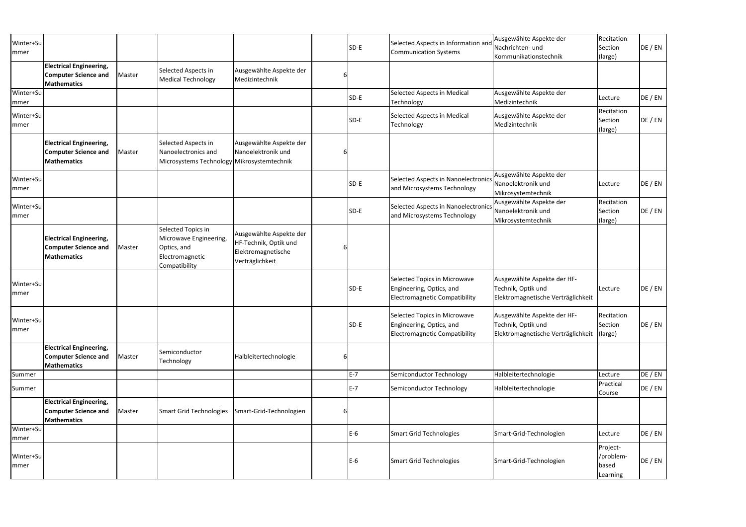| Winter+Su<br>mmer |                                                                                     |        |                                                                                                 |                                                                                           |   | SD-E  | Selected Aspects in Information and<br><b>Communication Systems</b>                              | Ausgewählte Aspekte der<br>Nachrichten- und<br>Kommunikationstechnik                    | Recitation<br>Section<br>(large)           | DE / EN |
|-------------------|-------------------------------------------------------------------------------------|--------|-------------------------------------------------------------------------------------------------|-------------------------------------------------------------------------------------------|---|-------|--------------------------------------------------------------------------------------------------|-----------------------------------------------------------------------------------------|--------------------------------------------|---------|
|                   | <b>Electrical Engineering,</b><br><b>Computer Science and</b><br><b>Mathematics</b> | Master | Selected Aspects in<br><b>Medical Technology</b>                                                | Ausgewählte Aspekte der<br>Medizintechnik                                                 |   |       |                                                                                                  |                                                                                         |                                            |         |
| Winter+Su<br>mmer |                                                                                     |        |                                                                                                 |                                                                                           |   | SD-E  | Selected Aspects in Medical<br>Technology                                                        | Ausgewählte Aspekte der<br>Medizintechnik                                               | Lecture                                    | DE / EN |
| Winter+Su<br>mmer |                                                                                     |        |                                                                                                 |                                                                                           |   | SD-E  | Selected Aspects in Medical<br>Technology                                                        | Ausgewählte Aspekte der<br>Medizintechnik                                               | Recitation<br>Section<br>(large)           | DE / EN |
|                   | <b>Electrical Engineering,</b><br><b>Computer Science and</b><br><b>Mathematics</b> | Master | Selected Aspects in<br>Nanoelectronics and<br>Microsystems Technology Mikrosystemtechnik        | Ausgewählte Aspekte der<br>Nanoelektronik und                                             |   |       |                                                                                                  |                                                                                         |                                            |         |
| Winter+Su<br>mmer |                                                                                     |        |                                                                                                 |                                                                                           |   | SD-E  | Selected Aspects in Nanoelectronics<br>and Microsystems Technology                               | Ausgewählte Aspekte der<br>Nanoelektronik und<br>Mikrosystemtechnik                     | Lecture                                    | DE / EN |
| Winter+Su<br>mmer |                                                                                     |        |                                                                                                 |                                                                                           |   | SD-E  | Selected Aspects in Nanoelectronics<br>and Microsystems Technology                               | Ausgewählte Aspekte der<br>Nanoelektronik und<br>Mikrosystemtechnik                     | Recitation<br>Section<br>(large)           | DE / EN |
|                   | <b>Electrical Engineering,</b><br><b>Computer Science and</b><br><b>Mathematics</b> | Master | Selected Topics in<br>Microwave Engineering,<br>Optics, and<br>Electromagnetic<br>Compatibility | Ausgewählte Aspekte der<br>HF-Technik, Optik und<br>Elektromagnetische<br>Verträglichkeit |   |       |                                                                                                  |                                                                                         |                                            |         |
| Winter+Su<br>mmer |                                                                                     |        |                                                                                                 |                                                                                           |   | SD-E  | Selected Topics in Microwave<br>Engineering, Optics, and<br><b>Electromagnetic Compatibility</b> | Ausgewählte Aspekte der HF-<br>Technik, Optik und<br>Elektromagnetische Verträglichkeit | Lecture                                    | DE / EN |
| Winter+Su<br>mmer |                                                                                     |        |                                                                                                 |                                                                                           |   | SD-E  | Selected Topics in Microwave<br>Engineering, Optics, and<br><b>Electromagnetic Compatibility</b> | Ausgewählte Aspekte der HF-<br>Technik, Optik und<br>Elektromagnetische Verträglichkeit | Recitation<br>Section<br>(large)           | DE / EN |
|                   | <b>Electrical Engineering,</b><br><b>Computer Science and</b><br><b>Mathematics</b> | Master | Semiconductor<br>Technology                                                                     | Halbleitertechnologie                                                                     | 6 |       |                                                                                                  |                                                                                         |                                            |         |
| Summer            |                                                                                     |        |                                                                                                 |                                                                                           |   | $E-7$ | Semiconductor Technology                                                                         | Halbleitertechnologie                                                                   | Lecture                                    | DE / EN |
| Summer            |                                                                                     |        |                                                                                                 |                                                                                           |   | $E-7$ | Semiconductor Technology                                                                         | Halbleitertechnologie                                                                   | Practical<br>Course                        | DE / EN |
|                   | <b>Electrical Engineering,</b><br><b>Computer Science and</b><br><b>Mathematics</b> | Master | Smart Grid Technologies                                                                         | Smart-Grid-Technologien                                                                   | 6 |       |                                                                                                  |                                                                                         |                                            |         |
| Winter+Su<br>mmer |                                                                                     |        |                                                                                                 |                                                                                           |   | $E-6$ | <b>Smart Grid Technologies</b>                                                                   | Smart-Grid-Technologien                                                                 | Lecture                                    | DE / EN |
| Winter+Su<br>mmer |                                                                                     |        |                                                                                                 |                                                                                           |   | $E-6$ | <b>Smart Grid Technologies</b>                                                                   | Smart-Grid-Technologien                                                                 | Project-<br>/problem-<br>based<br>Learning | DE / EN |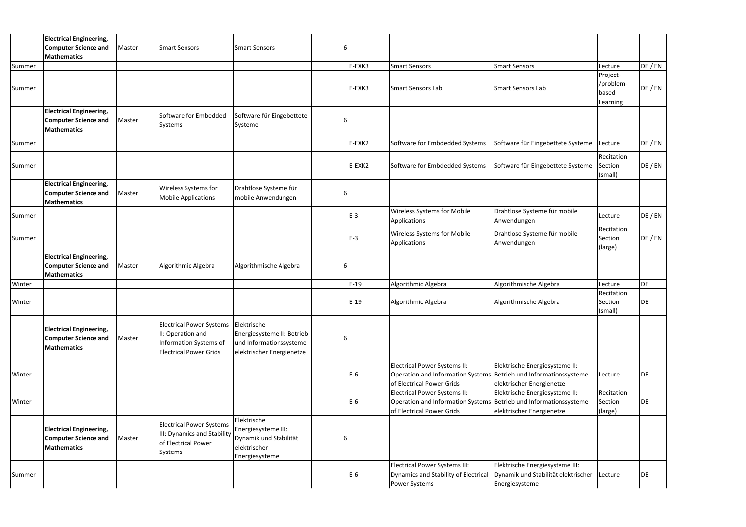|        | <b>Electrical Engineering,</b>                                                      |        |                                                                                                                 |                                                                                                   |        |                                                                                                                                       |                                                                                          |                                            |         |
|--------|-------------------------------------------------------------------------------------|--------|-----------------------------------------------------------------------------------------------------------------|---------------------------------------------------------------------------------------------------|--------|---------------------------------------------------------------------------------------------------------------------------------------|------------------------------------------------------------------------------------------|--------------------------------------------|---------|
|        | <b>Computer Science and</b><br><b>Mathematics</b>                                   | Master | <b>Smart Sensors</b>                                                                                            | <b>Smart Sensors</b>                                                                              |        |                                                                                                                                       |                                                                                          |                                            |         |
| Summer |                                                                                     |        |                                                                                                                 |                                                                                                   | E-EXK3 | <b>Smart Sensors</b>                                                                                                                  | Smart Sensors                                                                            | Lecture                                    | DE / EN |
| Summer |                                                                                     |        |                                                                                                                 |                                                                                                   | E-EXK3 | <b>Smart Sensors Lab</b>                                                                                                              | Smart Sensors Lab                                                                        | Project-<br>/problem-<br>based<br>Learning | DE / EN |
|        | <b>Electrical Engineering,</b><br><b>Computer Science and</b><br><b>Mathematics</b> | Master | Software for Embedded<br>Systems                                                                                | Software für Eingebettete<br>Systeme                                                              |        |                                                                                                                                       |                                                                                          |                                            |         |
| Summer |                                                                                     |        |                                                                                                                 |                                                                                                   | E-EXK2 | Software for Embdedded Systems                                                                                                        | Software für Eingebettete Systeme                                                        | Lecture                                    | DE / EN |
| Summer |                                                                                     |        |                                                                                                                 |                                                                                                   | E-EXK2 | Software for Embdedded Systems                                                                                                        | Software für Eingebettete Systeme                                                        | Recitation<br>Section<br>(small)           | DE / EN |
|        | <b>Electrical Engineering,</b><br><b>Computer Science and</b><br><b>Mathematics</b> | Master | Wireless Systems for<br><b>Mobile Applications</b>                                                              | Drahtlose Systeme für<br>mobile Anwendungen                                                       |        |                                                                                                                                       |                                                                                          |                                            |         |
| Summer |                                                                                     |        |                                                                                                                 |                                                                                                   | $E-3$  | <b>Wireless Systems for Mobile</b><br>Applications                                                                                    | Drahtlose Systeme für mobile<br>Anwendungen                                              | Lecture                                    | DE / EN |
| Summer |                                                                                     |        |                                                                                                                 |                                                                                                   | E-3    | <b>Wireless Systems for Mobile</b><br>Applications                                                                                    | Drahtlose Systeme für mobile<br>Anwendungen                                              | Recitation<br>Section<br>(large)           | DE / EN |
|        | <b>Electrical Engineering,</b><br><b>Computer Science and</b><br><b>Mathematics</b> | Master | Algorithmic Algebra                                                                                             | Algorithmische Algebra                                                                            |        |                                                                                                                                       |                                                                                          |                                            |         |
| Winter |                                                                                     |        |                                                                                                                 |                                                                                                   | $E-19$ | Algorithmic Algebra                                                                                                                   | Algorithmische Algebra                                                                   | Lecture                                    | DE      |
| Winter |                                                                                     |        |                                                                                                                 |                                                                                                   | $E-19$ | Algorithmic Algebra                                                                                                                   | Algorithmische Algebra                                                                   | Recitation<br>Section<br>(small)           | DE      |
|        | <b>Electrical Engineering,</b><br><b>Computer Science and</b><br><b>Mathematics</b> | Master | <b>Electrical Power Systems</b><br>II: Operation and<br>Information Systems of<br><b>Electrical Power Grids</b> | Elektrische<br>Energiesysteme II: Betrieb<br>und Informationssysteme<br>elektrischer Energienetze |        |                                                                                                                                       |                                                                                          |                                            |         |
| Winter |                                                                                     |        |                                                                                                                 |                                                                                                   | $E-6$  | <b>Electrical Power Systems II:</b><br>Operation and Information Systems Betrieb und Informationssysteme<br>of Electrical Power Grids | Elektrische Energiesysteme II:<br>elektrischer Energienetze                              | Lecture                                    | DE      |
| Winter |                                                                                     |        |                                                                                                                 |                                                                                                   | $E-6$  | Electrical Power Systems II:<br>Operation and Information Systems Betrieb und Informationssysteme<br>of Electrical Power Grids        | Elektrische Energiesysteme II:<br>elektrischer Energienetze                              | Recitation<br>Section<br>(large)           | DE      |
|        | <b>Electrical Engineering,</b><br><b>Computer Science and</b><br><b>Mathematics</b> | Master | <b>Electrical Power Systems</b><br>III: Dynamics and Stability<br>of Electrical Power<br>Systems                | Elektrische<br>Energiesysteme III:<br>Dynamik und Stabilität<br>elektrischer<br>Energiesysteme    |        |                                                                                                                                       |                                                                                          |                                            |         |
| Summer |                                                                                     |        |                                                                                                                 |                                                                                                   | $E-6$  | <b>Electrical Power Systems III:</b><br>Dynamics and Stability of Electrical<br>Power Systems                                         | Elektrische Energiesysteme III:<br>Dynamik und Stabilität elektrischer<br>Energiesysteme | Lecture                                    | DE      |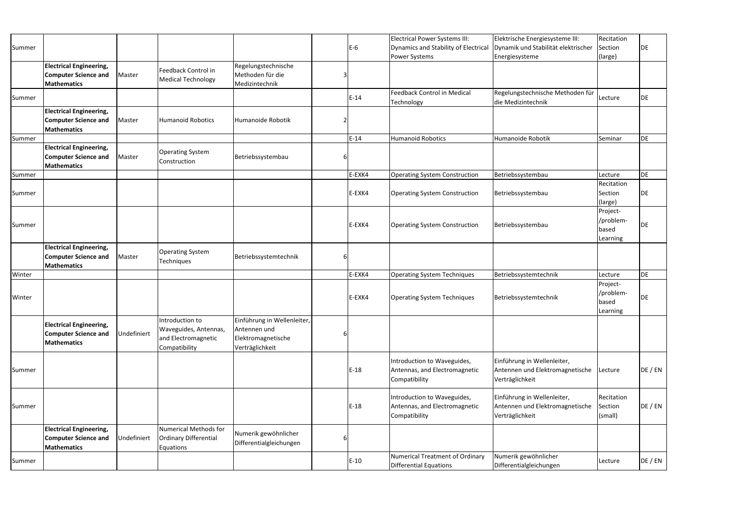| Summer |                                                                                     |             |                                                                                  |                                                                                      | $E-6$  | <b>Electrical Power Systems III:</b><br>Dynamics and Stability of Electrical<br>Power Systems | Elektrische Energiesysteme III:<br>Dynamik und Stabilität elektrischer<br>Energiesysteme | Recitation<br>Section<br>(large)           | DE      |
|--------|-------------------------------------------------------------------------------------|-------------|----------------------------------------------------------------------------------|--------------------------------------------------------------------------------------|--------|-----------------------------------------------------------------------------------------------|------------------------------------------------------------------------------------------|--------------------------------------------|---------|
|        | <b>Electrical Engineering,</b><br><b>Computer Science and</b><br><b>Mathematics</b> | Master      | Feedback Control in<br><b>Medical Technology</b>                                 | Regelungstechnische<br>Methoden für die<br>Medizintechnik                            |        |                                                                                               |                                                                                          |                                            |         |
| Summer |                                                                                     |             |                                                                                  |                                                                                      | $E-14$ | <b>Feedback Control in Medical</b><br>Technology                                              | Regelungstechnische Methoden für<br>die Medizintechnik                                   | Lecture                                    | DE      |
|        | <b>Electrical Engineering,</b><br><b>Computer Science and</b><br><b>Mathematics</b> | Master      | <b>Humanoid Robotics</b>                                                         | Humanoide Robotik                                                                    |        |                                                                                               |                                                                                          |                                            |         |
| Summer |                                                                                     |             |                                                                                  |                                                                                      | $E-14$ | <b>Humanoid Robotics</b>                                                                      | Humanoide Robotik                                                                        | Seminar                                    | DE      |
|        | <b>Electrical Engineering,</b><br><b>Computer Science and</b><br><b>Mathematics</b> | Master      | <b>Operating System</b><br>Construction                                          | Betriebssystembau                                                                    |        |                                                                                               |                                                                                          |                                            |         |
| Summer |                                                                                     |             |                                                                                  |                                                                                      | E-EXK4 | <b>Operating System Construction</b>                                                          | Betriebssystembau                                                                        | Lecture                                    | DE      |
| Summer |                                                                                     |             |                                                                                  |                                                                                      | E-EXK4 | <b>Operating System Construction</b>                                                          | Betriebssystembau                                                                        | Recitation<br>Section<br>(large)           | DE      |
| Summer |                                                                                     |             |                                                                                  |                                                                                      | E-EXK4 | <b>Operating System Construction</b>                                                          | Betriebssystembau                                                                        | Project-<br>/problem-<br>based<br>Learning | DE.     |
|        | <b>Electrical Engineering,</b><br><b>Computer Science and</b><br><b>Mathematics</b> | Master      | <b>Operating System</b><br>Techniques                                            | Betriebssystemtechnik                                                                |        |                                                                                               |                                                                                          |                                            |         |
| Winter |                                                                                     |             |                                                                                  |                                                                                      | E-EXK4 | <b>Operating System Techniques</b>                                                            | Betriebssystemtechnik                                                                    | Lecture                                    | DE      |
| Winter |                                                                                     |             |                                                                                  |                                                                                      | E-EXK4 | <b>Operating System Techniques</b>                                                            | Betriebssystemtechnik                                                                    | Project-<br>/problem-<br>based<br>Learning | DE      |
|        | <b>Electrical Engineering,</b><br><b>Computer Science and</b><br><b>Mathematics</b> | Undefiniert | Introduction to<br>Waveguides, Antennas,<br>and Electromagnetic<br>Compatibility | Einführung in Wellenleiter,<br>Antennen und<br>Elektromagnetische<br>Verträglichkeit |        |                                                                                               |                                                                                          |                                            |         |
| Summer |                                                                                     |             |                                                                                  |                                                                                      | $E-18$ | Introduction to Waveguides,<br>Antennas, and Electromagnetic<br>Compatibility                 | Einführung in Wellenleiter,<br>Antennen und Elektromagnetische<br>Verträglichkeit        | Lecture                                    | DE / EN |
| Summer |                                                                                     |             |                                                                                  |                                                                                      | $E-18$ | Introduction to Waveguides,<br>Antennas, and Electromagnetic<br>Compatibility                 | Einführung in Wellenleiter,<br>Antennen und Elektromagnetische<br>Verträglichkeit        | Recitation<br>Section<br>(small)           | DE / EN |
|        | <b>Electrical Engineering,</b><br><b>Computer Science and</b><br><b>Mathematics</b> | Undefiniert | Numerical Methods for<br><b>Ordinary Differential</b><br>Equations               | Numerik gewöhnlicher<br>Differentialgleichungen                                      |        |                                                                                               |                                                                                          |                                            |         |
| Summer |                                                                                     |             |                                                                                  |                                                                                      | $E-10$ | Numerical Treatment of Ordinary<br><b>Differential Equations</b>                              | Numerik gewöhnlicher<br>Differentialgleichungen                                          | Lecture                                    | DE / EN |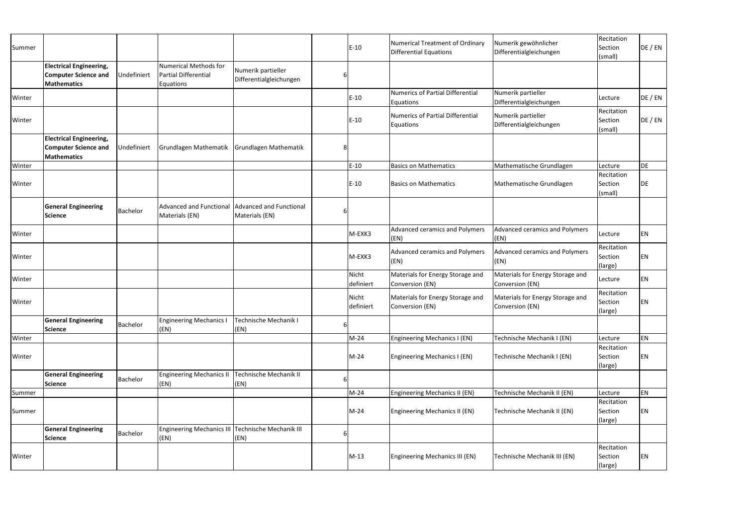|        |                                                                                     |                 |                                                            |                                               |   |                    |                                                                         |                                                     | Recitation                       |         |
|--------|-------------------------------------------------------------------------------------|-----------------|------------------------------------------------------------|-----------------------------------------------|---|--------------------|-------------------------------------------------------------------------|-----------------------------------------------------|----------------------------------|---------|
| Summer |                                                                                     |                 |                                                            |                                               |   | $E-10$             | <b>Numerical Treatment of Ordinary</b><br><b>Differential Equations</b> | Numerik gewöhnlicher<br>Differentialgleichungen     | Section<br>(small)               | DE / EN |
|        | <b>Electrical Engineering,</b><br><b>Computer Science and</b><br><b>Mathematics</b> | Undefiniert     | Numerical Methods for<br>Partial Differential<br>Equations | Numerik partieller<br>Differentialgleichungen | 6 |                    |                                                                         |                                                     |                                  |         |
| Winter |                                                                                     |                 |                                                            |                                               |   | $E-10$             | <b>Numerics of Partial Differential</b><br>Equations                    | Numerik partieller<br>Differentialgleichungen       | Lecture                          | DE / EN |
| Winter |                                                                                     |                 |                                                            |                                               |   | $E-10$             | <b>Numerics of Partial Differential</b><br>Equations                    | Numerik partieller<br>Differentialgleichungen       | Recitation<br>Section<br>(small) | DE / EN |
|        | <b>Electrical Engineering,</b><br><b>Computer Science and</b><br><b>Mathematics</b> | Undefiniert     | Grundlagen Mathematik                                      | Grundlagen Mathematik                         | 8 |                    |                                                                         |                                                     |                                  |         |
| Winter |                                                                                     |                 |                                                            |                                               |   | $E-10$             | <b>Basics on Mathematics</b>                                            | Mathematische Grundlagen                            | Lecture                          | DE      |
| Winter |                                                                                     |                 |                                                            |                                               |   | $E-10$             | <b>Basics on Mathematics</b>                                            | Mathematische Grundlagen                            | Recitation<br>Section<br>(small) | DE      |
|        | <b>General Engineering</b><br><b>Science</b>                                        | <b>Bachelor</b> | <b>Advanced and Functional</b><br>Materials (EN)           | Advanced and Functional<br>Materials (EN)     | b |                    |                                                                         |                                                     |                                  |         |
| Winter |                                                                                     |                 |                                                            |                                               |   | M-EXK3             | <b>Advanced ceramics and Polymers</b><br>(EN)                           | Advanced ceramics and Polymers<br>(EN)              | Lecture                          | EN      |
| Winter |                                                                                     |                 |                                                            |                                               |   | M-EXK3             | <b>Advanced ceramics and Polymers</b><br>(EN)                           | Advanced ceramics and Polymers<br>(EN)              | Recitation<br>Section<br>(large) | ΕN      |
| Winter |                                                                                     |                 |                                                            |                                               |   | Nicht<br>definiert | Materials for Energy Storage and<br>Conversion (EN)                     | Materials for Energy Storage and<br>Conversion (EN) | Lecture                          | EN      |
| Winter |                                                                                     |                 |                                                            |                                               |   | Nicht<br>definiert | Materials for Energy Storage and<br>Conversion (EN)                     | Materials for Energy Storage and<br>Conversion (EN) | Recitation<br>Section<br>(large) | ΕN      |
|        | <b>General Engineering</b><br><b>Science</b>                                        | Bachelor        | <b>Engineering Mechanics I</b><br>(EN)                     | <b>Technische Mechanik I</b><br>(EN)          | 6 |                    |                                                                         |                                                     |                                  |         |
| Winter |                                                                                     |                 |                                                            |                                               |   | $M-24$             | Engineering Mechanics I (EN)                                            | Technische Mechanik I (EN)                          | Lecture                          | EN      |
| Winter |                                                                                     |                 |                                                            |                                               |   | $M-24$             | Engineering Mechanics I (EN)                                            | Technische Mechanik I (EN)                          | Recitation<br>Section<br>(large) | ΕN      |
|        | <b>General Engineering</b><br><b>Science</b>                                        | <b>Bachelor</b> | <b>Engineering Mechanics II</b><br>(EN)                    | Technische Mechanik II<br>(EN)                | 6 |                    |                                                                         |                                                     |                                  |         |
| Summer |                                                                                     |                 |                                                            |                                               |   | $M-24$             | Engineering Mechanics II (EN)                                           | Technische Mechanik II (EN)                         | Lecture                          | EN      |
| Summer |                                                                                     |                 |                                                            |                                               |   | $M-24$             | Engineering Mechanics II (EN)                                           | Technische Mechanik II (EN)                         | Recitation<br>Section<br>(large) | ΕN      |
|        | <b>General Engineering</b><br><b>Science</b>                                        | <b>Bachelor</b> | Engineering Mechanics III Technische Mechanik III<br>(EN)  | (EN)                                          | 6 |                    |                                                                         |                                                     |                                  |         |
| Winter |                                                                                     |                 |                                                            |                                               |   | $M-13$             | Engineering Mechanics III (EN)                                          | Technische Mechanik III (EN)                        | Recitation<br>Section<br>(large) | ΕN      |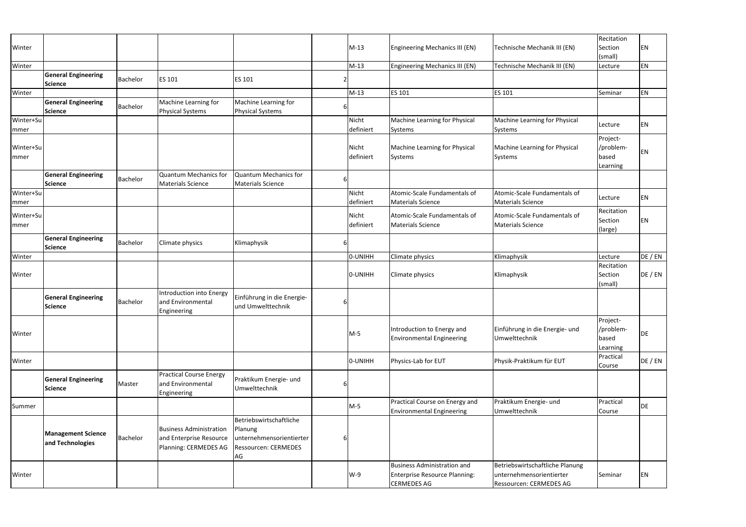| Winter                   |                                               |          |                                                                                    |                                                                                                     |   | $M-13$             | <b>Engineering Mechanics III (EN)</b>                                                            | Technische Mechanik III (EN)                                                                  | Recitation<br>Section<br>(small)           | EN        |
|--------------------------|-----------------------------------------------|----------|------------------------------------------------------------------------------------|-----------------------------------------------------------------------------------------------------|---|--------------------|--------------------------------------------------------------------------------------------------|-----------------------------------------------------------------------------------------------|--------------------------------------------|-----------|
| Winter                   |                                               |          |                                                                                    |                                                                                                     |   | $M-13$             | Engineering Mechanics III (EN)                                                                   | Technische Mechanik III (EN)                                                                  | Lecture                                    | EN        |
|                          | <b>General Engineering</b><br><b>Science</b>  | Bachelor | ES 101                                                                             | <b>ES 101</b>                                                                                       |   |                    |                                                                                                  |                                                                                               |                                            |           |
| Winter                   |                                               |          |                                                                                    |                                                                                                     |   | $M-13$             | ES 101                                                                                           | ES 101                                                                                        | Seminar                                    | <b>EN</b> |
|                          | <b>General Engineering</b><br><b>Science</b>  | Bachelor | Machine Learning for<br><b>Physical Systems</b>                                    | Machine Learning for<br>Physical Systems                                                            | 6 |                    |                                                                                                  |                                                                                               |                                            |           |
| Winter+Su<br>mmer        |                                               |          |                                                                                    |                                                                                                     |   | Nicht<br>definiert | Machine Learning for Physical<br>Systems                                                         | Machine Learning for Physical<br>Systems                                                      | Lecture                                    | EN        |
| Winter+Su<br>mmer        |                                               |          |                                                                                    |                                                                                                     |   | Nicht<br>definiert | Machine Learning for Physical<br>Systems                                                         | Machine Learning for Physical<br>Systems                                                      | Project-<br>/problem-<br>based<br>Learning | EN        |
|                          | <b>General Engineering</b><br><b>Science</b>  | Bachelor | <b>Quantum Mechanics for</b><br><b>Materials Science</b>                           | Quantum Mechanics for<br>Materials Science                                                          | 6 |                    |                                                                                                  |                                                                                               |                                            |           |
| Winter+Su<br>mmer        |                                               |          |                                                                                    |                                                                                                     |   | Nicht<br>definiert | Atomic-Scale Fundamentals of<br><b>Materials Science</b>                                         | Atomic-Scale Fundamentals of<br>Materials Science                                             | Lecture                                    | EN        |
| Winter+Su<br><b>mmer</b> |                                               |          |                                                                                    |                                                                                                     |   | Nicht<br>definiert | Atomic-Scale Fundamentals of<br><b>Materials Science</b>                                         | Atomic-Scale Fundamentals of<br>Materials Science                                             | Recitation<br>Section<br>(large)           | EN        |
|                          | <b>General Engineering</b><br><b>Science</b>  | Bachelor | Climate physics                                                                    | Klimaphysik                                                                                         | 6 |                    |                                                                                                  |                                                                                               |                                            |           |
| Winter                   |                                               |          |                                                                                    |                                                                                                     |   | 0-UNIHH            | Climate physics                                                                                  | Klimaphysik                                                                                   | Lecture                                    | DE / EN   |
| Winter                   |                                               |          |                                                                                    |                                                                                                     |   | 0-UNIHH            | Climate physics                                                                                  | Klimaphysik                                                                                   | Recitation<br>Section<br>(small)           | DE / EN   |
|                          | <b>General Engineering</b><br><b>Science</b>  | Bachelor | Introduction into Energy<br>and Environmental<br>Engineering                       | Einführung in die Energie-<br>und Umwelttechnik                                                     | 6 |                    |                                                                                                  |                                                                                               |                                            |           |
| Winter                   |                                               |          |                                                                                    |                                                                                                     |   | $M-5$              | Introduction to Energy and<br><b>Environmental Engineering</b>                                   | Einführung in die Energie- und<br>Umwelttechnik                                               | Project-<br>/problem-<br>based<br>Learning | <b>DE</b> |
| Winter                   |                                               |          |                                                                                    |                                                                                                     |   | 0-UNIHH            | Physics-Lab for EUT                                                                              | Physik-Praktikum für EUT                                                                      | Practical<br>Course                        | DE / EN   |
|                          | <b>General Engineering</b><br><b>Science</b>  | Master   | <b>Practical Course Energy</b><br>and Environmental<br>Engineering                 | Praktikum Energie- und<br>Umwelttechnik                                                             | b |                    |                                                                                                  |                                                                                               |                                            |           |
| Summer                   |                                               |          |                                                                                    |                                                                                                     |   | $M-5$              | Practical Course on Energy and<br><b>Environmental Engineering</b>                               | Praktikum Energie- und<br>Umwelttechnik                                                       | Practical<br>Course                        | DE        |
|                          | <b>Management Science</b><br>and Technologies | Bachelor | <b>Business Administration</b><br>and Enterprise Resource<br>Planning: CERMEDES AG | Betriebswirtschaftliche<br>Planung<br>unternehmensorientierter<br><b>Ressourcen: CERMEDES</b><br>AG | b |                    |                                                                                                  |                                                                                               |                                            |           |
| Winter                   |                                               |          |                                                                                    |                                                                                                     |   | $W-9$              | <b>Business Administration and</b><br><b>Enterprise Resource Planning:</b><br><b>CERMEDES AG</b> | Betriebswirtschaftliche Planung<br>unternehmensorientierter<br><b>Ressourcen: CERMEDES AG</b> | Seminar                                    | EN        |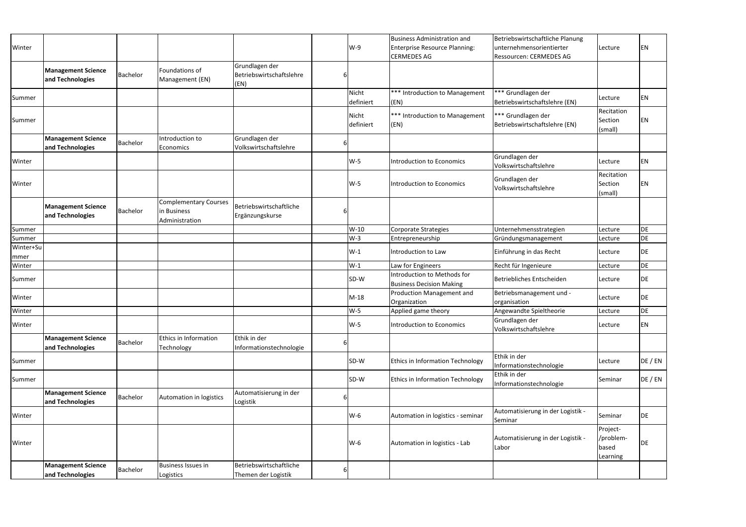|           |                                               |          |                                             |                                            |   |           | <b>Business Administration and</b>                             | Betriebswirtschaftliche Planung              |                                            |           |
|-----------|-----------------------------------------------|----------|---------------------------------------------|--------------------------------------------|---|-----------|----------------------------------------------------------------|----------------------------------------------|--------------------------------------------|-----------|
| Winter    |                                               |          |                                             |                                            |   | $W-9$     | <b>Enterprise Resource Planning:</b>                           | unternehmensorientierter                     | Lecture                                    | <b>EN</b> |
|           |                                               |          |                                             |                                            |   |           | <b>CERMEDES AG</b>                                             | Ressourcen: CERMEDES AG                      |                                            |           |
|           | <b>Management Science</b>                     | Bachelor | Foundations of                              | Grundlagen der<br>Betriebswirtschaftslehre |   |           |                                                                |                                              |                                            |           |
|           | and Technologies                              |          | Management (EN)                             | (EN)                                       |   |           |                                                                |                                              |                                            |           |
|           |                                               |          |                                             |                                            |   | Nicht     | *** Introduction to Management                                 | *** Grundlagen der                           |                                            |           |
| Summer    |                                               |          |                                             |                                            |   | definiert | (EN)                                                           | Betriebswirtschaftslehre (EN)                | Lecture                                    | <b>EN</b> |
|           |                                               |          |                                             |                                            |   | Nicht     | *** Introduction to Management                                 | *** Grundlagen der                           | Recitation                                 |           |
| Summer    |                                               |          |                                             |                                            |   | definiert | (EN)                                                           | Betriebswirtschaftslehre (EN)                | Section                                    | <b>EN</b> |
|           | <b>Management Science</b>                     |          | Introduction to                             | Grundlagen der                             |   |           |                                                                |                                              | (small)                                    |           |
|           | and Technologies                              | Bachelor | Economics                                   | Volkswirtschaftslehre                      |   |           |                                                                |                                              |                                            |           |
|           |                                               |          |                                             |                                            |   |           |                                                                | Grundlagen der                               |                                            |           |
| Winter    |                                               |          |                                             |                                            |   | $W-5$     | Introduction to Economics                                      | Volkswirtschaftslehre                        | Lecture                                    | <b>EN</b> |
|           |                                               |          |                                             |                                            |   |           |                                                                | Grundlagen der                               | Recitation                                 |           |
| Winter    |                                               |          |                                             |                                            |   | $W-5$     | Introduction to Economics                                      | <b>Volkswirtschaftslehre</b>                 | Section                                    | <b>EN</b> |
|           |                                               |          |                                             |                                            |   |           |                                                                |                                              | (small)                                    |           |
|           | <b>Management Science</b>                     | Bachelor | <b>Complementary Courses</b><br>in Business | Betriebswirtschaftliche                    |   |           |                                                                |                                              |                                            |           |
|           | and Technologies                              |          | Administration                              | Ergänzungskurse                            |   |           |                                                                |                                              |                                            |           |
| Summer    |                                               |          |                                             |                                            |   | W-10      | Corporate Strategies                                           | Unternehmensstrategien                       | Lecture                                    | DE        |
| Summer    |                                               |          |                                             |                                            |   | $W-3$     | Entrepreneurship                                               | Gründungsmanagement                          | Lecture                                    | DE        |
| Winter+Su |                                               |          |                                             |                                            |   | $W-1$     | Introduction to Law                                            | Einführung in das Recht                      | Lecture                                    | <b>DE</b> |
| mmer      |                                               |          |                                             |                                            |   |           |                                                                |                                              |                                            |           |
| Winter    |                                               |          |                                             |                                            |   | $W-1$     | Law for Engineers                                              | Recht für Ingenieure                         | Lecture                                    | <b>DE</b> |
| Summer    |                                               |          |                                             |                                            |   | SD-W      | Introduction to Methods for<br><b>Business Decision Making</b> | Betriebliches Entscheiden                    | Lecture                                    | DE        |
|           |                                               |          |                                             |                                            |   |           | Production Management and                                      | Betriebsmanagement und -                     |                                            |           |
| Winter    |                                               |          |                                             |                                            |   | $M-18$    | Organization                                                   | organisation                                 | Lecture                                    | DE        |
| Winter    |                                               |          |                                             |                                            |   | $W-5$     | Applied game theory                                            | Angewandte Spieltheorie                      | Lecture                                    | <b>DF</b> |
| Winter    |                                               |          |                                             |                                            |   | $W-5$     | <b>Introduction to Economics</b>                               | Grundlagen der<br>Volkswirtschaftslehre      | Lecture                                    | <b>EN</b> |
|           | <b>Management Science</b>                     |          | <b>Ethics in Information</b>                | Ethik in der                               |   |           |                                                                |                                              |                                            |           |
|           | and Technologies                              | Bachelor | Technology                                  | Informationstechnologie                    |   |           |                                                                |                                              |                                            |           |
| Summer    |                                               |          |                                             |                                            |   | SD-W      | <b>Ethics in Information Technology</b>                        | Ethik in der<br>Informationstechnologie      | Lecture                                    | DE / EN   |
| Summer    |                                               |          |                                             |                                            |   | SD-W      | <b>Ethics in Information Technology</b>                        | Ethik in der<br>Informationstechnologie      | Seminar                                    | DE / EN   |
|           | <b>Management Science</b><br>and Technologies | Bachelor | Automation in logistics                     | Automatisierung in der<br>Logistik         |   |           |                                                                |                                              |                                            |           |
| Winter    |                                               |          |                                             |                                            |   | $W-6$     | Automation in logistics - seminar                              | Automatisierung in der Logistik -<br>Seminar | Seminar                                    | DE        |
| Winter    |                                               |          |                                             |                                            |   | $W-6$     | Automation in logistics - Lab                                  | Automatisierung in der Logistik -<br>Labor   | Project-<br>/problem-<br>based<br>Learning | DE        |
|           | <b>Management Science</b>                     |          | <b>Business Issues in</b>                   | Betriebswirtschaftliche                    |   |           |                                                                |                                              |                                            |           |
|           | and Technologies                              | Bachelor | Logistics                                   | Themen der Logistik                        | 6 |           |                                                                |                                              |                                            |           |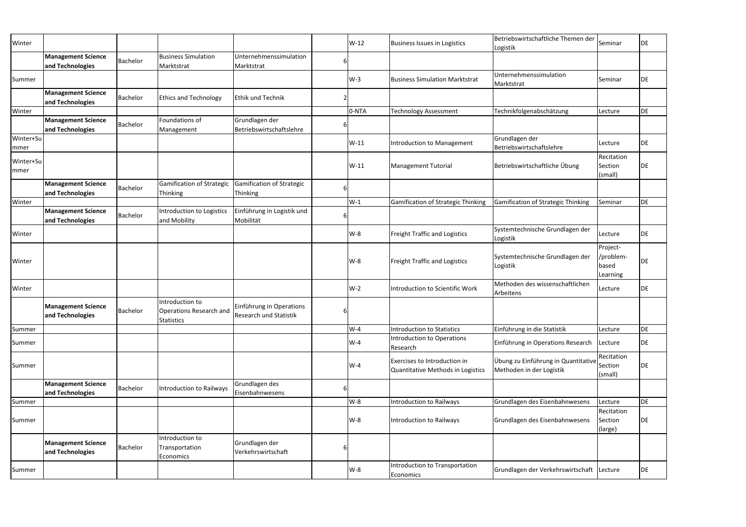| Winter            |                                               |          |                                                                        |                                                     |   | W-12   | <b>Business Issues in Logistics</b>                               | Betriebswirtschaftliche Themen der<br>Logistik                  | Seminar                                    | <b>DE</b> |
|-------------------|-----------------------------------------------|----------|------------------------------------------------------------------------|-----------------------------------------------------|---|--------|-------------------------------------------------------------------|-----------------------------------------------------------------|--------------------------------------------|-----------|
|                   | <b>Management Science</b><br>and Technologies | Bachelor | <b>Business Simulation</b><br>Marktstrat                               | Unternehmenssimulation<br>Marktstrat                |   |        |                                                                   |                                                                 |                                            |           |
| Summer            |                                               |          |                                                                        |                                                     |   | $W-3$  | <b>Business Simulation Marktstrat</b>                             | Unternehmenssimulation<br>Marktstrat                            | Seminar                                    | DE        |
|                   | <b>Management Science</b><br>and Technologies | Bachelor | <b>Ethics and Technology</b>                                           | Ethik und Technik                                   |   |        |                                                                   |                                                                 |                                            |           |
| Winter            |                                               |          |                                                                        |                                                     |   | 0-NTA  | <b>Technology Assessment</b>                                      | Technikfolgenabschätzung                                        | Lecture                                    | DE        |
|                   | <b>Management Science</b><br>and Technologies | Bachelor | Foundations of<br>Management                                           | Grundlagen der<br>Betriebswirtschaftslehre          |   |        |                                                                   |                                                                 |                                            |           |
| Winter+Su         |                                               |          |                                                                        |                                                     |   | $W-11$ | Introduction to Management                                        | Grundlagen der                                                  | Lecture                                    | DE        |
| mmer              |                                               |          |                                                                        |                                                     |   |        |                                                                   | Betriebswirtschaftslehre                                        |                                            |           |
| Winter+Su<br>mmer |                                               |          |                                                                        |                                                     |   | $W-11$ | Management Tutorial                                               | Betriebswirtschaftliche Übung                                   | Recitation<br>Section<br>(small)           | DE        |
|                   | <b>Management Science</b><br>and Technologies | Bachelor | <b>Gamification of Strategic</b><br><b>Thinking</b>                    | <b>Gamification of Strategic</b><br><b>Thinking</b> |   |        |                                                                   |                                                                 |                                            |           |
| Winter            |                                               |          |                                                                        |                                                     |   | $W-1$  | <b>Gamification of Strategic Thinking</b>                         | Gamification of Strategic Thinking                              | Seminar                                    | <b>DE</b> |
|                   | <b>Management Science</b><br>and Technologies | Bachelor | Introduction to Logistics<br>and Mobility                              | Einführung in Logistik und<br>Mobilität             |   |        |                                                                   |                                                                 |                                            |           |
| Winter            |                                               |          |                                                                        |                                                     |   | W-8    | <b>Freight Traffic and Logistics</b>                              | Systemtechnische Grundlagen der<br>Logistik                     | Lecture                                    | <b>DE</b> |
| Winter            |                                               |          |                                                                        |                                                     |   | $W-8$  | <b>Freight Traffic and Logistics</b>                              | Systemtechnische Grundlagen der<br>Logistik                     | Project-<br>/problem-<br>based<br>Learning | DE        |
| Winter            |                                               |          |                                                                        |                                                     |   | $W-2$  | <b>Introduction to Scientific Work</b>                            | Methoden des wissenschaftlichen<br>Arbeitens                    | Lecture                                    | <b>DE</b> |
|                   | <b>Management Science</b><br>and Technologies | Bachelor | Introduction to<br><b>Operations Research and</b><br><b>Statistics</b> | Einführung in Operations<br>Research und Statistik  | 6 |        |                                                                   |                                                                 |                                            |           |
| Summer            |                                               |          |                                                                        |                                                     |   | $W-4$  | <b>Introduction to Statistics</b>                                 | Einführung in die Statistik                                     | Lecture                                    | DE        |
| Summer            |                                               |          |                                                                        |                                                     |   | $W-4$  | Introduction to Operations<br>Research                            | Einführung in Operations Research                               | Lecture                                    | DE        |
| Summer            |                                               |          |                                                                        |                                                     |   | $W-4$  | Exercises to Introduction in<br>Quantitative Methods in Logistics | Übung zu Einführung in Quantitative<br>Methoden in der Logistik | Recitation<br>Section<br>(small)           | <b>DE</b> |
|                   | <b>Management Science</b><br>and Technologies | Bachelor | Introduction to Railways                                               | Grundlagen des<br>Eisenbahnwesens                   | 6 |        |                                                                   |                                                                 |                                            |           |
| Summer            |                                               |          |                                                                        |                                                     |   | $W-8$  | <b>Introduction to Railways</b>                                   | Grundlagen des Eisenbahnwesens                                  | Lecture                                    | <b>DE</b> |
| Summer            |                                               |          |                                                                        |                                                     |   | W-8    | Introduction to Railways                                          | Grundlagen des Eisenbahnwesens                                  | Recitation<br>Section<br>(large)           | DE        |
|                   | <b>Management Science</b><br>and Technologies | Bachelor | Introduction to<br>Transportation<br>Economics                         | Grundlagen der<br>Verkehrswirtschaft                | 6 |        |                                                                   |                                                                 |                                            |           |
| Summer            |                                               |          |                                                                        |                                                     |   | W-8    | Introduction to Transportation<br>Economics                       | Grundlagen der Verkehrswirtschaft Lecture                       |                                            | DE        |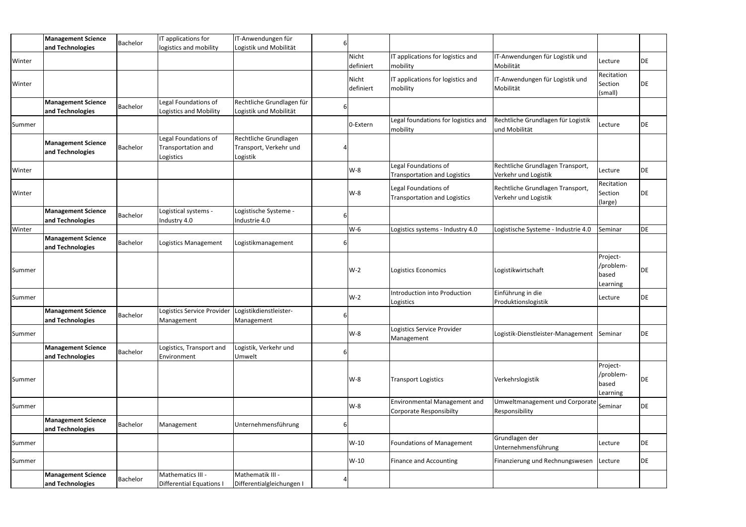|        | <b>Management Science</b>                     | Bachelor | IT applications for                                               | IT-Anwendungen für                                          |          |                                 |                                                                       |                                                           |                                            |           |
|--------|-----------------------------------------------|----------|-------------------------------------------------------------------|-------------------------------------------------------------|----------|---------------------------------|-----------------------------------------------------------------------|-----------------------------------------------------------|--------------------------------------------|-----------|
| Winter | and Technologies                              |          | logistics and mobility                                            | Logistik und Mobilität                                      |          | Nicht                           | IT applications for logistics and                                     | IT-Anwendungen für Logistik und                           | Lecture                                    | DE        |
| Winter |                                               |          |                                                                   |                                                             |          | definiert<br>Nicht<br>definiert | mobility<br>IT applications for logistics and<br>mobility             | Mobilität<br>IT-Anwendungen für Logistik und<br>Mobilität | Recitation<br>Section<br>(small)           | DE        |
|        | <b>Management Science</b><br>and Technologies | Bachelor | Legal Foundations of<br><b>Logistics and Mobility</b>             | Rechtliche Grundlagen für<br>Logistik und Mobilität         |          |                                 |                                                                       |                                                           |                                            |           |
| Summer |                                               |          |                                                                   |                                                             |          | 0-Extern                        | Legal foundations for logistics and<br>mobility                       | Rechtliche Grundlagen für Logistik<br>und Mobilität       | Lecture                                    | DE        |
|        | <b>Management Science</b><br>and Technologies | Bachelor | Legal Foundations of<br>Transportation and<br>Logistics           | Rechtliche Grundlagen<br>Transport, Verkehr und<br>Logistik |          |                                 |                                                                       |                                                           |                                            |           |
| Winter |                                               |          |                                                                   |                                                             |          | $W-8$                           | Legal Foundations of<br><b>Transportation and Logistics</b>           | Rechtliche Grundlagen Transport,<br>Verkehr und Logistik  | Lecture                                    | DE        |
| Winter |                                               |          |                                                                   |                                                             |          | $W-8$                           | Legal Foundations of<br><b>Transportation and Logistics</b>           | Rechtliche Grundlagen Transport,<br>Verkehr und Logistik  | Recitation<br>Section<br>(large)           | DE        |
|        | <b>Management Science</b><br>and Technologies | Bachelor | Logistical systems -<br>Industry 4.0                              | Logistische Systeme -<br>Industrie 4.0                      |          |                                 |                                                                       |                                                           |                                            |           |
| Winter |                                               |          |                                                                   |                                                             |          | $W-6$                           | Logistics systems - Industry 4.0                                      | Logistische Systeme - Industrie 4.0                       | Seminar                                    | DE        |
|        | <b>Management Science</b><br>and Technologies | Bachelor | Logistics Management                                              | Logistikmanagement                                          |          |                                 |                                                                       |                                                           |                                            |           |
| Summer |                                               |          |                                                                   |                                                             |          | $W-2$                           | Logistics Economics                                                   | Logistikwirtschaft                                        | Project-<br>/problem-<br>based<br>Learning | DE        |
| Summer |                                               |          |                                                                   |                                                             |          | $W-2$                           | <b>Introduction into Production</b><br>Logistics                      | Einführung in die<br>Produktionslogistik                  | Lecture                                    | DE        |
|        | <b>Management Science</b><br>and Technologies | Bachelor | Logistics Service Provider   Logistikdienstleister-<br>Management | Management                                                  | $6 \mid$ |                                 |                                                                       |                                                           |                                            |           |
| Summer |                                               |          |                                                                   |                                                             |          | W-8                             | Logistics Service Provider<br>Management                              | Logistik-Dienstleister-Management                         | Seminar                                    | <b>DE</b> |
|        | <b>Management Science</b><br>and Technologies | Bachelor | Logistics, Transport and<br>Environment                           | Logistik, Verkehr und<br>Umwelt                             |          |                                 |                                                                       |                                                           |                                            |           |
| Summer |                                               |          |                                                                   |                                                             |          | W-8                             | <b>Transport Logistics</b>                                            | Verkehrslogistik                                          | Project-<br>/problem-<br>based<br>Learning | DE        |
| Summer |                                               |          |                                                                   |                                                             |          | W-8                             | <b>Environmental Management and</b><br><b>Corporate Responsibilty</b> | Umweltmanagement und Corporate Seminar<br>Responsibility  |                                            | DE        |
|        | <b>Management Science</b><br>and Technologies | Bachelor | Management                                                        | Unternehmensführung                                         | 6        |                                 |                                                                       |                                                           |                                            |           |
| Summer |                                               |          |                                                                   |                                                             |          | W-10                            | Foundations of Management                                             | Grundlagen der<br>Unternehmensführung                     | Lecture                                    | <b>DE</b> |
| Summer |                                               |          |                                                                   |                                                             |          | $W-10$                          | <b>Finance and Accounting</b>                                         | Finanzierung und Rechnungswesen                           | Lecture                                    | DE        |
|        | <b>Management Science</b><br>and Technologies | Bachelor | Mathematics III -<br>Differential Equations I                     | Mathematik III -<br>Differentialgleichungen I               |          |                                 |                                                                       |                                                           |                                            |           |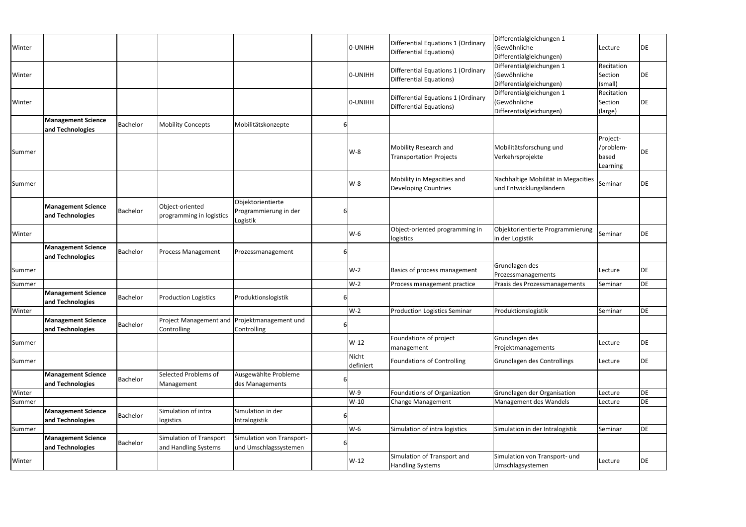| Winter |                                               |                 |                                                             |                                                        | O-UNIHH            | Differential Equations 1 (Ordinary<br><b>Differential Equations)</b>        | Differentialgleichungen 1<br>(Gewöhnliche<br>Differentialgleichungen) | Lecture                                    | DE        |
|--------|-----------------------------------------------|-----------------|-------------------------------------------------------------|--------------------------------------------------------|--------------------|-----------------------------------------------------------------------------|-----------------------------------------------------------------------|--------------------------------------------|-----------|
| Winter |                                               |                 |                                                             |                                                        | O-UNIHH            | <b>Differential Equations 1 (Ordinary</b><br><b>Differential Equations)</b> | Differentialgleichungen 1<br>(Gewöhnliche<br>Differentialgleichungen) | Recitation<br>Section<br>(small)           | DE        |
| Winter |                                               |                 |                                                             |                                                        | 0-UNIHH            | <b>Differential Equations 1 (Ordinary</b><br><b>Differential Equations)</b> | Differentialgleichungen 1<br>(Gewöhnliche<br>Differentialgleichungen) | Recitation<br>Section<br>(large)           | DE        |
|        | <b>Management Science</b><br>and Technologies | <b>Bachelor</b> | <b>Mobility Concepts</b>                                    | Mobilitätskonzepte                                     |                    |                                                                             |                                                                       |                                            |           |
| Summer |                                               |                 |                                                             |                                                        | $W-8$              | Mobility Research and<br><b>Transportation Projects</b>                     | Mobilitätsforschung und<br>Verkehrsprojekte                           | Project-<br>/problem-<br>based<br>Learning | DE        |
| Summer |                                               |                 |                                                             |                                                        | $W-8$              | Mobility in Megacities and<br><b>Developing Countries</b>                   | Nachhaltige Mobilität in Megacities<br>und Entwicklungsländern        | Seminar                                    | <b>DE</b> |
|        | <b>Management Science</b><br>and Technologies | <b>Bachelor</b> | Object-oriented<br>programming in logistics                 | Objektorientierte<br>Programmierung in der<br>Logistik |                    |                                                                             |                                                                       |                                            |           |
| Winter |                                               |                 |                                                             |                                                        | W-6                | Object-oriented programming in<br>logistics                                 | Objektorientierte Programmierung<br>in der Logistik                   | Seminar                                    | <b>DE</b> |
|        | <b>Management Science</b><br>and Technologies | <b>Bachelor</b> | <b>Process Management</b>                                   | Prozessmanagement                                      |                    |                                                                             |                                                                       |                                            |           |
| Summer |                                               |                 |                                                             |                                                        | $W-2$              | Basics of process management                                                | Grundlagen des<br>Prozessmanagements                                  | Lecture                                    | <b>DE</b> |
| Summer |                                               |                 |                                                             |                                                        | $W-2$              | Process management practice                                                 | Praxis des Prozessmanagements                                         | Seminar                                    | <b>DE</b> |
|        | <b>Management Science</b><br>and Technologies | <b>Bachelor</b> | <b>Production Logistics</b>                                 | Produktionslogistik                                    |                    |                                                                             |                                                                       |                                            |           |
| Winter |                                               |                 |                                                             |                                                        | $W-2$              | <b>Production Logistics Seminar</b>                                         | Produktionslogistik                                                   | Seminar                                    | DE        |
|        | <b>Management Science</b><br>and Technologies | <b>Bachelor</b> | Project Management and Projektmanagement und<br>Controlling | Controlling                                            |                    |                                                                             |                                                                       |                                            |           |
| Summer |                                               |                 |                                                             |                                                        | $W-12$             | Foundations of project<br>management                                        | Grundlagen des<br>Projektmanagements                                  | Lecture                                    | DE        |
| Summer |                                               |                 |                                                             |                                                        | Nicht<br>definiert | <b>Foundations of Controlling</b>                                           | Grundlagen des Controllings                                           | Lecture                                    | DE        |
|        | <b>Management Science</b><br>and Technologies | <b>Bachelor</b> | Selected Problems of<br>Management                          | Ausgewählte Probleme<br>des Managements                |                    |                                                                             |                                                                       |                                            |           |
| Winter |                                               |                 |                                                             |                                                        | $W-9$              | Foundations of Organization                                                 | Grundlagen der Organisation                                           | Lecture                                    | DE        |
| Summer |                                               |                 |                                                             |                                                        | W-10               | Change Management                                                           | Management des Wandels                                                | Lecture                                    | DE        |
|        | <b>Management Science</b><br>and Technologies | Bachelor        | Simulation of intra<br>logistics                            | Simulation in der<br>Intralogistik                     |                    |                                                                             |                                                                       |                                            |           |
| Summer |                                               |                 |                                                             |                                                        | $W-6$              | Simulation of intra logistics                                               | Simulation in der Intralogistik                                       | Seminar                                    | DE        |
|        | <b>Management Science</b><br>and Technologies | Bachelor        | Simulation of Transport<br>and Handling Systems             | Simulation von Transport-<br>und Umschlagssystemen     |                    |                                                                             |                                                                       |                                            |           |
| Winter |                                               |                 |                                                             |                                                        | $W-12$             | Simulation of Transport and<br><b>Handling Systems</b>                      | Simulation von Transport- und<br>Umschlagsystemen                     | Lecture                                    | DE        |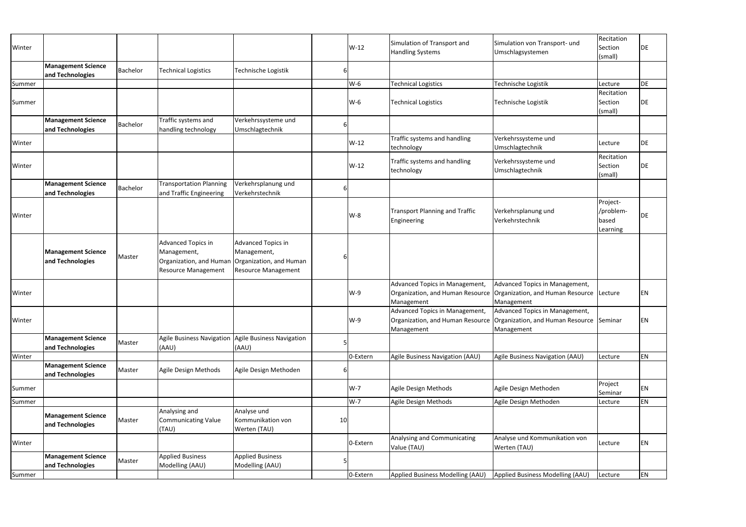| Winter |                                               |          |                                                                                            |                                                                                                   |    | W-12     | Simulation of Transport and<br><b>Handling Systems</b> | Simulation von Transport- und<br>Umschlagsystemen                                                                           | Recitation<br>Section<br>(small)           | DE        |
|--------|-----------------------------------------------|----------|--------------------------------------------------------------------------------------------|---------------------------------------------------------------------------------------------------|----|----------|--------------------------------------------------------|-----------------------------------------------------------------------------------------------------------------------------|--------------------------------------------|-----------|
|        | <b>Management Science</b><br>and Technologies | Bachelor | <b>Technical Logistics</b>                                                                 | Technische Logistik                                                                               | b  |          |                                                        |                                                                                                                             |                                            |           |
| Summer |                                               |          |                                                                                            |                                                                                                   |    | W-6      | <b>Technical Logistics</b>                             | Technische Logistik                                                                                                         | Lecture                                    | <b>DE</b> |
| Summer |                                               |          |                                                                                            |                                                                                                   |    | $W-6$    | <b>Technical Logistics</b>                             | Technische Logistik                                                                                                         | Recitation<br>Section<br>(small)           | <b>DE</b> |
|        | <b>Management Science</b><br>and Technologies | Bachelor | Traffic systems and<br>handling technology                                                 | Verkehrssysteme und<br>Umschlagtechnik                                                            | 6  |          |                                                        |                                                                                                                             |                                            |           |
| Winter |                                               |          |                                                                                            |                                                                                                   |    | $W-12$   | Traffic systems and handling<br>technology             | Verkehrssysteme und<br>Umschlagtechnik                                                                                      | Lecture                                    | DE        |
| Winter |                                               |          |                                                                                            |                                                                                                   |    | $W-12$   | Traffic systems and handling<br>technology             | Verkehrssysteme und<br>Umschlagtechnik                                                                                      | Recitation<br>Section<br>(small)           | DE        |
|        | <b>Management Science</b><br>and Technologies | Bachelor | <b>Transportation Planning</b><br>and Traffic Engineering                                  | Verkehrsplanung und<br>Verkehrstechnik                                                            | 6  |          |                                                        |                                                                                                                             |                                            |           |
| Winter |                                               |          |                                                                                            |                                                                                                   |    | $W-8$    | <b>Transport Planning and Traffic</b><br>Engineering   | Verkehrsplanung und<br>Verkehrstechnik                                                                                      | Project-<br>/problem-<br>based<br>Learning | <b>DE</b> |
|        | <b>Management Science</b><br>and Technologies | Master   | Advanced Topics in<br>Management,<br>Organization, and Human<br><b>Resource Management</b> | <b>Advanced Topics in</b><br>Management,<br>Organization, and Human<br><b>Resource Management</b> |    |          |                                                        |                                                                                                                             |                                            |           |
| Winter |                                               |          |                                                                                            |                                                                                                   |    | $W-9$    | Advanced Topics in Management,<br>Management           | Advanced Topics in Management,<br>Organization, and Human Resource   Organization, and Human Resource  <br>Management       | Lecture                                    | EN        |
| Winter |                                               |          |                                                                                            |                                                                                                   |    | W-9      | Advanced Topics in Management,<br>Management           | Advanced Topics in Management,<br>Organization, and Human Resource   Organization, and Human Resource Seminar<br>Management |                                            | EN        |
|        | <b>Management Science</b><br>and Technologies | Master   | <b>Agile Business Navigation</b><br>(AAU)                                                  | <b>Agile Business Navigation</b><br>(AAU)                                                         |    |          |                                                        |                                                                                                                             |                                            |           |
| Winter |                                               |          |                                                                                            |                                                                                                   |    | 0-Extern | Agile Business Navigation (AAU)                        | Agile Business Navigation (AAU)                                                                                             | Lecture                                    | EN        |
|        | <b>Management Science</b><br>and Technologies | Master   | Agile Design Methods                                                                       | Agile Design Methoden                                                                             |    |          |                                                        |                                                                                                                             |                                            |           |
| Summer |                                               |          |                                                                                            |                                                                                                   |    | W-7      | Agile Design Methods                                   | Agile Design Methoden                                                                                                       | Project<br>Seminar                         | EN        |
| Summer |                                               |          |                                                                                            |                                                                                                   |    | $W-7$    | Agile Design Methods                                   | Agile Design Methoden                                                                                                       | Lecture                                    | EN        |
|        | <b>Management Science</b><br>and Technologies | Master   | Analysing and<br><b>Communicating Value</b><br>(TAU)                                       | Analyse und<br>Kommunikation von<br>Werten (TAU)                                                  | 10 |          |                                                        |                                                                                                                             |                                            |           |
| Winter |                                               |          |                                                                                            |                                                                                                   |    | 0-Extern | Analysing and Communicating<br>Value (TAU)             | Analyse und Kommunikation von<br>Werten (TAU)                                                                               | Lecture                                    | <b>EN</b> |
|        | <b>Management Science</b><br>and Technologies | Master   | <b>Applied Business</b><br>Modelling (AAU)                                                 | <b>Applied Business</b><br>Modelling (AAU)                                                        |    |          |                                                        |                                                                                                                             |                                            |           |
| Summer |                                               |          |                                                                                            |                                                                                                   |    | 0-Extern | Applied Business Modelling (AAU)                       | Applied Business Modelling (AAU)                                                                                            | Lecture                                    | EN        |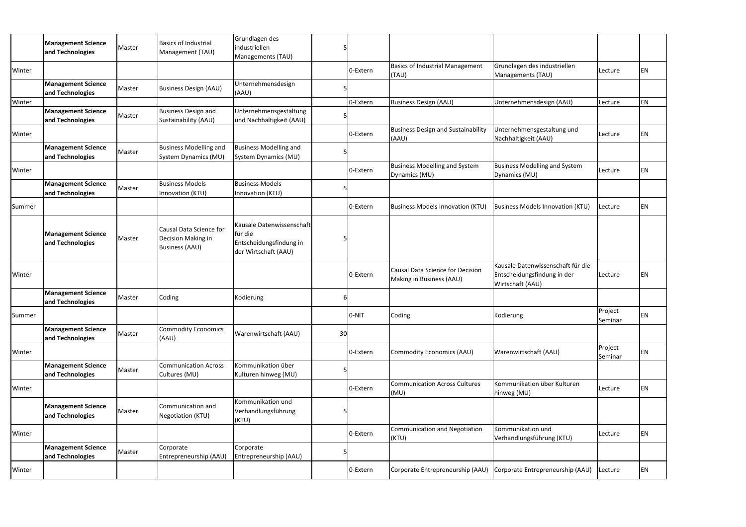|        | <b>Management Science</b>                     |        | <b>Basics of Industrial</b>                                            | Grundlagen des                                                                          |    |          |                                                              |                                                                                      |                    |    |
|--------|-----------------------------------------------|--------|------------------------------------------------------------------------|-----------------------------------------------------------------------------------------|----|----------|--------------------------------------------------------------|--------------------------------------------------------------------------------------|--------------------|----|
|        | and Technologies                              | Master | Management (TAU)                                                       | industriellen                                                                           |    |          |                                                              |                                                                                      |                    |    |
|        |                                               |        |                                                                        | Managements (TAU)                                                                       |    |          |                                                              |                                                                                      |                    |    |
| Winter |                                               |        |                                                                        |                                                                                         |    | 0-Extern | <b>Basics of Industrial Management</b><br>(TAU)              | Grundlagen des industriellen<br>Managements (TAU)                                    | Lecture            | ΕN |
|        | <b>Management Science</b>                     |        |                                                                        | Unternehmensdesign                                                                      |    |          |                                                              |                                                                                      |                    |    |
|        | and Technologies                              | Master | <b>Business Design (AAU)</b>                                           | (AAU)                                                                                   |    |          |                                                              |                                                                                      |                    |    |
| Winter |                                               |        |                                                                        |                                                                                         |    | 0-Extern | <b>Business Design (AAU)</b>                                 | Unternehmensdesign (AAU)                                                             | Lecture            | EN |
|        | <b>Management Science</b>                     |        | <b>Business Design and</b>                                             | Unternehmensgestaltung                                                                  |    |          |                                                              |                                                                                      |                    |    |
|        | and Technologies                              | Master | Sustainability (AAU)                                                   | und Nachhaltigkeit (AAU)                                                                |    |          |                                                              |                                                                                      |                    |    |
| Winter |                                               |        |                                                                        |                                                                                         |    | 0-Extern | <b>Business Design and Sustainability</b><br>(AAU)           | Unternehmensgestaltung und<br>Nachhaltigkeit (AAU)                                   | Lecture            | ΕN |
|        | <b>Management Science</b>                     |        | <b>Business Modelling and</b>                                          | <b>Business Modelling and</b>                                                           |    |          |                                                              |                                                                                      |                    |    |
|        | and Technologies                              | Master | System Dynamics (MU)                                                   | System Dynamics (MU)                                                                    |    |          |                                                              |                                                                                      |                    |    |
| Winter |                                               |        |                                                                        |                                                                                         |    | 0-Extern | <b>Business Modelling and System</b><br>Dynamics (MU)        | Business Modelling and System<br>Dynamics (MU)                                       | Lecture            | EN |
|        | <b>Management Science</b>                     |        | <b>Business Models</b>                                                 | <b>Business Models</b>                                                                  |    |          |                                                              |                                                                                      |                    |    |
|        | and Technologies                              | Master | Innovation (KTU)                                                       | Innovation (KTU)                                                                        |    |          |                                                              |                                                                                      |                    |    |
| Summer |                                               |        |                                                                        |                                                                                         |    | 0-Extern | <b>Business Models Innovation (KTU)</b>                      | Business Models Innovation (KTU)                                                     | Lecture            | EN |
|        | <b>Management Science</b><br>and Technologies | Master | Causal Data Science for<br>Decision Making in<br><b>Business (AAU)</b> | Kausale Datenwissenschaft<br>für die<br>Entscheidungsfindung in<br>der Wirtschaft (AAU) |    |          |                                                              |                                                                                      |                    |    |
| Winter |                                               |        |                                                                        |                                                                                         |    | 0-Extern | Causal Data Science for Decision<br>Making in Business (AAU) | Kausale Datenwissenschaft für die<br>Entscheidungsfindung in der<br>Wirtschaft (AAU) | Lecture            | ΕN |
|        | <b>Management Science</b><br>and Technologies | Master | Coding                                                                 | Kodierung                                                                               | 6  |          |                                                              |                                                                                      |                    |    |
| Summer |                                               |        |                                                                        |                                                                                         |    | O-NIT    | Coding                                                       | Kodierung                                                                            | Project<br>Seminar | EN |
|        | <b>Management Science</b><br>and Technologies | Master | <b>Commodity Economics</b><br>(AAU)                                    | Warenwirtschaft (AAU)                                                                   | 30 |          |                                                              |                                                                                      |                    |    |
| Winter |                                               |        |                                                                        |                                                                                         |    | 0-Extern | <b>Commodity Economics (AAU)</b>                             | Warenwirtschaft (AAU)                                                                | Project<br>Seminar | EN |
|        | <b>Management Science</b><br>and Technologies | Master | <b>Communication Across</b><br>Cultures (MU)                           | Kommunikation über<br>Kulturen hinweg (MU)                                              |    |          |                                                              |                                                                                      |                    |    |
| Winter |                                               |        |                                                                        |                                                                                         |    | 0-Extern | <b>Communication Across Cultures</b><br>(MU)                 | Kommunikation über Kulturen<br>hinweg (MU)                                           | Lecture            | EN |
|        | <b>Management Science</b><br>and Technologies | Master | Communication and<br>Negotiation (KTU)                                 | Kommunikation und<br>Verhandlungsführung<br>(KTU)                                       |    |          |                                                              |                                                                                      |                    |    |
| Winter |                                               |        |                                                                        |                                                                                         |    | 0-Extern | <b>Communication and Negotiation</b><br>(KTU)                | Kommunikation und<br>Verhandlungsführung (KTU)                                       | Lecture            | EN |
|        | <b>Management Science</b>                     | Master | Corporate                                                              | Corporate                                                                               |    |          |                                                              |                                                                                      |                    |    |
|        | and Technologies                              |        | Entrepreneurship (AAU)                                                 | Entrepreneurship (AAU)                                                                  |    |          |                                                              |                                                                                      |                    |    |
| Winter |                                               |        |                                                                        |                                                                                         |    | 0-Extern | Corporate Entrepreneurship (AAU)                             | Corporate Entrepreneurship (AAU)                                                     | Lecture            | EN |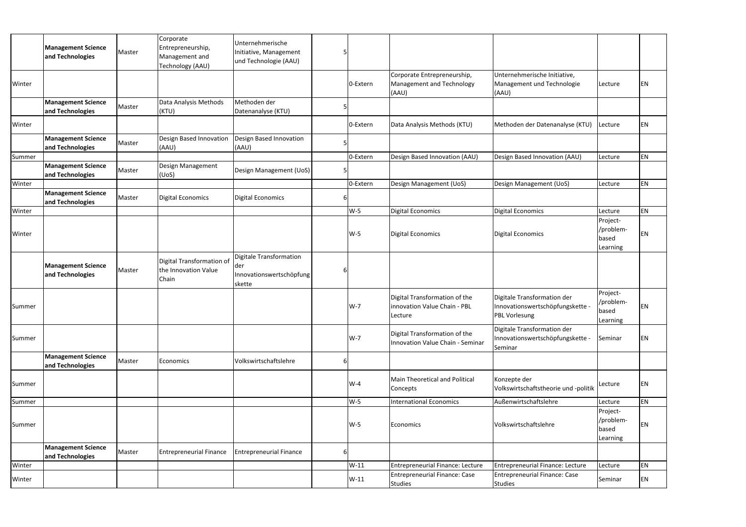|        | <b>Management Science</b><br>and Technologies | Master | Corporate<br>Entrepreneurship,<br>Management and<br>Technology (AAU) | Unternehmerische<br>Initiative, Management<br>und Technologie (AAU)  |   |          |                                                                          |                                                                                         |                                            |    |
|--------|-----------------------------------------------|--------|----------------------------------------------------------------------|----------------------------------------------------------------------|---|----------|--------------------------------------------------------------------------|-----------------------------------------------------------------------------------------|--------------------------------------------|----|
| Winter |                                               |        |                                                                      |                                                                      |   | 0-Extern | Corporate Entrepreneurship,<br>Management and Technology<br>(AAU)        | Unternehmerische Initiative,<br>Management und Technologie<br>(AAU)                     | Lecture                                    | EN |
|        | <b>Management Science</b><br>and Technologies | Master | Data Analysis Methods<br>(KTU)                                       | Methoden der<br>Datenanalyse (KTU)                                   |   |          |                                                                          |                                                                                         |                                            |    |
| Winter |                                               |        |                                                                      |                                                                      |   | 0-Extern | Data Analysis Methods (KTU)                                              | Methoden der Datenanalyse (KTU)                                                         | Lecture                                    | EN |
|        | <b>Management Science</b><br>and Technologies | Master | Design Based Innovation<br>(AAU)                                     | Design Based Innovation<br>(AAU)                                     |   |          |                                                                          |                                                                                         |                                            |    |
| Summer |                                               |        |                                                                      |                                                                      |   | 0-Extern | Design Based Innovation (AAU)                                            | Design Based Innovation (AAU)                                                           | Lecture                                    | ΕN |
|        | <b>Management Science</b><br>and Technologies | Master | Design Management<br>(UoS)                                           | Design Management (UoS)                                              |   |          |                                                                          |                                                                                         |                                            |    |
| Winter |                                               |        |                                                                      |                                                                      |   | 0-Extern | Design Management (UoS)                                                  | Design Management (UoS)                                                                 | Lecture                                    | EN |
|        | <b>Management Science</b><br>and Technologies | Master | <b>Digital Economics</b>                                             | <b>Digital Economics</b>                                             |   |          |                                                                          |                                                                                         |                                            |    |
| Winter |                                               |        |                                                                      |                                                                      |   | $W-5$    | <b>Digital Economics</b>                                                 | Digital Economics                                                                       | Lecture                                    | EN |
| Winter |                                               |        |                                                                      |                                                                      |   | $W-5$    | <b>Digital Economics</b>                                                 | Digital Economics                                                                       | Project-<br>/problem-<br>based<br>Learning | ΕN |
|        | <b>Management Science</b><br>and Technologies | Master | Digital Transformation of<br>the Innovation Value<br>Chain           | Digitale Transformation<br>der<br>Innovationswertschöpfung<br>skette | 6 |          |                                                                          |                                                                                         |                                            |    |
| Summer |                                               |        |                                                                      |                                                                      |   | W-7      | Digital Transformation of the<br>innovation Value Chain - PBL<br>Lecture | Digitale Transformation der<br>Innovationswertschöpfungskette -<br><b>PBL Vorlesung</b> | Project-<br>/problem-<br>based<br>Learning | ΕN |
| Summer |                                               |        |                                                                      |                                                                      |   | W-7      | Digital Transformation of the<br><b>Innovation Value Chain - Seminar</b> | Digitale Transformation der<br>Innovationswertschöpfungskette -<br>Seminar              | Seminar                                    | EN |
|        | <b>Management Science</b><br>and Technologies | Master | Economics                                                            | Volkswirtschaftslehre                                                | 6 |          |                                                                          |                                                                                         |                                            |    |
| Summer |                                               |        |                                                                      |                                                                      |   | W-4      | <b>Main Theoretical and Political</b><br>Concepts                        | Konzepte der<br>Volkswirtschaftstheorie und -politik                                    | Lecture                                    | EN |
| Summer |                                               |        |                                                                      |                                                                      |   | W-5      | <b>International Economics</b>                                           | Außenwirtschaftslehre                                                                   | Lecture                                    | EN |
|        |                                               |        |                                                                      |                                                                      |   |          |                                                                          |                                                                                         | Project-                                   |    |
| Summer |                                               |        |                                                                      |                                                                      |   | W-5      | Economics                                                                | Volkswirtschaftslehre                                                                   | /problem-<br>based<br>Learning             | ΕN |
|        | <b>Management Science</b><br>and Technologies | Master | <b>Entrepreneurial Finance</b>                                       | <b>Entrepreneurial Finance</b>                                       | 6 |          |                                                                          |                                                                                         |                                            |    |
| Winter |                                               |        |                                                                      |                                                                      |   | $W-11$   | Entrepreneurial Finance: Lecture                                         | Entrepreneurial Finance: Lecture                                                        | Lecture                                    | EN |
| Winter |                                               |        |                                                                      |                                                                      |   | $W-11$   | <b>Entrepreneurial Finance: Case</b><br><b>Studies</b>                   | Entrepreneurial Finance: Case<br>Studies                                                | Seminar                                    | EN |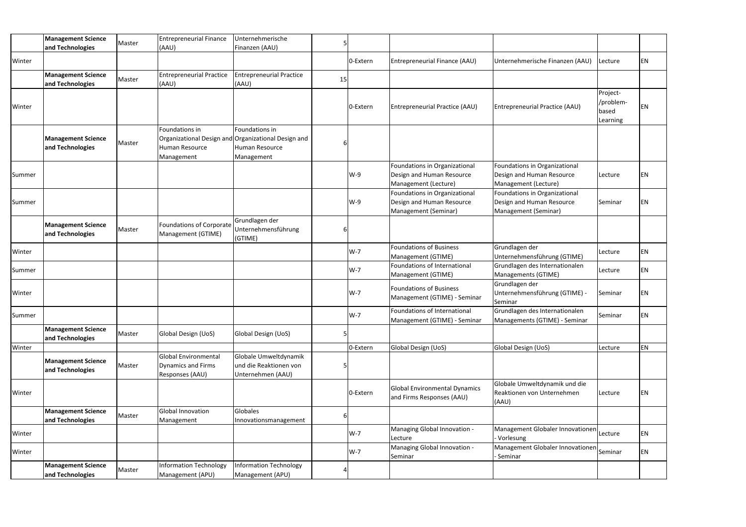|        | <b>Management Science</b><br>and Technologies | Master | <b>Entrepreneurial Finance</b><br>(AAU)                                     | <b>Jnternehmerische</b><br>Finanzen (AAU)                                          |    |          |                                                                                    |                                                                                    |                                            |           |
|--------|-----------------------------------------------|--------|-----------------------------------------------------------------------------|------------------------------------------------------------------------------------|----|----------|------------------------------------------------------------------------------------|------------------------------------------------------------------------------------|--------------------------------------------|-----------|
| Winter |                                               |        |                                                                             |                                                                                    |    | 0-Extern | Entrepreneurial Finance (AAU)                                                      | Unternehmerische Finanzen (AAU)                                                    | Lecture                                    | EN        |
|        | <b>Management Science</b><br>and Technologies | Master | <b>Entrepreneurial Practice</b><br>(AAU)                                    | <b>Entrepreneurial Practice</b><br>(AAU)                                           | 15 |          |                                                                                    |                                                                                    |                                            |           |
| Winter |                                               |        |                                                                             |                                                                                    |    | 0-Extern | Entrepreneurial Practice (AAU)                                                     | Entrepreneurial Practice (AAU)                                                     | Project-<br>/problem-<br>based<br>Learning | EN        |
|        | <b>Management Science</b><br>and Technologies | Master | Foundations in<br>Organizational Design and<br>Human Resource<br>Management | Foundations in<br><b>Organizational Design and</b><br>Human Resource<br>Management |    |          |                                                                                    |                                                                                    |                                            |           |
| Summer |                                               |        |                                                                             |                                                                                    |    | W-9      | Foundations in Organizational<br>Design and Human Resource<br>Management (Lecture) | Foundations in Organizational<br>Design and Human Resource<br>Management (Lecture) | Lecture                                    | EN        |
| Summer |                                               |        |                                                                             |                                                                                    |    | $W-9$    | Foundations in Organizational<br>Design and Human Resource<br>Management (Seminar) | Foundations in Organizational<br>Design and Human Resource<br>Management (Seminar) | Seminar                                    | EN        |
|        | <b>Management Science</b><br>and Technologies | Master | <b>Foundations of Corporate</b><br>Management (GTIME)                       | Grundlagen der<br>Unternehmensführung<br>(GTIME)                                   |    |          |                                                                                    |                                                                                    |                                            |           |
| Winter |                                               |        |                                                                             |                                                                                    |    | $W-7$    | <b>Foundations of Business</b><br>Management (GTIME)                               | Grundlagen der<br>Unternehmensführung (GTIME)                                      | Lecture                                    | <b>EN</b> |
| Summer |                                               |        |                                                                             |                                                                                    |    | $W-7$    | Foundations of International<br>Management (GTIME)                                 | Grundlagen des Internationalen<br>Managements (GTIME)                              | Lecture                                    | EN        |
| Winter |                                               |        |                                                                             |                                                                                    |    | $W-7$    | <b>Foundations of Business</b><br>Management (GTIME) - Seminar                     | Grundlagen der<br>Unternehmensführung (GTIME) -<br>Seminar                         | Seminar                                    | ΕN        |
| Summer |                                               |        |                                                                             |                                                                                    |    | $W-7$    | <b>Foundations of International</b><br>Management (GTIME) - Seminar                | Grundlagen des Internationalen<br>Managements (GTIME) - Seminar                    | Seminar                                    | <b>EN</b> |
|        | <b>Management Science</b><br>and Technologies | Master | Global Design (UoS)                                                         | Global Design (UoS)                                                                |    |          |                                                                                    |                                                                                    |                                            |           |
| Winter |                                               |        |                                                                             |                                                                                    |    | 0-Extern | Global Design (UoS)                                                                | Global Design (UoS)                                                                | Lecture                                    | EN        |
|        | <b>Management Science</b><br>and Technologies | Master | <b>Global Environmental</b><br><b>Dynamics and Firms</b><br>Responses (AAU) | Globale Umweltdynamik<br>und die Reaktionen von<br>Unternehmen (AAU)               |    |          |                                                                                    |                                                                                    |                                            |           |
| Winter |                                               |        |                                                                             |                                                                                    |    | 0-Extern | Global Environmental Dynamics<br>and Firms Responses (AAU)                         | Globale Umweltdynamik und die<br>Reaktionen von Unternehmen<br>(AAU)               | Lecture                                    | EN        |
|        | <b>Management Science</b><br>and Technologies | Master | Global Innovation<br>Management                                             | Globales<br>Innovationsmanagement                                                  |    |          |                                                                                    |                                                                                    |                                            |           |
| Winter |                                               |        |                                                                             |                                                                                    |    | W-7      | Managing Global Innovation -<br>Lecture                                            | Management Globaler Innovationen Lecture<br>Vorlesung                              |                                            | <b>EN</b> |
| Winter |                                               |        |                                                                             |                                                                                    |    | $W-7$    | Managing Global Innovation -<br>Seminar                                            | Management Globaler Innovationen Seminar<br>- Seminar                              |                                            | <b>EN</b> |
|        | <b>Management Science</b><br>and Technologies | Master | <b>Information Technology</b><br>Management (APU)                           | <b>Information Technology</b><br>Management (APU)                                  |    |          |                                                                                    |                                                                                    |                                            |           |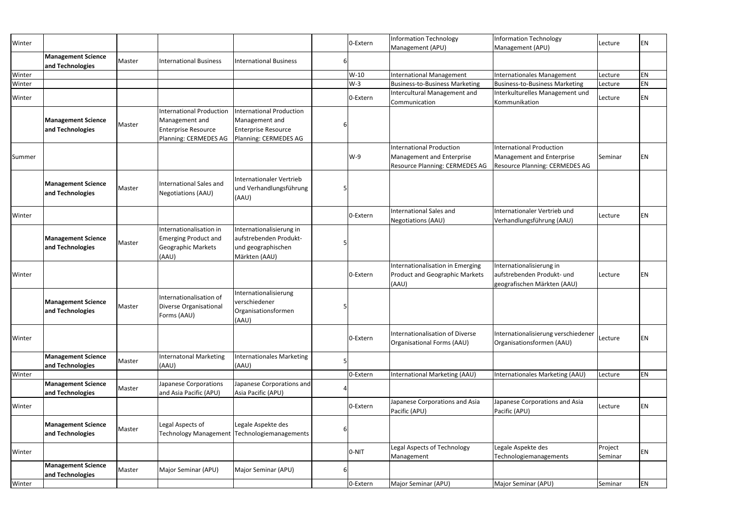| Winter |                                               |        |                                                                                                          |                                                                                                          | 0-Extern | <b>Information Technology</b><br>Management (APU)                                  | Information Technology<br>Management (APU)                                            | Lecture            | EN        |
|--------|-----------------------------------------------|--------|----------------------------------------------------------------------------------------------------------|----------------------------------------------------------------------------------------------------------|----------|------------------------------------------------------------------------------------|---------------------------------------------------------------------------------------|--------------------|-----------|
|        | <b>Management Science</b><br>and Technologies | Master | <b>International Business</b>                                                                            | <b>International Business</b>                                                                            |          |                                                                                    |                                                                                       |                    |           |
| Winter |                                               |        |                                                                                                          |                                                                                                          | W-10     | International Management                                                           | Internationales Management                                                            | Lecture            | <b>EN</b> |
| Winter |                                               |        |                                                                                                          |                                                                                                          | $W-3$    | <b>Business-to-Business Marketing</b>                                              | Business-to-Business Marketing                                                        | Lecture            | EN        |
| Winter |                                               |        |                                                                                                          |                                                                                                          | 0-Extern | Intercultural Management and<br>Communication                                      | Interkulturelles Management und<br>Kommunikation                                      | Lecture            | <b>EN</b> |
|        | <b>Management Science</b><br>and Technologies | Master | <b>International Production</b><br>Management and<br><b>Enterprise Resource</b><br>Planning: CERMEDES AG | <b>International Production</b><br>Management and<br><b>Enterprise Resource</b><br>Planning: CERMEDES AG |          | <b>International Production</b>                                                    | International Production                                                              |                    |           |
| Summer |                                               |        |                                                                                                          |                                                                                                          | $W-9$    | Management and Enterprise<br><b>Resource Planning: CERMEDES AG</b>                 | Management and Enterprise<br><b>Resource Planning: CERMEDES AG</b>                    | Seminar            | EN        |
|        | <b>Management Science</b><br>and Technologies | Master | <b>International Sales and</b><br><b>Negotiations (AAU)</b>                                              | <b>Internationaler Vertrieb</b><br>und Verhandlungsführung<br>(AAU)                                      |          |                                                                                    |                                                                                       |                    |           |
| Winter |                                               |        |                                                                                                          |                                                                                                          | 0-Extern | <b>International Sales and</b><br><b>Negotiations (AAU)</b>                        | Internationaler Vertrieb und<br>Verhandlungsführung (AAU)                             | Lecture            | EN        |
|        | <b>Management Science</b><br>and Technologies | Master | Internationalisation in<br><b>Emerging Product and</b><br><b>Geographic Markets</b><br>(AAU)             | Internationalisierung in<br>aufstrebenden Produkt-<br>und geographischen<br>Märkten (AAU)                |          |                                                                                    |                                                                                       |                    |           |
| Winter |                                               |        |                                                                                                          |                                                                                                          | 0-Extern | Internationalisation in Emerging<br><b>Product and Geographic Markets</b><br>(AAU) | Internationalisierung in<br>aufstrebenden Produkt- und<br>geografischen Märkten (AAU) | Lecture            | <b>EN</b> |
|        | <b>Management Science</b><br>and Technologies | Master | Internationalisation of<br>Diverse Organisational<br>Forms (AAU)                                         | Internationalisierung<br>verschiedener<br>Organisationsformen<br>(AAU)                                   |          |                                                                                    |                                                                                       |                    |           |
| Winter |                                               |        |                                                                                                          |                                                                                                          | 0-Extern | Internationalisation of Diverse<br>Organisational Forms (AAU)                      | Internationalisierung verschiedener<br>Organisationsformen (AAU)                      | Lecture            | <b>EN</b> |
|        | <b>Management Science</b><br>and Technologies | Master | <b>Internatonal Marketing</b><br>(AAU)                                                                   | <b>Internationales Marketing</b><br>(AAU)                                                                |          |                                                                                    |                                                                                       |                    |           |
| Winter |                                               |        |                                                                                                          |                                                                                                          | 0-Extern | International Marketing (AAU)                                                      | Internationales Marketing (AAU)                                                       | Lecture            | EN        |
|        | <b>Management Science</b><br>and Technologies | Master | Japanese Corporations<br>and Asia Pacific (APU)                                                          | Japanese Corporations and<br>Asia Pacific (APU)                                                          |          |                                                                                    |                                                                                       |                    |           |
| Winter |                                               |        |                                                                                                          |                                                                                                          | 0-Extern | Japanese Corporations and Asia<br>Pacific (APU)                                    | Japanese Corporations and Asia<br>Pacific (APU)                                       | Lecture            | EN        |
|        | <b>Management Science</b><br>and Technologies | Master | Legal Aspects of<br><b>Technology Management</b>                                                         | Legale Aspekte des<br>Technologiemanagements                                                             |          |                                                                                    |                                                                                       |                    |           |
| Winter |                                               |        |                                                                                                          |                                                                                                          | O-NIT    | Legal Aspects of Technology<br>Management                                          | Legale Aspekte des<br>Technologiemanagements                                          | Project<br>Seminar | EN        |
|        | <b>Management Science</b><br>and Technologies | Master | Major Seminar (APU)                                                                                      | Major Seminar (APU)                                                                                      |          |                                                                                    |                                                                                       |                    |           |
| Winter |                                               |        |                                                                                                          |                                                                                                          | 0-Extern | Major Seminar (APU)                                                                | Major Seminar (APU)                                                                   | Seminar            | <b>EN</b> |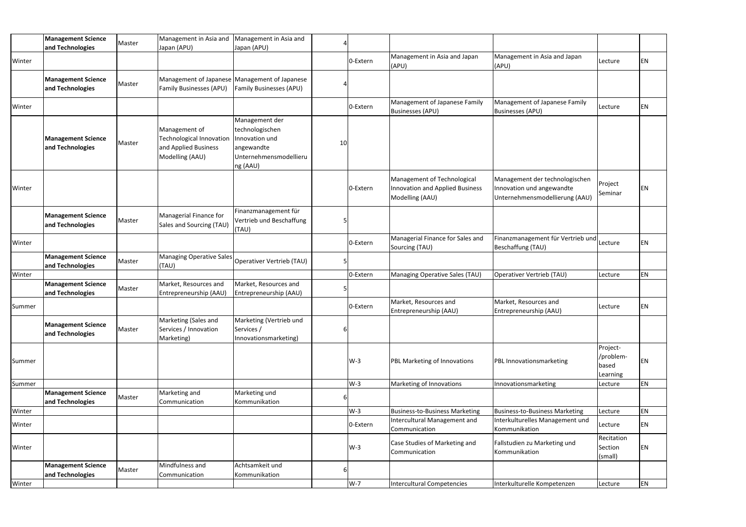|        | <b>Management Science</b><br>and Technologies | Master | Management in Asia and<br>Japan (APU)                                                | Management in Asia and<br>Japan (APU)                                                                   |    |          |                                                                                   |                                                                                               |                                            |           |
|--------|-----------------------------------------------|--------|--------------------------------------------------------------------------------------|---------------------------------------------------------------------------------------------------------|----|----------|-----------------------------------------------------------------------------------|-----------------------------------------------------------------------------------------------|--------------------------------------------|-----------|
| Winter |                                               |        |                                                                                      |                                                                                                         |    | 0-Extern | Management in Asia and Japan<br>(APU)                                             | Management in Asia and Japan<br>(APU)                                                         | Lecture                                    | EN        |
|        | <b>Management Science</b><br>and Technologies | Master | <b>Family Businesses (APU)</b>                                                       | Management of Japanese Management of Japanese<br><b>Family Businesses (APU)</b>                         |    |          |                                                                                   |                                                                                               |                                            |           |
| Winter |                                               |        |                                                                                      |                                                                                                         |    | 0-Extern | Management of Japanese Family<br><b>Businesses (APU)</b>                          | Management of Japanese Family<br><b>Businesses (APU)</b>                                      | Lecture                                    | EN        |
|        | <b>Management Science</b><br>and Technologies | Master | Management of<br>Technological Innovation<br>and Applied Business<br>Modelling (AAU) | Management der<br>technologischen<br>Innovation und<br>angewandte<br>Unternehmensmodellieru<br>ng (AAU) | 10 |          |                                                                                   |                                                                                               |                                            |           |
| Winter |                                               |        |                                                                                      |                                                                                                         |    | 0-Extern | Management of Technological<br>Innovation and Applied Business<br>Modelling (AAU) | Management der technologischen<br>Innovation und angewandte<br>Unternehmensmodellierung (AAU) | Project<br>Seminar                         | EN        |
|        | <b>Management Science</b><br>and Technologies | Master | Managerial Finance for<br>Sales and Sourcing (TAU)                                   | Finanzmanagement für<br>Vertrieb und Beschaffung<br>(TAU)                                               |    |          |                                                                                   |                                                                                               |                                            |           |
| Winter |                                               |        |                                                                                      |                                                                                                         |    | 0-Extern | Managerial Finance for Sales and<br>Sourcing (TAU)                                | Finanzmanagement für Vertrieb und<br>Beschaffung (TAU)                                        | Lecture                                    | EN        |
|        | <b>Management Science</b><br>and Technologies | Master | (TAU)                                                                                | Managing Operative Sales Operativer Vertrieb (TAU)                                                      |    |          |                                                                                   |                                                                                               |                                            |           |
| Winter |                                               |        |                                                                                      |                                                                                                         |    | 0-Extern | Managing Operative Sales (TAU)                                                    | Operativer Vertrieb (TAU)                                                                     | Lecture                                    | EN        |
|        | <b>Management Science</b><br>and Technologies | Master | Market, Resources and<br>Entrepreneurship (AAU)                                      | Market, Resources and<br>Entrepreneurship (AAU)                                                         |    |          |                                                                                   |                                                                                               |                                            |           |
| Summer |                                               |        |                                                                                      |                                                                                                         |    | 0-Extern | Market, Resources and<br>Entrepreneurship (AAU)                                   | Market, Resources and<br>Entrepreneurship (AAU)                                               | Lecture                                    | <b>EN</b> |
|        | <b>Management Science</b><br>and Technologies | Master | Marketing (Sales and<br>Services / Innovation<br>Marketing)                          | Marketing (Vertrieb und<br>Services /<br>Innovationsmarketing)                                          |    |          |                                                                                   |                                                                                               |                                            |           |
| Summer |                                               |        |                                                                                      |                                                                                                         |    | $W-3$    | PBL Marketing of Innovations                                                      | PBL Innovationsmarketing                                                                      | Project-<br>/problem-<br>based<br>Learning | EN        |
| Summer |                                               |        |                                                                                      |                                                                                                         |    | $W-3$    | Marketing of Innovations                                                          | Innovationsmarketing                                                                          | Lecture                                    | EN        |
|        | <b>Management Science</b><br>and Technologies | Master | Marketing and<br>Communication                                                       | Marketing und<br>Kommunikation                                                                          |    |          |                                                                                   |                                                                                               |                                            |           |
| Winter |                                               |        |                                                                                      |                                                                                                         |    | $W-3$    | <b>Business-to-Business Marketing</b>                                             | <b>Business-to-Business Marketing</b>                                                         | Lecture                                    | EN        |
| Winter |                                               |        |                                                                                      |                                                                                                         |    | 0-Extern | Intercultural Management and<br>Communication                                     | Interkulturelles Management und<br>Kommunikation                                              | Lecture                                    | EN        |
| Winter |                                               |        |                                                                                      |                                                                                                         |    | $W-3$    | Case Studies of Marketing and<br>Communication                                    | Fallstudien zu Marketing und<br>Kommunikation                                                 | Recitation<br>Section<br>(small)           | EN        |
|        | <b>Management Science</b><br>and Technologies | Master | Mindfulness and<br>Communication                                                     | Achtsamkeit und<br>Kommunikation                                                                        |    |          |                                                                                   |                                                                                               |                                            |           |
| Winter |                                               |        |                                                                                      |                                                                                                         |    | $W-7$    | <b>Intercultural Competencies</b>                                                 | Interkulturelle Kompetenzen                                                                   | Lecture                                    | EN        |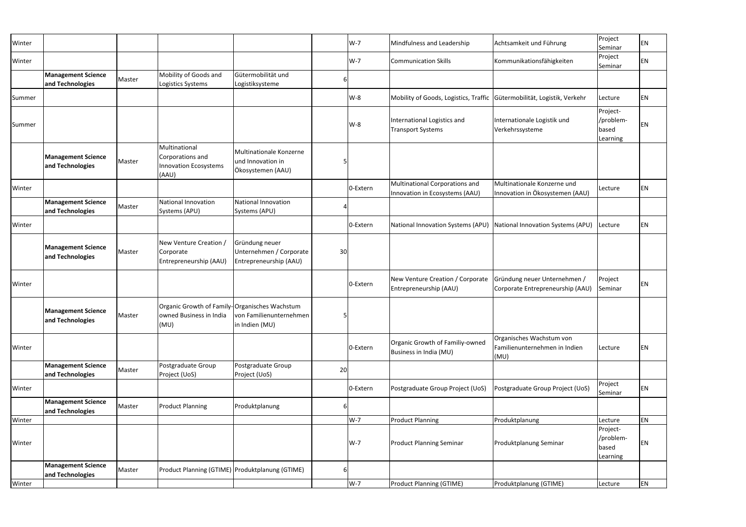| Winter |                                               |        |                                                                                  |                                                                     |    | $W-7$    | Mindfulness and Leadership                                              | Achtsamkeit und Führung                                           | Project<br>Seminar                         | EN |
|--------|-----------------------------------------------|--------|----------------------------------------------------------------------------------|---------------------------------------------------------------------|----|----------|-------------------------------------------------------------------------|-------------------------------------------------------------------|--------------------------------------------|----|
| Winter |                                               |        |                                                                                  |                                                                     |    | $W-7$    | <b>Communication Skills</b>                                             | Kommunikationsfähigkeiten                                         | Project<br>Seminar                         | EN |
|        | <b>Management Science</b><br>and Technologies | Master | Mobility of Goods and<br>Logistics Systems                                       | Gütermobilität und<br>Logistiksysteme                               | 6  |          |                                                                         |                                                                   |                                            |    |
| Summer |                                               |        |                                                                                  |                                                                     |    | $W-8$    | Mobility of Goods, Logistics, Traffic Gütermobilität, Logistik, Verkehr |                                                                   | Lecture                                    | ΕN |
| Summer |                                               |        |                                                                                  |                                                                     |    | W-8      | International Logistics and<br><b>Transport Systems</b>                 | Internationale Logistik und<br>Verkehrssysteme                    | Project-<br>/problem-<br>based<br>Learning | ΕN |
|        | <b>Management Science</b><br>and Technologies | Master | Multinational<br>Corporations and<br><b>Innovation Ecosystems</b><br>(AAU)       | Multinationale Konzerne<br>und Innovation in<br>Ökosystemen (AAU)   |    |          |                                                                         |                                                                   |                                            |    |
| Winter |                                               |        |                                                                                  |                                                                     |    | 0-Extern | Multinational Corporations and<br>Innovation in Ecosystems (AAU)        | Multinationale Konzerne und<br>Innovation in Ökosystemen (AAU)    | Lecture                                    | ΕN |
|        | <b>Management Science</b><br>and Technologies | Master | National Innovation<br>Systems (APU)                                             | <b>National Innovation</b><br>Systems (APU)                         |    |          |                                                                         |                                                                   |                                            |    |
| Winter |                                               |        |                                                                                  |                                                                     |    | 0-Extern | National Innovation Systems (APU)                                       | National Innovation Systems (APU)                                 | Lecture                                    | EN |
|        | <b>Management Science</b><br>and Technologies | Master | New Venture Creation /<br>Corporate<br>Entrepreneurship (AAU)                    | Gründung neuer<br>Unternehmen / Corporate<br>Entrepreneurship (AAU) | 30 |          |                                                                         |                                                                   |                                            |    |
| Winter |                                               |        |                                                                                  |                                                                     |    | 0-Extern | New Venture Creation / Corporate<br>Entrepreneurship (AAU)              | Gründung neuer Unternehmen /<br>Corporate Entrepreneurship (AAU)  | Project<br>Seminar                         | ΕN |
|        | <b>Management Science</b><br>and Technologies | Master | Organic Growth of Family-Organisches Wachstum<br>owned Business in India<br>(MU) | von Familienunternehmen<br>in Indien (MU)                           | 5  |          |                                                                         |                                                                   |                                            |    |
| Winter |                                               |        |                                                                                  |                                                                     |    | 0-Extern | Organic Growth of Familiy-owned<br>Business in India (MU)               | Organisches Wachstum von<br>Familienunternehmen in Indien<br>(MU) | Lecture                                    | ΕN |
|        | <b>Management Science</b><br>and Technologies | Master | Postgraduate Group<br>Project (UoS)                                              | Postgraduate Group<br>Project (UoS)                                 | 20 |          |                                                                         |                                                                   |                                            |    |
| Winter |                                               |        |                                                                                  |                                                                     |    | 0-Extern | Postgraduate Group Project (UoS)                                        | Postgraduate Group Project (UoS)                                  | Project<br>Seminar                         | EN |
|        | <b>Management Science</b><br>and Technologies | Master | <b>Product Planning</b>                                                          | Produktplanung                                                      | 6  |          |                                                                         |                                                                   |                                            |    |
| Winter |                                               |        |                                                                                  |                                                                     |    | $W-7$    | <b>Product Planning</b>                                                 | Produktplanung                                                    | Lecture                                    | EN |
| Winter |                                               |        |                                                                                  |                                                                     |    | $W-7$    | <b>Product Planning Seminar</b>                                         | Produktplanung Seminar                                            | Project-<br>/problem-<br>based<br>Learning | ΕN |
|        | <b>Management Science</b><br>and Technologies | Master | Product Planning (GTIME) Produktplanung (GTIME)                                  |                                                                     | 6  |          |                                                                         |                                                                   |                                            |    |
| Winter |                                               |        |                                                                                  |                                                                     |    | $W-7$    | <b>Product Planning (GTIME)</b>                                         | Produktplanung (GTIME)                                            | Lecture                                    | EN |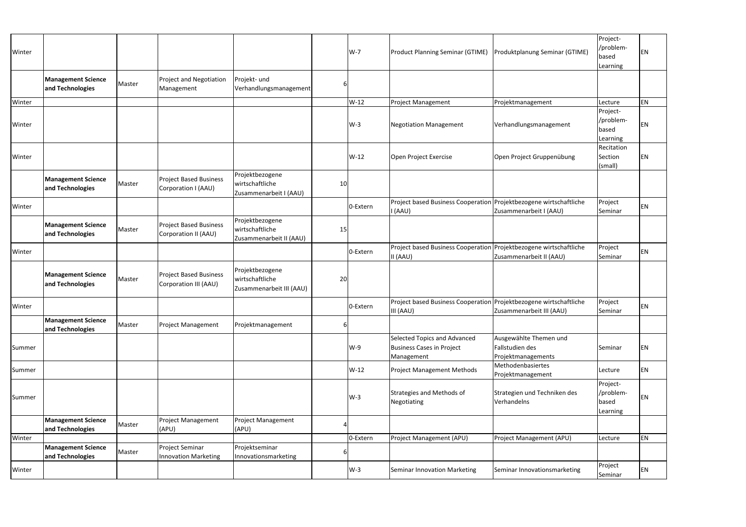| Winter |                                               |        |                                                        |                                                                |    | $W-7$    | <b>Product Planning Seminar (GTIME)</b>                                           | Produktplanung Seminar (GTIME)                                  | Project-<br>/problem-<br>based<br>Learning | EN        |
|--------|-----------------------------------------------|--------|--------------------------------------------------------|----------------------------------------------------------------|----|----------|-----------------------------------------------------------------------------------|-----------------------------------------------------------------|--------------------------------------------|-----------|
|        | <b>Management Science</b><br>and Technologies | Master | <b>Project and Negotiation</b><br>Management           | Projekt- und<br>Verhandlungsmanagement                         | 6  |          |                                                                                   |                                                                 |                                            |           |
| Winter |                                               |        |                                                        |                                                                |    | $W-12$   | Project Management                                                                | Projektmanagement                                               | Lecture                                    | <b>EN</b> |
| Winter |                                               |        |                                                        |                                                                |    | $W-3$    | <b>Negotiation Management</b>                                                     | Verhandlungsmanagement                                          | Project-<br>/problem-<br>based<br>Learning | EN        |
| Winter |                                               |        |                                                        |                                                                |    | W-12     | Open Project Exercise                                                             | Open Project Gruppenübung                                       | Recitation<br>Section<br>(small)           | EN        |
|        | <b>Management Science</b><br>and Technologies | Master | <b>Project Based Business</b><br>Corporation I (AAU)   | Projektbezogene<br>wirtschaftliche<br>Zusammenarbeit I (AAU)   | 10 |          |                                                                                   |                                                                 |                                            |           |
| Winter |                                               |        |                                                        |                                                                |    | 0-Extern | Project based Business Cooperation Projektbezogene wirtschaftliche<br>I (AAU)     | Zusammenarbeit I (AAU)                                          | Project<br>Seminar                         | <b>EN</b> |
|        | <b>Management Science</b><br>and Technologies | Master | <b>Project Based Business</b><br>Corporation II (AAU)  | Projektbezogene<br>wirtschaftliche<br>Zusammenarbeit II (AAU)  | 15 |          |                                                                                   |                                                                 |                                            |           |
| Winter |                                               |        |                                                        |                                                                |    | 0-Extern | Project based Business Cooperation Projektbezogene wirtschaftliche<br>II (AAU)    | Zusammenarbeit II (AAU)                                         | Project<br>Seminar                         | <b>EN</b> |
|        | <b>Management Science</b><br>and Technologies | Master | <b>Project Based Business</b><br>Corporation III (AAU) | Projektbezogene<br>wirtschaftliche<br>Zusammenarbeit III (AAU) | 20 |          |                                                                                   |                                                                 |                                            |           |
| Winter |                                               |        |                                                        |                                                                |    | 0-Extern | Project based Business Cooperation   Projektbezogene wirtschaftliche<br>III (AAU) | Zusammenarbeit III (AAU)                                        | Project<br>Seminar                         | EN        |
|        | <b>Management Science</b><br>and Technologies | Master | <b>Project Management</b>                              | Projektmanagement                                              | 6  |          |                                                                                   |                                                                 |                                            |           |
| Summer |                                               |        |                                                        |                                                                |    | W-9      | Selected Topics and Advanced<br><b>Business Cases in Project</b><br>Management    | Ausgewählte Themen und<br>Fallstudien des<br>Projektmanagements | Seminar                                    | <b>EN</b> |
| Summer |                                               |        |                                                        |                                                                |    | $W-12$   | <b>Project Management Methods</b>                                                 | Methodenbasiertes<br>Projektmanagement                          | Lecture                                    | EN        |
| Summer |                                               |        |                                                        |                                                                |    | $W-3$    | Strategies and Methods of<br>Negotiating                                          | Strategien und Techniken des<br>Verhandelns                     | Project-<br>/problem-<br>based<br>Learning | EN        |
|        | <b>Management Science</b><br>and Technologies | Master | <b>Project Management</b><br>(APU)                     | <b>Project Management</b><br>(APU)                             |    |          |                                                                                   |                                                                 |                                            |           |
| Winter |                                               |        |                                                        |                                                                |    | 0-Extern | Project Management (APU)                                                          | Project Management (APU)                                        | Lecture                                    | EN        |
|        | <b>Management Science</b><br>and Technologies | Master | Project Seminar<br><b>Innovation Marketing</b>         | Projektseminar<br>Innovationsmarketing                         |    |          |                                                                                   |                                                                 |                                            |           |
| Winter |                                               |        |                                                        |                                                                |    | $W-3$    | Seminar Innovation Marketing                                                      | Seminar Innovationsmarketing                                    | Project<br>Seminar                         | EN        |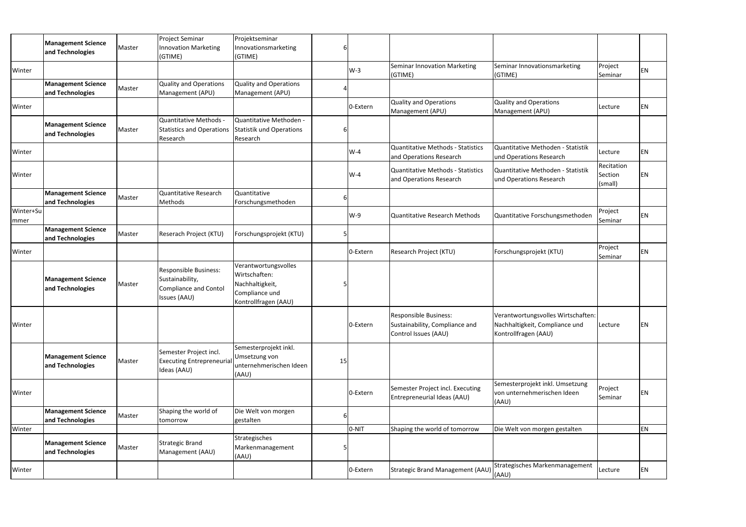|                   | <b>Management Science</b><br>and Technologies | Master | <b>Project Seminar</b><br><b>Innovation Marketing</b><br>(GTIME)                                | Projektseminar<br>Innovationsmarketing<br>(GTIME)                                                  | 6  |          |                                                                                 |                                                                                              |                                  |    |
|-------------------|-----------------------------------------------|--------|-------------------------------------------------------------------------------------------------|----------------------------------------------------------------------------------------------------|----|----------|---------------------------------------------------------------------------------|----------------------------------------------------------------------------------------------|----------------------------------|----|
| Winter            |                                               |        |                                                                                                 |                                                                                                    |    | $W-3$    | <b>Seminar Innovation Marketing</b><br>(GTIME)                                  | Seminar Innovationsmarketing<br>(GTIME)                                                      | Project<br>Seminar               | ΕN |
|                   | <b>Management Science</b><br>and Technologies | Master | <b>Quality and Operations</b><br>Management (APU)                                               | <b>Quality and Operations</b><br>Management (APU)                                                  |    |          |                                                                                 |                                                                                              |                                  |    |
| Winter            |                                               |        |                                                                                                 |                                                                                                    |    | 0-Extern | <b>Quality and Operations</b><br>Management (APU)                               | Quality and Operations<br>Management (APU)                                                   | Lecture                          | EN |
|                   | <b>Management Science</b><br>and Technologies | Master | Quantitative Methods -<br><b>Statistics and Operations</b><br>Research                          | Quantitative Methoden -<br>Statistik und Operations<br>Research                                    |    |          |                                                                                 |                                                                                              |                                  |    |
| Winter            |                                               |        |                                                                                                 |                                                                                                    |    | $W-4$    | <b>Quantitative Methods - Statistics</b><br>and Operations Research             | Quantitative Methoden - Statistik<br>und Operations Research                                 | Lecture                          | EN |
| Winter            |                                               |        |                                                                                                 |                                                                                                    |    | $W-4$    | Quantitative Methods - Statistics<br>and Operations Research                    | Quantitative Methoden - Statistik<br>und Operations Research                                 | Recitation<br>Section<br>(small) | ΕN |
|                   | <b>Management Science</b><br>and Technologies | Master | Quantitative Research<br>Methods                                                                | Quantitative<br>Forschungsmethoden                                                                 | 6  |          |                                                                                 |                                                                                              |                                  |    |
| Winter+Su<br>mmer |                                               |        |                                                                                                 |                                                                                                    |    | W-9      | Quantitative Research Methods                                                   | Quantitative Forschungsmethoden                                                              | Project<br>Seminar               | EN |
|                   | <b>Management Science</b><br>and Technologies | Master | Reserach Project (KTU)                                                                          | Forschungsprojekt (KTU)                                                                            |    |          |                                                                                 |                                                                                              |                                  |    |
| Winter            |                                               |        |                                                                                                 |                                                                                                    |    | 0-Extern | Research Project (KTU)                                                          | Forschungsprojekt (KTU)                                                                      | Project<br>Seminar               | EN |
|                   | <b>Management Science</b><br>and Technologies | Master | <b>Responsible Business:</b><br>Sustainability,<br><b>Compliance and Contol</b><br>Issues (AAU) | Verantwortungsvolles<br>Wirtschaften:<br>Nachhaltigkeit,<br>Compliance und<br>Kontrollfragen (AAU) |    |          |                                                                                 |                                                                                              |                                  |    |
| Winter            |                                               |        |                                                                                                 |                                                                                                    |    | 0-Extern | Responsible Business:<br>Sustainability, Compliance and<br>Control Issues (AAU) | Verantwortungsvolles Wirtschaften:<br>Nachhaltigkeit, Compliance und<br>Kontrollfragen (AAU) | Lecture                          | ΕN |
|                   | <b>Management Science</b><br>and Technologies | Master | Semester Project incl.<br><b>Executing Entrepreneurial</b><br>Ideas (AAU)                       | Semesterprojekt inkl.<br>Umsetzung von<br>unternehmerischen Ideen<br>(AAU)                         | 15 |          |                                                                                 |                                                                                              |                                  |    |
| Winter            |                                               |        |                                                                                                 |                                                                                                    |    | 0-Extern | Semester Project incl. Executing<br>Entrepreneurial Ideas (AAU)                 | Semesterprojekt inkl. Umsetzung<br>von unternehmerischen Ideen<br>(AAU)                      | Project<br>Seminar               | ΕN |
|                   | <b>Management Science</b><br>and Technologies | Master | Shaping the world of<br>tomorrow                                                                | Die Welt von morgen<br>gestalten                                                                   |    |          |                                                                                 |                                                                                              |                                  |    |
| Winter            |                                               |        |                                                                                                 |                                                                                                    |    | 0-NIT    | Shaping the world of tomorrow                                                   | Die Welt von morgen gestalten                                                                |                                  | EN |
|                   | <b>Management Science</b><br>and Technologies | Master | <b>Strategic Brand</b><br>Management (AAU)                                                      | Strategisches<br>Markenmanagement<br>(AAU)                                                         |    |          |                                                                                 |                                                                                              |                                  |    |
| Winter            |                                               |        |                                                                                                 |                                                                                                    |    | 0-Extern | Strategic Brand Management (AAU) (AAU)                                          | Strategisches Markenmanagement                                                               | Lecture                          | EN |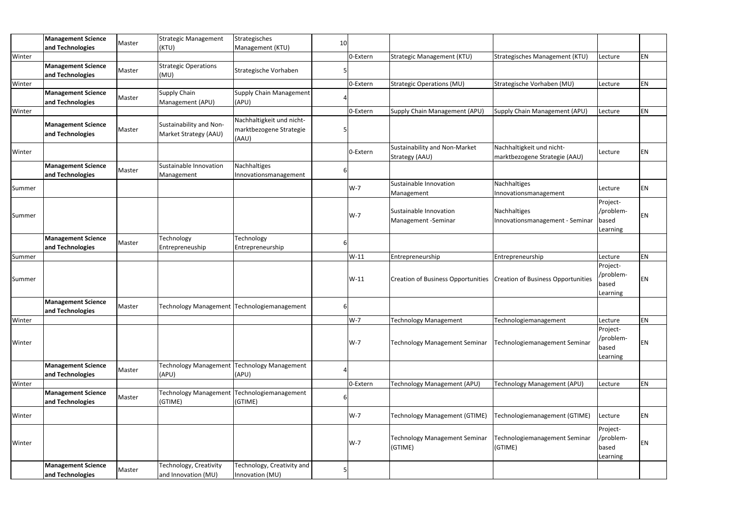|        | <b>Management Science</b>                     | Master | <b>Strategic Management</b>                      | Strategisches                                                 | 10 |          |                                                                         |                                                            |                                            |    |
|--------|-----------------------------------------------|--------|--------------------------------------------------|---------------------------------------------------------------|----|----------|-------------------------------------------------------------------------|------------------------------------------------------------|--------------------------------------------|----|
|        | and Technologies                              |        | (KTU)                                            | Management (KTU)                                              |    |          |                                                                         |                                                            |                                            |    |
| Winter |                                               |        |                                                  |                                                               |    | 0-Extern | <b>Strategic Management (KTU)</b>                                       | Strategisches Management (KTU)                             | Lecture                                    | EN |
|        | <b>Management Science</b><br>and Technologies | Master | <b>Strategic Operations</b><br>(MU)              | Strategische Vorhaben                                         |    |          |                                                                         |                                                            |                                            |    |
| Winter |                                               |        |                                                  |                                                               |    | 0-Extern | <b>Strategic Operations (MU)</b>                                        | Strategische Vorhaben (MU)                                 | Lecture                                    | ΕN |
|        | <b>Management Science</b><br>and Technologies | Master | <b>Supply Chain</b><br>Management (APU)          | <b>Supply Chain Management</b><br>(APU)                       |    |          |                                                                         |                                                            |                                            |    |
| Winter |                                               |        |                                                  |                                                               |    | 0-Extern | Supply Chain Management (APU)                                           | Supply Chain Management (APU)                              | Lecture                                    | EN |
|        | <b>Management Science</b><br>and Technologies | Master | Sustainability and Non-<br>Market Strategy (AAU) | Nachhaltigkeit und nicht-<br>marktbezogene Strategie<br>(AAU) |    |          |                                                                         |                                                            |                                            |    |
| Winter |                                               |        |                                                  |                                                               |    | 0-Extern | <b>Sustainability and Non-Market</b><br>Strategy (AAU)                  | Nachhaltigkeit und nicht-<br>marktbezogene Strategie (AAU) | Lecture                                    | EN |
|        | <b>Management Science</b><br>and Technologies | Master | Sustainable Innovation<br>Management             | Nachhaltiges<br>Innovationsmanagement                         |    |          |                                                                         |                                                            |                                            |    |
| Summer |                                               |        |                                                  |                                                               |    | $W-7$    | Sustainable Innovation<br>Management                                    | Nachhaltiges<br>Innovationsmanagement                      | Lecture                                    | ΕN |
| Summer |                                               |        |                                                  |                                                               |    | $W-7$    | Sustainable Innovation<br>Management - Seminar                          | Nachhaltiges<br>Innovationsmanagement - Seminar            | Project-<br>/problem-<br>based<br>Learning | EN |
|        | <b>Management Science</b><br>and Technologies | Master | Technology<br>Entrepreneuship                    | Technology<br>Entrepreneurship                                |    |          |                                                                         |                                                            |                                            |    |
| Summer |                                               |        |                                                  |                                                               |    | $W-11$   | Entrepreneurship                                                        | Entrepreneurship                                           | Lecture                                    | EN |
| Summer |                                               |        |                                                  |                                                               |    | $W-11$   | Creation of Business Opportunities   Creation of Business Opportunities |                                                            | Project-<br>/problem-<br>based<br>Learning | ΕN |
|        | <b>Management Science</b><br>and Technologies | Master |                                                  | Technology Management Technologiemanagement                   | 6  |          |                                                                         |                                                            |                                            |    |
| Winter |                                               |        |                                                  |                                                               |    | W-7      | <b>Technology Management</b>                                            | Technologiemanagement                                      | Lecture                                    | ΕN |
| Winter |                                               |        |                                                  |                                                               |    | $W-7$    | <b>Technology Management Seminar</b>                                    | Technologiemanagement Seminar                              | Project-<br>/problem-<br>based<br>Learning | ΕN |
|        | <b>Management Science</b><br>and Technologies | Master | <b>Technology Management</b><br>(APU)            | <b>Technology Management</b><br>(APU)                         |    |          |                                                                         |                                                            |                                            |    |
| Winter |                                               |        |                                                  |                                                               |    | 0-Extern | Technology Management (APU)                                             | Technology Management (APU)                                | Lecture                                    | EN |
|        | <b>Management Science</b><br>and Technologies | Master | <b>Technology Management</b><br>(GTIME)          | Technologiemanagement<br>(GTIME)                              |    |          |                                                                         |                                                            |                                            |    |
| Winter |                                               |        |                                                  |                                                               |    | $W-7$    | <b>Technology Management (GTIME)</b>                                    | Technologiemanagement (GTIME)                              | Lecture                                    | EN |
| Winter |                                               |        |                                                  |                                                               |    | $W-7$    | <b>Technology Management Seminar</b><br>(GTIME)                         | Technologiemanagement Seminar<br>(GTIME)                   | Project-<br>/problem-<br>based<br>Learning | ΕN |
|        | <b>Management Science</b><br>and Technologies | Master | Technology, Creativity<br>and Innovation (MU)    | Technology, Creativity and<br>Innovation (MU)                 |    |          |                                                                         |                                                            |                                            |    |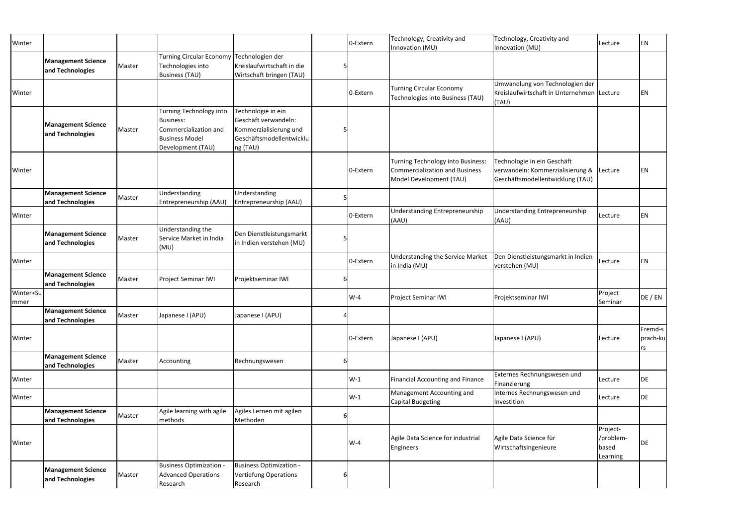| Winter            |                                               |        |                                                                                                                    |                                                                                                              |    | 0-Extern | Technology, Creativity and<br>Innovation (MU)                                                                | Technology, Creativity and<br>Innovation (MU)                                                       | Lecture                                    | EN                        |
|-------------------|-----------------------------------------------|--------|--------------------------------------------------------------------------------------------------------------------|--------------------------------------------------------------------------------------------------------------|----|----------|--------------------------------------------------------------------------------------------------------------|-----------------------------------------------------------------------------------------------------|--------------------------------------------|---------------------------|
|                   | <b>Management Science</b><br>and Technologies | Master | <b>Turning Circular Economy</b><br>Technologies into<br><b>Business (TAU)</b>                                      | Technologien der<br>Kreislaufwirtschaft in die<br>Wirtschaft bringen (TAU)                                   |    |          |                                                                                                              |                                                                                                     |                                            |                           |
| Winter            |                                               |        |                                                                                                                    |                                                                                                              |    | 0-Extern | <b>Turning Circular Economy</b><br>Technologies into Business (TAU)                                          | Umwandlung von Technologien der<br>Kreislaufwirtschaft in Unternehmen Lecture<br>(TAU)              |                                            | ΕN                        |
|                   | <b>Management Science</b><br>and Technologies | Master | Turning Technology into<br><b>Business:</b><br>Commercialization and<br><b>Business Model</b><br>Development (TAU) | Technologie in ein<br>Geschäft verwandeln:<br>Kommerzialisierung und<br>Geschäftsmodellentwicklu<br>ng (TAU) |    |          |                                                                                                              |                                                                                                     |                                            |                           |
| Winter            |                                               |        |                                                                                                                    |                                                                                                              |    | 0-Extern | <b>Turning Technology into Business:</b><br><b>Commercialization and Business</b><br>Model Development (TAU) | Technologie in ein Geschäft<br>verwandeln: Kommerzialisierung &<br>Geschäftsmodellentwicklung (TAU) | Lecture                                    | ΕN                        |
|                   | <b>Management Science</b><br>and Technologies | Master | Understanding<br>Entrepreneurship (AAU)                                                                            | Understanding<br>Entrepreneurship (AAU)                                                                      |    |          |                                                                                                              |                                                                                                     |                                            |                           |
| Winter            |                                               |        |                                                                                                                    |                                                                                                              |    | 0-Extern | <b>Understanding Entrepreneurship</b><br>(AAU)                                                               | Understanding Entrepreneurship<br>(AAU)                                                             | Lecture                                    | EN                        |
|                   | <b>Management Science</b><br>and Technologies | Master | Understanding the<br>Service Market in India<br>(MU)                                                               | Den Dienstleistungsmarkt<br>in Indien verstehen (MU)                                                         |    |          |                                                                                                              |                                                                                                     |                                            |                           |
| Winter            |                                               |        |                                                                                                                    |                                                                                                              |    | 0-Extern | <b>Understanding the Service Market</b><br>in India (MU)                                                     | Den Dienstleistungsmarkt in Indien<br>verstehen (MU)                                                | Lecture                                    | EN                        |
|                   | <b>Management Science</b><br>and Technologies | Master | Project Seminar IWI                                                                                                | Projektseminar IWI                                                                                           |    |          |                                                                                                              |                                                                                                     |                                            |                           |
| Winter+Su<br>mmer |                                               |        |                                                                                                                    |                                                                                                              |    | $W-4$    | Project Seminar IWI                                                                                          | Projektseminar IWI                                                                                  | Project<br>Seminar                         | DE / EN                   |
|                   | <b>Management Science</b><br>and Technologies | Master | Japanese I (APU)                                                                                                   | Japanese I (APU)                                                                                             | 41 |          |                                                                                                              |                                                                                                     |                                            |                           |
| Winter            |                                               |        |                                                                                                                    |                                                                                                              |    | 0-Extern | Japanese I (APU)                                                                                             | Japanese I (APU)                                                                                    | Lecture                                    | Fremd-s<br>prach-ku<br>rs |
|                   | <b>Management Science</b><br>and Technologies | Master | Accounting                                                                                                         | Rechnungswesen                                                                                               | 6  |          |                                                                                                              |                                                                                                     |                                            |                           |
| Winter            |                                               |        |                                                                                                                    |                                                                                                              |    | $W-1$    | Financial Accounting and Finance                                                                             | Externes Rechnungswesen und<br>Finanzierung                                                         | Lecture                                    | DE                        |
| Winter            |                                               |        |                                                                                                                    |                                                                                                              |    | $W-1$    | Management Accounting and<br>Capital Budgeting                                                               | Internes Rechnungswesen und<br>Investition                                                          | Lecture                                    | DE                        |
|                   | <b>Management Science</b><br>and Technologies | Master | Agile learning with agile<br>methods                                                                               | Agiles Lernen mit agilen<br>Methoden                                                                         |    |          |                                                                                                              |                                                                                                     |                                            |                           |
| Winter            |                                               |        |                                                                                                                    |                                                                                                              |    | $W-4$    | Agile Data Science for industrial<br>Engineers                                                               | Agile Data Science für<br>Wirtschaftsingenieure                                                     | Project-<br>/problem-<br>based<br>Learning | DE                        |
|                   | <b>Management Science</b><br>and Technologies | Master | <b>Business Optimization -</b><br><b>Advanced Operations</b><br>Research                                           | <b>Business Optimization -</b><br><b>Vertiefung Operations</b><br>Research                                   |    |          |                                                                                                              |                                                                                                     |                                            |                           |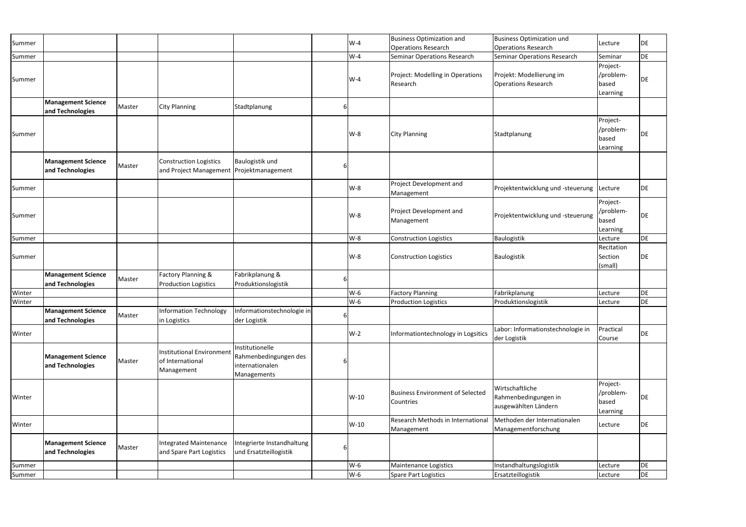| Summer |                                               |        |                                                                           |                                                                            |          | $W-4$  | <b>Business Optimization and</b>                                 | <b>Business Optimization und</b>                                | Lecture                                    | DE        |
|--------|-----------------------------------------------|--------|---------------------------------------------------------------------------|----------------------------------------------------------------------------|----------|--------|------------------------------------------------------------------|-----------------------------------------------------------------|--------------------------------------------|-----------|
|        |                                               |        |                                                                           |                                                                            |          | $W-4$  | <b>Operations Research</b><br><b>Seminar Operations Research</b> | Operations Research<br><b>Seminar Operations Research</b>       | Seminar                                    | DE        |
| Summer |                                               |        |                                                                           |                                                                            |          |        |                                                                  |                                                                 |                                            |           |
| Summer |                                               |        |                                                                           |                                                                            |          | $W-4$  | Project: Modelling in Operations<br>Research                     | Projekt: Modellierung im<br>Operations Research                 | Project-<br>/problem-<br>based<br>Learning | DE        |
|        | <b>Management Science</b><br>and Technologies | Master | <b>City Planning</b>                                                      | Stadtplanung                                                               | 6        |        |                                                                  |                                                                 |                                            |           |
| Summer |                                               |        |                                                                           |                                                                            |          | $W-8$  | <b>City Planning</b>                                             | Stadtplanung                                                    | Project-<br>/problem-<br>based<br>Learning | DE        |
|        | <b>Management Science</b><br>and Technologies | Master | <b>Construction Logistics</b><br>and Project Management Projektmanagement | Baulogistik und                                                            | b        |        |                                                                  |                                                                 |                                            |           |
| Summer |                                               |        |                                                                           |                                                                            |          | $W-8$  | Project Development and<br>Management                            | Projektentwicklung und -steuerung   Lecture                     |                                            | DE        |
| Summer |                                               |        |                                                                           |                                                                            |          | $W-8$  | Project Development and<br>Management                            | Projektentwicklung und -steuerung                               | Project-<br>/problem-<br>based<br>Learning | DE        |
| Summer |                                               |        |                                                                           |                                                                            |          | $W-8$  | <b>Construction Logistics</b>                                    | Baulogistik                                                     | Lecture                                    | DE        |
| Summer |                                               |        |                                                                           |                                                                            |          | $W-8$  | <b>Construction Logistics</b>                                    | Baulogistik                                                     | Recitation<br>Section<br>(small)           | DE        |
|        | <b>Management Science</b><br>and Technologies | Master | Factory Planning &<br><b>Production Logistics</b>                         | Fabrikplanung &<br>Produktionslogistik                                     | 6        |        |                                                                  |                                                                 |                                            |           |
| Winter |                                               |        |                                                                           |                                                                            |          | $W-6$  | <b>Factory Planning</b>                                          | Fabrikplanung                                                   | Lecture                                    | DE        |
| Winter |                                               |        |                                                                           |                                                                            |          | $W-6$  | <b>Production Logistics</b>                                      | Produktionslogistik                                             | Lecture                                    | DE        |
|        | <b>Management Science</b><br>and Technologies | Master | Information Technology<br>in Logistics                                    | Informationstechnologie in<br>der Logistik                                 | $6 \mid$ |        |                                                                  |                                                                 |                                            |           |
| Winter |                                               |        |                                                                           |                                                                            |          | $W-2$  | Informationtechnology in Logsitics                               | Labor: Informationstechnologie in<br>der Logistik               | Practical<br>Course                        | DE        |
|        | <b>Management Science</b><br>and Technologies | Master | <b>Institutional Environment</b><br>of International<br>Management        | Institutionelle<br>Rahmenbedingungen des<br>internationalen<br>Managements | b        |        |                                                                  |                                                                 |                                            |           |
| Winter |                                               |        |                                                                           |                                                                            |          | $W-10$ | <b>Business Environment of Selected</b><br>Countries             | Wirtschaftliche<br>Rahmenbedingungen in<br>ausgewählten Ländern | Project-<br>/problem-<br>based<br>Learning | DE        |
| Winter |                                               |        |                                                                           |                                                                            |          | $W-10$ | Research Methods in International<br>Management                  | Methoden der Internationalen<br>Managementforschung             | Lecture                                    | DE        |
|        | <b>Management Science</b><br>and Technologies | Master | Integrated Maintenance<br>and Spare Part Logistics                        | Integrierte Instandhaltung<br>und Ersatzteillogistik                       | b        |        |                                                                  |                                                                 |                                            |           |
| Summer |                                               |        |                                                                           |                                                                            |          | $W-6$  | Maintenance Logistics                                            | Instandhaltungslogistik                                         | Lecture                                    | DE        |
| Summer |                                               |        |                                                                           |                                                                            |          | $W-6$  | <b>Spare Part Logistics</b>                                      | Ersatzteillogistik                                              | Lecture                                    | <b>DE</b> |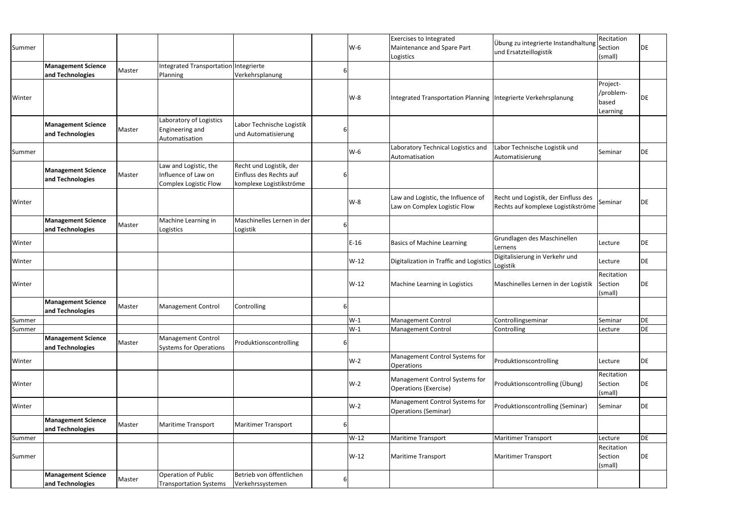|                                               |                                               |                                                                              |                                                                               |                                                          | W-6    | Maintenance and Spare Part<br>Logistics                            |                                                  | Section<br>(small)                                                                                                                                                                                                                                                                                                                                                                                                                                        | DE                                                                                                                                  |
|-----------------------------------------------|-----------------------------------------------|------------------------------------------------------------------------------|-------------------------------------------------------------------------------|----------------------------------------------------------|--------|--------------------------------------------------------------------|--------------------------------------------------|-----------------------------------------------------------------------------------------------------------------------------------------------------------------------------------------------------------------------------------------------------------------------------------------------------------------------------------------------------------------------------------------------------------------------------------------------------------|-------------------------------------------------------------------------------------------------------------------------------------|
|                                               |                                               |                                                                              |                                                                               |                                                          |        |                                                                    |                                                  |                                                                                                                                                                                                                                                                                                                                                                                                                                                           |                                                                                                                                     |
|                                               |                                               |                                                                              |                                                                               |                                                          |        |                                                                    |                                                  |                                                                                                                                                                                                                                                                                                                                                                                                                                                           |                                                                                                                                     |
|                                               |                                               |                                                                              |                                                                               |                                                          | $W-8$  |                                                                    |                                                  | Project-<br>/problem-<br>based<br>Learning                                                                                                                                                                                                                                                                                                                                                                                                                | DE                                                                                                                                  |
| <b>Management Science</b><br>and Technologies |                                               | Laboratory of Logistics<br>Engineering and<br>Automatisation                 | Labor Technische Logistik<br>und Automatisierung                              |                                                          |        |                                                                    |                                                  |                                                                                                                                                                                                                                                                                                                                                                                                                                                           |                                                                                                                                     |
|                                               |                                               |                                                                              |                                                                               |                                                          | W-6    | Laboratory Technical Logistics and<br>Automatisation               | Labor Technische Logistik und<br>Automatisierung | Seminar                                                                                                                                                                                                                                                                                                                                                                                                                                                   | DE                                                                                                                                  |
| <b>Management Science</b><br>and Technologies |                                               | Law and Logistic, the<br>Influence of Law on<br>Complex Logistic Flow        | Recht und Logistik, der<br>Einfluss des Rechts auf<br>komplexe Logistikströme |                                                          |        |                                                                    |                                                  |                                                                                                                                                                                                                                                                                                                                                                                                                                                           |                                                                                                                                     |
|                                               |                                               |                                                                              |                                                                               |                                                          | $W-8$  | Law and Logistic, the Influence of<br>Law on Complex Logistic Flow |                                                  |                                                                                                                                                                                                                                                                                                                                                                                                                                                           | DE                                                                                                                                  |
| <b>Management Science</b><br>and Technologies |                                               | Machine Learning in<br>Logistics                                             | Maschinelles Lernen in der<br>Logistik                                        |                                                          |        |                                                                    |                                                  |                                                                                                                                                                                                                                                                                                                                                                                                                                                           |                                                                                                                                     |
|                                               |                                               |                                                                              |                                                                               |                                                          | $E-16$ | <b>Basics of Machine Learning</b>                                  |                                                  | Lecture                                                                                                                                                                                                                                                                                                                                                                                                                                                   | DE                                                                                                                                  |
|                                               |                                               |                                                                              |                                                                               |                                                          | W-12   |                                                                    |                                                  | Lecture                                                                                                                                                                                                                                                                                                                                                                                                                                                   | <b>DE</b>                                                                                                                           |
|                                               |                                               |                                                                              |                                                                               |                                                          | $W-12$ | Machine Learning in Logistics                                      |                                                  | Recitation<br>(small)                                                                                                                                                                                                                                                                                                                                                                                                                                     | <b>DE</b>                                                                                                                           |
| <b>Management Science</b><br>and Technologies |                                               | <b>Management Control</b>                                                    | Controlling                                                                   |                                                          |        |                                                                    |                                                  |                                                                                                                                                                                                                                                                                                                                                                                                                                                           |                                                                                                                                     |
|                                               |                                               |                                                                              |                                                                               |                                                          | $W-1$  | <b>Management Control</b>                                          | Controllingseminar                               | Seminar                                                                                                                                                                                                                                                                                                                                                                                                                                                   | DE                                                                                                                                  |
|                                               |                                               |                                                                              |                                                                               |                                                          | $W-1$  | Management Control                                                 | Controlling                                      | Lecture                                                                                                                                                                                                                                                                                                                                                                                                                                                   | <b>DE</b>                                                                                                                           |
| <b>Management Science</b><br>and Technologies |                                               | <b>Management Control</b><br><b>Systems for Operations</b>                   | Produktionscontrolling                                                        |                                                          |        |                                                                    |                                                  |                                                                                                                                                                                                                                                                                                                                                                                                                                                           |                                                                                                                                     |
|                                               |                                               |                                                                              |                                                                               |                                                          | $W-2$  | Management Control Systems for<br><b>Operations</b>                |                                                  | Lecture                                                                                                                                                                                                                                                                                                                                                                                                                                                   | DE                                                                                                                                  |
|                                               |                                               |                                                                              |                                                                               |                                                          | $W-2$  | Management Control Systems for<br>Operations (Exercise)            |                                                  | Recitation<br>Section<br>(small)                                                                                                                                                                                                                                                                                                                                                                                                                          | DE                                                                                                                                  |
|                                               |                                               |                                                                              |                                                                               |                                                          | $W-2$  | Management Control Systems for<br><b>Operations (Seminar)</b>      |                                                  |                                                                                                                                                                                                                                                                                                                                                                                                                                                           | DE                                                                                                                                  |
| <b>Management Science</b><br>and Technologies |                                               | <b>Maritime Transport</b>                                                    | <b>Maritimer Transport</b>                                                    |                                                          |        |                                                                    |                                                  |                                                                                                                                                                                                                                                                                                                                                                                                                                                           |                                                                                                                                     |
|                                               |                                               |                                                                              |                                                                               |                                                          | $W-12$ | Maritime Transport                                                 |                                                  | Lecture                                                                                                                                                                                                                                                                                                                                                                                                                                                   | DE                                                                                                                                  |
|                                               |                                               |                                                                              |                                                                               |                                                          | $W-12$ | <b>Maritime Transport</b>                                          |                                                  | Recitation<br>Section                                                                                                                                                                                                                                                                                                                                                                                                                                     | DE                                                                                                                                  |
| <b>Management Science</b><br>and Technologies |                                               | Operation of Public<br><b>Transportation Systems</b>                         | Betrieb von öffentlichen<br>Verkehrssystemen                                  |                                                          |        |                                                                    |                                                  |                                                                                                                                                                                                                                                                                                                                                                                                                                                           |                                                                                                                                     |
|                                               | <b>Management Science</b><br>and Technologies | Master<br>Master<br>Master<br>Master<br>Master<br>Master<br>Master<br>Master | Planning                                                                      | Integrated Transportation Integrierte<br>Verkehrsplanung |        | 6<br>6                                                             | <b>Exercises to Integrated</b>                   | und Ersatzteillogistik<br>Integrated Transportation Planning  Integrierte Verkehrsplanung<br>Recht und Logistik, der Einfluss des<br>Grundlagen des Maschinellen<br>Lernens<br>Digitalisierung in Verkehr und<br>Digitalization in Traffic and Logistics<br>Logistik<br>Maschinelles Lernen in der Logistik<br>Produktionscontrolling<br>Produktionscontrolling (Übung)<br>Produktionscontrolling (Seminar)<br>Maritimer Transport<br>Maritimer Transport | Recitation<br>Übung zu integrierte Instandhaltung<br>Seminar<br>Rechts auf komplexe Logistikströme<br>Section<br>Seminar<br>(small) |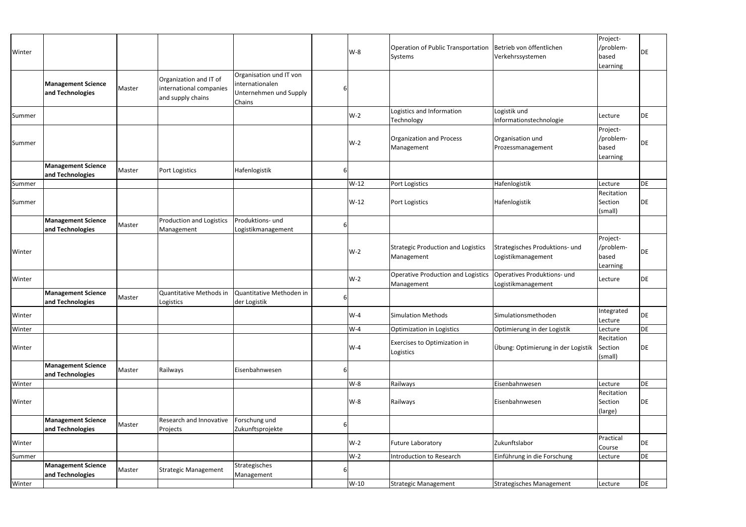| Winter |                                               |        |                                                                        |                                                                                |   | $W-8$  | Operation of Public Transportation<br>Systems    | Betrieb von öffentlichen<br>Verkehrssystemen         | Project-<br>/problem-<br>based<br>Learning | DE        |
|--------|-----------------------------------------------|--------|------------------------------------------------------------------------|--------------------------------------------------------------------------------|---|--------|--------------------------------------------------|------------------------------------------------------|--------------------------------------------|-----------|
|        | <b>Management Science</b><br>and Technologies | Master | Organization and IT of<br>international companies<br>and supply chains | Organisation und IT von<br>internationalen<br>Unternehmen und Supply<br>Chains | 6 |        |                                                  |                                                      |                                            |           |
| Summer |                                               |        |                                                                        |                                                                                |   | $W-2$  | Logistics and Information<br>Technology          | Logistik und<br>Informationstechnologie              | Lecture                                    | DE        |
| Summer |                                               |        |                                                                        |                                                                                |   | $W-2$  | Organization and Process<br>Management           | Organisation und<br>Prozessmanagement                | Project-<br>/problem-<br>based<br>Learning | DE        |
|        | <b>Management Science</b><br>and Technologies | Master | Port Logistics                                                         | Hafenlogistik                                                                  |   |        |                                                  |                                                      |                                            |           |
| Summer |                                               |        |                                                                        |                                                                                |   | $W-12$ | Port Logistics                                   | Hafenlogistik                                        | Lecture                                    | DE        |
| Summer |                                               |        |                                                                        |                                                                                |   | W-12   | <b>Port Logistics</b>                            | Hafenlogistik                                        | Recitation<br>Section<br>(small)           | DE        |
|        | <b>Management Science</b><br>and Technologies | Master | <b>Production and Logistics</b><br>Management                          | Produktions- und<br>Logistikmanagement                                         | 6 |        |                                                  |                                                      |                                            |           |
| Winter |                                               |        |                                                                        |                                                                                |   | $W-2$  | Strategic Production and Logistics<br>Management | Strategisches Produktions- und<br>Logistikmanagement | Project-<br>/problem-<br>based<br>Learning | DE        |
| Winter |                                               |        |                                                                        |                                                                                |   | $W-2$  | Operative Production and Logistics<br>Management | Operatives Produktions- und<br>Logistikmanagement    | Lecture                                    | DE        |
|        | <b>Management Science</b><br>and Technologies | Master | Quantitative Methods in<br>Logistics                                   | Quantitative Methoden in<br>der Logistik                                       | 6 |        |                                                  |                                                      |                                            |           |
| Winter |                                               |        |                                                                        |                                                                                |   | $W-4$  | <b>Simulation Methods</b>                        | Simulationsmethoden                                  | Integrated<br>Lecture                      | <b>DE</b> |
| Winter |                                               |        |                                                                        |                                                                                |   | $W-4$  | Optimization in Logistics                        | Optimierung in der Logistik                          | Lecture                                    | DE        |
| Winter |                                               |        |                                                                        |                                                                                |   | $W-4$  | Exercises to Optimization in<br>Logistics        | Übung: Optimierung in der Logistik                   | Recitation<br>Section<br>(small)           | DE        |
|        | <b>Management Science</b><br>and Technologies | Master | Railways                                                               | Eisenbahnwesen                                                                 |   |        |                                                  |                                                      |                                            |           |
| Winter |                                               |        |                                                                        |                                                                                |   | $W-8$  | Railways                                         | Eisenbahnwesen                                       | Lecture                                    | DE        |
| Winter |                                               |        |                                                                        |                                                                                |   | W-8    | Railways                                         | Eisenbahnwesen                                       | Recitation<br>Section<br>(large)           | DE        |
|        | <b>Management Science</b><br>and Technologies | Master | Research and Innovative<br>Projects                                    | Forschung und<br>Zukunftsprojekte                                              | 6 |        |                                                  |                                                      |                                            |           |
| Winter |                                               |        |                                                                        |                                                                                |   | $W-2$  | <b>Future Laboratory</b>                         | Zukunftslabor                                        | Practical<br>Course                        | DE        |
| Summer |                                               |        |                                                                        |                                                                                |   | $W-2$  | <b>Introduction to Research</b>                  | Einführung in die Forschung                          | Lecture                                    | DE        |
|        | <b>Management Science</b><br>and Technologies | Master | <b>Strategic Management</b>                                            | Strategisches<br>Management                                                    |   |        |                                                  |                                                      |                                            |           |
| Winter |                                               |        |                                                                        |                                                                                |   | W-10   | Strategic Management                             | Strategisches Management                             | Lecture                                    | DE        |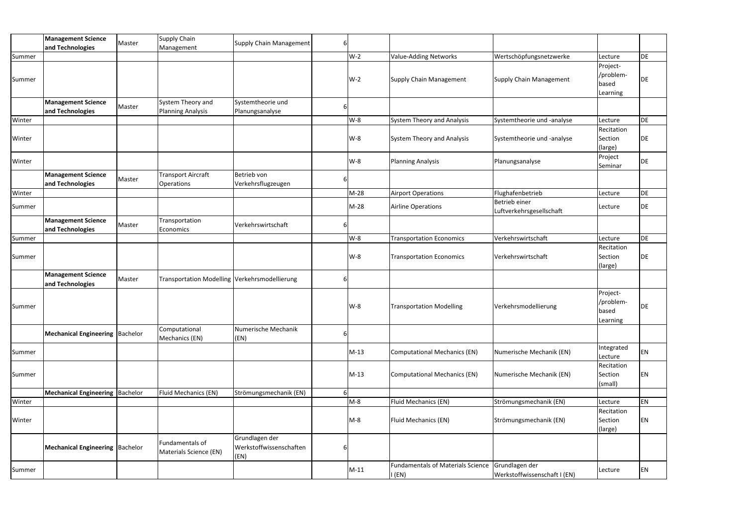|        | <b>Management Science</b><br>and Technologies | Master | Supply Chain<br>Management                     | Supply Chain Management                           | 61 |        |                                                    |                                                |                                            |    |
|--------|-----------------------------------------------|--------|------------------------------------------------|---------------------------------------------------|----|--------|----------------------------------------------------|------------------------------------------------|--------------------------------------------|----|
| Summer |                                               |        |                                                |                                                   |    | $W-2$  | <b>Value-Adding Networks</b>                       | Wertschöpfungsnetzwerke                        | Lecture                                    | DE |
| Summer |                                               |        |                                                |                                                   |    | $W-2$  | <b>Supply Chain Management</b>                     | Supply Chain Management                        | Project-<br>/problem-<br>based<br>Learning | DE |
|        | <b>Management Science</b><br>and Technologies | Master | System Theory and<br><b>Planning Analysis</b>  | Systemtheorie und<br>Planungsanalyse              | 6  |        |                                                    |                                                |                                            |    |
| Winter |                                               |        |                                                |                                                   |    | $W-8$  | <b>System Theory and Analysis</b>                  | Systemtheorie und -analyse                     | Lecture                                    | DE |
| Winter |                                               |        |                                                |                                                   |    | $W-8$  | <b>System Theory and Analysis</b>                  | Systemtheorie und -analyse                     | Recitation<br>Section<br>(large)           | DE |
| Winter |                                               |        |                                                |                                                   |    | $W-8$  | <b>Planning Analysis</b>                           | Planungsanalyse                                | Project<br>Seminar                         | DE |
|        | <b>Management Science</b><br>and Technologies | Master | <b>Transport Aircraft</b><br><b>Operations</b> | Betrieb von<br>Verkehrsflugzeugen                 | b  |        |                                                    |                                                |                                            |    |
| Winter |                                               |        |                                                |                                                   |    | $M-28$ | <b>Airport Operations</b>                          | Flughafenbetrieb                               | Lecture                                    | DE |
| Summer |                                               |        |                                                |                                                   |    | $M-28$ | <b>Airline Operations</b>                          | Betrieb einer<br>Luftverkehrsgesellschaft      | Lecture                                    | DE |
|        | <b>Management Science</b><br>and Technologies | Master | Transportation<br>Economics                    | Verkehrswirtschaft                                | 6  |        |                                                    |                                                |                                            |    |
| Summer |                                               |        |                                                |                                                   |    | $W-8$  | <b>Transportation Economics</b>                    | Verkehrswirtschaft                             | Lecture                                    | DE |
| Summer |                                               |        |                                                |                                                   |    | $W-8$  | <b>Transportation Economics</b>                    | Verkehrswirtschaft                             | Recitation<br>Section<br>(large)           | DE |
|        | <b>Management Science</b><br>and Technologies | Master | Transportation Modelling Verkehrsmodellierung  |                                                   | 61 |        |                                                    |                                                |                                            |    |
| Summer |                                               |        |                                                |                                                   |    | $W-8$  | <b>Transportation Modelling</b>                    | Verkehrsmodellierung                           | Project-<br>/problem-<br>based<br>Learning | DE |
|        | Mechanical Engineering   Bachelor             |        | Computational<br>Mechanics (EN)                | Numerische Mechanik<br>(EN)                       | 61 |        |                                                    |                                                |                                            |    |
| Summer |                                               |        |                                                |                                                   |    | $M-13$ | <b>Computational Mechanics (EN)</b>                | Numerische Mechanik (EN)                       | Integrated<br>Lecture                      | EN |
| Summer |                                               |        |                                                |                                                   |    | $M-13$ | <b>Computational Mechanics (EN)</b>                | Numerische Mechanik (EN)                       | Recitation<br>Section<br>(small)           | ΕN |
|        | Mechanical Engineering   Bachelor             |        | Fluid Mechanics (EN)                           | Strömungsmechanik (EN)                            | 61 |        |                                                    |                                                |                                            |    |
| Winter |                                               |        |                                                |                                                   |    | $M-8$  | Fluid Mechanics (EN)                               | Strömungsmechanik (EN)                         | Lecture                                    | EN |
| Winter |                                               |        |                                                |                                                   |    | $M-8$  | Fluid Mechanics (EN)                               | Strömungsmechanik (EN)                         | Recitation<br>Section<br>(large)           | ΕN |
|        | <b>Mechanical Engineering Bachelor</b>        |        | Fundamentals of<br>Materials Science (EN)      | Grundlagen der<br>Werkstoffwissenschaften<br>(EN) | 6  |        |                                                    |                                                |                                            |    |
| Summer |                                               |        |                                                |                                                   |    | $M-11$ | <b>Fundamentals of Materials Science</b><br>I (EN) | Grundlagen der<br>Werkstoffwissenschaft I (EN) | Lecture                                    | EN |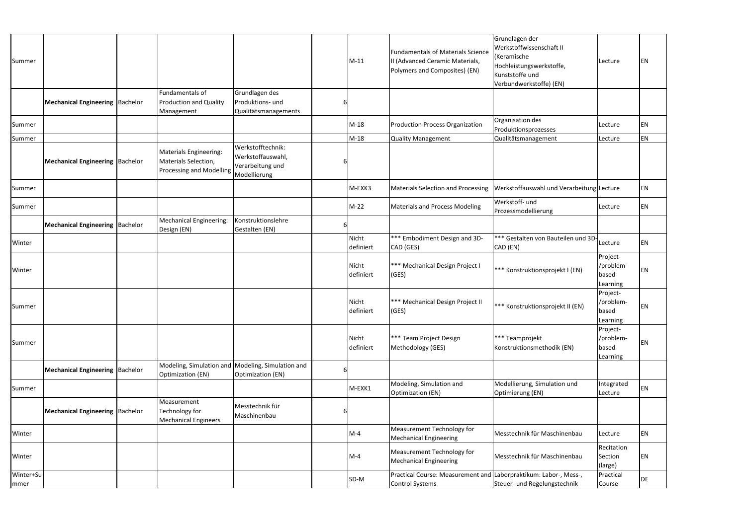| Summer            |                                         |                                                                                          |                                                                            |   | $M-11$             | <b>Fundamentals of Materials Science</b><br>II (Advanced Ceramic Materials,<br>Polymers and Composites) (EN) | Grundlagen der<br>Werkstoffwissenschaft II<br>Keramische<br>Hochleistungswerkstoffe,<br>Kunststoffe und<br>Verbundwerkstoffe) (EN) | Lecture                                    | EN        |
|-------------------|-----------------------------------------|------------------------------------------------------------------------------------------|----------------------------------------------------------------------------|---|--------------------|--------------------------------------------------------------------------------------------------------------|------------------------------------------------------------------------------------------------------------------------------------|--------------------------------------------|-----------|
|                   | <b>Mechanical Engineering  Bachelor</b> | Fundamentals of<br><b>Production and Quality</b><br>Management                           | Grundlagen des<br>Produktions- und<br>Qualitätsmanagements                 |   |                    |                                                                                                              |                                                                                                                                    |                                            |           |
| Summer            |                                         |                                                                                          |                                                                            |   | $M-18$             | <b>Production Process Organization</b>                                                                       | Organisation des<br>Produktionsprozesses                                                                                           | Lecture                                    | <b>EN</b> |
| Summer            |                                         |                                                                                          |                                                                            |   | $M-18$             | <b>Quality Management</b>                                                                                    | Qualitätsmanagement                                                                                                                | Lecture                                    | EN        |
|                   | <b>Mechanical Engineering  Bachelor</b> | <b>Materials Engineering:</b><br>Materials Selection,<br><b>Processing and Modelling</b> | Werkstofftechnik:<br>Werkstoffauswahl,<br>Verarbeitung und<br>Modellierung |   |                    |                                                                                                              |                                                                                                                                    |                                            |           |
| Summer            |                                         |                                                                                          |                                                                            |   | M-EXK3             | <b>Materials Selection and Processing</b>                                                                    | Werkstoffauswahl und Verarbeitung Lecture                                                                                          |                                            | EN        |
| Summer            |                                         |                                                                                          |                                                                            |   | $M-22$             | <b>Materials and Process Modeling</b>                                                                        | Werkstoff- und<br>Prozessmodellierung                                                                                              | Lecture                                    | EN        |
|                   | Mechanical Engineering   Bachelor       | <b>Mechanical Engineering:</b><br>Design (EN)                                            | Konstruktionslehre<br>Gestalten (EN)                                       |   |                    |                                                                                                              |                                                                                                                                    |                                            |           |
| Winter            |                                         |                                                                                          |                                                                            |   | Nicht<br>definiert | *** Embodiment Design and 3D-<br>CAD (GES)                                                                   | *** Gestalten von Bauteilen und 3D-<br>CAD (EN)                                                                                    | Lecture                                    | EN        |
| Winter            |                                         |                                                                                          |                                                                            |   | Nicht<br>definiert | *** Mechanical Design Project I<br>(GES)                                                                     | *** Konstruktionsprojekt I (EN)                                                                                                    | Project-<br>/problem-<br>based<br>Learning | EN        |
| Summer            |                                         |                                                                                          |                                                                            |   | Nicht<br>definiert | *** Mechanical Design Project II<br>(GES)                                                                    | *** Konstruktionsprojekt II (EN)                                                                                                   | Project-<br>/problem-<br>based<br>Learning | EN        |
| Summer            |                                         |                                                                                          |                                                                            |   | Nicht<br>definiert | *** Team Project Design<br>Methodology (GES)                                                                 | *** Teamprojekt<br>Konstruktionsmethodik (EN)                                                                                      | Project-<br>/problem-<br>based<br>Learning | EN        |
|                   | <b>Mechanical Engineering  Bachelor</b> | Modeling, Simulation and Modeling, Simulation and<br>Optimization (EN)                   | Optimization (EN)                                                          | 6 |                    |                                                                                                              |                                                                                                                                    |                                            |           |
| Summer            |                                         |                                                                                          |                                                                            |   | M-EXK1             | Modeling, Simulation and<br><b>Optimization (EN)</b>                                                         | Modellierung, Simulation und<br>Optimierung (EN)                                                                                   | Integrated<br>Lecture                      | EN        |
|                   | Mechanical Engineering   Bachelor       | Measurement<br>Technology for<br><b>Mechanical Engineers</b>                             | Messtechnik für<br>Maschinenbau                                            |   |                    |                                                                                                              |                                                                                                                                    |                                            |           |
| Winter            |                                         |                                                                                          |                                                                            |   | $M-4$              | Measurement Technology for<br><b>Mechanical Engineering</b>                                                  | Messtechnik für Maschinenbau                                                                                                       | Lecture                                    | EN        |
| Winter            |                                         |                                                                                          |                                                                            |   | $M-4$              | Measurement Technology for<br><b>Mechanical Engineering</b>                                                  | Messtechnik für Maschinenbau                                                                                                       | Recitation<br>Section<br>(large)           | EN        |
| Winter+Su<br>mmer |                                         |                                                                                          |                                                                            |   | SD-M               | Practical Course: Measurement and Laborpraktikum: Labor-, Mess-,<br>Control Systems                          | Steuer- und Regelungstechnik                                                                                                       | Practical<br>Course                        | DE        |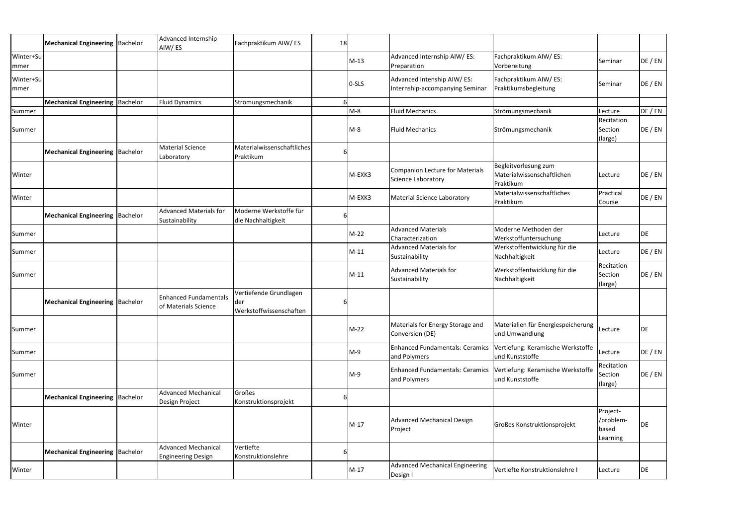|                   | Mechanical Engineering   Bachelor        | Advanced Internship<br>AIW/ES                           | Fachpraktikum AIW/ES                                      | 18           |         |                                                                |                                                                 |                                            |         |
|-------------------|------------------------------------------|---------------------------------------------------------|-----------------------------------------------------------|--------------|---------|----------------------------------------------------------------|-----------------------------------------------------------------|--------------------------------------------|---------|
| Winter+Su<br>mmer |                                          |                                                         |                                                           |              | $M-13$  | Advanced Internship AIW/ES:<br>Preparation                     | Fachpraktikum AIW/ES:<br>Vorbereitung                           | Seminar                                    | DE / EN |
| Winter+Su<br>mmer |                                          |                                                         |                                                           |              | $0-SLS$ | Advanced Intenship AIW/ ES:<br>Internship-accompanying Seminar | Fachpraktikum AIW/ES:<br>Praktikumsbegleitung                   | Seminar                                    | DE / EN |
|                   | Mechanical Engineering   Bachelor        | <b>Fluid Dynamics</b>                                   | Strömungsmechanik                                         | $\mathsf{G}$ |         |                                                                |                                                                 |                                            |         |
| Summer            |                                          |                                                         |                                                           |              | $M-8$   | <b>Fluid Mechanics</b>                                         | Strömungsmechanik                                               | Lecture                                    | DE / EN |
| Summer            |                                          |                                                         |                                                           |              | $M-8$   | <b>Fluid Mechanics</b>                                         | Strömungsmechanik                                               | Recitation<br>Section<br>(large)           | DE / EN |
|                   | Mechanical Engineering   Bachelor        | <b>Material Science</b><br>Laboratory                   | Materialwissenschaftliches<br>Praktikum                   |              |         |                                                                |                                                                 |                                            |         |
| Winter            |                                          |                                                         |                                                           |              | M-EXK3  | <b>Companion Lecture for Materials</b><br>Science Laboratory   | Begleitvorlesung zum<br>Materialwissenschaftlichen<br>Praktikum | Lecture                                    | DE / EN |
| Winter            |                                          |                                                         |                                                           |              | M-EXK3  | <b>Material Science Laboratory</b>                             | Materialwissenschaftliches<br>Praktikum                         | Practical<br>Course                        | DE / EN |
|                   | <b>Mechanical Engineering   Bachelor</b> | <b>Advanced Materials for</b><br>Sustainability         | Moderne Werkstoffe für<br>die Nachhaltigkeit              |              |         |                                                                |                                                                 |                                            |         |
| Summer            |                                          |                                                         |                                                           |              | $M-22$  | <b>Advanced Materials</b><br>Characterization                  | Moderne Methoden der<br>Werkstoffuntersuchung                   | Lecture                                    | DE      |
| Summer            |                                          |                                                         |                                                           |              | $M-11$  | <b>Advanced Materials for</b><br>Sustainability                | Werkstoffentwicklung für die<br>Nachhaltigkeit                  | Lecture                                    | DE / EN |
| Summer            |                                          |                                                         |                                                           |              | $M-11$  | <b>Advanced Materials for</b><br>Sustainability                | Werkstoffentwicklung für die<br>Nachhaltigkeit                  | Recitation<br>Section<br>(large)           | DE / EN |
|                   | Mechanical Engineering   Bachelor        | <b>Enhanced Fundamentals</b><br>of Materials Science    | Vertiefende Grundlagen<br> der<br>Werkstoffwissenschaften | b            |         |                                                                |                                                                 |                                            |         |
| Summer            |                                          |                                                         |                                                           |              | $M-22$  | Materials for Energy Storage and<br>Conversion (DE)            | Materialien für Energiespeicherung<br>und Umwandlung            | Lecture                                    | DE      |
| Summer            |                                          |                                                         |                                                           |              | $M-9$   | <b>Enhanced Fundamentals: Ceramics</b><br>and Polymers         | Vertiefung: Keramische Werkstoffe<br>und Kunststoffe            | Lecture                                    | DE / EN |
| Summer            |                                          |                                                         |                                                           |              | $M-9$   | <b>Enhanced Fundamentals: Ceramics</b><br>and Polymers         | Vertiefung: Keramische Werkstoffe<br>und Kunststoffe            | Recitation<br>Section<br>(large)           | DE / EN |
|                   | Mechanical Engineering   Bachelor        | <b>Advanced Mechanical</b><br>Design Project            | Großes<br>Konstruktionsprojekt                            | ы            |         |                                                                |                                                                 |                                            |         |
| Winter            |                                          |                                                         |                                                           |              | $M-17$  | Advanced Mechanical Design<br>Project                          | Großes Konstruktionsprojekt                                     | Project-<br>/problem-<br>based<br>Learning | DE      |
|                   | <b>Mechanical Engineering   Bachelor</b> | <b>Advanced Mechanical</b><br><b>Engineering Design</b> | Vertiefte<br>Konstruktionslehre                           |              |         |                                                                |                                                                 |                                            |         |
| Winter            |                                          |                                                         |                                                           |              | $M-17$  | <b>Advanced Mechanical Engineering</b><br>Design I             | Vertiefte Konstruktionslehre I                                  | Lecture                                    | DE      |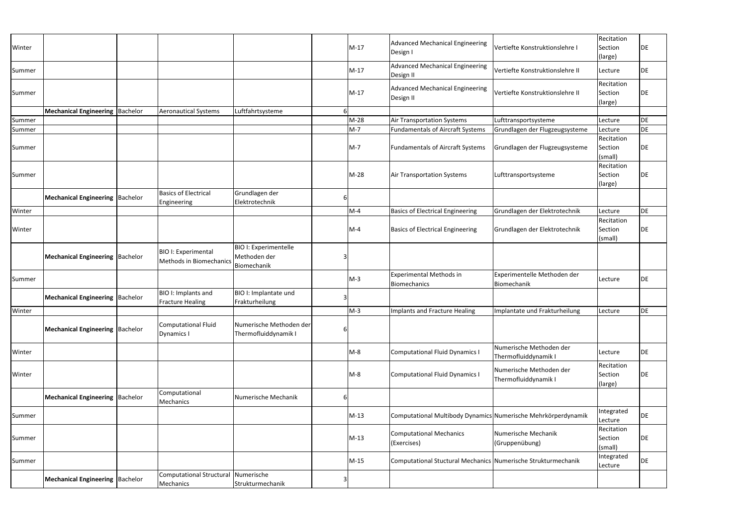| Winter |                                          |                                                              |                                                             |   | $M-17$ | Advanced Mechanical Engineering<br>Design I                   | Vertiefte Konstruktionslehre I                  | Recitation<br>Section<br>(large) | DE        |
|--------|------------------------------------------|--------------------------------------------------------------|-------------------------------------------------------------|---|--------|---------------------------------------------------------------|-------------------------------------------------|----------------------------------|-----------|
| Summer |                                          |                                                              |                                                             |   | $M-17$ | <b>Advanced Mechanical Engineering</b><br>Design II           | Vertiefte Konstruktionslehre II                 | Lecture                          | DE        |
| Summer |                                          |                                                              |                                                             |   | $M-17$ | Advanced Mechanical Engineering<br>Design II                  | Vertiefte Konstruktionslehre II                 | Recitation<br>Section<br>(large) | DE        |
|        | Mechanical Engineering   Bachelor        | <b>Aeronautical Systems</b>                                  | Luftfahrtsysteme                                            |   |        |                                                               |                                                 |                                  |           |
| Summer |                                          |                                                              |                                                             |   | $M-28$ | Air Transportation Systems                                    | Lufttransportsysteme                            | Lecture                          | DE        |
| Summer |                                          |                                                              |                                                             |   | $M-7$  | <b>Fundamentals of Aircraft Systems</b>                       | Grundlagen der Flugzeugsysteme                  | Lecture                          | DE        |
| Summer |                                          |                                                              |                                                             |   | $M-7$  | <b>Fundamentals of Aircraft Systems</b>                       | Grundlagen der Flugzeugsysteme                  | Recitation<br>Section<br>(small) | DE        |
| Summer |                                          |                                                              |                                                             |   | $M-28$ | <b>Air Transportation Systems</b>                             | Lufttransportsysteme                            | Recitation<br>Section<br>(large) | DE        |
|        | <b>Mechanical Engineering Bachelor</b>   | <b>Basics of Electrical</b><br>Engineering                   | Grundlagen der<br>Elektrotechnik                            |   |        |                                                               |                                                 |                                  |           |
| Winter |                                          |                                                              |                                                             |   | $M-4$  | <b>Basics of Electrical Engineering</b>                       | Grundlagen der Elektrotechnik                   | Lecture                          | <b>DE</b> |
| Winter |                                          |                                                              |                                                             |   | $M-4$  | <b>Basics of Electrical Engineering</b>                       | Grundlagen der Elektrotechnik                   | Recitation<br>Section<br>(small) | DE        |
|        | <b>Mechanical Engineering   Bachelor</b> | <b>BIO I: Experimental</b><br><b>Methods in Biomechanics</b> | <b>BIO I: Experimentelle</b><br>Methoden der<br>Biomechanik |   |        |                                                               |                                                 |                                  |           |
| Summer |                                          |                                                              |                                                             |   | $M-3$  | <b>Experimental Methods in</b><br><b>Biomechanics</b>         | Experimentelle Methoden der<br>Biomechanik      | Lecture                          | DE        |
|        | <b>Mechanical Engineering Bachelor</b>   | BIO I: Implants and<br><b>Fracture Healing</b>               | BIO I: Implantate und<br>Frakturheilung                     | 3 |        |                                                               |                                                 |                                  |           |
| Winter |                                          |                                                              |                                                             |   | $M-3$  | Implants and Fracture Healing                                 | Implantate und Frakturheilung                   | Lecture                          | DE        |
|        | Mechanical Engineering   Bachelor        | <b>Computational Fluid</b><br>Dynamics I                     | Numerische Methoden der<br>Thermofluiddynamik I             |   |        |                                                               |                                                 |                                  |           |
| Winter |                                          |                                                              |                                                             |   | $M-8$  | Computational Fluid Dynamics I                                | Numerische Methoden der<br>Thermofluiddynamik I | Lecture                          | DE        |
| Winter |                                          |                                                              |                                                             |   | $M-8$  | Computational Fluid Dynamics I                                | Numerische Methoden der<br>Thermofluiddynamik I | Recitation<br>Section<br>(large) | DE        |
|        | <b>Mechanical Engineering Bachelor</b>   | Computational<br>Mechanics                                   | Numerische Mechanik                                         | 6 |        |                                                               |                                                 |                                  |           |
| Summer |                                          |                                                              |                                                             |   | $M-13$ | Computational Multibody Dynamics Numerische Mehrkörperdynamik |                                                 | Integrated<br>Lecture            | DE        |
| Summer |                                          |                                                              |                                                             |   | $M-13$ | <b>Computational Mechanics</b><br>(Exercises)                 | Numerische Mechanik<br>(Gruppenübung)           | Recitation<br>Section<br>(small) | DE        |
| Summer |                                          |                                                              |                                                             |   | $M-15$ | Computational Stuctural Mechanics Numerische Strukturmechanik |                                                 | Integrated<br>Lecture            | DE        |
|        | <b>Mechanical Engineering  Bachelor</b>  | Computational Structural<br>Mechanics                        | Numerische<br>Strukturmechanik                              | 3 |        |                                                               |                                                 |                                  |           |
|        |                                          |                                                              |                                                             |   |        |                                                               |                                                 |                                  |           |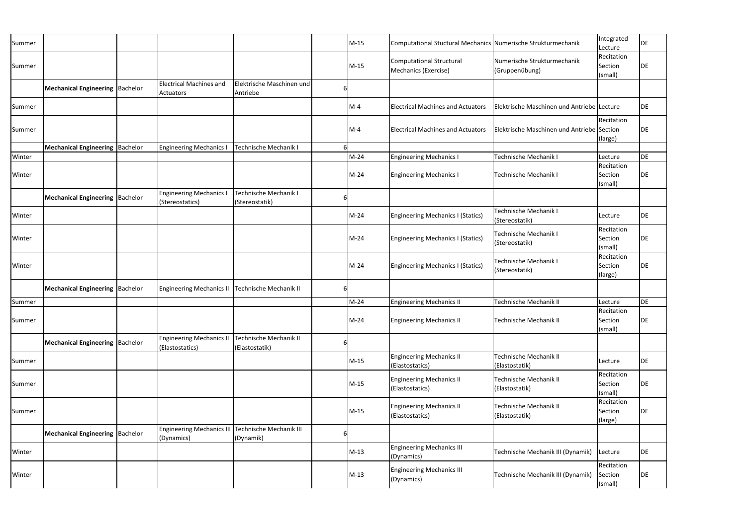| Summer |                                         |                                                                 |                                          |   | $M-15$ | Computational Stuctural Mechanics Numerische Strukturmechanik |                                                 | Integrated<br>Lecture            | DE |
|--------|-----------------------------------------|-----------------------------------------------------------------|------------------------------------------|---|--------|---------------------------------------------------------------|-------------------------------------------------|----------------------------------|----|
| Summer |                                         |                                                                 |                                          |   | $M-15$ | <b>Computational Structural</b><br>Mechanics (Exercise)       | Numerische Strukturmechanik<br>(Gruppenübung)   | Recitation<br>Section<br>(small) | DE |
|        | Mechanical Engineering   Bachelor       | <b>Electrical Machines and</b><br>Actuators                     | Elektrische Maschinen und<br>Antriebe    | b |        |                                                               |                                                 |                                  |    |
| Summer |                                         |                                                                 |                                          |   | $M-4$  | <b>Electrical Machines and Actuators</b>                      | Elektrische Maschinen und Antriebe Lecture      |                                  | DE |
| Summer |                                         |                                                                 |                                          |   | $M-4$  | <b>Electrical Machines and Actuators</b>                      | Elektrische Maschinen und Antriebe Section      | Recitation<br>(large)            | DE |
|        | <b>Mechanical Engineering  Bachelor</b> | <b>Engineering Mechanics</b>                                    | Technische Mechanik I                    |   |        |                                                               |                                                 |                                  |    |
| Winter |                                         |                                                                 |                                          |   | $M-24$ | <b>Engineering Mechanics</b>                                  | <b>Technische Mechanik I</b>                    | Lecture                          | DE |
| Winter |                                         |                                                                 |                                          |   | $M-24$ | <b>Engineering Mechanics I</b>                                | Technische Mechanik I                           | Recitation<br>Section<br>(small) | DE |
|        | <b>Mechanical Engineering Bachelor</b>  | <b>Engineering Mechanics I</b><br>(Stereostatics)               | Technische Mechanik I<br>(Stereostatik)  | b |        |                                                               |                                                 |                                  |    |
| Winter |                                         |                                                                 |                                          |   | $M-24$ | <b>Engineering Mechanics I (Statics)</b>                      | <b>Technische Mechanik I</b><br>(Stereostatik)  | Lecture                          | DE |
| Winter |                                         |                                                                 |                                          |   | M-24   | <b>Engineering Mechanics I (Statics)</b>                      | Technische Mechanik I<br>(Stereostatik)         | Recitation<br>Section<br>(small) | DE |
| Winter |                                         |                                                                 |                                          |   | $M-24$ | <b>Engineering Mechanics I (Statics)</b>                      | Technische Mechanik I<br>(Stereostatik)         | Recitation<br>Section<br>(large) | DE |
|        | <b>Mechanical Engineering Bachelor</b>  | <b>Engineering Mechanics II</b>                                 | Technische Mechanik II                   |   |        |                                                               |                                                 |                                  |    |
| Summer |                                         |                                                                 |                                          |   | M-24   | <b>Engineering Mechanics II</b>                               | <b>Technische Mechanik II</b>                   | Lecture                          | DE |
| Summer |                                         |                                                                 |                                          |   | $M-24$ | <b>Engineering Mechanics II</b>                               | Technische Mechanik II                          | Recitation<br>Section<br>(small) | DE |
|        | <b>Mechanical Engineering Bachelor</b>  | <b>Engineering Mechanics II</b><br>(Elastostatics)              | Technische Mechanik II<br>(Elastostatik) |   |        |                                                               |                                                 |                                  |    |
| Summer |                                         |                                                                 |                                          |   | $M-15$ | <b>Engineering Mechanics II</b><br>(Elastostatics)            | <b>Technische Mechanik II</b><br>(Elastostatik) | Lecture                          | DE |
| Summer |                                         |                                                                 |                                          |   | $M-15$ | <b>Engineering Mechanics II</b><br>(Elastostatics)            | <b>Technische Mechanik II</b><br>(Elastostatik) | Recitation<br>Section<br>(small) | DE |
| Summer |                                         |                                                                 |                                          |   | $M-15$ | <b>Engineering Mechanics II</b><br>(Elastostatics)            | Technische Mechanik II<br>(Elastostatik)        | Recitation<br>Section<br>(large) | DE |
|        | Mechanical Engineering   Bachelor       | Engineering Mechanics III Technische Mechanik III<br>(Dynamics) | (Dynamik)                                | b |        |                                                               |                                                 |                                  |    |
| Winter |                                         |                                                                 |                                          |   | $M-13$ | <b>Engineering Mechanics III</b><br>(Dynamics)                | Technische Mechanik III (Dynamik)               | Lecture                          | DE |
| Winter |                                         |                                                                 |                                          |   | $M-13$ | <b>Engineering Mechanics III</b><br>(Dynamics)                | Technische Mechanik III (Dynamik)               | Recitation<br>Section<br>(small) | DE |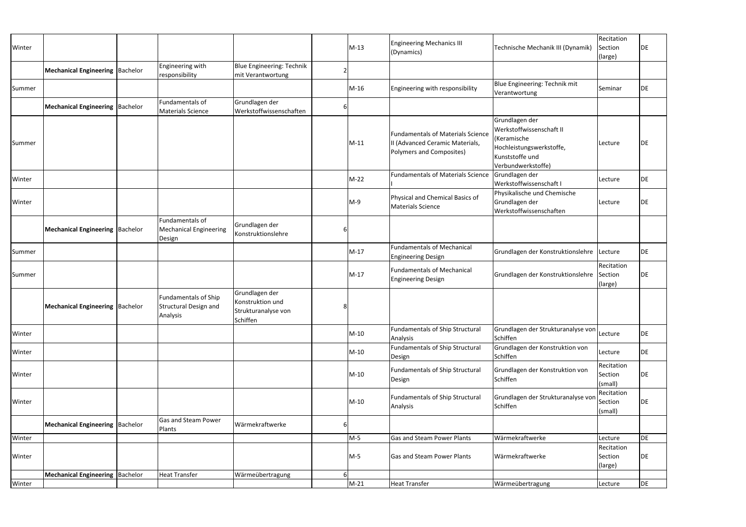| Winter |                                         |                                                                  |                                                                       |   | $M-13$ | <b>Engineering Mechanics III</b><br>(Dynamics)                                                                 | Technische Mechanik III (Dynamik)                                                                                              | Recitation<br>Section<br>(large) | DE        |
|--------|-----------------------------------------|------------------------------------------------------------------|-----------------------------------------------------------------------|---|--------|----------------------------------------------------------------------------------------------------------------|--------------------------------------------------------------------------------------------------------------------------------|----------------------------------|-----------|
|        | <b>Mechanical Engineering Bachelor</b>  | Engineering with<br>responsibility                               | <b>Blue Engineering: Technik</b><br>mit Verantwortung                 |   |        |                                                                                                                |                                                                                                                                |                                  |           |
| Summer |                                         |                                                                  |                                                                       |   | M-16   | Engineering with responsibility                                                                                | Blue Engineering: Technik mit<br>Verantwortung                                                                                 | Seminar                          | DE        |
|        | <b>Mechanical Engineering Bachelor</b>  | Fundamentals of<br><b>Materials Science</b>                      | Grundlagen der<br>Werkstoffwissenschaften                             | b |        |                                                                                                                |                                                                                                                                |                                  |           |
| Summer |                                         |                                                                  |                                                                       |   | $M-11$ | <b>Fundamentals of Materials Science</b><br>II (Advanced Ceramic Materials,<br><b>Polymers and Composites)</b> | Grundlagen der<br>Werkstoffwissenschaft II<br>(Keramische<br>Hochleistungswerkstoffe,<br>Kunststoffe und<br>Verbundwerkstoffe) | Lecture                          | DE        |
| Winter |                                         |                                                                  |                                                                       |   | $M-22$ | <b>Fundamentals of Materials Science</b>                                                                       | Grundlagen der<br>Werkstoffwissenschaft I                                                                                      | Lecture                          | <b>DE</b> |
| Winter |                                         |                                                                  |                                                                       |   | $M-9$  | Physical and Chemical Basics of<br><b>Materials Science</b>                                                    | Physikalische und Chemische<br>Grundlagen der<br>Werkstoffwissenschaften                                                       | Lecture                          | DE        |
|        | <b>Mechanical Engineering Bachelor</b>  | Fundamentals of<br><b>Mechanical Engineering</b><br>Design       | Grundlagen der<br>Konstruktionslehre                                  |   |        |                                                                                                                |                                                                                                                                |                                  |           |
| Summer |                                         |                                                                  |                                                                       |   | $M-17$ | <b>Fundamentals of Mechanical</b><br><b>Engineering Design</b>                                                 | Grundlagen der Konstruktionslehre Lecture                                                                                      |                                  | DE        |
| Summer |                                         |                                                                  |                                                                       |   | $M-17$ | <b>Fundamentals of Mechanical</b><br><b>Engineering Design</b>                                                 | Grundlagen der Konstruktionslehre                                                                                              | Recitation<br>Section<br>(large) | <b>DE</b> |
|        | <b>Mechanical Engineering  Bachelor</b> | <b>Fundamentals of Ship</b><br>Structural Design and<br>Analysis | Grundlagen der<br>Konstruktion und<br>Strukturanalyse von<br>Schiffen |   |        |                                                                                                                |                                                                                                                                |                                  |           |
| Winter |                                         |                                                                  |                                                                       |   | $M-10$ | <b>Fundamentals of Ship Structural</b><br>Analysis                                                             | Grundlagen der Strukturanalyse von Lecture<br>Schiffen                                                                         |                                  | DE        |
| Winter |                                         |                                                                  |                                                                       |   | $M-10$ | <b>Fundamentals of Ship Structural</b><br>Design                                                               | Grundlagen der Konstruktion von<br>Schiffen                                                                                    | Lecture                          | DE        |
| Winter |                                         |                                                                  |                                                                       |   | $M-10$ | Fundamentals of Ship Structural<br>Design                                                                      | Grundlagen der Konstruktion von<br>Schiffen                                                                                    | Recitation<br>Section<br>(small) | DE        |
| Winter |                                         |                                                                  |                                                                       |   | $M-10$ | <b>Fundamentals of Ship Structural</b><br>Analysis                                                             | Grundlagen der Strukturanalyse von<br>Schiffen                                                                                 | Recitation<br>Section<br>(small) | DE        |
|        | <b>Mechanical Engineering Bachelor</b>  | <b>Gas and Steam Power</b><br>Plants                             | Wärmekraftwerke                                                       |   |        |                                                                                                                |                                                                                                                                |                                  |           |
| Winter |                                         |                                                                  |                                                                       |   | $M-5$  | Gas and Steam Power Plants                                                                                     | Wärmekraftwerke                                                                                                                | Lecture                          | DE        |
| Winter |                                         |                                                                  |                                                                       |   | M-5    | Gas and Steam Power Plants                                                                                     | Wärmekraftwerke                                                                                                                | Recitation<br>Section<br>(large) | <b>DE</b> |
|        | <b>Mechanical Engineering  Bachelor</b> | <b>Heat Transfer</b>                                             | Wärmeübertragung                                                      |   |        |                                                                                                                |                                                                                                                                |                                  |           |
| Winter |                                         |                                                                  |                                                                       |   | $M-21$ | <b>Heat Transfer</b>                                                                                           | Wärmeübertragung                                                                                                               | Lecture                          | <b>DE</b> |
|        |                                         |                                                                  |                                                                       |   |        |                                                                                                                |                                                                                                                                |                                  |           |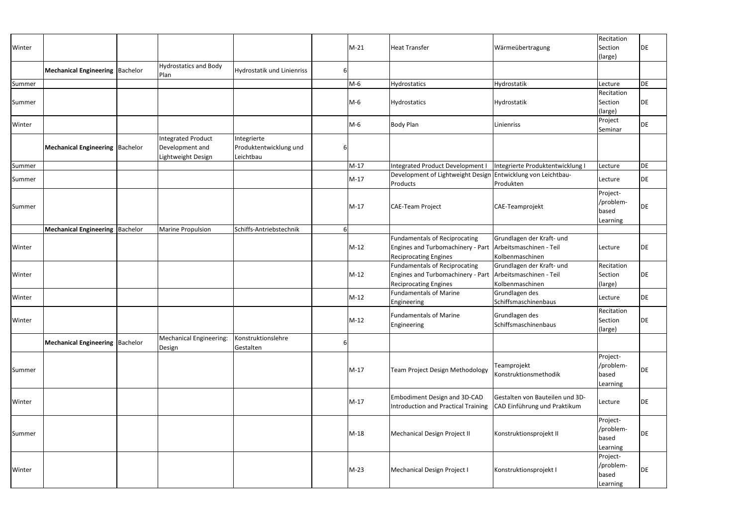| Winter |                                         |                                                                    |                                                    |               | $M-21$ | <b>Heat Transfer</b>                                                                                                              | Wärmeübertragung                                                | Recitation<br>Section<br>(large)           | <b>DE</b> |
|--------|-----------------------------------------|--------------------------------------------------------------------|----------------------------------------------------|---------------|--------|-----------------------------------------------------------------------------------------------------------------------------------|-----------------------------------------------------------------|--------------------------------------------|-----------|
|        | <b>Mechanical Engineering  Bachelor</b> | <b>Hydrostatics and Body</b><br>Plan                               | Hydrostatik und Linienriss                         | <sup>61</sup> |        |                                                                                                                                   |                                                                 |                                            |           |
| Summer |                                         |                                                                    |                                                    |               | $M-6$  | Hydrostatics                                                                                                                      | Hydrostatik                                                     | Lecture                                    | <b>DE</b> |
| Summer |                                         |                                                                    |                                                    |               | $M-6$  | Hydrostatics                                                                                                                      | Hydrostatik                                                     | Recitation<br>Section<br>(large)           | <b>DE</b> |
| Winter |                                         |                                                                    |                                                    |               | $M-6$  | <b>Body Plan</b>                                                                                                                  | Linienriss                                                      | Project<br>Seminar                         | <b>DE</b> |
|        | Mechanical Engineering   Bachelor       | <b>Integrated Product</b><br>Development and<br>Lightweight Design | Integrierte<br>Produktentwicklung und<br>Leichtbau | 6             |        |                                                                                                                                   |                                                                 |                                            |           |
| Summer |                                         |                                                                    |                                                    |               | $M-17$ | Integrated Product Development I                                                                                                  | Integrierte Produktentwicklung I                                | Lecture                                    | DE        |
| Summer |                                         |                                                                    |                                                    |               | $M-17$ | Development of Lightweight Design Entwicklung von Leichtbau-<br>Products                                                          | Produkten                                                       | Lecture                                    | <b>DE</b> |
| Summer |                                         |                                                                    |                                                    |               | $M-17$ | <b>CAE-Team Project</b>                                                                                                           | CAE-Teamprojekt                                                 | Project-<br>/problem-<br>based<br>Learning | <b>DE</b> |
|        | Mechanical Engineering   Bachelor       | <b>Marine Propulsion</b>                                           | Schiffs-Antriebstechnik                            | 6             |        |                                                                                                                                   |                                                                 |                                            |           |
| Winter |                                         |                                                                    |                                                    |               | $M-12$ | <b>Fundamentals of Reciprocating</b><br>Engines and Turbomachinery - Part Arbeitsmaschinen - Teil<br><b>Reciprocating Engines</b> | Grundlagen der Kraft- und<br>Kolbenmaschinen                    | Lecture                                    | DE        |
| Winter |                                         |                                                                    |                                                    |               | $M-12$ | <b>Fundamentals of Reciprocating</b><br>Engines and Turbomachinery - Part Arbeitsmaschinen - Teil<br><b>Reciprocating Engines</b> | Grundlagen der Kraft- und<br>Kolbenmaschinen                    | Recitation<br>Section<br>(large)           | <b>DE</b> |
| Winter |                                         |                                                                    |                                                    |               | $M-12$ | <b>Fundamentals of Marine</b><br>Engineering                                                                                      | Grundlagen des<br>Schiffsmaschinenbaus                          | Lecture                                    | <b>DE</b> |
| Winter |                                         |                                                                    |                                                    |               | $M-12$ | <b>Fundamentals of Marine</b><br>Engineering                                                                                      | Grundlagen des<br>Schiffsmaschinenbaus                          | Recitation<br>Section<br>(large)           | DE        |
|        | <b>Mechanical Engineering  Bachelor</b> | Mechanical Engineering:<br>Design                                  | Konstruktionslehre<br>Gestalten                    | 6             |        |                                                                                                                                   |                                                                 |                                            |           |
| Summer |                                         |                                                                    |                                                    |               | $M-17$ | <b>Team Project Design Methodology</b>                                                                                            | Teamprojekt<br>Konstruktionsmethodik                            | Project-<br>/problem-<br>based<br>Learning | DE        |
| Winter |                                         |                                                                    |                                                    |               | $M-17$ | Embodiment Design and 3D-CAD<br>Introduction and Practical Training                                                               | Gestalten von Bauteilen und 3D-<br>CAD Einführung und Praktikum | Lecture                                    | DE        |
| Summer |                                         |                                                                    |                                                    |               | $M-18$ | Mechanical Design Project II                                                                                                      | Konstruktionsprojekt II                                         | Project-<br>/problem-<br>based<br>Learning | <b>DE</b> |
| Winter |                                         |                                                                    |                                                    |               | $M-23$ | Mechanical Design Project I                                                                                                       | Konstruktionsprojekt I                                          | Project-<br>/problem-<br>based<br>Learning | <b>DE</b> |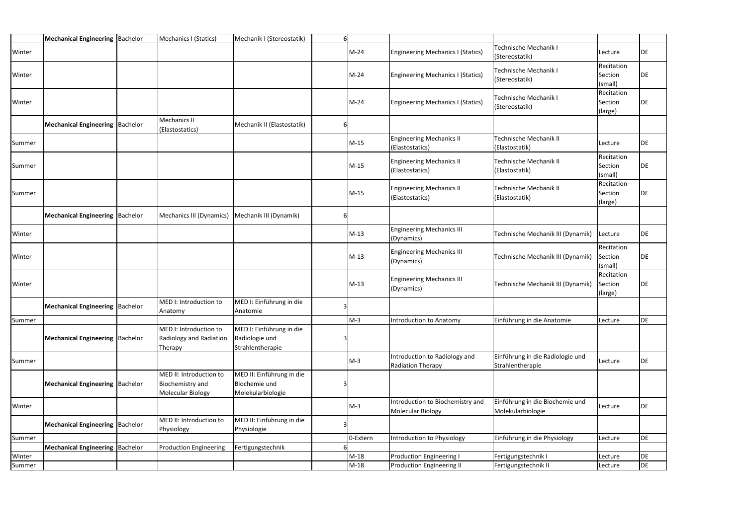|        | Mechanical Engineering   Bachelor       | Mechanics I (Statics)                                                   | Mechanik I (Stereostatik)                                       | 61 |          |                                                           |                                                      |                                  |    |
|--------|-----------------------------------------|-------------------------------------------------------------------------|-----------------------------------------------------------------|----|----------|-----------------------------------------------------------|------------------------------------------------------|----------------------------------|----|
| Winter |                                         |                                                                         |                                                                 |    | $M-24$   | <b>Engineering Mechanics I (Statics)</b>                  | Technische Mechanik I<br>(Stereostatik)              | Lecture                          | DE |
| Winter |                                         |                                                                         |                                                                 |    | $M-24$   | <b>Engineering Mechanics I (Statics)</b>                  | <b>Technische Mechanik I</b><br>(Stereostatik)       | Recitation<br>Section<br>(small) | DE |
| Winter |                                         |                                                                         |                                                                 |    | $M-24$   | <b>Engineering Mechanics I (Statics)</b>                  | <b>Technische Mechanik I</b><br>(Stereostatik)       | Recitation<br>Section<br>(large) | DE |
|        | Mechanical Engineering   Bachelor       | <b>Mechanics II</b><br>(Elastostatics)                                  | Mechanik II (Elastostatik)                                      | 6  |          |                                                           |                                                      |                                  |    |
| Summer |                                         |                                                                         |                                                                 |    | $M-15$   | <b>Engineering Mechanics II</b><br>(Elastostatics)        | Technische Mechanik II<br>(Elastostatik)             | Lecture                          | DE |
| Summer |                                         |                                                                         |                                                                 |    | M-15     | <b>Engineering Mechanics II</b><br>(Elastostatics)        | Technische Mechanik II<br>(Elastostatik)             | Recitation<br>Section<br>(small) | DE |
| Summer |                                         |                                                                         |                                                                 |    | $M-15$   | <b>Engineering Mechanics II</b><br>(Elastostatics)        | Technische Mechanik II<br>(Elastostatik)             | Recitation<br>Section<br>(large) | DE |
|        | <b>Mechanical Engineering  Bachelor</b> | Mechanics III (Dynamics)                                                | Mechanik III (Dynamik)                                          | 6  |          |                                                           |                                                      |                                  |    |
| Winter |                                         |                                                                         |                                                                 |    | $M-13$   | <b>Engineering Mechanics III</b><br>(Dynamics)            | Technische Mechanik III (Dynamik)                    | Lecture                          | DE |
| Winter |                                         |                                                                         |                                                                 |    | $M-13$   | <b>Engineering Mechanics III</b><br>(Dynamics)            | Technische Mechanik III (Dynamik)                    | Recitation<br>Section<br>(small) | DE |
| Winter |                                         |                                                                         |                                                                 |    | $M-13$   | <b>Engineering Mechanics III</b><br>(Dynamics)            | Technische Mechanik III (Dynamik)                    | Recitation<br>Section<br>(large) | DE |
|        | <b>Mechanical Engineering  Bachelor</b> | MED I: Introduction to<br>Anatomy                                       | MED I: Einführung in die<br>Anatomie                            |    |          |                                                           |                                                      |                                  |    |
| Summer |                                         |                                                                         |                                                                 |    | $M-3$    | Introduction to Anatomy                                   | Einführung in die Anatomie                           | Lecture                          | DE |
|        | <b>Mechanical Engineering Bachelor</b>  | MED I: Introduction to<br>Radiology and Radiation<br>Therapy            | MED I: Einführung in die<br>Radiologie und<br>Strahlentherapie  |    |          |                                                           |                                                      |                                  |    |
| Summer |                                         |                                                                         |                                                                 |    | $M-3$    | Introduction to Radiology and<br><b>Radiation Therapy</b> | Einführung in die Radiologie und<br>Strahlentherapie | Lecture                          | DE |
|        | Mechanical Engineering   Bachelor       | MED II: Introduction to<br>Biochemistry and<br><b>Molecular Biology</b> | MED II: Einführung in die<br>Biochemie und<br>Molekularbiologie |    |          |                                                           |                                                      |                                  |    |
| Winter |                                         |                                                                         |                                                                 |    | $M-3$    | Introduction to Biochemistry and<br>Molecular Biology     | Einführung in die Biochemie und<br>Molekularbiologie | Lecture                          | DE |
|        | <b>Mechanical Engineering Bachelor</b>  | MED II: Introduction to<br>Physiology                                   | MED II: Einführung in die<br>Physiologie                        |    |          |                                                           |                                                      |                                  |    |
| Summer |                                         |                                                                         |                                                                 |    | 0-Extern | ntroduction to Physiology                                 | Einführung in die Physiology                         | Lecture                          | DE |
|        | Mechanical Engineering   Bachelor       | <b>Production Engineering</b>                                           | Fertigungstechnik                                               |    |          |                                                           |                                                      |                                  |    |
| Winter |                                         |                                                                         |                                                                 |    | $M-18$   | <b>Production Engineering I</b>                           | Fertigungstechnik I                                  | Lecture                          | DE |
| Summer |                                         |                                                                         |                                                                 |    | $M-18$   | <b>Production Engineering II</b>                          | Fertigungstechnik II                                 | Lecture                          | DE |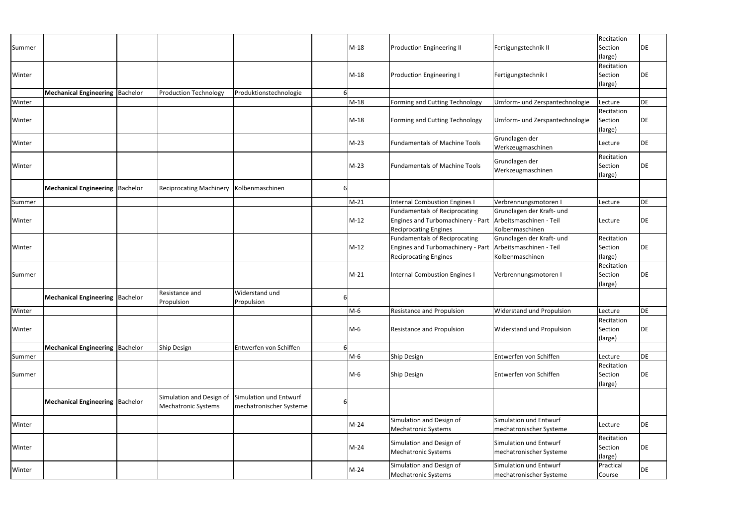| Summer |                                         |                                                        |                                                   |    | M-18   | <b>Production Engineering II</b>                                                                                                  | Fertigungstechnik II                              | Recitation<br>Section<br>(large) | DE  |
|--------|-----------------------------------------|--------------------------------------------------------|---------------------------------------------------|----|--------|-----------------------------------------------------------------------------------------------------------------------------------|---------------------------------------------------|----------------------------------|-----|
| Winter |                                         |                                                        |                                                   |    | M-18   | <b>Production Engineering I</b>                                                                                                   | Fertigungstechnik I                               | Recitation<br>Section<br>(large) | DE  |
|        | Mechanical Engineering   Bachelor       | <b>Production Technology</b>                           | Produktionstechnologie                            |    |        |                                                                                                                                   |                                                   |                                  |     |
| Winter |                                         |                                                        |                                                   |    | $M-18$ | Forming and Cutting Technology                                                                                                    | Umform- und Zerspantechnologie                    | Lecture                          | DE  |
| Winter |                                         |                                                        |                                                   |    | $M-18$ | Forming and Cutting Technology                                                                                                    | Umform- und Zerspantechnologie                    | Recitation<br>Section<br>(large) | DE  |
| Winter |                                         |                                                        |                                                   |    | $M-23$ | <b>Fundamentals of Machine Tools</b>                                                                                              | Grundlagen der<br>Werkzeugmaschinen               | Lecture                          | DE  |
| Winter |                                         |                                                        |                                                   |    | $M-23$ | <b>Fundamentals of Machine Tools</b>                                                                                              | Grundlagen der<br>Werkzeugmaschinen               | Recitation<br>Section<br>(large) | DE  |
|        | Mechanical Engineering   Bachelor       | <b>Reciprocating Machinery</b>                         | Kolbenmaschinen                                   | b  |        |                                                                                                                                   |                                                   |                                  |     |
| Summer |                                         |                                                        |                                                   |    | $M-21$ | <b>Internal Combustion Engines I</b>                                                                                              | Verbrennungsmotoren I                             | Lecture                          | DE  |
| Winter |                                         |                                                        |                                                   |    | $M-12$ | <b>Fundamentals of Reciprocating</b><br>Engines and Turbomachinery - Part Arbeitsmaschinen - Teil<br><b>Reciprocating Engines</b> | Grundlagen der Kraft- und<br>Kolbenmaschinen      | Lecture                          | DE  |
| Winter |                                         |                                                        |                                                   |    | $M-12$ | <b>Fundamentals of Reciprocating</b><br>Engines and Turbomachinery - Part Arbeitsmaschinen - Teil<br><b>Reciprocating Engines</b> | Grundlagen der Kraft- und<br>Kolbenmaschinen      | Recitation<br>Section<br>(large) | DE  |
| Summer |                                         |                                                        |                                                   |    | $M-21$ | <b>Internal Combustion Engines I</b>                                                                                              | Verbrennungsmotoren I                             | Recitation<br>Section<br>(large) | DE  |
|        | Mechanical Engineering Bachelor         | <b>Resistance and</b><br>Propulsion                    | <b>Widerstand und</b><br>Propulsion               | 6  |        |                                                                                                                                   |                                                   |                                  |     |
| Winter |                                         |                                                        |                                                   |    | $M-6$  | <b>Resistance and Propulsion</b>                                                                                                  | <b>Widerstand und Propulsion</b>                  | Lecture                          | DE. |
| Winter |                                         |                                                        |                                                   |    | M-6    | Resistance and Propulsion                                                                                                         | <b>Widerstand und Propulsion</b>                  | Recitation<br>Section<br>(large) | DE  |
|        | Mechanical Engineering   Bachelor       | Ship Design                                            | Entwerfen von Schiffen                            | 6I |        |                                                                                                                                   |                                                   |                                  |     |
| Summer |                                         |                                                        |                                                   |    | M-6    | Ship Design                                                                                                                       | Entwerfen von Schiffen                            | Lecture                          | DE  |
| Summer |                                         |                                                        |                                                   |    | M-6    | <b>Ship Design</b>                                                                                                                | Entwerfen von Schiffen                            | Recitation<br>Section<br>(large) | DE  |
|        | <b>Mechanical Engineering  Bachelor</b> | Simulation and Design of<br><b>Mechatronic Systems</b> | Simulation und Entwurf<br>mechatronischer Systeme | 6  |        |                                                                                                                                   |                                                   |                                  |     |
| Winter |                                         |                                                        |                                                   |    | $M-24$ | Simulation and Design of<br><b>Mechatronic Systems</b>                                                                            | Simulation und Entwurf<br>mechatronischer Systeme | Lecture                          | DE  |
| Winter |                                         |                                                        |                                                   |    | $M-24$ | Simulation and Design of<br><b>Mechatronic Systems</b>                                                                            | Simulation und Entwurf<br>mechatronischer Systeme | Recitation<br>Section<br>(large) | DE  |
| Winter |                                         |                                                        |                                                   |    | $M-24$ | Simulation and Design of<br>Mechatronic Systems                                                                                   | Simulation und Entwurf<br>mechatronischer Systeme | Practical<br>Course              | DE  |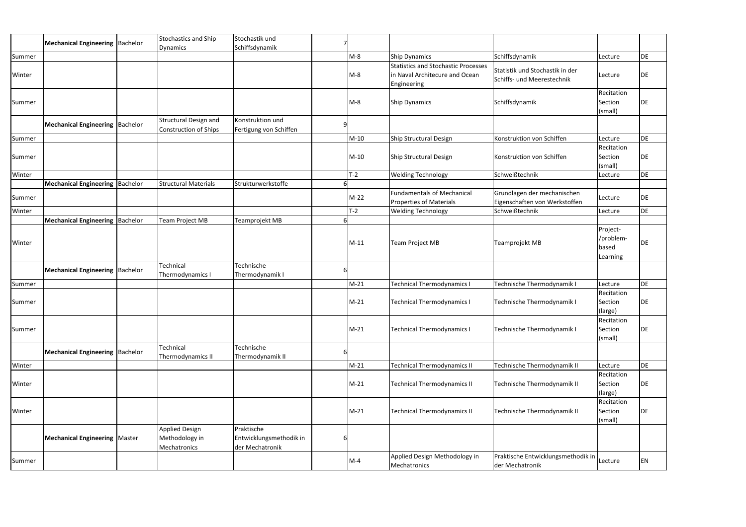|        |                                        |                                                | Stochastik und                             |   |        |                                                                              |                                                               |                                            |           |
|--------|----------------------------------------|------------------------------------------------|--------------------------------------------|---|--------|------------------------------------------------------------------------------|---------------------------------------------------------------|--------------------------------------------|-----------|
|        | Mechanical Engineering   Bachelor      | <b>Stochastics and Ship</b><br><b>Dynamics</b> | Schiffsdynamik                             |   |        |                                                                              |                                                               |                                            |           |
| Summer |                                        |                                                |                                            |   | $M-8$  | <b>Ship Dynamics</b>                                                         | Schiffsdynamik                                                | Lecture                                    | <b>DE</b> |
| Winter |                                        |                                                |                                            |   | $M-8$  | <b>Statistics and Stochastic Processes</b><br>in Naval Architecure and Ocean | Statistik und Stochastik in der                               | Lecture                                    | DE        |
|        |                                        |                                                |                                            |   |        | Engineering                                                                  | Schiffs- und Meerestechnik                                    |                                            |           |
|        |                                        |                                                |                                            |   |        |                                                                              |                                                               | Recitation                                 |           |
| Summer |                                        |                                                |                                            |   | $M-8$  | <b>Ship Dynamics</b>                                                         | Schiffsdynamik                                                | Section<br>(small)                         | DE        |
|        | <b>Mechanical Engineering Bachelor</b> | <b>Structural Design and</b>                   | Konstruktion und                           | Q |        |                                                                              |                                                               |                                            |           |
|        |                                        | <b>Construction of Ships</b>                   | Fertigung von Schiffen                     |   |        |                                                                              |                                                               |                                            |           |
| Summer |                                        |                                                |                                            |   | $M-10$ | Ship Structural Design                                                       | Konstruktion von Schiffen                                     | Lecture                                    | <b>DE</b> |
| Summer |                                        |                                                |                                            |   | $M-10$ | Ship Structural Design                                                       | Konstruktion von Schiffen                                     | Recitation<br>Section                      | DE        |
|        |                                        |                                                |                                            |   |        |                                                                              |                                                               | (small)                                    |           |
| Winter |                                        |                                                |                                            |   | $T-2$  | <b>Welding Technology</b>                                                    | Schweißtechnik                                                | Lecture                                    | <b>DE</b> |
|        | Mechanical Engineering   Bachelor      | <b>Structural Materials</b>                    | Strukturwerkstoffe                         |   |        |                                                                              |                                                               |                                            |           |
| Summer |                                        |                                                |                                            |   | $M-22$ | <b>Fundamentals of Mechanical</b><br><b>Properties of Materials</b>          | Grundlagen der mechanischen<br>Eigenschaften von Werkstoffen  | Lecture                                    | DE        |
| Winter |                                        |                                                |                                            |   | $T-2$  | <b>Welding Technology</b>                                                    | Schweißtechnik                                                | Lecture                                    | DE        |
|        | Mechanical Engineering   Bachelor      | Team Project MB                                | Teamprojekt MB                             |   |        |                                                                              |                                                               |                                            |           |
| Winter |                                        |                                                |                                            |   | $M-11$ | <b>Team Project MB</b>                                                       | Teamprojekt MB                                                | Project-<br>/problem-<br>based<br>Learning | DE        |
|        | <b>Mechanical Engineering Bachelor</b> | Technical<br>Thermodynamics I                  | Technische<br>Thermodynamik I              | b |        |                                                                              |                                                               |                                            |           |
| Summer |                                        |                                                |                                            |   | $M-21$ | Technical Thermodynamics I                                                   | Technische Thermodynamik I                                    | Lecture                                    | <b>DE</b> |
| Summer |                                        |                                                |                                            |   | $M-21$ | <b>Technical Thermodynamics I</b>                                            | Technische Thermodynamik I                                    | Recitation<br>Section<br>(large)           | DE        |
| Summer |                                        |                                                |                                            |   | $M-21$ | <b>Technical Thermodynamics I</b>                                            | Technische Thermodynamik I                                    | Recitation<br>Section<br>(small)           | DE        |
|        | <b>Mechanical Engineering Bachelor</b> | Technical<br>Thermodynamics II                 | Technische<br>Thermodynamik II             |   |        |                                                                              |                                                               |                                            |           |
| Winter |                                        |                                                |                                            |   | $M-21$ | <b>Technical Thermodynamics II</b>                                           | Technische Thermodynamik II                                   | Lecture                                    | DE        |
|        |                                        |                                                |                                            |   |        |                                                                              |                                                               | Recitation                                 |           |
| Winter |                                        |                                                |                                            |   | $M-21$ | <b>Technical Thermodynamics II</b>                                           | Technische Thermodynamik II                                   | Section<br>(large)                         | DE        |
| Winter |                                        |                                                |                                            |   | $M-21$ | <b>Technical Thermodynamics II</b>                                           | Technische Thermodynamik II                                   | Recitation<br>Section                      | DE        |
|        |                                        |                                                |                                            |   |        |                                                                              |                                                               | (small)                                    |           |
|        |                                        | <b>Applied Design</b>                          | Praktische                                 |   |        |                                                                              |                                                               |                                            |           |
|        | <b>Mechanical Engineering   Master</b> | Methodology in<br>Mechatronics                 | Entwicklungsmethodik in<br>der Mechatronik | 6 |        |                                                                              |                                                               |                                            |           |
| Summer |                                        |                                                |                                            |   | $M-4$  | Applied Design Methodology in<br>Mechatronics                                | Praktische Entwicklungsmethodik in Lecture<br>der Mechatronik |                                            | <b>EN</b> |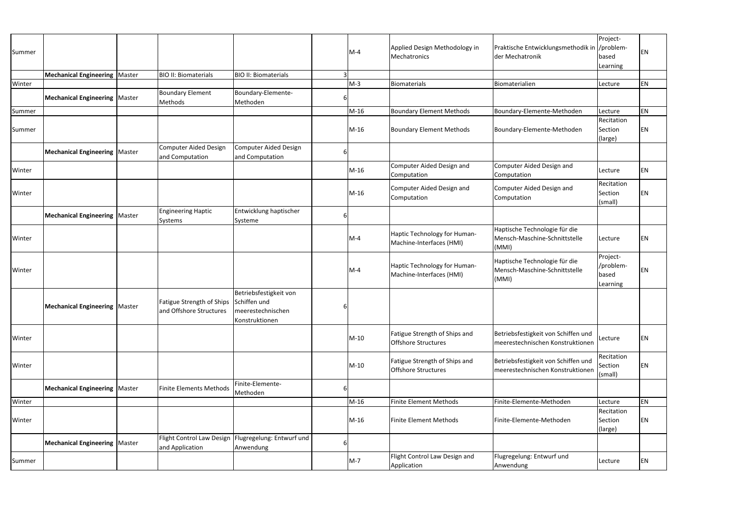| Summer |                                        |                                                             |                                                                               |   | $M-4$  | Applied Design Methodology in<br>Mechatronics               | Praktische Entwicklungsmethodik in  /problem-<br>der Mechatronik        | Project-<br>based<br>Learning              | EN        |
|--------|----------------------------------------|-------------------------------------------------------------|-------------------------------------------------------------------------------|---|--------|-------------------------------------------------------------|-------------------------------------------------------------------------|--------------------------------------------|-----------|
|        | <b>Mechanical Engineering   Master</b> | <b>BIO II: Biomaterials</b>                                 | <b>BIO II: Biomaterials</b>                                                   |   |        |                                                             |                                                                         |                                            |           |
| Winter |                                        |                                                             |                                                                               |   | $M-3$  | <b>Biomaterials</b>                                         | Biomaterialien                                                          | Lecture                                    | EN        |
|        | <b>Mechanical Engineering   Master</b> | <b>Boundary Element</b><br>Methods                          | Boundary-Elemente-<br>Methoden                                                |   |        |                                                             |                                                                         |                                            |           |
| Summer |                                        |                                                             |                                                                               |   | $M-16$ | <b>Boundary Element Methods</b>                             | Boundary-Elemente-Methoden                                              | Lecture                                    | <b>EN</b> |
| Summer |                                        |                                                             |                                                                               |   | $M-16$ | <b>Boundary Element Methods</b>                             | Boundary-Elemente-Methoden                                              | Recitation<br>Section<br>(large)           | <b>EN</b> |
|        | <b>Mechanical Engineering   Master</b> | Computer Aided Design<br>and Computation                    | Computer Aided Design<br>and Computation                                      |   |        |                                                             |                                                                         |                                            |           |
| Winter |                                        |                                                             |                                                                               |   | M-16   | Computer Aided Design and<br>Computation                    | Computer Aided Design and<br>Computation                                | Lecture                                    | <b>EN</b> |
| Winter |                                        |                                                             |                                                                               |   | $M-16$ | Computer Aided Design and<br>Computation                    | Computer Aided Design and<br>Computation                                | Recitation<br>Section<br>(small)           | <b>EN</b> |
|        | <b>Mechanical Engineering   Master</b> | <b>Engineering Haptic</b><br>Systems                        | Entwicklung haptischer<br>Systeme                                             | 6 |        |                                                             |                                                                         |                                            |           |
| Winter |                                        |                                                             |                                                                               |   | $M-4$  | Haptic Technology for Human-<br>Machine-Interfaces (HMI)    | Haptische Technologie für die<br>Mensch-Maschine-Schnittstelle<br>(MMI) | Lecture                                    | EN        |
| Winter |                                        |                                                             |                                                                               |   | $M-4$  | Haptic Technology for Human-<br>Machine-Interfaces (HMI)    | Haptische Technologie für die<br>Mensch-Maschine-Schnittstelle<br>(MMI) | Project-<br>/problem-<br>based<br>Learning | <b>EN</b> |
|        | <b>Mechanical Engineering   Master</b> | <b>Fatigue Strength of Ships</b><br>and Offshore Structures | Betriebsfestigkeit von<br>Schiffen und<br>meerestechnischen<br>Konstruktionen |   |        |                                                             |                                                                         |                                            |           |
| Winter |                                        |                                                             |                                                                               |   | $M-10$ | Fatigue Strength of Ships and<br><b>Offshore Structures</b> | Betriebsfestigkeit von Schiffen und<br>meerestechnischen Konstruktionen | Lecture                                    | <b>EN</b> |
| Winter |                                        |                                                             |                                                                               |   | $M-10$ | Fatigue Strength of Ships and<br><b>Offshore Structures</b> | Betriebsfestigkeit von Schiffen und<br>meerestechnischen Konstruktionen | Recitation<br>Section<br>(small)           | <b>EN</b> |
|        | Mechanical Engineering   Master        | <b>Finite Elements Methods</b>                              | Finite-Elemente-<br>Methoden                                                  | 6 |        |                                                             |                                                                         |                                            |           |
| Winter |                                        |                                                             |                                                                               |   | M-16   | <b>Finite Element Methods</b>                               | Finite-Elemente-Methoden                                                | Lecture                                    | <b>EN</b> |
| Winter |                                        |                                                             |                                                                               |   | $M-16$ | <b>Finite Element Methods</b>                               | Finite-Elemente-Methoden                                                | Recitation<br>Section<br>(large)           | EN        |
|        | <b>Mechanical Engineering   Master</b> | <b>Flight Control Law Design</b><br>and Application         | Flugregelung: Entwurf und<br>Anwendung                                        |   |        |                                                             |                                                                         |                                            |           |
| Summer |                                        |                                                             |                                                                               |   | $M-7$  | Flight Control Law Design and<br>Application                | Flugregelung: Entwurf und<br>Anwendung                                  | Lecture                                    | EN        |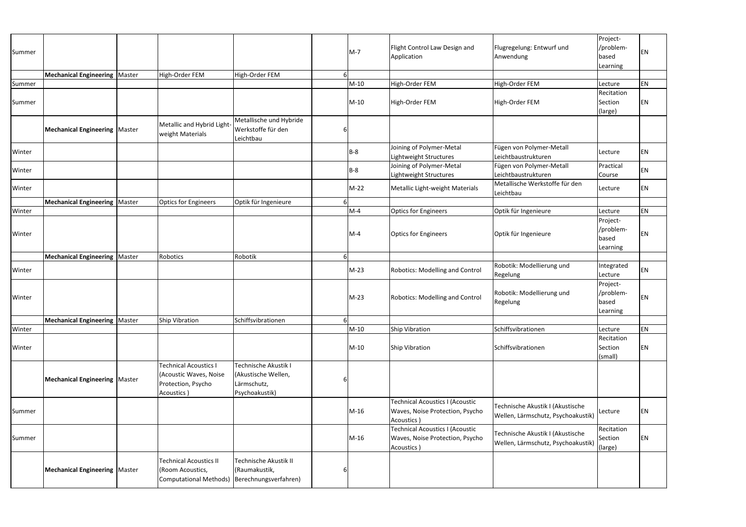| Summer |                                        |                                                                                            |                                                                              |   | $M-7$  | Flight Control Law Design and<br>Application                                            | Flugregelung: Entwurf und<br>Anwendung                                 | Project-<br>/problem-<br>based<br>Learning | <b>EN</b> |
|--------|----------------------------------------|--------------------------------------------------------------------------------------------|------------------------------------------------------------------------------|---|--------|-----------------------------------------------------------------------------------------|------------------------------------------------------------------------|--------------------------------------------|-----------|
|        | <b>Mechanical Engineering   Master</b> | High-Order FEM                                                                             | High-Order FEM                                                               |   |        |                                                                                         |                                                                        |                                            |           |
| Summer |                                        |                                                                                            |                                                                              |   | $M-10$ | High-Order FEM                                                                          | High-Order FEM                                                         | Lecture                                    | <b>EN</b> |
|        |                                        |                                                                                            |                                                                              |   |        |                                                                                         |                                                                        | Recitation                                 |           |
| Summer |                                        |                                                                                            |                                                                              |   | $M-10$ | High-Order FEM                                                                          | High-Order FEM                                                         | Section<br>(large)                         | <b>EN</b> |
|        | <b>Mechanical Engineering   Master</b> | Metallic and Hybrid Light-<br>weight Materials                                             | Metallische und Hybride<br>Werkstoffe für den<br>Leichtbau                   | 6 |        |                                                                                         |                                                                        |                                            |           |
| Winter |                                        |                                                                                            |                                                                              |   | $B-8$  | Joining of Polymer-Metal<br>Lightweight Structures                                      | Fügen von Polymer-Metall<br>Leichtbaustrukturen                        | Lecture                                    | EN        |
| Winter |                                        |                                                                                            |                                                                              |   | $B-8$  | Joining of Polymer-Metal<br>Lightweight Structures                                      | Fügen von Polymer-Metall<br>Leichtbaustrukturen                        | Practical<br>Course                        | <b>EN</b> |
| Winter |                                        |                                                                                            |                                                                              |   | $M-22$ | Metallic Light-weight Materials                                                         | Metallische Werkstoffe für den<br>Leichtbau                            | Lecture                                    | <b>EN</b> |
|        | <b>Mechanical Engineering   Master</b> | <b>Optics for Engineers</b>                                                                | Optik für Ingenieure                                                         |   |        |                                                                                         |                                                                        |                                            |           |
| Winter |                                        |                                                                                            |                                                                              |   | $M-4$  | <b>Optics for Engineers</b>                                                             | Optik für Ingenieure                                                   | Lecture                                    | EN        |
| Winter |                                        |                                                                                            |                                                                              |   | $M-4$  | <b>Optics for Engineers</b>                                                             | Optik für Ingenieure                                                   | Project-<br>/problem-<br>based<br>Learning | EN        |
|        | <b>Mechanical Engineering   Master</b> | Robotics                                                                                   | Robotik                                                                      |   |        |                                                                                         |                                                                        |                                            |           |
| Winter |                                        |                                                                                            |                                                                              |   | M-23   | <b>Robotics: Modelling and Control</b>                                                  | Robotik: Modellierung und<br><b>Regelung</b>                           | Integrated<br>Lecture                      | <b>EN</b> |
| Winter |                                        |                                                                                            |                                                                              |   | $M-23$ | <b>Robotics: Modelling and Control</b>                                                  | Robotik: Modellierung und<br>Regelung                                  | Project-<br>/problem-<br>based<br>Learning | <b>EN</b> |
|        | Mechanical Engineering   Master        | Ship Vibration                                                                             | Schiffsvibrationen                                                           | 6 |        |                                                                                         |                                                                        |                                            |           |
| Winter |                                        |                                                                                            |                                                                              |   | $M-10$ | Ship Vibration                                                                          | Schiffsvibrationen                                                     | Lecture                                    | EN        |
| Winter |                                        |                                                                                            |                                                                              |   | $M-10$ | <b>Ship Vibration</b>                                                                   | Schiffsvibrationen                                                     | Recitation<br>Section<br>(small)           | EN        |
|        | <b>Mechanical Engineering   Master</b> | <b>Technical Acoustics I</b><br>(Acoustic Waves, Noise<br>Protection, Psycho<br>Acoustics) | Technische Akustik I<br>(Akustische Wellen,<br>Lärmschutz,<br>Psychoakustik) | 6 |        |                                                                                         |                                                                        |                                            |           |
| Summer |                                        |                                                                                            |                                                                              |   | $M-16$ | <b>Technical Acoustics I (Acoustic</b><br>Waves, Noise Protection, Psycho<br>Acoustics) | Technische Akustik I (Akustische<br>Wellen, Lärmschutz, Psychoakustik) | Lecture                                    | EN        |
| Summer |                                        |                                                                                            |                                                                              |   | $M-16$ | <b>Technical Acoustics I (Acoustic</b><br>Waves, Noise Protection, Psycho<br>Acoustics) | Technische Akustik I (Akustische<br>Wellen, Lärmschutz, Psychoakustik) | Recitation<br>Section<br>(large)           | <b>EN</b> |
|        | Mechanical Engineering   Master        | <b>Technical Acoustics II</b><br>(Room Acoustics,<br><b>Computational Methods)</b>         | Technische Akustik II<br>(Raumakustik,<br>Berechnungsverfahren)              | 6 |        |                                                                                         |                                                                        |                                            |           |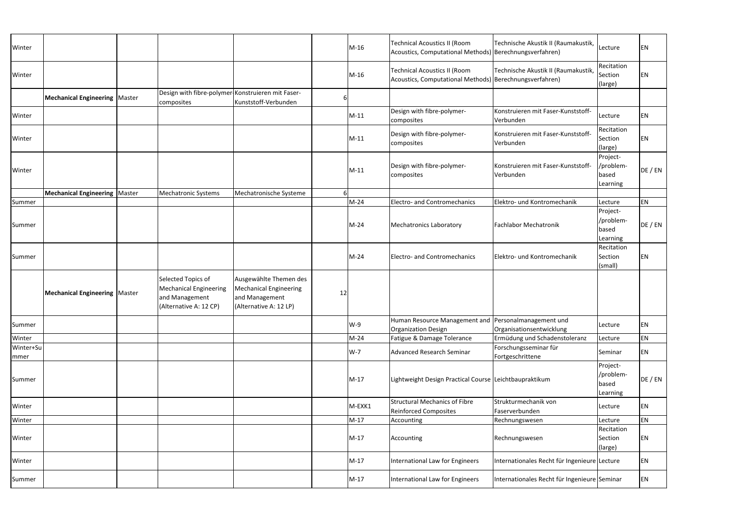| Winter            |                                 |                                                                                                 |                                                                                              |    | $M-16$ | <b>Technical Acoustics II (Room</b><br>Acoustics, Computational Methods) Berechnungsverfahren) | Technische Akustik II (Raumakustik,             | Lecture                                    | ΕN      |
|-------------------|---------------------------------|-------------------------------------------------------------------------------------------------|----------------------------------------------------------------------------------------------|----|--------|------------------------------------------------------------------------------------------------|-------------------------------------------------|--------------------------------------------|---------|
| Winter            |                                 |                                                                                                 |                                                                                              |    | $M-16$ | <b>Technical Acoustics II (Room</b><br>Acoustics, Computational Methods) Berechnungsverfahren) | Technische Akustik II (Raumakustik,             | Recitation<br>Section<br>(large)           | ΕN      |
|                   | Mechanical Engineering   Master | Design with fibre-polymer Konstruieren mit Faser-<br>composites                                 | Kunststoff-Verbunden                                                                         |    |        |                                                                                                |                                                 |                                            |         |
| Winter            |                                 |                                                                                                 |                                                                                              |    | $M-11$ | Design with fibre-polymer-<br>composites                                                       | Konstruieren mit Faser-Kunststoff-<br>Verbunden | Lecture                                    | EN      |
| Winter            |                                 |                                                                                                 |                                                                                              |    | $M-11$ | Design with fibre-polymer-<br>composites                                                       | Konstruieren mit Faser-Kunststoff-<br>Verbunden | Recitation<br>Section<br>(large)           | EN      |
| Winter            |                                 |                                                                                                 |                                                                                              |    | $M-11$ | Design with fibre-polymer-<br>composites                                                       | Konstruieren mit Faser-Kunststoff-<br>Verbunden | Project-<br>/problem-<br>based<br>Learning | DE / EN |
|                   | Mechanical Engineering   Master | Mechatronic Systems                                                                             | Mechatronische Systeme                                                                       |    |        |                                                                                                |                                                 |                                            |         |
| Summer            |                                 |                                                                                                 |                                                                                              |    | $M-24$ | Electro- and Contromechanics                                                                   | Elektro- und Kontromechanik                     | Lecture                                    | EN      |
| Summer            |                                 |                                                                                                 |                                                                                              |    | $M-24$ | <b>Mechatronics Laboratory</b>                                                                 | <b>Fachlabor Mechatronik</b>                    | Project-<br>/problem-<br>based<br>Learning | DE / EN |
| Summer            |                                 |                                                                                                 |                                                                                              |    | $M-24$ | Electro- and Contromechanics                                                                   | Elektro- und Kontromechanik                     | Recitation<br>Section<br>(small)           | EN      |
|                   | Mechanical Engineering   Master | Selected Topics of<br><b>Mechanical Engineering</b><br>and Management<br>(Alternative A: 12 CP) | Ausgewählte Themen des<br>Mechanical Engineering<br>and Management<br>(Alternative A: 12 LP) | 12 |        |                                                                                                |                                                 |                                            |         |
| Summer            |                                 |                                                                                                 |                                                                                              |    | W-9    | Human Resource Management and Personalmanagement und<br><b>Organization Design</b>             | Organisationsentwicklung                        | Lecture                                    | EN      |
| Winter            |                                 |                                                                                                 |                                                                                              |    | $M-24$ | Fatigue & Damage Tolerance                                                                     | Ermüdung und Schadenstoleranz                   | Lecture                                    | EN      |
| Winter+Su<br>mmer |                                 |                                                                                                 |                                                                                              |    | $W-7$  | <b>Advanced Research Seminar</b>                                                               | Forschungsseminar für<br>Fortgeschrittene       | Seminar                                    | EN      |
| Summer            |                                 |                                                                                                 |                                                                                              |    | $M-17$ | Lightweight Design Practical Course Leichtbaupraktikum                                         |                                                 | Project-<br>/problem-<br>based<br>Learning | DE / EN |
| Winter            |                                 |                                                                                                 |                                                                                              |    | M-EXK1 | <b>Structural Mechanics of Fibre</b><br><b>Reinforced Composites</b>                           | Strukturmechanik von<br>Faserverbunden          | Lecture                                    | EN      |
| Winter            |                                 |                                                                                                 |                                                                                              |    | $M-17$ | Accounting                                                                                     | Rechnungswesen                                  | Lecture                                    | EN      |
| Winter            |                                 |                                                                                                 |                                                                                              |    | $M-17$ | Accounting                                                                                     | Rechnungswesen                                  | Recitation<br>Section<br>(large)           | ΕN      |
| Winter            |                                 |                                                                                                 |                                                                                              |    | $M-17$ | International Law for Engineers                                                                | Internationales Recht für Ingenieure Lecture    |                                            | EN      |
| Summer            |                                 |                                                                                                 |                                                                                              |    | $M-17$ | International Law for Engineers                                                                | Internationales Recht für Ingenieure Seminar    |                                            | EN      |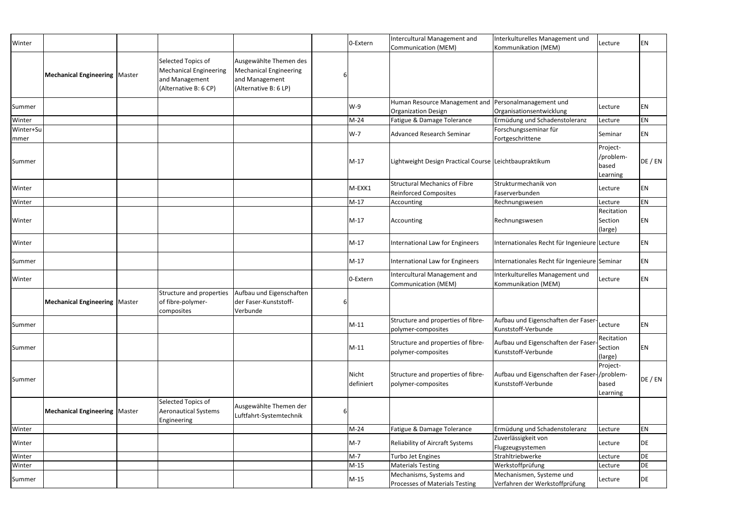| Winter            |                                 |                                                                                                |                                                                                                    | 0-Extern           | Intercultural Management and<br>Communication (MEM)                  | Interkulturelles Management und<br>Kommunikation (MEM)              | Lecture                                    | <b>EN</b> |
|-------------------|---------------------------------|------------------------------------------------------------------------------------------------|----------------------------------------------------------------------------------------------------|--------------------|----------------------------------------------------------------------|---------------------------------------------------------------------|--------------------------------------------|-----------|
|                   | Mechanical Engineering   Master | Selected Topics of<br><b>Mechanical Engineering</b><br>and Management<br>(Alternative B: 6 CP) | Ausgewählte Themen des<br><b>Mechanical Engineering</b><br>and Management<br>(Alternative B: 6 LP) |                    |                                                                      |                                                                     |                                            |           |
| Summer            |                                 |                                                                                                |                                                                                                    | $W-9$              | Human Resource Management and<br><b>Organization Design</b>          | Personalmanagement und<br>Organisationsentwicklung                  | Lecture                                    | EN        |
| Winter            |                                 |                                                                                                |                                                                                                    | $M-24$             | Fatigue & Damage Tolerance                                           | Ermüdung und Schadenstoleranz                                       | Lecture                                    | EN        |
| Winter+Su<br>mmer |                                 |                                                                                                |                                                                                                    | $W-7$              | <b>Advanced Research Seminar</b>                                     | Forschungsseminar für<br>Fortgeschrittene                           | Seminar                                    | EN        |
| Summer            |                                 |                                                                                                |                                                                                                    | $M-17$             | Lightweight Design Practical Course Leichtbaupraktikum               |                                                                     | Project-<br>/problem-<br>based<br>Learning | DE / EN   |
| Winter            |                                 |                                                                                                |                                                                                                    | M-EXK1             | <b>Structural Mechanics of Fibre</b><br><b>Reinforced Composites</b> | Strukturmechanik von<br>Faserverbunden                              | Lecture                                    | EN        |
| Winter            |                                 |                                                                                                |                                                                                                    | $M-17$             | Accounting                                                           | Rechnungswesen                                                      | Lecture                                    | EN        |
| Winter            |                                 |                                                                                                |                                                                                                    | $M-17$             | Accounting                                                           | Rechnungswesen                                                      | Recitation<br>Section<br>(large)           | EN        |
| Winter            |                                 |                                                                                                |                                                                                                    | $M-17$             | International Law for Engineers                                      | Internationales Recht für Ingenieure Lecture                        |                                            | EN        |
| Summer            |                                 |                                                                                                |                                                                                                    | $M-17$             | International Law for Engineers                                      | Internationales Recht für Ingenieure Seminar                        |                                            | EN        |
| Winter            |                                 |                                                                                                |                                                                                                    | 0-Extern           | Intercultural Management and<br>Communication (MEM)                  | Interkulturelles Management und<br>Kommunikation (MEM)              | Lecture                                    | EN        |
|                   | Mechanical Engineering   Master | Structure and properties<br>of fibre-polymer-<br>composites                                    | Aufbau und Eigenschaften<br>der Faser-Kunststoff-<br>Verbunde                                      |                    |                                                                      |                                                                     |                                            |           |
| Summer            |                                 |                                                                                                |                                                                                                    | $M-11$             | Structure and properties of fibre-<br>polymer-composites             | Aufbau und Eigenschaften der Faser-<br>Kunststoff-Verbunde          | Lecture                                    | EN        |
| Summer            |                                 |                                                                                                |                                                                                                    | $M-11$             | Structure and properties of fibre-<br>polymer-composites             | Aufbau und Eigenschaften der Faser<br>Kunststoff-Verbunde           | Recitation<br>Section<br>(large)           | EN        |
| Summer            |                                 |                                                                                                |                                                                                                    | Nicht<br>definiert | Structure and properties of fibre-<br>polymer-composites             | Aufbau und Eigenschaften der Faser-/problem-<br>Kunststoff-Verbunde | Project-<br>based<br>Learning              | DE / EN   |
|                   | Mechanical Engineering   Master | Selected Topics of<br><b>Aeronautical Systems</b><br>Engineering                               | Ausgewählte Themen der<br>Luftfahrt-Systemtechnik                                                  |                    |                                                                      |                                                                     |                                            |           |
| Winter            |                                 |                                                                                                |                                                                                                    | $M-24$             | Fatigue & Damage Tolerance                                           | Ermüdung und Schadenstoleranz                                       | Lecture                                    | EN        |
| Winter            |                                 |                                                                                                |                                                                                                    | $M-7$              | <b>Reliability of Aircraft Systems</b>                               | Zuverlässigkeit von<br>Flugzeugsystemen                             | Lecture                                    | DE        |
| Winter            |                                 |                                                                                                |                                                                                                    | $M-7$              | Turbo Jet Engines                                                    | Strahltriebwerke                                                    | Lecture                                    | DE        |
| Winter            |                                 |                                                                                                |                                                                                                    | $M-15$             | <b>Materials Testing</b>                                             | Werkstoffprüfung                                                    | Lecture                                    | DE        |
| Summer            |                                 |                                                                                                |                                                                                                    | $M-15$             | Mechanisms, Systems and<br>Processes of Materials Testing            | Mechanismen, Systeme und<br>Verfahren der Werkstoffprüfung          | Lecture                                    | DE        |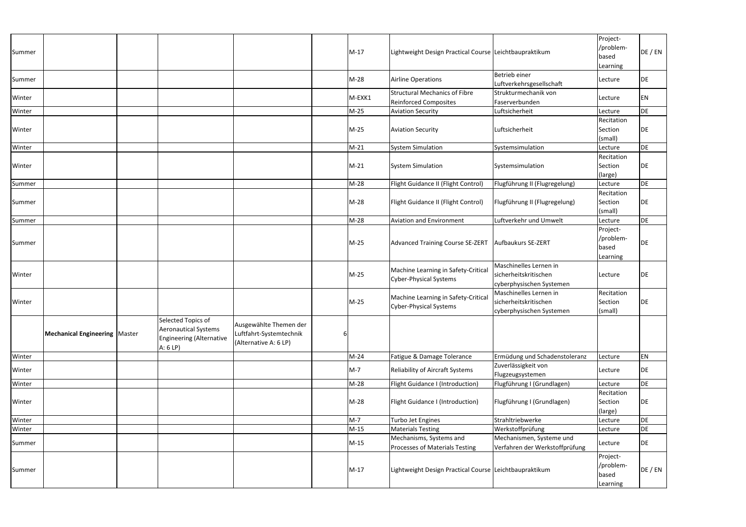| Summer |                                        |                                                                                                 |                                                                            | $M-17$ | Lightweight Design Practical Course Leichtbaupraktikum               |                                                                             | Project-<br>/problem-<br>based<br>Learning | DE / EN   |
|--------|----------------------------------------|-------------------------------------------------------------------------------------------------|----------------------------------------------------------------------------|--------|----------------------------------------------------------------------|-----------------------------------------------------------------------------|--------------------------------------------|-----------|
| Summer |                                        |                                                                                                 |                                                                            | $M-28$ | Airline Operations                                                   | Betrieb einer<br>Luftverkehrsgesellschaft                                   | Lecture                                    | DE        |
| Winter |                                        |                                                                                                 |                                                                            | M-EXK1 | <b>Structural Mechanics of Fibre</b><br><b>Reinforced Composites</b> | Strukturmechanik von<br>Faserverbunden                                      | Lecture                                    | EN        |
| Winter |                                        |                                                                                                 |                                                                            | $M-25$ | <b>Aviation Security</b>                                             | Luftsicherheit                                                              | Lecture                                    | DE        |
| Winter |                                        |                                                                                                 |                                                                            | $M-25$ | <b>Aviation Security</b>                                             | Luftsicherheit                                                              | Recitation<br>Section<br>(small)           | DE        |
| Winter |                                        |                                                                                                 |                                                                            | $M-21$ | <b>System Simulation</b>                                             | Systemsimulation                                                            | Lecture                                    | <b>DE</b> |
| Winter |                                        |                                                                                                 |                                                                            | $M-21$ | <b>System Simulation</b>                                             | Systemsimulation                                                            | Recitation<br>Section<br>(large)           | DE        |
| Summer |                                        |                                                                                                 |                                                                            | $M-28$ | Flight Guidance II (Flight Control)                                  | Flugführung II (Flugregelung)                                               | Lecture                                    | DE        |
| Summer |                                        |                                                                                                 |                                                                            | $M-28$ | Flight Guidance II (Flight Control)                                  | Flugführung II (Flugregelung)                                               | Recitation<br>Section<br>(small)           | DE        |
| Summer |                                        |                                                                                                 |                                                                            | $M-28$ | <b>Aviation and Environment</b>                                      | Luftverkehr und Umwelt                                                      | Lecture                                    | DE        |
| Summer |                                        |                                                                                                 |                                                                            | M-25   | Advanced Training Course SE-ZERT                                     | Aufbaukurs SE-ZERT                                                          | Project-<br>/problem-<br>based<br>Learning | <b>DE</b> |
| Winter |                                        |                                                                                                 |                                                                            | M-25   | Machine Learning in Safety-Critical<br><b>Cyber-Physical Systems</b> | Maschinelles Lernen in<br>sicherheitskritischen<br>cyberphysischen Systemen | Lecture                                    | DE        |
| Winter |                                        |                                                                                                 |                                                                            | $M-25$ | Machine Learning in Safety-Critical<br><b>Cyber-Physical Systems</b> | Maschinelles Lernen in<br>sicherheitskritischen<br>cyberphysischen Systemen | Recitation<br>Section<br>(small)           | DE        |
|        | <b>Mechanical Engineering   Master</b> | Selected Topics of<br><b>Aeronautical Systems</b><br><b>Engineering (Alternative</b><br>A: 6 LP | Ausgewählte Themen der<br>Luftfahrt-Systemtechnik<br>(Alternative A: 6 LP) |        |                                                                      |                                                                             |                                            |           |
| Winter |                                        |                                                                                                 |                                                                            | $M-24$ | Fatigue & Damage Tolerance                                           | Ermüdung und Schadenstoleranz                                               | Lecture                                    | EN        |
| Winter |                                        |                                                                                                 |                                                                            | $M-7$  | Reliability of Aircraft Systems                                      | Zuverlässigkeit von<br>Flugzeugsystemen                                     | Lecture                                    | DE        |
| Winter |                                        |                                                                                                 |                                                                            | $M-28$ | Flight Guidance I (Introduction)                                     | Flugführung I (Grundlagen)                                                  | Lecture                                    | DE        |
| Winter |                                        |                                                                                                 |                                                                            | $M-28$ | Flight Guidance I (Introduction)                                     | Flugführung I (Grundlagen)                                                  | Recitation<br>Section<br>(large)           | DE        |
| Winter |                                        |                                                                                                 |                                                                            | $M-7$  | Turbo Jet Engines                                                    | Strahltriebwerke                                                            | Lecture                                    | DE        |
| Winter |                                        |                                                                                                 |                                                                            | $M-15$ | <b>Materials Testing</b>                                             | Werkstoffprüfung                                                            | Lecture                                    | DE        |
| Summer |                                        |                                                                                                 |                                                                            | $M-15$ | Mechanisms, Systems and<br>Processes of Materials Testing            | Mechanismen, Systeme und<br>Verfahren der Werkstoffprüfung                  | Lecture                                    | DE        |
| Summer |                                        |                                                                                                 |                                                                            | $M-17$ | Lightweight Design Practical Course Leichtbaupraktikum               |                                                                             | Project-<br>/problem-<br>based<br>Learning | DE / EN   |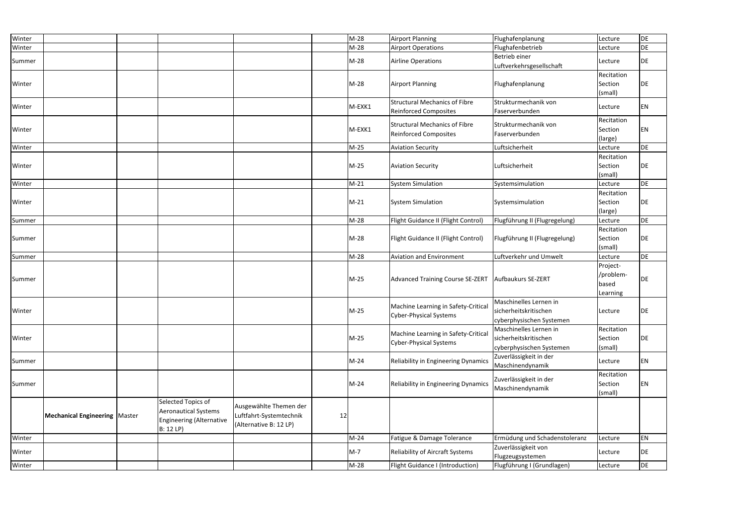| Winter |                                        |                                                                                                  |                                                                             |    | $M-28$ | <b>Airport Planning</b>                                              | Flughafenplanung                                                            | Lecture                                    | DE        |
|--------|----------------------------------------|--------------------------------------------------------------------------------------------------|-----------------------------------------------------------------------------|----|--------|----------------------------------------------------------------------|-----------------------------------------------------------------------------|--------------------------------------------|-----------|
| Winter |                                        |                                                                                                  |                                                                             |    | $M-28$ | <b>Airport Operations</b>                                            | Flughafenbetrieb                                                            | Lecture                                    | DE        |
| Summer |                                        |                                                                                                  |                                                                             |    | $M-28$ | Airline Operations                                                   | Betrieb einer<br>Luftverkehrsgesellschaft                                   | Lecture                                    | DE        |
| Winter |                                        |                                                                                                  |                                                                             |    | $M-28$ | <b>Airport Planning</b>                                              | Flughafenplanung                                                            | Recitation<br>Section<br>(small)           | DE        |
| Winter |                                        |                                                                                                  |                                                                             |    | M-EXK1 | <b>Structural Mechanics of Fibre</b><br><b>Reinforced Composites</b> | Strukturmechanik von<br>Faserverbunden                                      | Lecture                                    | EN        |
| Winter |                                        |                                                                                                  |                                                                             |    | M-EXK1 | <b>Structural Mechanics of Fibre</b><br><b>Reinforced Composites</b> | Strukturmechanik von<br>Faserverbunden                                      | Recitation<br>Section<br>(large)           | EN        |
| Winter |                                        |                                                                                                  |                                                                             |    | $M-25$ | <b>Aviation Security</b>                                             | Luftsicherheit                                                              | Lecture                                    | <b>DE</b> |
| Winter |                                        |                                                                                                  |                                                                             |    | $M-25$ | <b>Aviation Security</b>                                             | Luftsicherheit                                                              | Recitation<br>Section<br>(small)           | DE        |
| Winter |                                        |                                                                                                  |                                                                             |    | $M-21$ | <b>System Simulation</b>                                             | Systemsimulation                                                            | Lecture                                    | DE        |
| Winter |                                        |                                                                                                  |                                                                             |    | $M-21$ | <b>System Simulation</b>                                             | Systemsimulation                                                            | Recitation<br>Section<br>(large)           | DE        |
| Summer |                                        |                                                                                                  |                                                                             |    | M-28   | Flight Guidance II (Flight Control)                                  | Flugführung II (Flugregelung)                                               | Lecture                                    | DE        |
| Summer |                                        |                                                                                                  |                                                                             |    | $M-28$ | Flight Guidance II (Flight Control)                                  | Flugführung II (Flugregelung)                                               | Recitation<br>Section<br>(small)           | DE        |
| Summer |                                        |                                                                                                  |                                                                             |    | $M-28$ | <b>Aviation and Environment</b>                                      | Luftverkehr und Umwelt                                                      | Lecture                                    | DE        |
| Summer |                                        |                                                                                                  |                                                                             |    | M-25   | <b>Advanced Training Course SE-ZERT</b>                              | Aufbaukurs SE-ZERT                                                          | Project-<br>/problem-<br>based<br>Learning | DE        |
| Winter |                                        |                                                                                                  |                                                                             |    | M-25   | Machine Learning in Safety-Critical                                  | Maschinelles Lernen in<br>sicherheitskritischen                             | Lecture                                    | DE        |
|        |                                        |                                                                                                  |                                                                             |    |        | <b>Cyber-Physical Systems</b>                                        | cyberphysischen Systemen                                                    |                                            |           |
| Winter |                                        |                                                                                                  |                                                                             |    | M-25   | Machine Learning in Safety-Critical<br><b>Cyber-Physical Systems</b> | Maschinelles Lernen in<br>sicherheitskritischen<br>cyberphysischen Systemen | Recitation<br>Section<br>(small)           | DE        |
| Summer |                                        |                                                                                                  |                                                                             |    | $M-24$ | Reliability in Engineering Dynamics                                  | Zuverlässigkeit in der<br>Maschinendynamik                                  | Lecture                                    | EN        |
| Summer |                                        |                                                                                                  |                                                                             |    | $M-24$ | Reliability in Engineering Dynamics                                  | Zuverlässigkeit in der<br>Maschinendynamik                                  | Recitation<br>Section<br>(small)           | EN        |
|        | <b>Mechanical Engineering   Master</b> | Selected Topics of<br><b>Aeronautical Systems</b><br><b>Engineering (Alternative</b><br>B: 12 LP | Ausgewählte Themen der<br>Luftfahrt-Systemtechnik<br>(Alternative B: 12 LP) | 12 |        |                                                                      |                                                                             |                                            |           |
| Winter |                                        |                                                                                                  |                                                                             |    | $M-24$ | Fatigue & Damage Tolerance                                           | Ermüdung und Schadenstoleranz                                               | Lecture                                    | EN        |
| Winter |                                        |                                                                                                  |                                                                             |    | $M-7$  | Reliability of Aircraft Systems                                      | Zuverlässigkeit von<br>Flugzeugsystemen                                     | Lecture                                    | DE        |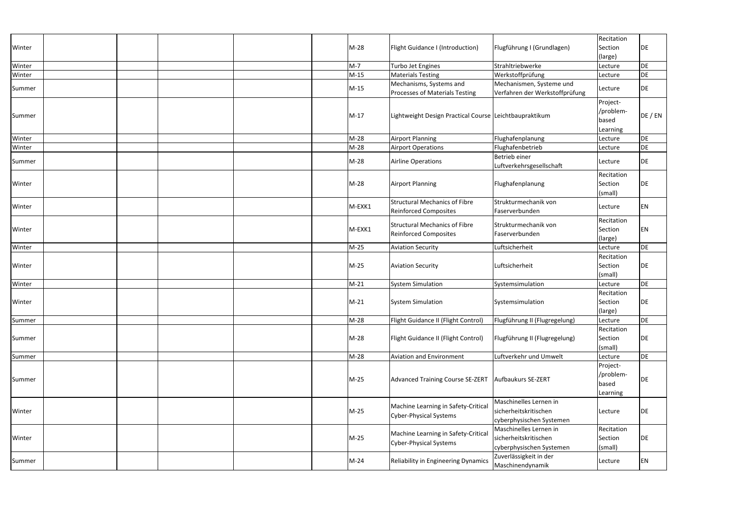|        |  |  |        |                                                                      |                                                                             | Recitation                                 |         |
|--------|--|--|--------|----------------------------------------------------------------------|-----------------------------------------------------------------------------|--------------------------------------------|---------|
|        |  |  | $M-28$ |                                                                      |                                                                             | Section                                    | DE      |
| Winter |  |  |        | <b>Flight Guidance I (Introduction)</b>                              | Flugführung I (Grundlagen)                                                  |                                            |         |
|        |  |  |        |                                                                      |                                                                             | (large)                                    |         |
| Winter |  |  | $M-7$  | Turbo Jet Engines                                                    | Strahltriebwerke                                                            | Lecture                                    | DE      |
| Winter |  |  | $M-15$ | <b>Materials Testing</b>                                             | Werkstoffprüfung                                                            | Lecture                                    | DE      |
| Summer |  |  | $M-15$ | Mechanisms, Systems and<br>Processes of Materials Testing            | Mechanismen, Systeme und<br>Verfahren der Werkstoffprüfung                  | Lecture                                    | DE      |
| Summer |  |  | M-17   | Lightweight Design Practical Course Leichtbaupraktikum               |                                                                             | Project-<br>/problem-<br>based<br>Learning | DE / EN |
| Winter |  |  | $M-28$ | <b>Airport Planning</b>                                              | Flughafenplanung                                                            | Lecture                                    | DE      |
| Winter |  |  | $M-28$ | <b>Airport Operations</b>                                            | Flughafenbetrieb                                                            | Lecture                                    | DE      |
| Summer |  |  | $M-28$ | Airline Operations                                                   | Betrieb einer<br>Luftverkehrsgesellschaft                                   | Lecture                                    | DE      |
| Winter |  |  | $M-28$ | <b>Airport Planning</b>                                              | Flughafenplanung                                                            | Recitation<br>Section<br>(small)           | DE      |
| Winter |  |  | M-EXK1 | <b>Structural Mechanics of Fibre</b><br><b>Reinforced Composites</b> | Strukturmechanik von<br>Faserverbunden                                      | Lecture                                    | EN      |
| Winter |  |  | M-EXK1 | <b>Structural Mechanics of Fibre</b><br><b>Reinforced Composites</b> | Strukturmechanik von<br>Faserverbunden                                      | Recitation<br>Section<br>(large)           | EN      |
| Winter |  |  | $M-25$ | <b>Aviation Security</b>                                             | Luftsicherheit                                                              | Lecture                                    | DE      |
| Winter |  |  | $M-25$ | <b>Aviation Security</b>                                             | Luftsicherheit                                                              | Recitation<br>Section<br>(small)           | DE      |
| Winter |  |  | $M-21$ | <b>System Simulation</b>                                             | Systemsimulation                                                            | Lecture                                    | DE      |
| Winter |  |  | $M-21$ | <b>System Simulation</b>                                             | Systemsimulation                                                            | Recitation<br>Section<br>(large)           | DE      |
| Summer |  |  | $M-28$ | Flight Guidance II (Flight Control)                                  | Flugführung II (Flugregelung)                                               | Lecture                                    | DE      |
| Summer |  |  | $M-28$ | Flight Guidance II (Flight Control)                                  | Flugführung II (Flugregelung)                                               | Recitation<br>Section<br>(small)           | DE      |
| Summer |  |  | $M-28$ | Aviation and Environment                                             | Luftverkehr und Umwelt                                                      | Lecture                                    | DE      |
| Summer |  |  | $M-25$ | Advanced Training Course SE-ZERT                                     | Aufbaukurs SE-ZERT                                                          | Project-<br>/problem-<br>based<br>Learning | DE      |
| Winter |  |  | M-25   | Machine Learning in Safety-Critical<br><b>Cyber-Physical Systems</b> | Maschinelles Lernen in<br>sicherheitskritischen<br>cyberphysischen Systemen | Lecture                                    | DE      |
| Winter |  |  | $M-25$ | Machine Learning in Safety-Critical<br><b>Cyber-Physical Systems</b> | Maschinelles Lernen in<br>sicherheitskritischen<br>cyberphysischen Systemen | Recitation<br>Section<br>(small)           | DE      |
| Summer |  |  | $M-24$ | Reliability in Engineering Dynamics                                  | Zuverlässigkeit in der<br>Maschinendynamik                                  | Lecture                                    | EN      |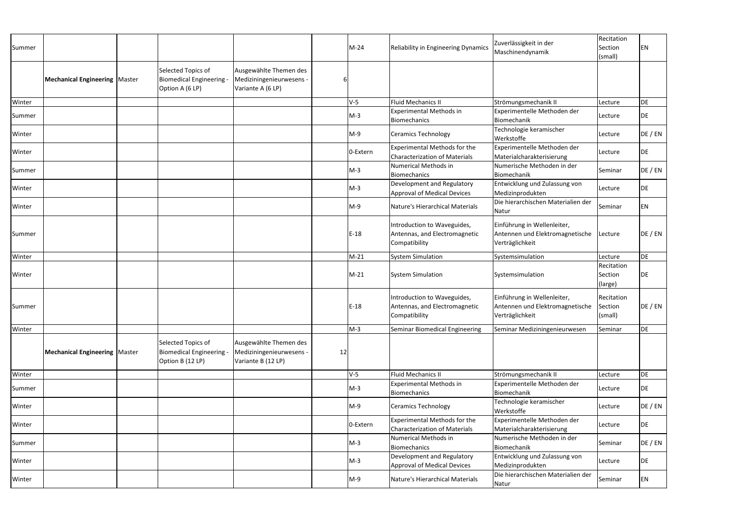| Summer |                                        |                                                                    |                                                                          |    | M-24     | <b>Reliability in Engineering Dynamics</b>                                    | Zuverlässigkeit in der<br>Maschinendynamik                                        | Recitation<br>Section<br>(small) | EN        |
|--------|----------------------------------------|--------------------------------------------------------------------|--------------------------------------------------------------------------|----|----------|-------------------------------------------------------------------------------|-----------------------------------------------------------------------------------|----------------------------------|-----------|
|        | <b>Mechanical Engineering   Master</b> | Selected Topics of<br>Biomedical Engineering -<br>Option A (6 LP)  | Ausgewählte Themen des<br>Mediziningenieurwesens -<br>Variante A (6 LP)  |    |          |                                                                               |                                                                                   |                                  |           |
| Winter |                                        |                                                                    |                                                                          |    | $V-5$    | Fluid Mechanics II                                                            | Strömungsmechanik II                                                              | Lecture                          | <b>DE</b> |
| Summer |                                        |                                                                    |                                                                          |    | $M-3$    | <b>Experimental Methods in</b><br>Biomechanics                                | Experimentelle Methoden der<br>Biomechanik                                        | Lecture                          | DE        |
| Winter |                                        |                                                                    |                                                                          |    | $M-9$    | Ceramics Technology                                                           | Technologie keramischer<br>Werkstoffe                                             | Lecture                          | DE / EN   |
| Winter |                                        |                                                                    |                                                                          |    | 0-Extern | <b>Experimental Methods for the</b><br><b>Characterization of Materials</b>   | Experimentelle Methoden der<br>Materialcharakterisierung                          | Lecture                          | DE        |
| Summer |                                        |                                                                    |                                                                          |    | $M-3$    | Numerical Methods in<br>Biomechanics                                          | Numerische Methoden in der<br>Biomechanik                                         | Seminar                          | DE / EN   |
| Winter |                                        |                                                                    |                                                                          |    | $M-3$    | Development and Regulatory<br>Approval of Medical Devices                     | Entwicklung und Zulassung von<br>Medizinprodukten                                 | Lecture                          | DE        |
| Winter |                                        |                                                                    |                                                                          |    | $M-9$    | Nature's Hierarchical Materials                                               | Die hierarchischen Materialien der<br>Natur                                       | Seminar                          | EN        |
| Summer |                                        |                                                                    |                                                                          |    | $E-18$   | Introduction to Waveguides,<br>Antennas, and Electromagnetic<br>Compatibility | Einführung in Wellenleiter,<br>Antennen und Elektromagnetische<br>Verträglichkeit | Lecture                          | DE / EN   |
| Winter |                                        |                                                                    |                                                                          |    | $M-21$   | <b>System Simulation</b>                                                      | Systemsimulation                                                                  | Lecture                          | DE        |
| Winter |                                        |                                                                    |                                                                          |    | $M-21$   | <b>System Simulation</b>                                                      | Systemsimulation                                                                  | Recitation<br>Section<br>(large) | DE        |
| Summer |                                        |                                                                    |                                                                          |    | $E-18$   | Introduction to Waveguides,<br>Antennas, and Electromagnetic<br>Compatibility | Einführung in Wellenleiter,<br>Antennen und Elektromagnetische<br>Verträglichkeit | Recitation<br>Section<br>(small) | DE / EN   |
| Winter |                                        |                                                                    |                                                                          |    | $M-3$    | Seminar Biomedical Engineering                                                | Seminar Mediziningenieurwesen                                                     | Seminar                          | DE        |
|        | <b>Mechanical Engineering   Master</b> | Selected Topics of<br>Biomedical Engineering -<br>Option B (12 LP) | Ausgewählte Themen des<br>Mediziningenieurwesens -<br>Variante B (12 LP) | 12 |          |                                                                               |                                                                                   |                                  |           |
| Winter |                                        |                                                                    |                                                                          |    | $V-5$    | <b>Fluid Mechanics II</b>                                                     | Strömungsmechanik II                                                              | Lecture                          | <b>DE</b> |
| Summer |                                        |                                                                    |                                                                          |    | $M-3$    | <b>Experimental Methods in</b><br>Biomechanics                                | Experimentelle Methoden der<br>Biomechanik                                        | Lecture                          | DE        |
| Winter |                                        |                                                                    |                                                                          |    | M-9      | <b>Ceramics Technology</b>                                                    | Technologie keramischer<br>Werkstoffe                                             | Lecture                          | DE / EN   |
| Winter |                                        |                                                                    |                                                                          |    | 0-Extern | <b>Experimental Methods for the</b><br><b>Characterization of Materials</b>   | Experimentelle Methoden der<br>Materialcharakterisierung                          | Lecture                          | DE        |
| Summer |                                        |                                                                    |                                                                          |    | $M-3$    | Numerical Methods in<br>Biomechanics                                          | Numerische Methoden in der<br>Biomechanik                                         | Seminar                          | DE / EN   |
| Winter |                                        |                                                                    |                                                                          |    | $M-3$    | Development and Regulatory<br><b>Approval of Medical Devices</b>              | Entwicklung und Zulassung von<br>Medizinprodukten                                 | Lecture                          | DE        |
| Winter |                                        |                                                                    |                                                                          |    | M-9      | Nature's Hierarchical Materials                                               | Die hierarchischen Materialien der<br>Natur                                       | Seminar                          | EN        |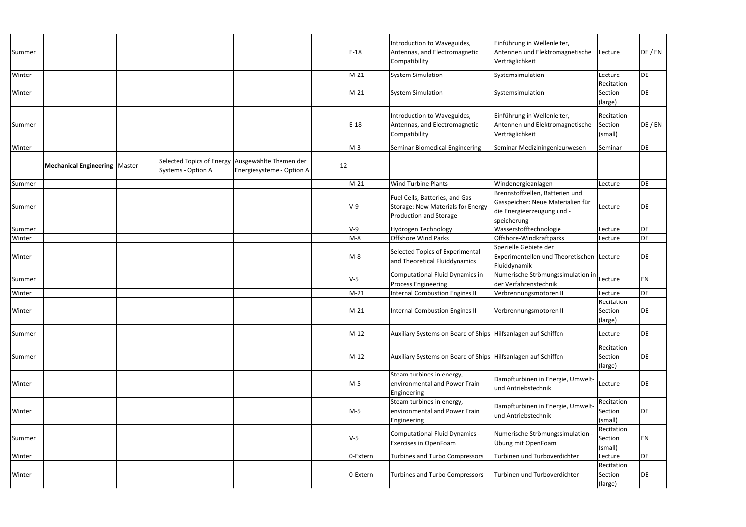| Summer |                                        |                                                                        |                           |    | $E-18$   | Introduction to Waveguides,<br>Antennas, and Electromagnetic<br>Compatibility                 | Einführung in Wellenleiter,<br>Antennen und Elektromagnetische<br>Verträglichkeit                                 | Lecture                          | DE / EN   |
|--------|----------------------------------------|------------------------------------------------------------------------|---------------------------|----|----------|-----------------------------------------------------------------------------------------------|-------------------------------------------------------------------------------------------------------------------|----------------------------------|-----------|
| Winter |                                        |                                                                        |                           |    | $M-21$   | <b>System Simulation</b>                                                                      | Systemsimulation                                                                                                  | Lecture                          | DE        |
|        |                                        |                                                                        |                           |    |          |                                                                                               |                                                                                                                   | Recitation                       |           |
| Winter |                                        |                                                                        |                           |    | $M-21$   | <b>System Simulation</b>                                                                      | Systemsimulation                                                                                                  | Section<br>(large)               | DE        |
| Summer |                                        |                                                                        |                           |    | $E-18$   | Introduction to Waveguides,<br>Antennas, and Electromagnetic<br>Compatibility                 | Einführung in Wellenleiter,<br>Antennen und Elektromagnetische<br>Verträglichkeit                                 | Recitation<br>Section<br>(small) | DE / EN   |
| Winter |                                        |                                                                        |                           |    | $M-3$    | Seminar Biomedical Engineering                                                                | Seminar Mediziningenieurwesen                                                                                     | Seminar                          | <b>DE</b> |
|        | <b>Mechanical Engineering   Master</b> | Selected Topics of Energy Ausgewählte Themen der<br>Systems - Option A | Energiesysteme - Option A | 12 |          |                                                                                               |                                                                                                                   |                                  |           |
| Summer |                                        |                                                                        |                           |    | $M-21$   | Wind Turbine Plants                                                                           | Windenergieanlagen                                                                                                | Lecture                          | DE        |
| Summer |                                        |                                                                        |                           |    | $V-9$    | Fuel Cells, Batteries, and Gas<br>Storage: New Materials for Energy<br>Production and Storage | Brennstoffzellen, Batterien und<br>Gasspeicher: Neue Materialien für<br>die Energieerzeugung und -<br>speicherung | Lecture                          | DE        |
| Summer |                                        |                                                                        |                           |    | $V-9$    | Hydrogen Technology                                                                           | Wasserstofftechnologie                                                                                            | Lecture                          | DE        |
| Winter |                                        |                                                                        |                           |    | $M-8$    | <b>Offshore Wind Parks</b>                                                                    | Offshore-Windkraftparks                                                                                           | Lecture                          | DE        |
| Winter |                                        |                                                                        |                           |    | $M-8$    | Selected Topics of Experimental<br>and Theoretical Fluiddynamics                              | Spezielle Gebiete der<br>Experimentellen und Theoretischen Lecture<br>Fluiddynamik                                |                                  | DE        |
| Summer |                                        |                                                                        |                           |    | $V-5$    | Computational Fluid Dynamics in<br><b>Process Engineering</b>                                 | Numerische Strömungssimulation in Lecture<br>der Verfahrenstechnik                                                |                                  | EN        |
| Winter |                                        |                                                                        |                           |    | $M-21$   | <b>Internal Combustion Engines II</b>                                                         | Verbrennungsmotoren II                                                                                            | Lecture                          | DE        |
| Winter |                                        |                                                                        |                           |    | $M-21$   | <b>Internal Combustion Engines II</b>                                                         | Verbrennungsmotoren II                                                                                            | Recitation<br>Section<br>(large) | DE        |
| Summer |                                        |                                                                        |                           |    | $M-12$   | Auxiliary Systems on Board of Ships   Hilfsanlagen auf Schiffen                               |                                                                                                                   | Lecture                          | DE        |
| Summer |                                        |                                                                        |                           |    | $M-12$   | Auxiliary Systems on Board of Ships Hilfsanlagen auf Schiffen                                 |                                                                                                                   | Recitation<br>Section<br>(large) | DE        |
| Winter |                                        |                                                                        |                           |    | $M-5$    | Steam turbines in energy,<br>environmental and Power Train<br>Engineering                     | Dampfturbinen in Energie, Umwelt-<br>und Antriebstechnik                                                          | Lecture                          | DE        |
| Winter |                                        |                                                                        |                           |    | M-5      | Steam turbines in energy,<br>environmental and Power Train<br>Engineering                     | Dampfturbinen in Energie, Umwelt-<br>und Antriebstechnik                                                          | Recitation<br>Section<br>(small) | DE        |
| Summer |                                        |                                                                        |                           |    | $V-5$    | <b>Computational Fluid Dynamics -</b><br>Exercises in OpenFoam                                | Numerische Strömungssimulation<br>Übung mit OpenFoam                                                              | Recitation<br>Section<br>(small) | ΕN        |
| Winter |                                        |                                                                        |                           |    | 0-Extern | <b>Turbines and Turbo Compressors</b>                                                         | Turbinen und Turboverdichter                                                                                      | Lecture                          | DE        |
| Winter |                                        |                                                                        |                           |    | 0-Extern | <b>Turbines and Turbo Compressors</b>                                                         | Turbinen und Turboverdichter                                                                                      | Recitation<br>Section<br>(large) | DE        |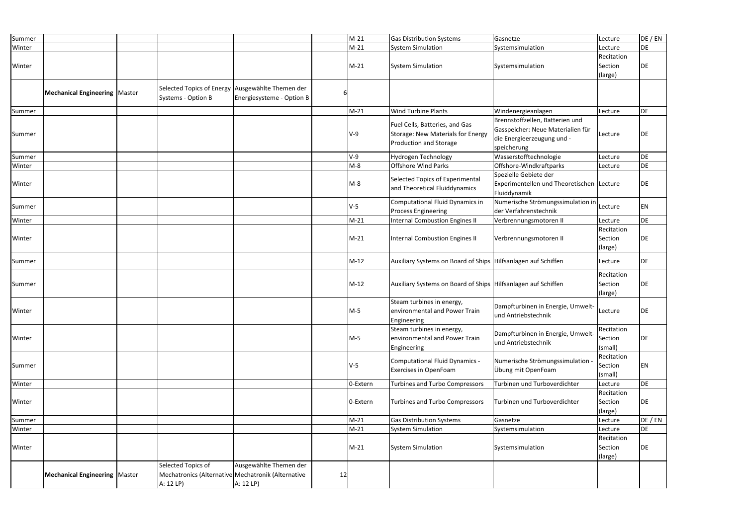| Summer |                                        |                                                                                       |                                     |    | $M-21$   | <b>Gas Distribution Systems</b>                                                               | Gasnetze                                                                                                          | Lecture                          | DE / EN   |
|--------|----------------------------------------|---------------------------------------------------------------------------------------|-------------------------------------|----|----------|-----------------------------------------------------------------------------------------------|-------------------------------------------------------------------------------------------------------------------|----------------------------------|-----------|
| Winter |                                        |                                                                                       |                                     |    | $M-21$   | <b>System Simulation</b>                                                                      | Systemsimulation                                                                                                  | Lecture                          | DE        |
| Winter |                                        |                                                                                       |                                     |    | $M-21$   | <b>System Simulation</b>                                                                      | Systemsimulation                                                                                                  | Recitation<br>Section<br>(large) | DE        |
|        | <b>Mechanical Engineering   Master</b> | Selected Topics of Energy Ausgewählte Themen der<br>Systems - Option B                | Energiesysteme - Option B           |    |          |                                                                                               |                                                                                                                   |                                  |           |
| Summer |                                        |                                                                                       |                                     |    | $M-21$   | Wind Turbine Plants                                                                           | Windenergieanlagen                                                                                                | Lecture                          | DE        |
| Summer |                                        |                                                                                       |                                     |    | $V-9$    | Fuel Cells, Batteries, and Gas<br>Storage: New Materials for Energy<br>Production and Storage | Brennstoffzellen, Batterien und<br>Gasspeicher: Neue Materialien für<br>die Energieerzeugung und -<br>speicherung | Lecture                          | <b>DE</b> |
| Summer |                                        |                                                                                       |                                     |    | $V-9$    | Hydrogen Technology                                                                           | Wasserstofftechnologie                                                                                            | Lecture                          | DE        |
| Winter |                                        |                                                                                       |                                     |    | $M-8$    | <b>Offshore Wind Parks</b>                                                                    | Offshore-Windkraftparks                                                                                           | Lecture                          | DE        |
| Winter |                                        |                                                                                       |                                     |    | $M-8$    | Selected Topics of Experimental<br>and Theoretical Fluiddynamics                              | Spezielle Gebiete der<br>Experimentellen und Theoretischen   Lecture<br>Fluiddynamik                              |                                  | DE        |
| Summer |                                        |                                                                                       |                                     |    | $V-5$    | Computational Fluid Dynamics in<br><b>Process Engineering</b>                                 | Numerische Strömungssimulation in<br>der Verfahrenstechnik                                                        | Lecture                          | EN        |
| Winter |                                        |                                                                                       |                                     |    | $M-21$   | <b>Internal Combustion Engines II</b>                                                         | Verbrennungsmotoren II                                                                                            | Lecture                          | DE        |
| Winter |                                        |                                                                                       |                                     |    | $M-21$   | <b>Internal Combustion Engines II</b>                                                         | Verbrennungsmotoren II                                                                                            | Recitation<br>Section<br>(large) | DE        |
| Summer |                                        |                                                                                       |                                     |    | $M-12$   | Auxiliary Systems on Board of Ships Hilfsanlagen auf Schiffen                                 |                                                                                                                   | Lecture                          | DE        |
| Summer |                                        |                                                                                       |                                     |    | $M-12$   | Auxiliary Systems on Board of Ships Hilfsanlagen auf Schiffen                                 |                                                                                                                   | Recitation<br>Section<br>(large) | DE        |
| Winter |                                        |                                                                                       |                                     |    | $M-5$    | Steam turbines in energy,<br>environmental and Power Train<br>Engineering                     | Dampfturbinen in Energie, Umwelt-<br>und Antriebstechnik                                                          | Lecture                          | <b>DE</b> |
| Winter |                                        |                                                                                       |                                     |    | $M-5$    | Steam turbines in energy,<br>environmental and Power Train<br>Engineering                     | Dampfturbinen in Energie, Umwelt-<br>und Antriebstechnik                                                          | Recitation<br>Section<br>(small) | DE        |
| Summer |                                        |                                                                                       |                                     |    | $V-5$    | <b>Computational Fluid Dynamics -</b><br><b>Exercises in OpenFoam</b>                         | Numerische Strömungssimulation<br>Übung mit OpenFoam                                                              | Recitation<br>Section<br>(small) | EN        |
| Winter |                                        |                                                                                       |                                     |    | 0-Extern | <b>Turbines and Turbo Compressors</b>                                                         | Turbinen und Turboverdichter                                                                                      | Lecture                          | DE        |
| Winter |                                        |                                                                                       |                                     |    | 0-Extern | <b>Turbines and Turbo Compressors</b>                                                         | Turbinen und Turboverdichter                                                                                      | Recitation<br>Section<br>(large) | DE        |
| Summer |                                        |                                                                                       |                                     |    | $M-21$   | <b>Gas Distribution Systems</b>                                                               | Gasnetze                                                                                                          | Lecture                          | DE / EN   |
| Winter |                                        |                                                                                       |                                     |    | $M-21$   | <b>System Simulation</b>                                                                      | Systemsimulation                                                                                                  | Lecture                          | DE        |
| Winter |                                        |                                                                                       |                                     |    | $M-21$   | <b>System Simulation</b>                                                                      | Systemsimulation                                                                                                  | Recitation<br>Section<br>(large) | DE        |
|        | <b>Mechanical Engineering   Master</b> | Selected Topics of<br>Mechatronics (Alternative Mechatronik (Alternative<br>A: 12 LP) | Ausgewählte Themen der<br>A: 12 LP) | 12 |          |                                                                                               |                                                                                                                   |                                  |           |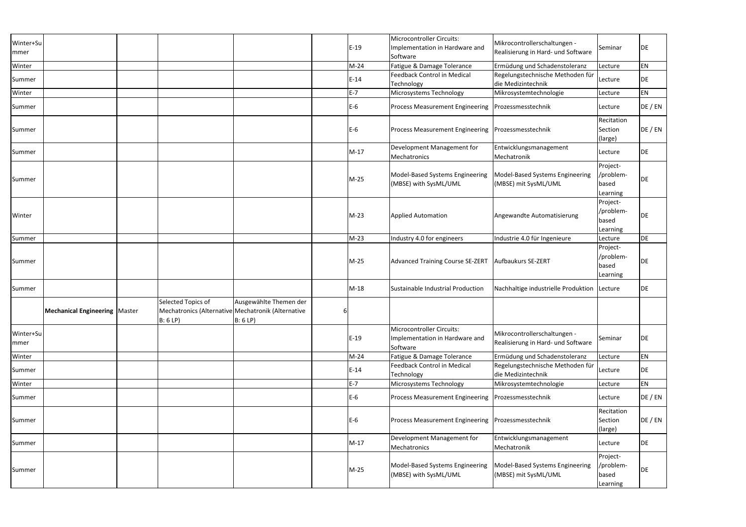| Winter+Su<br>mmer |                                        |                                                                                     |                                   |   | $E-19$ | Microcontroller Circuits:<br>Implementation in Hardware and<br>Software | Mikrocontrollerschaltungen -<br>Realisierung in Hard- und Software | Seminar                                    | DE        |
|-------------------|----------------------------------------|-------------------------------------------------------------------------------------|-----------------------------------|---|--------|-------------------------------------------------------------------------|--------------------------------------------------------------------|--------------------------------------------|-----------|
| Winter            |                                        |                                                                                     |                                   |   | $M-24$ | Fatigue & Damage Tolerance                                              | Ermüdung und Schadenstoleranz                                      | Lecture                                    | EN        |
| Summer            |                                        |                                                                                     |                                   |   | $E-14$ | <b>Feedback Control in Medical</b><br>Technology                        | Regelungstechnische Methoden für<br>die Medizintechnik             | Lecture                                    | DE        |
| Winter            |                                        |                                                                                     |                                   |   | E-7    | Microsystems Technology                                                 | Mikrosystemtechnologie                                             | Lecture                                    | EN        |
| Summer            |                                        |                                                                                     |                                   |   | $E-6$  | <b>Process Measurement Engineering</b>                                  | Prozessmesstechnik                                                 | Lecture                                    | DE / EN   |
| Summer            |                                        |                                                                                     |                                   |   | $E-6$  | <b>Process Measurement Engineering</b>                                  | Prozessmesstechnik                                                 | Recitation<br>Section<br>(large)           | DE / EN   |
| Summer            |                                        |                                                                                     |                                   |   | $M-17$ | Development Management for<br>Mechatronics                              | Entwicklungsmanagement<br>Mechatronik                              | Lecture                                    | DE        |
| Summer            |                                        |                                                                                     |                                   |   | $M-25$ | Model-Based Systems Engineering<br>(MBSE) with SysML/UML                | Model-Based Systems Engineering<br>(MBSE) mit SysML/UML            | Project-<br>/problem-<br>based<br>Learning | <b>DE</b> |
| Winter            |                                        |                                                                                     |                                   |   | $M-23$ | <b>Applied Automation</b>                                               | Angewandte Automatisierung                                         | Project-<br>/problem-<br>based<br>Learning | <b>DE</b> |
| Summer            |                                        |                                                                                     |                                   |   | $M-23$ | Industry 4.0 for engineers                                              | Industrie 4.0 für Ingenieure                                       | Lecture                                    | DE        |
| Summer            |                                        |                                                                                     |                                   |   | $M-25$ | <b>Advanced Training Course SE-ZERT</b>                                 | Aufbaukurs SE-ZERT                                                 | Project-<br>/problem-<br>based<br>Learning | DE        |
| Summer            |                                        |                                                                                     |                                   |   | $M-18$ | Sustainable Industrial Production                                       | Nachhaltige industrielle Produktion                                | Lecture                                    | DE        |
|                   | <b>Mechanical Engineering   Master</b> | Selected Topics of<br>Mechatronics (Alternative Mechatronik (Alternative<br>B: 6 LP | Ausgewählte Themen der<br>B: 6 LP | 6 |        |                                                                         |                                                                    |                                            |           |
| Winter+Su<br>mmer |                                        |                                                                                     |                                   |   | $E-19$ | Microcontroller Circuits:<br>Implementation in Hardware and<br>Software | Mikrocontrollerschaltungen -<br>Realisierung in Hard- und Software | Seminar                                    | DE        |
| Winter            |                                        |                                                                                     |                                   |   | $M-24$ | Fatigue & Damage Tolerance                                              | Ermüdung und Schadenstoleranz                                      | Lecture                                    | EN        |
| Summer            |                                        |                                                                                     |                                   |   | $E-14$ | <b>Feedback Control in Medical</b><br>Technology                        | Regelungstechnische Methoden für<br>die Medizintechnik             | Lecture                                    | DE        |
| Winter            |                                        |                                                                                     |                                   |   | $E-7$  | Microsystems Technology                                                 | Mikrosystemtechnologie                                             | Lecture                                    | EN        |
| Summer            |                                        |                                                                                     |                                   |   | $E-6$  | <b>Process Measurement Engineering</b>                                  | Prozessmesstechnik                                                 | Lecture                                    | DE / EN   |
| Summer            |                                        |                                                                                     |                                   |   | $E-6$  | <b>Process Measurement Engineering</b>                                  | Prozessmesstechnik                                                 | Recitation<br>Section<br>(large)           | DE / EN   |
| Summer            |                                        |                                                                                     |                                   |   | $M-17$ | Development Management for<br>Mechatronics                              | Entwicklungsmanagement<br>Mechatronik                              | Lecture                                    | DE        |
| Summer            |                                        |                                                                                     |                                   |   | $M-25$ | Model-Based Systems Engineering<br>(MBSE) with SysML/UML                | Model-Based Systems Engineering<br>(MBSE) mit SysML/UML            | Project-<br>/problem-<br>based<br>Learning | DE        |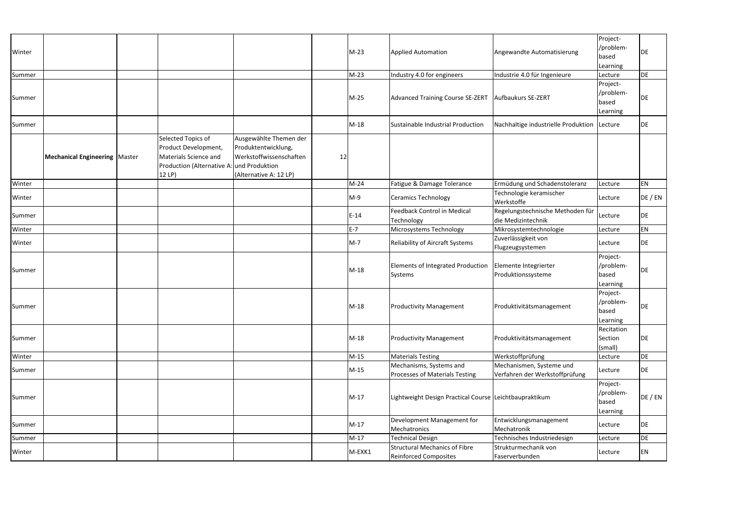| Winter |                                        |                                                                                                                            |                                                                                                    |    | $M-23$ | <b>Applied Automation</b>                                     | Angewandte Automatisierung                                 | Project-<br>/problem-<br>based<br>Learning | DE         |
|--------|----------------------------------------|----------------------------------------------------------------------------------------------------------------------------|----------------------------------------------------------------------------------------------------|----|--------|---------------------------------------------------------------|------------------------------------------------------------|--------------------------------------------|------------|
| Summer |                                        |                                                                                                                            |                                                                                                    |    | $M-23$ | Industry 4.0 for engineers                                    | Industrie 4.0 für Ingenieure                               | Lecture                                    | DE         |
| Summer |                                        |                                                                                                                            |                                                                                                    |    | M-25   | Advanced Training Course SE-ZERT                              | Aufbaukurs SE-ZERT                                         | Project-<br>/problem-<br>based<br>Learning | DE         |
| Summer |                                        |                                                                                                                            |                                                                                                    |    | $M-18$ | Sustainable Industrial Production                             | Nachhaltige industrielle Produktion                        | Lecture                                    | DE         |
|        | <b>Mechanical Engineering   Master</b> | Selected Topics of<br>Product Development,<br>Materials Science and<br>Production (Alternative A: und Produktion<br>12 LP) | Ausgewählte Themen der<br>Produktentwicklung,<br>Werkstoffwissenschaften<br>(Alternative A: 12 LP) | 12 |        |                                                               |                                                            |                                            |            |
| Winter |                                        |                                                                                                                            |                                                                                                    |    | $M-24$ | Fatigue & Damage Tolerance                                    | Ermüdung und Schadenstoleranz                              | Lecture                                    | EN         |
| Winter |                                        |                                                                                                                            |                                                                                                    |    | $M-9$  | <b>Ceramics Technology</b>                                    | Technologie keramischer<br>Werkstoffe                      | Lecture                                    | DE / EN    |
| Summer |                                        |                                                                                                                            |                                                                                                    |    | $E-14$ | Feedback Control in Medical<br>Technology                     | Regelungstechnische Methoden für<br>die Medizintechnik     | Lecture                                    | DE         |
| Winter |                                        |                                                                                                                            |                                                                                                    |    | $E-7$  | Microsystems Technology                                       | Mikrosystemtechnologie                                     | Lecture                                    | EN         |
| Winter |                                        |                                                                                                                            |                                                                                                    |    | $M-7$  | <b>Reliability of Aircraft Systems</b>                        | Zuverlässigkeit von<br>Flugzeugsystemen                    | Lecture                                    | DE         |
| Summer |                                        |                                                                                                                            |                                                                                                    |    | M-18   | Elements of Integrated Production<br>Systems                  | Elemente Integrierter<br>Produktionssysteme                | Project-<br>/problem-<br>based<br>Learning | <b>DE</b>  |
| Summer |                                        |                                                                                                                            |                                                                                                    |    | $M-18$ | <b>Productivity Management</b>                                | Produktivitätsmanagement                                   | Project-<br>/problem-<br>based<br>Learning | <b>IDE</b> |
| Summer |                                        |                                                                                                                            |                                                                                                    |    | $M-18$ | <b>Productivity Management</b>                                | Produktivitätsmanagement                                   | Recitation<br>Section<br>(small)           | DE         |
| Winter |                                        |                                                                                                                            |                                                                                                    |    | $M-15$ | <b>Materials Testing</b>                                      | Werkstoffprüfung                                           | Lecture                                    | DE         |
| Summer |                                        |                                                                                                                            |                                                                                                    |    | $M-15$ | Mechanisms, Systems and<br>Processes of Materials Testing     | Mechanismen, Systeme und<br>Verfahren der Werkstoffprüfung | Lecture                                    | DE         |
| Summer |                                        |                                                                                                                            |                                                                                                    |    | $M-17$ | Lightweight Design Practical Course Leichtbaupraktikum        |                                                            | Project-<br>/problem-<br>based<br>Learning | DE / EN    |
| Summer |                                        |                                                                                                                            |                                                                                                    |    | $M-17$ | Development Management for<br>Mechatronics                    | Entwicklungsmanagement<br>Mechatronik                      | Lecture                                    | DE         |
| Summer |                                        |                                                                                                                            |                                                                                                    |    | $M-17$ | <b>Technical Design</b>                                       | Technisches Industriedesign                                | Lecture                                    | DE         |
| Winter |                                        |                                                                                                                            |                                                                                                    |    | M-EXK1 | Structural Mechanics of Fibre<br><b>Reinforced Composites</b> | Strukturmechanik von<br>Faserverbunden                     | Lecture                                    | EN         |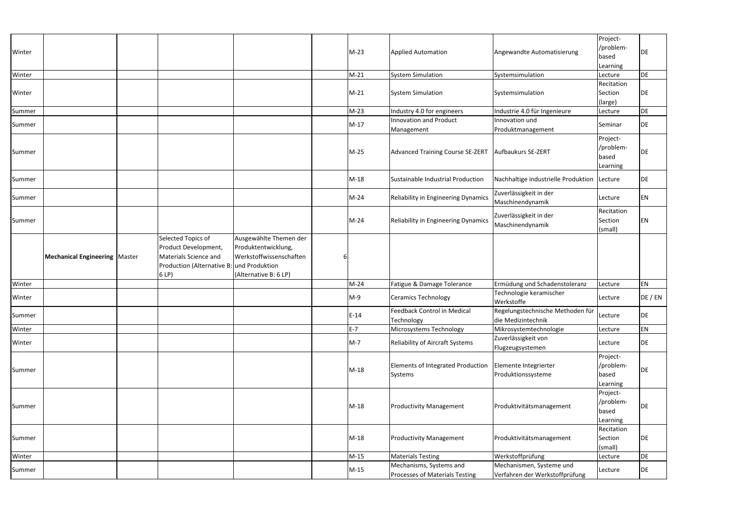|        |                                        |                                                                                                                           |                                                                                                   |        |                                                           |                                                            | Project-                                   |           |
|--------|----------------------------------------|---------------------------------------------------------------------------------------------------------------------------|---------------------------------------------------------------------------------------------------|--------|-----------------------------------------------------------|------------------------------------------------------------|--------------------------------------------|-----------|
| Winter |                                        |                                                                                                                           |                                                                                                   | $M-23$ | <b>Applied Automation</b>                                 | Angewandte Automatisierung                                 | /problem-                                  | DE        |
|        |                                        |                                                                                                                           |                                                                                                   |        |                                                           |                                                            | based                                      |           |
| Winter |                                        |                                                                                                                           |                                                                                                   | $M-21$ | <b>System Simulation</b>                                  | Systemsimulation                                           | Learning<br>Lecture                        | <b>DE</b> |
|        |                                        |                                                                                                                           |                                                                                                   |        |                                                           |                                                            | Recitation                                 |           |
| Winter |                                        |                                                                                                                           |                                                                                                   | $M-21$ | <b>System Simulation</b>                                  | Systemsimulation                                           | Section                                    | DE        |
|        |                                        |                                                                                                                           |                                                                                                   |        |                                                           |                                                            | (large)                                    |           |
| Summer |                                        |                                                                                                                           |                                                                                                   | $M-23$ | Industry 4.0 for engineers                                | Industrie 4.0 für Ingenieure                               | Lecture                                    | DE        |
| Summer |                                        |                                                                                                                           |                                                                                                   | $M-17$ | <b>Innovation and Product</b><br>Management               | Innovation und<br>Produktmanagement                        | Seminar                                    | DE        |
| Summer |                                        |                                                                                                                           |                                                                                                   | $M-25$ | Advanced Training Course SE-ZERT                          | Aufbaukurs SE-ZERT                                         | Project-<br>/problem-<br>based<br>Learning | <b>DE</b> |
| Summer |                                        |                                                                                                                           |                                                                                                   | $M-18$ | Sustainable Industrial Production                         | Nachhaltige industrielle Produktion                        | Lecture                                    | DE        |
| Summer |                                        |                                                                                                                           |                                                                                                   | $M-24$ | Reliability in Engineering Dynamics                       | Zuverlässigkeit in der<br>Maschinendynamik                 | Lecture                                    | EN        |
| Summer |                                        |                                                                                                                           |                                                                                                   | $M-24$ | Reliability in Engineering Dynamics                       | Zuverlässigkeit in der<br>Maschinendynamik                 | Recitation<br>Section<br>(small)           | EN        |
|        | <b>Mechanical Engineering   Master</b> | Selected Topics of<br>Product Development,<br>Materials Science and<br>Production (Alternative B: und Produktion<br>6 LP) | Ausgewählte Themen der<br>Produktentwicklung,<br>Werkstoffwissenschaften<br>(Alternative B: 6 LP) |        |                                                           |                                                            |                                            |           |
| Winter |                                        |                                                                                                                           |                                                                                                   | $M-24$ | Fatigue & Damage Tolerance                                | Ermüdung und Schadenstoleranz                              | Lecture                                    | EN        |
| Winter |                                        |                                                                                                                           |                                                                                                   | $M-9$  | <b>Ceramics Technology</b>                                | Technologie keramischer<br>Werkstoffe                      | Lecture                                    | DE / EN   |
| Summer |                                        |                                                                                                                           |                                                                                                   | $E-14$ | <b>Feedback Control in Medical</b><br>Technology          | Regelungstechnische Methoden für<br>die Medizintechnik     | Lecture                                    | DE        |
| Winter |                                        |                                                                                                                           |                                                                                                   | $E-7$  | Microsystems Technology                                   | Mikrosystemtechnologie                                     | Lecture                                    | EN        |
| Winter |                                        |                                                                                                                           |                                                                                                   | $M-7$  | Reliability of Aircraft Systems                           | Zuverlässigkeit von<br>Flugzeugsystemen                    | Lecture                                    | DE        |
| Summer |                                        |                                                                                                                           |                                                                                                   | $M-18$ | Elements of Integrated Production<br>Systems              | Elemente Integrierter<br>Produktionssysteme                | Project-<br>/problem-<br>based<br>Learning | DE        |
| Summer |                                        |                                                                                                                           |                                                                                                   | $M-18$ | <b>Productivity Management</b>                            | Produktivitätsmanagement                                   | Project-<br>/problem-<br>based<br>Learning | DE        |
| Summer |                                        |                                                                                                                           |                                                                                                   | $M-18$ | <b>Productivity Management</b>                            | Produktivitätsmanagement                                   | Recitation<br>Section<br>(small)           | DE        |
| Winter |                                        |                                                                                                                           |                                                                                                   | $M-15$ | <b>Materials Testing</b>                                  | Werkstoffprüfung                                           | Lecture                                    | DE        |
| Summer |                                        |                                                                                                                           |                                                                                                   | $M-15$ | Mechanisms, Systems and<br>Processes of Materials Testing | Mechanismen, Systeme und<br>Verfahren der Werkstoffprüfung | Lecture                                    | DE        |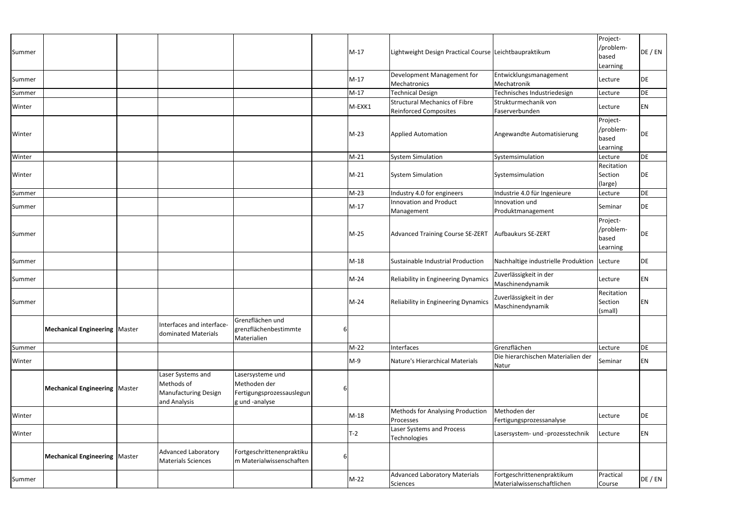| Summer |                                        |                                                                                |                                                                                 |   | $M-17$ | Lightweight Design Practical Course Leichtbaupraktikum               |                                                          | Project-<br>/problem-<br>based<br>Learning | DE / EN   |
|--------|----------------------------------------|--------------------------------------------------------------------------------|---------------------------------------------------------------------------------|---|--------|----------------------------------------------------------------------|----------------------------------------------------------|--------------------------------------------|-----------|
| Summer |                                        |                                                                                |                                                                                 |   | $M-17$ | Development Management for<br>Mechatronics                           | Entwicklungsmanagement<br>Mechatronik                    | Lecture                                    | DE        |
| Summer |                                        |                                                                                |                                                                                 |   | $M-17$ | <b>Technical Design</b>                                              | Technisches Industriedesign                              | Lecture                                    | DE        |
| Winter |                                        |                                                                                |                                                                                 |   | M-EXK1 | <b>Structural Mechanics of Fibre</b><br><b>Reinforced Composites</b> | Strukturmechanik von<br>Faserverbunden                   | Lecture                                    | EN        |
| Winter |                                        |                                                                                |                                                                                 |   | $M-23$ | <b>Applied Automation</b>                                            | Angewandte Automatisierung                               | Project-<br>/problem-<br>based<br>Learning | <b>DE</b> |
| Winter |                                        |                                                                                |                                                                                 |   | $M-21$ | <b>System Simulation</b>                                             | Systemsimulation                                         | Lecture                                    | <b>DE</b> |
| Winter |                                        |                                                                                |                                                                                 |   | $M-21$ | <b>System Simulation</b>                                             | Systemsimulation                                         | Recitation<br>Section<br>(large)           | DE        |
| Summer |                                        |                                                                                |                                                                                 |   | $M-23$ | Industry 4.0 for engineers                                           | Industrie 4.0 für Ingenieure                             | Lecture                                    | DE        |
| Summer |                                        |                                                                                |                                                                                 |   | $M-17$ | Innovation and Product<br>Management                                 | Innovation und<br>Produktmanagement                      | Seminar                                    | DE        |
| Summer |                                        |                                                                                |                                                                                 |   | $M-25$ | Advanced Training Course SE-ZERT                                     | Aufbaukurs SE-ZERT                                       | Project-<br>/problem-<br>based<br>Learning | <b>DE</b> |
| Summer |                                        |                                                                                |                                                                                 |   | $M-18$ | Sustainable Industrial Production                                    | Nachhaltige industrielle Produktion                      | Lecture                                    | DE        |
| Summer |                                        |                                                                                |                                                                                 |   | $M-24$ | Reliability in Engineering Dynamics                                  | Zuverlässigkeit in der<br>Maschinendynamik               | Lecture                                    | EN        |
| Summer |                                        |                                                                                |                                                                                 |   | $M-24$ | Reliability in Engineering Dynamics                                  | Zuverlässigkeit in der<br>Maschinendynamik               | Recitation<br>Section<br>(small)           | EN        |
|        | <b>Mechanical Engineering   Master</b> | Interfaces and interface-<br>dominated Materials                               | Grenzflächen und<br>grenzflächenbestimmte<br>Materialien                        |   |        |                                                                      |                                                          |                                            |           |
| Summer |                                        |                                                                                |                                                                                 |   | $M-22$ | Interfaces                                                           | Grenzflächen                                             | Lecture                                    | DE        |
| Winter |                                        |                                                                                |                                                                                 |   | $M-9$  | Nature's Hierarchical Materials                                      | Die hierarchischen Materialien der<br>Natur              | Seminar                                    | EN        |
|        | <b>Mechanical Engineering   Master</b> | Laser Systems and<br>Methods of<br><b>Manufacturing Design</b><br>and Analysis | Lasersysteme und<br>Methoden der<br>Fertigungsprozessauslegun<br>g und -analyse | 6 |        |                                                                      |                                                          |                                            |           |
| Winter |                                        |                                                                                |                                                                                 |   | $M-18$ | <b>Methods for Analysing Production</b><br>Processes                 | Methoden der<br>Fertigungsprozessanalyse                 | Lecture                                    | DE        |
| Winter |                                        |                                                                                |                                                                                 |   | T-2    | Laser Systems and Process<br>Technologies                            | Lasersystem- und -prozesstechnik                         | Lecture                                    | EN        |
|        | <b>Mechanical Engineering   Master</b> | Advanced Laboratory<br><b>Materials Sciences</b>                               | Fortgeschrittenenpraktiku<br>m Materialwissenschaften                           |   |        |                                                                      |                                                          |                                            |           |
| Summer |                                        |                                                                                |                                                                                 |   | $M-22$ | <b>Advanced Laboratory Materials</b><br>Sciences                     | Fortgeschrittenenpraktikum<br>Materialwissenschaftlichen | Practical<br>Course                        | DE / EN   |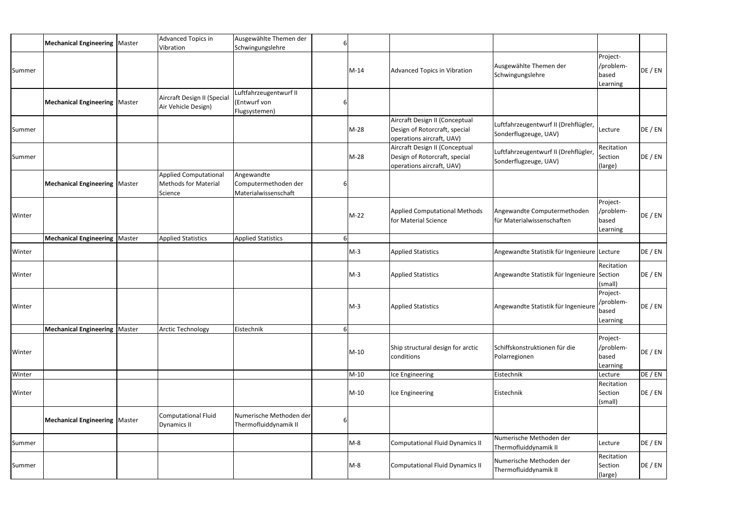|        | Mechanical Engineering   Master        | Advanced Topics in<br>Vibration                                        | Ausgewählte Themen der<br>Schwingungslehre                 | 6 |        |                                                                                              |                                                               |                                            |         |
|--------|----------------------------------------|------------------------------------------------------------------------|------------------------------------------------------------|---|--------|----------------------------------------------------------------------------------------------|---------------------------------------------------------------|--------------------------------------------|---------|
| Summer |                                        |                                                                        |                                                            |   | $M-14$ | Advanced Topics in Vibration                                                                 | Ausgewählte Themen der<br>Schwingungslehre                    | Project-<br>/problem-<br>based<br>Learning | DE / EN |
|        | Mechanical Engineering   Master        | Aircraft Design II (Special<br>Air Vehicle Design)                     | uftfahrzeugentwurf II<br>(Entwurf von<br>Flugsystemen)     |   |        |                                                                                              |                                                               |                                            |         |
| Summer |                                        |                                                                        |                                                            |   | $M-28$ | Aircraft Design II (Conceptual<br>Design of Rotorcraft, special<br>operations aircraft, UAV) | Luftfahrzeugentwurf II (Drehflügler,<br>Sonderflugzeuge, UAV) | Lecture                                    | DE / EN |
| Summer |                                        |                                                                        |                                                            |   | $M-28$ | Aircraft Design II (Conceptual<br>Design of Rotorcraft, special<br>operations aircraft, UAV) | Luftfahrzeugentwurf II (Drehflügler,<br>Sonderflugzeuge, UAV) | Recitation<br>Section<br>(large)           | DE / EN |
|        | Mechanical Engineering   Master        | <b>Applied Computational</b><br><b>Methods for Material</b><br>Science | Angewandte<br>Computermethoden der<br>Materialwissenschaft | 6 |        |                                                                                              |                                                               |                                            |         |
| Winter |                                        |                                                                        |                                                            |   | $M-22$ | <b>Applied Computational Methods</b><br>for Material Science                                 | Angewandte Computermethoden<br>für Materialwissenschaften     | Project-<br>/problem-<br>based<br>Learning | DE / EN |
|        | <b>Mechanical Engineering   Master</b> | <b>Applied Statistics</b>                                              | <b>Applied Statistics</b>                                  |   |        |                                                                                              |                                                               |                                            |         |
| Winter |                                        |                                                                        |                                                            |   | $M-3$  | <b>Applied Statistics</b>                                                                    | Angewandte Statistik für Ingenieure Lecture                   |                                            | DE / EN |
| Winter |                                        |                                                                        |                                                            |   | $M-3$  | <b>Applied Statistics</b>                                                                    | Angewandte Statistik für Ingenieure Section                   | Recitation<br>(small)                      | DE / EN |
| Winter |                                        |                                                                        |                                                            |   | $M-3$  | <b>Applied Statistics</b>                                                                    | Angewandte Statistik für Ingenieure                           | Project-<br>/problem-<br>based<br>Learning | DE / EN |
|        | <b>Mechanical Engineering   Master</b> | <b>Arctic Technology</b>                                               | Eistechnik                                                 | 6 |        |                                                                                              |                                                               |                                            |         |
| Winter |                                        |                                                                        |                                                            |   | $M-10$ | Ship structural design for arctic<br>conditions                                              | Schiffskonstruktionen für die<br>Polarregionen                | Project-<br>/problem-<br>based<br>Learning | DE / EN |
| Winter |                                        |                                                                        |                                                            |   | $M-10$ | Ice Engineering                                                                              | Eistechnik                                                    | Lecture                                    | DE / EN |
| Winter |                                        |                                                                        |                                                            |   | $M-10$ | Ice Engineering                                                                              | Eistechnik                                                    | Recitation<br>Section<br>(small)           | DE / EN |
|        | <b>Mechanical Engineering   Master</b> | <b>Computational Fluid</b><br><b>Dynamics II</b>                       | Numerische Methoden der<br>Thermofluiddynamik II           | 6 |        |                                                                                              |                                                               |                                            |         |
| Summer |                                        |                                                                        |                                                            |   | $M-8$  | Computational Fluid Dynamics II                                                              | Numerische Methoden der<br>Thermofluiddynamik II              | Lecture                                    | DE / EN |
| Summer |                                        |                                                                        |                                                            |   | $M-8$  | Computational Fluid Dynamics II                                                              | Numerische Methoden der<br>Thermofluiddynamik II              | Recitation<br>Section<br>(large)           | DE / EN |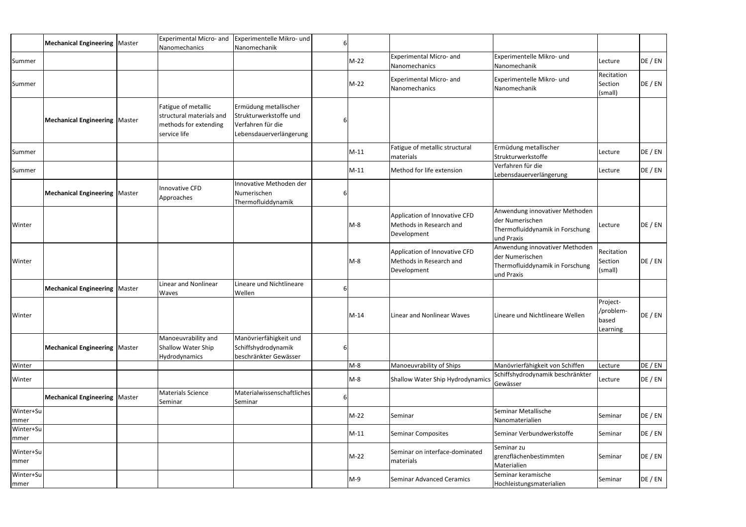|                   | <b>Mechanical Engineering   Master</b> | <b>Experimental Micro- and</b><br>Nanomechanics                                          | Experimentelle Mikro- und<br>Nanomechanik                                                       |        |                                                                         |                                                                                                    |                                                     |         |
|-------------------|----------------------------------------|------------------------------------------------------------------------------------------|-------------------------------------------------------------------------------------------------|--------|-------------------------------------------------------------------------|----------------------------------------------------------------------------------------------------|-----------------------------------------------------|---------|
| Summer            |                                        |                                                                                          |                                                                                                 | M-22   | <b>Experimental Micro- and</b><br>Nanomechanics                         | Experimentelle Mikro- und<br>Nanomechanik                                                          | Lecture                                             | DE / EN |
| Summer            |                                        |                                                                                          |                                                                                                 | $M-22$ | <b>Experimental Micro- and</b><br>Nanomechanics                         | Experimentelle Mikro- und<br>Nanomechanik                                                          | Recitation<br>Section<br>(small)                    | DE / EN |
|                   | <b>Mechanical Engineering   Master</b> | Fatigue of metallic<br>structural materials and<br>methods for extending<br>service life | Ermüdung metallischer<br>Strukturwerkstoffe und<br>Verfahren für die<br>Lebensdauerverlängerung |        |                                                                         |                                                                                                    |                                                     |         |
| Summer            |                                        |                                                                                          |                                                                                                 | $M-11$ | Fatigue of metallic structural<br>materials                             | Ermüdung metallischer<br>Strukturwerkstoffe                                                        | Lecture                                             | DE / EN |
| Summer            |                                        |                                                                                          |                                                                                                 | $M-11$ | Method for life extension                                               | Verfahren für die<br>Lebensdauerverlängerung                                                       | Lecture                                             | DE / EN |
|                   | <b>Mechanical Engineering   Master</b> | Innovative CFD<br>Approaches                                                             | Innovative Methoden der<br>Numerischen<br>Thermofluiddynamik                                    |        |                                                                         |                                                                                                    |                                                     |         |
| Winter            |                                        |                                                                                          |                                                                                                 | $M-8$  | Application of Innovative CFD<br>Methods in Research and<br>Development | Anwendung innovativer Methoden<br>der Numerischen<br>Thermofluiddynamik in Forschung<br>und Praxis | Lecture                                             | DE / EN |
| Winter            |                                        |                                                                                          |                                                                                                 | $M-8$  | Application of Innovative CFD<br>Methods in Research and<br>Development | Anwendung innovativer Methoden<br>der Numerischen<br>Thermofluiddynamik in Forschung<br>und Praxis | Recitation<br>Section<br>(small)                    | DE / EN |
|                   | <b>Mechanical Engineering   Master</b> | Linear and Nonlinear<br>Waves                                                            | Lineare und Nichtlineare<br>Wellen                                                              |        |                                                                         |                                                                                                    |                                                     |         |
| Winter            |                                        |                                                                                          |                                                                                                 | $M-14$ | Linear and Nonlinear Waves                                              | Lineare und Nichtlineare Wellen                                                                    | Project-<br>/problem-<br><b>I</b> based<br>Learning | DE / EN |
|                   | <b>Mechanical Engineering   Master</b> | Manoeuvrability and<br><b>Shallow Water Ship</b><br>Hydrodynamics                        | Manövrierfähigkeit und<br>Schiffshydrodynamik<br>beschränkter Gewässer                          |        |                                                                         |                                                                                                    |                                                     |         |
| Winter            |                                        |                                                                                          |                                                                                                 | $M-8$  | Manoeuvrability of Ships                                                | Manövrierfähigkeit von Schiffen                                                                    | Lecture                                             | DE / EN |
| Winter            |                                        |                                                                                          |                                                                                                 | $M-S$  | Shallow Water Ship Hydrodynamics                                        | Schiffshydrodynamik beschränkter<br>Gewässer                                                       | Lecture                                             | DE / EN |
|                   | <b>Mechanical Engineering   Master</b> | <b>Materials Science</b><br>Seminar                                                      | Materialwissenschaftliches<br>Seminar                                                           |        |                                                                         |                                                                                                    |                                                     |         |
| Winter+Su<br>mmer |                                        |                                                                                          |                                                                                                 | $M-22$ | Seminar                                                                 | Seminar Metallische<br>Nanomaterialien                                                             | Seminar                                             | DE / EN |
| Winter+Su<br>mmer |                                        |                                                                                          |                                                                                                 | $M-11$ | Seminar Composites                                                      | Seminar Verbundwerkstoffe                                                                          | Seminar                                             | DE / EN |
| Winter+Su<br>mmer |                                        |                                                                                          |                                                                                                 | $M-22$ | Seminar on interface-dominated<br>materials                             | Seminar zu<br>grenzflächenbestimmten<br>Materialien                                                | Seminar                                             | DE / EN |
| Winter+Su<br>mmer |                                        |                                                                                          |                                                                                                 | $M-9$  | Seminar Advanced Ceramics                                               | Seminar keramische<br>Hochleistungsmaterialien                                                     | Seminar                                             | DE / EN |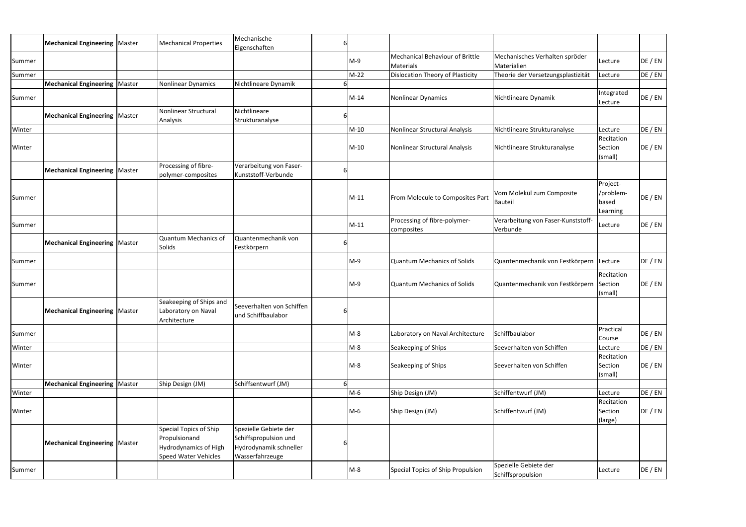|        | <b>Mechanical Engineering   Master</b> | <b>Mechanical Properties</b>                                                                           | Mechanische<br>Eigenschaften                                                                |   |        |                                                     |                                                |                                            |         |
|--------|----------------------------------------|--------------------------------------------------------------------------------------------------------|---------------------------------------------------------------------------------------------|---|--------|-----------------------------------------------------|------------------------------------------------|--------------------------------------------|---------|
| Summer |                                        |                                                                                                        |                                                                                             |   | M-9    | Mechanical Behaviour of Brittle<br><b>Materials</b> | Mechanisches Verhalten spröder<br>Materialien  | Lecture                                    | DE / EN |
| Summer |                                        |                                                                                                        |                                                                                             |   | M-22   | <b>Dislocation Theory of Plasticity</b>             | Theorie der Versetzungsplastizität             | Lecture                                    | DE / EN |
|        | Mechanical Engineering   Master        | Nonlinear Dynamics                                                                                     | Nichtlineare Dynamik                                                                        |   |        |                                                     |                                                |                                            |         |
| Summer |                                        |                                                                                                        |                                                                                             |   | $M-14$ | Nonlinear Dynamics                                  | Nichtlineare Dynamik                           | Integrated<br>Lecture                      | DE / EN |
|        | <b>Mechanical Engineering   Master</b> | Nonlinear Structural<br>Analysis                                                                       | Nichtlineare<br>Strukturanalyse                                                             |   |        |                                                     |                                                |                                            |         |
| Winter |                                        |                                                                                                        |                                                                                             |   | $M-10$ | Nonlinear Structural Analysis                       | Nichtlineare Strukturanalyse                   | Lecture                                    | DE / EN |
| Winter |                                        |                                                                                                        |                                                                                             |   | $M-10$ | Nonlinear Structural Analysis                       | Nichtlineare Strukturanalyse                   | Recitation<br>Section<br>(small)           | DE / EN |
|        | <b>Mechanical Engineering   Master</b> | Processing of fibre-<br>polymer-composites                                                             | Verarbeitung von Faser-<br>Kunststoff-Verbunde                                              |   |        |                                                     |                                                |                                            |         |
| Summer |                                        |                                                                                                        |                                                                                             |   | $M-11$ | From Molecule to Composites Part                    | Vom Molekül zum Composite<br>Bauteil           | Project-<br>/problem-<br>based<br>Learning | DE / EN |
| Summer |                                        |                                                                                                        |                                                                                             |   | $M-11$ | Processing of fibre-polymer-<br>composites          | Verarbeitung von Faser-Kunststoff-<br>Verbunde | Lecture                                    | DE / EN |
|        | <b>Mechanical Engineering   Master</b> | Quantum Mechanics of<br>Solids                                                                         | Quantenmechanik von<br>Festkörpern                                                          |   |        |                                                     |                                                |                                            |         |
| Summer |                                        |                                                                                                        |                                                                                             |   | $M-9$  | <b>Quantum Mechanics of Solids</b>                  | Quantenmechanik von Festkörpern                | Lecture                                    | DE / EN |
| Summer |                                        |                                                                                                        |                                                                                             |   | M-9    | Quantum Mechanics of Solids                         | Quantenmechanik von Festkörpern                | Recitation<br>Section<br>(small)           | DE / EN |
|        | <b>Mechanical Engineering   Master</b> | Seakeeping of Ships and<br>Laboratory on Naval<br>Architecture                                         | Seeverhalten von Schiffen<br>und Schiffbaulabor                                             | 6 |        |                                                     |                                                |                                            |         |
| Summer |                                        |                                                                                                        |                                                                                             |   | $M-8$  | Laboratory on Naval Architecture                    | Schiffbaulabor                                 | Practical<br>Course                        | DE / EN |
| Winter |                                        |                                                                                                        |                                                                                             |   | $M-8$  | Seakeeping of Ships                                 | Seeverhalten von Schiffen                      | Lecture                                    | DE / EN |
| Winter |                                        |                                                                                                        |                                                                                             |   | $M-8$  | Seakeeping of Ships                                 | Seeverhalten von Schiffen                      | Recitation<br>Section<br>(small)           | DE / EN |
|        | Mechanical Engineering   Master        | Ship Design (JM)                                                                                       | Schiffsentwurf (JM)                                                                         |   |        |                                                     |                                                |                                            |         |
| Winter |                                        |                                                                                                        |                                                                                             |   | M-6    | Ship Design (JM)                                    | Schiffentwurf (JM)                             | Lecture                                    | DE / EN |
| Winter |                                        |                                                                                                        |                                                                                             |   | $M-6$  | Ship Design (JM)                                    | Schiffentwurf (JM)                             | Recitation<br>Section<br>(large)           | DE / EN |
|        | <b>Mechanical Engineering   Master</b> | Special Topics of Ship<br>Propulsionand<br><b>Hydrodynamics of High</b><br><b>Speed Water Vehicles</b> | Spezielle Gebiete der<br>Schiffspropulsion und<br>Hydrodynamik schneller<br>Wasserfahrzeuge |   |        |                                                     |                                                |                                            |         |
| Summer |                                        |                                                                                                        |                                                                                             |   | $M-8$  | Special Topics of Ship Propulsion                   | Spezielle Gebiete der<br>Schiffspropulsion     | Lecture                                    | DE / EN |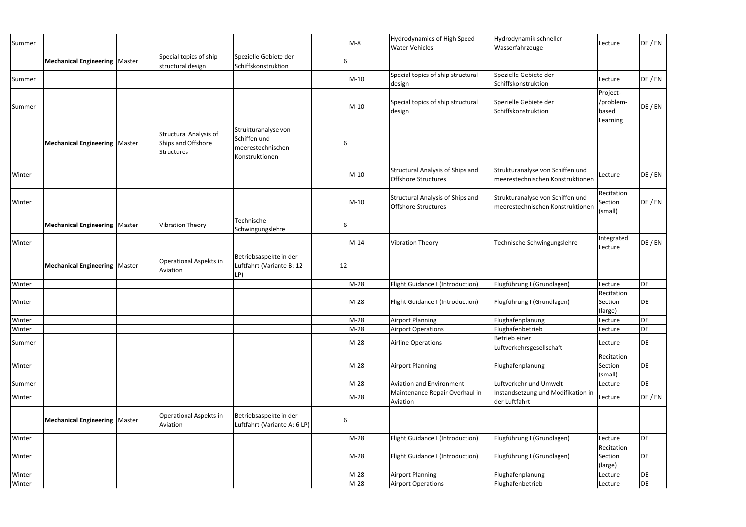| Summer |                                        |                                                                          |                                                                            |    | $M-8$  | <b>Hydrodynamics of High Speed</b><br><b>Water Vehicles</b>           | Hydrodynamik schneller<br>Wasserfahrzeuge                            | Lecture                                    | DE / EN |
|--------|----------------------------------------|--------------------------------------------------------------------------|----------------------------------------------------------------------------|----|--------|-----------------------------------------------------------------------|----------------------------------------------------------------------|--------------------------------------------|---------|
|        | <b>Mechanical Engineering   Master</b> | Special topics of ship<br>structural design                              | Spezielle Gebiete der<br>Schiffskonstruktion                               | 6  |        |                                                                       |                                                                      |                                            |         |
| Summer |                                        |                                                                          |                                                                            |    | $M-10$ | Special topics of ship structural<br>design                           | Spezielle Gebiete der<br>Schiffskonstruktion                         | Lecture                                    | DE / EN |
| Summer |                                        |                                                                          |                                                                            |    | $M-10$ | Special topics of ship structural<br>design                           | Spezielle Gebiete der<br>Schiffskonstruktion                         | Project-<br>/problem-<br>based<br>Learning | DE / EN |
|        | <b>Mechanical Engineering   Master</b> | <b>Structural Analysis of</b><br>Ships and Offshore<br><b>Structures</b> | Strukturanalyse von<br>Schiffen und<br>meerestechnischen<br>Konstruktionen |    |        |                                                                       |                                                                      |                                            |         |
| Winter |                                        |                                                                          |                                                                            |    | $M-10$ | <b>Structural Analysis of Ships and</b><br><b>Offshore Structures</b> | Strukturanalyse von Schiffen und<br>meerestechnischen Konstruktionen | Lecture                                    | DE / EN |
| Winter |                                        |                                                                          |                                                                            |    | $M-10$ | <b>Structural Analysis of Ships and</b><br><b>Offshore Structures</b> | Strukturanalyse von Schiffen und<br>meerestechnischen Konstruktionen | Recitation<br>Section<br>(small)           | DE / EN |
|        | <b>Mechanical Engineering   Master</b> | <b>Vibration Theory</b>                                                  | Technische<br>Schwingungslehre                                             | b  |        |                                                                       |                                                                      |                                            |         |
| Winter |                                        |                                                                          |                                                                            |    | $M-14$ | <b>Vibration Theory</b>                                               | Technische Schwingungslehre                                          | Integrated<br>Lecture                      | DE / EN |
|        | <b>Mechanical Engineering   Master</b> | Operational Aspekts in<br>Aviation                                       | Betriebsaspekte in der<br>Luftfahrt (Variante B: 12<br>LP)                 | 12 |        |                                                                       |                                                                      |                                            |         |
| Winter |                                        |                                                                          |                                                                            |    | $M-28$ | Flight Guidance I (Introduction)                                      | Flugführung I (Grundlagen)                                           | Lecture                                    | DE      |
| Winter |                                        |                                                                          |                                                                            |    | $M-28$ | Flight Guidance I (Introduction)                                      | Flugführung I (Grundlagen)                                           | Recitation<br>Section<br>(large)           | DE      |
| Winter |                                        |                                                                          |                                                                            |    | $M-28$ | <b>Airport Planning</b>                                               | Flughafenplanung                                                     | Lecture                                    | DE      |
| Winter |                                        |                                                                          |                                                                            |    | $M-28$ | <b>Airport Operations</b>                                             | Flughafenbetrieb                                                     | Lecture                                    | DE      |
| Summer |                                        |                                                                          |                                                                            |    | $M-28$ | <b>Airline Operations</b>                                             | Betrieb einer<br>Luftverkehrsgesellschaft                            | Lecture                                    | DE      |
| Winter |                                        |                                                                          |                                                                            |    | $M-28$ | <b>Airport Planning</b>                                               | Flughafenplanung                                                     | Recitation<br>Section<br>(small)           | DE      |
| Summer |                                        |                                                                          |                                                                            |    | $M-28$ | <b>Aviation and Environment</b>                                       | Luftverkehr und Umwelt                                               | Lecture                                    | DE      |
| Winter |                                        |                                                                          |                                                                            |    | $M-28$ | Maintenance Repair Overhaul in<br>Aviation                            | Instandsetzung und Modifikation in<br>der Luftfahrt                  | Lecture                                    | DE / EN |
|        | <b>Mechanical Engineering   Master</b> | Operational Aspekts in<br>Aviation                                       | Betriebsaspekte in der<br>Luftfahrt (Variante A: 6 LP)                     | b  |        |                                                                       |                                                                      |                                            |         |
| Winter |                                        |                                                                          |                                                                            |    | $M-28$ | Flight Guidance I (Introduction)                                      | Flugführung I (Grundlagen)                                           | Lecture                                    | DE      |
| Winter |                                        |                                                                          |                                                                            |    | $M-28$ | Flight Guidance I (Introduction)                                      | Flugführung I (Grundlagen)                                           | Recitation<br>Section<br>(large)           | DE      |
| Winter |                                        |                                                                          |                                                                            |    | $M-28$ | <b>Airport Planning</b>                                               | Flughafenplanung                                                     | Lecture                                    | DE      |
| Winter |                                        |                                                                          |                                                                            |    | $M-28$ | <b>Airport Operations</b>                                             | Flughafenbetrieb                                                     | Lecture                                    | DE      |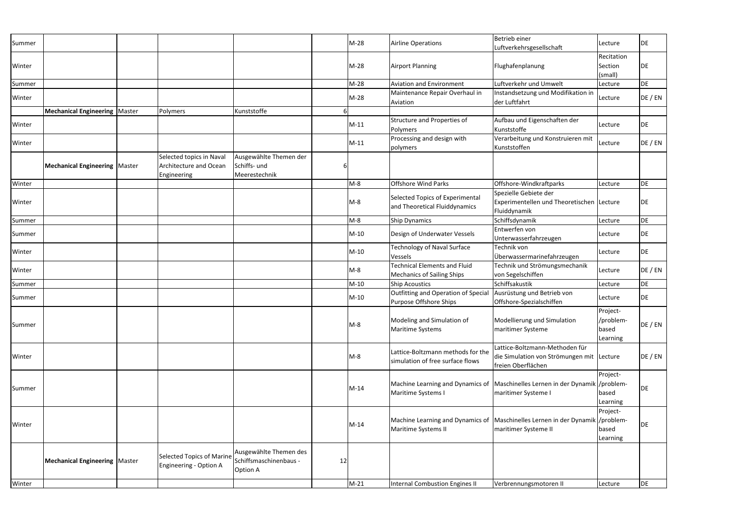| Summer |                                        |                                                                          |                                                              |    | $M-28$ | <b>Airline Operations</b>                                                | Betrieb einer<br>Luftverkehrsgesellschaft                                                         | Lecture                                    | <b>DE</b> |
|--------|----------------------------------------|--------------------------------------------------------------------------|--------------------------------------------------------------|----|--------|--------------------------------------------------------------------------|---------------------------------------------------------------------------------------------------|--------------------------------------------|-----------|
| Winter |                                        |                                                                          |                                                              |    | $M-28$ | <b>Airport Planning</b>                                                  | Flughafenplanung                                                                                  | Recitation<br>Section<br>(small)           | DE        |
| Summer |                                        |                                                                          |                                                              |    | $M-28$ | <b>Aviation and Environment</b>                                          | Luftverkehr und Umwelt                                                                            | Lecture                                    | DE        |
| Winter |                                        |                                                                          |                                                              |    | $M-28$ | Maintenance Repair Overhaul in<br>Aviation                               | Instandsetzung und Modifikation in<br>der Luftfahrt                                               | Lecture                                    | DE / EN   |
|        | <b>Mechanical Engineering   Master</b> | Polymers                                                                 | Kunststoffe                                                  |    |        |                                                                          |                                                                                                   |                                            |           |
| Winter |                                        |                                                                          |                                                              |    | $M-11$ | Structure and Properties of<br>Polymers                                  | Aufbau und Eigenschaften der<br>Kunststoffe                                                       | Lecture                                    | DE        |
| Winter |                                        |                                                                          |                                                              |    | $M-11$ | Processing and design with<br>polymers                                   | Verarbeitung und Konstruieren mit<br>Kunststoffen                                                 | Lecture                                    | DE / EN   |
|        | <b>Mechanical Engineering   Master</b> | Selected topics in Naval<br><b>Architecture and Ocean</b><br>Engineering | Ausgewählte Themen der<br>Schiffs- und<br>Meerestechnik      |    |        |                                                                          |                                                                                                   |                                            |           |
| Winter |                                        |                                                                          |                                                              |    | $M-8$  | <b>Offshore Wind Parks</b>                                               | Offshore-Windkraftparks                                                                           | Lecture                                    | <b>DE</b> |
| Winter |                                        |                                                                          |                                                              |    | $M-8$  | Selected Topics of Experimental<br>and Theoretical Fluiddynamics         | Spezielle Gebiete der<br>Experimentellen und Theoretischen Lecture<br>Fluiddynamik                |                                            | DE        |
| Summer |                                        |                                                                          |                                                              |    | $M-8$  | Ship Dynamics                                                            | Schiffsdynamik                                                                                    | Lecture                                    | DE        |
| Summer |                                        |                                                                          |                                                              |    | $M-10$ | Design of Underwater Vessels                                             | Entwerfen von<br>Unterwasserfahrzeugen                                                            | Lecture                                    | DE        |
| Winter |                                        |                                                                          |                                                              |    | $M-10$ | Technology of Naval Surface<br>Vessels                                   | Technik von<br>Überwassermarinefahrzeugen                                                         | Lecture                                    | DE        |
| Winter |                                        |                                                                          |                                                              |    | $M-8$  | <b>Technical Elements and Fluid</b><br><b>Mechanics of Sailing Ships</b> | Technik und Strömungsmechanik<br>von Segelschiffen                                                | Lecture                                    | DE / EN   |
| Summer |                                        |                                                                          |                                                              |    | $M-10$ | <b>Ship Acoustics</b>                                                    | Schiffsakustik                                                                                    | Lecture                                    | DE        |
| Summer |                                        |                                                                          |                                                              |    | $M-10$ | Outfitting and Operation of Specia<br>Purpose Offshore Ships             | Ausrüstung und Betrieb von<br>Offshore-Spezialschiffen                                            | Lecture                                    | DE        |
| Summer |                                        |                                                                          |                                                              |    | $M-S$  | Modeling and Simulation of<br><b>Maritime Systems</b>                    | Modellierung und Simulation<br>maritimer Systeme                                                  | Project-<br>/problem-<br>based<br>Learning | DE / EN   |
| Winter |                                        |                                                                          |                                                              |    | $M-8$  | Lattice-Boltzmann methods for the<br>simulation of free surface flows    | Lattice-Boltzmann-Methoden für<br>die Simulation von Strömungen mit Lecture<br>freien Oberflächen |                                            | DE / EN   |
| Summer |                                        |                                                                          |                                                              |    | $M-14$ | Machine Learning and Dynamics of<br>Maritime Systems I                   | Maschinelles Lernen in der Dynamik /problem-<br>maritimer Systeme I                               | Project-<br>based<br>Learning              | DE        |
| Winter |                                        |                                                                          |                                                              |    | $M-14$ | Machine Learning and Dynamics of<br>Maritime Systems II                  | Maschinelles Lernen in der Dynamik<br>maritimer Systeme II                                        | Project-<br>based<br>Learning              | DE        |
|        | <b>Mechanical Engineering   Master</b> | <b>Selected Topics of Marine</b><br>Engineering - Option A               | Ausgewählte Themen des<br>Schiffsmaschinenbaus -<br>Option A | 12 |        |                                                                          |                                                                                                   |                                            |           |
| Winter |                                        |                                                                          |                                                              |    | $M-21$ | <b>Internal Combustion Engines II</b>                                    | Verbrennungsmotoren II                                                                            | Lecture                                    | DE        |
|        |                                        |                                                                          |                                                              |    |        |                                                                          |                                                                                                   |                                            |           |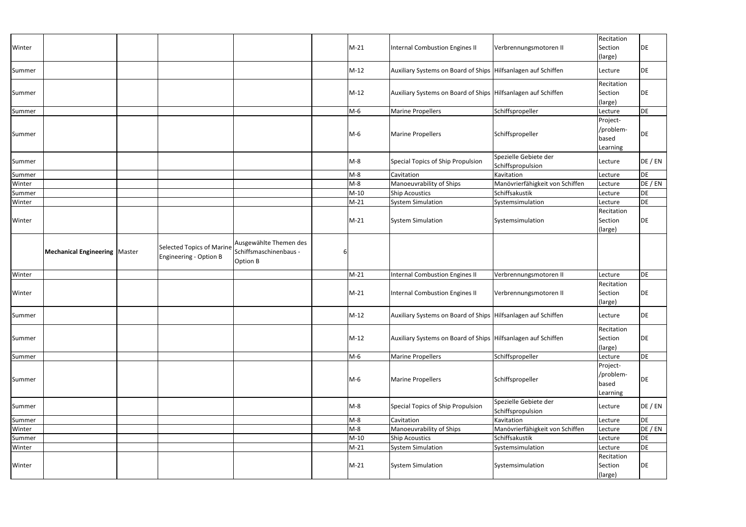|        |                                        |                                  |                        |   |        |                                                               |                                            | Recitation |           |
|--------|----------------------------------------|----------------------------------|------------------------|---|--------|---------------------------------------------------------------|--------------------------------------------|------------|-----------|
| Winter |                                        |                                  |                        |   | $M-21$ | Internal Combustion Engines II                                | Verbrennungsmotoren II                     | Section    | DE        |
|        |                                        |                                  |                        |   |        |                                                               |                                            | (large)    |           |
| Summer |                                        |                                  |                        |   | $M-12$ | Auxiliary Systems on Board of Ships Hilfsanlagen auf Schiffen |                                            | Lecture    | DE        |
|        |                                        |                                  |                        |   |        |                                                               |                                            | Recitation |           |
| Summer |                                        |                                  |                        |   | $M-12$ | Auxiliary Systems on Board of Ships Hilfsanlagen auf Schiffen |                                            | Section    | DE        |
|        |                                        |                                  |                        |   |        |                                                               |                                            | (large)    |           |
| Summer |                                        |                                  |                        |   | $M-6$  | <b>Marine Propellers</b>                                      | Schiffspropeller                           | Lecture    | DE        |
|        |                                        |                                  |                        |   |        |                                                               |                                            | Project-   |           |
| Summer |                                        |                                  |                        |   | $M-6$  | <b>Marine Propellers</b>                                      | Schiffspropeller                           | /problem-  | <b>DE</b> |
|        |                                        |                                  |                        |   |        |                                                               |                                            | based      |           |
|        |                                        |                                  |                        |   |        |                                                               |                                            | Learning   |           |
| Summer |                                        |                                  |                        |   | $M-8$  | Special Topics of Ship Propulsion                             | Spezielle Gebiete der<br>Schiffspropulsion | Lecture    | DE / EN   |
| Summer |                                        |                                  |                        |   | $M-8$  | Cavitation                                                    | Kavitation                                 | Lecture    | DE        |
| Winter |                                        |                                  |                        |   | $M-8$  | Manoeuvrability of Ships                                      | Manövrierfähigkeit von Schiffen            | Lecture    | DE / EN   |
| Summer |                                        |                                  |                        |   | $M-10$ | <b>Ship Acoustics</b>                                         | Schiffsakustik                             | Lecture    | DE        |
| Winter |                                        |                                  |                        |   | $M-21$ | <b>System Simulation</b>                                      | Systemsimulation                           | Lecture    | DE        |
|        |                                        |                                  |                        |   |        |                                                               |                                            | Recitation |           |
| Winter |                                        |                                  |                        |   | $M-21$ | <b>System Simulation</b>                                      | Systemsimulation                           | Section    | DE        |
|        |                                        |                                  |                        |   |        |                                                               |                                            | (large)    |           |
|        |                                        |                                  | Ausgewählte Themen des |   |        |                                                               |                                            |            |           |
|        | <b>Mechanical Engineering   Master</b> | <b>Selected Topics of Marine</b> | Schiffsmaschinenbaus - | 6 |        |                                                               |                                            |            |           |
|        |                                        | Engineering - Option B           |                        |   |        |                                                               |                                            |            |           |
|        |                                        |                                  | Option B               |   |        |                                                               |                                            |            |           |
| Winter |                                        |                                  |                        |   | $M-21$ | <b>Internal Combustion Engines II</b>                         | Verbrennungsmotoren II                     | Lecture    | DE        |
|        |                                        |                                  |                        |   |        |                                                               |                                            | Recitation |           |
| Winter |                                        |                                  |                        |   | $M-21$ | Internal Combustion Engines II                                | Verbrennungsmotoren II                     | Section    | DE        |
|        |                                        |                                  |                        |   |        |                                                               |                                            | (large)    |           |
| Summer |                                        |                                  |                        |   | $M-12$ | Auxiliary Systems on Board of Ships Hilfsanlagen auf Schiffen |                                            | Lecture    | DE        |
|        |                                        |                                  |                        |   |        |                                                               |                                            | Recitation |           |
| Summer |                                        |                                  |                        |   | $M-12$ | Auxiliary Systems on Board of Ships Hilfsanlagen auf Schiffen |                                            | Section    | DE        |
|        |                                        |                                  |                        |   |        |                                                               |                                            | (large)    |           |
| Summer |                                        |                                  |                        |   | $M-6$  | <b>Marine Propellers</b>                                      | Schiffspropeller                           | Lecture    | DE        |
|        |                                        |                                  |                        |   |        |                                                               |                                            | Project-   |           |
|        |                                        |                                  |                        |   |        |                                                               |                                            | /problem-  |           |
| Summer |                                        |                                  |                        |   | $M-6$  | <b>Marine Propellers</b>                                      | Schiffspropeller                           | based      | DE        |
|        |                                        |                                  |                        |   |        |                                                               |                                            | Learning   |           |
| Summer |                                        |                                  |                        |   | $M-S$  | Special Topics of Ship Propulsion                             | Spezielle Gebiete der                      | Lecture    | DE / EN   |
|        |                                        |                                  |                        |   |        |                                                               | Schiffspropulsion                          |            |           |
| Summer |                                        |                                  |                        |   | $M-8$  | Cavitation                                                    | Kavitation                                 | Lecture    | DE        |
| Winter |                                        |                                  |                        |   | $M-8$  | Manoeuvrability of Ships                                      | Manövrierfähigkeit von Schiffen            | Lecture    | DE / EN   |
| Summer |                                        |                                  |                        |   | $M-10$ | <b>Ship Acoustics</b>                                         | Schiffsakustik                             | Lecture    | DE        |
| Winter |                                        |                                  |                        |   | $M-21$ | <b>System Simulation</b>                                      | Systemsimulation                           | Lecture    | DE        |
|        |                                        |                                  |                        |   |        |                                                               |                                            | Recitation |           |
| Winter |                                        |                                  |                        |   | $M-21$ | <b>System Simulation</b>                                      | Systemsimulation                           | Section    | DE        |
|        |                                        |                                  |                        |   |        |                                                               |                                            | (large)    |           |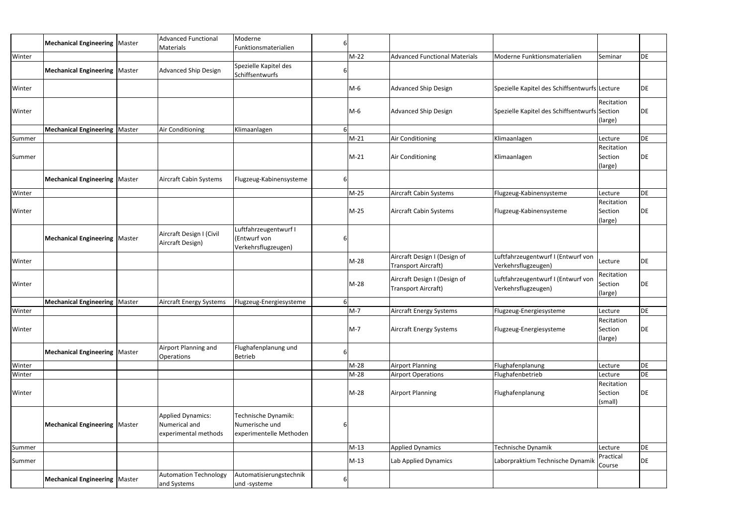|        | <b>Mechanical Engineering   Master</b> |        | <b>Advanced Functional</b>                                        | Moderne                                                          | 6 |        |                                                     |                                                           |                                  |           |
|--------|----------------------------------------|--------|-------------------------------------------------------------------|------------------------------------------------------------------|---|--------|-----------------------------------------------------|-----------------------------------------------------------|----------------------------------|-----------|
|        |                                        |        | Materials                                                         | Funktionsmaterialien                                             |   |        |                                                     |                                                           |                                  |           |
| Winter |                                        |        |                                                                   |                                                                  |   | $M-22$ | <b>Advanced Functional Materials</b>                | Moderne Funktionsmaterialien                              | Seminar                          | DE        |
|        | <b>Mechanical Engineering   Master</b> |        | <b>Advanced Ship Design</b>                                       | Spezielle Kapitel des<br>Schiffsentwurfs                         |   |        |                                                     |                                                           |                                  |           |
| Winter |                                        |        |                                                                   |                                                                  |   | M-6    | <b>Advanced Ship Design</b>                         | Spezielle Kapitel des Schiffsentwurfs Lecture             |                                  | DE        |
|        |                                        |        |                                                                   |                                                                  |   |        |                                                     |                                                           | Recitation                       |           |
| Winter |                                        |        |                                                                   |                                                                  |   | M-6    | <b>Advanced Ship Design</b>                         | Spezielle Kapitel des Schiffsentwurfs Section             |                                  | DE        |
|        |                                        |        |                                                                   |                                                                  |   |        |                                                     |                                                           | (large)                          |           |
|        | <b>Mechanical Engineering   Master</b> |        | Air Conditioning                                                  | Klimaanlagen                                                     |   |        |                                                     |                                                           |                                  |           |
| Summer |                                        |        |                                                                   |                                                                  |   | $M-21$ | Air Conditioning                                    | Klimaanlagen                                              | Lecture                          | DE        |
|        |                                        |        |                                                                   |                                                                  |   |        |                                                     |                                                           | Recitation                       |           |
| Summer |                                        |        |                                                                   |                                                                  |   | $M-21$ | Air Conditioning                                    | Klimaanlagen                                              | Section                          | DE        |
|        |                                        |        |                                                                   |                                                                  |   |        |                                                     |                                                           | (large)                          |           |
|        | <b>Mechanical Engineering   Master</b> |        | <b>Aircraft Cabin Systems</b>                                     | Flugzeug-Kabinensysteme                                          |   |        |                                                     |                                                           |                                  |           |
| Winter |                                        |        |                                                                   |                                                                  |   | M-25   | Aircraft Cabin Systems                              | Flugzeug-Kabinensysteme                                   | Lecture                          | <b>DE</b> |
|        |                                        |        |                                                                   |                                                                  |   |        |                                                     |                                                           | Recitation                       |           |
| Winter |                                        |        |                                                                   |                                                                  |   | M-25   | Aircraft Cabin Systems                              | Flugzeug-Kabinensysteme                                   | Section                          | DE        |
|        |                                        |        |                                                                   |                                                                  |   |        |                                                     |                                                           | (large)                          |           |
|        | <b>Mechanical Engineering   Master</b> |        | Aircraft Design I (Civil<br>Aircraft Design)                      | Luftfahrzeugentwurf I<br>(Entwurf von<br>Verkehrsflugzeugen)     |   |        |                                                     |                                                           |                                  |           |
| Winter |                                        |        |                                                                   |                                                                  |   | $M-28$ | Aircraft Design I (Design of<br>Transport Aircraft) | Luftfahrzeugentwurf I (Entwurf von<br>Verkehrsflugzeugen) | Lecture                          | DE        |
| Winter |                                        |        |                                                                   |                                                                  |   | $M-28$ | Aircraft Design I (Design of<br>Transport Aircraft) | Luftfahrzeugentwurf I (Entwurf von<br>Verkehrsflugzeugen) | Recitation<br>Section<br>(large) | DE        |
|        | Mechanical Engineering                 | Master | Aircraft Energy Systems                                           | Flugzeug-Energiesysteme                                          |   |        |                                                     |                                                           |                                  |           |
| Winter |                                        |        |                                                                   |                                                                  |   | $M-7$  | Aircraft Energy Systems                             | Flugzeug-Energiesysteme                                   | Lecture                          | DE        |
| Winter |                                        |        |                                                                   |                                                                  |   | $M-7$  | <b>Aircraft Energy Systems</b>                      | Flugzeug-Energiesysteme                                   | Recitation<br>Section<br>(large) | DE        |
|        | <b>Mechanical Engineering   Master</b> |        | Airport Planning and<br><b>Operations</b>                         | Flughafenplanung und<br><b>Betrieb</b>                           |   |        |                                                     |                                                           |                                  |           |
| Winter |                                        |        |                                                                   |                                                                  |   | $M-28$ | <b>Airport Planning</b>                             | Flughafenplanung                                          | Lecture                          | DE        |
| Winter |                                        |        |                                                                   |                                                                  |   | $M-28$ | <b>Airport Operations</b>                           | Flughafenbetrieb                                          | Lecture                          | DE        |
|        |                                        |        |                                                                   |                                                                  |   |        |                                                     |                                                           | Recitation                       |           |
| Winter |                                        |        |                                                                   |                                                                  |   | M-28   | <b>Airport Planning</b>                             | Flughafenplanung                                          | Section                          | DE        |
|        |                                        |        |                                                                   |                                                                  |   |        |                                                     |                                                           | (small)                          |           |
|        | <b>Mechanical Engineering   Master</b> |        | <b>Applied Dynamics:</b><br>Numerical and<br>experimental methods | Technische Dynamik:<br>Numerische und<br>experimentelle Methoden | 6 |        |                                                     |                                                           |                                  |           |
| Summer |                                        |        |                                                                   |                                                                  |   | $M-13$ | <b>Applied Dynamics</b>                             | Technische Dynamik                                        | Lecture                          | DE        |
| Summer |                                        |        |                                                                   |                                                                  |   | $M-13$ | Lab Applied Dynamics                                | Laborpraktium Technische Dynamik                          | Practical<br>Course              | DE        |
|        | <b>Mechanical Engineering   Master</b> |        | <b>Automation Technology</b><br>and Systems                       | Automatisierungstechnik<br>und -systeme                          |   |        |                                                     |                                                           |                                  |           |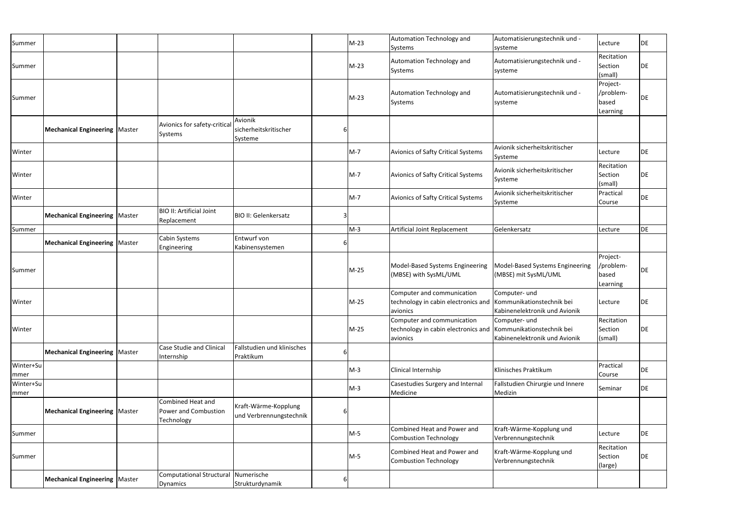| Summer            |                                        |                                                         |                                                 | $M-23$ | Automation Technology and<br>Systems                                                                    | Automatisierungstechnik und -<br>systeme                | Lecture                                    | DE |
|-------------------|----------------------------------------|---------------------------------------------------------|-------------------------------------------------|--------|---------------------------------------------------------------------------------------------------------|---------------------------------------------------------|--------------------------------------------|----|
| Summer            |                                        |                                                         |                                                 | $M-23$ | Automation Technology and<br>Systems                                                                    | Automatisierungstechnik und -<br>systeme                | Recitation<br>Section<br>(small)           | DE |
| Summer            |                                        |                                                         |                                                 | $M-23$ | Automation Technology and<br>Systems                                                                    | Automatisierungstechnik und -<br>systeme                | Project-<br>/problem-<br>based<br>Learning | DE |
|                   | <b>Mechanical Engineering   Master</b> | Avionics for safety-critical<br>Systems                 | Avionik<br>sicherheitskritischer<br>Systeme     |        |                                                                                                         |                                                         |                                            |    |
| Winter            |                                        |                                                         |                                                 | $M-7$  | Avionics of Safty Critical Systems                                                                      | Avionik sicherheitskritischer<br>Systeme                | Lecture                                    | DE |
| Winter            |                                        |                                                         |                                                 | $M-7$  | <b>Avionics of Safty Critical Systems</b>                                                               | Avionik sicherheitskritischer<br>Systeme                | Recitation<br>Section<br>(small)           | DE |
| Winter            |                                        |                                                         |                                                 | $M-7$  | Avionics of Safty Critical Systems                                                                      | Avionik sicherheitskritischer<br>Systeme                | Practical<br>Course                        | DE |
|                   | <b>Mechanical Engineering   Master</b> | <b>BIO II: Artificial Joint</b><br>Replacement          | <b>BIO II: Gelenkersatz</b>                     |        |                                                                                                         |                                                         |                                            |    |
| Summer            |                                        |                                                         |                                                 | $M-3$  | Artificial Joint Replacement                                                                            | Gelenkersatz                                            | Lecture                                    | DE |
|                   | <b>Mechanical Engineering   Master</b> | Cabin Systems<br>Engineering                            | Entwurf von<br>Kabinensystemen                  |        |                                                                                                         |                                                         |                                            |    |
| Summer            |                                        |                                                         |                                                 | $M-25$ | Model-Based Systems Engineering<br>(MBSE) with SysML/UML                                                | Model-Based Systems Engineering<br>(MBSE) mit SysML/UML | Project-<br>/problem-<br>based<br>Learning | DE |
| Winter            |                                        |                                                         |                                                 | $M-25$ | Computer and communication<br>technology in cabin electronics and Kommunikationstechnik bei<br>avionics | Computer- und<br>Kabinenelektronik und Avionik          | Lecture                                    | DE |
| Winter            |                                        |                                                         |                                                 | M-25   | Computer and communication<br>technology in cabin electronics and Kommunikationstechnik bei<br>avionics | Computer- und<br>Kabinenelektronik und Avionik          | Recitation<br>Section<br>(small)           | DE |
|                   | <b>Mechanical Engineering   Master</b> | <b>Case Studie and Clinical</b><br>Internship           | Fallstudien und klinisches<br>Praktikum         |        |                                                                                                         |                                                         |                                            |    |
| Winter+Su<br>mmer |                                        |                                                         |                                                 | $M-3$  | Clinical Internship                                                                                     | Klinisches Praktikum                                    | Practical<br>Course                        | DE |
| Winter+Su<br>mmer |                                        |                                                         |                                                 | $M-3$  | Casestudies Surgery and Internal<br>Medicine                                                            | Fallstudien Chirurgie und Innere<br>Medizin             | Seminar                                    | DE |
|                   | <b>Mechanical Engineering   Master</b> | Combined Heat and<br>Power and Combustion<br>Technology | Kraft-Wärme-Kopplung<br>und Verbrennungstechnik |        |                                                                                                         |                                                         |                                            |    |
| Summer            |                                        |                                                         |                                                 | $M-5$  | Combined Heat and Power and<br><b>Combustion Technology</b>                                             | Kraft-Wärme-Kopplung und<br>Verbrennungstechnik         | Lecture                                    | DE |
| Summer            |                                        |                                                         |                                                 | M-5    | Combined Heat and Power and<br><b>Combustion Technology</b>                                             | Kraft-Wärme-Kopplung und<br>Verbrennungstechnik         | Recitation<br>Section<br>(large)           | DE |
|                   | <b>Mechanical Engineering   Master</b> | <b>Computational Structural</b><br>Dynamics             | Numerische<br>Strukturdynamik                   |        |                                                                                                         |                                                         |                                            |    |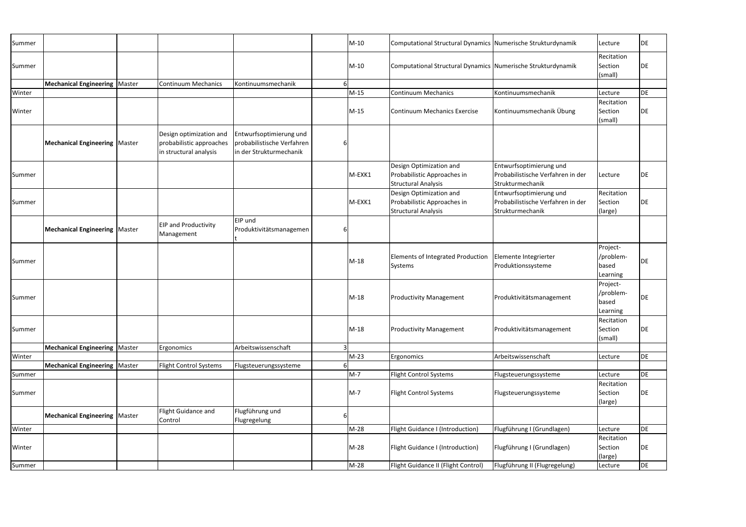| Summer |                                        |                                                                               |                                                                                  |   | $M-10$ | Computational Structural Dynamics Numerische Strukturdynamik                         |                                                                                  | Lecture                                    | <b>DE</b> |
|--------|----------------------------------------|-------------------------------------------------------------------------------|----------------------------------------------------------------------------------|---|--------|--------------------------------------------------------------------------------------|----------------------------------------------------------------------------------|--------------------------------------------|-----------|
| Summer |                                        |                                                                               |                                                                                  |   | $M-10$ | Computational Structural Dynamics Numerische Strukturdynamik                         |                                                                                  | Recitation<br>Section<br>(small)           | DE        |
|        | Mechanical Engineering   Master        | <b>Continuum Mechanics</b>                                                    | Kontinuumsmechanik                                                               |   |        |                                                                                      |                                                                                  |                                            |           |
| Winter |                                        |                                                                               |                                                                                  |   | $M-15$ | <b>Continuum Mechanics</b>                                                           | Kontinuumsmechanik                                                               | Lecture                                    | DE        |
|        |                                        |                                                                               |                                                                                  |   |        |                                                                                      |                                                                                  | Recitation                                 |           |
| Winter |                                        |                                                                               |                                                                                  |   | $M-15$ | <b>Continuum Mechanics Exercise</b>                                                  | Kontinuumsmechanik Übung                                                         | Section<br>(small)                         | DE        |
|        | <b>Mechanical Engineering   Master</b> | Design optimization and<br>probabilistic approaches<br>in structural analysis | Entwurfsoptimierung und<br>probabilistische Verfahren<br>in der Strukturmechanik |   |        |                                                                                      |                                                                                  |                                            |           |
| Summer |                                        |                                                                               |                                                                                  |   | M-EXK1 | Design Optimization and<br>Probabilistic Approaches in<br><b>Structural Analysis</b> | Entwurfsoptimierung und<br>Probabilistische Verfahren in der<br>Strukturmechanik | Lecture                                    | DE        |
| Summer |                                        |                                                                               |                                                                                  |   | M-EXK1 | Design Optimization and<br>Probabilistic Approaches in<br><b>Structural Analysis</b> | Entwurfsoptimierung und<br>Probabilistische Verfahren in der<br>Strukturmechanik | Recitation<br>Section<br>(large)           | DE        |
|        | Mechanical Engineering   Master        | <b>EIP and Productivity</b><br>Management                                     | EIP und<br>Produktivitätsmanagemen                                               | b |        |                                                                                      |                                                                                  |                                            |           |
| Summer |                                        |                                                                               |                                                                                  |   | $M-18$ | <b>Elements of Integrated Production</b><br>Systems                                  | Elemente Integrierter<br>Produktionssysteme                                      | Project-<br>/problem-<br>based<br>Learning | DE        |
| Summer |                                        |                                                                               |                                                                                  |   | $M-18$ | <b>Productivity Management</b>                                                       | Produktivitätsmanagement                                                         | Project-<br>/problem-<br>based<br>Learning | DE        |
| Summer |                                        |                                                                               |                                                                                  |   | $M-18$ | <b>Productivity Management</b>                                                       | Produktivitätsmanagement                                                         | Recitation<br>Section<br>(small)           | DE        |
|        | <b>Mechanical Engineering   Master</b> | Ergonomics                                                                    | Arbeitswissenschaft                                                              | ঽ |        |                                                                                      |                                                                                  |                                            |           |
| Winter |                                        |                                                                               |                                                                                  |   | $M-23$ | Ergonomics                                                                           | Arbeitswissenschaft                                                              | Lecture                                    | DE        |
|        | Mechanical Engineering Master          | <b>Flight Control Systems</b>                                                 | Flugsteuerungssysteme                                                            |   |        |                                                                                      |                                                                                  |                                            |           |
| Summer |                                        |                                                                               |                                                                                  |   | $M-7$  | <b>Flight Control Systems</b>                                                        | Flugsteuerungssysteme                                                            | Lecture                                    | DE        |
| Summer |                                        |                                                                               |                                                                                  |   | $M-7$  | <b>Flight Control Systems</b>                                                        | Flugsteuerungssysteme                                                            | Recitation<br>Section                      | DE        |
|        |                                        |                                                                               |                                                                                  |   |        |                                                                                      |                                                                                  | (large)                                    |           |
|        | <b>Mechanical Engineering   Master</b> | Flight Guidance and<br>Control                                                | Flugführung und<br>Flugregelung                                                  |   |        |                                                                                      |                                                                                  |                                            |           |
| Winter |                                        |                                                                               |                                                                                  |   | $M-28$ | Flight Guidance I (Introduction)                                                     | Flugführung I (Grundlagen)                                                       | Lecture                                    | DE        |
|        |                                        |                                                                               |                                                                                  |   |        |                                                                                      |                                                                                  | Recitation                                 |           |
| Winter |                                        |                                                                               |                                                                                  |   | $M-28$ | Flight Guidance I (Introduction)                                                     | Flugführung I (Grundlagen)                                                       | Section<br>(large)                         | DE        |
| Summer |                                        |                                                                               |                                                                                  |   | $M-28$ | Flight Guidance II (Flight Control)                                                  | Flugführung II (Flugregelung)                                                    | Lecture                                    | DE        |
|        |                                        |                                                                               |                                                                                  |   |        |                                                                                      |                                                                                  |                                            |           |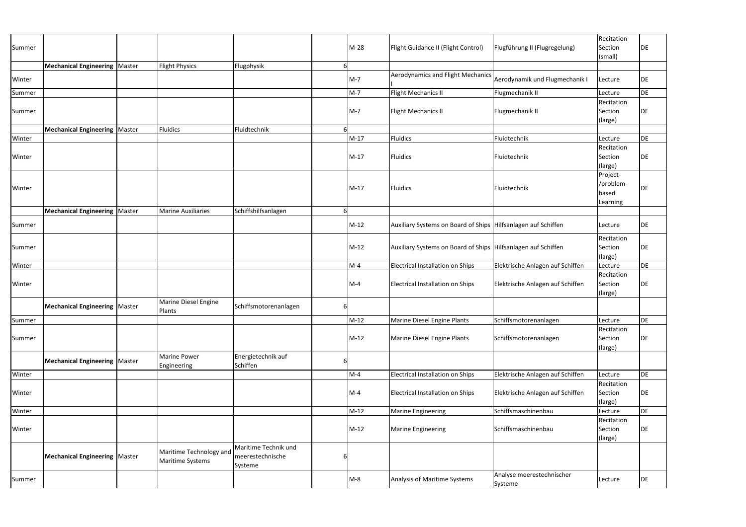| Summer |                                        |                                             |                                                     |   | M-28   | Flight Guidance II (Flight Control)                             | Flugführung II (Flugregelung)        | Recitation<br>Section<br>(small)           | DE |
|--------|----------------------------------------|---------------------------------------------|-----------------------------------------------------|---|--------|-----------------------------------------------------------------|--------------------------------------|--------------------------------------------|----|
|        | <b>Mechanical Engineering   Master</b> | <b>Flight Physics</b>                       | Flugphysik                                          | 6 |        | Aerodynamics and Flight Mechanics                               |                                      |                                            |    |
| Winter |                                        |                                             |                                                     |   | $M-7$  |                                                                 | Aerodynamik und Flugmechanik I       | Lecture                                    | DE |
| Summer |                                        |                                             |                                                     |   | $M-7$  | Flight Mechanics II                                             | Flugmechanik II                      | Lecture                                    | DE |
| Summer | <b>Mechanical Engineering   Master</b> | <b>Fluidics</b>                             | Fluidtechnik                                        |   | $M-7$  | Flight Mechanics II                                             | Flugmechanik II                      | Recitation<br>Section<br>(large)           | DE |
| Winter |                                        |                                             |                                                     |   | $M-17$ | Fluidics                                                        | Fluidtechnik                         | Lecture                                    | DE |
| Winter |                                        |                                             |                                                     |   | $M-17$ | <b>Fluidics</b>                                                 | Fluidtechnik                         | Recitation<br>Section<br>(large)           | DE |
| Winter |                                        |                                             |                                                     |   | M-17   | Fluidics                                                        | Fluidtechnik                         | Project-<br>/problem-<br>based<br>Learning | DE |
|        | <b>Mechanical Engineering   Master</b> | <b>Marine Auxiliaries</b>                   | Schiffshilfsanlagen                                 |   |        |                                                                 |                                      |                                            |    |
| Summer |                                        |                                             |                                                     |   | $M-12$ | Auxiliary Systems on Board of Ships Hilfsanlagen auf Schiffen   |                                      | Lecture                                    | DE |
| Summer |                                        |                                             |                                                     |   | $M-12$ | Auxiliary Systems on Board of Ships   Hilfsanlagen auf Schiffen |                                      | Recitation<br>Section<br>(large)           | DE |
| Winter |                                        |                                             |                                                     |   | $M-4$  | <b>Electrical Installation on Ships</b>                         | Elektrische Anlagen auf Schiffen     | Lecture                                    | DE |
| Winter |                                        |                                             |                                                     |   | $M-4$  | Electrical Installation on Ships                                | Elektrische Anlagen auf Schiffen     | Recitation<br>Section<br>(large)           | DE |
|        | Mechanical Engineering   Master        | <b>Marine Diesel Engine</b><br>Plants       | Schiffsmotorenanlagen                               | 6 |        |                                                                 |                                      |                                            |    |
| Summer |                                        |                                             |                                                     |   | $M-12$ | Marine Diesel Engine Plants                                     | Schiffsmotorenanlagen                | Lecture                                    | DE |
| Summer |                                        |                                             |                                                     |   | $M-12$ | Marine Diesel Engine Plants                                     | Schiffsmotorenanlagen                | Recitation<br>Section<br>(large)           | DE |
|        | <b>Mechanical Engineering   Master</b> | Marine Power<br>Engineering                 | Energietechnik auf<br>Schiffen                      | 6 |        |                                                                 |                                      |                                            |    |
| Winter |                                        |                                             |                                                     |   | $M-4$  | <b>Electrical Installation on Ships</b>                         | Elektrische Anlagen auf Schiffen     | Lecture                                    | DE |
| Winter |                                        |                                             |                                                     |   | $M-4$  | Electrical Installation on Ships                                | Elektrische Anlagen auf Schiffen     | Recitation<br>Section<br>(large)           | DE |
| Winter |                                        |                                             |                                                     |   | $M-12$ | <b>Marine Engineering</b>                                       | Schiffsmaschinenbau                  | Lecture                                    | DE |
| Winter |                                        |                                             |                                                     |   | $M-12$ | <b>Marine Engineering</b>                                       | Schiffsmaschinenbau                  | Recitation<br>Section<br>(large)           | DE |
|        | <b>Mechanical Engineering   Master</b> | Maritime Technology and<br>Maritime Systems | Maritime Technik und<br>meerestechnische<br>Systeme | 6 |        |                                                                 |                                      |                                            |    |
| Summer |                                        |                                             |                                                     |   | $M-8$  | Analysis of Maritime Systems                                    | Analyse meerestechnischer<br>Systeme | Lecture                                    | DE |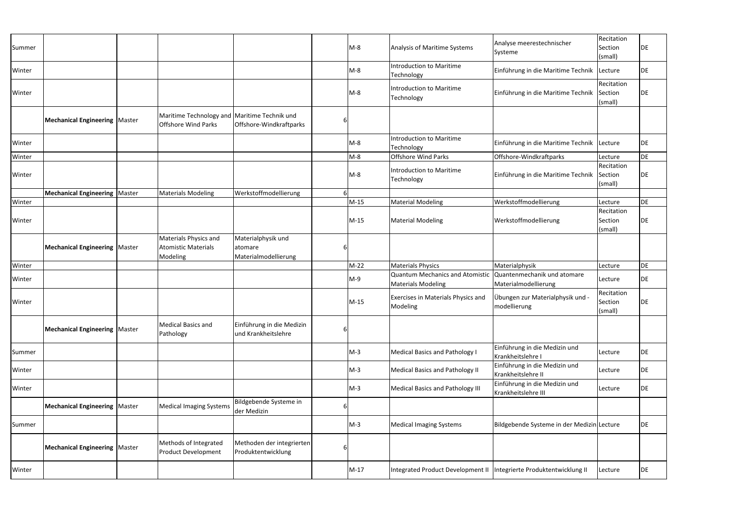| Summer |                                        |                                                                            |                                                       |   | $M-8$  | Analysis of Maritime Systems                                          | Analyse meerestechnischer<br>Systeme                 | Recitation<br>Section<br>(small) | DE |
|--------|----------------------------------------|----------------------------------------------------------------------------|-------------------------------------------------------|---|--------|-----------------------------------------------------------------------|------------------------------------------------------|----------------------------------|----|
| Winter |                                        |                                                                            |                                                       |   | $M-8$  | Introduction to Maritime<br>Technology                                | Einführung in die Maritime Technik                   | Lecture                          | DE |
| Winter |                                        |                                                                            |                                                       |   | $M-8$  | <b>Introduction to Maritime</b><br>Technology                         | Einführung in die Maritime Technik                   | Recitation<br>Section<br>(small) | DE |
|        | <b>Mechanical Engineering   Master</b> | Maritime Technology and Maritime Technik und<br><b>Offshore Wind Parks</b> | Offshore-Windkraftparks                               | 6 |        |                                                                       |                                                      |                                  |    |
| Winter |                                        |                                                                            |                                                       |   | $M-8$  | Introduction to Maritime<br>Technology                                | Einführung in die Maritime Technik                   | Lecture                          | DE |
| Winter |                                        |                                                                            |                                                       |   | $M-8$  | <b>Offshore Wind Parks</b>                                            | Offshore-Windkraftparks                              | Lecture                          | DE |
| Winter |                                        |                                                                            |                                                       |   | $M-8$  | <b>Introduction to Maritime</b><br>Technology                         | Einführung in die Maritime Technik                   | Recitation<br>Section<br>(small) | DE |
|        | <b>Mechanical Engineering   Master</b> | <b>Materials Modeling</b>                                                  | Werkstoffmodellierung                                 |   |        |                                                                       |                                                      |                                  |    |
| Winter |                                        |                                                                            |                                                       |   | $M-15$ | <b>Material Modeling</b>                                              | Werkstoffmodellierung                                | Lecture                          | DE |
| Winter |                                        |                                                                            |                                                       |   | $M-15$ | <b>Material Modeling</b>                                              | Werkstoffmodellierung                                | Recitation<br>Section<br>(small) | DE |
|        | <b>Mechanical Engineering   Master</b> | Materials Physics and<br><b>Atomistic Materials</b><br>Modeling            | Materialphysik und<br>atomare<br>Materialmodellierung | 6 |        |                                                                       |                                                      |                                  |    |
| Winter |                                        |                                                                            |                                                       |   | $M-22$ | <b>Materials Physics</b>                                              | Materialphysik                                       | Lecture                          | DE |
| Winter |                                        |                                                                            |                                                       |   | $M-9$  | <b>Quantum Mechanics and Atomistic</b><br><b>Materials Modeling</b>   | Quantenmechanik und atomare<br>Materialmodellierung  | Lecture                          | DE |
| Winter |                                        |                                                                            |                                                       |   | $M-15$ | Exercises in Materials Physics and<br>Modeling                        | Übungen zur Materialphysik und -<br>modellierung     | Recitation<br>Section<br>(small) | DE |
|        | <b>Mechanical Engineering   Master</b> | Medical Basics and<br>Pathology                                            | Einführung in die Medizin<br>und Krankheitslehre      |   |        |                                                                       |                                                      |                                  |    |
| Summer |                                        |                                                                            |                                                       |   | $M-3$  | <b>Medical Basics and Pathology I</b>                                 | Einführung in die Medizin und<br>Krankheitslehre I   | Lecture                          | DE |
| Winter |                                        |                                                                            |                                                       |   | $M-3$  | <b>Medical Basics and Pathology II</b>                                | Einführung in die Medizin und<br>Krankheitslehre II  | Lecture                          | DE |
| Winter |                                        |                                                                            |                                                       |   | $M-3$  | <b>Medical Basics and Pathology III</b>                               | Einführung in die Medizin und<br>Krankheitslehre III | Lecture                          | DE |
|        | <b>Mechanical Engineering   Master</b> | <b>Medical Imaging Systems</b>                                             | Bildgebende Systeme in<br>der Medizin                 | 6 |        |                                                                       |                                                      |                                  |    |
| Summer |                                        |                                                                            |                                                       |   | $M-3$  | <b>Medical Imaging Systems</b>                                        | Bildgebende Systeme in der Medizin Lecture           |                                  | DE |
|        | <b>Mechanical Engineering   Master</b> | Methods of Integrated<br><b>Product Development</b>                        | Methoden der integrierten<br>Produktentwicklung       | 6 |        |                                                                       |                                                      |                                  |    |
| Winter |                                        |                                                                            |                                                       |   | $M-17$ | Integrated Product Development II   Integrierte Produktentwicklung II |                                                      | Lecture                          | DE |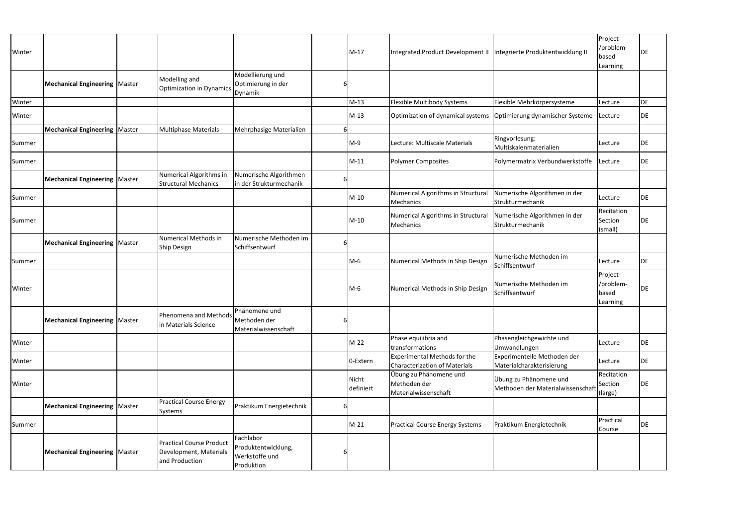|        |                                        |                                                                             |                                                                  |   |                    |                                                                       |                                                             | Project-                                   |           |
|--------|----------------------------------------|-----------------------------------------------------------------------------|------------------------------------------------------------------|---|--------------------|-----------------------------------------------------------------------|-------------------------------------------------------------|--------------------------------------------|-----------|
| Winter |                                        |                                                                             |                                                                  |   | $M-17$             | Integrated Product Development II   Integrierte Produktentwicklung II |                                                             | /problem-<br>based<br>Learning             | DE        |
|        | <b>Mechanical Engineering   Master</b> | Modelling and<br><b>Optimization in Dynamics</b>                            | Modellierung und<br>Optimierung in der<br>Dynamik                |   |                    |                                                                       |                                                             |                                            |           |
| Winter |                                        |                                                                             |                                                                  |   | $M-13$             | Flexible Multibody Systems                                            | Flexible Mehrkörpersysteme                                  | Lecture                                    | DE        |
| Winter |                                        |                                                                             |                                                                  |   | $M-13$             | Optimization of dynamical systems   Optimierung dynamischer Systeme   |                                                             | Lecture                                    | <b>DE</b> |
|        | <b>Mechanical Engineering   Master</b> | <b>Multiphase Materials</b>                                                 | Mehrphasige Materialien                                          |   |                    |                                                                       |                                                             |                                            |           |
| Summer |                                        |                                                                             |                                                                  |   | $M-9$              | Lecture: Multiscale Materials                                         | Ringvorlesung:<br>Multiskalenmaterialien                    | Lecture                                    | DE        |
| Summer |                                        |                                                                             |                                                                  |   | $M-11$             | <b>Polymer Composites</b>                                             | Polymermatrix Verbundwerkstoffe                             | Lecture                                    | DE        |
|        | <b>Mechanical Engineering   Master</b> | Numerical Algorithms in<br><b>Structural Mechanics</b>                      | Numerische Algorithmen<br>in der Strukturmechanik                | 6 |                    |                                                                       |                                                             |                                            |           |
| Summer |                                        |                                                                             |                                                                  |   | M-10               | Numerical Algorithms in Structural<br>Mechanics                       | Numerische Algorithmen in der<br>Strukturmechanik           | Lecture                                    | DE        |
| Summer |                                        |                                                                             |                                                                  |   | $M-10$             | Numerical Algorithms in Structural<br>Mechanics                       | Numerische Algorithmen in der<br>Strukturmechanik           | Recitation<br>Section<br>(small)           | DE        |
|        | <b>Mechanical Engineering   Master</b> | Numerical Methods in<br>Ship Design                                         | Numerische Methoden im<br>Schiffsentwurf                         | 6 |                    |                                                                       |                                                             |                                            |           |
| Summer |                                        |                                                                             |                                                                  |   | M-6                | Numerical Methods in Ship Design                                      | Numerische Methoden im<br>Schiffsentwurf                    | Lecture                                    | DE        |
| Winter |                                        |                                                                             |                                                                  |   | $M-6$              | Numerical Methods in Ship Design                                      | Numerische Methoden im<br>Schiffsentwurf                    | Project-<br>/problem-<br>based<br>Learning | DE        |
|        | <b>Mechanical Engineering   Master</b> | Phenomena and Methods<br>in Materials Science                               | Phänomene und<br>Methoden der<br>Materialwissenschaft            | 6 |                    |                                                                       |                                                             |                                            |           |
| Winter |                                        |                                                                             |                                                                  |   | M-22               | Phase equilibria and<br>transformations                               | Phasengleichgewichte und<br>Umwandlungen                    | Lecture                                    | DE        |
| Winter |                                        |                                                                             |                                                                  |   | 0-Extern           | Experimental Methods for the<br><b>Characterization of Materials</b>  | Experimentelle Methoden der<br>Materialcharakterisierung    | Lecture                                    | <b>DE</b> |
| Winter |                                        |                                                                             |                                                                  |   | Nicht<br>definiert | Übung zu Phänomene und<br>Methoden der<br>Materialwissenschaft        | Übung zu Phänomene und<br>Methoden der Materialwissenschaft | Recitation<br>Section<br>(large)           | DE        |
|        | <b>Mechanical Engineering   Master</b> | <b>Practical Course Energy</b><br>Systems                                   | Praktikum Energietechnik                                         | 6 |                    |                                                                       |                                                             |                                            |           |
| Summer |                                        |                                                                             |                                                                  |   | $M-21$             | <b>Practical Course Energy Systems</b>                                | Praktikum Energietechnik                                    | Practical<br>Course                        | <b>DE</b> |
|        | <b>Mechanical Engineering   Master</b> | <b>Practical Course Product</b><br>Development, Materials<br>and Production | Fachlabor<br>Produktentwicklung,<br>Werkstoffe und<br>Produktion |   |                    |                                                                       |                                                             |                                            |           |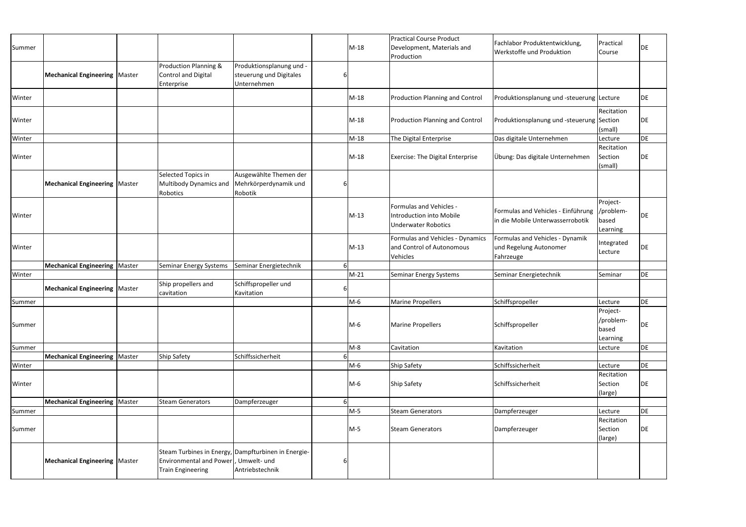| Summer |                                        |                                                                   |                                                                                         |   | $M-18$ | <b>Practical Course Product</b><br>Development, Materials and<br>Production       | Fachlabor Produktentwicklung,<br><b>Werkstoffe und Produktion</b>      | Practical<br>Course                        | DE        |
|--------|----------------------------------------|-------------------------------------------------------------------|-----------------------------------------------------------------------------------------|---|--------|-----------------------------------------------------------------------------------|------------------------------------------------------------------------|--------------------------------------------|-----------|
|        | <b>Mechanical Engineering   Master</b> | Production Planning &<br><b>Control and Digital</b><br>Enterprise | Produktionsplanung und -<br>steuerung und Digitales<br>Unternehmen                      | 6 |        |                                                                                   |                                                                        |                                            |           |
| Winter |                                        |                                                                   |                                                                                         |   | $M-18$ | <b>Production Planning and Control</b>                                            | Produktionsplanung und -steuerung Lecture                              |                                            | DE        |
| Winter |                                        |                                                                   |                                                                                         |   | $M-18$ | <b>Production Planning and Control</b>                                            | Produktionsplanung und -steuerung Section                              | Recitation<br>(small)                      | <b>DE</b> |
| Winter |                                        |                                                                   |                                                                                         |   | $M-18$ | The Digital Enterprise                                                            | Das digitale Unternehmen                                               | Lecture                                    | <b>DE</b> |
| Winter |                                        |                                                                   |                                                                                         |   | $M-18$ | <b>Exercise: The Digital Enterprise</b>                                           | Übung: Das digitale Unternehmen                                        | Recitation<br>Section<br>(small)           | DE        |
|        | Mechanical Engineering Master          | Selected Topics in<br>Multibody Dynamics and<br>Robotics          | Ausgewählte Themen der<br>Mehrkörperdynamik und<br>Robotik                              | 6 |        |                                                                                   |                                                                        |                                            |           |
| Winter |                                        |                                                                   |                                                                                         |   | M-13   | Formulas and Vehicles -<br>Introduction into Mobile<br><b>Underwater Robotics</b> | Formulas and Vehicles - Einführung<br>in die Mobile Unterwasserrobotik | Project-<br>/problem-<br>based<br>Learning | DE        |
| Winter |                                        |                                                                   |                                                                                         |   | M-13   | Formulas and Vehicles - Dynamics<br>and Control of Autonomous<br>Vehicles         | Formulas and Vehicles - Dynamik<br>und Regelung Autonomer<br>Fahrzeuge | Integrated<br>Lecture                      | DE        |
|        | <b>Mechanical Engineering   Master</b> | Seminar Energy Systems                                            | Seminar Energietechnik                                                                  |   |        |                                                                                   |                                                                        |                                            |           |
| Winter |                                        |                                                                   |                                                                                         |   | $M-21$ | Seminar Energy Systems                                                            | Seminar Energietechnik                                                 | Seminar                                    | DE        |
|        | Mechanical Engineering   Master        | Ship propellers and<br>cavitation                                 | Schiffspropeller und<br>Kavitation                                                      |   |        |                                                                                   |                                                                        |                                            |           |
| Summer |                                        |                                                                   |                                                                                         |   | $M-6$  | <b>Marine Propellers</b>                                                          | Schiffspropeller                                                       | Lecture                                    | <b>DE</b> |
| Summer |                                        |                                                                   |                                                                                         |   | M-6    | <b>Marine Propellers</b>                                                          | Schiffspropeller                                                       | Project-<br>/problem-<br>based<br>Learning | DE        |
| Summer |                                        |                                                                   |                                                                                         |   | M-8    | Cavitation                                                                        | Kavitation                                                             | Lecture                                    | <b>DE</b> |
|        | Mechanical Engineering   Master        | <b>Ship Safety</b>                                                | Schiffssicherheit                                                                       |   |        |                                                                                   |                                                                        |                                            |           |
| Winter |                                        |                                                                   |                                                                                         |   | M-6    | Ship Safety                                                                       | Schiffssicherheit                                                      | Lecture                                    | <b>DE</b> |
| Winter |                                        |                                                                   |                                                                                         |   | M-6    | <b>Ship Safety</b>                                                                | Schiffssicherheit                                                      | Recitation<br>Section<br>(large)           | <b>DE</b> |
|        | <b>Mechanical Engineering   Master</b> | <b>Steam Generators</b>                                           | Dampferzeuger                                                                           |   |        |                                                                                   |                                                                        |                                            |           |
| Summer |                                        |                                                                   |                                                                                         |   | M-5    | <b>Steam Generators</b>                                                           | Dampferzeuger                                                          | Lecture                                    | <b>DE</b> |
| Summer |                                        |                                                                   |                                                                                         |   | M-5    | <b>Steam Generators</b>                                                           | Dampferzeuger                                                          | Recitation<br>Section<br>(large)           | <b>DE</b> |
|        | Mechanical Engineering   Master        | Environmental and Power<br><b>Train Engineering</b>               | Steam Turbines in Energy, Dampfturbinen in Energie-<br>, Umwelt- und<br>Antriebstechnik | 6 |        |                                                                                   |                                                                        |                                            |           |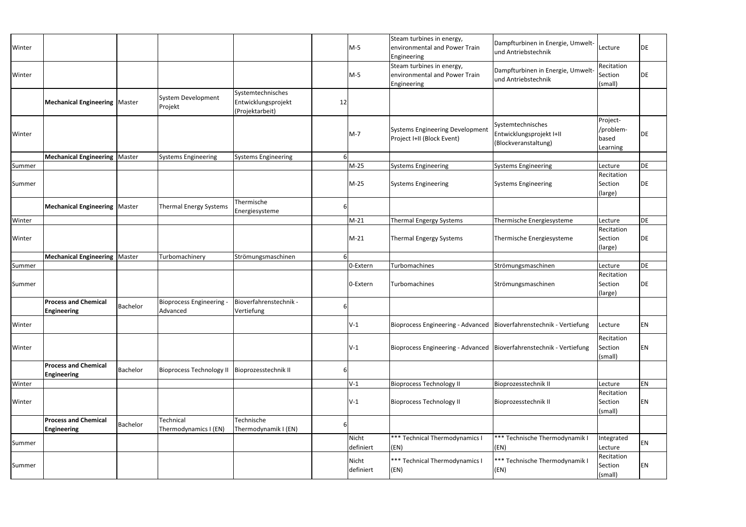| Winter |                                                   |          |                                             |                                                             |    | $M-5$              | Steam turbines in energy,<br>environmental and Power Train<br>Engineering | Dampfturbinen in Energie, Umwelt-<br>und Antriebstechnik              | Lecture                                    | DE        |
|--------|---------------------------------------------------|----------|---------------------------------------------|-------------------------------------------------------------|----|--------------------|---------------------------------------------------------------------------|-----------------------------------------------------------------------|--------------------------------------------|-----------|
| Winter |                                                   |          |                                             |                                                             |    | $M-5$              | Steam turbines in energy,<br>environmental and Power Train<br>Engineering | Dampfturbinen in Energie, Umwelt-<br>und Antriebstechnik              | Recitation<br>Section<br>(small)           | <b>DE</b> |
|        | <b>Mechanical Engineering   Master</b>            |          | System Development<br>Projekt               | Systemtechnisches<br>Entwicklungsprojekt<br>(Projektarbeit) | 12 |                    |                                                                           |                                                                       |                                            |           |
| Winter |                                                   |          |                                             |                                                             |    | $M-7$              | <b>Systems Engineering Development</b><br>Project I+II (Block Event)      | Systemtechnisches<br>Entwicklungsprojekt I+II<br>(Blockveranstaltung) | Project-<br>/problem-<br>based<br>Learning | DE        |
|        | <b>Mechanical Engineering   Master</b>            |          | <b>Systems Engineering</b>                  | <b>Systems Engineering</b>                                  |    |                    |                                                                           |                                                                       |                                            |           |
| Summer |                                                   |          |                                             |                                                             |    | $M-25$             | <b>Systems Engineering</b>                                                | <b>Systems Engineering</b>                                            | Lecture                                    | DE        |
| Summer |                                                   |          |                                             |                                                             |    | $M-25$             | <b>Systems Engineering</b>                                                | <b>Systems Engineering</b>                                            | Recitation<br>Section<br>(large)           | <b>DE</b> |
|        | <b>Mechanical Engineering   Master</b>            |          | <b>Thermal Energy Systems</b>               | Thermische<br>Energiesysteme                                | 6  |                    |                                                                           |                                                                       |                                            |           |
| Winter |                                                   |          |                                             |                                                             |    | $M-21$             | Thermal Engergy Systems                                                   | Thermische Energiesysteme                                             | Lecture                                    | DE        |
| Winter |                                                   |          |                                             |                                                             |    | $M-21$             | <b>Thermal Engergy Systems</b>                                            | Thermische Energiesysteme                                             | Recitation<br>Section<br>(large)           | DE        |
|        | <b>Mechanical Engineering   Master</b>            |          | Turbomachinery                              | Strömungsmaschinen                                          |    |                    |                                                                           |                                                                       |                                            |           |
| Summer |                                                   |          |                                             |                                                             |    | 0-Extern           | Turbomachines                                                             | Strömungsmaschinen                                                    | Lecture                                    | DE        |
| Summer |                                                   |          |                                             |                                                             |    | 0-Extern           | Turbomachines                                                             | Strömungsmaschinen                                                    | Recitation<br>Section<br>(large)           | DE        |
|        | <b>Process and Chemical</b><br><b>Engineering</b> | Bachelor | <b>Bioprocess Engineering -</b><br>Advanced | Bioverfahrenstechnik -<br>Vertiefung                        | 6  |                    |                                                                           |                                                                       |                                            |           |
| Winter |                                                   |          |                                             |                                                             |    | $V-1$              | Bioprocess Engineering - Advanced   Bioverfahrenstechnik - Vertiefung     |                                                                       | Lecture                                    | EN        |
| Winter |                                                   |          |                                             |                                                             |    | $V-1$              | Bioprocess Engineering - Advanced   Bioverfahrenstechnik - Vertiefung     |                                                                       | Recitation<br>Section<br>(small)           | EN        |
|        | <b>Process and Chemical</b><br><b>Engineering</b> | Bachelor | <b>Bioprocess Technology II</b>             | Bioprozesstechnik II                                        | 6  |                    |                                                                           |                                                                       |                                            |           |
| Winter |                                                   |          |                                             |                                                             |    | $V-1$              | <b>Bioprocess Technology II</b>                                           | Bioprozesstechnik II                                                  | Lecture                                    | <b>EN</b> |
| Winter |                                                   |          |                                             |                                                             |    | $V-1$              | <b>Bioprocess Technology II</b>                                           | Bioprozesstechnik II                                                  | Recitation<br>Section<br>(small)           | <b>EN</b> |
|        | <b>Process and Chemical</b><br><b>Engineering</b> | Bachelor | Technical<br>Thermodynamics I (EN)          | Technische<br>Thermodynamik I (EN)                          | 6  |                    |                                                                           |                                                                       |                                            |           |
| Summer |                                                   |          |                                             |                                                             |    | Nicht<br>definiert | *** Technical Thermodynamics I<br>(EN)                                    | *** Technische Thermodynamik I<br>(EN)                                | Integrated<br>Lecture                      | <b>EN</b> |
| Summer |                                                   |          |                                             |                                                             |    | Nicht<br>definiert | *** Technical Thermodynamics I<br>(EN)                                    | *** Technische Thermodynamik I<br>(EN)                                | Recitation<br>Section<br>(small)           | EN        |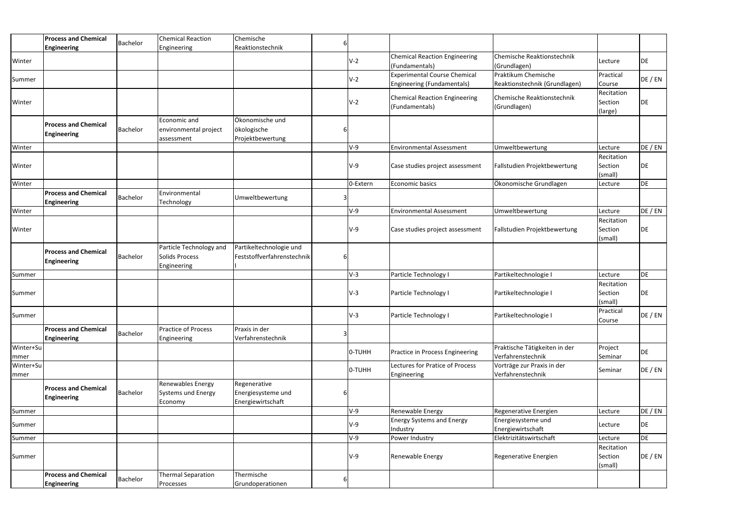|                    | <b>Process and Chemical</b>                       |          | <b>Chemical Reaction</b>                                 | Chemische                                               |            |                                                                   |                                                      |                                  |           |
|--------------------|---------------------------------------------------|----------|----------------------------------------------------------|---------------------------------------------------------|------------|-------------------------------------------------------------------|------------------------------------------------------|----------------------------------|-----------|
|                    | <b>Engineering</b>                                | Bachelor | Engineering                                              | Reaktionstechnik                                        |            |                                                                   |                                                      |                                  |           |
| Winter             |                                                   |          |                                                          |                                                         | $V-2$      | <b>Chemical Reaction Engineering</b><br>(Fundamentals)            | Chemische Reaktionstechnik<br>(Grundlagen)           | Lecture                          | DE        |
| Summer             |                                                   |          |                                                          |                                                         | $V-2$      | <b>Experimental Course Chemical</b><br>Engineering (Fundamentals) | Praktikum Chemische<br>Reaktionstechnik (Grundlagen) | Practical<br>Course              | DE / EN   |
| Winter             |                                                   |          |                                                          |                                                         | $V-2$      | <b>Chemical Reaction Engineering</b><br>(Fundamentals)            | Chemische Reaktionstechnik<br>(Grundlagen)           | Recitation<br>Section<br>(large) | DE        |
|                    | <b>Process and Chemical</b><br><b>Engineering</b> | Bachelor | Economic and<br>environmental project<br>assessment      | Ökonomische und<br>ökologische<br>Projektbewertung      |            |                                                                   |                                                      |                                  |           |
| Winter             |                                                   |          |                                                          |                                                         | $V-9$      | <b>Environmental Assessment</b>                                   | Umweltbewertung                                      | Lecture                          | DE / EN   |
| Winter             |                                                   |          |                                                          |                                                         | <b>V-9</b> | Case studies project assessment                                   | Fallstudien Projektbewertung                         | Recitation<br>Section<br>(small) | DE        |
| Winter             |                                                   |          |                                                          |                                                         | 0-Extern   | Economic basics                                                   | Ökonomische Grundlagen                               | Lecture                          | DE        |
|                    | <b>Process and Chemical</b><br><b>Engineering</b> | Bachelor | Environmental<br>Technology                              | Umweltbewertung                                         |            |                                                                   |                                                      |                                  |           |
| Winter             |                                                   |          |                                                          |                                                         | V-9        | <b>Environmental Assessment</b>                                   | Umweltbewertung                                      | Lecture                          | DE / EN   |
| Winter             |                                                   |          |                                                          |                                                         | $V-9$      | Case studies project assessment                                   | Fallstudien Projektbewertung                         | Recitation<br>Section<br>(small) | DE        |
|                    | <b>Process and Chemical</b><br><b>Engineering</b> | Bachelor | Particle Technology and<br>Solids Process<br>Engineering | Partikeltechnologie und<br>Feststoffverfahrenstechnik   |            |                                                                   |                                                      |                                  |           |
| Summer             |                                                   |          |                                                          |                                                         | $V-3$      | Particle Technology I                                             | Partikeltechnologie I                                | Lecture                          | <b>DE</b> |
| Summer             |                                                   |          |                                                          |                                                         | $V-3$      | Particle Technology I                                             | Partikeltechnologie I                                | Recitation<br>Section<br>(small) | DE        |
| Summer             |                                                   |          |                                                          |                                                         | $V-3$      | Particle Technology I                                             | Partikeltechnologie I                                | Practical<br>Course              | DE / EN   |
|                    | <b>Process and Chemical</b><br><b>Engineering</b> | Bachelor | Practice of Process<br>Engineering                       | Praxis in der<br>Verfahrenstechnik                      |            |                                                                   |                                                      |                                  |           |
| Winter+Su<br>mmer  |                                                   |          |                                                          |                                                         | O-TUHH     | Practice in Process Engineering                                   | Praktische Tätigkeiten in der<br>Verfahrenstechnik   | Project<br>Seminar               | DE        |
| Winter+Su<br> mmer |                                                   |          |                                                          |                                                         | O-TUHH     | Lectures for Pratice of Process<br>Engineering                    | Vorträge zur Praxis in der<br>Verfahrenstechnik      | Seminar                          | DE / EN   |
|                    | <b>Process and Chemical</b><br><b>Engineering</b> | Bachelor | Renewables Energy<br>Systems und Energy<br>Economy       | Regenerative<br>Energiesysteme und<br>Energiewirtschaft |            |                                                                   |                                                      |                                  |           |
| Summer             |                                                   |          |                                                          |                                                         | V-9        | Renewable Energy                                                  | Regenerative Energien                                | Lecture                          | DE / EN   |
| Summer             |                                                   |          |                                                          |                                                         | $V-9$      | <b>Energy Systems and Energy</b><br>Industry                      | Energiesysteme und<br>Energiewirtschaft              | Lecture                          | DE        |
| Summer             |                                                   |          |                                                          |                                                         | V-9        | Power Industry                                                    | Elektrizitätswirtschaft                              | Lecture                          | DE        |
| Summer             |                                                   |          |                                                          |                                                         | $V-9$      | Renewable Energy                                                  | Regenerative Energien                                | Recitation<br>Section<br>(small) | DE / EN   |
|                    | <b>Process and Chemical</b><br><b>Engineering</b> | Bachelor | <b>Thermal Separation</b><br>Processes                   | Thermische<br>Grundoperationen                          |            |                                                                   |                                                      |                                  |           |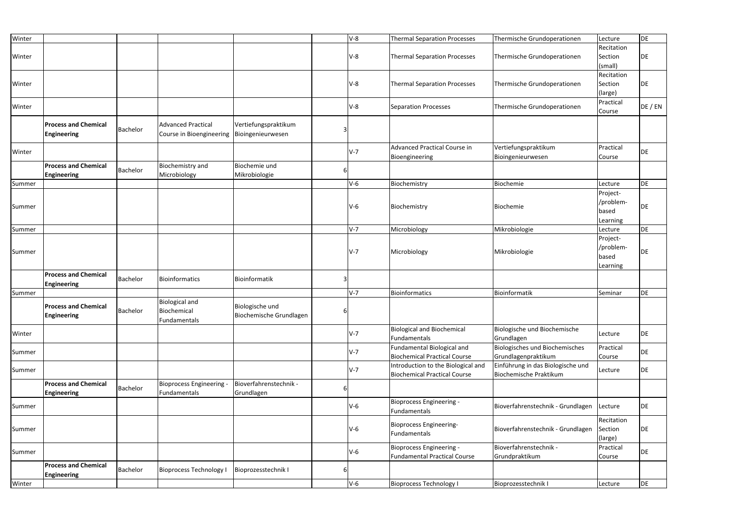| Winter |                                                   |                 |                                                       |                                            |   | $V-8$ | <b>Thermal Separation Processes</b>                                       | Thermische Grundoperationen                                 | Lecture                                    | DE      |
|--------|---------------------------------------------------|-----------------|-------------------------------------------------------|--------------------------------------------|---|-------|---------------------------------------------------------------------------|-------------------------------------------------------------|--------------------------------------------|---------|
| Winter |                                                   |                 |                                                       |                                            |   | $V-8$ | Thermal Separation Processes                                              | Thermische Grundoperationen                                 | Recitation<br>Section<br>(small)           | DE      |
| Winter |                                                   |                 |                                                       |                                            |   | $V-8$ | <b>Thermal Separation Processes</b>                                       | Thermische Grundoperationen                                 | Recitation<br>Section<br>(large)           | DE      |
| Winter |                                                   |                 |                                                       |                                            |   | $V-8$ | Separation Processes                                                      | Thermische Grundoperationen                                 | Practical<br>Course                        | DE / EN |
|        | <b>Process and Chemical</b><br><b>Engineering</b> | Bachelor        | <b>Advanced Practical</b><br>Course in Bioengineering | Vertiefungspraktikum<br>Bioingenieurwesen  |   |       |                                                                           |                                                             |                                            |         |
| Winter |                                                   |                 |                                                       |                                            |   | $V-7$ | Advanced Practical Course in<br>Bioengineering                            | Vertiefungspraktikum<br>Bioingenieurwesen                   | Practical<br>Course                        | DE      |
|        | <b>Process and Chemical</b><br><b>Engineering</b> | Bachelor        | Biochemistry and<br>Microbiology                      | Biochemie und<br>Mikrobiologie             |   |       |                                                                           |                                                             |                                            |         |
| Summer |                                                   |                 |                                                       |                                            |   | $V-6$ | Biochemistry                                                              | Biochemie                                                   | Lecture                                    | DE      |
| Summer |                                                   |                 |                                                       |                                            |   | $V-6$ | Biochemistry                                                              | Biochemie                                                   | Project-<br>/problem-<br>based<br>Learning | DE      |
| Summer |                                                   |                 |                                                       |                                            |   | $V-7$ | Microbiology                                                              | Mikrobiologie                                               | Lecture                                    | DE      |
| Summer |                                                   |                 |                                                       |                                            |   | $V-7$ | Microbiology                                                              | Mikrobiologie                                               | Project-<br>/problem-<br>based<br>Learning | DE      |
|        | <b>Process and Chemical</b><br><b>Engineering</b> | Bachelor        | <b>Bioinformatics</b>                                 | Bioinformatik                              | 3 |       |                                                                           |                                                             |                                            |         |
| Summer |                                                   |                 |                                                       |                                            |   | $V-7$ | Bioinformatics                                                            | Bioinformatik                                               | Seminar                                    | DE      |
|        | <b>Process and Chemical</b><br><b>Engineering</b> | Bachelor        | <b>Biological and</b><br>Biochemical<br>Fundamentals  | Biologische und<br>Biochemische Grundlagen | 6 |       |                                                                           |                                                             |                                            |         |
| Winter |                                                   |                 |                                                       |                                            |   | $V-7$ | <b>Biological and Biochemical</b><br>Fundamentals                         | Biologische und Biochemische<br>Grundlagen                  | Lecture                                    | DE      |
| Summer |                                                   |                 |                                                       |                                            |   | $V-7$ | Fundamental Biological and<br><b>Biochemical Practical Course</b>         | Biologisches und Biochemisches<br>Grundlagenpraktikum       | Practical<br>Course                        | DE      |
| Summer |                                                   |                 |                                                       |                                            |   | $V-7$ | Introduction to the Biological and<br><b>Biochemical Practical Course</b> | Einführung in das Biologische und<br>Biochemische Praktikum | Lecture                                    | DE      |
|        | <b>Process and Chemical</b><br><b>Engineering</b> | <b>Bachelor</b> | <b>Bioprocess Engineering -</b><br>Fundamentals       | Bioverfahrenstechnik -<br>Grundlagen       |   |       |                                                                           |                                                             |                                            |         |
| Summer |                                                   |                 |                                                       |                                            |   | $V-6$ | Bioprocess Engineering -<br>Fundamentals                                  | Bioverfahrenstechnik - Grundlagen                           | Lecture                                    | DE      |
| Summer |                                                   |                 |                                                       |                                            |   | $V-6$ | Bioprocess Engineering-<br>Fundamentals                                   | Bioverfahrenstechnik - Grundlagen                           | Recitation<br>Section<br>(large)           | DE      |
| Summer |                                                   |                 |                                                       |                                            |   | $V-6$ | Bioprocess Engineering -<br>Fundamental Practical Course                  | Bioverfahrenstechnik -<br>Grundpraktikum                    | Practical<br>Course                        | DE      |
|        | <b>Process and Chemical</b><br><b>Engineering</b> | Bachelor        | <b>Bioprocess Technology I</b>                        | Bioprozesstechnik I                        |   |       |                                                                           |                                                             |                                            |         |
| Winter |                                                   |                 |                                                       |                                            |   | $V-6$ | <b>Bioprocess Technology I</b>                                            | Bioprozesstechnik I                                         | Lecture                                    | DE      |
|        |                                                   |                 |                                                       |                                            |   |       |                                                                           |                                                             |                                            |         |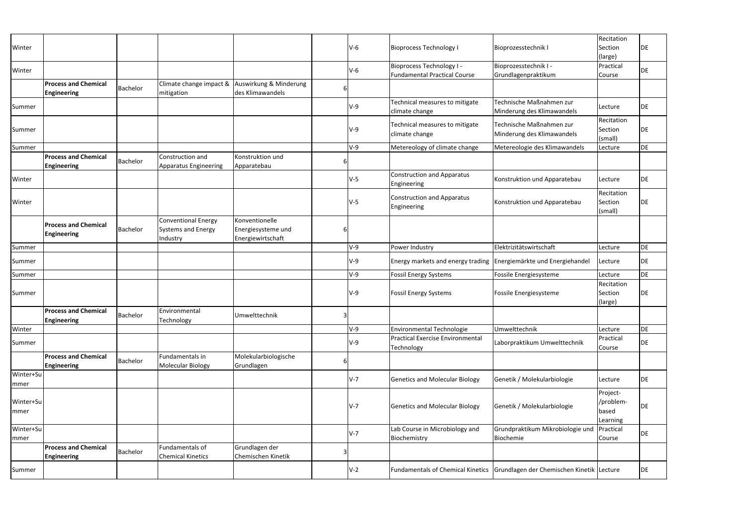| Winter    |                             |          |                              |                        |   | $V-6$      | <b>Bioprocess Technology I</b>                                    | Bioprozesstechnik I                                                             | Recitation<br>Section | DE        |
|-----------|-----------------------------|----------|------------------------------|------------------------|---|------------|-------------------------------------------------------------------|---------------------------------------------------------------------------------|-----------------------|-----------|
|           |                             |          |                              |                        |   |            |                                                                   |                                                                                 | (large)               |           |
|           |                             |          |                              |                        |   |            | <b>Bioprocess Technology I -</b>                                  | Bioprozesstechnik I -                                                           | Practical             |           |
| Winter    |                             |          |                              |                        |   | $V-6$      | <b>Fundamental Practical Course</b>                               | Grundlagenpraktikum                                                             | Course                | <b>DE</b> |
|           | <b>Process and Chemical</b> |          | Climate change impact &      | Auswirkung & Minderung |   |            |                                                                   |                                                                                 |                       |           |
|           | <b>Engineering</b>          | Bachelor | mitigation                   | des Klimawandels       |   |            |                                                                   |                                                                                 |                       |           |
|           |                             |          |                              |                        |   |            | Technical measures to mitigate                                    | Technische Maßnahmen zur                                                        |                       |           |
| Summer    |                             |          |                              |                        |   | V-9        | climate change                                                    | Minderung des Klimawandels                                                      | Lecture               | DE        |
|           |                             |          |                              |                        |   |            |                                                                   |                                                                                 | Recitation            |           |
| Summer    |                             |          |                              |                        |   | $V-9$      | Technical measures to mitigate                                    | Technische Maßnahmen zur                                                        | Section               | DE        |
|           |                             |          |                              |                        |   |            | climate change                                                    | Minderung des Klimawandels                                                      | (small)               |           |
| Summer    |                             |          |                              |                        |   | $V-9$      | Metereology of climate change                                     | Metereologie des Klimawandels                                                   | Lecture               | <b>DE</b> |
|           | <b>Process and Chemical</b> |          | Construction and             | Konstruktion und       |   |            |                                                                   |                                                                                 |                       |           |
|           |                             | Bachelor |                              |                        |   |            |                                                                   |                                                                                 |                       |           |
|           | Engineering                 |          | <b>Apparatus Engineering</b> | Apparatebau            |   |            |                                                                   |                                                                                 |                       |           |
| Winter    |                             |          |                              |                        |   | $V-5$      | <b>Construction and Apparatus</b><br>Engineering                  | Konstruktion und Apparatebau                                                    | Lecture               | <b>DE</b> |
|           |                             |          |                              |                        |   |            | <b>Construction and Apparatus</b>                                 |                                                                                 | Recitation            |           |
| Winter    |                             |          |                              |                        |   | $V-5$      |                                                                   | Konstruktion und Apparatebau                                                    | Section               | DE        |
|           |                             |          |                              |                        |   |            | Engineering                                                       |                                                                                 | (small)               |           |
|           |                             |          | <b>Conventional Energy</b>   | Konventionelle         |   |            |                                                                   |                                                                                 |                       |           |
|           | <b>Process and Chemical</b> | Bachelor | <b>Systems and Energy</b>    | Energiesysteme und     |   |            |                                                                   |                                                                                 |                       |           |
|           | <b>Engineering</b>          |          | Industry                     | Energiewirtschaft      |   |            |                                                                   |                                                                                 |                       |           |
| Summer    |                             |          |                              |                        |   | $V-9$      | Power Industry                                                    | Elektrizitätswirtschaft                                                         | Lecture               | <b>DE</b> |
|           |                             |          |                              |                        |   |            |                                                                   |                                                                                 |                       |           |
| Summer    |                             |          |                              |                        |   | <b>V-9</b> | Energy markets and energy trading Energiemärkte und Energiehandel |                                                                                 | Lecture               | DE        |
| Summer    |                             |          |                              |                        |   | $V-9$      | <b>Fossil Energy Systems</b>                                      | Fossile Energiesysteme                                                          | Lecture               | <b>DE</b> |
|           |                             |          |                              |                        |   |            |                                                                   |                                                                                 | Recitation            |           |
| Summer    |                             |          |                              |                        |   | V-9        | <b>Fossil Energy Systems</b>                                      | Fossile Energiesysteme                                                          | Section               | DE        |
|           |                             |          |                              |                        |   |            |                                                                   |                                                                                 | (large)               |           |
|           | <b>Process and Chemical</b> | Bachelor | Environmental                | Umwelttechnik          | 3 |            |                                                                   |                                                                                 |                       |           |
|           | <b>Engineering</b>          |          | Technology                   |                        |   |            |                                                                   |                                                                                 |                       |           |
| Winter    |                             |          |                              |                        |   | V-9        | <b>Environmental Technologie</b>                                  | Umwelttechnik                                                                   | Lecture               | DE        |
| Summer    |                             |          |                              |                        |   | $V-9$      | <b>Practical Exercise Environmental</b>                           | Laborpraktikum Umwelttechnik                                                    | Practical             | DE        |
|           |                             |          |                              |                        |   |            | Technology                                                        |                                                                                 | Course                |           |
|           | <b>Process and Chemical</b> |          | Fundamentals in              | Molekularbiologische   |   |            |                                                                   |                                                                                 |                       |           |
|           | <b>Engineering</b>          | Bachelor | <b>Molecular Biology</b>     | Grundlagen             |   |            |                                                                   |                                                                                 |                       |           |
| Winter+Su |                             |          |                              |                        |   |            |                                                                   |                                                                                 |                       |           |
| mmer      |                             |          |                              |                        |   | $V-7$      | <b>Genetics and Molecular Biology</b>                             | Genetik / Molekularbiologie                                                     | Lecture               | DE        |
|           |                             |          |                              |                        |   |            |                                                                   |                                                                                 | Project-              |           |
| Winter+Su |                             |          |                              |                        |   |            |                                                                   |                                                                                 | /problem-             |           |
| mmer      |                             |          |                              |                        |   | $V-7$      | <b>Genetics and Molecular Biology</b>                             | Genetik / Molekularbiologie                                                     | based                 | DE        |
|           |                             |          |                              |                        |   |            |                                                                   |                                                                                 | Learning              |           |
| Winter+Su |                             |          |                              |                        |   |            | Lab Course in Microbiology and                                    | Grundpraktikum Mikrobiologie und                                                | Practical             |           |
| mmer      |                             |          |                              |                        |   | $V-7$      | Biochemistry                                                      | Biochemie                                                                       | Course                | DE        |
|           | <b>Process and Chemical</b> |          | Fundamentals of              | Grundlagen der         |   |            |                                                                   |                                                                                 |                       |           |
|           | <b>Engineering</b>          | Bachelor | <b>Chemical Kinetics</b>     | Chemischen Kinetik     |   |            |                                                                   |                                                                                 |                       |           |
|           |                             |          |                              |                        |   | $V-2$      |                                                                   | Fundamentals of Chemical Kinetics   Grundlagen der Chemischen Kinetik   Lecture |                       | DE        |
| Summer    |                             |          |                              |                        |   |            |                                                                   |                                                                                 |                       |           |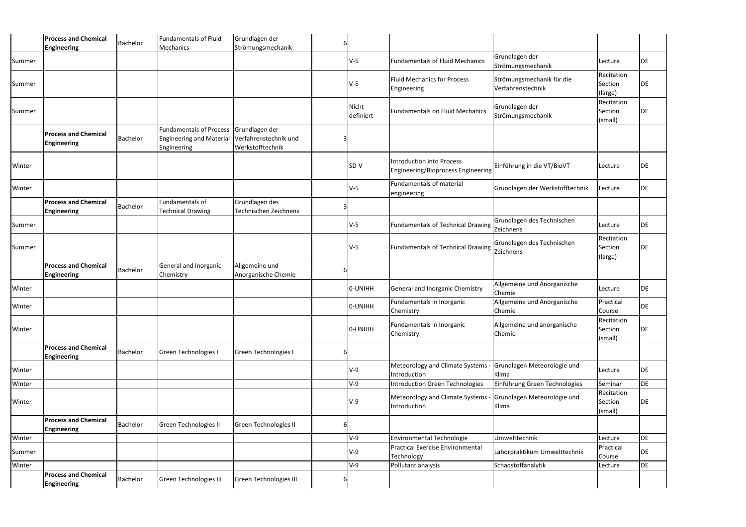|        | <b>Process and Chemical</b><br><b>Engineering</b> | Bachelor | <b>Fundamentals of Fluid</b><br>Mechanics                                        | Grundlagen der<br>Strömungsmechanik                         |                    |                                                                               |                                                |                                  |           |
|--------|---------------------------------------------------|----------|----------------------------------------------------------------------------------|-------------------------------------------------------------|--------------------|-------------------------------------------------------------------------------|------------------------------------------------|----------------------------------|-----------|
| Summer |                                                   |          |                                                                                  |                                                             | $V-5$              | <b>Fundamentals of Fluid Mechanics</b>                                        | Grundlagen der<br>Strömungsmechanik            | Lecture                          | DE        |
| Summer |                                                   |          |                                                                                  |                                                             | <b>V-5</b>         | <b>Fluid Mechanics for Process</b><br>Engineering                             | Strömungsmechanik für die<br>Verfahrenstechnik | Recitation<br>Section<br>(large) | DE        |
| Summer |                                                   |          |                                                                                  |                                                             | Nicht<br>definiert | <b>Fundamentals on Fluid Mechanics</b>                                        | Grundlagen der<br>Strömungsmechanik            | Recitation<br>Section<br>(small) | DE        |
|        | <b>Process and Chemical</b><br><b>Engineering</b> | Bachelor | <b>Fundamentals of Process</b><br><b>Engineering and Material</b><br>Engineering | Grundlagen der<br>Verfahrenstechnik und<br>Werkstofftechnik |                    |                                                                               |                                                |                                  |           |
| Winter |                                                   |          |                                                                                  |                                                             | SD-V               | <b>Introduction into Process</b><br>Engineering/Bioprocess Engineering        | Einführung in die VT/BioVT                     | Lecture                          | DE        |
| Winter |                                                   |          |                                                                                  |                                                             | $V-5$              | Fundamentals of material<br>engineering                                       | Grundlagen der Werkstofftechnik                | Lecture                          | DE        |
|        | <b>Process and Chemical</b><br><b>Engineering</b> | Bachelor | Fundamentals of<br><b>Technical Drawing</b>                                      | Grundlagen des<br>Technischen Zeichnens                     |                    |                                                                               |                                                |                                  |           |
| Summer |                                                   |          |                                                                                  |                                                             | V-5                | Fundamentals of Technical Drawing                                             | Grundlagen des Technischen<br>Zeichnens        | Lecture                          | DE        |
| Summer |                                                   |          |                                                                                  |                                                             | $V-5$              | Fundamentals of Technical Drawing   Yikitalium                                | Grundlagen des Technischen                     | Recitation<br>Section<br>(large) | <b>DE</b> |
|        | <b>Process and Chemical</b><br><b>Engineering</b> | Bachelor | General and Inorganic<br>Chemistry                                               | Allgemeine und<br>Anorganische Chemie                       |                    |                                                                               |                                                |                                  |           |
| Winter |                                                   |          |                                                                                  |                                                             | O-UNIHH            | General and Inorganic Chemistry                                               | Allgemeine und Anorganische<br>Chemie          | Lecture                          | DE        |
| Winter |                                                   |          |                                                                                  |                                                             | O-UNIHH            | Fundamentals in Inorganic<br>Chemistry                                        | Allgemeine und Anorganische<br>Chemie          | Practical<br>Course              | DE        |
| Winter |                                                   |          |                                                                                  |                                                             | O-UNIHH            | Fundamentals in Inorganic<br>Chemistry                                        | Allgemeine und anorganische<br>Chemie          | Recitation<br>Section<br>(small) | DE        |
|        | <b>Process and Chemical</b><br><b>Engineering</b> | Bachelor | <b>Green Technologies I</b>                                                      | <b>Green Technologies I</b>                                 |                    |                                                                               |                                                |                                  |           |
| Winter |                                                   |          |                                                                                  |                                                             | $V-9$              | Meteorology and Climate Systems - Grundlagen Meteorologie und<br>Introduction | Klima                                          | Lecture                          | DE        |
| Winter |                                                   |          |                                                                                  |                                                             | V-9                | Introduction Green Technologies                                               | Einführung Green Technologies                  | Seminar                          | DE        |
| Winter |                                                   |          |                                                                                  |                                                             | V-9                | Meteorology and Climate Systems - Grundlagen Meteorologie und<br>Introduction | Klima                                          | Recitation<br>Section<br>(small) | DE        |
|        | <b>Process and Chemical</b><br><b>Engineering</b> | Bachelor | Green Technologies II                                                            | Green Technologies II                                       |                    |                                                                               |                                                |                                  |           |
| Winter |                                                   |          |                                                                                  |                                                             | V-9                | <b>Environmental Technologie</b>                                              | Umwelttechnik                                  | Lecture                          | DE        |
| Summer |                                                   |          |                                                                                  |                                                             | V-9                | <b>Practical Exercise Environmental</b><br>Technology                         | Laborpraktikum Umwelttechnik                   | Practical<br>Course              | DE        |
| Winter |                                                   |          |                                                                                  |                                                             | $V-9$              | Pollutant analysis                                                            | Schadstoffanalytik                             | Lecture                          | DE        |
|        | <b>Process and Chemical</b><br><b>Engineering</b> | Bachelor | Green Technologies III                                                           | <b>Green Technologies III</b>                               |                    |                                                                               |                                                |                                  |           |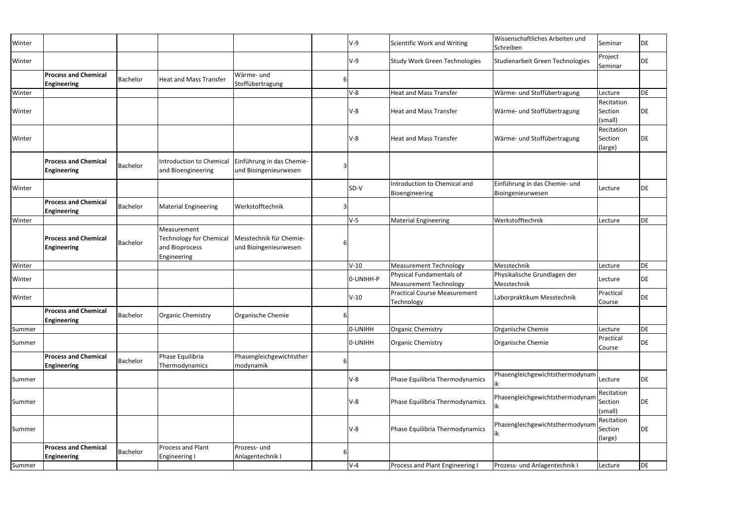| Winter |                                                   |          |                                                                                |                                                    |          | $V-9$     | Scientific Work and Writing                               | Wissenschaftliches Arbeiten und<br>Schreiben       | Seminar                          | DE |
|--------|---------------------------------------------------|----------|--------------------------------------------------------------------------------|----------------------------------------------------|----------|-----------|-----------------------------------------------------------|----------------------------------------------------|----------------------------------|----|
| Winter |                                                   |          |                                                                                |                                                    |          | $V-9$     | <b>Study Work Green Technologies</b>                      | Studienarbeit Green Technologies                   | Project<br>Seminar               | DE |
|        | <b>Process and Chemical</b><br><b>Engineering</b> | Bachelor | <b>Heat and Mass Transfer</b>                                                  | Wärme- und<br>Stoffübertragung                     | b        |           |                                                           |                                                    |                                  |    |
| Winter |                                                   |          |                                                                                |                                                    |          | $V-8$     | <b>Heat and Mass Transfer</b>                             | Wärme- und Stoffübertragung                        | Lecture                          | DE |
| Winter |                                                   |          |                                                                                |                                                    |          | $V-8$     | <b>Heat and Mass Transfer</b>                             | Wärme- und Stoffübertragung                        | Recitation<br>Section<br>(small) | DE |
| Winter |                                                   |          |                                                                                |                                                    |          | $V-8$     | <b>Heat and Mass Transfer</b>                             | Wärme- und Stoffübertragung                        | Recitation<br>Section<br>(large) | DE |
|        | <b>Process and Chemical</b><br><b>Engineering</b> | Bachelor | Introduction to Chemical<br>and Bioengineering                                 | Einführung in das Chemie-<br>und Bioingenieurwesen |          |           |                                                           |                                                    |                                  |    |
| Winter |                                                   |          |                                                                                |                                                    |          | SD-V      | Introduction to Chemical and<br>Bioengineering            | Einführung in das Chemie- und<br>Bioingenieurwesen | Lecture                          | DE |
|        | <b>Process and Chemical</b><br><b>Engineering</b> | Bachelor | <b>Material Engineering</b>                                                    | Werkstofftechnik                                   |          |           |                                                           |                                                    |                                  |    |
| Winter |                                                   |          |                                                                                |                                                    |          | $V-5$     | <b>Material Engineering</b>                               | Werkstofftechnik                                   | Lecture                          | DE |
|        | <b>Process and Chemical</b><br><b>Engineering</b> | Bachelor | Measurement<br><b>Technology for Chemical</b><br>and Bioprocess<br>Engineering | Messtechnik für Chemie-<br>und Bioingenieurwesen   |          |           |                                                           |                                                    |                                  |    |
| Winter |                                                   |          |                                                                                |                                                    |          | $V-10$    | <b>Measurement Technology</b>                             | Messtechnik                                        | Lecture                          | DE |
| Winter |                                                   |          |                                                                                |                                                    |          | 0-UNIHH-P | Physical Fundamentals of<br><b>Measurement Technology</b> | Physikalische Grundlagen der<br>Messtechnik        | Lecture                          | DE |
| Winter |                                                   |          |                                                                                |                                                    |          | $V-10$    | <b>Practical Course Measurement</b><br>Technology         | Laborpraktikum Messtechnik                         | Practical<br>Course              | DE |
|        | <b>Process and Chemical</b><br><b>Engineering</b> | Bachelor | <b>Organic Chemistry</b>                                                       | Organische Chemie                                  | $6 \mid$ |           |                                                           |                                                    |                                  |    |
| Summer |                                                   |          |                                                                                |                                                    |          | 0-UNIHH   | <b>Organic Chemistry</b>                                  | Organische Chemie                                  | Lecture                          | DE |
| Summer |                                                   |          |                                                                                |                                                    |          | 0-UNIHH   | <b>Organic Chemistry</b>                                  | Organische Chemie                                  | Practical<br>Course              | DE |
|        | <b>Process and Chemical</b><br><b>Engineering</b> | Bachelor | Phase Equilibria<br>Thermodynamics                                             | Phasengleichgewichtsther<br>modynamik              | 6        |           |                                                           |                                                    |                                  |    |
| Summer |                                                   |          |                                                                                |                                                    |          | $V-8$     | Phase Equilibria Thermodynamics                           | Phasengleichgewichtsthermodynam Lecture            |                                  | DE |
| Summer |                                                   |          |                                                                                |                                                    |          | $V-8$     | Phase Equilibria Thermodynamics                           | Phasengleichgewichtsthermodynam<br>IΙK             | Recitation<br>Section<br>(small) | DE |
| Summer |                                                   |          |                                                                                |                                                    |          | $V-8$     | Phase Equilibria Thermodynamics                           | Phasengleichgewichtsthermodynam<br> IK             | Recitation<br>Section<br>(large) | DE |
|        | <b>Process and Chemical</b>                       | Bachelor | Process and Plant                                                              | Prozess- und                                       | 6        |           |                                                           |                                                    |                                  |    |
|        | <b>Engineering</b>                                |          | <b>Engineering I</b>                                                           | Anlagentechnik I                                   |          |           |                                                           |                                                    |                                  |    |
| Summer |                                                   |          |                                                                                |                                                    |          | $V-4$     | Process and Plant Engineering I                           | Prozess- und Anlagentechnik I                      | Lecture                          | DE |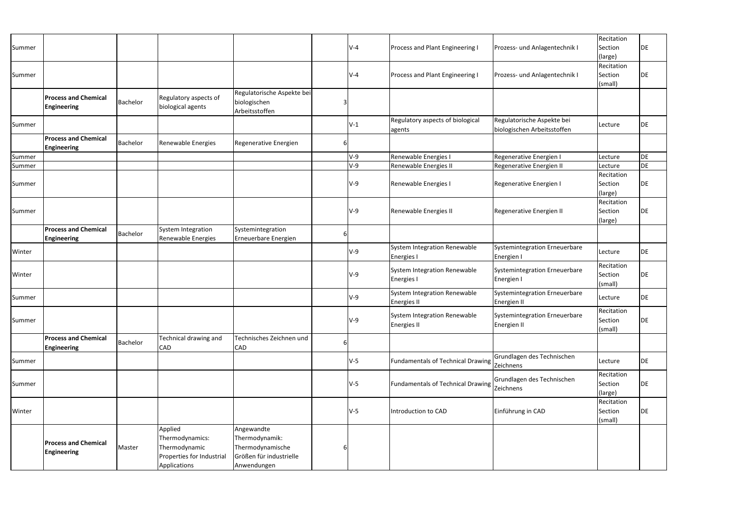| Summer |                                                   |          |                                                                                          |                                                                                            |   | <b>V-4</b> | <b>Process and Plant Engineering I</b>             | Prozess- und Anlagentechnik I                             | Recitation<br>Section<br>(large) | DE        |
|--------|---------------------------------------------------|----------|------------------------------------------------------------------------------------------|--------------------------------------------------------------------------------------------|---|------------|----------------------------------------------------|-----------------------------------------------------------|----------------------------------|-----------|
| Summer |                                                   |          |                                                                                          |                                                                                            |   | $V - 4$    | Process and Plant Engineering I                    | Prozess- und Anlagentechnik I                             | Recitation<br>Section<br>(small) | DE        |
|        | <b>Process and Chemical</b><br><b>Engineering</b> | Bachelor | Regulatory aspects of<br>biological agents                                               | Regulatorische Aspekte bei<br>biologischen<br>Arbeitsstoffen                               | 3 |            |                                                    |                                                           |                                  |           |
| Summer |                                                   |          |                                                                                          |                                                                                            |   | $V-1$      | Regulatory aspects of biological<br>agents         | Regulatorische Aspekte bei<br>biologischen Arbeitsstoffen | Lecture                          | DE        |
|        | <b>Process and Chemical</b><br><b>Engineering</b> | Bachelor | Renewable Energies                                                                       | Regenerative Energien                                                                      | 6 |            |                                                    |                                                           |                                  |           |
| Summer |                                                   |          |                                                                                          |                                                                                            |   | <b>V-9</b> | Renewable Energies I                               | Regenerative Energien I                                   | Lecture                          | DE        |
| Summer |                                                   |          |                                                                                          |                                                                                            |   | $V-9$      | Renewable Energies II                              | Regenerative Energien II                                  | Lecture                          | DE        |
| Summer |                                                   |          |                                                                                          |                                                                                            |   | $V-9$      | Renewable Energies I                               | Regenerative Energien I                                   | Recitation<br>Section<br>(large) | DE        |
| Summer |                                                   |          |                                                                                          |                                                                                            |   | $V-9$      | Renewable Energies II                              | Regenerative Energien II                                  | Recitation<br>Section<br>(large) | DE        |
|        | <b>Process and Chemical</b><br><b>Engineering</b> | Bachelor | System Integration<br>Renewable Energies                                                 | Systemintegration<br>Erneuerbare Energien                                                  | 6 |            |                                                    |                                                           |                                  |           |
| Winter |                                                   |          |                                                                                          |                                                                                            |   | $V-9$      | System Integration Renewable<br><b>Energies</b>    | Systemintegration Erneuerbare<br>Energien I               | Lecture                          | <b>DE</b> |
| Winter |                                                   |          |                                                                                          |                                                                                            |   | <b>V-9</b> | System Integration Renewable<br><b>Energies I</b>  | Systemintegration Erneuerbare<br>Energien I               | Recitation<br>Section<br>(small) | DE        |
| Summer |                                                   |          |                                                                                          |                                                                                            |   | $V-9$      | System Integration Renewable<br>Energies II        | Systemintegration Erneuerbare<br>Energien II              | Lecture                          | DE        |
| Summer |                                                   |          |                                                                                          |                                                                                            |   | V-9        | System Integration Renewable<br><b>Energies II</b> | Systemintegration Erneuerbare<br>Energien II              | Recitation<br>Section<br>(small) | DE        |
|        | <b>Process and Chemical</b><br><b>Engineering</b> | Bachelor | Technical drawing and<br><b>CAD</b>                                                      | Technisches Zeichnen und<br>CAD                                                            | 6 |            |                                                    |                                                           |                                  |           |
| Summer |                                                   |          |                                                                                          |                                                                                            |   | $V-5$      | Fundamentals of Technical Drawing Zeichnens        | Grundlagen des Technischen                                | Lecture                          | DE        |
| Summer |                                                   |          |                                                                                          |                                                                                            |   | $V-5$      | Fundamentals of Technical Drawing Zimmers          | Grundlagen des Technischen                                | Recitation<br>Section<br>(large) | DE        |
| Winter |                                                   |          |                                                                                          |                                                                                            |   | V-5        | Introduction to CAD                                | Einführung in CAD                                         | Recitation<br>Section<br>(small) | DE        |
|        | <b>Process and Chemical</b><br><b>Engineering</b> | Master   | Applied<br>Thermodynamics:<br>Thermodynamic<br>Properties for Industrial<br>Applications | Angewandte<br>Thermodynamik:<br>Thermodynamische<br>Größen für industrielle<br>Anwendungen |   |            |                                                    |                                                           |                                  |           |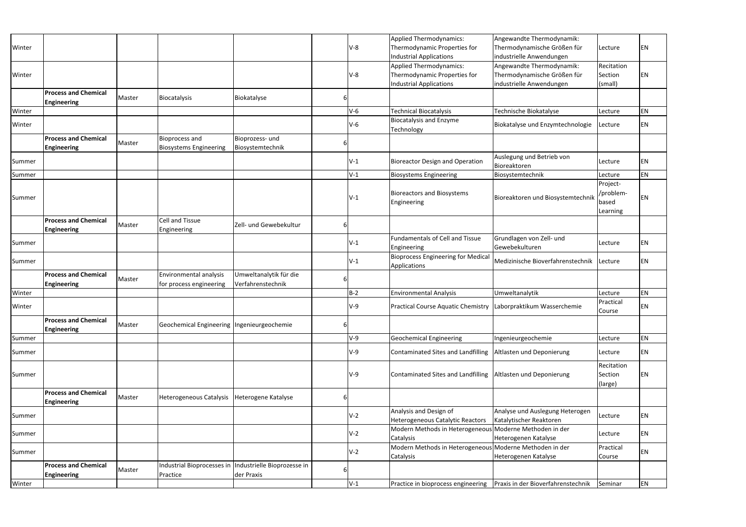|        |                             |        |                                            |                             |   |       | <b>Applied Thermodynamics:</b>                                   | Angewandte Thermodynamik:          |            |    |
|--------|-----------------------------|--------|--------------------------------------------|-----------------------------|---|-------|------------------------------------------------------------------|------------------------------------|------------|----|
| Winter |                             |        |                                            |                             |   | $V-8$ | Thermodynamic Properties for                                     | Thermodynamische Größen für        | Lecture    | EN |
|        |                             |        |                                            |                             |   |       | <b>Industrial Applications</b>                                   | industrielle Anwendungen           |            |    |
|        |                             |        |                                            |                             |   |       | <b>Applied Thermodynamics:</b>                                   | Angewandte Thermodynamik:          | Recitation |    |
| Winter |                             |        |                                            |                             |   | $V-8$ | Thermodynamic Properties for                                     | Thermodynamische Größen für        | Section    | EN |
|        |                             |        |                                            |                             |   |       | <b>Industrial Applications</b>                                   | industrielle Anwendungen           | (small)    |    |
|        | <b>Process and Chemical</b> | Master | <b>Biocatalysis</b>                        | Biokatalyse                 | 6 |       |                                                                  |                                    |            |    |
|        | <b>Engineering</b>          |        |                                            |                             |   |       |                                                                  |                                    |            |    |
| Winter |                             |        |                                            |                             |   | $V-6$ | <b>Technical Biocatalysis</b>                                    | Technische Biokatalyse             | Lecture    | EN |
| Winter |                             |        |                                            |                             |   | $V-6$ | <b>Biocatalysis and Enzyme</b><br>Technology                     | Biokatalyse und Enzymtechnologie   | Lecture    | EN |
|        | <b>Process and Chemical</b> |        | <b>Bioprocess and</b>                      | Bioprozess- und             |   |       |                                                                  |                                    |            |    |
|        | <b>Engineering</b>          | Master | <b>Biosystems Engineering</b>              | Biosystemtechnik            | 6 |       |                                                                  |                                    |            |    |
|        |                             |        |                                            |                             |   |       |                                                                  | Auslegung und Betrieb von          |            |    |
| Summer |                             |        |                                            |                             |   | $V-1$ | <b>Bioreactor Design and Operation</b>                           | Bioreaktoren                       | Lecture    | EN |
| Summer |                             |        |                                            |                             |   | $V-1$ | <b>Biosystems Engineering</b>                                    | Biosystemtechnik                   | Lecture    | EN |
|        |                             |        |                                            |                             |   |       |                                                                  |                                    | Project-   |    |
|        |                             |        |                                            |                             |   |       | <b>Bioreactors and Biosystems</b>                                |                                    | /problem-  |    |
| Summer |                             |        |                                            |                             |   | $V-1$ | Engineering                                                      | Bioreaktoren und Biosystemtechnik  | based      | ΕN |
|        |                             |        |                                            |                             |   |       |                                                                  |                                    | Learning   |    |
|        | <b>Process and Chemical</b> |        | Cell and Tissue                            |                             |   |       |                                                                  |                                    |            |    |
|        | <b>Engineering</b>          | Master | Engineering                                | Zell- und Gewebekultur      | 6 |       |                                                                  |                                    |            |    |
|        |                             |        |                                            |                             |   |       | <b>Fundamentals of Cell and Tissue</b>                           | Grundlagen von Zell- und           |            |    |
| Summer |                             |        |                                            |                             |   | $V-1$ | Engineering                                                      | Gewebekulturen                     | Lecture    | EN |
|        |                             |        |                                            |                             |   |       | <b>Bioprocess Engineering for Medical</b>                        |                                    |            |    |
| Summer |                             |        |                                            |                             |   | $V-1$ | Applications                                                     | Medizinische Bioverfahrenstechnik  | Lecture    | EN |
|        | <b>Process and Chemical</b> |        | Environmental analysis                     | Umweltanalytik für die      |   |       |                                                                  |                                    |            |    |
|        | <b>Engineering</b>          | Master | for process engineering                    | Verfahrenstechnik           | 6 |       |                                                                  |                                    |            |    |
| Winter |                             |        |                                            |                             |   | $B-2$ | <b>Environmental Analysis</b>                                    | Umweltanalytik                     | Lecture    | EN |
|        |                             |        |                                            |                             |   |       |                                                                  |                                    | Practical  |    |
| Winter |                             |        |                                            |                             |   | $V-9$ | Practical Course Aquatic Chemistry   Laborpraktikum Wasserchemie |                                    | Course     | EN |
|        | <b>Process and Chemical</b> |        |                                            |                             |   |       |                                                                  |                                    |            |    |
|        | <b>Engineering</b>          | Master | Geochemical Engineering Ingenieurgeochemie |                             |   |       |                                                                  |                                    |            |    |
| Summer |                             |        |                                            |                             |   | $V-9$ | <b>Geochemical Engineering</b>                                   | Ingenieurgeochemie                 | Lecture    | EN |
|        |                             |        |                                            |                             |   |       |                                                                  |                                    |            |    |
| Summer |                             |        |                                            |                             |   | $V-9$ | <b>Contaminated Sites and Landfilling</b>                        | Altlasten und Deponierung          | Lecture    | EN |
|        |                             |        |                                            |                             |   |       |                                                                  |                                    | Recitation |    |
| Summer |                             |        |                                            |                             |   | $V-9$ | <b>Contaminated Sites and Landfilling</b>                        | Altlasten und Deponierung          | Section    | EN |
|        |                             |        |                                            |                             |   |       |                                                                  |                                    | (large)    |    |
|        | <b>Process and Chemical</b> |        |                                            |                             |   |       |                                                                  |                                    |            |    |
|        | <b>Engineering</b>          | Master | Heterogeneous Catalysis                    | Heterogene Katalyse         | 6 |       |                                                                  |                                    |            |    |
|        |                             |        |                                            |                             |   |       | Analysis and Design of                                           | Analyse und Auslegung Heterogen    |            |    |
| Summer |                             |        |                                            |                             |   | $V-2$ | Heterogeneous Catalytic Reactors                                 | Katalytischer Reaktoren            | Lecture    | EN |
|        |                             |        |                                            |                             |   |       | Modern Methods in Heterogeneous Moderne Methoden in der          |                                    |            |    |
| Summer |                             |        |                                            |                             |   | $V-2$ | Catalysis                                                        | Heterogenen Katalyse               | Lecture    | EN |
|        |                             |        |                                            |                             |   |       | Modern Methods in Heterogeneous Moderne Methoden in der          |                                    | Practical  |    |
| Summer |                             |        |                                            |                             |   | $V-2$ | Catalysis                                                        | Heterogenen Katalyse               | Course     | EN |
|        | <b>Process and Chemical</b> |        | Industrial Bioprocesses in                 | Industrielle Bioprozesse in |   |       |                                                                  |                                    |            |    |
|        | <b>Engineering</b>          | Master | Practice                                   | der Praxis                  |   |       |                                                                  |                                    |            |    |
|        |                             |        |                                            |                             |   | $V-1$ |                                                                  | Praxis in der Bioverfahrenstechnik | Seminar    | EN |
| Winter |                             |        |                                            |                             |   |       | Practice in bioprocess engineering                               |                                    |            |    |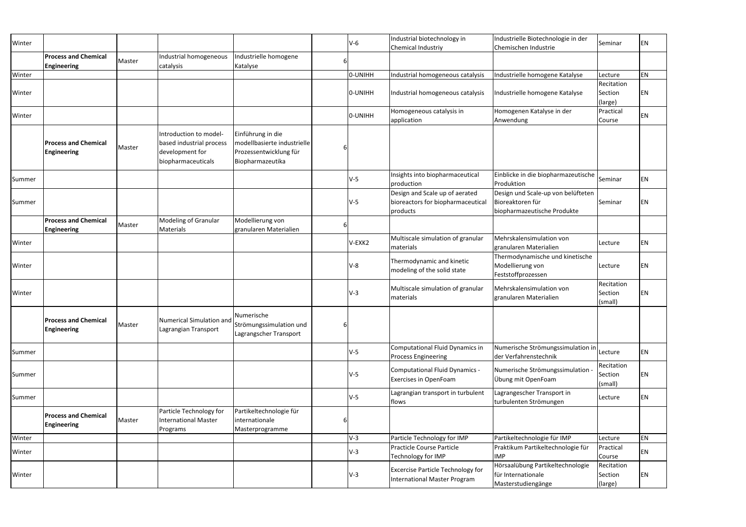|        |                                                   |        |                                                                                             |                                                                                                |         | Industrial biotechnology in                                                    | Industrielle Biotechnologie in der                                                    |                                  |    |
|--------|---------------------------------------------------|--------|---------------------------------------------------------------------------------------------|------------------------------------------------------------------------------------------------|---------|--------------------------------------------------------------------------------|---------------------------------------------------------------------------------------|----------------------------------|----|
| Winter |                                                   |        |                                                                                             |                                                                                                | $V-6$   | Chemical Industriy                                                             | Chemischen Industrie                                                                  | Seminar                          | EN |
|        | <b>Process and Chemical</b><br>Engineering        | Master | Industrial homogeneous<br>catalysis                                                         | Industrielle homogene<br>Katalyse                                                              |         |                                                                                |                                                                                       |                                  |    |
| Winter |                                                   |        |                                                                                             |                                                                                                | O-UNIHH | Industrial homogeneous catalysis                                               | Industrielle homogene Katalyse                                                        | Lecture                          | EN |
| Winter |                                                   |        |                                                                                             |                                                                                                | O-UNIHH | Industrial homogeneous catalysis                                               | Industrielle homogene Katalyse                                                        | Recitation<br>Section<br>(large) | ΕN |
| Winter |                                                   |        |                                                                                             |                                                                                                | O-UNIHH | Homogeneous catalysis in<br>application                                        | Homogenen Katalyse in der<br>Anwendung                                                | Practical<br>Course              | ΕN |
|        | <b>Process and Chemical</b><br><b>Engineering</b> | Master | Introduction to model-<br>based industrial process<br>development for<br>biopharmaceuticals | Einführung in die<br>modellbasierte industrielle<br>Prozessentwicklung für<br>Biopharmazeutika |         |                                                                                |                                                                                       |                                  |    |
| Summer |                                                   |        |                                                                                             |                                                                                                | $V-5$   | Insights into biopharmaceutical<br>production                                  | Einblicke in die biopharmazeutische<br>Produktion                                     | Seminar                          | ΕN |
| Summer |                                                   |        |                                                                                             |                                                                                                | $V-5$   | Design and Scale up of aerated<br>bioreactors for biopharmaceutica<br>products | Design und Scale-up von belüfteten<br>Bioreaktoren für<br>biopharmazeutische Produkte | Seminar                          | ΕN |
|        | <b>Process and Chemical</b><br><b>Engineering</b> | Master | Modeling of Granular<br>Materials                                                           | Modellierung von<br>granularen Materialien                                                     |         |                                                                                |                                                                                       |                                  |    |
| Winter |                                                   |        |                                                                                             |                                                                                                | V-EXK2  | Multiscale simulation of granular<br>materials                                 | Mehrskalensimulation von<br>granularen Materialien                                    | Lecture                          | EN |
| Winter |                                                   |        |                                                                                             |                                                                                                | $V-8$   | Thermodynamic and kinetic<br>modeling of the solid state                       | Thermodynamische und kinetische<br>Modellierung von<br>Feststoffprozessen             | Lecture                          | ΕN |
| Winter |                                                   |        |                                                                                             |                                                                                                | $V-3$   | Multiscale simulation of granular<br>materials                                 | Mehrskalensimulation von<br>granularen Materialien                                    | Recitation<br>Section<br>(small) | ΕN |
|        | <b>Process and Chemical</b><br><b>Engineering</b> | Master | Numerical Simulation and<br>Lagrangian Transport                                            | Numerische<br>Strömungssimulation und<br>Lagrangscher Transport                                |         |                                                                                |                                                                                       |                                  |    |
| Summer |                                                   |        |                                                                                             |                                                                                                | $V-5$   | Computational Fluid Dynamics in<br><b>Process Engineering</b>                  | Numerische Strömungssimulation in<br>der Verfahrenstechnik                            | Lecture                          | EN |
| Summer |                                                   |        |                                                                                             |                                                                                                | $V-5$   | Computational Fluid Dynamics -<br><b>Exercises in OpenFoam</b>                 | Numerische Strömungssimulation<br>Übung mit OpenFoam                                  | Recitation<br>Section<br>(small) | ΕN |
| Summer |                                                   |        |                                                                                             |                                                                                                | $V-5$   | Lagrangian transport in turbulent<br>flows                                     | Lagrangescher Transport in<br>turbulenten Strömungen                                  | Lecture                          | EN |
|        | <b>Process and Chemical</b><br><b>Engineering</b> | Master | Particle Technology for<br><b>International Master</b><br>Programs                          | Partikeltechnologie für<br>internationale<br>Masterprogramme                                   |         |                                                                                |                                                                                       |                                  |    |
| Winter |                                                   |        |                                                                                             |                                                                                                | $V-3$   | Particle Technology for IMP                                                    | Partikeltechnologie für IMP                                                           | Lecture                          | EN |
| Winter |                                                   |        |                                                                                             |                                                                                                | $V-3$   | Practicle Course Particle<br>Technology for IMP                                | Praktikum Partikeltechnologie für<br><b>IMP</b>                                       | Practical<br>Course              | EN |
| Winter |                                                   |        |                                                                                             |                                                                                                | $V-3$   | <b>Excercise Particle Technology for</b><br>International Master Program       | Hörsaalübung Partikeltechnologie<br>für Internationale<br>Masterstudiengänge          | Recitation<br>Section<br>(large) | EN |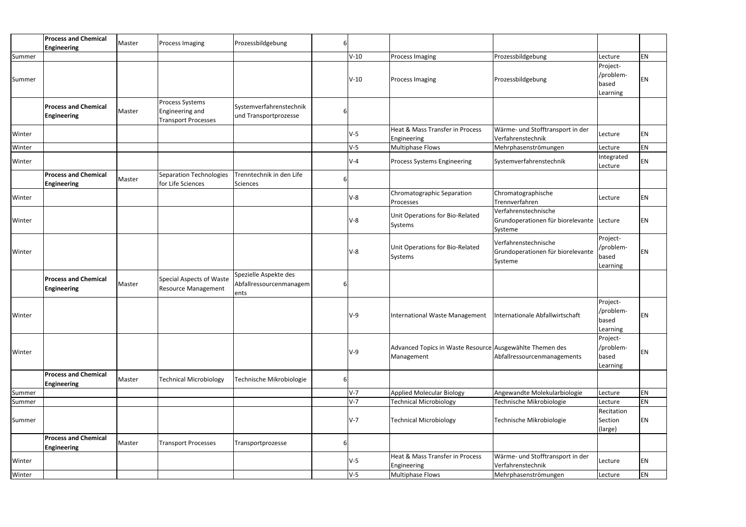|        | <b>Process and Chemical</b><br><b>Engineering</b> | Master | <b>Process Imaging</b>        | Prozessbildgebung        | 6 |         |                                                                  |                                           |            |           |
|--------|---------------------------------------------------|--------|-------------------------------|--------------------------|---|---------|------------------------------------------------------------------|-------------------------------------------|------------|-----------|
| Summer |                                                   |        |                               |                          |   | $V-10$  | Process Imaging                                                  | Prozessbildgebung                         | Lecture    | <b>EN</b> |
|        |                                                   |        |                               |                          |   |         |                                                                  |                                           | Project-   |           |
|        |                                                   |        |                               |                          |   |         |                                                                  |                                           | /problem-  |           |
| Summer |                                                   |        |                               |                          |   | $V-10$  | <b>Process Imaging</b>                                           | Prozessbildgebung                         | based      | EN        |
|        |                                                   |        |                               |                          |   |         |                                                                  |                                           | Learning   |           |
|        |                                                   |        | Process Systems               |                          |   |         |                                                                  |                                           |            |           |
|        | <b>Process and Chemical</b>                       | Master | Engineering and               | Systemverfahrenstechnik  |   |         |                                                                  |                                           |            |           |
|        | <b>Engineering</b>                                |        | <b>Transport Processes</b>    | und Transportprozesse    |   |         |                                                                  |                                           |            |           |
|        |                                                   |        |                               |                          |   |         | Heat & Mass Transfer in Process                                  | Wärme- und Stofftransport in der          |            |           |
| Winter |                                                   |        |                               |                          |   | $V-5$   | Engineering                                                      | Verfahrenstechnik                         | Lecture    | <b>EN</b> |
| Winter |                                                   |        |                               |                          |   | $V-5$   | <b>Multiphase Flows</b>                                          | Mehrphasenströmungen                      | Lecture    | <b>EN</b> |
|        |                                                   |        |                               |                          |   |         |                                                                  |                                           | Integrated |           |
| Winter |                                                   |        |                               |                          |   | $V-4$   | <b>Process Systems Engineering</b>                               | Systemverfahrenstechnik                   | Lecture    | <b>EN</b> |
|        | <b>Process and Chemical</b>                       |        | Separation Technologies       | Trenntechnik in den Life |   |         |                                                                  |                                           |            |           |
|        | <b>Engineering</b>                                | Master | for Life Sciences             | Sciences                 |   |         |                                                                  |                                           |            |           |
|        |                                                   |        |                               |                          |   |         | Chromatographic Separation                                       | Chromatographische                        |            |           |
| Winter |                                                   |        |                               |                          |   | $V-8$   | Processes                                                        | Trennverfahren                            | Lecture    | <b>EN</b> |
|        |                                                   |        |                               |                          |   |         |                                                                  | Verfahrenstechnische                      |            |           |
| Winter |                                                   |        |                               |                          |   | V-8     | Unit Operations for Bio-Related                                  | Grundoperationen für biorelevante Lecture |            | EN        |
|        |                                                   |        |                               |                          |   |         | Systems                                                          | Systeme                                   |            |           |
|        |                                                   |        |                               |                          |   |         |                                                                  |                                           | Project-   |           |
|        |                                                   |        |                               |                          |   |         | Unit Operations for Bio-Related                                  | Verfahrenstechnische                      | /problem-  |           |
| Winter |                                                   |        |                               |                          |   | $V-8$   | Systems                                                          | Grundoperationen für biorelevante         | based      | <b>EN</b> |
|        |                                                   |        |                               |                          |   |         |                                                                  | Systeme                                   | Learning   |           |
|        | <b>Process and Chemical</b>                       |        |                               | Spezielle Aspekte des    |   |         |                                                                  |                                           |            |           |
|        |                                                   | Master | Special Aspects of Waste      | Abfallressourcenmanagem  | 6 |         |                                                                  |                                           |            |           |
|        | <b>Engineering</b>                                |        | <b>Resource Management</b>    | ents                     |   |         |                                                                  |                                           |            |           |
|        |                                                   |        |                               |                          |   |         |                                                                  |                                           | Project-   |           |
|        |                                                   |        |                               |                          |   |         | International Waste Management   Internationale Abfallwirtschaft |                                           | /problem-  |           |
| Winter |                                                   |        |                               |                          |   | $V-9$   |                                                                  |                                           | based      | EN        |
|        |                                                   |        |                               |                          |   |         |                                                                  |                                           | Learning   |           |
|        |                                                   |        |                               |                          |   |         |                                                                  |                                           | Project-   |           |
|        |                                                   |        |                               |                          |   | V-9     | Advanced Topics in Waste Resource Ausgewählte Themen des         |                                           | /problem-  | EN        |
| Winter |                                                   |        |                               |                          |   |         | Management                                                       | Abfallressourcenmanagements               | based      |           |
|        |                                                   |        |                               |                          |   |         |                                                                  |                                           | Learning   |           |
|        | <b>Process and Chemical</b>                       | Master | <b>Technical Microbiology</b> | Technische Mikrobiologie |   |         |                                                                  |                                           |            |           |
|        | <b>Engineering</b>                                |        |                               |                          | 6 |         |                                                                  |                                           |            |           |
| Summer |                                                   |        |                               |                          |   | $V-7$   | <b>Applied Molecular Biology</b>                                 | Angewandte Molekularbiologie              | Lecture    | EN        |
| Summer |                                                   |        |                               |                          |   | $V-7$   | <b>Technical Microbiology</b>                                    | Technische Mikrobiologie                  | Lecture    | EN        |
|        |                                                   |        |                               |                          |   |         |                                                                  |                                           | Recitation |           |
| Summer |                                                   |        |                               |                          |   | $V - 7$ | <b>Technical Microbiology</b>                                    | Technische Mikrobiologie                  | Section    | <b>EN</b> |
|        |                                                   |        |                               |                          |   |         |                                                                  |                                           | (large)    |           |
|        | <b>Process and Chemical</b>                       |        |                               |                          |   |         |                                                                  |                                           |            |           |
|        | <b>Engineering</b>                                | Master | <b>Transport Processes</b>    | Transportprozesse        |   |         |                                                                  |                                           |            |           |
| Winter |                                                   |        |                               |                          |   | V-5     | Heat & Mass Transfer in Process                                  | Wärme- und Stofftransport in der          |            | EN        |
|        |                                                   |        |                               |                          |   |         | Engineering                                                      | Verfahrenstechnik                         | Lecture    |           |
| Winter |                                                   |        |                               |                          |   | $V-5$   | Multiphase Flows                                                 | Mehrphasenströmungen                      | Lecture    | EN        |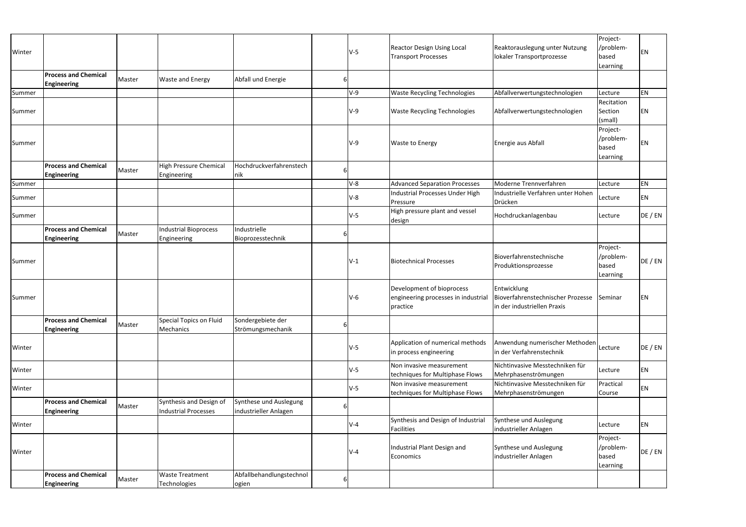|        |                             |        |                         |                          |          |       |                                                             |                                                         | Project-   |         |
|--------|-----------------------------|--------|-------------------------|--------------------------|----------|-------|-------------------------------------------------------------|---------------------------------------------------------|------------|---------|
|        |                             |        |                         |                          |          |       | <b>Reactor Design Using Local</b>                           | Reaktorauslegung unter Nutzung                          | /problem-  |         |
| Winter |                             |        |                         |                          |          | $V-5$ | <b>Transport Processes</b>                                  | lokaler Transportprozesse                               | based      | EN      |
|        |                             |        |                         |                          |          |       |                                                             |                                                         | Learning   |         |
|        | <b>Process and Chemical</b> |        |                         |                          |          |       |                                                             |                                                         |            |         |
|        | <b>Engineering</b>          | Master | <b>Waste and Energy</b> | Abfall und Energie       | b        |       |                                                             |                                                         |            |         |
| Summer |                             |        |                         |                          |          | $V-9$ | <b>Waste Recycling Technologies</b>                         | Abfallverwertungstechnologien                           | Lecture    | EN      |
|        |                             |        |                         |                          |          |       |                                                             |                                                         | Recitation |         |
| Summer |                             |        |                         |                          |          | $V-9$ | <b>Waste Recycling Technologies</b>                         | Abfallverwertungstechnologien                           | Section    | ΕN      |
|        |                             |        |                         |                          |          |       |                                                             |                                                         | (small)    |         |
|        |                             |        |                         |                          |          |       |                                                             |                                                         | Project-   |         |
|        |                             |        |                         |                          |          |       |                                                             |                                                         | /problem-  |         |
| Summer |                             |        |                         |                          |          | $V-9$ | <b>Waste to Energy</b>                                      | Energie aus Abfall                                      | based      | ΕN      |
|        |                             |        |                         |                          |          |       |                                                             |                                                         | Learning   |         |
|        | <b>Process and Chemical</b> |        | High Pressure Chemical  | Hochdruckverfahrenstech  |          |       |                                                             |                                                         |            |         |
|        | <b>Engineering</b>          | Master | Engineering             | nik                      | b        |       |                                                             |                                                         |            |         |
| Summer |                             |        |                         |                          |          | $V-8$ | <b>Advanced Separation Processes</b>                        | Moderne Trennverfahren                                  | Lecture    | EN      |
|        |                             |        |                         |                          |          | $V-8$ | <b>Industrial Processes Under High</b>                      | Industrielle Verfahren unter Hohen                      |            | EN      |
| Summer |                             |        |                         |                          |          |       | Pressure                                                    | Drücken                                                 | Lecture    |         |
| Summer |                             |        |                         |                          |          | $V-5$ | High pressure plant and vessel                              | Hochdruckanlagenbau                                     | Lecture    | DE / EN |
|        |                             |        |                         |                          |          |       | design                                                      |                                                         |            |         |
|        | <b>Process and Chemical</b> | Master | Industrial Bioprocess   | Industrielle             | $\sigma$ |       |                                                             |                                                         |            |         |
|        | <b>Engineering</b>          |        | Engineering             | Bioprozesstechnik        |          |       |                                                             |                                                         |            |         |
|        |                             |        |                         |                          |          |       |                                                             |                                                         | Project-   |         |
| Summer |                             |        |                         |                          |          | $V-1$ | <b>Biotechnical Processes</b>                               | Bioverfahrenstechnische                                 | /problem-  | DE / EN |
|        |                             |        |                         |                          |          |       |                                                             | Produktionsprozesse                                     | based      |         |
|        |                             |        |                         |                          |          |       |                                                             |                                                         | Learning   |         |
|        |                             |        |                         |                          |          |       | Development of bioprocess                                   | Entwicklung                                             |            |         |
| Summer |                             |        |                         |                          |          | $V-6$ | engineering processes in industria                          | Bioverfahrenstechnischer Prozesse                       | Seminar    | ΕN      |
|        |                             |        |                         |                          |          |       | practice                                                    | in der industriellen Praxis                             |            |         |
|        |                             |        |                         |                          |          |       |                                                             |                                                         |            |         |
|        | <b>Process and Chemical</b> | Master | Special Topics on Fluid | Sondergebiete der        |          |       |                                                             |                                                         |            |         |
|        | <b>Engineering</b>          |        | Mechanics               | Strömungsmechanik        |          |       |                                                             |                                                         |            |         |
|        |                             |        |                         |                          |          |       | Application of numerical methods                            | Anwendung numerischer Methoden Lecture                  |            |         |
| Winter |                             |        |                         |                          |          | $V-5$ | in process engineering                                      | in der Verfahrenstechnik                                |            | DE / EN |
|        |                             |        |                         |                          |          |       |                                                             |                                                         |            |         |
| Winter |                             |        |                         |                          |          | $V-5$ | Non invasive measurement                                    | Nichtinvasive Messtechniken für                         | Lecture    | EN      |
|        |                             |        |                         |                          |          |       | techniques for Multiphase Flows<br>Non invasive measurement | Mehrphasenströmungen<br>Nichtinvasive Messtechniken für | Practical  |         |
| Winter |                             |        |                         |                          |          | $V-5$ | techniques for Multiphase Flows                             | Mehrphasenströmungen                                    | Course     | EN      |
|        | <b>Process and Chemical</b> |        | Synthesis and Design of | Synthese und Auslegung   |          |       |                                                             |                                                         |            |         |
|        | <b>Engineering</b>          | Master | Industrial Processes    | industrieller Anlagen    |          |       |                                                             |                                                         |            |         |
|        |                             |        |                         |                          |          |       | Synthesis and Design of Industrial                          | Synthese und Auslegung                                  |            |         |
| Winter |                             |        |                         |                          |          | $V-4$ | <b>Facilities</b>                                           | industrieller Anlagen                                   | Lecture    | EN      |
|        |                             |        |                         |                          |          |       |                                                             |                                                         | Project-   |         |
|        |                             |        |                         |                          |          |       | Industrial Plant Design and                                 | Synthese und Auslegung                                  | /problem-  |         |
| Winter |                             |        |                         |                          |          | $V-4$ | Economics                                                   | industrieller Anlagen                                   | based      | DE / EN |
|        |                             |        |                         |                          |          |       |                                                             |                                                         | Learning   |         |
|        | <b>Process and Chemical</b> |        | <b>Waste Treatment</b>  | Abfallbehandlungstechnol |          |       |                                                             |                                                         |            |         |
|        | <b>Engineering</b>          | Master | Technologies            | ogien                    |          |       |                                                             |                                                         |            |         |
|        |                             |        |                         |                          |          |       |                                                             |                                                         |            |         |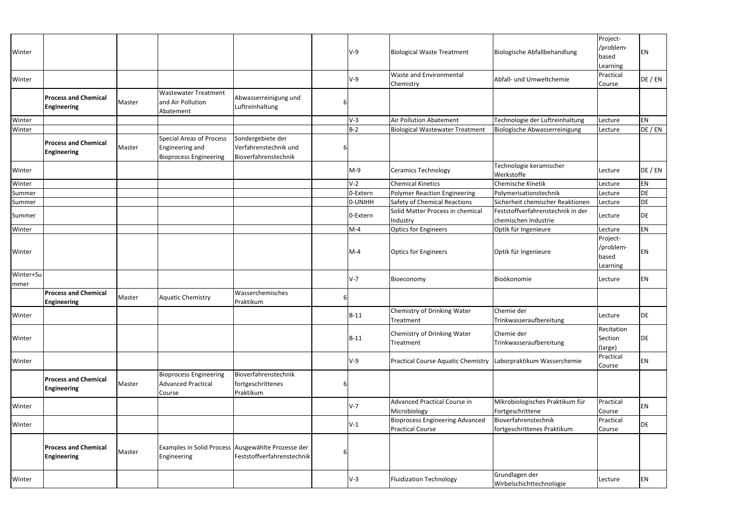| Winter            |                                                   |        |                                                                                     |                                                                                  |   | $V-9$    | <b>Biological Waste Treatment</b>                                 | Biologische Abfallbehandlung                              | Project-<br>/problem-<br>based<br>Learning | EN        |
|-------------------|---------------------------------------------------|--------|-------------------------------------------------------------------------------------|----------------------------------------------------------------------------------|---|----------|-------------------------------------------------------------------|-----------------------------------------------------------|--------------------------------------------|-----------|
| Winter            |                                                   |        |                                                                                     |                                                                                  |   | $V-9$    | Waste and Environmental<br>Chemistry                              | Abfall- und Umweltchemie                                  | Practical<br>Course                        | DE / EN   |
|                   | <b>Process and Chemical</b><br><b>Engineering</b> | Master | <b>Wastewater Treatment</b><br>and Air Pollution<br>Abatement                       | Abwasserreinigung und<br>Luftreinhaltung                                         | b |          |                                                                   |                                                           |                                            |           |
| Winter            |                                                   |        |                                                                                     |                                                                                  |   | $V-3$    | Air Pollution Abatement                                           | Technologie der Luftreinhaltung                           | Lecture                                    | EN        |
| Winter            |                                                   |        |                                                                                     |                                                                                  |   | $B-2$    | <b>Biological Wastewater Treatment</b>                            | Biologische Abwasserreinigung                             | Lecture                                    | DE / EN   |
|                   | <b>Process and Chemical</b><br><b>Engineering</b> | Master | <b>Special Areas of Process</b><br>Engineering and<br><b>Bioprocess Engineering</b> | Sondergebiete der<br>Verfahrenstechnik und<br>Bioverfahrenstechnik               | 6 |          |                                                                   |                                                           |                                            |           |
| Winter            |                                                   |        |                                                                                     |                                                                                  |   | $M-9$    | <b>Ceramics Technology</b>                                        | Technologie keramischer<br>Werkstoffe                     | Lecture                                    | DE / EN   |
| Winter            |                                                   |        |                                                                                     |                                                                                  |   | $V-2$    | <b>Chemical Kinetics</b>                                          | Chemische Kinetik                                         | Lecture                                    | EN        |
| Summer            |                                                   |        |                                                                                     |                                                                                  |   | 0-Extern | <b>Polymer Reaction Engineering</b>                               | Polymerisationstechnik                                    | Lecture                                    | DE        |
| Summer            |                                                   |        |                                                                                     |                                                                                  |   | 0-UNIHH  | Safety of Chemical Reactions                                      | Sicherheit chemischer Reaktionen                          | Lecture                                    | DE        |
| Summer            |                                                   |        |                                                                                     |                                                                                  |   | 0-Extern | Solid Matter Process in chemical<br>Industry                      | Feststoffverfahrenstechnik in der<br>chemischen Industrie | Lecture                                    | DE        |
| Winter            |                                                   |        |                                                                                     |                                                                                  |   | $M-4$    | <b>Optics for Engineers</b>                                       | Optik für Ingenieure                                      | Lecture                                    | EN        |
| Winter            |                                                   |        |                                                                                     |                                                                                  |   | $M-4$    | <b>Optics for Engineers</b>                                       | Optik für Ingenieure                                      | Project-<br>/problem-<br>based<br>Learning | ΕN        |
| Winter+Su<br>mmer |                                                   |        |                                                                                     |                                                                                  |   | $V-7$    | Bioeconomy                                                        | Bioökonomie                                               | Lecture                                    | EN        |
|                   | <b>Process and Chemical</b><br><b>Engineering</b> | Master | <b>Aquatic Chemistry</b>                                                            | Wasserchemisches<br>Praktikum                                                    | 6 |          |                                                                   |                                                           |                                            |           |
| Winter            |                                                   |        |                                                                                     |                                                                                  |   | $B-11$   | Chemistry of Drinking Water<br>Treatment                          | Chemie der<br>Trinkwasseraufbereitung                     | Lecture                                    | <b>DE</b> |
| Winter            |                                                   |        |                                                                                     |                                                                                  |   | $B-11$   | Chemistry of Drinking Water<br>Treatment                          | Chemie der<br>Trinkwasseraufbereitung                     | Recitation<br>Section<br>(large)           | DE        |
| Winter            |                                                   |        |                                                                                     |                                                                                  |   | $V-9$    | Practical Course Aquatic Chemistry   Laborpraktikum Wasserchemie  |                                                           | Practical<br>Course                        | EN        |
|                   | <b>Process and Chemical</b><br><b>Engineering</b> | Master | <b>Bioprocess Engineering</b><br><b>Advanced Practical</b><br>Course                | Bioverfahrenstechnik<br>fortgeschrittenes<br>Praktikum                           | 6 |          |                                                                   |                                                           |                                            |           |
| Winter            |                                                   |        |                                                                                     |                                                                                  |   | $V-7$    | <b>Advanced Practical Course in</b><br>Microbiology               | Mikrobiologisches Praktikum für<br>Fortgeschrittene       | Practical<br>Course                        | EN        |
| Winter            |                                                   |        |                                                                                     |                                                                                  |   | $V-1$    | <b>Bioprocess Engineering Advanced</b><br><b>Practical Course</b> | Bioverfahrenstechnik<br>fortgeschrittenes Praktikum       | Practical<br>Course                        | DE        |
|                   | <b>Process and Chemical</b><br><b>Engineering</b> | Master | Engineering                                                                         | Examples in Solid Process Ausgewählte Prozesse der<br>Feststoffverfahrenstechnik | 6 |          |                                                                   |                                                           |                                            |           |
| Winter            |                                                   |        |                                                                                     |                                                                                  |   | $V-3$    | <b>Fluidization Technology</b>                                    | Grundlagen der<br>Wirbelschichttechnologie                | Lecture                                    | EN        |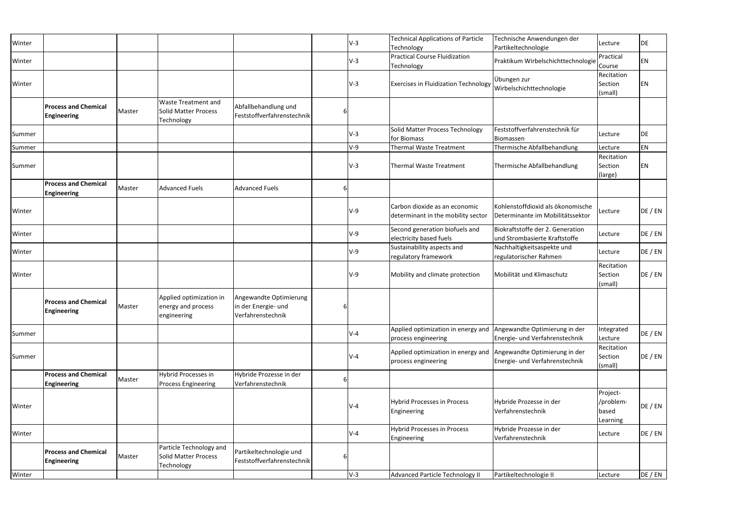| Winter |                                                   |        |                                                                  |                                                                    |   | $V-3$ | <b>Technical Applications of Particle</b><br>Technology                                 | Technische Anwendungen der<br>Partikeltechnologie                     | Lecture                                    | DE          |
|--------|---------------------------------------------------|--------|------------------------------------------------------------------|--------------------------------------------------------------------|---|-------|-----------------------------------------------------------------------------------------|-----------------------------------------------------------------------|--------------------------------------------|-------------|
| Winter |                                                   |        |                                                                  |                                                                    |   | $V-3$ | <b>Practical Course Fluidization</b><br>Technology                                      | Praktikum Wirbelschichttechnologie                                    | Practical<br>Course                        | EN          |
| Winter |                                                   |        |                                                                  |                                                                    |   | $V-3$ | Exercises in Fluidization Technology                                                    | Übungen zur<br>Wirbelschichttechnologie                               | Recitation<br>Section<br>(small)           | <b>EN</b>   |
|        | <b>Process and Chemical</b><br><b>Engineering</b> | Master | <b>Waste Treatment and</b><br>Solid Matter Process<br>Technology | Abfallbehandlung und<br>Feststoffverfahrenstechnik                 |   |       |                                                                                         |                                                                       |                                            |             |
| Summer |                                                   |        |                                                                  |                                                                    |   | $V-3$ | Solid Matter Process Technology<br>for Biomass                                          | Feststoffverfahrenstechnik für<br>Biomassen                           | Lecture                                    | <b>I</b> DE |
| Summer |                                                   |        |                                                                  |                                                                    |   | $V-9$ | <b>Thermal Waste Treatment</b>                                                          | Thermische Abfallbehandlung                                           | Lecture                                    | EN          |
| Summer |                                                   |        |                                                                  |                                                                    |   | $V-3$ | Thermal Waste Treatment                                                                 | Thermische Abfallbehandlung                                           | Recitation<br>Section<br>(large)           | <b>EN</b>   |
|        | <b>Process and Chemical</b><br><b>Engineering</b> | Master | <b>Advanced Fuels</b>                                            | <b>Advanced Fuels</b>                                              |   |       |                                                                                         |                                                                       |                                            |             |
| Winter |                                                   |        |                                                                  |                                                                    |   | $V-9$ | Carbon dioxide as an economic<br>determinant in the mobility sector                     | Kohlenstoffdioxid als ökonomische<br>Determinante im Mobilitätssektor | Lecture                                    | DE / EN     |
| Winter |                                                   |        |                                                                  |                                                                    |   | $V-9$ | Second generation biofuels and<br>electricity based fuels                               | Biokraftstoffe der 2. Generation<br>und Strombasierte Kraftstoffe     | Lecture                                    | DE / EN     |
| Winter |                                                   |        |                                                                  |                                                                    |   | V-9   | Sustainability aspects and<br>regulatory framework                                      | Nachhaltigkeitsaspekte und<br>regulatorischer Rahmen                  | Lecture                                    | DE / EN     |
| Winter |                                                   |        |                                                                  |                                                                    |   | $V-9$ | Mobility and climate protection                                                         | Mobilität und Klimaschutz                                             | Recitation<br>Section<br>(small)           | DE / EN     |
|        | <b>Process and Chemical</b><br><b>Engineering</b> | Master | Applied optimization in<br>energy and process<br>engineering     | Angewandte Optimierung<br>in der Energie- und<br>Verfahrenstechnik | 6 |       |                                                                                         |                                                                       |                                            |             |
| Summer |                                                   |        |                                                                  |                                                                    |   | $V-4$ | Applied optimization in energy and Angewandte Optimierung in der<br>process engineering | Energie- und Verfahrenstechnik                                        | Integrated<br>Lecture                      | DE / EN     |
| Summer |                                                   |        |                                                                  |                                                                    |   | $V-4$ | Applied optimization in energy and Angewandte Optimierung in der<br>process engineering | Energie- und Verfahrenstechnik                                        | Recitation<br>Section<br>(small)           | DE / EN     |
|        | <b>Process and Chemical</b><br><b>Engineering</b> | Master | Hybrid Processes in<br><b>Process Engineering</b>                | Hybride Prozesse in der<br>Verfahrenstechnik                       |   |       |                                                                                         |                                                                       |                                            |             |
| Winter |                                                   |        |                                                                  |                                                                    |   | $V-4$ | <b>Hybrid Processes in Process</b><br>Engineering                                       | Hybride Prozesse in der<br>Verfahrenstechnik                          | Project-<br>/problem-<br>based<br>Learning | DE / EN     |
|        |                                                   |        |                                                                  |                                                                    |   | $V-4$ | <b>Hybrid Processes in Process</b><br>Engineering                                       | Hybride Prozesse in der<br>Verfahrenstechnik                          | Lecture                                    | DE / EN     |
|        |                                                   |        |                                                                  |                                                                    |   |       |                                                                                         |                                                                       |                                            |             |
| Winter | <b>Process and Chemical</b><br><b>Engineering</b> | Master | Particle Technology and<br>Solid Matter Process<br>Technology    | Partikeltechnologie und<br>Feststoffverfahrenstechnik              |   |       |                                                                                         |                                                                       |                                            |             |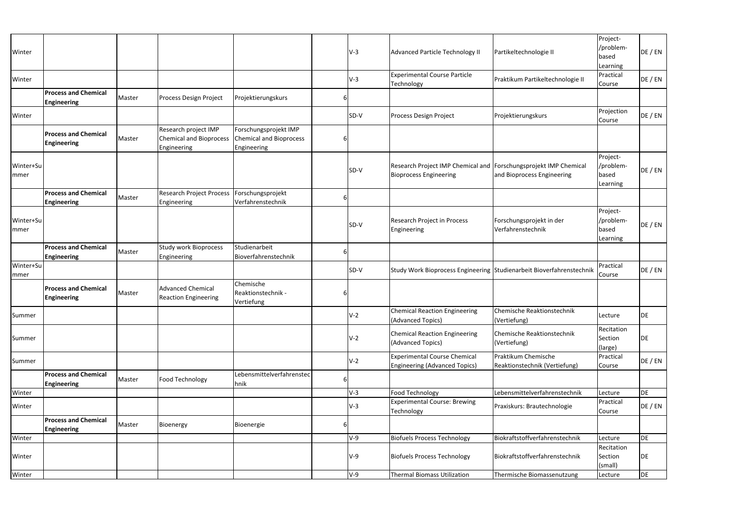| Winter                   |                                                   |        |                                                         |                                                         |   | $V-9$ | <b>Thermal Biomass Utilization</b>                                                                | Thermische Biomassenutzung                           | Lecture                                    | DE      |
|--------------------------|---------------------------------------------------|--------|---------------------------------------------------------|---------------------------------------------------------|---|-------|---------------------------------------------------------------------------------------------------|------------------------------------------------------|--------------------------------------------|---------|
| Winter                   |                                                   |        |                                                         |                                                         |   | $V-9$ | <b>Biofuels Process Technology</b>                                                                | Biokraftstoffverfahrenstechnik                       | Recitation<br>Section<br>(small)           | DE      |
| Winter                   |                                                   |        |                                                         |                                                         |   | V-9   | <b>Biofuels Process Technology</b>                                                                | Biokraftstoffverfahrenstechnik                       | Lecture                                    | DE      |
|                          | <b>Process and Chemical</b><br><b>Engineering</b> | Master | Bioenergy                                               | Bioenergie                                              |   |       |                                                                                                   |                                                      |                                            |         |
| Winter                   |                                                   |        |                                                         |                                                         |   | $V-3$ | <b>Experimental Course: Brewing</b><br>Technology                                                 | Praxiskurs: Brautechnologie                          | Practical<br>Course                        | DE / EN |
| Winter                   |                                                   |        |                                                         |                                                         |   | $V-3$ | Food Technology                                                                                   | Lebensmittelverfahrenstechnik                        | Lecture                                    | DE      |
|                          | <b>Process and Chemical</b><br><b>Engineering</b> | Master | Food Technology                                         | Lebensmittelverfahrenstec<br>hnik                       |   |       |                                                                                                   |                                                      |                                            |         |
| Summer                   |                                                   |        |                                                         |                                                         |   | $V-2$ | <b>Experimental Course Chemical</b><br><b>Engineering (Advanced Topics)</b>                       | Praktikum Chemische<br>Reaktionstechnik (Vertiefung) | Practical<br>Course                        | DE / EN |
| Summer                   |                                                   |        |                                                         |                                                         |   | $V-2$ | <b>Chemical Reaction Engineering</b><br>(Advanced Topics)                                         | Chemische Reaktionstechnik<br>(Vertiefung)           | Recitation<br>Section<br>(large)           | DE      |
| Summer                   |                                                   |        |                                                         |                                                         |   | $V-2$ | <b>Chemical Reaction Engineering</b><br>(Advanced Topics)                                         | Chemische Reaktionstechnik<br>(Vertiefung)           | Lecture                                    | DE      |
|                          | <b>Process and Chemical</b><br><b>Engineering</b> | Master | <b>Advanced Chemical</b><br><b>Reaction Engineering</b> | Chemische<br>Reaktionstechnik -<br>Vertiefung           | 6 |       |                                                                                                   |                                                      |                                            |         |
| Winter+Su<br><b>mmer</b> |                                                   |        |                                                         |                                                         |   | SD-V  | Study Work Bioprocess Engineering Studienarbeit Bioverfahrenstechnik                              |                                                      | Practical<br>Course                        | DE / EN |
|                          | <b>Process and Chemical</b><br><b>Engineering</b> | Master | <b>Study work Bioprocess</b><br>Engineering             | Studienarbeit<br>Bioverfahrenstechnik                   | 6 |       |                                                                                                   |                                                      |                                            |         |
| Winter+Su<br>mmer        |                                                   |        |                                                         |                                                         |   | SD-V  | Research Project in Process<br>Engineering                                                        | Forschungsprojekt in der<br>Verfahrenstechnik        | Project-<br>/problem-<br>based<br>Learning | DE / EN |
|                          | <b>Process and Chemical</b><br><b>Engineering</b> | Master | <b>Research Project Process</b><br>Engineering          | Forschungsprojekt<br>Verfahrenstechnik                  | 6 |       |                                                                                                   |                                                      |                                            |         |
| Winter+Su<br><b>mmer</b> |                                                   |        |                                                         |                                                         |   | SD-V  | Research Project IMP Chemical and Forschungsprojekt IMP Chemical<br><b>Bioprocess Engineering</b> | and Bioprocess Engineering                           | /problem-<br>based<br>Learning             | DE / EN |
|                          | <b>Engineering</b>                                |        | Engineering                                             | Engineering                                             |   |       |                                                                                                   |                                                      | Project-                                   |         |
|                          | <b>Process and Chemical</b>                       | Master | Research project IMP<br><b>Chemical and Bioprocess</b>  | Forschungsprojekt IMP<br><b>Chemical and Bioprocess</b> | 6 |       |                                                                                                   |                                                      |                                            |         |
| Winter                   |                                                   |        |                                                         |                                                         |   | SD-V  | Process Design Project                                                                            | Projektierungskurs                                   | Projection<br>Course                       | DE / EN |
|                          | <b>Process and Chemical</b><br><b>Engineering</b> | Master | <b>Process Design Project</b>                           | Projektierungskurs                                      |   |       |                                                                                                   |                                                      |                                            |         |
| Winter                   |                                                   |        |                                                         |                                                         |   | $V-3$ | <b>Experimental Course Particle</b><br>Technology                                                 | Praktikum Partikeltechnologie II                     | Practical<br>Course                        | DE / EN |
| Winter                   |                                                   |        |                                                         |                                                         |   | $V-3$ | <b>Advanced Particle Technology II</b>                                                            | Partikeltechnologie II                               | /problem-<br>based<br>Learning             | DE / EN |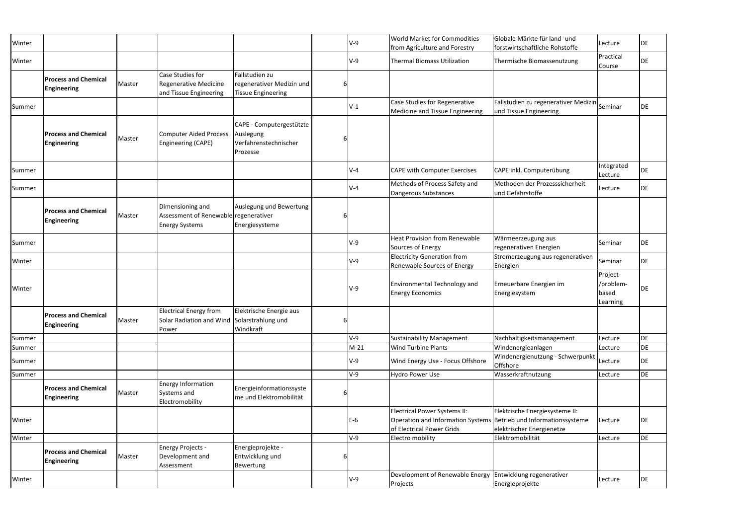| Winter |                                                   |        |                                                                                       |                                                                            |   | $V-9$  | <b>World Market for Commodities</b><br>from Agriculture and Forestry                                                                  | Globale Märkte für land- und<br>forstwirtschaftliche Rohstoffe         | Lecture                                    | DE |
|--------|---------------------------------------------------|--------|---------------------------------------------------------------------------------------|----------------------------------------------------------------------------|---|--------|---------------------------------------------------------------------------------------------------------------------------------------|------------------------------------------------------------------------|--------------------------------------------|----|
| Winter |                                                   |        |                                                                                       |                                                                            |   | $V-9$  | <b>Thermal Biomass Utilization</b>                                                                                                    | Thermische Biomassenutzung                                             | Practical<br>Course                        | DE |
|        | <b>Process and Chemical</b><br><b>Engineering</b> | Master | Case Studies for<br><b>Regenerative Medicine</b><br>and Tissue Engineering            | Fallstudien zu<br>regenerativer Medizin und<br><b>Tissue Engineering</b>   | 6 |        |                                                                                                                                       |                                                                        |                                            |    |
| Summer |                                                   |        |                                                                                       |                                                                            |   | $V-1$  | Case Studies for Regenerative<br>Medicine and Tissue Engineering                                                                      | Fallstudien zu regenerativer Medizin Seminar<br>und Tissue Engineering |                                            | DE |
|        | <b>Process and Chemical</b><br><b>Engineering</b> | Master | <b>Computer Aided Process</b><br>Engineering (CAPE)                                   | CAPE - Computergestützte<br>Auslegung<br>Verfahrenstechnischer<br>Prozesse |   |        |                                                                                                                                       |                                                                        |                                            |    |
| Summer |                                                   |        |                                                                                       |                                                                            |   | $V-4$  | <b>CAPE with Computer Exercises</b>                                                                                                   | CAPE inkl. Computerübung                                               | Integrated<br>Lecture                      | DE |
| Summer |                                                   |        |                                                                                       |                                                                            |   | $V-4$  | Methods of Process Safety and<br>Dangerous Substances                                                                                 | Methoden der Prozesssicherheit<br>und Gefahrstoffe                     | Lecture                                    | DE |
|        | <b>Process and Chemical</b><br><b>Engineering</b> | Master | Dimensioning and<br>Assessment of Renewable regenerativer<br><b>Energy Systems</b>    | Auslegung und Bewertung<br>Energiesysteme                                  | 6 |        |                                                                                                                                       |                                                                        |                                            |    |
| Summer |                                                   |        |                                                                                       |                                                                            |   | $V-9$  | <b>Heat Provision from Renewable</b><br>Sources of Energy                                                                             | Wärmeerzeugung aus<br>regenerativen Energien                           | Seminar                                    | DE |
| Winter |                                                   |        |                                                                                       |                                                                            |   | $V-9$  | <b>Electricity Generation from</b><br>Renewable Sources of Energy                                                                     | Stromerzeugung aus regenerativen<br>Energien                           | Seminar                                    | DE |
| Winter |                                                   |        |                                                                                       |                                                                            |   | $V-9$  | <b>Environmental Technology and</b><br><b>Energy Economics</b>                                                                        | Erneuerbare Energien im<br>Energiesystem                               | Project-<br>/problem-<br>based<br>Learning | DE |
|        | <b>Process and Chemical</b><br><b>Engineering</b> | Master | <b>Electrical Energy from</b><br>Solar Radiation and Wind Solarstrahlung und<br>Power | Elektrische Energie aus<br>Windkraft                                       | 6 |        |                                                                                                                                       |                                                                        |                                            |    |
| Summer |                                                   |        |                                                                                       |                                                                            |   | $V-9$  | <b>Sustainability Management</b>                                                                                                      | Nachhaltigkeitsmanagement                                              | Lecture                                    | DE |
| Summer |                                                   |        |                                                                                       |                                                                            |   | $M-21$ | <b>Wind Turbine Plants</b>                                                                                                            | Windenergieanlagen                                                     | Lecture                                    | DE |
| Summer |                                                   |        |                                                                                       |                                                                            |   | $V-9$  | Wind Energy Use - Focus Offshore                                                                                                      | Windenergienutzung - Schwerpunkt<br>Offshore                           | Lecture                                    | DE |
| Summer |                                                   |        |                                                                                       |                                                                            |   | $V-9$  | <b>Hydro Power Use</b>                                                                                                                | Wasserkraftnutzung                                                     | Lecture                                    | DE |
|        | <b>Process and Chemical</b><br><b>Engineering</b> | Master | <b>Energy Information</b><br>Systems and<br>Electromobility                           | Energieinformationssyste<br>me und Elektromobilität                        |   |        |                                                                                                                                       |                                                                        |                                            |    |
| Winter |                                                   |        |                                                                                       |                                                                            |   | $E-6$  | <b>Electrical Power Systems II:</b><br>Operation and Information Systems Betrieb und Informationssysteme<br>of Electrical Power Grids | Elektrische Energiesysteme II:<br>elektrischer Energienetze            | Lecture                                    | DE |
| Winter |                                                   |        |                                                                                       |                                                                            |   | $V-9$  | Electro mobility                                                                                                                      | Elektromobilität                                                       | Lecture                                    | DE |
|        | <b>Process and Chemical</b><br><b>Engineering</b> | Master | <b>Energy Projects -</b><br>Development and<br>Assessment                             | Energieprojekte -<br>Entwicklung und<br>Bewertung                          |   |        |                                                                                                                                       |                                                                        |                                            |    |
| Winter |                                                   |        |                                                                                       |                                                                            |   | $V-9$  | Development of Renewable Energy Entwicklung regenerativer<br>Projects                                                                 | Energieprojekte                                                        | Lecture                                    | DE |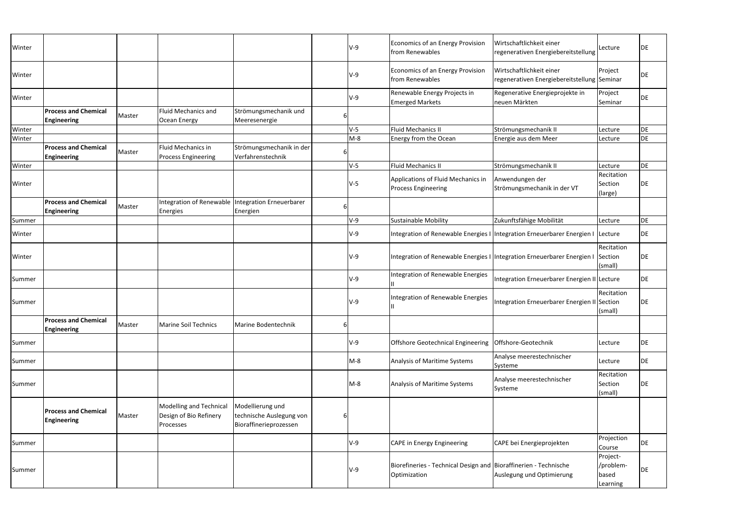| Winter |                                                   |        |                                                                       |                                                                        |   | V-9        | Economics of an Energy Provision<br>from Renewables                              | Wirtschaftlichkeit einer<br>regenerativen Energiebereitstellung                 | Lecture                                    | DE        |
|--------|---------------------------------------------------|--------|-----------------------------------------------------------------------|------------------------------------------------------------------------|---|------------|----------------------------------------------------------------------------------|---------------------------------------------------------------------------------|--------------------------------------------|-----------|
| Winter |                                                   |        |                                                                       |                                                                        |   | <b>V-9</b> | <b>Economics of an Energy Provision</b><br>from Renewables                       | Wirtschaftlichkeit einer<br>regenerativen Energiebereitstellung Seminar         | Project                                    | DE        |
| Winter |                                                   |        |                                                                       |                                                                        |   | $V-9$      | Renewable Energy Projects in<br><b>Emerged Markets</b>                           | Regenerative Energieprojekte in<br>neuen Märkten                                | Project<br>Seminar                         | <b>DE</b> |
|        | <b>Process and Chemical</b><br><b>Engineering</b> | Master | Fluid Mechanics and<br>Ocean Energy                                   | Strömungsmechanik und<br>Meeresenergie                                 |   |            |                                                                                  |                                                                                 |                                            |           |
| Winter |                                                   |        |                                                                       |                                                                        |   | $V-5$      | <b>Fluid Mechanics II</b>                                                        | Strömungsmechanik II                                                            | Lecture                                    | <b>DE</b> |
| Winter |                                                   |        |                                                                       |                                                                        |   | $M-8$      | Energy from the Ocean                                                            | Energie aus dem Meer                                                            | Lecture                                    | DE        |
|        | <b>Process and Chemical</b><br><b>Engineering</b> | Master | Fluid Mechanics in<br><b>Process Engineering</b>                      | Strömungsmechanik in der<br>Verfahrenstechnik                          |   |            |                                                                                  |                                                                                 |                                            |           |
| Winter |                                                   |        |                                                                       |                                                                        |   | $V-5$      | <b>Fluid Mechanics II</b>                                                        | Strömungsmechanik II                                                            | Lecture                                    | <b>DE</b> |
| Winter |                                                   |        |                                                                       |                                                                        |   | $V-5$      | Applications of Fluid Mechanics in<br><b>Process Engineering</b>                 | Anwendungen der<br>Strömungsmechanik in der VT                                  | Recitation<br>Section<br>(large)           | DE        |
|        | <b>Process and Chemical</b><br><b>Engineering</b> | Master | <b>Integration of Renewable</b><br><b>Energies</b>                    | <b>Integration Erneuerbarer</b><br>Energien                            |   |            |                                                                                  |                                                                                 |                                            |           |
| Summer |                                                   |        |                                                                       |                                                                        |   | $V-9$      | <b>Sustainable Mobility</b>                                                      | Zukunftsfähige Mobilität                                                        | Lecture                                    | <b>DE</b> |
| Winter |                                                   |        |                                                                       |                                                                        |   | $V-9$      |                                                                                  | Integration of Renewable Energies I Integration Erneuerbarer Energien I Lecture |                                            | DE        |
| Winter |                                                   |        |                                                                       |                                                                        |   | <b>V-9</b> | Integration of Renewable Energies I   Integration Erneuerbarer Energien I        |                                                                                 | Recitation<br>Section<br>(small)           | DE        |
| Summer |                                                   |        |                                                                       |                                                                        |   | $V-9$      | Integration of Renewable Energies                                                | Integration Erneuerbarer Energien II Lecture                                    |                                            | DE        |
| Summer |                                                   |        |                                                                       |                                                                        |   | <b>V-9</b> | Integration of Renewable Energies                                                | Integration Erneuerbarer Energien II Section                                    | Recitation<br>(small)                      | DE        |
|        | <b>Process and Chemical</b><br><b>Engineering</b> | Master | <b>Marine Soil Technics</b>                                           | Marine Bodentechnik                                                    |   |            |                                                                                  |                                                                                 |                                            |           |
| Summer |                                                   |        |                                                                       |                                                                        |   | $V-9$      | Offshore Geotechnical Engineering   Offshore-Geotechnik                          |                                                                                 | Lecture                                    | DE        |
| Summer |                                                   |        |                                                                       |                                                                        |   | $M-8$      | Analysis of Maritime Systems                                                     | Analyse meerestechnischer<br>Systeme                                            | Lecture                                    | DE        |
| Summer |                                                   |        |                                                                       |                                                                        |   | $M-8$      | Analysis of Maritime Systems                                                     | Analyse meerestechnischer<br>Systeme                                            | Recitation<br>Section<br>(small)           | DE        |
|        | <b>Process and Chemical</b><br><b>Engineering</b> | Master | <b>Modelling and Technical</b><br>Design of Bio Refinery<br>Processes | Modellierung und<br>technische Auslegung von<br>Bioraffinerieprozessen | 6 |            |                                                                                  |                                                                                 |                                            |           |
| Summer |                                                   |        |                                                                       |                                                                        |   | $V-9$      | <b>CAPE in Energy Engineering</b>                                                | CAPE bei Energieprojekten                                                       | Projection<br>Course                       | DE        |
| Summer |                                                   |        |                                                                       |                                                                        |   | V-9        | Biorefineries - Technical Design and Bioraffinerien - Technische<br>Optimization | Auslegung und Optimierung                                                       | Project-<br>/problem-<br>based<br>Learning | DE        |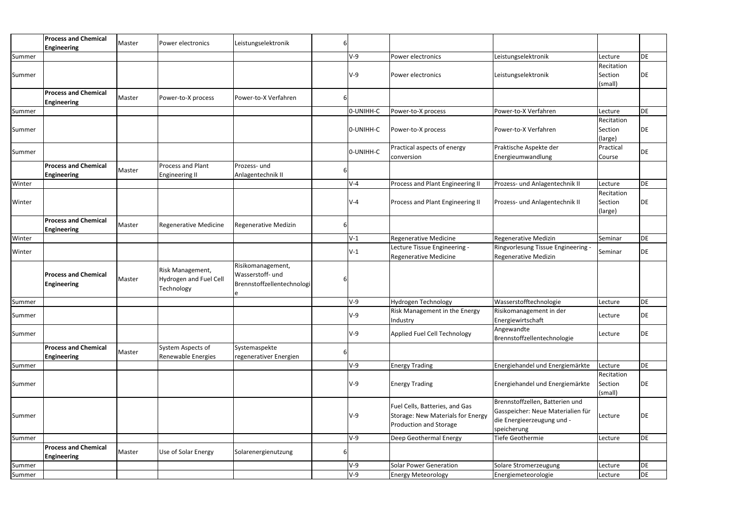|        | <b>Process and Chemical</b><br><b>Engineering</b> | Master | Power electronics             | Leistungselektronik        | 6 |           |                                   |                                   |                       |           |
|--------|---------------------------------------------------|--------|-------------------------------|----------------------------|---|-----------|-----------------------------------|-----------------------------------|-----------------------|-----------|
| Summer |                                                   |        |                               |                            |   | $V-9$     | Power electronics                 | Leistungselektronik               | Lecture               | DE        |
|        |                                                   |        |                               |                            |   |           |                                   |                                   | Recitation            |           |
| Summer |                                                   |        |                               |                            |   | $V-9$     | Power electronics                 | Leistungselektronik               | Section               | DE        |
|        |                                                   |        |                               |                            |   |           |                                   |                                   | (small)               |           |
|        | <b>Process and Chemical</b>                       | Master | Power-to-X process            | Power-to-X Verfahren       |   |           |                                   |                                   |                       |           |
|        | <b>Engineering</b>                                |        |                               |                            |   |           |                                   | Power-to-X Verfahren              |                       | DE        |
| Summer |                                                   |        |                               |                            |   | 0-UNIHH-C | Power-to-X process                |                                   | Lecture<br>Recitation |           |
|        |                                                   |        |                               |                            |   |           |                                   |                                   |                       |           |
| Summer |                                                   |        |                               |                            |   | O-UNIHH-C | Power-to-X process                | Power-to-X Verfahren              | Section               | DE        |
|        |                                                   |        |                               |                            |   |           |                                   |                                   | (large)               |           |
| Summer |                                                   |        |                               |                            |   | O-UNIHH-C | Practical aspects of energy       | Praktische Aspekte der            | Practical             | DE        |
|        |                                                   |        |                               |                            |   |           | conversion                        | Energieumwandlung                 | Course                |           |
|        | <b>Process and Chemical</b>                       | Master | <b>Process and Plant</b>      | Prozess- und               |   |           |                                   |                                   |                       |           |
|        | <b>Engineering</b>                                |        | <b>Engineering II</b>         | Anlagentechnik II          |   |           |                                   |                                   |                       |           |
| Winter |                                                   |        |                               |                            |   | $V-4$     | Process and Plant Engineering II  | Prozess- und Anlagentechnik II    | Lecture               | DE        |
|        |                                                   |        |                               |                            |   |           |                                   |                                   | Recitation            |           |
| Winter |                                                   |        |                               |                            |   | $V-4$     | Process and Plant Engineering II  | Prozess- und Anlagentechnik II    | Section               | DE        |
|        |                                                   |        |                               |                            |   |           |                                   |                                   | (large)               |           |
|        | <b>Process and Chemical</b>                       | Master | <b>Regenerative Medicine</b>  | Regenerative Medizin       |   |           |                                   |                                   |                       |           |
|        | <b>Engineering</b>                                |        |                               |                            |   |           |                                   |                                   |                       |           |
| Winter |                                                   |        |                               |                            |   | $V-1$     | <b>Regenerative Medicine</b>      | Regenerative Medizin              | Seminar               | DE        |
|        |                                                   |        |                               |                            |   |           | Lecture Tissue Engineering -      | Ringvorlesung Tissue Engineering  |                       |           |
| Winter |                                                   |        |                               |                            |   | $V-1$     | <b>Regenerative Medicine</b>      | Regenerative Medizin              | Seminar               | DE        |
|        |                                                   |        |                               | Risikomanagement,          |   |           |                                   |                                   |                       |           |
|        | <b>Process and Chemical</b>                       |        | Risk Management,              | Wasserstoff- und           |   |           |                                   |                                   |                       |           |
|        | <b>Engineering</b>                                | Master | <b>Hydrogen and Fuel Cell</b> | Brennstoffzellentechnologi |   |           |                                   |                                   |                       |           |
|        |                                                   |        | Technology                    |                            |   |           |                                   |                                   |                       |           |
| Summer |                                                   |        |                               |                            |   | $V-9$     | Hydrogen Technology               | Wasserstofftechnologie            | Lecture               | DE        |
|        |                                                   |        |                               |                            |   |           | Risk Management in the Energy     | Risikomanagement in der           |                       |           |
| Summer |                                                   |        |                               |                            |   | $V-9$     | Industry                          | Energiewirtschaft                 | Lecture               | DE        |
|        |                                                   |        |                               |                            |   |           |                                   | Angewandte                        |                       |           |
| Summer |                                                   |        |                               |                            |   | V-9       | Applied Fuel Cell Technology      | Brennstoffzellentechnologie       | Lecture               | DE        |
|        | <b>Process and Chemical</b>                       |        | System Aspects of             | Systemaspekte              |   |           |                                   |                                   |                       |           |
|        | <b>Engineering</b>                                | Master | Renewable Energies            | regenerativer Energien     | b |           |                                   |                                   |                       |           |
| Summer |                                                   |        |                               |                            |   | $V-9$     |                                   | Energiehandel und Energiemärkte   | Lecture               | <b>DE</b> |
|        |                                                   |        |                               |                            |   |           | <b>Energy Trading</b>             |                                   | Recitation            |           |
|        |                                                   |        |                               |                            |   | $V-9$     | <b>Energy Trading</b>             | Energiehandel und Energiemärkte   | Section               | DE        |
| Summer |                                                   |        |                               |                            |   |           |                                   |                                   |                       |           |
|        |                                                   |        |                               |                            |   |           |                                   |                                   | (small)               |           |
|        |                                                   |        |                               |                            |   |           | Fuel Cells, Batteries, and Gas    | Brennstoffzellen, Batterien und   |                       |           |
| Summer |                                                   |        |                               |                            |   | $V-9$     | Storage: New Materials for Energy | Gasspeicher: Neue Materialien für | Lecture               | DE        |
|        |                                                   |        |                               |                            |   |           | Production and Storage            | die Energieerzeugung und -        |                       |           |
|        |                                                   |        |                               |                            |   |           |                                   | speicherung                       |                       |           |
| Summer |                                                   |        |                               |                            |   | V-9       | Deep Geothermal Energy            | Tiefe Geothermie                  | Lecture               | DE        |
|        | <b>Process and Chemical</b>                       | Master | Use of Solar Energy           | Solarenergienutzung        |   |           |                                   |                                   |                       |           |
|        | <b>Engineering</b>                                |        |                               |                            |   |           |                                   |                                   |                       |           |
| Summer |                                                   |        |                               |                            |   | $V-9$     | <b>Solar Power Generation</b>     | Solare Stromerzeugung             | Lecture               | DE        |
| Summer |                                                   |        |                               |                            |   | $V-9$     | <b>Energy Meteorology</b>         | Energiemeteorologie               | Lecture               | <b>DE</b> |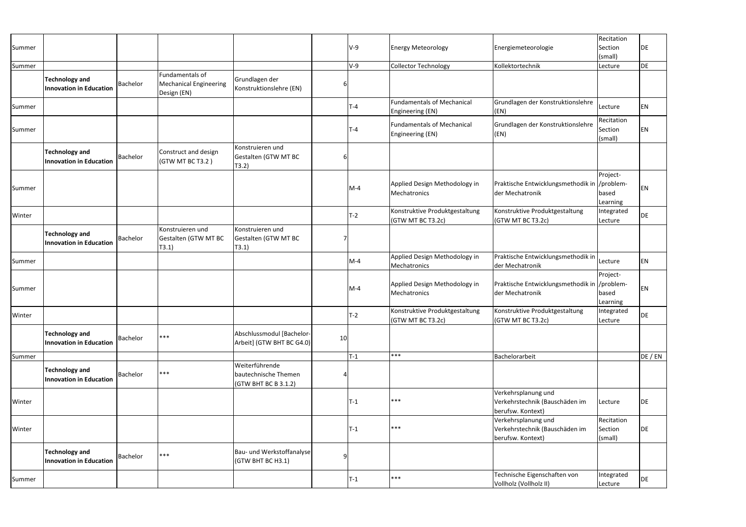|        |                                                         |                 |                                                                 |                                                                |    |         |                                                       |                                                                            | Recitation                       |         |
|--------|---------------------------------------------------------|-----------------|-----------------------------------------------------------------|----------------------------------------------------------------|----|---------|-------------------------------------------------------|----------------------------------------------------------------------------|----------------------------------|---------|
| Summer |                                                         |                 |                                                                 |                                                                |    | $V-9$   | <b>Energy Meteorology</b>                             | Energiemeteorologie                                                        | Section<br>(small)               | DE      |
| Summer |                                                         |                 |                                                                 |                                                                |    | $V-9$   | <b>Collector Technology</b>                           | Kollektortechnik                                                           | Lecture                          | DE      |
|        | <b>Technology and</b><br><b>Innovation in Education</b> | <b>Bachelor</b> | Fundamentals of<br><b>Mechanical Engineering</b><br>Design (EN) | Grundlagen der<br>Konstruktionslehre (EN)                      | b  |         |                                                       |                                                                            |                                  |         |
| Summer |                                                         |                 |                                                                 |                                                                |    | $T - 4$ | <b>Fundamentals of Mechanical</b><br>Engineering (EN) | Grundlagen der Konstruktionslehre<br>(KN)                                  | Lecture                          | EN      |
| Summer |                                                         |                 |                                                                 |                                                                |    | $T-4$   | <b>Fundamentals of Mechanical</b><br>Engineering (EN) | Grundlagen der Konstruktionslehre<br>(EN)                                  | Recitation<br>Section<br>(small) | EN      |
|        | <b>Technology and</b><br><b>Innovation in Education</b> | <b>Bachelor</b> | Construct and design<br>(GTW MT BC T3.2)                        | Konstruieren und<br>Gestalten (GTW MT BC<br>(T3.2)             | b  |         |                                                       |                                                                            |                                  |         |
| Summer |                                                         |                 |                                                                 |                                                                |    | $M-4$   | Applied Design Methodology in<br>Mechatronics         | Praktische Entwicklungsmethodik in //problem-<br>der Mechatronik           | Project-<br>based<br>Learning    | ΕN      |
| Winter |                                                         |                 |                                                                 |                                                                |    | $T-2$   | Konstruktive Produktgestaltung<br>(GTW MT BC T3.2c)   | Konstruktive Produktgestaltung<br>(GTW MT BC T3.2c)                        | Integrated<br>Lecture            | DE      |
|        | <b>Technology and</b><br><b>Innovation in Education</b> | Bachelor        | Konstruieren und<br>Gestalten (GTW MT BC<br>T3.1)               | Konstruieren und<br>Gestalten (GTW MT BC<br>T3.1)              |    |         |                                                       |                                                                            |                                  |         |
| Summer |                                                         |                 |                                                                 |                                                                |    | $M-4$   | Applied Design Methodology in<br>Mechatronics         | Praktische Entwicklungsmethodik in<br>der Mechatronik                      | Lecture                          | EN      |
| Summer |                                                         |                 |                                                                 |                                                                |    | $M-4$   | Applied Design Methodology in<br>Mechatronics         | Praktische Entwicklungsmethodik in //problem-<br>der Mechatronik           | Project-<br>based<br>Learning    | ΕN      |
| Winter |                                                         |                 |                                                                 |                                                                |    | $T-2$   | Konstruktive Produktgestaltung<br>(GTW MT BC T3.2c)   | Konstruktive Produktgestaltung<br>(GTW MT BC T3.2c)                        | Integrated<br>Lecture            | DE      |
|        | <b>Technology and</b><br><b>Innovation in Education</b> | <b>Bachelor</b> | $***$                                                           | Abschlussmodul [Bachelor-<br>Arbeit] (GTW BHT BC G4.0)         | 10 |         |                                                       |                                                                            |                                  |         |
| Summer |                                                         |                 |                                                                 |                                                                |    | $T-1$   | ***                                                   | Bachelorarbeit                                                             |                                  | DE / EN |
|        | <b>Technology and</b><br><b>Innovation in Education</b> | <b>Bachelor</b> | $***$                                                           | Weiterführende<br>bautechnische Themen<br>(GTW BHT BC B 3.1.2) |    |         |                                                       |                                                                            |                                  |         |
| Winter |                                                         |                 |                                                                 |                                                                |    | $T-1$   | ***                                                   | Verkehrsplanung und<br>Verkehrstechnik (Bauschäden im<br>berufsw. Kontext) | Lecture                          | DE      |
| Winter |                                                         |                 |                                                                 |                                                                |    | $T-1$   | $***$                                                 | Verkehrsplanung und<br>Verkehrstechnik (Bauschäden im<br>berufsw. Kontext) | Recitation<br>Section<br>(small) | DE      |
|        | <b>Technology and</b><br><b>Innovation in Education</b> | <b>Bachelor</b> | $***$                                                           | Bau- und Werkstoffanalyse<br>(GTW BHT BC H3.1)                 |    |         |                                                       |                                                                            |                                  |         |
| Summer |                                                         |                 |                                                                 |                                                                |    | $T-1$   | ***                                                   | Technische Eigenschaften von<br>Vollholz (Vollholz II)                     | Integrated<br>Lecture            | DE      |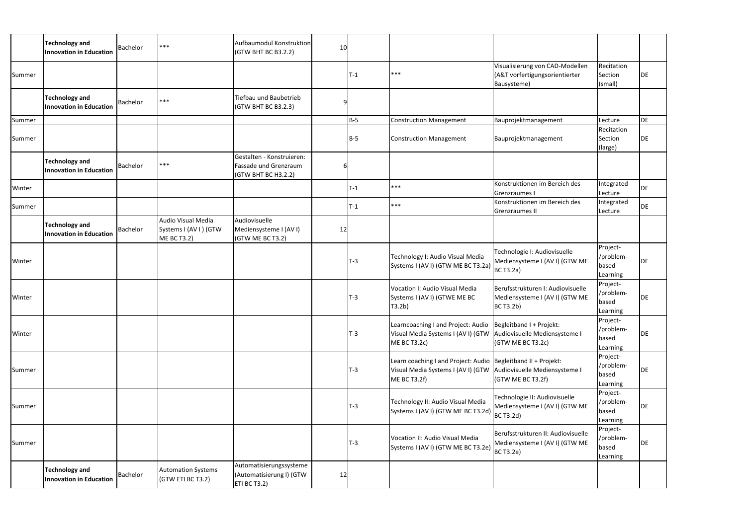|        | <b>Technology and</b><br><b>Innovation in Education</b> | Bachelor        | $***$                                                             | Aufbaumodul Konstruktion<br>(GTW BHT BC B3.2.2)                           | 10 |            |                                                                                                                                                         |                                                                                         |                                            |    |
|--------|---------------------------------------------------------|-----------------|-------------------------------------------------------------------|---------------------------------------------------------------------------|----|------------|---------------------------------------------------------------------------------------------------------------------------------------------------------|-----------------------------------------------------------------------------------------|--------------------------------------------|----|
| Summer |                                                         |                 |                                                                   |                                                                           |    | $T-1$      | ***                                                                                                                                                     | Visualisierung von CAD-Modellen<br>(A&T vorfertigungsorientierter<br>Bausysteme)        | Recitation<br>Section<br>(small)           | DE |
|        | <b>Technology and</b><br><b>Innovation in Education</b> | Bachelor        | ***                                                               | Tiefbau und Baubetrieb<br>(GTW BHT BC B3.2.3)                             | q  |            |                                                                                                                                                         |                                                                                         |                                            |    |
| Summer |                                                         |                 |                                                                   |                                                                           |    | $B-5$      | <b>Construction Management</b>                                                                                                                          | Bauprojektmanagement                                                                    | Lecture                                    | DE |
| Summer |                                                         |                 |                                                                   |                                                                           |    | <b>B-5</b> | <b>Construction Management</b>                                                                                                                          | Bauprojektmanagement                                                                    | Recitation<br>Section<br>(large)           | DE |
|        | <b>Technology and</b><br><b>Innovation in Education</b> | Bachelor        | $***$                                                             | Gestalten - Konstruieren:<br>Fassade und Grenzraum<br>(GTW BHT BC H3.2.2) | 6  |            |                                                                                                                                                         |                                                                                         |                                            |    |
| Winter |                                                         |                 |                                                                   |                                                                           |    | $T-1$      | ***                                                                                                                                                     | Konstruktionen im Bereich des<br>Grenzraumes I                                          | Integrated<br>Lecture                      | DE |
| Summer |                                                         |                 |                                                                   |                                                                           |    | $T-1$      | ***                                                                                                                                                     | Konstruktionen im Bereich des<br>Grenzraumes II                                         | Integrated<br>Lecture                      | DE |
|        | <b>Technology and</b><br><b>Innovation in Education</b> | Bachelor        | Audio Visual Media<br>Systems I (AV I) (GTW<br><b>ME BC T3.2)</b> | Audiovisuelle<br>Mediensysteme I (AV I)<br>(GTW ME BC T3.2)               | 12 |            |                                                                                                                                                         |                                                                                         |                                            |    |
| Winter |                                                         |                 |                                                                   |                                                                           |    | $T-3$      | Technology I: Audio Visual Media<br>Systems I (AV I) (GTW ME BC T3.2a) BC T3.2a)                                                                        | Technologie I: Audiovisuelle<br>Mediensysteme I (AV I) (GTW ME                          | Project-<br>/problem-<br>based<br>Learning | DE |
| Winter |                                                         |                 |                                                                   |                                                                           |    | $T-3$      | Vocation I: Audio Visual Media<br>Systems I (AV I) (GTWE ME BC<br>T3.2b)                                                                                | Berufsstrukturen I: Audiovisuelle<br>Mediensysteme I (AV I) (GTW ME<br><b>BC T3.2b)</b> | Project-<br>/problem-<br>based<br>Learning | DE |
| Winter |                                                         |                 |                                                                   |                                                                           |    | $T-3$      | Learncoaching I and Project: Audio   Begleitband I + Projekt:<br>Visual Media Systems I (AVI) (GTW Audiovisuelle Mediensysteme I<br><b>ME BC T3.2c)</b> | (GTW ME BC T3.2c)                                                                       | Project-<br>/problem-<br>based<br>Learning | DE |
| Summer |                                                         |                 |                                                                   |                                                                           |    | $T-3$      | Learn coaching I and Project: Audio   Begleitband II + Projekt:<br>Visual Media Systems I (AVI) (GTW Audiovisuelle Mediensysteme I<br>ME BC T3.2f)      | (GTWMEBCT3.2f)                                                                          | Project-<br>/problem-<br>based<br>Learning | DE |
| Summer |                                                         |                 |                                                                   |                                                                           |    | $T-3$      | Technology II: Audio Visual Media<br>Systems I (AV I) (GTW ME BC T3.2d) BC T3.2d)                                                                       | Technologie II: Audiovisuelle<br>Mediensysteme I (AV I) (GTW ME                         | Project-<br>/problem-<br>based<br>Learning | DE |
| Summer |                                                         |                 |                                                                   |                                                                           |    | $T-3$      | Vocation II: Audio Visual Media<br>Systems I (AV I) (GTW ME BC T3.2e) BC T3.2e)                                                                         | Berufsstrukturen II: Audiovisuelle<br>Mediensysteme I (AV I) (GTW ME                    | Project-<br>/problem-<br>based<br>Learning | DE |
|        | <b>Technology and</b><br><b>Innovation in Education</b> | <b>Bachelor</b> | <b>Automation Systems</b><br>(GTW ETI BC T3.2)                    | Automatisierungssysteme<br>(Automatisierung I) (GTW<br>ETI BC T3.2)       | 12 |            |                                                                                                                                                         |                                                                                         |                                            |    |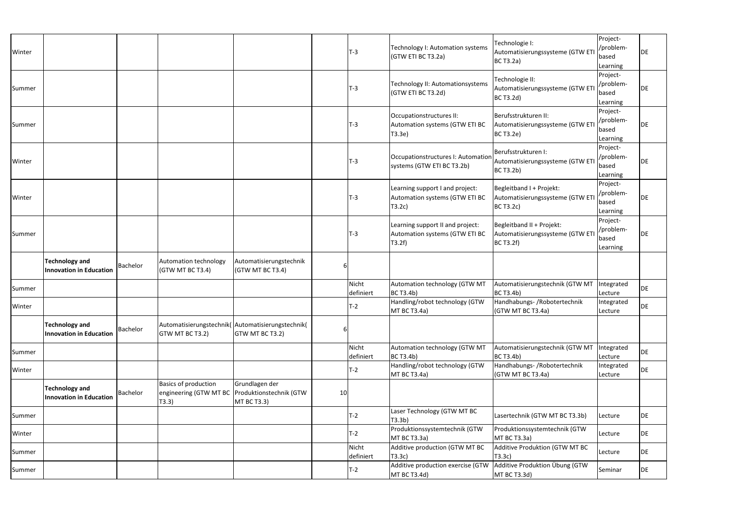| Winter |                                                         |          |                                                                      |                                                          |    | <b>T-3</b>         | Technology I: Automation systems<br>(GTW ETI BC T3.2a)                      | Technologie I:<br>Automatisierungssysteme (GTW ET<br><b>BC T3.2a)</b>            | Project-<br>/problem-<br>based<br>Learning | DE |
|--------|---------------------------------------------------------|----------|----------------------------------------------------------------------|----------------------------------------------------------|----|--------------------|-----------------------------------------------------------------------------|----------------------------------------------------------------------------------|--------------------------------------------|----|
| Summer |                                                         |          |                                                                      |                                                          |    | <b>T-3</b>         | Technology II: Automationsystems<br>(GTW ETI BC T3.2d)                      | Technologie II:<br>Automatisierungssysteme (GTW ET<br><b>BC T3.2d</b> )          | Project-<br>/problem-<br>based<br>Learning | DE |
| Summer |                                                         |          |                                                                      |                                                          |    | T-3                | Occupationstructures II:<br>Automation systems (GTW ETI BC<br>T3.3e         | Berufsstrukturen II:<br>Automatisierungssysteme (GTW ET<br><b>BC T3.2e)</b>      | Project-<br>/problem-<br>based<br>Learning | DE |
| Winter |                                                         |          |                                                                      |                                                          |    | T-3                | Occupationstructures I: Automation<br>systems (GTW ETI BC T3.2b)            | Berufsstrukturen I:<br>Automatisierungssysteme (GTW ET<br><b>BC T3.2b)</b>       | Project-<br>/problem-<br>based<br>Learning | DE |
| Winter |                                                         |          |                                                                      |                                                          |    | <b>T-3</b>         | Learning support I and project:<br>Automation systems (GTW ETI BC<br>T3.2c) | Begleitband I + Projekt:<br>Automatisierungssysteme (GTW ET<br><b>BC T3.2c)</b>  | Project-<br>/problem-<br>based<br>Learning | DE |
| Summer |                                                         |          |                                                                      |                                                          |    | $T-3$              | Learning support II and project:<br>Automation systems (GTW ETI BC<br>T3.2f | Begleitband II + Projekt:<br>Automatisierungssysteme (GTW ET<br><b>BC T3.2f)</b> | Project-<br>/problem-<br>based<br>Learning | DE |
|        | <b>Technology and</b><br><b>Innovation in Education</b> | Bachelor | Automation technology<br>(GTW MT BC T3.4)                            | Automatisierungstechnik<br>(GTW MT BC T3.4)              |    |                    |                                                                             |                                                                                  |                                            |    |
| Summer |                                                         |          |                                                                      |                                                          |    | Nicht<br>definiert | Automation technology (GTW MT<br><b>BC T3.4b)</b>                           | Automatisierungstechnik (GTW MT<br><b>BC T3.4b)</b>                              | Integrated<br>Lecture                      | DE |
| Winter |                                                         |          |                                                                      |                                                          |    | $T-2$              | Handling/robot technology (GTW<br>MT BC T3.4a)                              | Handhabungs-/Robotertechnik<br>(GTW MT BC T3.4a)                                 | Integrated<br>Lecture                      | DE |
|        | <b>Technology and</b><br><b>Innovation in Education</b> | Bachelor | Automatisierungstechnik (Automatisierungstechnik)<br>GTW MT BC T3.2) | GTW MT BC T3.2)                                          |    |                    |                                                                             |                                                                                  |                                            |    |
| Summer |                                                         |          |                                                                      |                                                          |    | Nicht<br>definiert | Automation technology (GTW MT<br><b>BC T3.4b)</b>                           | Automatisierungstechnik (GTW MT<br><b>BC T3.4b)</b>                              | Integrated<br>Lecture                      | DE |
| Winter |                                                         |          |                                                                      |                                                          |    | T-2                | Handling/robot technology (GTW<br>MT BC T3.4a)                              | Handhabungs- / Robotertechnik<br>(GTW MT BC T3.4a)                               | Integrated<br>Lecture                      | DE |
|        | <b>Technology and</b><br><b>Innovation in Education</b> | Bachelor | <b>Basics of production</b><br>engineering (GTW MT BC<br>T3.3)       | Grundlagen der<br>Produktionstechnik (GTW<br>MT BC T3.3) | 10 |                    |                                                                             |                                                                                  |                                            |    |
| Summer |                                                         |          |                                                                      |                                                          |    | T-2                | Laser Technology (GTW MT BC<br>T3.3 <sub>b</sub>                            | Lasertechnik (GTW MT BC T3.3b)                                                   | Lecture                                    | DE |
| Winter |                                                         |          |                                                                      |                                                          |    | T-2                | Produktionssystemtechnik (GTW<br>MT BC T3.3a)                               | Produktionssystemtechnik (GTW<br>MT BC T3.3a)                                    | Lecture                                    | DE |
| Summer |                                                         |          |                                                                      |                                                          |    | Nicht<br>definiert | Additive production (GTW MT BC<br>T3.3c)                                    | Additive Produktion (GTW MT BC<br>$ T3.3c\rangle$                                | Lecture                                    | DE |
| Summer |                                                         |          |                                                                      |                                                          |    | $T-2$              | Additive production exercise (GTW<br>MT BC T3.4d)                           | Additive Produktion Übung (GTW<br>MT BC T3.3d)                                   | Seminar                                    | DE |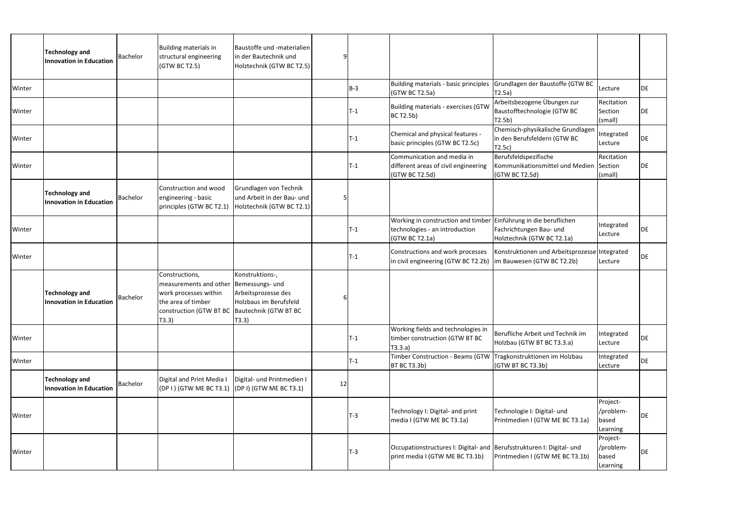|        | <b>Technology and</b><br><b>Innovation in Education</b> | <b>Bachelor</b> | Building materials in<br>structural engineering<br>(GTW BC T2.5)                                                                                  | Baustoffe und -materialien<br>in der Bautechnik und<br>Holztechnik (GTW BC T2.5)                     |    |            |                                                                                                                      |                                                                                  |                                            |    |
|--------|---------------------------------------------------------|-----------------|---------------------------------------------------------------------------------------------------------------------------------------------------|------------------------------------------------------------------------------------------------------|----|------------|----------------------------------------------------------------------------------------------------------------------|----------------------------------------------------------------------------------|--------------------------------------------|----|
| Winter |                                                         |                 |                                                                                                                                                   |                                                                                                      |    | $B-3$      | (GTW BC T2.5a)                                                                                                       | Building materials - basic principles Grundlagen der Baustoffe (GTW BC<br>T2.5a) | Lecture                                    | DE |
| Winter |                                                         |                 |                                                                                                                                                   |                                                                                                      |    | $T-1$      | Building materials - exercises (GTW<br><b>BC T2.5b)</b>                                                              | Arbeitsbezogene Übungen zur<br>Baustofftechnologie (GTW BC<br>T2.5b)             | Recitation<br>Section<br>(small)           | DE |
| Winter |                                                         |                 |                                                                                                                                                   |                                                                                                      |    | $T-1$      | Chemical and physical features -<br>basic principles (GTW BC T2.5c)                                                  | Chemisch-physikalische Grundlagen<br>in den Berufsfeldern (GTW BC<br>T2.5c)      | Integrated<br>Lecture                      | DE |
| Winter |                                                         |                 |                                                                                                                                                   |                                                                                                      |    | $T-1$      | Communication and media in<br>different areas of civil engineering<br>(GTW BC T2.5d)                                 | Berufsfeldspezifische<br>Kommunikationsmittel und Medien<br>(GTW BC T2.5d)       | Recitation<br>Section<br>(small)           | DE |
|        | <b>Technology and</b><br><b>Innovation in Education</b> | <b>Bachelor</b> | Construction and wood<br>engineering - basic<br>principles (GTW BC T2.1)                                                                          | Grundlagen von Technik<br>und Arbeit in der Bau- und<br>Holztechnik (GTW BC T2.1)                    |    |            |                                                                                                                      |                                                                                  |                                            |    |
| Winter |                                                         |                 |                                                                                                                                                   |                                                                                                      |    | $T-1$      | Working in construction and timber Einführung in die beruflichen<br>technologies - an introduction<br>(GTW BC T2.1a) | Fachrichtungen Bau- und<br>Holztechnik (GTW BC T2.1a)                            | Integrated<br>Lecture                      | DE |
| Winter |                                                         |                 |                                                                                                                                                   |                                                                                                      |    | $T-1$      | Constructions and work processes<br>in civil engineering (GTW BC T2.2b)   im Bauwesen (GTW BC T2.2b)                 | Konstruktionen und Arbeitsprozesse Integrated                                    | Lecture                                    | DE |
|        | Technology and<br><b>Innovation in Education</b>        | <b>Bachelor</b> | Constructions,<br>measurements and other<br>work processes within<br>the area of timber<br>construction (GTW BT BC Bautechnik (GTW BT BC<br>T3.3) | Konstruktions-,<br>Bemessungs- und<br>Arbeitsprozesse des<br>Holzbaus im Berufsfeld<br>$\vert$ T3.3) |    |            |                                                                                                                      |                                                                                  |                                            |    |
| Winter |                                                         |                 |                                                                                                                                                   |                                                                                                      |    | $T-1$      | Working fields and technologies in<br>timber construction (GTW BT BC<br>T3.3.a)                                      | Berufliche Arbeit und Technik im<br>Holzbau (GTW BT BC T3.3.a)                   | Integrated<br>Lecture                      | DE |
| Winter |                                                         |                 |                                                                                                                                                   |                                                                                                      |    | $T-1$      | Timber Construction - Beams (GTW Tragkonstruktionen im Holzbau<br><b>BT BC T3.3b)</b>                                | (GTW BT BC T3.3b)                                                                | Integrated<br>Lecture                      | DE |
|        | Technology and<br><b>Innovation in Education</b>        | Bachelor        | Digital and Print Media I<br>(DP I ) (GTW ME BC T3.1)                                                                                             | Digital- und Printmedien I<br>$(DP I)$ (GTW ME BC T3.1)                                              | 12 |            |                                                                                                                      |                                                                                  |                                            |    |
| Winter |                                                         |                 |                                                                                                                                                   |                                                                                                      |    | <b>T-3</b> | Technology I: Digital- and print<br>media I (GTW ME BC T3.1a)                                                        | Technologie I: Digital- und<br>Printmedien I (GTW ME BC T3.1a)                   | Project-<br>/problem-<br>based<br>Learning | DE |
| Winter |                                                         |                 |                                                                                                                                                   |                                                                                                      |    | $T-3$      | Occupationstructures I: Digital- and Berufsstrukturen I: Digital- und<br>print media I (GTW ME BC T3.1b)             | Printmedien I (GTW ME BC T3.1b)                                                  | Project-<br>/problem-<br>based<br>Learning | DE |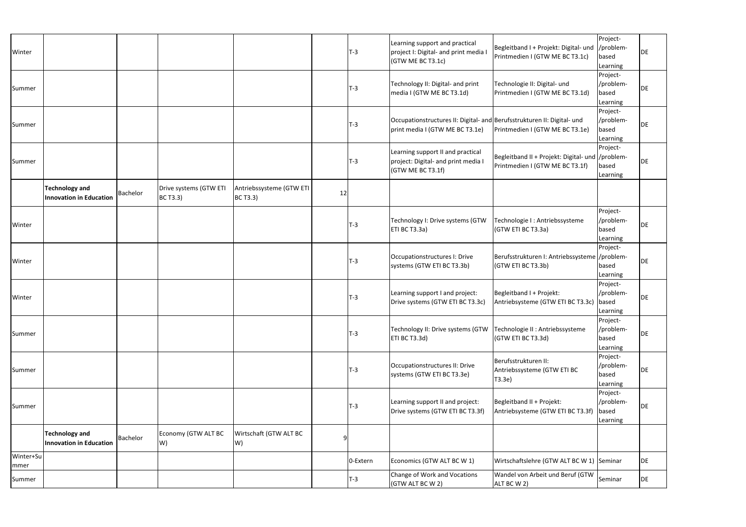| Winter            |                                                         |                 |                                           |                                             |    | $T-3$    | Learning support and practical<br>project I: Digital- and print media I<br>(GTW ME BC T3.1c)               | Begleitband I + Projekt: Digital- und  /problem-<br>Printmedien I (GTW ME BC T3.1c)  | Project-<br>based<br>Learning              | DE        |
|-------------------|---------------------------------------------------------|-----------------|-------------------------------------------|---------------------------------------------|----|----------|------------------------------------------------------------------------------------------------------------|--------------------------------------------------------------------------------------|--------------------------------------------|-----------|
| Summer            |                                                         |                 |                                           |                                             |    | $T-3$    | Technology II: Digital- and print<br>media I (GTW ME BC T3.1d)                                             | Technologie II: Digital- und<br>Printmedien I (GTW ME BC T3.1d)                      | Project-<br>/problem-<br>based<br>Learning | <b>DE</b> |
| Summer            |                                                         |                 |                                           |                                             |    | $T-3$    | Occupationstructures II: Digital- and Berufsstrukturen II: Digital- und<br>print media I (GTW ME BC T3.1e) | Printmedien I (GTW ME BC T3.1e)                                                      | Project-<br>/problem-<br>based<br>Learning | DE        |
| Summer            |                                                         |                 |                                           |                                             |    | $T-3$    | Learning support II and practical<br>project: Digital- and print media I<br>(GTW ME BC T3.1f)              | Begleitband II + Projekt: Digital- und  /problem-<br>Printmedien I (GTW ME BC T3.1f) | Project-<br>based<br>Learning              | DE        |
|                   | <b>Technology and</b><br><b>Innovation in Education</b> | <b>Bachelor</b> | Drive systems (GTW ETI<br><b>BC T3.3)</b> | Antriebssysteme (GTW ETI<br><b>BC T3.3)</b> | 12 |          |                                                                                                            |                                                                                      |                                            |           |
| Winter            |                                                         |                 |                                           |                                             |    | $T-3$    | Technology I: Drive systems (GTW<br>ETI BC T3.3a)                                                          | Technologie I : Antriebssysteme<br>(GTW ETI BC T3.3a)                                | Project-<br>/problem-<br>based<br>Learning | DE        |
| Winter            |                                                         |                 |                                           |                                             |    | $T-3$    | Occupationstructures I: Drive<br>systems (GTW ETI BC T3.3b)                                                | Berufsstrukturen I: Antriebssysteme //problem-<br>(GTW ETI BC T3.3b)                 | Project-<br>based<br>Learning              | DE        |
| Winter            |                                                         |                 |                                           |                                             |    | $T-3$    | Learning support I and project:<br>Drive systems (GTW ETI BC T3.3c)                                        | Begleitband I + Projekt:<br>Antriebsysteme (GTW ETI BC T3.3c)                        | Project-<br>/problem-<br>based<br>Learning | DE        |
| Summer            |                                                         |                 |                                           |                                             |    | $T-3$    | Technology II: Drive systems (GTW<br>ETI BC T3.3d)                                                         | Technologie II : Antriebssysteme<br>(GTW ETI BC T3.3d)                               | Project-<br>/problem-<br>based<br>Learning | DE        |
| Summer            |                                                         |                 |                                           |                                             |    | $T-3$    | Occupationstructures II: Drive<br>systems (GTW ETI BC T3.3e)                                               | Berufsstrukturen II:<br>Antriebssysteme (GTW ETI BC<br>T3.3e)                        | Project-<br>/problem-<br>based<br>Learning | DE        |
| Summer            |                                                         |                 |                                           |                                             |    | $T-3$    | Learning support II and project:<br>Drive systems (GTW ETI BC T3.3f)                                       | Begleitband II + Projekt:<br>Antriebsysteme (GTW ETI BC T3.3f)                       | Project-<br>/problem-<br>based<br>Learning | <b>DE</b> |
|                   | <b>Technology and</b><br><b>Innovation in Education</b> | Bachelor        | Economy (GTW ALT BC<br>W)                 | Wirtschaft (GTW ALT BC<br>W)                |    |          |                                                                                                            |                                                                                      |                                            |           |
| Winter+Su<br>mmer |                                                         |                 |                                           |                                             |    | 0-Extern | Economics (GTW ALT BC W 1)                                                                                 | Wirtschaftslehre (GTW ALT BC W 1) Seminar                                            |                                            | DE        |
| Summer            |                                                         |                 |                                           |                                             |    | T-3      | Change of Work and Vocations<br>(GTW ALT BC W 2)                                                           | Wandel von Arbeit und Beruf (GTW<br>ALT BC W 2)                                      | Seminar                                    | DE        |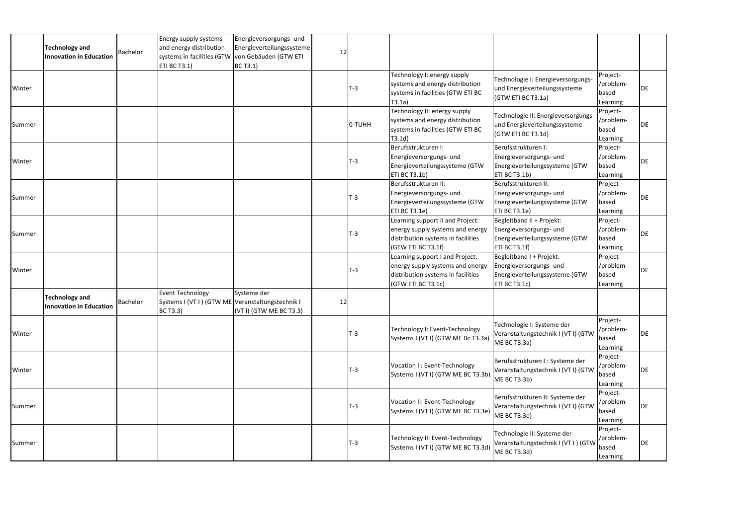|        | <b>Technology and</b><br><b>Innovation in Education</b> | Bachelor | Energy supply systems<br>and energy distribution<br>systems in facilities (GTW<br><b>ETI BC T3.1)</b> | Energieversorgungs- und<br>Energieverteilungssysteme<br>von Gebäuden (GTW ETI<br>BC T3.1) | 12 |            |                                                                                                                                  |                                                                                                         |                                            |    |
|--------|---------------------------------------------------------|----------|-------------------------------------------------------------------------------------------------------|-------------------------------------------------------------------------------------------|----|------------|----------------------------------------------------------------------------------------------------------------------------------|---------------------------------------------------------------------------------------------------------|--------------------------------------------|----|
| Winter |                                                         |          |                                                                                                       |                                                                                           |    | <b>T-3</b> | Technology I: energy supply<br>systems and energy distribution<br>systems in facilities (GTW ETI BC<br>T3.1a)                    | Technologie I: Energieversorgungs-<br>und Energieverteilungssysteme<br>(GTW ETI BC T3.1a)               | Project-<br>/problem-<br>based<br>Learning | DE |
| Summer |                                                         |          |                                                                                                       |                                                                                           |    | O-TUHH     | Technology II: energy supply<br>systems and energy distribution<br>systems in facilities (GTW ETI BC<br>T3.1d)                   | Technologie II: Energieversorgungs-<br>und Energieverteilungssysteme<br>(GTW ETI BC T3.1d)              | Project-<br>/problem-<br>based<br>Learning | DE |
| Winter |                                                         |          |                                                                                                       |                                                                                           |    | T-3        | Berufsstrukturen I:<br>Energieversorgungs- und<br>Energieverteilungssysteme (GTW<br>ETI BC T3.1b)                                | Berufsstrukturen I:<br>Energieversorgungs- und<br>Energieverteilungssysteme (GTW<br>ETI BC T3.1b)       | Project-<br>/problem-<br>based<br>Learning | DE |
| Summer |                                                         |          |                                                                                                       |                                                                                           |    | $T-3$      | Berufsstrukturen II:<br>Energieversorgungs- und<br>Energieverteilungssysteme (GTW<br>ETI BC T3.1e)                               | Berufsstrukturen II:<br>Energieversorgungs- und<br>Energieverteilungssysteme (GTW<br>ETi BC T3.1e)      | Project-<br>/problem-<br>based<br>Learning | DE |
| Summer |                                                         |          |                                                                                                       |                                                                                           |    | $T-3$      | Learning support II and Project:<br>energy supply systems and energy<br>distribution systems in facilities<br>(GTW ETI BC T3.1f) | Begleitband II + Projekt:<br>Energieversorgungs- und<br>Energieverteilungssysteme (GTW<br>ETI BC T3.1f) | Project-<br>/problem-<br>based<br>Learning | DE |
| Winter |                                                         |          |                                                                                                       |                                                                                           |    | T-3        | Learning support I and Project:<br>energy supply systems and energy<br>distribution systems in facilities<br>(GTW ETI BC T3.1c)  | Begleitband I + Projekt:<br>Energieversorgungs- und<br>Energieverteilungssysteme (GTW<br>ETI BC T3.1c)  | Project-<br>/problem-<br>based<br>Learning | DE |
|        | <b>Technology and</b><br><b>Innovation in Education</b> | Bachelor | <b>Event Technology</b><br>Systems I (VT I ) (GTW ME Veranstaltungstechnik I<br><b>BC T3.3)</b>       | Systeme der<br>(VT I) (GTW ME BC T3.3)                                                    | 12 |            |                                                                                                                                  |                                                                                                         |                                            |    |
| Winter |                                                         |          |                                                                                                       |                                                                                           |    | <b>T-3</b> | Technology I: Event-Technology<br>Systems I (VT I) (GTW ME Bc T3.3a)                                                             | Technologie I: Systeme der<br>Veranstaltungstechnik I (VT I) (GTW<br>ME BC T3.3a)                       | Project-<br>/problem-<br>based<br>Learning | DE |
| Winter |                                                         |          |                                                                                                       |                                                                                           |    | <b>T-3</b> | Vocation I: Event-Technology<br>Systems I (VT I) (GTW ME BC T3.3b)                                                               | Berufsstrukturen I : Systeme der<br>Veranstaltungstechnik I (VT I) (GTW<br>ME BC T3.3b)                 | Project-<br>/problem-<br>based<br>Learning | DE |
| Summer |                                                         |          |                                                                                                       |                                                                                           |    | <b>T-3</b> | Vocation II: Event-Technology<br>Systems I (VT I) (GTW ME BC T3.3e)                                                              | Berufsstrukturen II: Systeme der<br>Veranstaltungstechnik I (VT I) (GTW<br>ME BC T3.3e)                 | Project-<br>/problem-<br>based<br>Learning | DE |
| Summer |                                                         |          |                                                                                                       |                                                                                           |    | <b>T-3</b> | Technology II: Event-Technology<br>Systems I (VT I) (GTW ME BC T3.3d)                                                            | Technologie II: Systeme der<br>Veranstaltungstechnik I (VT I ) (GTW<br>ME BC T3.3d)                     | Project-<br>/problem-<br>based<br>Learning | DE |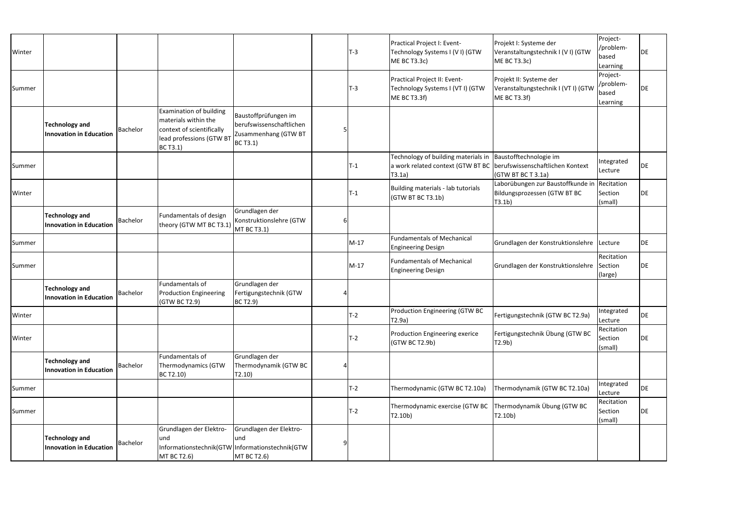| Winter |                                                         |                 |                                                                                                                                    |                                                                                                   | $T-3$  | Practical Project I: Event-<br>Technology Systems I (VI) (GTW<br>ME BC T3.3c)                                       | Projekt I: Systeme der<br>Veranstaltungstechnik I (VI) (GTW<br>ME BC T3.3c)                       | Project-<br>/problem-<br>based<br>Learning | DE |
|--------|---------------------------------------------------------|-----------------|------------------------------------------------------------------------------------------------------------------------------------|---------------------------------------------------------------------------------------------------|--------|---------------------------------------------------------------------------------------------------------------------|---------------------------------------------------------------------------------------------------|--------------------------------------------|----|
| Summer |                                                         |                 |                                                                                                                                    |                                                                                                   | $T-3$  | Practical Project II: Event-<br>Technology Systems I (VT I) (GTW<br><b>ME BC T3.3f)</b>                             | Projekt II: Systeme der<br>Veranstaltungstechnik I (VT I) (GTW<br>ME BC T3.3f)                    | Project-<br>/problem-<br>based<br>Learning | DE |
|        | <b>Technology and</b><br><b>Innovation in Education</b> | <b>Bachelor</b> | <b>Examination of building</b><br>materials within the<br>context of scientifically<br>lead professions (GTW BT<br><b>BC T3.1)</b> | Baustoffprüfungen im<br>berufswissenschaftlichen<br>Zusammenhang (GTW BT<br><b>BC T3.1)</b>       |        |                                                                                                                     |                                                                                                   |                                            |    |
| Summer |                                                         |                 |                                                                                                                                    |                                                                                                   | $T-1$  | Technology of building materials in<br>a work related context (GTW BT BC berufswissenschaftlichen Kontext<br>T3.1a) | Baustofftechnologie im<br>(GTW BT BC T 3.1a)                                                      | Integrated<br>Lecture                      | DE |
| Winter |                                                         |                 |                                                                                                                                    |                                                                                                   | $T-1$  | Building materials - lab tutorials<br>(GTW BT BC T3.1b)                                                             | Laborübungen zur Baustoffkunde in Recitation<br>Bildungsprozessen (GTW BT BC<br>T3.1 <sub>b</sub> | Section<br>(small)                         | DE |
|        | <b>Technology and</b><br><b>Innovation in Education</b> | <b>Bachelor</b> | Fundamentals of design<br>theory (GTW MT BC T3.1)                                                                                  | Grundlagen der<br>Konstruktionslehre (GTW<br>MT BC T3.1)                                          |        |                                                                                                                     |                                                                                                   |                                            |    |
| Summer |                                                         |                 |                                                                                                                                    |                                                                                                   | $M-17$ | <b>Fundamentals of Mechanical</b><br><b>Engineering Design</b>                                                      | Grundlagen der Konstruktionslehre Lecture                                                         |                                            | DE |
| Summer |                                                         |                 |                                                                                                                                    |                                                                                                   | $M-17$ | <b>Fundamentals of Mechanical</b><br><b>Engineering Design</b>                                                      | Grundlagen der Konstruktionslehre                                                                 | Recitation<br>Section<br>(large)           | DE |
|        | <b>Technology and</b><br><b>Innovation in Education</b> | <b>Bachelor</b> | Fundamentals of<br><b>Production Engineering</b><br>(GTW BC T2.9)                                                                  | Grundlagen der<br>Fertigungstechnik (GTW<br>BC T2.9)                                              |        |                                                                                                                     |                                                                                                   |                                            |    |
| Winter |                                                         |                 |                                                                                                                                    |                                                                                                   | $T-2$  | Production Engineering (GTW BC<br>T2.9a)                                                                            | Fertigungstechnik (GTW BC T2.9a)                                                                  | Integrated<br>Lecture                      | DE |
| Winter |                                                         |                 |                                                                                                                                    |                                                                                                   | $T-2$  | Production Engineering exerice<br>(GTW BC T2.9b)                                                                    | Fertigungstechnik Übung (GTW BC<br>T2.9b)                                                         | Recitation<br>Section<br>(small)           | DE |
|        | <b>Technology and</b><br><b>Innovation in Education</b> | <b>Bachelor</b> | Fundamentals of<br>Thermodynamics (GTW<br>BC T2.10)                                                                                | Grundlagen der<br>Thermodynamik (GTW BC<br>T2.10)                                                 |        |                                                                                                                     |                                                                                                   |                                            |    |
| Summer |                                                         |                 |                                                                                                                                    |                                                                                                   | $T-2$  | Thermodynamic (GTW BC T2.10a)                                                                                       | Thermodynamik (GTW BC T2.10a)                                                                     | Integrated<br>Lecture                      | DE |
| Summer |                                                         |                 |                                                                                                                                    |                                                                                                   | $T-2$  | Thermodynamic exercise (GTW BC Thermodynamik Übung (GTW BC<br>T2.10 <sub>b</sub>                                    | T2.10 <sub>b</sub>                                                                                | Recitation<br>Section<br>(small)           | DE |
|        | <b>Technology and</b><br><b>Innovation in Education</b> | <b>Bachelor</b> | Grundlagen der Elektro-<br>und<br><b>MT BC T2.6)</b>                                                                               | Grundlagen der Elektro-<br>lund<br>Informationstechnik(GTW Informationstechnik(GTW<br>MT BC T2.6) |        |                                                                                                                     |                                                                                                   |                                            |    |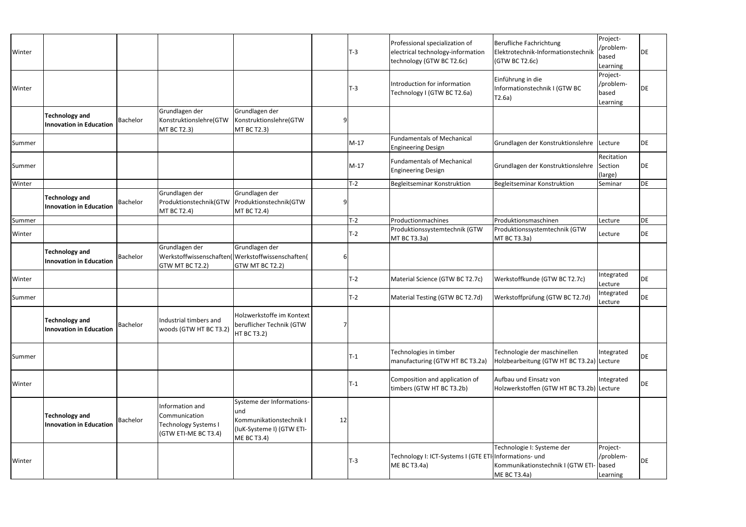| Winter |                                                         |                 |                                                                                         |                                                                                                         |    | $T-3$  | Professional specialization of<br>electrical technology-information<br>technology (GTW BC T2.6c) | Berufliche Fachrichtung<br>Elektrotechnik-Informationstechnik<br>(GTW BC T2.6c)       | Project-<br>/problem-<br>based<br>Learning | DE        |
|--------|---------------------------------------------------------|-----------------|-----------------------------------------------------------------------------------------|---------------------------------------------------------------------------------------------------------|----|--------|--------------------------------------------------------------------------------------------------|---------------------------------------------------------------------------------------|--------------------------------------------|-----------|
| Winter |                                                         |                 |                                                                                         |                                                                                                         |    | $T-3$  | Introduction for information<br>Technology I (GTW BC T2.6a)                                      | Einführung in die<br>Informationstechnik I (GTW BC<br>T2.6a)                          | Project-<br>/problem-<br>based<br>Learning | DE        |
|        | <b>Technology and</b><br><b>Innovation in Education</b> | Bachelor        | Grundlagen der<br>Konstruktionslehre(GTW<br><b>MT BC T2.3)</b>                          | Grundlagen der<br>Konstruktionslehre(GTW<br>MT BC T2.3)                                                 |    |        |                                                                                                  |                                                                                       |                                            |           |
| Summer |                                                         |                 |                                                                                         |                                                                                                         |    | $M-17$ | <b>Fundamentals of Mechanical</b><br><b>Engineering Design</b>                                   | Grundlagen der Konstruktionslehre Lecture                                             |                                            | DE        |
| Summer |                                                         |                 |                                                                                         |                                                                                                         |    | $M-17$ | <b>Fundamentals of Mechanical</b><br><b>Engineering Design</b>                                   | Grundlagen der Konstruktionslehre Section                                             | Recitation<br>(large)                      | DE        |
| Winter |                                                         |                 |                                                                                         |                                                                                                         |    | $T-2$  | Begleitseminar Konstruktion                                                                      | Begleitseminar Konstruktion                                                           | Seminar                                    | DE        |
|        | <b>Technology and</b><br><b>Innovation in Education</b> | <b>Bachelor</b> | Grundlagen der<br>Produktionstechnik(GTW<br><b>MT BC T2.4)</b>                          | Grundlagen der<br>Produktionstechnik(GTW<br><b>MT BC T2.4)</b>                                          | q  |        |                                                                                                  |                                                                                       |                                            |           |
| Summer |                                                         |                 |                                                                                         |                                                                                                         |    | $T-2$  | Productionmachines                                                                               | Produktionsmaschinen                                                                  | Lecture                                    | DE        |
| Winter |                                                         |                 |                                                                                         |                                                                                                         |    | $T-2$  | Produktionssystemtechnik (GTW<br>MT BC T3.3a)                                                    | Produktionssystemtechnik (GTW<br>MT BC T3.3a)                                         | Lecture                                    | <b>DE</b> |
|        | <b>Technology and</b><br><b>Innovation in Education</b> | Bachelor        | Grundlagen der<br>Werkstoffwissenschaften(<br>GTW MT BC T2.2)                           | Grundlagen der<br>Werkstoffwissenschaften(<br>GTW MT BC T2.2)                                           |    |        |                                                                                                  |                                                                                       |                                            |           |
| Winter |                                                         |                 |                                                                                         |                                                                                                         |    | $T-2$  | Material Science (GTW BC T2.7c)                                                                  | Werkstoffkunde (GTW BC T2.7c)                                                         | Integrated<br>Lecture                      | DE        |
| Summer |                                                         |                 |                                                                                         |                                                                                                         |    | T-2    | Material Testing (GTW BC T2.7d)                                                                  | Werkstoffprüfung (GTW BC T2.7d)                                                       | Integrated<br>Lecture                      | DE        |
|        | <b>Technology and</b><br><b>Innovation in Education</b> | Bachelor        | Industrial timbers and<br>woods (GTW HT BC T3.2)                                        | Holzwerkstoffe im Kontext<br>beruflicher Technik (GTW<br><b>HT BC T3.2)</b>                             |    |        |                                                                                                  |                                                                                       |                                            |           |
| Summer |                                                         |                 |                                                                                         |                                                                                                         |    | $T-1$  | Technologies in timber<br>manufacturing (GTW HT BC T3.2a)                                        | Technologie der maschinellen<br>Holzbearbeitung (GTW HT BC T3.2a) Lecture             | Integrated                                 | DE        |
| Winter |                                                         |                 |                                                                                         |                                                                                                         |    | $T-1$  | Composition and application of<br>timbers (GTW HT BC T3.2b)                                      | Aufbau und Einsatz von<br>Holzwerkstoffen (GTW HT BC T3.2b) Lecture                   | Integrated                                 | DE        |
|        | <b>Technology and</b><br><b>Innovation in Education</b> | Bachelor        | Information and<br>Communication<br><b>Technology Systems I</b><br>(GTW ETI-ME BC T3.4) | Systeme der Informations-<br>und<br>Kommunikationstechnik I<br>(luK-Systeme I) (GTW ETI-<br>ME BC T3.4) | 12 |        |                                                                                                  |                                                                                       |                                            |           |
| Winter |                                                         |                 |                                                                                         |                                                                                                         |    | $T-3$  | Technology I: ICT-Systems I (GTE ETI-Informations- und<br>ME BC T3.4a)                           | Technologie I: Systeme der<br>Kommunikationstechnik I (GTW ETI- based<br>ME BC T3.4a) | Project-<br>/problem-<br>Learning          | DE        |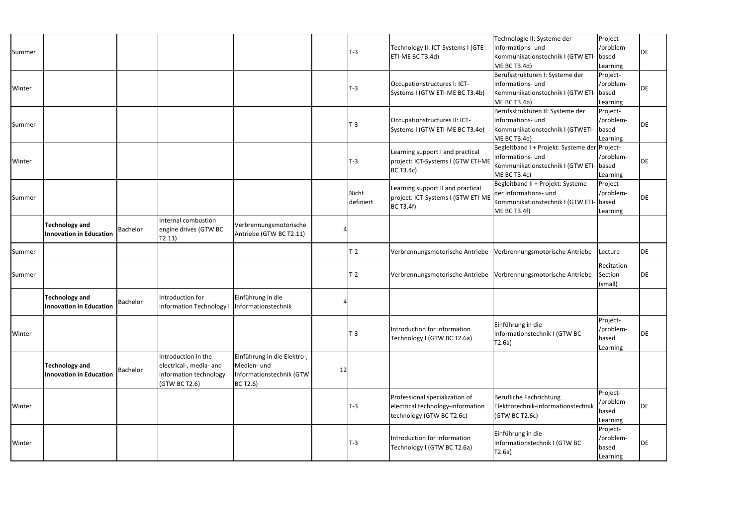| Summer |                                                         |          |                                                                                           |                                                                                    |    | <b>T-3</b>         | Technology II: ICT-Systems I (GTE<br>ETI-ME BC T3.4d)                                            | Technologie II: Systeme der<br>Informations- und<br>Kommunikationstechnik I (GTW ETI-<br>ME BC T3.4d)                         | Project-<br>/problem-<br>- based<br>Learning | <b>DE</b> |
|--------|---------------------------------------------------------|----------|-------------------------------------------------------------------------------------------|------------------------------------------------------------------------------------|----|--------------------|--------------------------------------------------------------------------------------------------|-------------------------------------------------------------------------------------------------------------------------------|----------------------------------------------|-----------|
| Winter |                                                         |          |                                                                                           |                                                                                    |    | <b>T-3</b>         | Occupationstructures I: ICT-<br>Systems I (GTW ETI-ME BC T3.4b)                                  | Berufsstrukturen I: Systeme der<br>Informations- und<br>Kommunikationstechnik I (GTW ETI- based<br>ME BC T3.4b)               | Project-<br>/problem-<br>Learning            | <b>DE</b> |
| Summer |                                                         |          |                                                                                           |                                                                                    |    | <b>T-3</b>         | Occupationstructures II: ICT-<br>Systems I (GTW ETI-ME BC T3.4e)                                 | Berufsstrukturen II: Systeme der<br>Informations- und<br>Kommunikationstechnik I (GTWETI-<br>ME BC T3.4e)                     | Project-<br>/problem-<br>based<br>Learning   | <b>DE</b> |
| Winter |                                                         |          |                                                                                           |                                                                                    |    | <b>T-3</b>         | Learning support I and practical<br>project: ICT-Systems I (GTW ETI-ME<br><b>BC T3.4c)</b>       | Begleitband I + Projekt: Systeme der Project-<br>Informations- und<br>Kommunikationstechnik I (GTW ETI- based<br>ME BC T3.4c) | /problem-<br>Learning                        | DE        |
| Summer |                                                         |          |                                                                                           |                                                                                    |    | Nicht<br>definiert | Learning support II and practical<br>project: ICT-Systems I (GTW ETI-ME<br><b>BC T3.4f)</b>      | Begleitband II + Projekt: Systeme<br>der Informations- und<br>Kommunikationstechnik I (GTW ETI<br>ME BC T3.4f)                | Project-<br>/problem-<br>- based<br>Learning | DE        |
|        | <b>Technology and</b><br><b>Innovation in Education</b> | Bachelor | Internal combustion<br>engine drives (GTW BC<br>T2.11)                                    | Verbrennungsmotorische<br>Antriebe (GTW BC T2.11)                                  |    |                    |                                                                                                  |                                                                                                                               |                                              |           |
| Summer |                                                         |          |                                                                                           |                                                                                    |    | T-2                | Verbrennungsmotorische Antriebe                                                                  | Verbrennungsmotorische Antriebe                                                                                               | Lecture                                      | DE        |
| Summer |                                                         |          |                                                                                           |                                                                                    |    | T-2                | Verbrennungsmotorische Antriebe Verbrennungsmotorische Antriebe                                  |                                                                                                                               | Recitation<br>Section<br>(small)             | DE        |
|        | <b>Technology and</b><br><b>Innovation in Education</b> | Bachelor | Introduction for<br>information Technology                                                | Einführung in die<br>Informationstechnik                                           |    |                    |                                                                                                  |                                                                                                                               |                                              |           |
| Winter |                                                         |          |                                                                                           |                                                                                    |    | T-3                | Introduction for information<br>Technology I (GTW BC T2.6a)                                      | Einführung in die<br>Informationstechnik I (GTW BC<br>T2.6a)                                                                  | Project-<br>/problem-<br>based<br>Learning   | DE        |
|        | <b>Technology and</b><br><b>Innovation in Education</b> | Bachelor | Introduction in the<br>electrical-, media- and<br>information technology<br>(GTW BC T2.6) | Einführung in die Elektro-,<br>Medien- und<br>Informationstechnik (GTW<br>BC T2.6) | 12 |                    |                                                                                                  |                                                                                                                               |                                              |           |
| Winter |                                                         |          |                                                                                           |                                                                                    |    | <b>T-3</b>         | Professional specialization of<br>electrical technology-information<br>technology (GTW BC T2.6c) | Berufliche Fachrichtung<br>Elektrotechnik-Informationstechnik<br>(GTW BC T2.6c)                                               | Project-<br>/problem-<br>based<br>Learning   | DE        |
| Winter |                                                         |          |                                                                                           |                                                                                    |    | <b>T-3</b>         | Introduction for information<br>Technology I (GTW BC T2.6a)                                      | Einführung in die<br>Informationstechnik I (GTW BC<br>T2.6a)                                                                  | Project-<br>/problem-<br>based<br>Learning   | <b>DE</b> |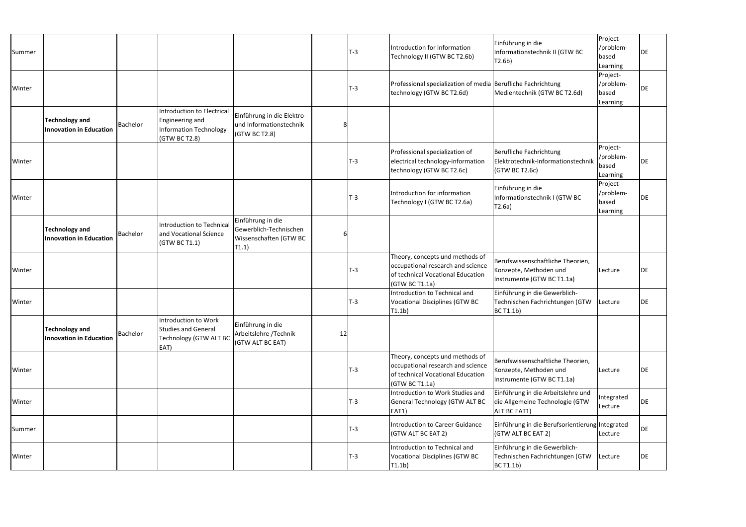| Summer |                                                         |          |                                                                                                 |                                                                                |    | <b>T-3</b> | Introduction for information<br>Technology II (GTW BC T2.6b)                                                                | Einführung in die<br>Informationstechnik II (GTW BC<br>T2.6b)                             | Project-<br>/problem-<br>based<br>Learning | DE |
|--------|---------------------------------------------------------|----------|-------------------------------------------------------------------------------------------------|--------------------------------------------------------------------------------|----|------------|-----------------------------------------------------------------------------------------------------------------------------|-------------------------------------------------------------------------------------------|--------------------------------------------|----|
| Winter |                                                         |          |                                                                                                 |                                                                                |    | <b>T-3</b> | Professional specialization of media Berufliche Fachrichtung<br>technology (GTW BC T2.6d)                                   | Medientechnik (GTW BC T2.6d)                                                              | Project-<br>/problem-<br>based<br>Learning | DE |
|        | <b>Technology and</b><br><b>Innovation in Education</b> | Bachelor | Introduction to Electrical<br>Engineering and<br><b>Information Technology</b><br>(GTW BC T2.8) | Einführung in die Elektro-<br>und Informationstechnik<br>(GTW BC T2.8)         |    |            |                                                                                                                             |                                                                                           |                                            |    |
| Winter |                                                         |          |                                                                                                 |                                                                                |    | $T-3$      | Professional specialization of<br>electrical technology-information<br>technology (GTW BC T2.6c)                            | Berufliche Fachrichtung<br>Elektrotechnik-Informationstechnik<br>(GTW BC T2.6c)           | Project-<br>/problem-<br>based<br>Learning | DE |
| Winter |                                                         |          |                                                                                                 |                                                                                |    | T-3        | Introduction for information<br>Technology I (GTW BC T2.6a)                                                                 | Einführung in die<br>Informationstechnik I (GTW BC<br> T2.6a                              | Project-<br>/problem-<br>based<br>Learning | DE |
|        | <b>Technology and</b><br><b>Innovation in Education</b> | Bachelor | <b>Introduction to Technical</b><br>and Vocational Science<br>(GTW BC T1.1)                     | Einführung in die<br>Gewerblich-Technischen<br>Wissenschaften (GTW BC<br>T1.1) |    |            |                                                                                                                             |                                                                                           |                                            |    |
| Winter |                                                         |          |                                                                                                 |                                                                                |    | $T-3$      | Theory, concepts und methods of<br>occupational research and science<br>of technical Vocational Education<br>(GTW BC T1.1a) | Berufswissenschaftliche Theorien,<br>Konzepte, Methoden und<br>Instrumente (GTW BC T1.1a) | Lecture                                    | DE |
| Winter |                                                         |          |                                                                                                 |                                                                                |    | $T-3$      | Introduction to Technical and<br><b>Vocational Disciplines (GTW BC</b><br>T1.1 <sub>b</sub>                                 | Einführung in die Gewerblich-<br>Technischen Fachrichtungen (GTW<br>BC T1.1b)             | Lecture                                    | DE |
|        | <b>Technology and</b><br><b>Innovation in Education</b> | Bachelor | Introduction to Work<br><b>Studies and General</b><br><b>Technology (GTW ALT BC</b><br>EAT)     | Einführung in die<br>Arbeitslehre /Technik<br>(GTW ALT BC EAT)                 | 12 |            |                                                                                                                             |                                                                                           |                                            |    |
| Winter |                                                         |          |                                                                                                 |                                                                                |    | <b>T-3</b> | Theory, concepts und methods of<br>occupational research and science<br>of technical Vocational Education<br>(GTW BC T1.1a) | Berufswissenschaftliche Theorien,<br>Konzepte, Methoden und<br>Instrumente (GTW BC T1.1a) | Lecture                                    | DE |
| Winter |                                                         |          |                                                                                                 |                                                                                |    | T-3        | Introduction to Work Studies and<br><b>General Technology (GTW ALT BC</b><br>$EAT1$ )                                       | Einführung in die Arbeitslehre und<br>die Allgemeine Technologie (GTW<br>ALT BC EAT1)     | Integrated<br>Lecture                      | DE |
| Summer |                                                         |          |                                                                                                 |                                                                                |    | T-3        | <b>Introduction to Career Guidance</b><br>(GTW ALT BC EAT 2)                                                                | Einführung in die Berufsorientierung Integrated<br>(GTW ALT BC EAT 2)                     | Lecture                                    | DE |
| Winter |                                                         |          |                                                                                                 |                                                                                |    | $T-3$      | Introduction to Technical and<br>Vocational Disciplines (GTW BC<br>T1.1b)                                                   | Einführung in die Gewerblich-<br>Technischen Fachrichtungen (GTW<br>BCT1.1b)              | Lecture                                    | DE |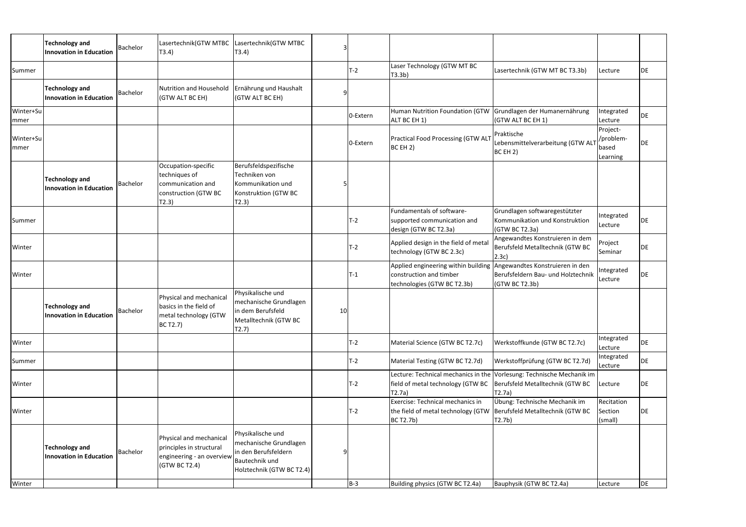|                           | <b>Technology and</b><br><b>Innovation in Education</b> | Bachelor | Lasertechnik(GTW MTBC Lasertechnik(GTW MTBC<br>T3.4)                                              | (T3.4)                                                                                                                    |     |          |                                                                                                                               |                                                                                                                     |                                            |           |
|---------------------------|---------------------------------------------------------|----------|---------------------------------------------------------------------------------------------------|---------------------------------------------------------------------------------------------------------------------------|-----|----------|-------------------------------------------------------------------------------------------------------------------------------|---------------------------------------------------------------------------------------------------------------------|--------------------------------------------|-----------|
| Summer                    |                                                         |          |                                                                                                   |                                                                                                                           |     | $T-2$    | Laser Technology (GTW MT BC<br>T3.3b)                                                                                         | Lasertechnik (GTW MT BC T3.3b)                                                                                      | Lecture                                    | <b>DE</b> |
|                           | <b>Technology and</b><br>Innovation in Education        | Bachelor | Nutrition and Household<br>(GTW ALT BC EH)                                                        | Ernährung und Haushalt<br>(GTW ALT BC EH)                                                                                 |     |          |                                                                                                                               |                                                                                                                     |                                            |           |
| Winter+Su<br> mmer        |                                                         |          |                                                                                                   |                                                                                                                           |     | 0-Extern | Human Nutrition Foundation (GTW Grundlagen der Humanernährung<br>ALT BC EH 1)                                                 | (GTW ALT BC EH 1)                                                                                                   | Integrated<br>Lecture                      | DE        |
| Winter+Su<br><b>Immer</b> |                                                         |          |                                                                                                   |                                                                                                                           |     | 0-Extern | <b>Practical Food Processing (GTW ALT</b><br>BC EH 2)                                                                         | Praktische<br>Lebensmittelverarbeitung (GTW AL<br>BCEH2)                                                            | Project-<br>/problem-<br>based<br>Learning | DE        |
|                           | <b>Technology and</b><br><b>Innovation in Education</b> | Bachelor | Occupation-specific<br>techniques of<br>communication and<br>construction (GTW BC<br>T2.3)        | Berufsfeldspezifische<br>Techniken von<br>Kommunikation und<br>Konstruktion (GTW BC<br>T2.3)                              |     |          |                                                                                                                               |                                                                                                                     |                                            |           |
| Summer                    |                                                         |          |                                                                                                   |                                                                                                                           |     | $T-2$    | Fundamentals of software-<br>supported communication and<br>design (GTW BC T2.3a)                                             | Grundlagen softwaregestützter<br>Kommunikation und Konstruktion<br>(GTW BC T2.3a)                                   | Integrated<br>Lecture                      | DE        |
| Winter                    |                                                         |          |                                                                                                   |                                                                                                                           |     | $T-2$    | Applied design in the field of meta<br>technology (GTW BC 2.3c)                                                               | Angewandtes Konstruieren in dem<br>Berufsfeld Metalltechnik (GTW BC<br>(2.3c)                                       | Project<br>Seminar                         | <b>DE</b> |
| Winter                    |                                                         |          |                                                                                                   |                                                                                                                           |     | $T-1$    | Applied engineering within building Angewandtes Konstruieren in den<br>construction and timber<br>technologies (GTW BC T2.3b) | Berufsfeldern Bau- und Holztechnik<br>(GTW BC T2.3b)                                                                | Integrated<br>Lecture                      | DE        |
|                           | <b>Technology and</b><br>Innovation in Education        | Bachelor | Physical and mechanical<br>basics in the field of<br>metal technology (GTW<br>BC T2.7)            | Physikalische und<br>mechanische Grundlagen<br>lin dem Berufsfeld<br>Metalltechnik (GTW BC<br>T2.7)                       | 10I |          |                                                                                                                               |                                                                                                                     |                                            |           |
| Winter                    |                                                         |          |                                                                                                   |                                                                                                                           |     | $T-2$    | Material Science (GTW BC T2.7c)                                                                                               | Werkstoffkunde (GTW BC T2.7c)                                                                                       | Integrated<br>Lecture                      | <b>DE</b> |
| Summer                    |                                                         |          |                                                                                                   |                                                                                                                           |     | $T-2$    | Material Testing (GTW BC T2.7d)                                                                                               | Werkstoffprüfung (GTW BC T2.7d)                                                                                     | Integrated<br>Lecture                      | <b>DE</b> |
| Winter                    |                                                         |          |                                                                                                   |                                                                                                                           |     | $T-2$    | field of metal technology (GTW BC<br>T2.7a)                                                                                   | Lecture: Technical mechanics in the Vorlesung: Technische Mechanik im<br>Berufsfeld Metalltechnik (GTW BC<br>T2.7a) | Lecture                                    | DE        |
| Winter                    |                                                         |          |                                                                                                   |                                                                                                                           |     | $T-2$    | Exercise: Technical mechanics in<br>the field of metal technology (GTW Berufsfeld Metalltechnik (GTW BC<br><b>BC T2.7b)</b>   | Übung: Technische Mechanik im<br>T2.7b)                                                                             | Recitation<br>Section<br>(small)           | DE        |
| Winter                    | <b>Technology and</b><br><b>Innovation in Education</b> | Bachelor | Physical and mechanical<br>principles in structural<br>engineering - an overview<br>(GTW BC T2.4) | Physikalische und<br>mechanische Grundlagen<br>in den Berufsfeldern<br><b>Bautechnik und</b><br>Holztechnik (GTW BC T2.4) |     | $B-3$    | Building physics (GTW BC T2.4a)                                                                                               | Bauphysik (GTW BC T2.4a)                                                                                            | Lecture                                    | DE        |
|                           |                                                         |          |                                                                                                   |                                                                                                                           |     |          |                                                                                                                               |                                                                                                                     |                                            |           |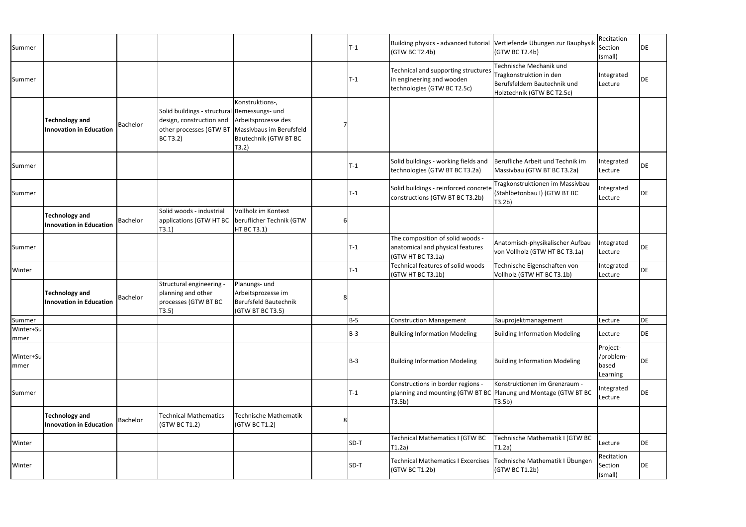| Summer            |                                                         |                 |                                                                                                                                                   |                                                                                  |   | $T-1$      | Building physics - advanced tutorial Vertiefende Übungen zur Bauphysik<br>(GTW BC T2.4b)                       | (GTW BC T2.4b)                                                                                                   | Recitation<br>Section<br>(small)           | DE |
|-------------------|---------------------------------------------------------|-----------------|---------------------------------------------------------------------------------------------------------------------------------------------------|----------------------------------------------------------------------------------|---|------------|----------------------------------------------------------------------------------------------------------------|------------------------------------------------------------------------------------------------------------------|--------------------------------------------|----|
| Summer            |                                                         |                 |                                                                                                                                                   |                                                                                  |   | $T-1$      | Technical and supporting structures<br>in engineering and wooden<br>technologies (GTW BC T2.5c)                | Technische Mechanik und<br>Tragkonstruktion in den<br>Berufsfeldern Bautechnik und<br>Holztechnik (GTW BC T2.5c) | Integrated<br>Lecture                      | DE |
|                   | <b>Technology and</b><br><b>Innovation in Education</b> | Bachelor        | Solid buildings - structural Bemessungs- und<br>design, construction and<br>other processes (GTW BT   Massivbaus im Berufsfeld<br><b>BC T3.2)</b> | Konstruktions-,<br>Arbeitsprozesse des<br>Bautechnik (GTW BT BC<br>(T3.2)        |   |            |                                                                                                                |                                                                                                                  |                                            |    |
| Summer            |                                                         |                 |                                                                                                                                                   |                                                                                  |   | $T-1$      | Solid buildings - working fields and<br>technologies (GTW BT BC T3.2a)                                         | Berufliche Arbeit und Technik im<br>Massivbau (GTW BT BC T3.2a)                                                  | Integrated<br>Lecture                      | DE |
| Summer            |                                                         |                 |                                                                                                                                                   |                                                                                  |   | T-1        | Solid buildings - reinforced concrete<br>constructions (GTW BT BC T3.2b)                                       | Tragkonstruktionen im Massivbau<br>(Stahlbetonbau I) (GTW BT BC<br>(T3.2b)                                       | Integrated<br>Lecture                      | DE |
|                   | <b>Technology and</b><br><b>Innovation in Education</b> | <b>Bachelor</b> | Solid woods - industrial<br>applications (GTW HT BC<br>T3.1)                                                                                      | Vollholz im Kontext<br>beruflicher Technik (GTW<br><b>HT BC T3.1)</b>            |   |            |                                                                                                                |                                                                                                                  |                                            |    |
| Summer            |                                                         |                 |                                                                                                                                                   |                                                                                  |   | $T-1$      | The composition of solid woods -<br>anatomical and physical features<br>(GTW HT BC T3.1a)                      | Anatomisch-physikalischer Aufbau<br>von Vollholz (GTW HT BC T3.1a)                                               | Integrated<br>Lecture                      | DE |
| Winter            |                                                         |                 |                                                                                                                                                   |                                                                                  |   | $T-1$      | Technical features of solid woods<br>(GTW HT BC T3.1b)                                                         | Technische Eigenschaften von<br>Vollholz (GTW HT BC T3.1b)                                                       | Integrated<br>Lecture                      | DE |
|                   | <b>Technology and</b><br><b>Innovation in Education</b> | Bachelor        | Structural engineering -<br>planning and other<br>processes (GTW BT BC<br>T3.5)                                                                   | Planungs- und<br>Arbeitsprozesse im<br>Berufsfeld Bautechnik<br>(GTW BT BC T3.5) |   |            |                                                                                                                |                                                                                                                  |                                            |    |
| Summer            |                                                         |                 |                                                                                                                                                   |                                                                                  |   | <b>B-5</b> | <b>Construction Management</b>                                                                                 | Bauprojektmanagement                                                                                             | Lecture                                    | DE |
| Winter+Su<br>mmer |                                                         |                 |                                                                                                                                                   |                                                                                  |   | $B-3$      | <b>Building Information Modeling</b>                                                                           | <b>Building Information Modeling</b>                                                                             | Lecture                                    | DE |
| Winter+Su<br>mmer |                                                         |                 |                                                                                                                                                   |                                                                                  |   | $B-3$      | <b>Building Information Modeling</b>                                                                           | <b>Building Information Modeling</b>                                                                             | Project-<br>/problem-<br>based<br>Learning | DE |
| Summer            |                                                         |                 |                                                                                                                                                   |                                                                                  |   | $T-1$      | Constructions in border regions -<br>planning and mounting (GTW BT BC Planung und Montage (GTW BT BC<br>T3.5b) | Konstruktionen im Grenzraum -<br>T3.5b)                                                                          | Integrated<br>Lecture                      | DE |
|                   | <b>Technology and</b><br><b>Innovation in Education</b> | Bachelor        | <b>Technical Mathematics</b><br>(GTW BC T1.2)                                                                                                     | Technische Mathematik<br>(GTW BC T1.2)                                           | 8 |            |                                                                                                                |                                                                                                                  |                                            |    |
| Winter            |                                                         |                 |                                                                                                                                                   |                                                                                  |   | SD-T       | Technical Mathematics I (GTW BC<br>T1.2a)                                                                      | Technische Mathematik I (GTW BC<br>$ T1.2a\rangle$                                                               | Lecture                                    | DE |
| Winter            |                                                         |                 |                                                                                                                                                   |                                                                                  |   | SD-T       | Technical Mathematics I Excercises Technische Mathematik I Übungen<br>(GTW BC T1.2b)                           | (GTW BC T1.2b)                                                                                                   | Recitation<br>Section<br>(small)           | DE |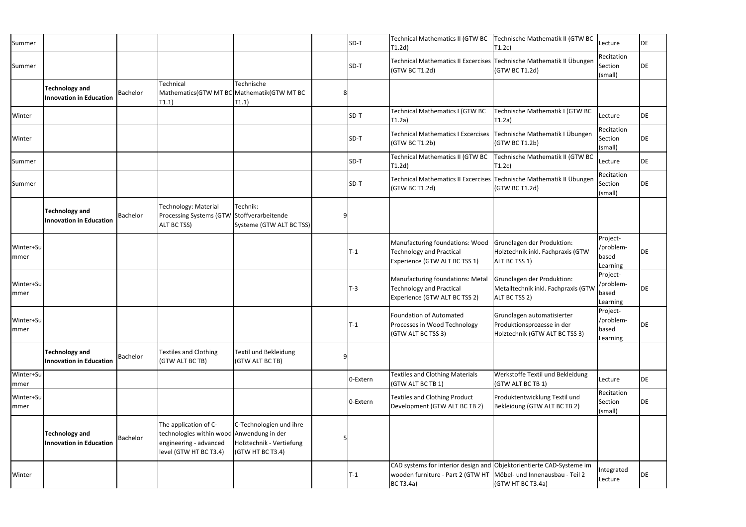| Summer                   |                                                         |          |                                                                                                                        |                                                                         | SD-T     | Technical Mathematics II (GTW BC<br>T1.2d)                                                                                                                      | Technische Mathematik II (GTW BC<br>T1.2c)                                                 | Lecture                                    | <b>DE</b> |
|--------------------------|---------------------------------------------------------|----------|------------------------------------------------------------------------------------------------------------------------|-------------------------------------------------------------------------|----------|-----------------------------------------------------------------------------------------------------------------------------------------------------------------|--------------------------------------------------------------------------------------------|--------------------------------------------|-----------|
| Summer                   |                                                         |          |                                                                                                                        |                                                                         | SD-T     | Technical Mathematics II Excercises Technische Mathematik II Übungen<br>(GTW BC T1.2d)                                                                          | (GTW BC T1.2d)                                                                             | Recitation<br>Section<br>(small)           | DE        |
|                          | <b>Technology and</b><br><b>Innovation in Education</b> | Bachelor | Technical<br>Mathematics(GTW MT BC Mathematik(GTW MT BC<br>T1.1)                                                       | Technische<br>T1.1)                                                     |          |                                                                                                                                                                 |                                                                                            |                                            |           |
| Winter                   |                                                         |          |                                                                                                                        |                                                                         | SD-T     | Technical Mathematics I (GTW BC<br>T1.2a)                                                                                                                       | Technische Mathematik I (GTW BC<br>$\vert$ T1.2a)                                          | Lecture                                    | DE        |
| Winter                   |                                                         |          |                                                                                                                        |                                                                         | SD-T     | Technical Mathematics I Excercises   Technische Mathematik I Übungen<br>(GTW BC T1.2b)                                                                          | (GTW BC T1.2b)                                                                             | Recitation<br>Section<br>(small)           | DE        |
| Summer                   |                                                         |          |                                                                                                                        |                                                                         | SD-T     | Technical Mathematics II (GTW BC<br>T1.2d)                                                                                                                      | Technische Mathematik II (GTW BC<br>T1.2c)                                                 | Lecture                                    | DE        |
| Summer                   |                                                         |          |                                                                                                                        |                                                                         | SD-T     | Technical Mathematics II Excercises Technische Mathematik II Übungen<br>(GTW BC T1.2d)                                                                          | (GTW BC T1.2d)                                                                             | Recitation<br>Section<br>(small)           | DE        |
|                          | <b>Technology and</b><br><b>Innovation in Education</b> | Bachelor | <b>Technology: Material</b><br>Processing Systems (GTW Stoffverarbeitende<br>ALT BC TSS)                               | Technik:<br>Systeme (GTW ALT BC TSS)                                    |          |                                                                                                                                                                 |                                                                                            |                                            |           |
| Winter+Su<br> mmer       |                                                         |          |                                                                                                                        |                                                                         | $T-1$    | Manufacturing foundations: Wood<br><b>Technology and Practical</b><br>Experience (GTW ALT BC TSS 1)                                                             | Grundlagen der Produktion:<br>Holztechnik inkl. Fachpraxis (GTW<br>ALT BC TSS 1)           | Project-<br>/problem-<br>based<br>Learning | <b>DE</b> |
| Winter+Su<br> mmer       |                                                         |          |                                                                                                                        |                                                                         | $T-3$    | Manufacturing foundations: Metal<br><b>Technology and Practical</b><br>Experience (GTW ALT BC TSS 2)                                                            | Grundlagen der Produktion:<br>Metalltechnik inkl. Fachpraxis (GTW<br>ALT BC TSS 2)         | Project-<br>/problem-<br>based<br>Learning | <b>DE</b> |
| Winter+Su<br>mmer        |                                                         |          |                                                                                                                        |                                                                         | $T-1$    | <b>Foundation of Automated</b><br>Processes in Wood Technology<br>(GTW ALT BC TSS 3)                                                                            | Grundlagen automatisierter<br>Produktionsprozesse in der<br>Holztechnik (GTW ALT BC TSS 3) | Project-<br>/problem-<br>based<br>Learning | DE        |
|                          | <b>Technology and</b><br><b>Innovation in Education</b> | Bachelor | <b>Textiles and Clothing</b><br>(GTW ALT BC TB)                                                                        | Textil und Bekleidung<br>(GTW ALT BC TB)                                |          |                                                                                                                                                                 |                                                                                            |                                            |           |
| Winter+Su<br>mmer        |                                                         |          |                                                                                                                        |                                                                         | 0-Extern | <b>Textiles and Clothing Materials</b><br>(GTW ALT BC TB 1)                                                                                                     | Werkstoffe Textil und Bekleidung<br>(GTW ALT BC TB 1)                                      | Lecture                                    | DE        |
| Winter+Su<br><b>mmer</b> |                                                         |          |                                                                                                                        |                                                                         | 0-Extern | <b>Textiles and Clothing Product</b><br>Development (GTW ALT BC TB 2)                                                                                           | Produktentwicklung Textil und<br>Bekleidung (GTW ALT BC TB 2)                              | Recitation<br>Section<br>(small)           | DE        |
|                          | <b>Technology and</b><br><b>Innovation in Education</b> | Bachelor | The application of C-<br>technologies within wood Anwendung in der<br>engineering - advanced<br>level (GTW HT BC T3.4) | C-Technologien und ihre<br>Holztechnik - Vertiefung<br>(GTW HT BC T3.4) |          |                                                                                                                                                                 |                                                                                            |                                            |           |
| Winter                   |                                                         |          |                                                                                                                        |                                                                         | $T-1$    | CAD systems for interior design and Objektorientierte CAD-Systeme im<br>wooden furniture - Part 2 (GTW HT   Möbel- und Innenausbau - Teil 2<br><b>BC T3.4a)</b> | (GTW HT BC T3.4a)                                                                          | Integrated<br>Lecture                      | DE        |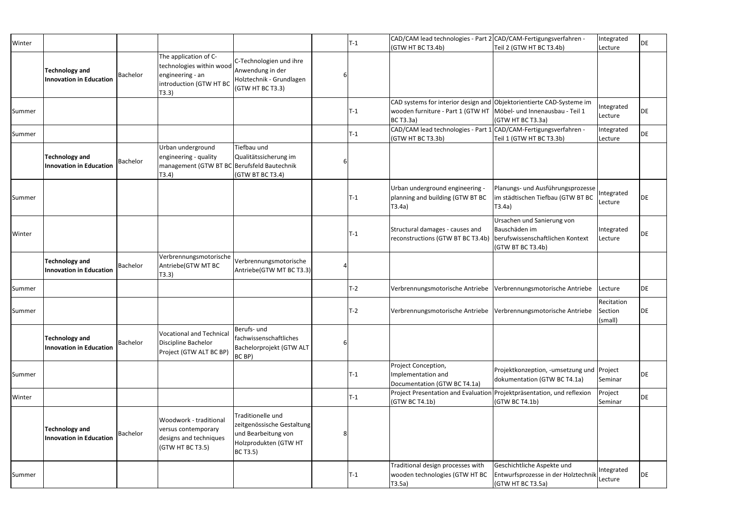| Winter |                                                         |          |                                                                                                           |                                                                                                             | $T-1$ | CAD/CAM lead technologies - Part 2 CAD/CAM-Fertigungsverfahren -                                                                                                |                                                                                           | Integrated            | DE |
|--------|---------------------------------------------------------|----------|-----------------------------------------------------------------------------------------------------------|-------------------------------------------------------------------------------------------------------------|-------|-----------------------------------------------------------------------------------------------------------------------------------------------------------------|-------------------------------------------------------------------------------------------|-----------------------|----|
|        | <b>Technology and</b><br>Innovation in Education        | Bachelor | The application of C-<br>technologies within wood<br>engineering - an<br>introduction (GTW HT BC<br>T3.3) | C-Technologien und ihre<br>Anwendung in der<br>Holztechnik - Grundlagen<br>(GTW HT BC T3.3)                 |       | (GTW HT BC T3.4b)                                                                                                                                               | Teil 2 (GTW HT BC T3.4b)                                                                  | Lecture               |    |
| Summer |                                                         |          |                                                                                                           |                                                                                                             | $T-1$ | CAD systems for interior design and Objektorientierte CAD-Systeme im<br>wooden furniture - Part 1 (GTW HT   Möbel- und Innenausbau - Teil 1<br><b>BC T3.3a)</b> | (GTW HT BC T3.3a)                                                                         | Integrated<br>Lecture | DE |
| Summer |                                                         |          |                                                                                                           |                                                                                                             | $T-1$ | CAD/CAM lead technologies - Part 1 CAD/CAM-Fertigungsverfahren -<br>(GTW HT BC T3.3b)                                                                           | Teil 1 (GTW HT BC T3.3b)                                                                  | Integrated<br>Lecture | DE |
|        | <b>Technology and</b><br>Innovation in Education        | Bachelor | Urban underground<br>engineering - quality<br>management (GTW BT BC Berufsfeld Bautechnik<br>T3.4)        | Tiefbau und<br>Qualitätssicherung im<br>(GTW BT BC T3.4)                                                    |       |                                                                                                                                                                 |                                                                                           |                       |    |
| Summer |                                                         |          |                                                                                                           |                                                                                                             | $T-1$ | Urban underground engineering -<br>planning and building (GTW BT BC<br>T3.4a)                                                                                   | Planungs- und Ausführungsprozesse<br>im städtischen Tiefbau (GTW BT BC<br>$ T3.4a\rangle$ | Integrated<br>Lecture | DE |
| Winter |                                                         |          |                                                                                                           |                                                                                                             | $T-1$ | Structural damages - causes and<br>reconstructions (GTW BT BC T3.4b) berufswissenschaftlichen Kontext                                                           | Ursachen und Sanierung von<br>Bauschäden im<br>(GTW BT BC T3.4b)                          | Integrated<br>Lecture | DE |
|        | <b>Technology and</b><br>Innovation in Education        | Bachelor | Verbrennungsmotorische<br>Antriebe(GTW MT BC<br>T3.3)                                                     | Verbrennungsmotorische<br>Antriebe(GTW MT BC T3.3)                                                          |       |                                                                                                                                                                 |                                                                                           |                       |    |
| Summer |                                                         |          |                                                                                                           |                                                                                                             | $T-2$ | Verbrennungsmotorische Antriebe                                                                                                                                 | Verbrennungsmotorische Antriebe                                                           | Lecture               | DE |
| Summer |                                                         |          |                                                                                                           |                                                                                                             | $T-2$ |                                                                                                                                                                 | Verbrennungsmotorische Antriebe Verbrennungsmotorische Antriebe Section                   | Recitation<br>(small) | DE |
|        | <b>Technology and</b><br>Innovation in Education        | Bachelor | <b>Vocational and Technical</b><br>Discipline Bachelor<br>Project (GTW ALT BC BP)                         | Berufs- und<br>fachwissenschaftliches<br>Bachelorprojekt (GTW ALT<br>BC BP)                                 |       |                                                                                                                                                                 |                                                                                           |                       |    |
| Summer |                                                         |          |                                                                                                           |                                                                                                             | $T-1$ | Project Conception,<br>Implementation and<br>Documentation (GTW BC T4.1a)                                                                                       | Projektkonzeption, -umsetzung und Project<br>dokumentation (GTW BC T4.1a)                 | Seminar               | DE |
| Winter |                                                         |          |                                                                                                           |                                                                                                             | $T-1$ | Project Presentation and Evaluation Projektpräsentation, und reflexion<br>(GTW BC T4.1b)                                                                        | (GTW BC T4.1b)                                                                            | Project<br>Seminar    | DE |
|        | <b>Technology and</b><br><b>Innovation in Education</b> | Bachelor | Woodwork - traditional<br>versus contemporary<br>designs and techniques<br>(GTW HT BC T3.5)               | Traditionelle und<br>zeitgenössische Gestaltung<br>und Bearbeitung von<br>Holzprodukten (GTW HT<br>BC T3.5) |       |                                                                                                                                                                 |                                                                                           |                       |    |
| Summer |                                                         |          |                                                                                                           |                                                                                                             | $T-1$ | Traditional design processes with<br>wooden technologies (GTW HT BC<br>T3.5a)                                                                                   | Geschichtliche Aspekte und<br>Entwurfsprozesse in der Holztechnik<br>(GTW HT BC T3.5a)    | Integrated<br>Lecture | DE |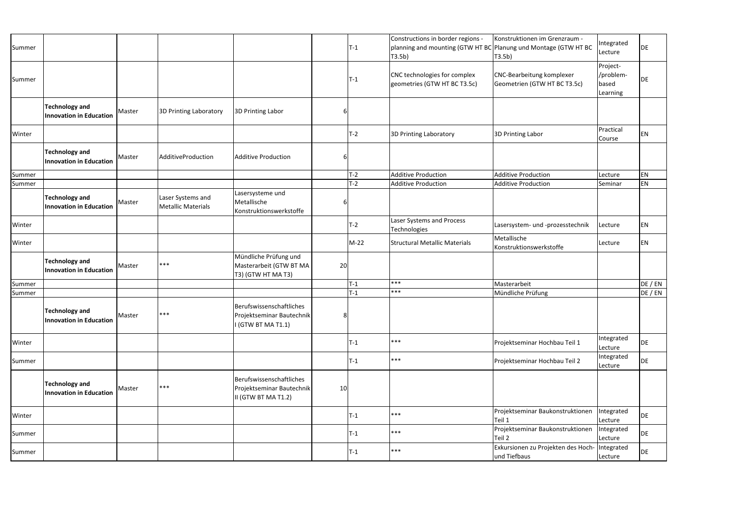| Summer |                                                         |        |                                                |                                                                              |                 | T-1              | Constructions in border regions -<br>planning and mounting (GTW HT BC Planung und Montage (GTW HT BC<br>T3.5b) | Konstruktionen im Grenzraum -<br>T3.5b)                       | Integrated<br>Lecture                      | DE      |
|--------|---------------------------------------------------------|--------|------------------------------------------------|------------------------------------------------------------------------------|-----------------|------------------|----------------------------------------------------------------------------------------------------------------|---------------------------------------------------------------|--------------------------------------------|---------|
| Summer |                                                         |        |                                                |                                                                              |                 | $\mathsf{T-1}$   | CNC technologies for complex<br>geometries (GTW HT BC T3.5c)                                                   | CNC-Bearbeitung komplexer<br>Geometrien (GTW HT BC T3.5c)     | Project-<br>/problem-<br>based<br>Learning | DE      |
|        | <b>Technology and</b><br><b>Innovation in Education</b> | Master | 3D Printing Laboratory                         | 3D Printing Labor                                                            |                 |                  |                                                                                                                |                                                               |                                            |         |
| Winter |                                                         |        |                                                |                                                                              |                 | T-2              | 3D Printing Laboratory                                                                                         | 3D Printing Labor                                             | Practical<br>Course                        | EN      |
|        | <b>Technology and</b><br><b>Innovation in Education</b> | Master | AdditiveProduction                             | <b>Additive Production</b>                                                   |                 |                  |                                                                                                                |                                                               |                                            |         |
| Summer |                                                         |        |                                                |                                                                              |                 | $T-2$            | <b>Additive Production</b>                                                                                     | <b>Additive Production</b>                                    | Lecture                                    | ΕN      |
| Summer |                                                         |        |                                                |                                                                              |                 | $T-2$            | <b>Additive Production</b>                                                                                     | <b>Additive Production</b>                                    | Seminar                                    | EN      |
|        | <b>Technology and</b><br><b>Innovation in Education</b> | Master | Laser Systems and<br><b>Metallic Materials</b> | Lasersysteme und<br>Metallische<br>Konstruktionswerkstoffe                   |                 |                  |                                                                                                                |                                                               |                                            |         |
| Winter |                                                         |        |                                                |                                                                              |                 | T-2              | Laser Systems and Process<br>Technologies                                                                      | Lasersystem- und -prozesstechnik                              | Lecture                                    | ΕN      |
| Winter |                                                         |        |                                                |                                                                              |                 | M-22             | <b>Structural Metallic Materials</b>                                                                           | Metallische<br>Konstruktionswerkstoffe                        | Lecture                                    | ΕN      |
|        | <b>Technology and</b><br><b>Innovation in Education</b> | Master | $***$                                          | Mündliche Prüfung und<br>Masterarbeit (GTW BT MA<br>T3) (GTW HT MA T3)       | 20              |                  |                                                                                                                |                                                               |                                            |         |
| Summer |                                                         |        |                                                |                                                                              |                 | $T-1$            | ***                                                                                                            | Masterarbeit                                                  |                                            | DE / EN |
| Summer |                                                         |        |                                                |                                                                              |                 | $T-1$            | ***                                                                                                            | Mündliche Prüfung                                             |                                            | DE / EN |
|        | Technology and<br><b>Innovation in Education</b>        | Master | $***$                                          | Berufswissenschaftliches<br>Projektseminar Bautechnik<br>(GTW BT MA T1.1)    | 8 <sup>1</sup>  |                  |                                                                                                                |                                                               |                                            |         |
| Winter |                                                         |        |                                                |                                                                              |                 | $T-1$            | $***$                                                                                                          | Projektseminar Hochbau Teil 1                                 | Integrated<br>Lecture                      | DE      |
| Summer |                                                         |        |                                                |                                                                              |                 | $T-1$            | ***                                                                                                            | Projektseminar Hochbau Teil 2                                 | Integrated<br>Lecture                      | DE      |
|        | <b>Technology and</b><br><b>Innovation in Education</b> | Master | $***$                                          | Berufswissenschaftliches<br>Projektseminar Bautechnik<br>II (GTW BT MA T1.2) | 10 <sup>1</sup> |                  |                                                                                                                |                                                               |                                            |         |
| Winter |                                                         |        |                                                |                                                                              |                 | $\mathsf{I}$ T-1 | ***                                                                                                            | Projektseminar Baukonstruktionen<br>Teil 1                    | Integrated<br>Lecture                      | DE      |
| Summer |                                                         |        |                                                |                                                                              |                 | $\mathsf{I}$ T-1 | $***$                                                                                                          | Projektseminar Baukonstruktionen<br>Teil 2                    | Integrated<br>Lecture                      | DE      |
| Summer |                                                         |        |                                                |                                                                              |                 | $T-1$            | ***                                                                                                            | Exkursionen zu Projekten des Hoch- Integrated<br>und Tiefbaus | Lecture                                    | DE      |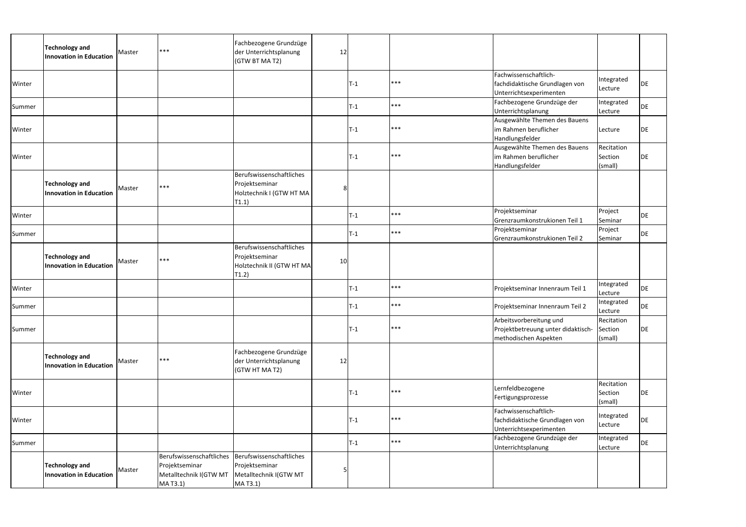|        | <b>Technology and</b><br><b>Innovation in Education</b> | Master | $***$                                                                            | Fachbezogene Grundzüge<br>der Unterrichtsplanung<br>(GTW BT MA T2)               | 12             |                |       |                                                                                        |                                  |           |
|--------|---------------------------------------------------------|--------|----------------------------------------------------------------------------------|----------------------------------------------------------------------------------|----------------|----------------|-------|----------------------------------------------------------------------------------------|----------------------------------|-----------|
| Winter |                                                         |        |                                                                                  |                                                                                  |                | T-1            | ***   | Fachwissenschaftlich-<br>fachdidaktische Grundlagen von<br>Unterrichtsexperimenten     | Integrated<br>Lecture            | DE        |
| Summer |                                                         |        |                                                                                  |                                                                                  |                | $T-1$          | ***   | Fachbezogene Grundzüge der<br>Unterrichtsplanung                                       | Integrated<br>Lecture            | DE        |
| Winter |                                                         |        |                                                                                  |                                                                                  |                | $T-1$          | ***   | Ausgewählte Themen des Bauens<br>im Rahmen beruflicher<br>Handlungsfelder              | Lecture                          | DE        |
| Winter |                                                         |        |                                                                                  |                                                                                  |                | $\mathsf{T-1}$ | $***$ | Ausgewählte Themen des Bauens<br>im Rahmen beruflicher<br>Handlungsfelder              | Recitation<br>Section<br>(small) | <b>DE</b> |
|        | <b>Technology and</b><br><b>Innovation in Education</b> | Master | $***$                                                                            | Berufswissenschaftliches<br>Projektseminar<br>Holztechnik I (GTW HT MA<br>T1.1)  | 8 <sup>1</sup> |                |       |                                                                                        |                                  |           |
| Winter |                                                         |        |                                                                                  |                                                                                  |                | $T-1$          | ***   | Projektseminar<br>Grenzraumkonstrukionen Teil 1                                        | Project<br>Seminar               | <b>DE</b> |
| Summer |                                                         |        |                                                                                  |                                                                                  |                | T-1            | ***   | Projektseminar<br>Grenzraumkonstrukionen Teil 2                                        | Project<br>Seminar               | <b>DE</b> |
|        | <b>Technology and</b><br><b>Innovation in Education</b> | Master | $***$                                                                            | Berufswissenschaftliches<br>Projektseminar<br>Holztechnik II (GTW HT MA<br>T1.2) | 10             |                |       |                                                                                        |                                  |           |
| Winter |                                                         |        |                                                                                  |                                                                                  |                | T-1            | ***   | Projektseminar Innenraum Teil 1                                                        | Integrated<br>Lecture            | DE        |
| Summer |                                                         |        |                                                                                  |                                                                                  |                | $T-1$          | ***   | Projektseminar Innenraum Teil 2                                                        | Integrated<br>Lecture            | DE        |
| Summer |                                                         |        |                                                                                  |                                                                                  |                | $T-1$          | ***   | Arbeitsvorbereitung und<br>Projektbetreuung unter didaktisch-<br>methodischen Aspekten | Recitation<br>Section<br>(small) | DE        |
|        | <b>Technology and</b><br><b>Innovation in Education</b> | Master | $***$                                                                            | Fachbezogene Grundzüge<br>der Unterrichtsplanung<br>(GTW HT MA T2)               | 12             |                |       |                                                                                        |                                  |           |
| Winter |                                                         |        |                                                                                  |                                                                                  |                | $T-1$          | ***   | Lernfeldbezogene<br>Fertigungsprozesse                                                 | Recitation<br>Section<br>(small) | DE        |
| Winter |                                                         |        |                                                                                  |                                                                                  |                | $T-1$          | ***   | Fachwissenschaftlich-<br>fachdidaktische Grundlagen von<br>Unterrichtsexperimenten     | Integrated<br>Lecture            | DE        |
| Summer |                                                         |        |                                                                                  |                                                                                  |                | T-1            | ***   | Fachbezogene Grundzüge der<br>Unterrichtsplanung                                       | Integrated<br>Lecture            | DE        |
|        | <b>Technology and</b><br><b>Innovation in Education</b> | Master | Berufswissenschaftliches<br>Projektseminar<br>Metalltechnik I(GTW MT<br>MA T3.1) | Berufswissenschaftliches<br>Projektseminar<br>Metalltechnik I(GTW MT<br>MA T3.1) |                |                |       |                                                                                        |                                  |           |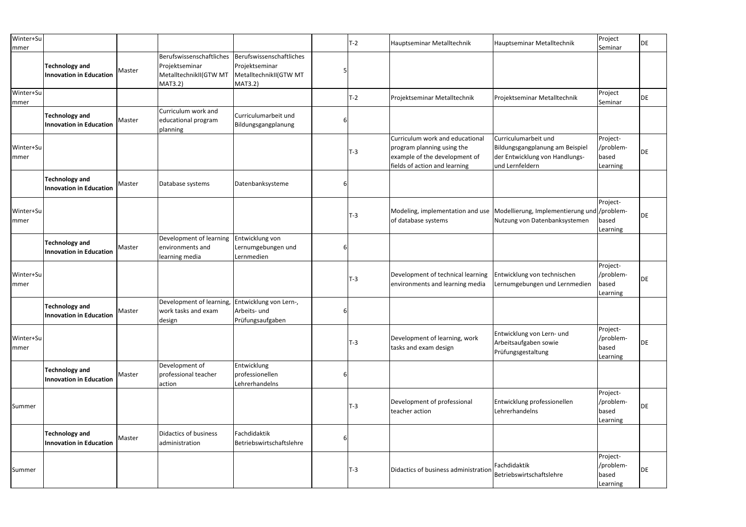| Winter+Su<br> mmer       |                                                         |        |                                                                                        |                                                                                 |   | $T-2$ | Hauptseminar Metalltechnik                                                                                                      | Hauptseminar Metalltechnik                                                                                   | Project<br>Seminar                         | DE |
|--------------------------|---------------------------------------------------------|--------|----------------------------------------------------------------------------------------|---------------------------------------------------------------------------------|---|-------|---------------------------------------------------------------------------------------------------------------------------------|--------------------------------------------------------------------------------------------------------------|--------------------------------------------|----|
|                          | <b>Technology and</b><br><b>Innovation in Education</b> | Master | Berufswissenschaftliches<br>Projektseminar<br>MetalltechnikII(GTW MT<br><b>MAT3.2)</b> | Berufswissenschaftliches<br>Projektseminar<br>MetalltechnikII(GTW MT<br>MAT3.2) |   |       |                                                                                                                                 |                                                                                                              |                                            |    |
| Winter+Su<br><b>mmer</b> |                                                         |        |                                                                                        |                                                                                 |   | $T-2$ | Projektseminar Metalltechnik                                                                                                    | Projektseminar Metalltechnik                                                                                 | Project<br>Seminar                         | DE |
|                          | Technology and<br><b>Innovation in Education</b>        | Master | Curriculum work and<br>educational program<br>planning                                 | Curriculumarbeit und<br>Bildungsgangplanung                                     | 6 |       |                                                                                                                                 |                                                                                                              |                                            |    |
| Winter+Su<br> mmer       |                                                         |        |                                                                                        |                                                                                 |   | $T-3$ | Curriculum work and educational<br>program planning using the<br>example of the development of<br>fields of action and learning | Curriculumarbeit und<br>Bildungsgangplanung am Beispiel<br>der Entwicklung von Handlungs-<br>und Lernfeldern | Project-<br>/problem-<br>based<br>Learning | DE |
|                          | <b>Technology and</b><br><b>Innovation in Education</b> | Master | Database systems                                                                       | Datenbanksysteme                                                                |   |       |                                                                                                                                 |                                                                                                              |                                            |    |
| Winter+Su<br> mmer       |                                                         |        |                                                                                        |                                                                                 |   | $T-3$ | Modeling, implementation and use Modellierung, Implementierung und /problem-<br>of database systems                             | Nutzung von Datenbanksystemen                                                                                | Project-<br>based<br>Learning              | DE |
|                          | <b>Technology and</b><br><b>Innovation in Education</b> | Master | Development of learning<br>environments and<br>learning media                          | Entwicklung von<br>Lernumgebungen und<br>Lernmedien                             |   |       |                                                                                                                                 |                                                                                                              |                                            |    |
| Winter+Su<br> mmer       |                                                         |        |                                                                                        |                                                                                 |   | $T-3$ | Development of technical learning<br>environments and learning media                                                            | Entwicklung von technischen<br>Lernumgebungen und Lernmedien                                                 | Project-<br>/problem-<br>based<br>Learning | DE |
|                          | <b>Technology and</b><br><b>Innovation in Education</b> | Master | Development of learning,<br>work tasks and exam<br>design                              | Entwicklung von Lern-,<br>Arbeits- und<br>Prüfungsaufgaben                      | ĥ |       |                                                                                                                                 |                                                                                                              |                                            |    |
| Winter+Su<br> mmer       |                                                         |        |                                                                                        |                                                                                 |   | $T-3$ | Development of learning, work<br>tasks and exam design                                                                          | Entwicklung von Lern- und<br>Arbeitsaufgaben sowie<br>Prüfungsgestaltung                                     | Project-<br>/problem-<br>based<br>Learning | DE |
|                          | <b>Technology and</b><br><b>Innovation in Education</b> | Master | Development of<br>professional teacher<br>action                                       | Entwicklung<br>professionellen<br>Lehrerhandelns                                | 6 |       |                                                                                                                                 |                                                                                                              |                                            |    |
| Summer                   |                                                         |        |                                                                                        |                                                                                 |   | $T-3$ | Development of professional<br>teacher action                                                                                   | Entwicklung professionellen<br>Lehrerhandelns                                                                | Project-<br>/problem-<br>based<br>Learning | DE |
|                          | <b>Technology and</b><br><b>Innovation in Education</b> | Master | Didactics of business<br>administration                                                | Fachdidaktik<br>Betriebswirtschaftslehre                                        | 6 |       |                                                                                                                                 |                                                                                                              |                                            |    |
| Summer                   |                                                         |        |                                                                                        |                                                                                 |   | $T-3$ | Didactics of business administration                                                                                            | Fachdidaktik<br>Betriebswirtschaftslehre                                                                     | Project-<br>/problem-<br>based<br>Learning | DE |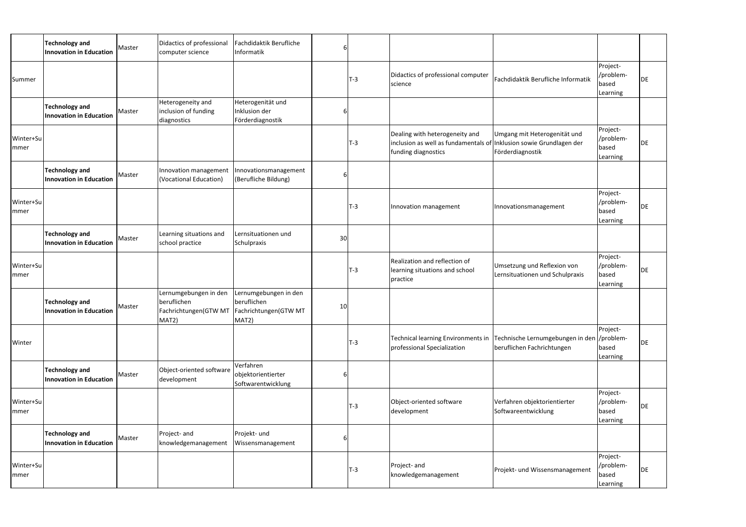|                          | <b>Technology and</b><br><b>Innovation in Education</b> | Master | Didactics of professional<br>computer science                                                  | Fachdidaktik Berufliche<br>Informatik                  |    |       |                                                                                                                              |                                                                                                              |                                            |    |
|--------------------------|---------------------------------------------------------|--------|------------------------------------------------------------------------------------------------|--------------------------------------------------------|----|-------|------------------------------------------------------------------------------------------------------------------------------|--------------------------------------------------------------------------------------------------------------|--------------------------------------------|----|
| Summer                   |                                                         |        |                                                                                                |                                                        |    | $T-3$ | Didactics of professional computer<br>science                                                                                | Fachdidaktik Berufliche Informatik                                                                           | Project-<br>/problem-<br>based<br>Learning | DE |
|                          | <b>Technology and</b><br><b>Innovation in Education</b> | Master | Heterogeneity and<br>inclusion of funding<br>diagnostics                                       | Heterogenität und<br>Inklusion der<br>Förderdiagnostik | 6  |       |                                                                                                                              |                                                                                                              |                                            |    |
| Winter+Su<br> mmer       |                                                         |        |                                                                                                |                                                        |    | $T-3$ | Dealing with heterogeneity and<br>inclusion as well as fundamentals of Inklusion sowie Grundlagen der<br>funding diagnostics | Umgang mit Heterogenität und<br>Förderdiagnostik                                                             | Project-<br>/problem-<br>based<br>Learning | DE |
|                          | <b>Technology and</b><br><b>Innovation in Education</b> | Master | <b>Innovation management</b><br>(Vocational Education)                                         | Innovationsmanagement<br>(Berufliche Bildung)          | 6  |       |                                                                                                                              |                                                                                                              |                                            |    |
| Winter+Su<br> mmer       |                                                         |        |                                                                                                |                                                        |    | $T-3$ | Innovation management                                                                                                        | Innovationsmanagement                                                                                        | Project-<br>/problem-<br>based<br>Learning | DE |
|                          | <b>Technology and</b><br><b>Innovation in Education</b> | Master | Learning situations and<br>school practice                                                     | Lernsituationen und<br>Schulpraxis                     | 30 |       |                                                                                                                              |                                                                                                              |                                            |    |
| Winter+Su<br><b>mmer</b> |                                                         |        |                                                                                                |                                                        |    | $T-3$ | Realization and reflection of<br>learning situations and school<br>practice                                                  | Umsetzung und Reflexion von<br>Lernsituationen und Schulpraxis                                               | Project-<br>/problem-<br>based<br>Learning | DE |
|                          | <b>Technology and</b><br><b>Innovation in Education</b> | Master | Lernumgebungen in den<br>beruflichen<br>Fachrichtungen(GTW MT   Fachrichtungen(GTW MT<br>MAT2) | Lernumgebungen in den<br>beruflichen<br>MAT2)          | 10 |       |                                                                                                                              |                                                                                                              |                                            |    |
| Winter                   |                                                         |        |                                                                                                |                                                        |    | $T-3$ | professional Specialization                                                                                                  | Technical learning Environments in Technische Lernumgebungen in den //problem-<br>beruflichen Fachrichtungen | Project-<br>based<br>Learning              | DE |
|                          | <b>Technology and</b><br><b>Innovation in Education</b> | Master | Object-oriented software<br>development                                                        | Verfahren<br>objektorientierter<br>Softwarentwicklung  | 6  |       |                                                                                                                              |                                                                                                              |                                            |    |
| Winter+Su<br>mmer        |                                                         |        |                                                                                                |                                                        |    | $T-3$ | Object-oriented software<br>development                                                                                      | Verfahren objektorientierter<br>Softwareentwicklung                                                          | Project-<br>/problem-<br>based<br>Learning | DE |
|                          | <b>Technology and</b><br><b>Innovation in Education</b> | Master | Project- and<br>knowledgemanagement                                                            | Projekt- und<br>Wissensmanagement                      | 6  |       |                                                                                                                              |                                                                                                              |                                            |    |
| Winter+Su<br><b>mmer</b> |                                                         |        |                                                                                                |                                                        |    | $T-3$ | Project- and<br>knowledgemanagement                                                                                          | Projekt- und Wissensmanagement                                                                               | Project-<br>/problem-<br>based<br>Learning | DE |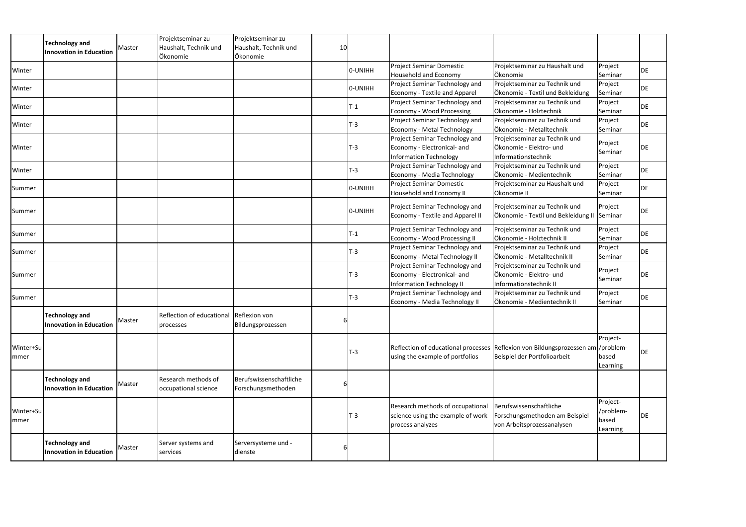|                    | <b>Technology and</b><br><b>Innovation in Education</b> | Master | Projektseminar zu<br>Haushalt, Technik und<br>Ökonomie | Projektseminar zu<br>Haushalt, Technik und<br>Ökonomie | 10 |         |                                                                                                   |                                                                                                                  |                                            |    |
|--------------------|---------------------------------------------------------|--------|--------------------------------------------------------|--------------------------------------------------------|----|---------|---------------------------------------------------------------------------------------------------|------------------------------------------------------------------------------------------------------------------|--------------------------------------------|----|
| Winter             |                                                         |        |                                                        |                                                        |    | 0-UNIHH | <b>Project Seminar Domestic</b><br>Household and Economy                                          | Projektseminar zu Haushalt und<br>Ökonomie                                                                       | Project<br>Seminar                         | DE |
| Winter             |                                                         |        |                                                        |                                                        |    | 0-UNIHH | Project Seminar Technology and<br>Economy - Textile and Apparel                                   | Projektseminar zu Technik und<br>Ökonomie - Textil und Bekleidung                                                | Project<br>Seminar                         | DE |
| Winter             |                                                         |        |                                                        |                                                        |    | $T-1$   | Project Seminar Technology and<br>Economy - Wood Processing                                       | Projektseminar zu Technik und<br>Ökonomie - Holztechnik                                                          | Project<br>Seminar                         | DE |
| Winter             |                                                         |        |                                                        |                                                        |    | $T-3$   | Project Seminar Technology and<br>Economy - Metal Technology                                      | Projektseminar zu Technik und<br>Ökonomie - Metalltechnik                                                        | Project<br>Seminar                         | DE |
| Winter             |                                                         |        |                                                        |                                                        |    | $T-3$   | Project Seminar Technology and<br>Economy - Electronical- and<br><b>Information Technology</b>    | Projektseminar zu Technik und<br>Ökonomie - Elektro- und<br>Informationstechnik                                  | Project<br>Seminar                         | DE |
| Winter             |                                                         |        |                                                        |                                                        |    | $T-3$   | Project Seminar Technology and<br>Economy - Media Technology                                      | Projektseminar zu Technik und<br>Ökonomie - Medientechnik                                                        | Project<br>Seminar                         | DE |
| Summer             |                                                         |        |                                                        |                                                        |    | 0-UNIHH | <b>Project Seminar Domestic</b><br>Household and Economy II                                       | Projektseminar zu Haushalt und<br>Ökonomie II                                                                    | Project<br>Seminar                         | DE |
| Summer             |                                                         |        |                                                        |                                                        |    | 0-UNIHH | Project Seminar Technology and<br><b>Economy - Textile and Apparel II</b>                         | Projektseminar zu Technik und<br>Ökonomie - Textil und Bekleidung II Seminar                                     | Project                                    | DE |
| Summer             |                                                         |        |                                                        |                                                        |    | $T-1$   | Project Seminar Technology and<br>Economy - Wood Processing II                                    | Projektseminar zu Technik und<br>Ökonomie - Holztechnik II                                                       | Project<br>Seminar                         | DE |
| Summer             |                                                         |        |                                                        |                                                        |    | $T-3$   | Project Seminar Technology and<br>Economy - Metal Technology II                                   | Projektseminar zu Technik und<br>Ökonomie - Metalltechnik II                                                     | Project<br>Seminar                         | DE |
| Summer             |                                                         |        |                                                        |                                                        |    | $T-3$   | Project Seminar Technology and<br>Economy - Electronical- and<br><b>Information Technology II</b> | Projektseminar zu Technik und<br>Ökonomie - Elektro- und<br>Informationstechnik II                               | Project<br>Seminar                         | DE |
| Summer             |                                                         |        |                                                        |                                                        |    | $T-3$   | Project Seminar Technology and<br>Economy - Media Technology II                                   | Projektseminar zu Technik und<br>Ökonomie - Medientechnik II                                                     | Project<br>Seminar                         | DE |
|                    | <b>Technology and</b><br><b>Innovation in Education</b> | Master | Reflection of educational Reflexion von<br>processes   | Bildungsprozessen                                      |    |         |                                                                                                   |                                                                                                                  |                                            |    |
| Winter+Su<br>mmer  |                                                         |        |                                                        |                                                        |    | $T-3$   | using the example of portfolios                                                                   | Reflection of educational processes Reflexion von Bildungsprozessen am /problem-<br>Beispiel der Portfolioarbeit | Project-<br>based<br>Learning              | DE |
|                    | <b>Technology and</b><br><b>Innovation in Education</b> | Master | Research methods of<br>occupational science            | Berufswissenschaftliche<br>Forschungsmethoden          |    |         |                                                                                                   |                                                                                                                  |                                            |    |
| Winter+Su<br> mmer |                                                         |        |                                                        |                                                        |    | $T-3$   | Research methods of occupational<br>science using the example of work<br>process analyzes         | Berufswissenschaftliche<br>Forschungsmethoden am Beispiel<br>von Arbeitsprozessanalysen                          | Project-<br>/problem-<br>based<br>Learning | DE |
|                    | <b>Technology and</b><br><b>Innovation in Education</b> | Master | Server systems and<br>services                         | Serversysteme und -<br>dienste                         | 6  |         |                                                                                                   |                                                                                                                  |                                            |    |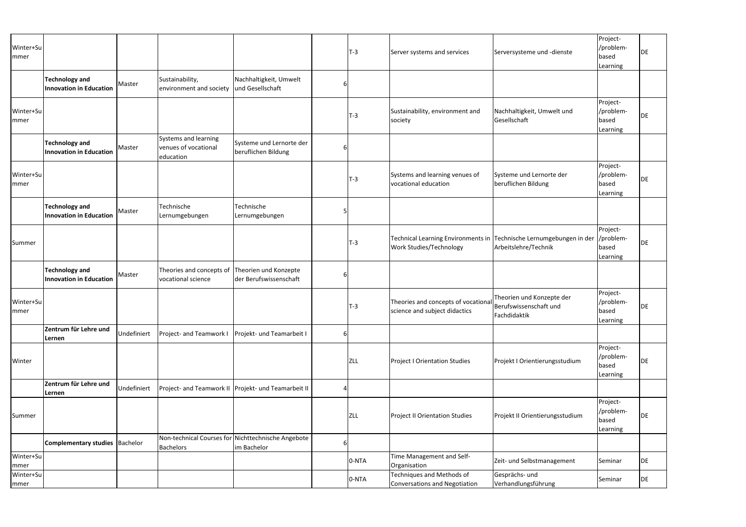|                                                         |                                                                            |                                                                                 |                                                 |                                                                                 | $T-3$ | Server systems and services                                       |                                       | Project-<br>/problem-<br>based<br>Learning                                                                                                                                                                                                                                                                | DE                                                                                        |
|---------------------------------------------------------|----------------------------------------------------------------------------|---------------------------------------------------------------------------------|-------------------------------------------------|---------------------------------------------------------------------------------|-------|-------------------------------------------------------------------|---------------------------------------|-----------------------------------------------------------------------------------------------------------------------------------------------------------------------------------------------------------------------------------------------------------------------------------------------------------|-------------------------------------------------------------------------------------------|
| <b>Technology and</b><br><b>Innovation in Education</b> | Master                                                                     | Sustainability,<br>environment and society                                      | Nachhaltigkeit, Umwelt<br>und Gesellschaft      | 6                                                                               |       |                                                                   |                                       |                                                                                                                                                                                                                                                                                                           |                                                                                           |
|                                                         |                                                                            |                                                                                 |                                                 |                                                                                 | $T-3$ | Sustainability, environment and<br>society                        |                                       | Project-<br>/problem-<br>based<br>Learning                                                                                                                                                                                                                                                                | DE                                                                                        |
| <b>Technology and</b><br><b>Innovation in Education</b> | Master                                                                     | Systems and learning<br>venues of vocational<br>education                       | beruflichen Bildung                             | 6                                                                               |       |                                                                   |                                       |                                                                                                                                                                                                                                                                                                           |                                                                                           |
|                                                         |                                                                            |                                                                                 |                                                 |                                                                                 | $T-3$ | Systems and learning venues of<br>vocational education            |                                       | Project-<br>/problem-<br>based<br>Learning                                                                                                                                                                                                                                                                | DE                                                                                        |
| <b>Technology and</b><br><b>Innovation in Education</b> |                                                                            | Technische<br>Lernumgebungen                                                    | Technische<br>Lernumgebungen                    |                                                                                 |       |                                                                   |                                       |                                                                                                                                                                                                                                                                                                           |                                                                                           |
|                                                         |                                                                            |                                                                                 |                                                 |                                                                                 | $T-3$ | Work Studies/Technology                                           |                                       | Project-<br>based<br>Learning                                                                                                                                                                                                                                                                             | DE                                                                                        |
| <b>Technology and</b><br><b>Innovation in Education</b> | Master                                                                     | Theories and concepts of<br>vocational science                                  | Theorien und Konzepte<br>der Berufswissenschaft | 6                                                                               |       |                                                                   |                                       |                                                                                                                                                                                                                                                                                                           |                                                                                           |
|                                                         |                                                                            |                                                                                 |                                                 |                                                                                 |       | science and subject didactics                                     | Theorien und Konzepte der             | Project-<br>/problem-<br>based<br>Learning                                                                                                                                                                                                                                                                | DE                                                                                        |
| Zentrum für Lehre und<br>Lernen                         |                                                                            | Project- and Teamwork I                                                         | Projekt- und Teamarbeit I                       | 6                                                                               |       |                                                                   |                                       |                                                                                                                                                                                                                                                                                                           |                                                                                           |
|                                                         |                                                                            |                                                                                 |                                                 |                                                                                 |       | <b>Project I Orientation Studies</b>                              |                                       | Project-<br>/problem-<br>based<br>Learning                                                                                                                                                                                                                                                                | DE                                                                                        |
| Zentrum für Lehre und<br>Lernen                         |                                                                            |                                                                                 |                                                 |                                                                                 |       |                                                                   |                                       |                                                                                                                                                                                                                                                                                                           |                                                                                           |
|                                                         |                                                                            |                                                                                 |                                                 |                                                                                 |       | <b>Project II Orientation Studies</b>                             |                                       | Project-<br>/problem-<br>based<br>Learning                                                                                                                                                                                                                                                                | DE                                                                                        |
|                                                         |                                                                            | Non-technical Courses for<br><b>Bachelors</b>                                   | Nichttechnische Angebote<br>im Bachelor         | 6                                                                               |       |                                                                   |                                       |                                                                                                                                                                                                                                                                                                           |                                                                                           |
|                                                         |                                                                            |                                                                                 |                                                 |                                                                                 |       | Time Management and Self-<br>Organisation                         | Zeit- und Selbstmanagement            | Seminar                                                                                                                                                                                                                                                                                                   | <b>DE</b>                                                                                 |
|                                                         |                                                                            |                                                                                 |                                                 |                                                                                 |       | Techniques and Methods of<br><b>Conversations and Negotiation</b> | Gesprächs- und<br>Verhandlungsführung |                                                                                                                                                                                                                                                                                                           | DE                                                                                        |
|                                                         | Winter+Su<br>Winter+Su<br>Winter+Su<br>Winter+Su<br>Winter+Su<br>Winter+Su | Master<br>Undefiniert<br>Undefiniert<br><b>Complementary studies   Bachelor</b> |                                                 | Systeme und Lernorte der<br>Project- and Teamwork II Projekt- und Teamarbeit II |       | $T-3$<br>ZLL<br>ZLL<br>0-NTA<br>0-NTA                             |                                       | Serversysteme und -dienste<br>Nachhaltigkeit, Umwelt und<br>Gesellschaft<br>Systeme und Lernorte der<br>beruflichen Bildung<br>Arbeitslehre/Technik<br>Theories and concepts of vocational<br>Berufswissenschaft und<br>Fachdidaktik<br>Projekt I Orientierungsstudium<br>Projekt II Orientierungsstudium | Technical Learning Environments in Technische Lernumgebungen in der //problem-<br>Seminar |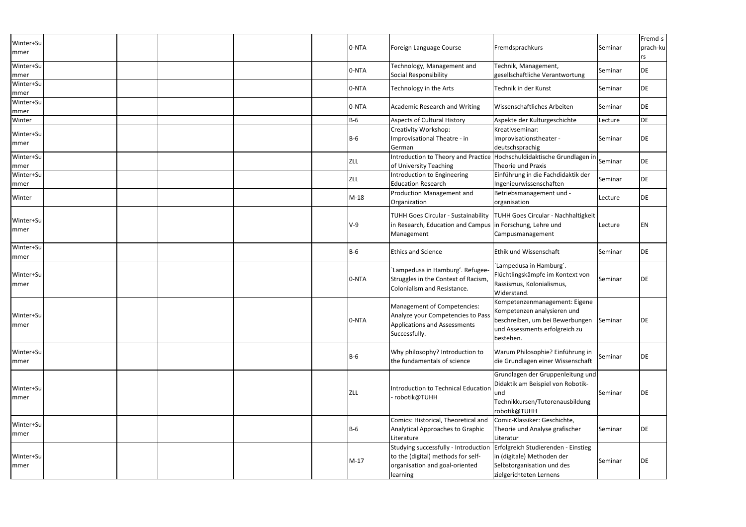| Winter+Su         |  |  | 0-NTA      | Foreign Language Course                                                                                                                                      | Fremdsprachkurs                                                                                                                                | Seminar | Fremd-s<br>prach-ku |
|-------------------|--|--|------------|--------------------------------------------------------------------------------------------------------------------------------------------------------------|------------------------------------------------------------------------------------------------------------------------------------------------|---------|---------------------|
| mmer              |  |  |            |                                                                                                                                                              |                                                                                                                                                |         | rs                  |
| Winter+Su<br>mmer |  |  | 0-NTA      | Technology, Management and<br>Social Responsibility                                                                                                          | Technik, Management,<br>gesellschaftliche Verantwortung                                                                                        | Seminar | DE                  |
| Winter+Su<br>mmer |  |  | 0-NTA      | Technology in the Arts                                                                                                                                       | Technik in der Kunst                                                                                                                           | Seminar | DE                  |
| Winter+Su<br>mmer |  |  | 0-NTA      | <b>Academic Research and Writing</b>                                                                                                                         | Wissenschaftliches Arbeiten                                                                                                                    | Seminar | DE                  |
| Winter            |  |  | $B-6$      | <b>Aspects of Cultural History</b>                                                                                                                           | Aspekte der Kulturgeschichte                                                                                                                   | Lecture | DE                  |
| Winter+Su<br>mmer |  |  | $B-6$      | Creativity Workshop:<br>Improvisational Theatre - in<br>German                                                                                               | Kreativseminar:<br>Improvisationstheater -<br>deutschsprachig                                                                                  | Seminar | DE                  |
| Winter+Su<br>mmer |  |  | <b>ZLL</b> | of University Teaching                                                                                                                                       | Introduction to Theory and Practice Hochschuldidaktische Grundlagen in Seminar<br>Theorie und Praxis                                           |         | DE                  |
| Winter+Su<br>mmer |  |  | <b>ZLL</b> | Introduction to Engineering<br><b>Education Research</b>                                                                                                     | Einführung in die Fachdidaktik der<br>Ingenieurwissenschaften                                                                                  | Seminar | DE                  |
| Winter            |  |  | $M-18$     | Production Management and<br>Organization                                                                                                                    | Betriebsmanagement und -<br>organisation                                                                                                       | Lecture | DE                  |
| Winter+Su<br>mmer |  |  | $V-9$      | <b>TUHH Goes Circular - Sustainability</b><br>in Research, Education and Campus in Forschung, Lehre und<br>Management                                        | <b>TUHH Goes Circular - Nachhaltigkeit</b><br>Campusmanagement                                                                                 | Lecture | ΕN                  |
| Winter+Su<br>mmer |  |  | B-6        | <b>Ethics and Science</b>                                                                                                                                    | Ethik und Wissenschaft                                                                                                                         | Seminar | DE                  |
| Winter+Su<br>mmer |  |  | 0-NTA      | 'Lampedusa in Hamburg'. Refugee-<br>Struggles in the Context of Racism,<br>Colonialism and Resistance.                                                       | 'Lampedusa in Hamburg'.<br>Flüchtlingskämpfe im Kontext von<br>Rassismus, Kolonialismus,<br>Widerstand.                                        | Seminar | DE                  |
| Winter+Su<br>mmer |  |  | 0-NTA      | <b>Management of Competencies:</b><br>Analyze your Competencies to Pass<br><b>Applications and Assessments</b><br>Successfully.                              | Kompetenzenmanagement: Eigene<br>Kompetenzen analysieren und<br>beschreiben, um bei Bewerbungen<br>und Assessments erfolgreich zu<br>bestehen. | Seminar | DE                  |
| Winter+Su<br>mmer |  |  | B-6        | Why philosophy? Introduction to<br>the fundamentals of science                                                                                               | Warum Philosophie? Einführung in<br>die Grundlagen einer Wissenschaft                                                                          | Seminar | DE                  |
| Winter+Su<br>mmer |  |  | <b>ZLL</b> | Introduction to Technical Education<br>robotik@TUHH                                                                                                          | Grundlagen der Gruppenleitung und<br>Didaktik am Beispiel von Robotik-<br>lund<br>Technikkursen/Tutorenausbildung<br>robotik@TUHH              | Seminar | DE                  |
| Winter+Su<br>mmer |  |  | <b>B-6</b> | Comics: Historical, Theoretical and<br>Analytical Approaches to Graphic<br>Literature                                                                        | Comic-Klassiker: Geschichte,<br>Theorie und Analyse grafischer<br>Literatur                                                                    | Seminar | DE                  |
| Winter+Su<br>mmer |  |  | $M-17$     | Studying successfully - Introduction Erfolgreich Studierenden - Einstieg<br>to the (digital) methods for self-<br>organisation and goal-oriented<br>learning | in (digitale) Methoden der<br>Selbstorganisation und des<br>zielgerichteten Lernens                                                            | Seminar | DE                  |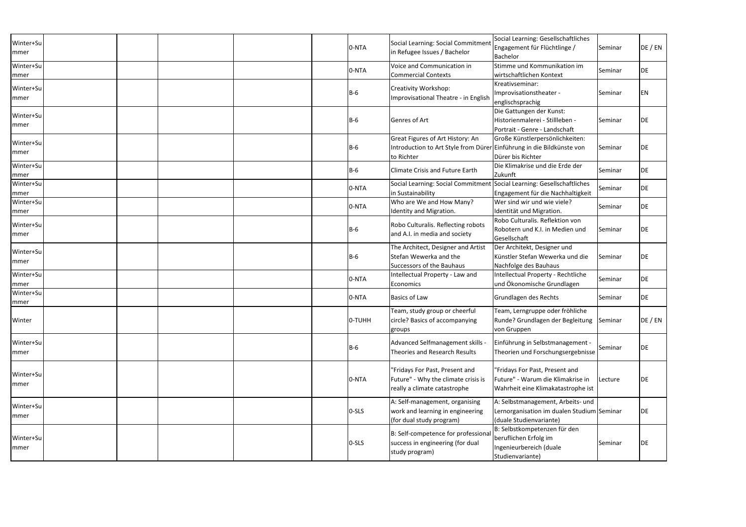| Winter+Su<br>mmer        |  |  | 0-NTA      | Social Learning: Social Commitment<br>in Refugee Issues / Bachelor                                                      | Social Learning: Gesellschaftliches<br>Engagement für Flüchtlinge /<br>Bachelor                            | Seminar | DE / EN   |
|--------------------------|--|--|------------|-------------------------------------------------------------------------------------------------------------------------|------------------------------------------------------------------------------------------------------------|---------|-----------|
| Winter+Su<br>mmer        |  |  | 0-NTA      | Voice and Communication in<br><b>Commercial Contexts</b>                                                                | Stimme und Kommunikation im<br>wirtschaftlichen Kontext                                                    | Seminar | DE        |
| Winter+Su<br> mmer       |  |  | $B-6$      | Creativity Workshop:<br>Improvisational Theatre - in English                                                            | Kreativseminar:<br>Improvisationstheater -<br>englischsprachig                                             | Seminar | <b>EN</b> |
| Winter+Su<br>mmer        |  |  | $B-6$      | Genres of Art                                                                                                           | Die Gattungen der Kunst:<br>Historienmalerei - Stillleben -<br>Portrait - Genre - Landschaft               | Seminar | DE        |
| Winter+Su<br>mmer        |  |  | $B-6$      | Great Figures of Art History: An<br>Introduction to Art Style from Dürer Einführung in die Bildkünste von<br>to Richter | Große Künstlerpersönlichkeiten:<br>Dürer bis Richter                                                       | Seminar | <b>DE</b> |
| Winter+Su<br>mmer        |  |  | $B-6$      | <b>Climate Crisis and Future Earth</b>                                                                                  | Die Klimakrise und die Erde der<br>Zukunft                                                                 | Seminar | DE        |
| Winter+Su<br>mmer        |  |  | 0-NTA      | Social Learning: Social Commitmen<br>in Sustainability                                                                  | t Social Learning: Gesellschaftliches<br>Engagement für die Nachhaltigkeit                                 | Seminar | <b>DE</b> |
| Winter+Su<br><b>mmer</b> |  |  | 0-NTA      | Who are We and How Many?<br>Identity and Migration.                                                                     | Wer sind wir und wie viele?<br>Identität und Migration.                                                    | Seminar | DE        |
| Winter+Su<br>mmer        |  |  | $B-6$      | Robo Culturalis. Reflecting robots<br>and A.I. in media and society                                                     | Robo Culturalis. Reflektion von<br>Robotern und K.I. in Medien und<br>Gesellschaft                         | Seminar | <b>DE</b> |
| Winter+Su<br>mmer        |  |  | $B-6$      | The Architect, Designer and Artist<br>Stefan Wewerka and the<br>Successors of the Bauhaus                               | Der Architekt, Designer und<br>Künstler Stefan Wewerka und die<br>Nachfolge des Bauhaus                    | Seminar | DE        |
| Winter+Su<br>mmer        |  |  | 0-NTA      | Intellectual Property - Law and<br>Economics                                                                            | Intellectual Property - Rechtliche<br>und Ökonomische Grundlagen                                           | Seminar | DE        |
| Winter+Su<br>mmer        |  |  | 0-NTA      | <b>Basics of Law</b>                                                                                                    | Grundlagen des Rechts                                                                                      | Seminar | DE        |
| Winter                   |  |  | 0-TUHH     | Team, study group or cheerful<br>circle? Basics of accompanying<br>groups                                               | Team, Lerngruppe oder fröhliche<br>Runde? Grundlagen der Begleitung Seminar<br>von Gruppen                 |         | DE / EN   |
| Winter+Su<br>mmer        |  |  | <b>B-6</b> | Advanced Selfmanagement skills -<br>Theories and Research Results                                                       | Einführung in Selbstmanagement -<br>Theorien und Forschungsergebnisse Seminar                              |         | DE        |
| Winter+Su<br>mmer        |  |  | 0-NTA      | "Fridays For Past, Present and<br>Future" - Why the climate crisis is<br>really a climate catastrophe                   | "Fridays For Past, Present and<br>Future" - Warum die Klimakrise in<br>Wahrheit eine Klimakatastrophe ist  | Lecture | DE        |
| Winter+Su<br>mmer        |  |  | $0-SLS$    | A: Self-management, organising<br>work and learning in engineering<br>(for dual study program)                          | A: Selbstmanagement, Arbeits- und<br>Lernorganisation im dualen Studium Seminar<br>(duale Studienvariante) |         | DE        |
| Winter+Su<br>mmer        |  |  | $O-SLS$    | B: Self-competence for professiona<br>success in engineering (for dual<br>study program)                                | B: Selbstkompetenzen für den<br>beruflichen Erfolg im<br>Ingenieurbereich (duale<br>Studienvariante)       | Seminar | DE        |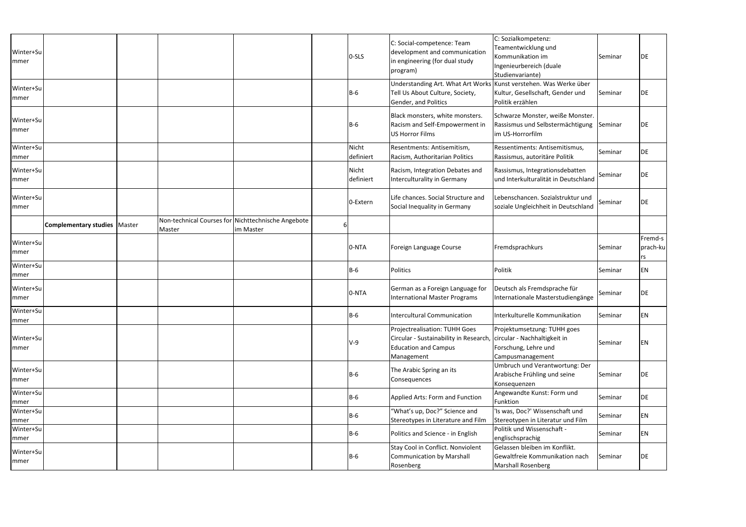| Winter+Su<br>mmer         |                                       |        |                                                                 | 0-SLS              | C: Social-competence: Team<br>development and communication<br>in engineering (for dual study<br>program)                                                | C: Sozialkompetenz:<br>Teamentwicklung und<br>Kommunikation im<br>Ingenieurbereich (duale<br>Studienvariante) | Seminar | DE                        |
|---------------------------|---------------------------------------|--------|-----------------------------------------------------------------|--------------------|----------------------------------------------------------------------------------------------------------------------------------------------------------|---------------------------------------------------------------------------------------------------------------|---------|---------------------------|
| Winter+Su<br> mmer        |                                       |        |                                                                 | $B-6$              | Understanding Art. What Art Works Kunst verstehen. Was Werke über<br>Tell Us About Culture, Society,<br>Gender, and Politics                             | Kultur, Gesellschaft, Gender und<br>Politik erzählen                                                          | Seminar | DE                        |
| Winter+Su<br>mmer         |                                       |        |                                                                 | $B-6$              | Black monsters, white monsters.<br>Racism and Self-Empowerment in<br><b>US Horror Films</b>                                                              | Schwarze Monster, weiße Monster.<br>Rassismus und Selbstermächtigung Seminar<br>im US-Horrorfilm              |         | DE                        |
| Winter+Su<br>mmer         |                                       |        |                                                                 | Nicht<br>definiert | Resentments: Antisemitism,<br>Racism, Authoritarian Politics                                                                                             | Ressentiments: Antisemitismus,<br>Rassismus, autoritäre Politik                                               | Seminar | DE                        |
| Winter+Su<br>mmer         |                                       |        |                                                                 | Nicht<br>definiert | Racism, Integration Debates and<br>Interculturality in Germany                                                                                           | Rassismus, Integrationsdebatten<br>und Interkulturalität in Deutschland                                       | Seminar | DE                        |
| Winter+Su<br> mmer        |                                       |        |                                                                 | 0-Extern           | Life chances. Social Structure and<br>Social Inequality in Germany                                                                                       | Lebenschancen. Sozialstruktur und<br>soziale Ungleichheit in Deutschland                                      | Seminar | DE                        |
|                           | <b>Complementary studies   Master</b> | Master | Non-technical Courses for Nichttechnische Angebote<br>im Master |                    |                                                                                                                                                          |                                                                                                               |         |                           |
| Winter+Su<br> mmer        |                                       |        |                                                                 | 0-NTA              | Foreign Language Course                                                                                                                                  | Fremdsprachkurs                                                                                               | Seminar | Fremd-s<br>prach-ku<br>rs |
| Winter+Su<br>mmer         |                                       |        |                                                                 | $B-6$              | Politics                                                                                                                                                 | Politik                                                                                                       | Seminar | EN                        |
| Winter+Su<br> mmer        |                                       |        |                                                                 | 0-NTA              | German as a Foreign Language for<br><b>International Master Programs</b>                                                                                 | Deutsch als Fremdsprache für<br>Internationale Masterstudiengänge                                             | Seminar | DE                        |
| Winter+Su<br>mmer         |                                       |        |                                                                 | <b>B-6</b>         | <b>Intercultural Communication</b>                                                                                                                       | Interkulturelle Kommunikation                                                                                 | Seminar | EN                        |
| Winter+Su<br> mmer        |                                       |        |                                                                 | $V-9$              | <b>Projectrealisation: TUHH Goes</b><br>Circular - Sustainability in Research, circular - Nachhaltigkeit in<br><b>Education and Campus</b><br>Management | Projektumsetzung: TUHH goes<br>Forschung, Lehre und<br>Campusmanagement                                       | Seminar | ΕN                        |
| Winter+Su<br>mmer         |                                       |        |                                                                 | $B-6$              | The Arabic Spring an its<br>Consequences                                                                                                                 | Umbruch und Verantwortung: Der<br>Arabische Frühling und seine<br>Konsequenzen                                | Seminar | DE                        |
| Winter+Su<br>mmer         |                                       |        |                                                                 | $B-6$              | Applied Arts: Form and Function                                                                                                                          | Angewandte Kunst: Form und<br>Funktion                                                                        | Seminar | DE                        |
| Winter+Su<br> mmer        |                                       |        |                                                                 | $B-6$              | "What's up, Doc?" Science and<br>Stereotypes in Literature and Film                                                                                      | 'Is was, Doc?' Wissenschaft und<br>Stereotypen in Literatur und Film                                          | Seminar | ΕN                        |
| Winter+Su                 |                                       |        |                                                                 | <b>B-6</b>         | Politics and Science - in English                                                                                                                        | Politik und Wissenschaft -<br>englischsprachig                                                                | Seminar | EN                        |
| mmer<br>Winter+Su<br>mmer |                                       |        |                                                                 | <b>B-6</b>         | Stay Cool in Conflict. Nonviolent<br><b>Communication by Marshall</b><br>Rosenberg                                                                       | Gelassen bleiben im Konflikt.<br>Gewaltfreie Kommunikation nach<br>Marshall Rosenberg                         | Seminar | DE                        |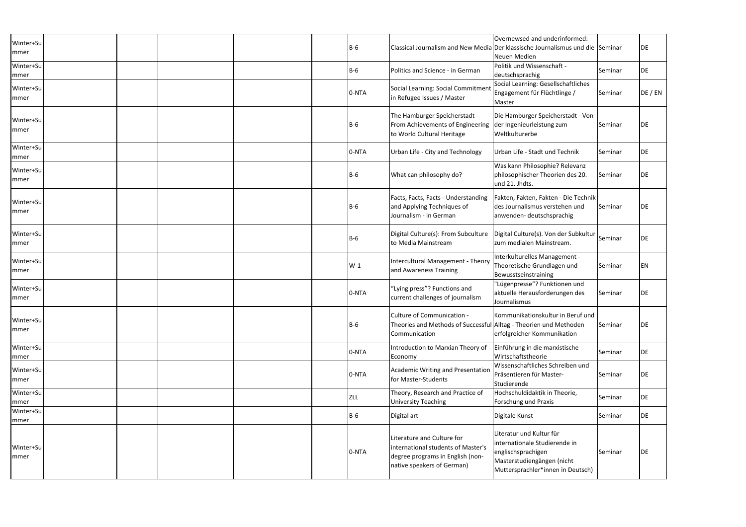| Winter+Su<br>mmer  |  |  | $B-6$      |                                                                                                                                    | Overnewsed and underinformed:<br>Classical Journalism and New Media Der klassische Journalismus und die Seminar<br>Neuen Medien                    |         | DE        |
|--------------------|--|--|------------|------------------------------------------------------------------------------------------------------------------------------------|----------------------------------------------------------------------------------------------------------------------------------------------------|---------|-----------|
| Winter+Su<br>mmer  |  |  | $B-6$      | Politics and Science - in German                                                                                                   | Politik und Wissenschaft -<br>deutschsprachig                                                                                                      | Seminar | DE        |
| Winter+Su<br> mmer |  |  | 0-NTA      | Social Learning: Social Commitment<br>in Refugee Issues / Master                                                                   | Social Learning: Gesellschaftliches<br>Engagement für Flüchtlinge /<br>Master                                                                      | Seminar | DE / EN   |
| Winter+Su<br>mmer  |  |  | $B-6$      | The Hamburger Speicherstadt -<br>From Achievements of Engineering der Ingenieurleistung zum<br>to World Cultural Heritage          | Die Hamburger Speicherstadt - Von<br>Weltkulturerbe                                                                                                | Seminar | <b>DE</b> |
| Winter+Su<br>mmer  |  |  | 0-NTA      | Urban Life - City and Technology                                                                                                   | Urban Life - Stadt und Technik                                                                                                                     | Seminar | DE        |
| Winter+Su<br>mmer  |  |  | $B-6$      | What can philosophy do?                                                                                                            | Was kann Philosophie? Relevanz<br>philosophischer Theorien des 20.<br>und 21. Jhdts.                                                               | Seminar | DE        |
| Winter+Su<br>mmer  |  |  | $B-6$      | Facts, Facts, Facts - Understanding<br>and Applying Techniques of<br>Journalism - in German                                        | Fakten, Fakten, Fakten - Die Technik<br>des Journalismus verstehen und<br>anwenden-deutschsprachig                                                 | Seminar | DE        |
| Winter+Su<br>mmer  |  |  | $B-6$      | Digital Culture(s): From Subculture<br>to Media Mainstream                                                                         | Digital Culture(s). Von der Subkultur<br>Izum medialen Mainstream.                                                                                 | Seminar | DE        |
| Winter+Su<br>mmer  |  |  | $W-1$      | Intercultural Management - Theory<br>and Awareness Training                                                                        | Interkulturelles Management -<br>Theoretische Grundlagen und<br>Bewusstseinstraining                                                               | Seminar | ΕN        |
| Winter+Su<br>mmer  |  |  | 0-NTA      | "Lying press"? Functions and<br>current challenges of journalism                                                                   | "Lügenpresse"? Funktionen und<br>aktuelle Herausforderungen des<br>Journalismus                                                                    | Seminar | DE        |
| Winter+Su<br>mmer  |  |  | <b>B-6</b> | Culture of Communication -<br>Theories and Methods of Successful Alltag - Theorien und Methoden<br>Communication                   | Kommunikationskultur in Beruf und<br>erfolgreicher Kommunikation                                                                                   | Seminar | DE        |
| Winter+Su<br>mmer  |  |  | 0-NTA      | Introduction to Marxian Theory of<br>Economy                                                                                       | Einführung in die marxistische<br>Wirtschaftstheorie                                                                                               | Seminar | DE        |
| Winter+Su<br>mmer  |  |  | 0-NTA      | <b>Academic Writing and Presentation</b><br>for Master-Students                                                                    | Wissenschaftliches Schreiben und<br>Präsentieren für Master-<br>Studierende                                                                        | Seminar | DE        |
| Winter+Su<br>mmer  |  |  | <b>ZLL</b> | Theory, Research and Practice of<br><b>University Teaching</b>                                                                     | Hochschuldidaktik in Theorie,<br>Forschung und Praxis                                                                                              | Seminar | DE        |
| Winter+Su<br>mmer  |  |  | <b>B-6</b> | Digital art                                                                                                                        | Digitale Kunst                                                                                                                                     | Seminar | DE        |
| Winter+Su<br>mmer  |  |  | 0-NTA      | Literature and Culture for<br>international students of Master's<br>degree programs in English (non-<br>native speakers of German) | Literatur und Kultur für<br>internationale Studierende in<br>englischsprachigen<br>Masterstudiengängen (nicht<br>Muttersprachler*innen in Deutsch) | Seminar | DE        |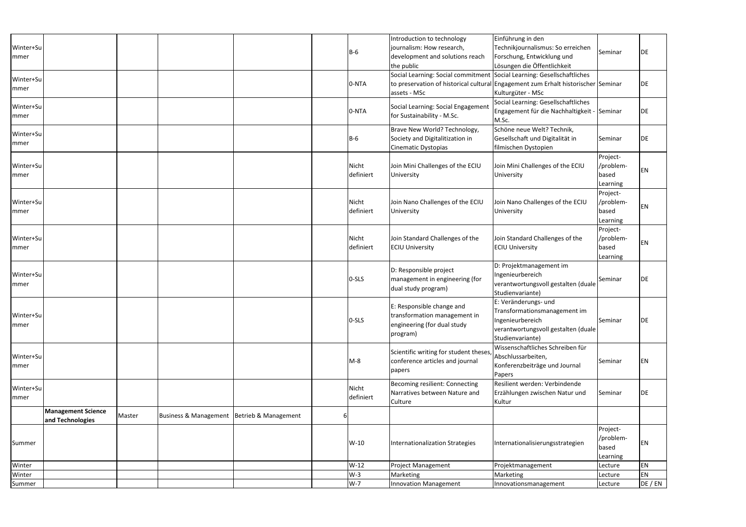| Winter+Su<br>mmer  |                                               |        |                                  |                      |   | $B-6$              | Introduction to technology<br>journalism: How research,<br>development and solutions reach<br>the public | Einführung in den<br>Technikjournalismus: So erreichen<br>Forschung, Entwicklung und<br>Lösungen die Öffentlichkeit                 | Seminar                                    | DE      |
|--------------------|-----------------------------------------------|--------|----------------------------------|----------------------|---|--------------------|----------------------------------------------------------------------------------------------------------|-------------------------------------------------------------------------------------------------------------------------------------|--------------------------------------------|---------|
| Winter+Su<br>mmer  |                                               |        |                                  |                      |   | 0-NTA              | Social Learning: Social commitment Social Learning: Gesellschaftliches<br>assets - MSc                   | to preservation of historical cultural Engagement zum Erhalt historischer Seminar<br>Kulturgüter - MSc                              |                                            | DE      |
| Winter+Su<br>mmer  |                                               |        |                                  |                      |   | 0-NTA              | Social Learning: Social Engagement<br>for Sustainability - M.Sc.                                         | Social Learning: Gesellschaftliches<br>Engagement für die Nachhaltigkeit - Seminar<br>M.Sc.                                         |                                            | DE      |
| Winter+Su<br>mmer  |                                               |        |                                  |                      |   | $B-6$              | Brave New World? Technology,<br>Society and Digitalitization in<br>Cinematic Dystopias                   | Schöne neue Welt? Technik,<br>Gesellschaft und Digitalität in<br>filmischen Dystopien                                               | Seminar                                    | DE      |
| Winter+Su<br>mmer  |                                               |        |                                  |                      |   | Nicht<br>definiert | Join Mini Challenges of the ECIU<br>University                                                           | Join Mini Challenges of the ECIU<br>University                                                                                      | Project-<br>/problem-<br>based<br>Learning | ΕN      |
| Winter+Su<br>mmer  |                                               |        |                                  |                      |   | Nicht<br>definiert | Join Nano Challenges of the ECIU<br>University                                                           | Join Nano Challenges of the ECIU<br>University                                                                                      | Project-<br>/problem-<br>based<br>Learning | ΕN      |
| Winter+Su<br>mmer  |                                               |        |                                  |                      |   | Nicht<br>definiert | Join Standard Challenges of the<br><b>ECIU University</b>                                                | Join Standard Challenges of the<br><b>ECIU University</b>                                                                           | Project-<br>/problem-<br>based<br>Learning | ΕN      |
| Winter+Su<br>mmer  |                                               |        |                                  |                      |   | 0-SLS              | D: Responsible project<br>management in engineering (for<br>dual study program)                          | D: Projektmanagement im<br>Ingenieurbereich<br>verantwortungsvoll gestalten (duale<br>Studienvariante)                              | Seminar                                    | DE      |
| Winter+Su<br>mmer  |                                               |        |                                  |                      |   | 0-SLS              | E: Responsible change and<br>transformation management in<br>engineering (for dual study<br>program)     | E: Veränderungs- und<br>Transformationsmanagement im<br>Ingenieurbereich<br>verantwortungsvoll gestalten (duale<br>Studienvariante) | Seminar                                    | DE      |
| Winter+Su<br>mmer  |                                               |        |                                  |                      |   | $M-8$              | Scientific writing for student theses,<br>conference articles and journal<br>papers                      | Wissenschaftliches Schreiben für<br>Abschlussarbeiten,<br>Konferenzbeiträge und Journal<br>Papers                                   | Seminar                                    | ΕN      |
| Winter+Su<br> mmer |                                               |        |                                  |                      |   | Nicht<br>definiert | <b>Becoming resilient: Connecting</b><br>Narratives between Nature and<br>Culture                        | Resilient werden: Verbindende<br>Erzählungen zwischen Natur und<br>Kultur                                                           | Seminar                                    | DE      |
|                    | <b>Management Science</b><br>and Technologies | Master | <b>Business &amp; Management</b> | Betrieb & Management | b |                    |                                                                                                          |                                                                                                                                     |                                            |         |
| Summer             |                                               |        |                                  |                      |   | $W-10$             | Internationalization Strategies                                                                          | Internationalisierungsstrategien                                                                                                    | Project-<br>/problem-<br>based<br>Learning | ΕN      |
| Winter             |                                               |        |                                  |                      |   | $W-12$             | <b>Project Management</b>                                                                                | Projektmanagement                                                                                                                   | Lecture                                    | EN      |
| Winter             |                                               |        |                                  |                      |   | $W-3$              | Marketing                                                                                                | Marketing                                                                                                                           | Lecture                                    | EN      |
| Summer             |                                               |        |                                  |                      |   | $W-7$              | <b>Innovation Management</b>                                                                             | Innovationsmanagement                                                                                                               | Lecture                                    | DE / EN |
|                    |                                               |        |                                  |                      |   |                    |                                                                                                          |                                                                                                                                     |                                            |         |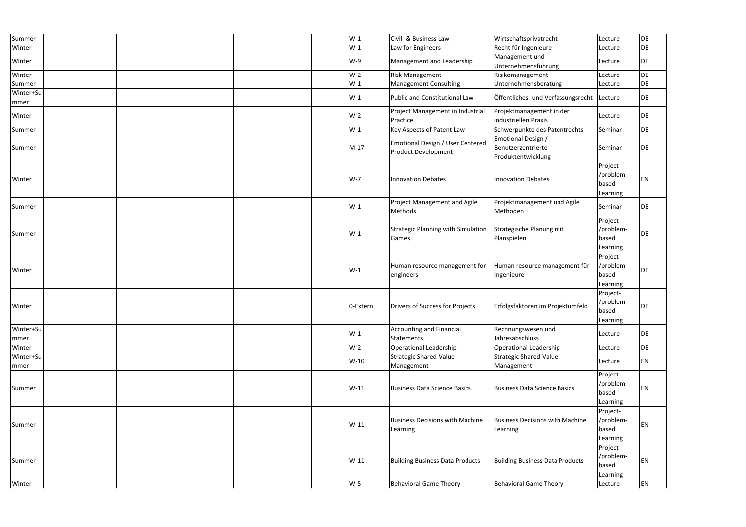| Summer            |  |  | $W-1$    | Civil- & Business Law                                          | Wirtschaftsprivatrecht                                         | Lecture                                    | DE        |
|-------------------|--|--|----------|----------------------------------------------------------------|----------------------------------------------------------------|--------------------------------------------|-----------|
| Winter            |  |  | $W-1$    | Law for Engineers                                              | Recht für Ingenieure                                           | Lecture                                    | DE        |
| Winter            |  |  | $W-9$    | Management and Leadership                                      | Management und<br>Unternehmensführung                          | Lecture                                    | DE        |
| Winter            |  |  | $W-2$    | <b>Risk Management</b>                                         | Risikomanagement                                               | Lecture                                    | DE        |
| Summer            |  |  | $W-1$    | <b>Management Consulting</b>                                   | Unternehmensberatung                                           | Lecture                                    | DE        |
| Winter+Su<br>mmer |  |  | $W-1$    | Public and Constitutional Law                                  | Öffentliches- und Verfassungsrecht                             | Lecture                                    | DE        |
| Winter            |  |  | $W-2$    | Project Management in Industrial<br>Practice                   | Projektmanagement in der<br>Industriellen Praxis               | Lecture                                    | DE        |
| Summer            |  |  | $W-1$    | Key Aspects of Patent Law                                      | Schwerpunkte des Patentrechts                                  | Seminar                                    | DE        |
| Summer            |  |  | $M-17$   | Emotional Design / User Centered<br><b>Product Development</b> | Emotional Design /<br>Benutzerzentrierte<br>Produktentwicklung | Seminar                                    | DE        |
| Winter            |  |  | $W-7$    | Innovation Debates                                             | <b>Innovation Debates</b>                                      | Project-<br>/problem-<br>based<br>Learning | EN        |
| Summer            |  |  | $W-1$    | Project Management and Agile<br>Methods                        | Projektmanagement und Agile<br>Methoden                        | Seminar                                    | DE        |
| Summer            |  |  | $W-1$    | <b>Strategic Planning with Simulation</b><br>Games             | Strategische Planung mit<br>Planspielen                        | Project-<br>/problem-<br>based<br>Learning | <b>DE</b> |
| Winter            |  |  | $W-1$    | Human resource management for<br>engineers                     | Human resource management für<br>Ingenieure                    | Project-<br>/problem-<br>based<br>Learning | <b>DE</b> |
| Winter            |  |  | 0-Extern | Drivers of Success for Projects                                | Erfolgsfaktoren im Projektumfeld                               | Project-<br>/problem-<br>based<br>Learning | DE        |
| Winter+Su<br>mmer |  |  | $W-1$    | <b>Accounting and Financial</b><br><b>Statements</b>           | Rechnungswesen und<br>Jahresabschluss                          | Lecture                                    | DE        |
| Winter            |  |  | $W-2$    | Operational Leadership                                         | Operational Leadership                                         | Lecture                                    | DE        |
| Winter+Su<br>mmer |  |  | $W-10$   | <b>Strategic Shared-Value</b><br>Management                    | Strategic Shared-Value<br>Management                           | Lecture                                    | EN        |
| Summer            |  |  | $W-11$   | Business Data Science Basics                                   | Business Data Science Basics                                   | Project-<br>/problem-<br>based<br>Learning | EN        |
| Summer            |  |  | $W-11$   | <b>Business Decisions with Machine</b><br>Learning             | <b>Business Decisions with Machine</b><br>Learning             | Project-<br>/problem-<br>based<br>Learning | EN        |
| Summer            |  |  | $W-11$   | <b>Building Business Data Products</b>                         | <b>Building Business Data Products</b>                         | Project-<br>/problem-<br>based<br>Learning | EN        |
| Winter            |  |  | $W-5$    | <b>Behavioral Game Theory</b>                                  | <b>Behavioral Game Theory</b>                                  | Lecture                                    | EN        |